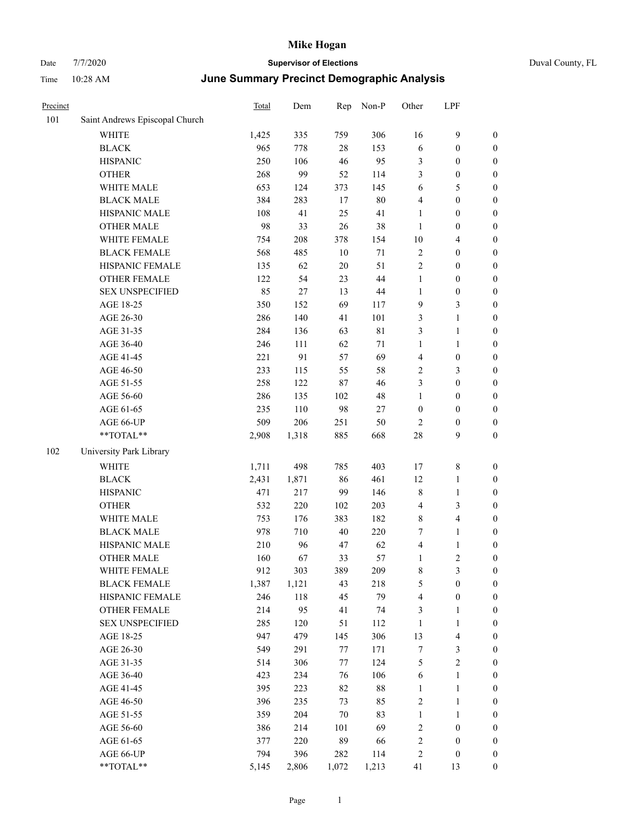| Precinct |                                | <b>Total</b> | Dem   | Rep    | Non-P       | Other            | LPF              |                  |
|----------|--------------------------------|--------------|-------|--------|-------------|------------------|------------------|------------------|
| 101      | Saint Andrews Episcopal Church |              |       |        |             |                  |                  |                  |
|          | WHITE                          | 1,425        | 335   | 759    | 306         | 16               | 9                | $\boldsymbol{0}$ |
|          | <b>BLACK</b>                   | 965          | 778   | $28\,$ | 153         | 6                | $\boldsymbol{0}$ | $\boldsymbol{0}$ |
|          | <b>HISPANIC</b>                | 250          | 106   | 46     | 95          | $\mathfrak{Z}$   | $\boldsymbol{0}$ | $\boldsymbol{0}$ |
|          | <b>OTHER</b>                   | 268          | 99    | 52     | 114         | 3                | $\boldsymbol{0}$ | $\boldsymbol{0}$ |
|          | WHITE MALE                     | 653          | 124   | 373    | 145         | 6                | 5                | $\boldsymbol{0}$ |
|          | <b>BLACK MALE</b>              | 384          | 283   | 17     | $80\,$      | $\overline{4}$   | $\boldsymbol{0}$ | $\boldsymbol{0}$ |
|          | HISPANIC MALE                  | 108          | 41    | 25     | 41          | $\mathbf{1}$     | $\boldsymbol{0}$ | $\boldsymbol{0}$ |
|          | <b>OTHER MALE</b>              | 98           | 33    | 26     | 38          | $\mathbf{1}$     | $\boldsymbol{0}$ | $\boldsymbol{0}$ |
|          | WHITE FEMALE                   | 754          | 208   | 378    | 154         | 10               | 4                | $\boldsymbol{0}$ |
|          | <b>BLACK FEMALE</b>            | 568          | 485   | $10\,$ | $71\,$      | $\sqrt{2}$       | $\boldsymbol{0}$ | $\boldsymbol{0}$ |
|          | HISPANIC FEMALE                | 135          | 62    | 20     | 51          | $\sqrt{2}$       | $\boldsymbol{0}$ | $\boldsymbol{0}$ |
|          | <b>OTHER FEMALE</b>            | 122          | 54    | 23     | 44          | $\mathbf{1}$     | $\boldsymbol{0}$ | $\boldsymbol{0}$ |
|          | <b>SEX UNSPECIFIED</b>         | 85           | 27    | 13     | 44          | $\mathbf{1}$     | $\boldsymbol{0}$ | $\boldsymbol{0}$ |
|          | AGE 18-25                      | 350          | 152   | 69     | 117         | 9                | 3                | $\boldsymbol{0}$ |
|          | AGE 26-30                      | 286          | 140   | 41     | 101         | 3                | 1                | $\boldsymbol{0}$ |
|          | AGE 31-35                      | 284          | 136   | 63     | $8\sqrt{1}$ | 3                | 1                | $\boldsymbol{0}$ |
|          | AGE 36-40                      | 246          | 111   | 62     | 71          | $\mathbf{1}$     | 1                | $\boldsymbol{0}$ |
|          | AGE 41-45                      | 221          | 91    | 57     | 69          | $\overline{4}$   | $\boldsymbol{0}$ | $\boldsymbol{0}$ |
|          | AGE 46-50                      | 233          | 115   | 55     | 58          | $\sqrt{2}$       | 3                | $\boldsymbol{0}$ |
|          | AGE 51-55                      | 258          | 122   | 87     | 46          | 3                | $\boldsymbol{0}$ | $\boldsymbol{0}$ |
|          | AGE 56-60                      | 286          | 135   | 102    | 48          | 1                | $\boldsymbol{0}$ | $\boldsymbol{0}$ |
|          | AGE 61-65                      | 235          | 110   | 98     | $27\,$      | $\boldsymbol{0}$ | $\boldsymbol{0}$ | $\boldsymbol{0}$ |
|          | AGE 66-UP                      | 509          | 206   | 251    | 50          | $\overline{2}$   | 0                | $\boldsymbol{0}$ |
|          | **TOTAL**                      | 2,908        | 1,318 | 885    | 668         | 28               | 9                | $\boldsymbol{0}$ |
| 102      | University Park Library        |              |       |        |             |                  |                  |                  |
|          | <b>WHITE</b>                   | 1,711        | 498   | 785    | 403         | 17               | 8                | $\boldsymbol{0}$ |
|          | <b>BLACK</b>                   | 2,431        | 1,871 | 86     | 461         | 12               | 1                | $\boldsymbol{0}$ |
|          | <b>HISPANIC</b>                | 471          | 217   | 99     | 146         | $\,$ 8 $\,$      | 1                | $\boldsymbol{0}$ |
|          | <b>OTHER</b>                   | 532          | 220   | 102    | 203         | $\overline{4}$   | 3                | $\boldsymbol{0}$ |
|          | WHITE MALE                     | 753          | 176   | 383    | 182         | $\,$ 8 $\,$      | 4                | $\boldsymbol{0}$ |
|          | <b>BLACK MALE</b>              | 978          | 710   | 40     | 220         | 7                | 1                | $\boldsymbol{0}$ |
|          | HISPANIC MALE                  | 210          | 96    | 47     | 62          | $\overline{4}$   | 1                | $\boldsymbol{0}$ |
|          | <b>OTHER MALE</b>              | 160          | 67    | 33     | 57          | 1                | 2                | $\boldsymbol{0}$ |
|          | WHITE FEMALE                   | 912          | 303   | 389    | 209         | $\,$ 8 $\,$      | 3                | $\boldsymbol{0}$ |
|          | <b>BLACK FEMALE</b>            | 1,387        | 1,121 | 43     | 218         | $\sqrt{5}$       | $\boldsymbol{0}$ | $\boldsymbol{0}$ |
|          | HISPANIC FEMALE                | 246          | 118   | 45     | 79          | $\overline{4}$   | $\boldsymbol{0}$ | $\boldsymbol{0}$ |
|          | OTHER FEMALE                   | 214          | 95    | 41     | 74          | 3                | 1                | $\boldsymbol{0}$ |
|          | <b>SEX UNSPECIFIED</b>         | 285          | 120   | 51     | 112         | 1                | $\mathbf{1}$     | $\boldsymbol{0}$ |
|          | AGE 18-25                      | 947          | 479   | 145    | 306         | 13               | 4                | $\boldsymbol{0}$ |
|          | AGE 26-30                      | 549          | 291   | 77     | 171         | $\boldsymbol{7}$ | 3                | $\boldsymbol{0}$ |
|          | AGE 31-35                      | 514          | 306   | 77     | 124         | $\mathfrak s$    | 2                | $\boldsymbol{0}$ |
|          | AGE 36-40                      | 423          | 234   | 76     | 106         | 6                | $\mathbf{1}$     | $\boldsymbol{0}$ |
|          | AGE 41-45                      | 395          | 223   | 82     | $88\,$      | $\mathbf{1}$     | 1                | $\boldsymbol{0}$ |
|          | AGE 46-50                      | 396          | 235   | 73     | 85          | $\sqrt{2}$       | 1                | $\boldsymbol{0}$ |
|          | AGE 51-55                      | 359          | 204   | 70     | 83          | $\mathbf{1}$     | $\mathbf{1}$     | $\boldsymbol{0}$ |
|          | AGE 56-60                      | 386          | 214   | 101    | 69          | $\sqrt{2}$       | $\boldsymbol{0}$ | $\boldsymbol{0}$ |
|          | AGE 61-65                      | 377          | 220   | 89     | 66          | $\sqrt{2}$       | $\boldsymbol{0}$ | $\boldsymbol{0}$ |
|          | AGE 66-UP                      | 794          | 396   | 282    | 114         | $\sqrt{2}$       | $\boldsymbol{0}$ | $\boldsymbol{0}$ |
|          | **TOTAL**                      | 5,145        | 2,806 | 1,072  | 1,213       | 41               | 13               | $\boldsymbol{0}$ |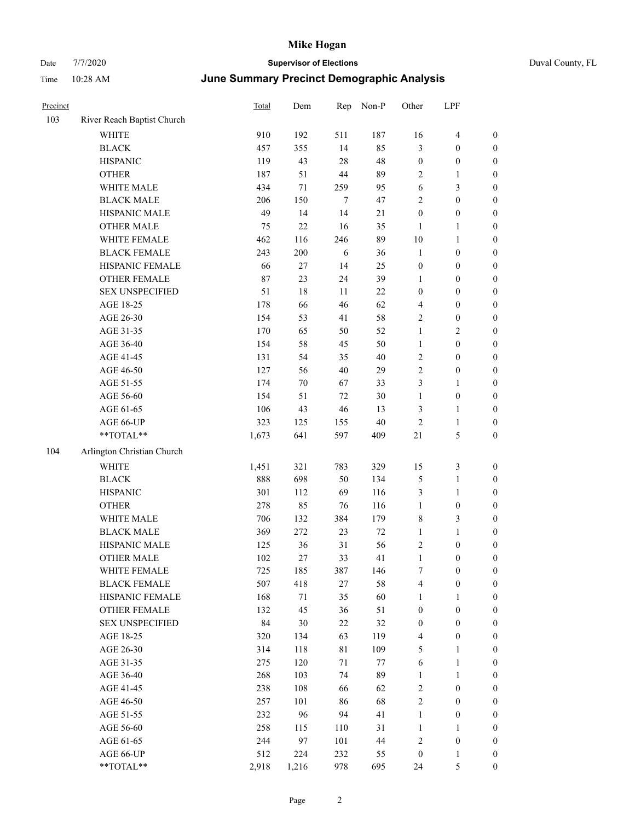## Date 7/7/2020 **Supervisor of Elections** Duval County, FL Time 10:28 AM **June Summary Precinct Demographic Analysis**

| Precinct |                                  | Total  | Dem    | Rep        | Non-P  | Other            | LPF              |                  |
|----------|----------------------------------|--------|--------|------------|--------|------------------|------------------|------------------|
| 103      | River Reach Baptist Church       |        |        |            |        |                  |                  |                  |
|          | <b>WHITE</b>                     | 910    | 192    | 511        | 187    | 16               | $\overline{4}$   | $\boldsymbol{0}$ |
|          | <b>BLACK</b>                     | 457    | 355    | 14         | 85     | 3                | $\boldsymbol{0}$ | $\boldsymbol{0}$ |
|          | <b>HISPANIC</b>                  | 119    | 43     | $28\,$     | 48     | $\boldsymbol{0}$ | $\boldsymbol{0}$ | $\boldsymbol{0}$ |
|          | <b>OTHER</b>                     | 187    | 51     | $44\,$     | 89     | $\overline{c}$   | $\mathbf{1}$     | $\boldsymbol{0}$ |
|          | WHITE MALE                       | 434    | 71     | 259        | 95     | 6                | 3                | $\boldsymbol{0}$ |
|          | <b>BLACK MALE</b>                | 206    | 150    | $\tau$     | 47     | $\overline{c}$   | $\boldsymbol{0}$ | $\boldsymbol{0}$ |
|          | HISPANIC MALE                    | 49     | 14     | 14         | 21     | $\boldsymbol{0}$ | $\boldsymbol{0}$ | $\boldsymbol{0}$ |
|          | <b>OTHER MALE</b>                | 75     | 22     | 16         | 35     | $\mathbf{1}$     | $\mathbf{1}$     | $\boldsymbol{0}$ |
|          | WHITE FEMALE                     | 462    | 116    | 246        | 89     | $10\,$           | $\mathbf{1}$     | $\boldsymbol{0}$ |
|          | <b>BLACK FEMALE</b>              | 243    | 200    | $\sqrt{6}$ | 36     | $\mathbf{1}$     | $\boldsymbol{0}$ | $\boldsymbol{0}$ |
|          | HISPANIC FEMALE                  | 66     | 27     | 14         | 25     | $\boldsymbol{0}$ | $\boldsymbol{0}$ | $\boldsymbol{0}$ |
|          | OTHER FEMALE                     | $87\,$ | 23     | 24         | 39     | $\mathbf{1}$     | $\boldsymbol{0}$ | $\boldsymbol{0}$ |
|          | <b>SEX UNSPECIFIED</b>           | 51     | 18     | 11         | $22\,$ | $\boldsymbol{0}$ | $\boldsymbol{0}$ | $\boldsymbol{0}$ |
|          | AGE 18-25                        | 178    | 66     | 46         | 62     | 4                | $\boldsymbol{0}$ | $\boldsymbol{0}$ |
|          | AGE 26-30                        | 154    | 53     | 41         | 58     | 2                | $\boldsymbol{0}$ | $\boldsymbol{0}$ |
|          | AGE 31-35                        | 170    | 65     | 50         | 52     | $\mathbf{1}$     | 2                | $\boldsymbol{0}$ |
|          | AGE 36-40                        | 154    | 58     | 45         | 50     | $\mathbf{1}$     | $\boldsymbol{0}$ | $\boldsymbol{0}$ |
|          | AGE 41-45                        | 131    | 54     | 35         | 40     | 2                | $\boldsymbol{0}$ | $\boldsymbol{0}$ |
|          | AGE 46-50                        | 127    | 56     | 40         | 29     | 2                | $\boldsymbol{0}$ | $\boldsymbol{0}$ |
|          | AGE 51-55                        | 174    | $70\,$ | 67         | 33     | 3                | $\mathbf{1}$     | $\boldsymbol{0}$ |
|          | AGE 56-60                        | 154    | 51     | 72         | 30     | $\mathbf{1}$     | $\boldsymbol{0}$ | $\boldsymbol{0}$ |
|          | AGE 61-65                        | 106    | 43     | 46         | 13     | 3                | $\mathbf{1}$     | $\boldsymbol{0}$ |
|          | AGE 66-UP                        | 323    | 125    | 155        | 40     | $\overline{2}$   | $\mathbf{1}$     | $\boldsymbol{0}$ |
|          | $\mathrm{``TOTAL}^{\mathrm{**}}$ | 1,673  | 641    | 597        | 409    | 21               | 5                | $\boldsymbol{0}$ |
| 104      | Arlington Christian Church       |        |        |            |        |                  |                  |                  |
|          | <b>WHITE</b>                     | 1,451  | 321    | 783        | 329    | 15               | 3                | $\boldsymbol{0}$ |
|          | <b>BLACK</b>                     | 888    | 698    | 50         | 134    | $\mathfrak{S}$   | $\mathbf{1}$     | $\boldsymbol{0}$ |
|          | <b>HISPANIC</b>                  | 301    | 112    | 69         | 116    | 3                | $\mathbf{1}$     | $\boldsymbol{0}$ |
|          | <b>OTHER</b>                     | 278    | 85     | 76         | 116    | $\mathbf{1}$     | $\boldsymbol{0}$ | $\boldsymbol{0}$ |
|          | WHITE MALE                       | 706    | 132    | 384        | 179    | 8                | 3                | $\boldsymbol{0}$ |
|          | <b>BLACK MALE</b>                | 369    | 272    | 23         | $72\,$ | $\mathbf{1}$     | $\mathbf{1}$     | $\boldsymbol{0}$ |
|          | HISPANIC MALE                    | 125    | 36     | 31         | 56     | $\sqrt{2}$       | $\boldsymbol{0}$ | $\boldsymbol{0}$ |
|          | <b>OTHER MALE</b>                | 102    | 27     | 33         | 41     | $\mathbf{1}$     | $\boldsymbol{0}$ | $\boldsymbol{0}$ |
|          | WHITE FEMALE                     | 725    | 185    | 387        | 146    | $\tau$           | $\mathbf{0}$     | $\boldsymbol{0}$ |
|          | <b>BLACK FEMALE</b>              | 507    | 418    | 27         | 58     | 4                | $\boldsymbol{0}$ | $\boldsymbol{0}$ |
|          | HISPANIC FEMALE                  | 168    | 71     | 35         | 60     | $\mathbf{1}$     | $\mathbf{1}$     | $\boldsymbol{0}$ |
|          | <b>OTHER FEMALE</b>              | 132    | 45     | 36         | 51     | $\boldsymbol{0}$ | $\boldsymbol{0}$ | $\boldsymbol{0}$ |
|          | <b>SEX UNSPECIFIED</b>           | 84     | 30     | 22         | 32     | $\boldsymbol{0}$ | $\boldsymbol{0}$ | $\boldsymbol{0}$ |
|          | AGE 18-25                        | 320    | 134    | 63         | 119    | $\overline{4}$   | $\boldsymbol{0}$ | $\boldsymbol{0}$ |
|          | AGE 26-30                        | 314    | 118    | 81         | 109    | $\mathfrak{S}$   | $\mathbf{1}$     | $\boldsymbol{0}$ |
|          | AGE 31-35                        | 275    | 120    | 71         | $77\,$ | 6                | $\mathbf{1}$     | $\boldsymbol{0}$ |
|          | AGE 36-40                        | 268    | 103    | 74         | 89     | $\mathbf{1}$     | $\mathbf{1}$     | $\boldsymbol{0}$ |
|          | AGE 41-45                        | 238    | 108    | 66         | 62     | $\sqrt{2}$       | $\boldsymbol{0}$ | $\boldsymbol{0}$ |
|          | AGE 46-50                        | 257    | 101    | 86         | 68     | $\sqrt{2}$       | $\mathbf{0}$     | $\boldsymbol{0}$ |
|          | AGE 51-55                        | 232    | 96     | 94         | 41     | $\mathbf{1}$     | $\boldsymbol{0}$ | $\boldsymbol{0}$ |
|          | AGE 56-60                        | 258    | 115    | 110        | 31     | $\mathbf{1}$     | $\mathbf{1}$     | $\boldsymbol{0}$ |
|          | AGE 61-65                        | 244    | 97     | 101        | 44     | $\boldsymbol{2}$ | $\boldsymbol{0}$ | $\boldsymbol{0}$ |
|          | AGE 66-UP                        | 512    | 224    | 232        | 55     | $\boldsymbol{0}$ | $\mathbf{1}$     | $\boldsymbol{0}$ |

\*\*TOTAL\*\* 2,918 1,216 978 695 24 5 0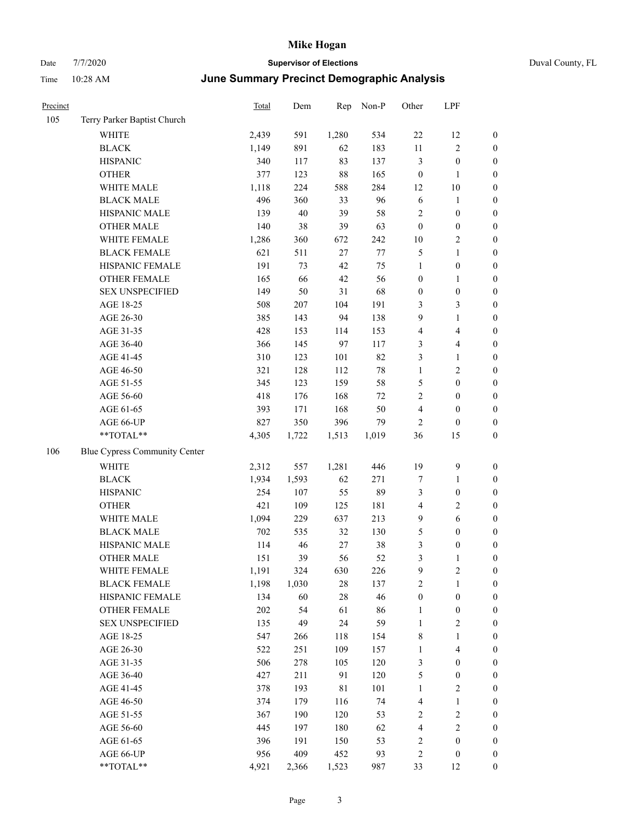| Precinct |                               | Total | Dem   | Rep         | Non-P  | Other            | LPF                     |                  |
|----------|-------------------------------|-------|-------|-------------|--------|------------------|-------------------------|------------------|
| 105      | Terry Parker Baptist Church   |       |       |             |        |                  |                         |                  |
|          | <b>WHITE</b>                  | 2,439 | 591   | 1,280       | 534    | $22\,$           | 12                      | 0                |
|          | <b>BLACK</b>                  | 1,149 | 891   | 62          | 183    | $11\,$           | $\sqrt{2}$              | $\boldsymbol{0}$ |
|          | <b>HISPANIC</b>               | 340   | 117   | 83          | 137    | 3                | $\boldsymbol{0}$        | $\boldsymbol{0}$ |
|          | <b>OTHER</b>                  | 377   | 123   | $88\,$      | 165    | $\boldsymbol{0}$ | $\mathbf{1}$            | $\boldsymbol{0}$ |
|          | WHITE MALE                    | 1,118 | 224   | 588         | 284    | 12               | $10\,$                  | $\boldsymbol{0}$ |
|          | <b>BLACK MALE</b>             | 496   | 360   | 33          | 96     | 6                | $\mathbf{1}$            | $\boldsymbol{0}$ |
|          | HISPANIC MALE                 | 139   | 40    | 39          | 58     | 2                | $\boldsymbol{0}$        | $\boldsymbol{0}$ |
|          | <b>OTHER MALE</b>             | 140   | 38    | 39          | 63     | $\boldsymbol{0}$ | $\boldsymbol{0}$        | $\boldsymbol{0}$ |
|          | WHITE FEMALE                  | 1,286 | 360   | 672         | 242    | $10\,$           | $\overline{2}$          | $\boldsymbol{0}$ |
|          | <b>BLACK FEMALE</b>           | 621   | 511   | $27\,$      | 77     | 5                | $\mathbf{1}$            | $\boldsymbol{0}$ |
|          | HISPANIC FEMALE               | 191   | 73    | 42          | 75     | $\mathbf{1}$     | $\boldsymbol{0}$        | 0                |
|          | OTHER FEMALE                  | 165   | 66    | $42\,$      | 56     | $\boldsymbol{0}$ | $\mathbf{1}$            | $\boldsymbol{0}$ |
|          | <b>SEX UNSPECIFIED</b>        | 149   | 50    | 31          | 68     | $\boldsymbol{0}$ | $\boldsymbol{0}$        | $\boldsymbol{0}$ |
|          | AGE 18-25                     | 508   | 207   | 104         | 191    | 3                | $\mathfrak{Z}$          | $\boldsymbol{0}$ |
|          | AGE 26-30                     | 385   | 143   | 94          | 138    | 9                | $\mathbf{1}$            | $\boldsymbol{0}$ |
|          | AGE 31-35                     | 428   | 153   | 114         | 153    | $\overline{4}$   | $\overline{\mathbf{4}}$ | $\boldsymbol{0}$ |
|          | AGE 36-40                     | 366   | 145   | 97          | 117    | 3                | $\overline{4}$          | $\boldsymbol{0}$ |
|          | AGE 41-45                     | 310   | 123   | 101         | 82     | 3                | $\mathbf{1}$            | $\boldsymbol{0}$ |
|          | AGE 46-50                     | 321   | 128   | 112         | $78\,$ | $\mathbf{1}$     | $\mathbf{2}$            | $\boldsymbol{0}$ |
|          | AGE 51-55                     | 345   | 123   | 159         | 58     | 5                | $\boldsymbol{0}$        | $\boldsymbol{0}$ |
|          | AGE 56-60                     | 418   | 176   | 168         | 72     | $\sqrt{2}$       | $\boldsymbol{0}$        | 0                |
|          | AGE 61-65                     | 393   | 171   | 168         | 50     | 4                | $\boldsymbol{0}$        | $\boldsymbol{0}$ |
|          | AGE 66-UP                     | 827   | 350   | 396         | 79     | $\overline{2}$   | $\boldsymbol{0}$        | $\boldsymbol{0}$ |
|          | $**TOTAL**$                   | 4,305 | 1,722 | 1,513       | 1,019  | 36               | 15                      | $\boldsymbol{0}$ |
| 106      | Blue Cypress Community Center |       |       |             |        |                  |                         |                  |
|          | <b>WHITE</b>                  | 2,312 | 557   | 1,281       | 446    | 19               | $\mathbf{9}$            | $\boldsymbol{0}$ |
|          | <b>BLACK</b>                  | 1,934 | 1,593 | 62          | 271    | 7                | $\mathbf{1}$            | $\boldsymbol{0}$ |
|          | <b>HISPANIC</b>               | 254   | 107   | 55          | 89     | 3                | $\boldsymbol{0}$        | $\boldsymbol{0}$ |
|          | <b>OTHER</b>                  | 421   | 109   | 125         | 181    | 4                | $\sqrt{2}$              | $\boldsymbol{0}$ |
|          | WHITE MALE                    | 1,094 | 229   | 637         | 213    | 9                | $\sqrt{6}$              | $\boldsymbol{0}$ |
|          | <b>BLACK MALE</b>             | 702   | 535   | 32          | 130    | 5                | $\boldsymbol{0}$        | $\boldsymbol{0}$ |
|          | HISPANIC MALE                 | 114   | 46    | $27\,$      | 38     | 3                | $\boldsymbol{0}$        | $\boldsymbol{0}$ |
|          | <b>OTHER MALE</b>             | 151   | 39    | 56          | 52     | 3                | $\mathbf{1}$            | $\boldsymbol{0}$ |
|          | WHITE FEMALE                  | 1,191 | 324   | 630         | 226    | 9                | 2                       | 0                |
|          | <b>BLACK FEMALE</b>           | 1,198 | 1,030 | $28\,$      | 137    | $\sqrt{2}$       | $\mathbf{1}$            | $\boldsymbol{0}$ |
|          | HISPANIC FEMALE               | 134   | 60    | $28\,$      | 46     | $\boldsymbol{0}$ | $\boldsymbol{0}$        | $\overline{0}$   |
|          | OTHER FEMALE                  | 202   | 54    | 61          | 86     | $\mathbf{1}$     | $\boldsymbol{0}$        | 0                |
|          | <b>SEX UNSPECIFIED</b>        | 135   | 49    | 24          | 59     | $\mathbf{1}$     | $\sqrt{2}$              | 0                |
|          | AGE 18-25                     | 547   | 266   | 118         | 154    | $\,$ 8 $\,$      | $\mathbf{1}$            | 0                |
|          | AGE 26-30                     | 522   | 251   | 109         | 157    | $\mathbf{1}$     | $\overline{\mathbf{4}}$ | 0                |
|          | AGE 31-35                     | 506   | 278   | 105         | 120    | 3                | $\boldsymbol{0}$        | 0                |
|          | AGE 36-40                     | 427   | 211   | 91          | 120    | 5                | $\boldsymbol{0}$        | 0                |
|          | AGE 41-45                     | 378   | 193   | $8\sqrt{1}$ | 101    | $\mathbf{1}$     | $\sqrt{2}$              | 0                |
|          | AGE 46-50                     | 374   | 179   | 116         | 74     | 4                | $\mathbf{1}$            | 0                |
|          | AGE 51-55                     | 367   | 190   | 120         | 53     | $\overline{c}$   | $\sqrt{2}$              | 0                |
|          | AGE 56-60                     | 445   | 197   | 180         | 62     | 4                | $\sqrt{2}$              | $\boldsymbol{0}$ |
|          | AGE 61-65                     | 396   | 191   | 150         | 53     | $\overline{c}$   | $\boldsymbol{0}$        | $\boldsymbol{0}$ |
|          | AGE 66-UP                     | 956   | 409   | 452         | 93     | $\overline{c}$   | $\boldsymbol{0}$        | $\boldsymbol{0}$ |
|          | **TOTAL**                     | 4,921 | 2,366 | 1,523       | 987    | 33               | 12                      | $\boldsymbol{0}$ |
|          |                               |       |       |             |        |                  |                         |                  |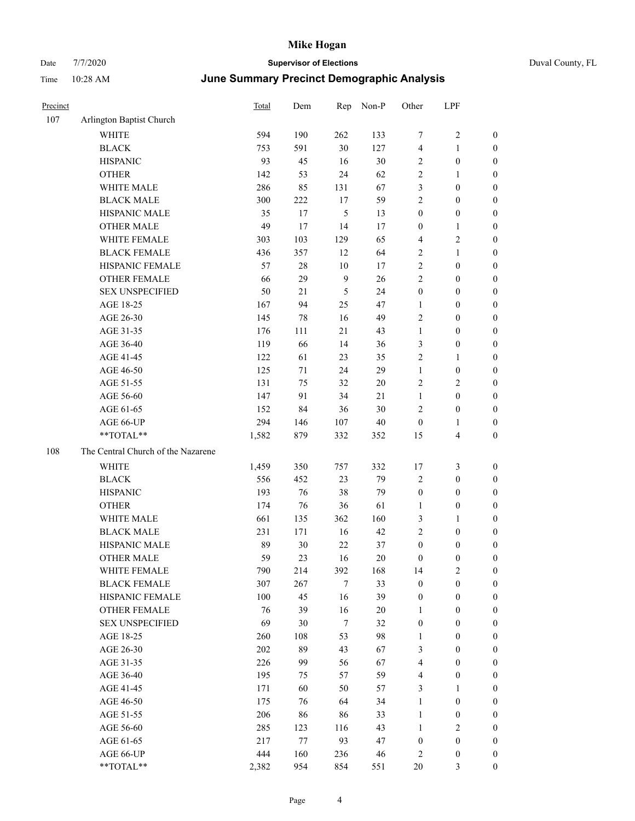| Precinct |                                    | Total      | Dem       | Rep            | Non-P    | Other            | LPF                              |                  |
|----------|------------------------------------|------------|-----------|----------------|----------|------------------|----------------------------------|------------------|
| 107      | Arlington Baptist Church           |            |           |                |          |                  |                                  |                  |
|          | <b>WHITE</b>                       | 594        | 190       | 262            | 133      | $\tau$           | 2                                | $\boldsymbol{0}$ |
|          | <b>BLACK</b>                       | 753        | 591       | $30\,$         | 127      | $\overline{4}$   | 1                                | $\boldsymbol{0}$ |
|          | <b>HISPANIC</b>                    | 93         | 45        | 16             | 30       | $\overline{2}$   | $\boldsymbol{0}$                 | $\boldsymbol{0}$ |
|          | <b>OTHER</b>                       | 142        | 53        | 24             | 62       | $\sqrt{2}$       | 1                                | $\boldsymbol{0}$ |
|          | WHITE MALE                         | 286        | 85        | 131            | 67       | $\mathfrak{Z}$   | $\boldsymbol{0}$                 | $\boldsymbol{0}$ |
|          | <b>BLACK MALE</b>                  | 300        | 222       | 17             | 59       | $\sqrt{2}$       | $\boldsymbol{0}$                 | $\boldsymbol{0}$ |
|          | HISPANIC MALE                      | 35         | 17        | 5              | 13       | $\boldsymbol{0}$ | $\boldsymbol{0}$                 | $\boldsymbol{0}$ |
|          | <b>OTHER MALE</b>                  | 49         | 17        | 14             | 17       | $\boldsymbol{0}$ | 1                                | $\boldsymbol{0}$ |
|          | WHITE FEMALE                       | 303        | 103       | 129            | 65       | $\overline{4}$   | 2                                | $\boldsymbol{0}$ |
|          | <b>BLACK FEMALE</b>                | 436        | 357       | 12             | 64       | $\sqrt{2}$       | 1                                | $\boldsymbol{0}$ |
|          | HISPANIC FEMALE                    | 57         | $28\,$    | 10             | 17       | $\sqrt{2}$       | $\boldsymbol{0}$                 | $\boldsymbol{0}$ |
|          | <b>OTHER FEMALE</b>                | 66         | 29        | 9              | 26       | $\overline{2}$   | $\boldsymbol{0}$                 | $\boldsymbol{0}$ |
|          | <b>SEX UNSPECIFIED</b>             | 50         | $21\,$    | $\mathfrak{H}$ | 24       | $\boldsymbol{0}$ | $\boldsymbol{0}$                 | $\boldsymbol{0}$ |
|          | AGE 18-25                          | 167        | 94        | 25             | 47       | 1                | $\boldsymbol{0}$                 | $\boldsymbol{0}$ |
|          | AGE 26-30                          | 145        | 78        | 16             | 49       | $\overline{2}$   | $\boldsymbol{0}$                 | $\boldsymbol{0}$ |
|          | AGE 31-35                          | 176        | 111       | 21             | 43       | $\mathbf{1}$     | $\boldsymbol{0}$                 | $\boldsymbol{0}$ |
|          | AGE 36-40                          | 119        | 66        | 14             | 36       | 3                | $\boldsymbol{0}$                 | $\boldsymbol{0}$ |
|          | AGE 41-45                          | 122        | 61        | 23             | 35       | $\sqrt{2}$       | 1                                | $\boldsymbol{0}$ |
|          | AGE 46-50                          | 125        | 71        | 24             | 29       | $\mathbf{1}$     | $\boldsymbol{0}$                 | $\boldsymbol{0}$ |
|          | AGE 51-55                          | 131        | 75        | 32             | 20       | $\sqrt{2}$       | 2                                | $\boldsymbol{0}$ |
|          | AGE 56-60                          | 147        | 91        | 34             | $21\,$   | $\mathbf{1}$     | $\boldsymbol{0}$                 | $\boldsymbol{0}$ |
|          | AGE 61-65                          | 152        | 84        | 36             | $30\,$   | $\overline{2}$   | $\boldsymbol{0}$                 | $\boldsymbol{0}$ |
|          | AGE 66-UP                          | 294        | 146       | 107            | $40\,$   | $\boldsymbol{0}$ | 1                                | $\boldsymbol{0}$ |
|          | **TOTAL**                          | 1,582      | 879       | 332            | 352      | 15               | 4                                | $\boldsymbol{0}$ |
| 108      | The Central Church of the Nazarene |            |           |                |          |                  |                                  |                  |
|          | WHITE                              | 1,459      | 350       | 757            | 332      | 17               | 3                                | $\boldsymbol{0}$ |
|          | <b>BLACK</b>                       | 556        | 452       | 23             | 79       | $\sqrt{2}$       | $\boldsymbol{0}$                 | $\boldsymbol{0}$ |
|          | <b>HISPANIC</b>                    | 193        | 76        | 38             | 79       | $\boldsymbol{0}$ | $\boldsymbol{0}$                 | $\boldsymbol{0}$ |
|          | <b>OTHER</b>                       | 174        | 76        | 36             | 61       | $\mathbf{1}$     | $\boldsymbol{0}$                 | $\boldsymbol{0}$ |
|          | WHITE MALE                         | 661        | 135       | 362            | 160      | $\mathfrak{Z}$   | 1                                | $\boldsymbol{0}$ |
|          | <b>BLACK MALE</b>                  | 231        | 171       | 16             | 42       | $\sqrt{2}$       | $\boldsymbol{0}$                 | $\boldsymbol{0}$ |
|          | HISPANIC MALE                      | 89         | 30        | 22             | 37       | $\boldsymbol{0}$ | 0                                | $\boldsymbol{0}$ |
|          | <b>OTHER MALE</b>                  | 59         | 23        | 16             | 20       | $\boldsymbol{0}$ | $\boldsymbol{0}$                 | $\boldsymbol{0}$ |
|          | WHITE FEMALE                       | 790        | 214       | 392            | 168      | 14               | $\mathbf{2}$                     | $\boldsymbol{0}$ |
|          | <b>BLACK FEMALE</b>                | 307        | 267       | $\tau$         | 33       | $\boldsymbol{0}$ | $\boldsymbol{0}$                 | $\boldsymbol{0}$ |
|          | HISPANIC FEMALE                    | 100        | 45        | 16             | 39       | $\boldsymbol{0}$ | $\boldsymbol{0}$                 | $\boldsymbol{0}$ |
|          | OTHER FEMALE                       | 76         | 39        | 16             | 20       | 1                | $\boldsymbol{0}$                 | $\boldsymbol{0}$ |
|          | <b>SEX UNSPECIFIED</b>             | 69         | 30        | $\tau$         | 32       | $\boldsymbol{0}$ | $\boldsymbol{0}$                 | $\boldsymbol{0}$ |
|          | AGE 18-25                          | 260        | 108       | 53             | 98       | 1                | $\boldsymbol{0}$                 | $\boldsymbol{0}$ |
|          | AGE 26-30                          | 202        | 89        | 43             | 67       | $\mathfrak{Z}$   | $\boldsymbol{0}$                 | $\boldsymbol{0}$ |
|          | AGE 31-35                          | 226        | 99        | 56             | 67       | $\overline{4}$   | $\boldsymbol{0}$                 | $\boldsymbol{0}$ |
|          | AGE 36-40                          | 195        | 75        | 57             | 59       | $\overline{4}$   | $\boldsymbol{0}$                 | $\boldsymbol{0}$ |
|          | AGE 41-45                          | 171        | 60        | 50             | 57       | 3                | 1                                | $\boldsymbol{0}$ |
|          |                                    |            |           |                | 34       | $\mathbf{1}$     |                                  | $\boldsymbol{0}$ |
|          | AGE 46-50<br>AGE 51-55             | 175<br>206 | 76        | 64             |          | $\mathbf{1}$     | $\boldsymbol{0}$                 | $\boldsymbol{0}$ |
|          | AGE 56-60                          | 285        | 86<br>123 | 86<br>116      | 33<br>43 | $\mathbf{1}$     | $\boldsymbol{0}$<br>$\mathbf{2}$ | $\boldsymbol{0}$ |
|          | AGE 61-65                          | 217        | $77\,$    | 93             | 47       | $\boldsymbol{0}$ | $\boldsymbol{0}$                 | $\boldsymbol{0}$ |
|          | AGE 66-UP                          | 444        | 160       | 236            | 46       | $\overline{2}$   | $\boldsymbol{0}$                 | $\mathbf{0}$     |
|          | **TOTAL**                          | 2,382      | 954       | 854            | 551      | $20\,$           | $\mathfrak{Z}$                   | $\boldsymbol{0}$ |
|          |                                    |            |           |                |          |                  |                                  |                  |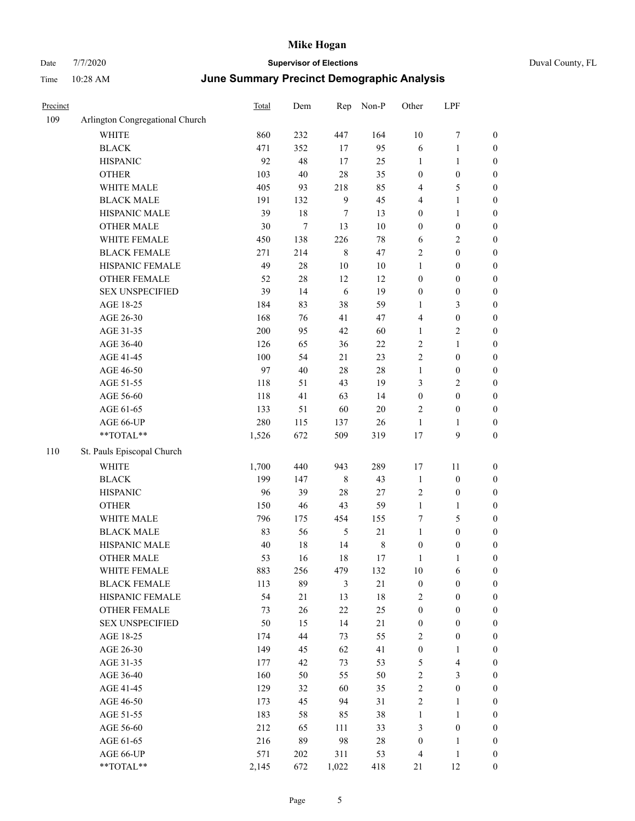| Precinct |                                 | <b>Total</b> | Dem    | Rep     | Non-P   | Other            | LPF                     |                  |
|----------|---------------------------------|--------------|--------|---------|---------|------------------|-------------------------|------------------|
| 109      | Arlington Congregational Church |              |        |         |         |                  |                         |                  |
|          | <b>WHITE</b>                    | 860          | 232    | 447     | 164     | 10               | 7                       | $\mathbf{0}$     |
|          | <b>BLACK</b>                    | 471          | 352    | 17      | 95      | 6                | 1                       | $\boldsymbol{0}$ |
|          | <b>HISPANIC</b>                 | 92           | 48     | 17      | 25      | $\mathbf{1}$     | 1                       | $\boldsymbol{0}$ |
|          | <b>OTHER</b>                    | 103          | 40     | 28      | 35      | $\boldsymbol{0}$ | $\boldsymbol{0}$        | $\boldsymbol{0}$ |
|          | WHITE MALE                      | 405          | 93     | 218     | 85      | $\overline{4}$   | 5                       | $\boldsymbol{0}$ |
|          | <b>BLACK MALE</b>               | 191          | 132    | 9       | 45      | $\overline{4}$   | 1                       | $\boldsymbol{0}$ |
|          | HISPANIC MALE                   | 39           | $18\,$ | 7       | 13      | $\boldsymbol{0}$ | 1                       | $\boldsymbol{0}$ |
|          | <b>OTHER MALE</b>               | 30           | 7      | 13      | 10      | $\boldsymbol{0}$ | $\boldsymbol{0}$        | $\boldsymbol{0}$ |
|          | WHITE FEMALE                    | 450          | 138    | 226     | 78      | 6                | 2                       | $\boldsymbol{0}$ |
|          | <b>BLACK FEMALE</b>             | 271          | 214    | $\,8\,$ | 47      | $\sqrt{2}$       | $\boldsymbol{0}$        | $\boldsymbol{0}$ |
|          | HISPANIC FEMALE                 | 49           | $28\,$ | $10\,$  | $10\,$  | 1                | $\boldsymbol{0}$        | $\boldsymbol{0}$ |
|          | <b>OTHER FEMALE</b>             | 52           | 28     | 12      | 12      | $\boldsymbol{0}$ | $\boldsymbol{0}$        | $\boldsymbol{0}$ |
|          | <b>SEX UNSPECIFIED</b>          | 39           | 14     | 6       | 19      | $\boldsymbol{0}$ | $\boldsymbol{0}$        | $\boldsymbol{0}$ |
|          | AGE 18-25                       | 184          | 83     | 38      | 59      | 1                | 3                       | $\boldsymbol{0}$ |
|          | AGE 26-30                       | 168          | 76     | 41      | 47      | $\overline{4}$   | $\boldsymbol{0}$        | $\boldsymbol{0}$ |
|          | AGE 31-35                       | 200          | 95     | 42      | 60      | $\mathbf{1}$     | 2                       | $\boldsymbol{0}$ |
|          | AGE 36-40                       | 126          | 65     | 36      | 22      | $\sqrt{2}$       | 1                       | $\boldsymbol{0}$ |
|          | AGE 41-45                       | 100          | 54     | 21      | 23      | $\overline{2}$   | $\boldsymbol{0}$        | $\boldsymbol{0}$ |
|          | AGE 46-50                       | 97           | 40     | 28      | 28      | $\mathbf{1}$     | $\boldsymbol{0}$        | $\boldsymbol{0}$ |
|          | AGE 51-55                       | 118          | 51     | 43      | 19      | 3                | $\overline{\mathbf{c}}$ | $\boldsymbol{0}$ |
|          | AGE 56-60                       | 118          | 41     | 63      | 14      | $\boldsymbol{0}$ | $\boldsymbol{0}$        | $\boldsymbol{0}$ |
|          | AGE 61-65                       | 133          | 51     | 60      | $20\,$  | $\overline{2}$   | $\boldsymbol{0}$        | $\boldsymbol{0}$ |
|          | AGE 66-UP                       | 280          | 115    | 137     | 26      | $\mathbf{1}$     | 1                       | $\boldsymbol{0}$ |
|          | **TOTAL**                       | 1,526        | 672    | 509     | 319     | 17               | 9                       | $\boldsymbol{0}$ |
| 110      | St. Pauls Episcopal Church      |              |        |         |         |                  |                         |                  |
|          | <b>WHITE</b>                    | 1,700        | 440    | 943     | 289     | 17               | 11                      | $\boldsymbol{0}$ |
|          | <b>BLACK</b>                    | 199          | 147    | 8       | 43      | $\mathbf{1}$     | $\boldsymbol{0}$        | $\boldsymbol{0}$ |
|          | <b>HISPANIC</b>                 | 96           | 39     | 28      | 27      | $\sqrt{2}$       | $\boldsymbol{0}$        | $\boldsymbol{0}$ |
|          | <b>OTHER</b>                    | 150          | 46     | 43      | 59      | $\mathbf{1}$     | 1                       | $\boldsymbol{0}$ |
|          | WHITE MALE                      | 796          | 175    | 454     | 155     | $\tau$           | 5                       | $\boldsymbol{0}$ |
|          | <b>BLACK MALE</b>               | 83           | 56     | 5       | $21\,$  | $\mathbf{1}$     | $\boldsymbol{0}$        | $\boldsymbol{0}$ |
|          | HISPANIC MALE                   | 40           | 18     | 14      | $\,8\,$ | $\boldsymbol{0}$ | $\boldsymbol{0}$        | $\boldsymbol{0}$ |
|          | <b>OTHER MALE</b>               | 53           | 16     | 18      | 17      | 1                | 1                       | $\boldsymbol{0}$ |
|          | WHITE FEMALE                    | 883          | 256    | 479     | 132     | $10\,$           | 6                       | $\mathbf{0}$     |
|          | <b>BLACK FEMALE</b>             | 113          | 89     | 3       | 21      | $\boldsymbol{0}$ | $\boldsymbol{0}$        | $\boldsymbol{0}$ |
|          | HISPANIC FEMALE                 | 54           | 21     | 13      | $18\,$  | $\overline{2}$   | $\boldsymbol{0}$        | $\boldsymbol{0}$ |
|          | OTHER FEMALE                    | 73           | 26     | $22\,$  | 25      | $\boldsymbol{0}$ | $\boldsymbol{0}$        | $\boldsymbol{0}$ |
|          | <b>SEX UNSPECIFIED</b>          | 50           | 15     | 14      | 21      | $\boldsymbol{0}$ | $\boldsymbol{0}$        | $\boldsymbol{0}$ |
|          | AGE 18-25                       | 174          | 44     | 73      | 55      | $\sqrt{2}$       | $\boldsymbol{0}$        | $\boldsymbol{0}$ |
|          | AGE 26-30                       | 149          | 45     | 62      | 41      | $\boldsymbol{0}$ | 1                       | $\boldsymbol{0}$ |
|          | AGE 31-35                       | 177          | 42     | 73      | 53      | $\sqrt{5}$       | 4                       | $\boldsymbol{0}$ |
|          | AGE 36-40                       | 160          | 50     | 55      | 50      | $\sqrt{2}$       | 3                       | $\boldsymbol{0}$ |
|          | AGE 41-45                       | 129          | 32     | 60      | 35      | $\sqrt{2}$       | $\boldsymbol{0}$        | $\boldsymbol{0}$ |
|          | AGE 46-50                       | 173          | 45     | 94      | 31      | $\sqrt{2}$       | 1                       | $\boldsymbol{0}$ |
|          | AGE 51-55                       | 183          | 58     | 85      | 38      | $\mathbf{1}$     | $\mathbf{1}$            | $\boldsymbol{0}$ |
|          | AGE 56-60                       | 212          | 65     | 111     | 33      | $\mathfrak{Z}$   | $\boldsymbol{0}$        | $\boldsymbol{0}$ |
|          | AGE 61-65                       | 216          | 89     | 98      | $28\,$  | $\boldsymbol{0}$ | $\mathbf{1}$            | $\boldsymbol{0}$ |
|          | AGE 66-UP                       | 571          | 202    | 311     | 53      | $\overline{4}$   | $\mathbf{1}$            | $\boldsymbol{0}$ |
|          | **TOTAL**                       | 2,145        | 672    | 1,022   | 418     | 21               | 12                      | $\boldsymbol{0}$ |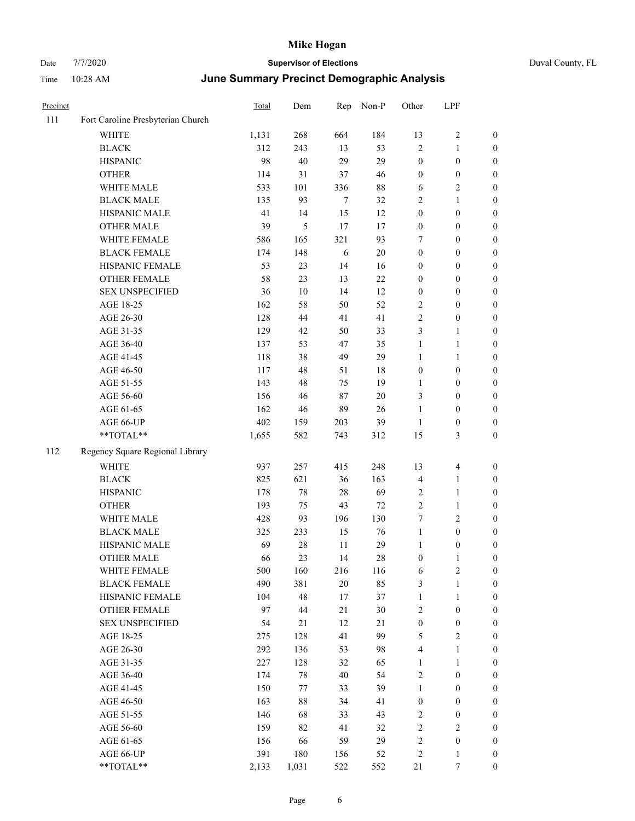|  | Duval County, FL |
|--|------------------|
|--|------------------|

| Precinct |                                   | Total | Dem    | Rep    | Non-P  | Other            | LPF              |                  |
|----------|-----------------------------------|-------|--------|--------|--------|------------------|------------------|------------------|
| 111      | Fort Caroline Presbyterian Church |       |        |        |        |                  |                  |                  |
|          | <b>WHITE</b>                      | 1,131 | 268    | 664    | 184    | 13               | 2                | $\boldsymbol{0}$ |
|          | <b>BLACK</b>                      | 312   | 243    | 13     | 53     | $\overline{2}$   | $\mathbf{1}$     | $\boldsymbol{0}$ |
|          | <b>HISPANIC</b>                   | 98    | 40     | 29     | 29     | $\boldsymbol{0}$ | $\boldsymbol{0}$ | $\boldsymbol{0}$ |
|          | <b>OTHER</b>                      | 114   | 31     | 37     | 46     | $\boldsymbol{0}$ | $\boldsymbol{0}$ | $\boldsymbol{0}$ |
|          | WHITE MALE                        | 533   | 101    | 336    | $88\,$ | 6                | 2                | $\boldsymbol{0}$ |
|          | <b>BLACK MALE</b>                 | 135   | 93     | $\tau$ | 32     | $\sqrt{2}$       | 1                | $\boldsymbol{0}$ |
|          | HISPANIC MALE                     | 41    | 14     | 15     | 12     | $\boldsymbol{0}$ | $\boldsymbol{0}$ | $\boldsymbol{0}$ |
|          | <b>OTHER MALE</b>                 | 39    | 5      | 17     | 17     | $\boldsymbol{0}$ | $\boldsymbol{0}$ | $\boldsymbol{0}$ |
|          | WHITE FEMALE                      | 586   | 165    | 321    | 93     | $\tau$           | $\boldsymbol{0}$ | $\boldsymbol{0}$ |
|          | <b>BLACK FEMALE</b>               | 174   | 148    | 6      | $20\,$ | $\boldsymbol{0}$ | $\boldsymbol{0}$ | $\boldsymbol{0}$ |
|          | HISPANIC FEMALE                   | 53    | 23     | 14     | 16     | $\boldsymbol{0}$ | $\boldsymbol{0}$ | $\boldsymbol{0}$ |
|          | <b>OTHER FEMALE</b>               | 58    | 23     | 13     | 22     | $\boldsymbol{0}$ | $\boldsymbol{0}$ | $\boldsymbol{0}$ |
|          | <b>SEX UNSPECIFIED</b>            | 36    | $10\,$ | 14     | 12     | $\boldsymbol{0}$ | $\boldsymbol{0}$ | $\boldsymbol{0}$ |
|          | AGE 18-25                         | 162   | 58     | 50     | 52     | $\sqrt{2}$       | $\boldsymbol{0}$ | $\boldsymbol{0}$ |
|          | AGE 26-30                         | 128   | 44     | 41     | 41     | $\sqrt{2}$       | $\boldsymbol{0}$ | $\boldsymbol{0}$ |
|          | AGE 31-35                         | 129   | 42     | 50     | 33     | $\mathfrak{Z}$   | 1                | $\boldsymbol{0}$ |
|          | AGE 36-40                         | 137   | 53     | 47     | 35     | $\mathbf{1}$     | 1                | $\boldsymbol{0}$ |
|          | AGE 41-45                         | 118   | 38     | 49     | 29     | $\mathbf{1}$     | 1                | $\boldsymbol{0}$ |
|          | AGE 46-50                         | 117   | 48     | 51     | 18     | $\boldsymbol{0}$ | $\boldsymbol{0}$ | $\boldsymbol{0}$ |
|          | AGE 51-55                         | 143   | 48     | 75     | 19     | 1                | $\boldsymbol{0}$ | $\boldsymbol{0}$ |
|          | AGE 56-60                         | 156   | 46     | 87     | $20\,$ | 3                | $\boldsymbol{0}$ | $\boldsymbol{0}$ |
|          | AGE 61-65                         | 162   | 46     | 89     | 26     | 1                | $\boldsymbol{0}$ | $\boldsymbol{0}$ |
|          | AGE 66-UP                         | 402   | 159    | 203    | 39     | 1                | $\boldsymbol{0}$ | $\boldsymbol{0}$ |
|          | **TOTAL**                         | 1,655 | 582    | 743    | 312    | 15               | 3                | $\boldsymbol{0}$ |
| 112      | Regency Square Regional Library   |       |        |        |        |                  |                  |                  |
|          | <b>WHITE</b>                      | 937   | 257    | 415    | 248    | 13               | 4                | $\boldsymbol{0}$ |
|          | <b>BLACK</b>                      | 825   | 621    | 36     | 163    | $\overline{4}$   | 1                | $\boldsymbol{0}$ |
|          | <b>HISPANIC</b>                   | 178   | 78     | $28\,$ | 69     | $\sqrt{2}$       | 1                | $\boldsymbol{0}$ |
|          | <b>OTHER</b>                      | 193   | 75     | 43     | 72     | $\overline{2}$   | 1                | $\boldsymbol{0}$ |
|          | WHITE MALE                        | 428   | 93     | 196    | 130    | 7                | 2                | $\boldsymbol{0}$ |
|          | <b>BLACK MALE</b>                 | 325   | 233    | 15     | 76     | $\mathbf{1}$     | $\boldsymbol{0}$ | $\boldsymbol{0}$ |
|          | HISPANIC MALE                     | 69    | 28     | 11     | 29     | 1                | $\boldsymbol{0}$ | $\boldsymbol{0}$ |
|          | <b>OTHER MALE</b>                 | 66    | 23     | 14     | 28     | $\boldsymbol{0}$ | 1                | $\boldsymbol{0}$ |
|          | WHITE FEMALE                      | 500   | 160    | 216    | 116    | $\sqrt{6}$       | 2                | $\boldsymbol{0}$ |
|          | <b>BLACK FEMALE</b>               | 490   | 381    | $20\,$ | 85     | 3                | 1                | $\boldsymbol{0}$ |
|          | HISPANIC FEMALE                   | 104   | 48     | 17     | 37     | $\mathbf{1}$     | $\mathbf{1}$     | $\boldsymbol{0}$ |
|          | <b>OTHER FEMALE</b>               | 97    | 44     | 21     | 30     | $\sqrt{2}$       | $\boldsymbol{0}$ | $\boldsymbol{0}$ |
|          | <b>SEX UNSPECIFIED</b>            | 54    | $21\,$ | 12     | $21\,$ | $\boldsymbol{0}$ | $\boldsymbol{0}$ | $\boldsymbol{0}$ |
|          | AGE 18-25                         | 275   | 128    | 41     | 99     | 5                | 2                | $\boldsymbol{0}$ |
|          | AGE 26-30                         | 292   | 136    | 53     | 98     | $\overline{4}$   | 1                | $\boldsymbol{0}$ |
|          | AGE 31-35                         | 227   | 128    | 32     | 65     | $\mathbf{1}$     | $\mathbf{1}$     | $\boldsymbol{0}$ |
|          | AGE 36-40                         | 174   | $78\,$ | 40     | 54     | $\sqrt{2}$       | $\boldsymbol{0}$ | $\boldsymbol{0}$ |
|          | AGE 41-45                         | 150   | 77     | 33     | 39     | $\mathbf{1}$     | $\boldsymbol{0}$ | $\boldsymbol{0}$ |
|          | AGE 46-50                         | 163   | 88     | 34     | 41     | $\boldsymbol{0}$ | $\boldsymbol{0}$ | $\boldsymbol{0}$ |
|          | AGE 51-55                         | 146   | 68     | 33     | 43     | $\sqrt{2}$       | $\boldsymbol{0}$ | $\boldsymbol{0}$ |
|          | AGE 56-60                         | 159   | 82     | 41     | 32     | $\sqrt{2}$       | 2                | $\boldsymbol{0}$ |
|          | AGE 61-65                         | 156   | 66     | 59     | 29     | $\sqrt{2}$       | $\boldsymbol{0}$ | $\boldsymbol{0}$ |
|          | AGE 66-UP                         | 391   | 180    | 156    | 52     | $\overline{c}$   | 1                | $\boldsymbol{0}$ |
|          | **TOTAL**                         | 2,133 | 1,031  | 522    | 552    | 21               | 7                | $\mathbf{0}$     |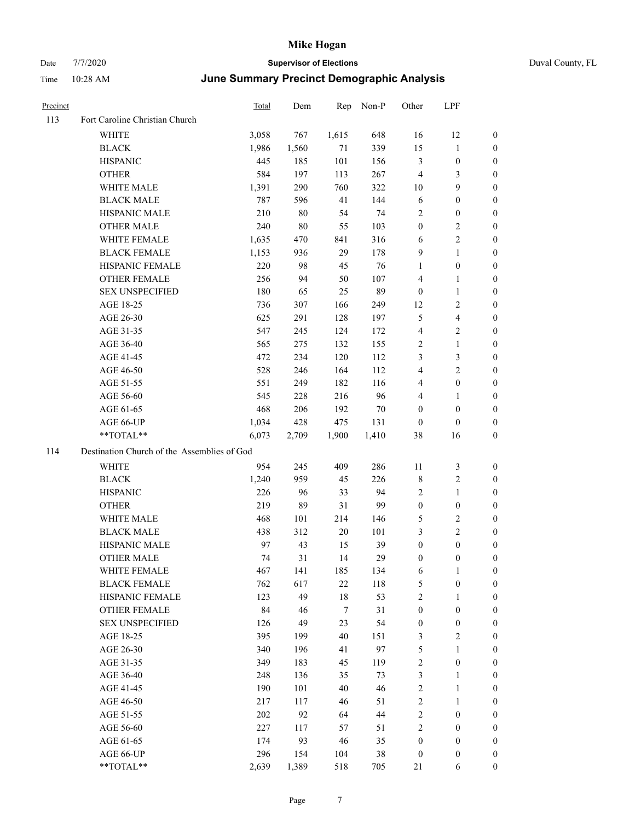| Precinct |                                             | <b>Total</b> | Dem    | Rep    | Non-P  | Other            | LPF                     |                  |
|----------|---------------------------------------------|--------------|--------|--------|--------|------------------|-------------------------|------------------|
| 113      | Fort Caroline Christian Church              |              |        |        |        |                  |                         |                  |
|          | WHITE                                       | 3,058        | 767    | 1,615  | 648    | 16               | 12                      | $\mathbf{0}$     |
|          | <b>BLACK</b>                                | 1,986        | 1,560  | 71     | 339    | 15               | 1                       | $\mathbf{0}$     |
|          | <b>HISPANIC</b>                             | 445          | 185    | 101    | 156    | $\mathfrak{Z}$   | $\boldsymbol{0}$        | $\mathbf{0}$     |
|          | <b>OTHER</b>                                | 584          | 197    | 113    | 267    | $\overline{4}$   | 3                       | $\boldsymbol{0}$ |
|          | WHITE MALE                                  | 1,391        | 290    | 760    | 322    | 10               | 9                       | $\boldsymbol{0}$ |
|          | <b>BLACK MALE</b>                           | 787          | 596    | 41     | 144    | 6                | $\boldsymbol{0}$        | $\boldsymbol{0}$ |
|          | HISPANIC MALE                               | 210          | $80\,$ | 54     | 74     | $\sqrt{2}$       | $\boldsymbol{0}$        | $\boldsymbol{0}$ |
|          | <b>OTHER MALE</b>                           | 240          | $80\,$ | 55     | 103    | $\boldsymbol{0}$ | 2                       | $\boldsymbol{0}$ |
|          | WHITE FEMALE                                | 1,635        | 470    | 841    | 316    | 6                | $\overline{c}$          | $\boldsymbol{0}$ |
|          | <b>BLACK FEMALE</b>                         | 1,153        | 936    | 29     | 178    | 9                | $\mathbf{1}$            | $\boldsymbol{0}$ |
|          | HISPANIC FEMALE                             | 220          | 98     | 45     | 76     | $\mathbf{1}$     | $\boldsymbol{0}$        | $\boldsymbol{0}$ |
|          | <b>OTHER FEMALE</b>                         | 256          | 94     | 50     | 107    | $\overline{4}$   | 1                       | $\boldsymbol{0}$ |
|          | <b>SEX UNSPECIFIED</b>                      | 180          | 65     | 25     | 89     | $\boldsymbol{0}$ | 1                       | $\boldsymbol{0}$ |
|          | AGE 18-25                                   | 736          | 307    | 166    | 249    | 12               | 2                       | $\boldsymbol{0}$ |
|          | AGE 26-30                                   | 625          | 291    | 128    | 197    | $\mathfrak{H}$   | $\overline{\mathbf{4}}$ | $\boldsymbol{0}$ |
|          | AGE 31-35                                   | 547          | 245    | 124    | 172    | $\overline{4}$   | 2                       | $\boldsymbol{0}$ |
|          | AGE 36-40                                   | 565          | 275    | 132    | 155    | $\sqrt{2}$       | $\mathbf{1}$            | $\boldsymbol{0}$ |
|          | AGE 41-45                                   | 472          | 234    | 120    | 112    | 3                | 3                       | $\boldsymbol{0}$ |
|          | AGE 46-50                                   | 528          | 246    | 164    | 112    | $\overline{4}$   | 2                       | $\boldsymbol{0}$ |
|          | AGE 51-55                                   | 551          | 249    | 182    | 116    | $\overline{4}$   | $\boldsymbol{0}$        | $\boldsymbol{0}$ |
|          | AGE 56-60                                   | 545          | 228    | 216    | 96     | $\overline{4}$   | 1                       | $\boldsymbol{0}$ |
|          | AGE 61-65                                   | 468          | 206    | 192    | $70\,$ | $\boldsymbol{0}$ | $\boldsymbol{0}$        | $\boldsymbol{0}$ |
|          | AGE 66-UP                                   | 1,034        | 428    | 475    | 131    | $\boldsymbol{0}$ | $\boldsymbol{0}$        | $\boldsymbol{0}$ |
|          | **TOTAL**                                   | 6,073        | 2,709  | 1,900  | 1,410  | 38               | 16                      | $\boldsymbol{0}$ |
| 114      | Destination Church of the Assemblies of God |              |        |        |        |                  |                         |                  |
|          | WHITE                                       | 954          | 245    | 409    | 286    | 11               | 3                       | $\mathbf{0}$     |
|          | <b>BLACK</b>                                | 1,240        | 959    | 45     | 226    | $\,$ 8 $\,$      | $\overline{c}$          | $\boldsymbol{0}$ |
|          | <b>HISPANIC</b>                             | 226          | 96     | 33     | 94     | $\sqrt{2}$       | $\mathbf{1}$            | $\boldsymbol{0}$ |
|          | <b>OTHER</b>                                | 219          | 89     | 31     | 99     | $\boldsymbol{0}$ | $\boldsymbol{0}$        | $\boldsymbol{0}$ |
|          | WHITE MALE                                  | 468          | 101    | 214    | 146    | 5                | 2                       | $\boldsymbol{0}$ |
|          | <b>BLACK MALE</b>                           | 438          | 312    | 20     | 101    | $\mathfrak{Z}$   | 2                       | $\boldsymbol{0}$ |
|          | HISPANIC MALE                               | 97           | 43     | 15     | 39     | $\boldsymbol{0}$ | $\boldsymbol{0}$        | $\boldsymbol{0}$ |
|          | <b>OTHER MALE</b>                           | 74           | 31     | 14     | 29     | $\boldsymbol{0}$ | $\theta$                | $\boldsymbol{0}$ |
|          | WHITE FEMALE                                | 467          | 141    | 185    | 134    | $\sqrt{6}$       | $\mathbf{1}$            | $\boldsymbol{0}$ |
|          | <b>BLACK FEMALE</b>                         | 762          | 617    | $22\,$ | 118    | 5                | $\boldsymbol{0}$        | $\boldsymbol{0}$ |
|          | HISPANIC FEMALE                             | 123          | 49     | $18\,$ | 53     | $\sqrt{2}$       | 1                       | $\boldsymbol{0}$ |
|          | OTHER FEMALE                                | 84           | 46     | $\tau$ | 31     | $\boldsymbol{0}$ | $\boldsymbol{0}$        | $\boldsymbol{0}$ |
|          | <b>SEX UNSPECIFIED</b>                      | 126          | 49     | 23     | 54     | $\boldsymbol{0}$ | $\boldsymbol{0}$        | $\boldsymbol{0}$ |
|          | AGE 18-25                                   | 395          | 199    | 40     | 151    | $\mathfrak{Z}$   | $\overline{\mathbf{c}}$ | $\boldsymbol{0}$ |
|          | AGE 26-30                                   | 340          | 196    | 41     | 97     | $\mathfrak{S}$   | 1                       | $\boldsymbol{0}$ |
|          | AGE 31-35                                   | 349          | 183    | 45     | 119    | $\sqrt{2}$       | $\boldsymbol{0}$        | $\boldsymbol{0}$ |
|          | AGE 36-40                                   | 248          | 136    | 35     | 73     | $\mathfrak{Z}$   | $\mathbf{1}$            | $\boldsymbol{0}$ |
|          | AGE 41-45                                   | 190          | 101    | 40     | 46     | $\sqrt{2}$       | 1                       | $\boldsymbol{0}$ |
|          | AGE 46-50                                   | 217          | 117    | 46     | 51     | $\sqrt{2}$       | 1                       | $\boldsymbol{0}$ |
|          | AGE 51-55                                   | 202          | 92     | 64     | 44     | $\sqrt{2}$       | $\boldsymbol{0}$        | $\boldsymbol{0}$ |
|          | AGE 56-60                                   | 227          | 117    | 57     | 51     | $\sqrt{2}$       | $\boldsymbol{0}$        | $\boldsymbol{0}$ |
|          | AGE 61-65                                   | 174          | 93     | 46     | 35     | $\boldsymbol{0}$ | $\boldsymbol{0}$        | $\boldsymbol{0}$ |
|          | AGE 66-UP                                   | 296          | 154    | 104    | $38\,$ | $\boldsymbol{0}$ | $\boldsymbol{0}$        | $\boldsymbol{0}$ |
|          | **TOTAL**                                   | 2,639        | 1,389  | 518    | 705    | 21               | 6                       | $\mathbf{0}$     |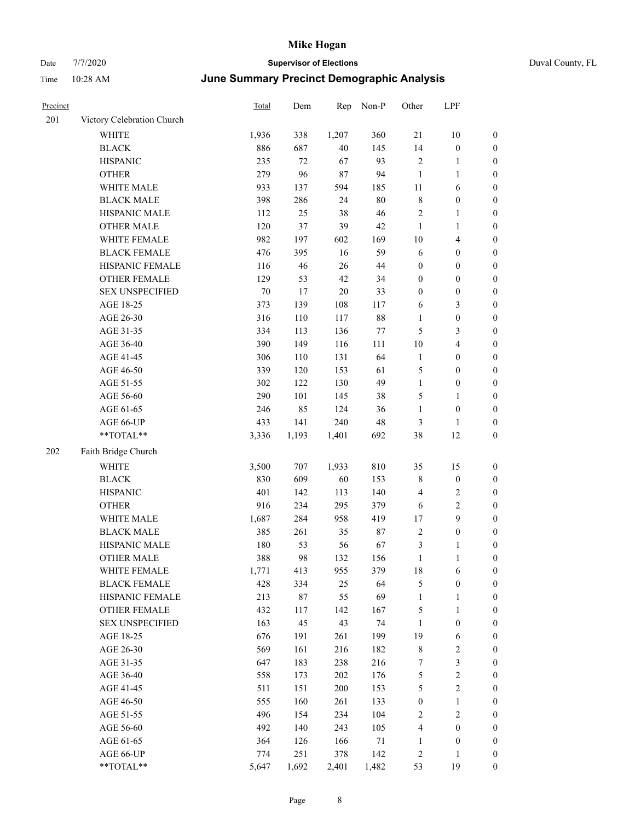| Precinct |                            | Total  | Dem    | Rep    | Non-P  | Other                   | LPF                     |                  |
|----------|----------------------------|--------|--------|--------|--------|-------------------------|-------------------------|------------------|
| 201      | Victory Celebration Church |        |        |        |        |                         |                         |                  |
|          | WHITE                      | 1,936  | 338    | 1,207  | 360    | 21                      | $10\,$                  | $\boldsymbol{0}$ |
|          | <b>BLACK</b>               | 886    | 687    | $40\,$ | 145    | 14                      | $\boldsymbol{0}$        | $\boldsymbol{0}$ |
|          | <b>HISPANIC</b>            | 235    | $72\,$ | 67     | 93     | $\sqrt{2}$              | $\mathbf{1}$            | $\boldsymbol{0}$ |
|          | <b>OTHER</b>               | 279    | 96     | 87     | 94     | $\mathbf{1}$            | $\mathbf{1}$            | $\boldsymbol{0}$ |
|          | WHITE MALE                 | 933    | 137    | 594    | 185    | $11\,$                  | 6                       | 0                |
|          | <b>BLACK MALE</b>          | 398    | 286    | 24     | $80\,$ | $\,$ 8 $\,$             | $\boldsymbol{0}$        | $\boldsymbol{0}$ |
|          | HISPANIC MALE              | 112    | 25     | 38     | 46     | $\sqrt{2}$              | $\mathbf{1}$            | $\boldsymbol{0}$ |
|          | <b>OTHER MALE</b>          | 120    | 37     | 39     | 42     | $\mathbf{1}$            | $\mathbf{1}$            | $\boldsymbol{0}$ |
|          | WHITE FEMALE               | 982    | 197    | 602    | 169    | $10\,$                  | $\overline{\mathbf{4}}$ | $\boldsymbol{0}$ |
|          | <b>BLACK FEMALE</b>        | 476    | 395    | 16     | 59     | 6                       | $\boldsymbol{0}$        | $\boldsymbol{0}$ |
|          | HISPANIC FEMALE            | 116    | 46     | 26     | 44     | $\boldsymbol{0}$        | $\boldsymbol{0}$        | $\boldsymbol{0}$ |
|          | <b>OTHER FEMALE</b>        | 129    | 53     | 42     | 34     | $\boldsymbol{0}$        | $\boldsymbol{0}$        | $\boldsymbol{0}$ |
|          | <b>SEX UNSPECIFIED</b>     | $70\,$ | $17\,$ | $20\,$ | 33     | $\boldsymbol{0}$        | $\boldsymbol{0}$        | $\boldsymbol{0}$ |
|          | AGE 18-25                  | 373    | 139    | 108    | 117    | 6                       | $\mathfrak{Z}$          | $\boldsymbol{0}$ |
|          | AGE 26-30                  | 316    | 110    | 117    | $88\,$ | 1                       | $\boldsymbol{0}$        | 0                |
|          | AGE 31-35                  | 334    | 113    | 136    | $77\,$ | 5                       | 3                       | $\boldsymbol{0}$ |
|          | AGE 36-40                  | 390    | 149    | 116    | 111    | $10\,$                  | $\overline{\mathbf{4}}$ | $\boldsymbol{0}$ |
|          | AGE 41-45                  | 306    | 110    | 131    | 64     | $\mathbf{1}$            | $\boldsymbol{0}$        | $\boldsymbol{0}$ |
|          | AGE 46-50                  | 339    | 120    | 153    | 61     | 5                       | $\boldsymbol{0}$        | $\boldsymbol{0}$ |
|          | AGE 51-55                  | 302    | 122    | 130    | 49     | $\mathbf{1}$            | $\boldsymbol{0}$        | $\boldsymbol{0}$ |
|          | AGE 56-60                  | 290    | 101    | 145    | 38     | 5                       | $\mathbf{1}$            | $\boldsymbol{0}$ |
|          | AGE 61-65                  | 246    | 85     | 124    | 36     | $\mathbf{1}$            | $\boldsymbol{0}$        | $\boldsymbol{0}$ |
|          | AGE 66-UP                  | 433    | 141    | 240    | 48     | 3                       | $\mathbf{1}$            | 0                |
|          | **TOTAL**                  | 3,336  | 1,193  | 1,401  | 692    | 38                      | 12                      | $\boldsymbol{0}$ |
| 202      | Faith Bridge Church        |        |        |        |        |                         |                         |                  |
|          | WHITE                      | 3,500  | 707    | 1,933  | 810    | 35                      | 15                      | $\boldsymbol{0}$ |
|          | <b>BLACK</b>               | 830    | 609    | 60     | 153    | $\,$ 8 $\,$             | $\boldsymbol{0}$        | 0                |
|          | <b>HISPANIC</b>            | 401    | 142    | 113    | 140    | 4                       | $\overline{c}$          | 0                |
|          | <b>OTHER</b>               | 916    | 234    | 295    | 379    | 6                       | $\overline{2}$          | $\boldsymbol{0}$ |
|          | WHITE MALE                 | 1,687  | 284    | 958    | 419    | 17                      | 9                       | $\boldsymbol{0}$ |
|          | <b>BLACK MALE</b>          | 385    | 261    | 35     | 87     | $\sqrt{2}$              | $\boldsymbol{0}$        | $\boldsymbol{0}$ |
|          | HISPANIC MALE              | 180    | 53     | 56     | 67     | 3                       | 1                       | $\boldsymbol{0}$ |
|          | <b>OTHER MALE</b>          | 388    | 98     | 132    | 156    | $\mathbf{1}$            | $\mathbf{1}$            | $\boldsymbol{0}$ |
|          | WHITE FEMALE               | 1,771  | 413    | 955    | 379    | 18                      | 6                       | $\boldsymbol{0}$ |
|          | <b>BLACK FEMALE</b>        | 428    | 334    | 25     | 64     | 5                       | $\boldsymbol{0}$        | 0                |
|          | HISPANIC FEMALE            | 213    | 87     | 55     | 69     | $\mathbf{1}$            | $\mathbf{1}$            | 0                |
|          | <b>OTHER FEMALE</b>        | 432    | 117    | 142    | 167    | 5                       | $\mathbf{1}$            | 0                |
|          | <b>SEX UNSPECIFIED</b>     | 163    | 45     | 43     | 74     | $\mathbf{1}$            | $\boldsymbol{0}$        | 0                |
|          | AGE 18-25                  | 676    | 191    | 261    | 199    | 19                      | 6                       | 0                |
|          | AGE 26-30                  | 569    | 161    | 216    | 182    | $\,$ 8 $\,$             | $\sqrt{2}$              | $\boldsymbol{0}$ |
|          | AGE 31-35                  | 647    | 183    | 238    | 216    | 7                       | $\mathfrak{Z}$          | $\overline{0}$   |
|          | AGE 36-40                  | 558    | 173    | 202    | 176    | 5                       | $\sqrt{2}$              | 0                |
|          | AGE 41-45                  | 511    | 151    | 200    | 153    | 5                       | $\sqrt{2}$              | 0                |
|          | AGE 46-50                  | 555    | 160    | 261    | 133    | $\boldsymbol{0}$        | $\mathbf{1}$            | 0                |
|          | AGE 51-55                  | 496    | 154    | 234    | 104    | $\sqrt{2}$              | $\sqrt{2}$              | 0                |
|          | AGE 56-60                  | 492    | 140    | 243    | 105    | $\overline{\mathbf{4}}$ | $\boldsymbol{0}$        | 0                |
|          | AGE 61-65                  | 364    | 126    | 166    | 71     | $\mathbf{1}$            | $\boldsymbol{0}$        | 0                |
|          | AGE 66-UP                  | 774    | 251    | 378    | 142    | $\overline{c}$          | $\mathbf{1}$            | 0                |
|          | $**TOTAL**$                | 5,647  | 1,692  | 2,401  | 1,482  | 53                      | 19                      | $\boldsymbol{0}$ |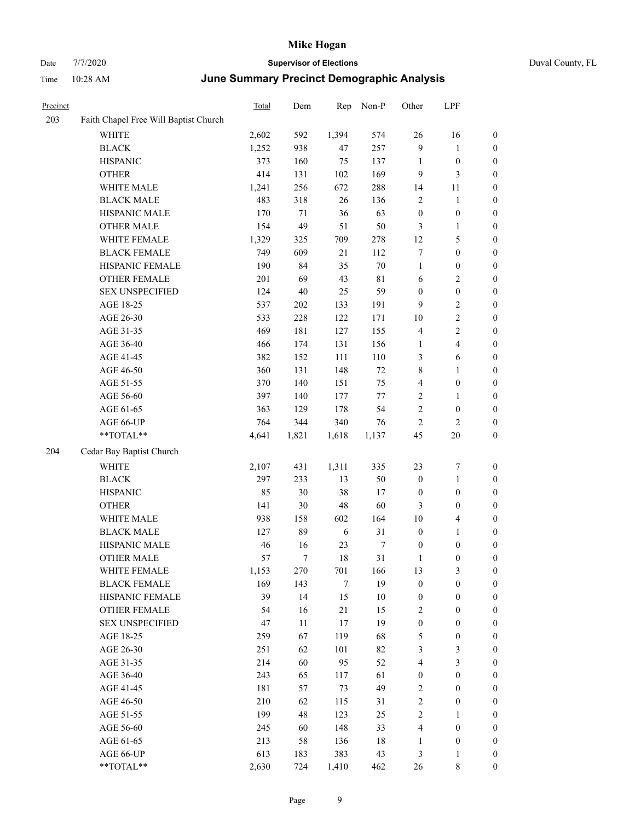| Duval County, FL |  |
|------------------|--|
|                  |  |

| Precinct |                                       | <b>Total</b> | Dem    | Rep    | Non-P            | Other            | LPF                     |                  |
|----------|---------------------------------------|--------------|--------|--------|------------------|------------------|-------------------------|------------------|
| 203      | Faith Chapel Free Will Baptist Church |              |        |        |                  |                  |                         |                  |
|          | WHITE                                 | 2,602        | 592    | 1,394  | 574              | 26               | 16                      | $\boldsymbol{0}$ |
|          | <b>BLACK</b>                          | 1,252        | 938    | 47     | 257              | $\overline{9}$   | $\mathbf{1}$            | $\boldsymbol{0}$ |
|          | <b>HISPANIC</b>                       | 373          | 160    | 75     | 137              | $\mathbf{1}$     | $\boldsymbol{0}$        | 0                |
|          | <b>OTHER</b>                          | 414          | 131    | 102    | 169              | 9                | $\mathfrak{Z}$          | $\boldsymbol{0}$ |
|          | WHITE MALE                            | 1,241        | 256    | 672    | 288              | 14               | 11                      | $\boldsymbol{0}$ |
|          | <b>BLACK MALE</b>                     | 483          | 318    | 26     | 136              | 2                | $\mathbf{1}$            | $\boldsymbol{0}$ |
|          | HISPANIC MALE                         | 170          | $71\,$ | 36     | 63               | $\boldsymbol{0}$ | $\boldsymbol{0}$        | $\boldsymbol{0}$ |
|          | <b>OTHER MALE</b>                     | 154          | 49     | 51     | 50               | 3                | $\mathbf{1}$            | $\boldsymbol{0}$ |
|          | WHITE FEMALE                          | 1,329        | 325    | 709    | 278              | 12               | $\mathfrak{S}$          | $\boldsymbol{0}$ |
|          | <b>BLACK FEMALE</b>                   | 749          | 609    | 21     | 112              | 7                | $\boldsymbol{0}$        | $\boldsymbol{0}$ |
|          | HISPANIC FEMALE                       | 190          | 84     | 35     | $70\,$           | $\mathbf{1}$     | $\boldsymbol{0}$        | $\boldsymbol{0}$ |
|          | OTHER FEMALE                          | 201          | 69     | 43     | 81               | 6                | $\sqrt{2}$              | 0                |
|          | <b>SEX UNSPECIFIED</b>                | 124          | $40\,$ | 25     | 59               | $\boldsymbol{0}$ | $\boldsymbol{0}$        | 0                |
|          | AGE 18-25                             | 537          | 202    | 133    | 191              | 9                | $\sqrt{2}$              | 0                |
|          | AGE 26-30                             | 533          | 228    | 122    | 171              | 10               | $\sqrt{2}$              | $\boldsymbol{0}$ |
|          | AGE 31-35                             | 469          | 181    | 127    | 155              | 4                | $\sqrt{2}$              | $\boldsymbol{0}$ |
|          | AGE 36-40                             | 466          | 174    | 131    | 156              | $\mathbf{1}$     | $\overline{\mathbf{4}}$ | $\boldsymbol{0}$ |
|          | AGE 41-45                             | 382          | 152    | 111    | 110              | 3                | 6                       | $\boldsymbol{0}$ |
|          | AGE 46-50                             | 360          | 131    | 148    | 72               | 8                | $\mathbf{1}$            | $\boldsymbol{0}$ |
|          | AGE 51-55                             | 370          | 140    | 151    | 75               | 4                | $\boldsymbol{0}$        | $\boldsymbol{0}$ |
|          | AGE 56-60                             | 397          | 140    | 177    | $77 \,$          | $\sqrt{2}$       | $\mathbf{1}$            | $\boldsymbol{0}$ |
|          | AGE 61-65                             | 363          | 129    | 178    | 54               | $\sqrt{2}$       | $\boldsymbol{0}$        | 0                |
|          | AGE 66-UP                             | 764          | 344    | 340    | 76               | 2                | $\overline{c}$          | 0                |
|          | **TOTAL**                             | 4,641        | 1,821  | 1,618  | 1,137            | 45               | $20\,$                  | $\boldsymbol{0}$ |
| 204      | Cedar Bay Baptist Church              |              |        |        |                  |                  |                         |                  |
|          | <b>WHITE</b>                          | 2,107        | 431    | 1,311  | 335              | 23               | 7                       | $\boldsymbol{0}$ |
|          | <b>BLACK</b>                          | 297          | 233    | 13     | 50               | $\boldsymbol{0}$ | $\mathbf{1}$            | $\boldsymbol{0}$ |
|          | <b>HISPANIC</b>                       | 85           | 30     | 38     | 17               | $\boldsymbol{0}$ | $\boldsymbol{0}$        | $\boldsymbol{0}$ |
|          | <b>OTHER</b>                          | 141          | 30     | $48\,$ | 60               | 3                | $\boldsymbol{0}$        | $\boldsymbol{0}$ |
|          | WHITE MALE                            | 938          | 158    | 602    | 164              | 10               | $\overline{4}$          | $\boldsymbol{0}$ |
|          | <b>BLACK MALE</b>                     | 127          | 89     | 6      | 31               | $\boldsymbol{0}$ | $\mathbf{1}$            | $\boldsymbol{0}$ |
|          | HISPANIC MALE                         | 46           | 16     | 23     | $\boldsymbol{7}$ | $\boldsymbol{0}$ | $\boldsymbol{0}$        | $\boldsymbol{0}$ |
|          | <b>OTHER MALE</b>                     | 57           | 7      | 18     | 31               | $\mathbf{1}$     | $\boldsymbol{0}$        | $\boldsymbol{0}$ |
|          | WHITE FEMALE                          | 1,153        | 270    | 701    | 166              | 13               | 3                       | 0                |
|          | <b>BLACK FEMALE</b>                   | 169          | 143    | $\tau$ | 19               | $\boldsymbol{0}$ | $\boldsymbol{0}$        | 0                |
|          | HISPANIC FEMALE                       | 39           | 14     | 15     | 10               | $\boldsymbol{0}$ | $\boldsymbol{0}$        | 0                |
|          | <b>OTHER FEMALE</b>                   | 54           | 16     | 21     | 15               | 2                | $\boldsymbol{0}$        | 0                |
|          | <b>SEX UNSPECIFIED</b>                | 47           | 11     | $17\,$ | 19               | $\boldsymbol{0}$ | $\boldsymbol{0}$        | $\overline{0}$   |
|          | AGE 18-25                             | 259          | 67     | 119    | 68               | 5                | $\boldsymbol{0}$        | 0                |
|          | AGE 26-30                             | 251          | 62     | 101    | 82               | 3                | $\mathfrak{Z}$          | 0                |
|          | AGE 31-35                             | 214          | 60     | 95     | 52               | 4                | $\mathfrak{Z}$          | 0                |
|          | AGE 36-40                             | 243          | 65     | 117    | 61               | $\boldsymbol{0}$ | $\boldsymbol{0}$        | 0                |
|          | AGE 41-45                             | 181          | 57     | 73     | 49               | $\sqrt{2}$       | $\boldsymbol{0}$        | 0                |
|          | AGE 46-50                             | 210          | 62     | 115    | 31               | $\sqrt{2}$       | $\boldsymbol{0}$        | 0                |
|          | AGE 51-55                             | 199          | 48     | 123    | 25               | $\sqrt{2}$       | $\mathbf{1}$            | 0                |
|          | AGE 56-60                             | 245          | 60     | 148    | 33               | 4                | $\boldsymbol{0}$        | 0                |
|          | AGE 61-65                             | 213          | 58     | 136    | $18\,$           | 1                | $\boldsymbol{0}$        | $\boldsymbol{0}$ |
|          | AGE 66-UP                             | 613          | 183    | 383    | 43               | 3                | $\mathbf{1}$            | $\boldsymbol{0}$ |
|          | $**TOTAL**$                           | 2,630        | 724    | 1,410  | 462              | $26\,$           | $\,$ 8 $\,$             | $\boldsymbol{0}$ |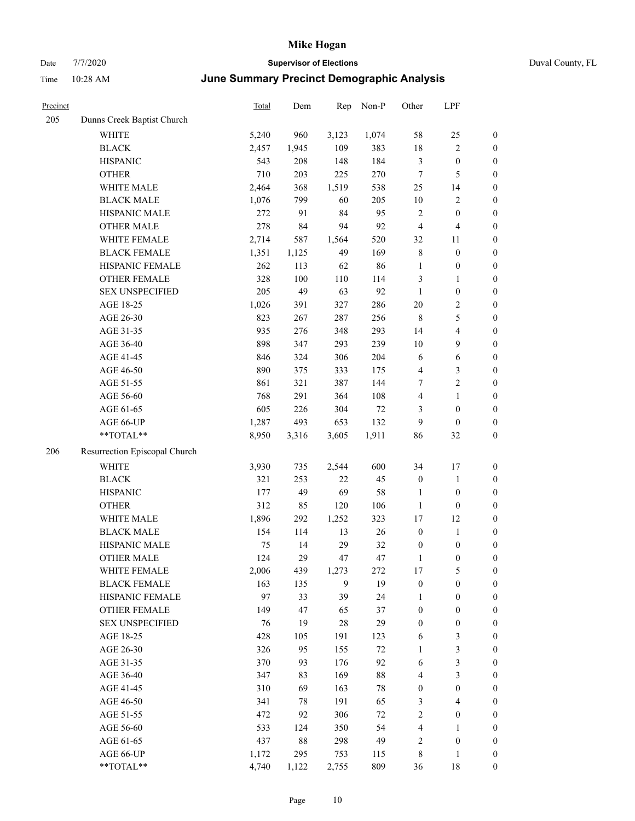| Duval County, FL |  |
|------------------|--|
|                  |  |

| Precinct |                               | <b>Total</b> | Dem   | Rep            | Non-P  | Other                   | LPF                     |                  |
|----------|-------------------------------|--------------|-------|----------------|--------|-------------------------|-------------------------|------------------|
| 205      | Dunns Creek Baptist Church    |              |       |                |        |                         |                         |                  |
|          | WHITE                         | 5,240        | 960   | 3,123          | 1,074  | 58                      | $25\,$                  | $\boldsymbol{0}$ |
|          | <b>BLACK</b>                  | 2,457        | 1,945 | 109            | 383    | 18                      | $\overline{2}$          | $\boldsymbol{0}$ |
|          | <b>HISPANIC</b>               | 543          | 208   | 148            | 184    | $\mathfrak{Z}$          | $\boldsymbol{0}$        | $\boldsymbol{0}$ |
|          | <b>OTHER</b>                  | 710          | 203   | 225            | 270    | $\boldsymbol{7}$        | 5                       | $\boldsymbol{0}$ |
|          | WHITE MALE                    | 2,464        | 368   | 1,519          | 538    | $25\,$                  | 14                      | 0                |
|          | <b>BLACK MALE</b>             | 1,076        | 799   | 60             | 205    | 10                      | $\sqrt{2}$              | $\boldsymbol{0}$ |
|          | HISPANIC MALE                 | 272          | 91    | 84             | 95     | $\sqrt{2}$              | $\boldsymbol{0}$        | $\boldsymbol{0}$ |
|          | <b>OTHER MALE</b>             | 278          | 84    | 94             | 92     | 4                       | $\overline{4}$          | $\boldsymbol{0}$ |
|          | WHITE FEMALE                  | 2,714        | 587   | 1,564          | 520    | 32                      | 11                      | $\boldsymbol{0}$ |
|          | <b>BLACK FEMALE</b>           | 1,351        | 1,125 | 49             | 169    | $\,$ 8 $\,$             | $\boldsymbol{0}$        | $\boldsymbol{0}$ |
|          | HISPANIC FEMALE               | 262          | 113   | 62             | 86     | $\mathbf{1}$            | $\boldsymbol{0}$        | $\boldsymbol{0}$ |
|          | OTHER FEMALE                  | 328          | 100   | 110            | 114    | 3                       | $\mathbf{1}$            | $\boldsymbol{0}$ |
|          | <b>SEX UNSPECIFIED</b>        | 205          | 49    | 63             | 92     | $\mathbf{1}$            | $\boldsymbol{0}$        | $\boldsymbol{0}$ |
|          | AGE 18-25                     | 1,026        | 391   | 327            | 286    | $20\,$                  | $\sqrt{2}$              | $\boldsymbol{0}$ |
|          | AGE 26-30                     | 823          | 267   | 287            | 256    | $\,8\,$                 | $\mathfrak{S}$          | 0                |
|          | AGE 31-35                     | 935          | 276   | 348            | 293    | 14                      | $\overline{\mathbf{4}}$ | $\boldsymbol{0}$ |
|          | AGE 36-40                     | 898          | 347   | 293            | 239    | 10                      | 9                       | $\boldsymbol{0}$ |
|          | AGE 41-45                     | 846          | 324   | 306            | 204    | 6                       | 6                       | $\boldsymbol{0}$ |
|          | AGE 46-50                     | 890          | 375   | 333            | 175    | 4                       | $\mathfrak{Z}$          | $\boldsymbol{0}$ |
|          | AGE 51-55                     | 861          | 321   | 387            | 144    | 7                       | $\sqrt{2}$              | $\boldsymbol{0}$ |
|          | AGE 56-60                     | 768          | 291   | 364            | 108    | 4                       | $\mathbf{1}$            | $\boldsymbol{0}$ |
|          | AGE 61-65                     | 605          | 226   | 304            | $72\,$ | 3                       | $\boldsymbol{0}$        | $\boldsymbol{0}$ |
|          | AGE 66-UP                     | 1,287        | 493   | 653            | 132    | 9                       | $\boldsymbol{0}$        | 0                |
|          | **TOTAL**                     | 8,950        | 3,316 | 3,605          | 1,911  | 86                      | 32                      | $\boldsymbol{0}$ |
| 206      | Resurrection Episcopal Church |              |       |                |        |                         |                         |                  |
|          | WHITE                         | 3,930        | 735   | 2,544          | 600    | 34                      | 17                      | $\boldsymbol{0}$ |
|          | <b>BLACK</b>                  | 321          | 253   | 22             | 45     | $\boldsymbol{0}$        | $\mathbf{1}$            | 0                |
|          | <b>HISPANIC</b>               | 177          | 49    | 69             | 58     | $\mathbf{1}$            | $\boldsymbol{0}$        | 0                |
|          | <b>OTHER</b>                  | 312          | 85    | 120            | 106    | $\mathbf{1}$            | $\boldsymbol{0}$        | $\boldsymbol{0}$ |
|          | WHITE MALE                    | 1,896        | 292   | 1,252          | 323    | 17                      | 12                      | $\boldsymbol{0}$ |
|          | <b>BLACK MALE</b>             | 154          | 114   | 13             | 26     | $\boldsymbol{0}$        | $\mathbf{1}$            | $\boldsymbol{0}$ |
|          | HISPANIC MALE                 | 75           | 14    | 29             | 32     | $\boldsymbol{0}$        | $\boldsymbol{0}$        | $\boldsymbol{0}$ |
|          | <b>OTHER MALE</b>             | 124          | 29    | 47             | 47     | $\mathbf{1}$            | $\boldsymbol{0}$        | $\boldsymbol{0}$ |
|          | WHITE FEMALE                  | 2,006        | 439   | 1,273          | 272    | 17                      | $\mathfrak{S}$          | $\boldsymbol{0}$ |
|          | <b>BLACK FEMALE</b>           | 163          | 135   | $\overline{9}$ | 19     | $\boldsymbol{0}$        | $\boldsymbol{0}$        | 0                |
|          | HISPANIC FEMALE               | 97           | 33    | 39             | 24     | 1                       | $\boldsymbol{0}$        | 0                |
|          | <b>OTHER FEMALE</b>           | 149          | 47    | 65             | 37     | $\boldsymbol{0}$        | $\boldsymbol{0}$        | 0                |
|          | <b>SEX UNSPECIFIED</b>        | 76           | 19    | $28\,$         | 29     | $\boldsymbol{0}$        | $\boldsymbol{0}$        | 0                |
|          | AGE 18-25                     | 428          | 105   | 191            | 123    | 6                       | 3                       | 0                |
|          | AGE 26-30                     | 326          | 95    | 155            | $72\,$ | 1                       | $\mathfrak{Z}$          | $\boldsymbol{0}$ |
|          | AGE 31-35                     | 370          | 93    | 176            | 92     | 6                       | $\mathfrak{Z}$          | $\overline{0}$   |
|          | AGE 36-40                     | 347          | 83    | 169            | $88\,$ | 4                       | $\mathfrak{Z}$          | 0                |
|          | AGE 41-45                     | 310          | 69    | 163            | 78     | $\boldsymbol{0}$        | $\boldsymbol{0}$        | 0                |
|          | AGE 46-50                     | 341          | 78    | 191            | 65     | 3                       | $\overline{\mathbf{4}}$ | 0                |
|          | AGE 51-55                     | 472          | 92    | 306            | $72\,$ | $\sqrt{2}$              | $\boldsymbol{0}$        | 0                |
|          | AGE 56-60                     | 533          | 124   | 350            | 54     | $\overline{\mathbf{4}}$ | $\mathbf{1}$            | 0                |
|          | AGE 61-65                     | 437          | 88    | 298            | 49     | $\sqrt{2}$              | $\boldsymbol{0}$        | 0                |
|          | AGE 66-UP                     | 1,172        | 295   | 753            | 115    | $\,$ 8 $\,$             | 1                       | 0                |
|          | $**TOTAL**$                   | 4,740        | 1,122 | 2,755          | 809    | 36                      | $18\,$                  | $\boldsymbol{0}$ |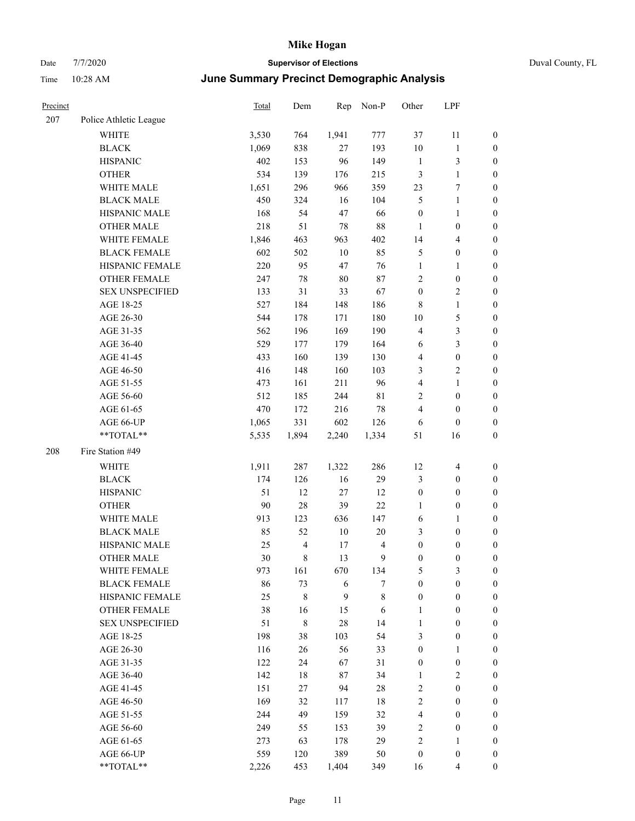| Precinct |                        | Total | Dem                     | Rep    | Non-P       | Other            | LPF              |                  |
|----------|------------------------|-------|-------------------------|--------|-------------|------------------|------------------|------------------|
| 207      | Police Athletic League |       |                         |        |             |                  |                  |                  |
|          | <b>WHITE</b>           | 3,530 | 764                     | 1,941  | 777         | 37               | 11               | $\mathbf{0}$     |
|          | <b>BLACK</b>           | 1,069 | 838                     | $27\,$ | 193         | 10               | $\mathbf{1}$     | $\boldsymbol{0}$ |
|          | <b>HISPANIC</b>        | 402   | 153                     | 96     | 149         | $\mathbf{1}$     | 3                | $\boldsymbol{0}$ |
|          | <b>OTHER</b>           | 534   | 139                     | 176    | 215         | $\mathfrak{Z}$   | $\mathbf{1}$     | $\boldsymbol{0}$ |
|          | WHITE MALE             | 1,651 | 296                     | 966    | 359         | 23               | 7                | $\boldsymbol{0}$ |
|          | <b>BLACK MALE</b>      | 450   | 324                     | 16     | 104         | 5                | $\mathbf{1}$     | $\boldsymbol{0}$ |
|          | HISPANIC MALE          | 168   | 54                      | $47\,$ | 66          | $\boldsymbol{0}$ | 1                | $\boldsymbol{0}$ |
|          | <b>OTHER MALE</b>      | 218   | 51                      | $78\,$ | 88          | $\mathbf{1}$     | $\boldsymbol{0}$ | $\boldsymbol{0}$ |
|          | WHITE FEMALE           | 1,846 | 463                     | 963    | 402         | 14               | 4                | $\boldsymbol{0}$ |
|          | <b>BLACK FEMALE</b>    | 602   | 502                     | $10\,$ | 85          | $\mathfrak{S}$   | $\boldsymbol{0}$ | $\boldsymbol{0}$ |
|          | HISPANIC FEMALE        | 220   | 95                      | 47     | 76          | $\mathbf{1}$     | 1                | $\boldsymbol{0}$ |
|          | <b>OTHER FEMALE</b>    | 247   | $78\,$                  | 80     | $87\,$      | $\sqrt{2}$       | $\boldsymbol{0}$ | $\boldsymbol{0}$ |
|          | <b>SEX UNSPECIFIED</b> | 133   | 31                      | 33     | 67          | $\boldsymbol{0}$ | 2                | $\boldsymbol{0}$ |
|          | AGE 18-25              | 527   | 184                     | 148    | 186         | $\,8\,$          | $\mathbf{1}$     | $\boldsymbol{0}$ |
|          | AGE 26-30              | 544   | 178                     | 171    | 180         | 10               | 5                | $\boldsymbol{0}$ |
|          | AGE 31-35              | 562   | 196                     | 169    | 190         | $\overline{4}$   | 3                | $\boldsymbol{0}$ |
|          | AGE 36-40              | 529   | 177                     | 179    | 164         | 6                | 3                | $\boldsymbol{0}$ |
|          | AGE 41-45              | 433   | 160                     | 139    | 130         | $\overline{4}$   | $\boldsymbol{0}$ | $\boldsymbol{0}$ |
|          | AGE 46-50              | 416   | 148                     | 160    | 103         | 3                | 2                | $\boldsymbol{0}$ |
|          | AGE 51-55              | 473   | 161                     | 211    | 96          | $\overline{4}$   | 1                | $\boldsymbol{0}$ |
|          | AGE 56-60              | 512   | 185                     | 244    | $8\sqrt{1}$ | $\sqrt{2}$       | $\boldsymbol{0}$ | $\boldsymbol{0}$ |
|          | AGE 61-65              | 470   | 172                     | 216    | 78          | $\overline{4}$   | $\boldsymbol{0}$ | $\boldsymbol{0}$ |
|          | AGE 66-UP              | 1,065 | 331                     | 602    | 126         | 6                | $\boldsymbol{0}$ | $\boldsymbol{0}$ |
|          | **TOTAL**              | 5,535 | 1,894                   | 2,240  | 1,334       | 51               | 16               | $\boldsymbol{0}$ |
| 208      | Fire Station #49       |       |                         |        |             |                  |                  |                  |
|          | <b>WHITE</b>           | 1,911 | 287                     | 1,322  | 286         | 12               | $\overline{4}$   | $\boldsymbol{0}$ |
|          | <b>BLACK</b>           | 174   | 126                     | 16     | 29          | $\mathfrak{Z}$   | $\boldsymbol{0}$ | $\boldsymbol{0}$ |
|          | <b>HISPANIC</b>        | 51    | 12                      | $27\,$ | 12          | $\boldsymbol{0}$ | $\boldsymbol{0}$ | $\boldsymbol{0}$ |
|          | <b>OTHER</b>           | 90    | $28\,$                  | 39     | $22\,$      | $\mathbf{1}$     | $\boldsymbol{0}$ | $\boldsymbol{0}$ |
|          | WHITE MALE             | 913   | 123                     | 636    | 147         | 6                | 1                | $\boldsymbol{0}$ |
|          | <b>BLACK MALE</b>      | 85    | 52                      | $10\,$ | $20\,$      | 3                | $\boldsymbol{0}$ | $\boldsymbol{0}$ |
|          | HISPANIC MALE          | 25    | $\overline{\mathbf{4}}$ | 17     | 4           | $\boldsymbol{0}$ | $\boldsymbol{0}$ | $\boldsymbol{0}$ |
|          | <b>OTHER MALE</b>      | 30    | 8                       | 13     | 9           | $\boldsymbol{0}$ | 0                | $\boldsymbol{0}$ |
|          | WHITE FEMALE           | 973   | 161                     | 670    | 134         | $\mathfrak{S}$   | 3                | $\mathbf{0}$     |
|          | <b>BLACK FEMALE</b>    | 86    | 73                      | 6      | 7           | $\boldsymbol{0}$ | $\boldsymbol{0}$ | $\boldsymbol{0}$ |
|          | HISPANIC FEMALE        | 25    | $\,$ 8 $\,$             | 9      | 8           | $\boldsymbol{0}$ | $\boldsymbol{0}$ | $\boldsymbol{0}$ |
|          | OTHER FEMALE           | 38    | 16                      | 15     | 6           | $\mathbf{1}$     | $\boldsymbol{0}$ | $\boldsymbol{0}$ |
|          | <b>SEX UNSPECIFIED</b> | 51    | $\,8\,$                 | $28\,$ | 14          | $\mathbf{1}$     | $\boldsymbol{0}$ | $\boldsymbol{0}$ |
|          | AGE 18-25              | 198   | 38                      | 103    | 54          | $\mathfrak{Z}$   | $\boldsymbol{0}$ | $\boldsymbol{0}$ |
|          | AGE 26-30              | 116   | 26                      | 56     | 33          | $\boldsymbol{0}$ | 1                | $\boldsymbol{0}$ |
|          | AGE 31-35              | 122   | 24                      | 67     | 31          | $\boldsymbol{0}$ | $\boldsymbol{0}$ | $\boldsymbol{0}$ |
|          | AGE 36-40              | 142   | 18                      | 87     | 34          | 1                | 2                | $\boldsymbol{0}$ |
|          | AGE 41-45              | 151   | 27                      | 94     | $28\,$      | $\sqrt{2}$       | $\boldsymbol{0}$ | $\boldsymbol{0}$ |
|          | AGE 46-50              | 169   | 32                      | 117    | 18          | $\sqrt{2}$       | $\boldsymbol{0}$ | $\boldsymbol{0}$ |
|          | AGE 51-55              | 244   | 49                      | 159    | 32          | $\overline{4}$   | $\boldsymbol{0}$ | $\boldsymbol{0}$ |
|          | AGE 56-60              | 249   | 55                      | 153    | 39          | $\sqrt{2}$       | $\boldsymbol{0}$ | $\boldsymbol{0}$ |
|          | AGE 61-65              | 273   | 63                      | 178    | 29          | $\sqrt{2}$       | 1                | $\boldsymbol{0}$ |
|          | AGE 66-UP              | 559   | 120                     | 389    | 50          | $\boldsymbol{0}$ | $\boldsymbol{0}$ | $\boldsymbol{0}$ |
|          | **TOTAL**              | 2,226 | 453                     | 1,404  | 349         | 16               | 4                | $\boldsymbol{0}$ |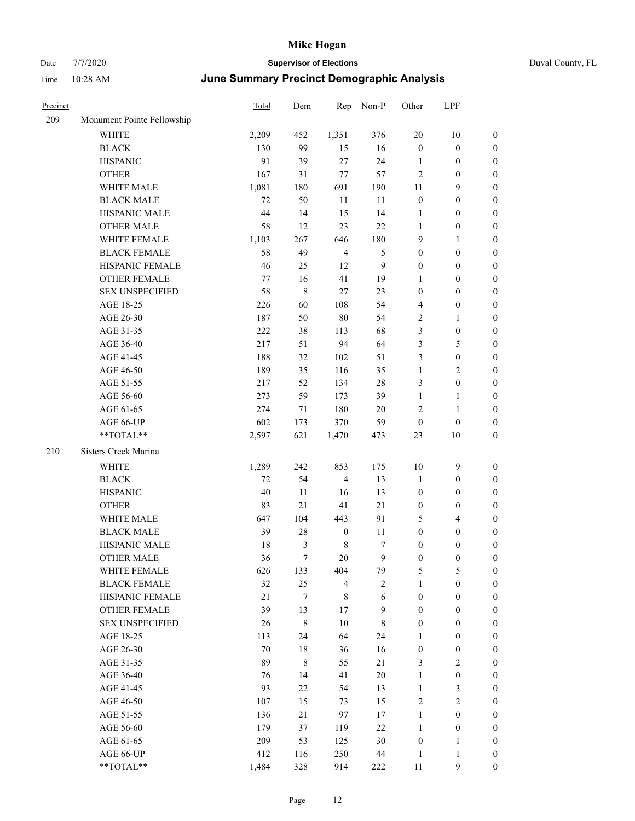| Precinct |                            | Total  | Dem         | Rep              | Non-P       | Other            | LPF              |                  |
|----------|----------------------------|--------|-------------|------------------|-------------|------------------|------------------|------------------|
| 209      | Monument Pointe Fellowship |        |             |                  |             |                  |                  |                  |
|          | <b>WHITE</b>               | 2,209  | 452         | 1,351            | 376         | 20               | 10               | $\boldsymbol{0}$ |
|          | <b>BLACK</b>               | 130    | 99          | 15               | 16          | $\boldsymbol{0}$ | $\boldsymbol{0}$ | $\boldsymbol{0}$ |
|          | <b>HISPANIC</b>            | 91     | 39          | 27               | 24          | $\mathbf{1}$     | $\boldsymbol{0}$ | $\boldsymbol{0}$ |
|          | <b>OTHER</b>               | 167    | 31          | 77               | 57          | $\overline{2}$   | $\boldsymbol{0}$ | $\boldsymbol{0}$ |
|          | WHITE MALE                 | 1,081  | 180         | 691              | 190         | 11               | 9                | $\boldsymbol{0}$ |
|          | <b>BLACK MALE</b>          | 72     | 50          | 11               | 11          | $\boldsymbol{0}$ | $\boldsymbol{0}$ | $\boldsymbol{0}$ |
|          | HISPANIC MALE              | 44     | 14          | 15               | 14          | $\mathbf{1}$     | $\boldsymbol{0}$ | $\boldsymbol{0}$ |
|          | <b>OTHER MALE</b>          | 58     | 12          | 23               | 22          | $\mathbf{1}$     | $\boldsymbol{0}$ | $\boldsymbol{0}$ |
|          | WHITE FEMALE               | 1,103  | 267         | 646              | 180         | 9                | 1                | $\boldsymbol{0}$ |
|          | <b>BLACK FEMALE</b>        | 58     | 49          | $\overline{4}$   | 5           | $\boldsymbol{0}$ | $\boldsymbol{0}$ | $\boldsymbol{0}$ |
|          | HISPANIC FEMALE            | 46     | 25          | 12               | 9           | $\boldsymbol{0}$ | $\boldsymbol{0}$ | $\boldsymbol{0}$ |
|          | <b>OTHER FEMALE</b>        | 77     | 16          | 41               | 19          | 1                | $\boldsymbol{0}$ | $\boldsymbol{0}$ |
|          | <b>SEX UNSPECIFIED</b>     | 58     | $\,8\,$     | 27               | 23          | $\boldsymbol{0}$ | $\boldsymbol{0}$ | $\boldsymbol{0}$ |
|          | AGE 18-25                  | 226    | 60          | 108              | 54          | $\overline{4}$   | $\boldsymbol{0}$ | $\boldsymbol{0}$ |
|          | AGE 26-30                  | 187    | 50          | 80               | 54          | $\overline{2}$   | $\mathbf{1}$     | $\boldsymbol{0}$ |
|          | AGE 31-35                  | 222    | 38          | 113              | 68          | $\mathfrak{Z}$   | $\boldsymbol{0}$ | $\boldsymbol{0}$ |
|          | AGE 36-40                  | 217    | 51          | 94               | 64          | $\mathfrak{Z}$   | 5                | $\boldsymbol{0}$ |
|          | AGE 41-45                  | 188    | 32          | 102              | 51          | $\mathfrak{Z}$   | $\boldsymbol{0}$ | $\boldsymbol{0}$ |
|          | AGE 46-50                  | 189    | 35          | 116              | 35          | $\mathbf{1}$     | 2                | $\boldsymbol{0}$ |
|          | AGE 51-55                  | 217    | 52          | 134              | 28          | $\mathfrak{Z}$   | $\boldsymbol{0}$ | $\boldsymbol{0}$ |
|          | AGE 56-60                  | 273    | 59          | 173              | 39          | 1                | 1                | $\boldsymbol{0}$ |
|          | AGE 61-65                  | 274    | $71\,$      | 180              | $20\,$      | $\sqrt{2}$       | 1                | $\boldsymbol{0}$ |
|          | AGE 66-UP                  | 602    | 173         | 370              | 59          | $\boldsymbol{0}$ | $\boldsymbol{0}$ | $\mathbf{0}$     |
|          | **TOTAL**                  | 2,597  | 621         | 1,470            | 473         | 23               | 10               | $\boldsymbol{0}$ |
| 210      | Sisters Creek Marina       |        |             |                  |             |                  |                  |                  |
|          | WHITE                      | 1,289  | 242         | 853              | 175         | 10               | $\mathbf{9}$     | $\boldsymbol{0}$ |
|          | <b>BLACK</b>               | 72     | 54          | $\overline{4}$   | 13          | $\mathbf{1}$     | $\boldsymbol{0}$ | $\boldsymbol{0}$ |
|          | <b>HISPANIC</b>            | 40     | 11          | 16               | 13          | $\boldsymbol{0}$ | $\boldsymbol{0}$ | $\boldsymbol{0}$ |
|          | <b>OTHER</b>               | 83     | $21\,$      | 41               | 21          | $\boldsymbol{0}$ | $\boldsymbol{0}$ | $\boldsymbol{0}$ |
|          | WHITE MALE                 | 647    | 104         | 443              | 91          | 5                | 4                | $\boldsymbol{0}$ |
|          | <b>BLACK MALE</b>          | 39     | 28          | $\boldsymbol{0}$ | 11          | $\boldsymbol{0}$ | $\boldsymbol{0}$ | $\boldsymbol{0}$ |
|          | HISPANIC MALE              | 18     | 3           | $\,$ 8 $\,$      | $\tau$      | $\boldsymbol{0}$ | $\boldsymbol{0}$ | $\boldsymbol{0}$ |
|          | <b>OTHER MALE</b>          | 36     | 7           | 20               | 9           | $\boldsymbol{0}$ | $\mathbf{0}$     | $\boldsymbol{0}$ |
|          | WHITE FEMALE               | 626    | 133         | 404              | 79          | $\sqrt{5}$       | 5                | $\boldsymbol{0}$ |
|          | <b>BLACK FEMALE</b>        | 32     | 25          | $\overline{4}$   | $\sqrt{2}$  | $\mathbf{1}$     | $\boldsymbol{0}$ | $\boldsymbol{0}$ |
|          | HISPANIC FEMALE            | $21\,$ | $\tau$      | $\,$ 8 $\,$      | 6           | $\boldsymbol{0}$ | $\boldsymbol{0}$ | $\boldsymbol{0}$ |
|          | OTHER FEMALE               | 39     | 13          | $17\,$           | 9           | $\boldsymbol{0}$ | $\boldsymbol{0}$ | $\boldsymbol{0}$ |
|          | <b>SEX UNSPECIFIED</b>     | 26     | $\,$ 8 $\,$ | $10\,$           | $\,$ 8 $\,$ | $\boldsymbol{0}$ | $\boldsymbol{0}$ | $\boldsymbol{0}$ |
|          | AGE 18-25                  | 113    | 24          | 64               | 24          | $\mathbf{1}$     | $\boldsymbol{0}$ | $\boldsymbol{0}$ |
|          | AGE 26-30                  | 70     | 18          | 36               | 16          | $\boldsymbol{0}$ | $\boldsymbol{0}$ | $\boldsymbol{0}$ |
|          | AGE 31-35                  | 89     | $\,$ 8 $\,$ | 55               | 21          | $\mathfrak{Z}$   | $\mathbf{2}$     | $\boldsymbol{0}$ |
|          | AGE 36-40                  | 76     | 14          | 41               | $20\,$      | $\mathbf{1}$     | $\boldsymbol{0}$ | $\boldsymbol{0}$ |
|          | AGE 41-45                  | 93     | 22          | 54               | 13          | $\mathbf{1}$     | 3                | $\boldsymbol{0}$ |
|          | AGE 46-50                  | 107    | 15          | 73               | 15          | $\sqrt{2}$       | 2                | $\boldsymbol{0}$ |
|          | AGE 51-55                  | 136    | 21          | 97               | 17          | $\mathbf{1}$     | $\boldsymbol{0}$ | $\boldsymbol{0}$ |
|          | AGE 56-60                  | 179    | 37          | 119              | $22\,$      | $\mathbf{1}$     | $\boldsymbol{0}$ | $\boldsymbol{0}$ |
|          | AGE 61-65                  | 209    | 53          | 125              | 30          | $\boldsymbol{0}$ | $\mathbf{1}$     | $\boldsymbol{0}$ |
|          | AGE 66-UP                  | 412    | 116         | 250              | $44\,$      | 1                | 1                | $\boldsymbol{0}$ |
|          | **TOTAL**                  | 1,484  | 328         | 914              | 222         | 11               | 9                | $\mathbf{0}$     |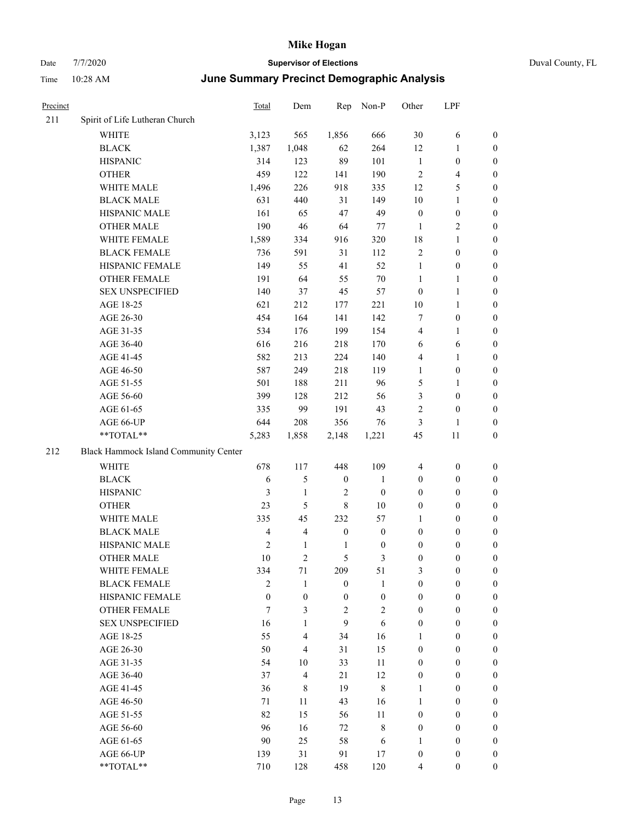# Date 7/7/2020 **Supervisor of Elections** Duval County, FL Time 10:28 AM **June Summary Precinct Demographic Analysis**

| Precinct |                                       | Total                   | Dem                     | Rep              | Non-P            | Other            | LPF              |                  |
|----------|---------------------------------------|-------------------------|-------------------------|------------------|------------------|------------------|------------------|------------------|
| 211      | Spirit of Life Lutheran Church        |                         |                         |                  |                  |                  |                  |                  |
|          | <b>WHITE</b>                          | 3,123                   | 565                     | 1,856            | 666              | 30               | 6                | 0                |
|          | <b>BLACK</b>                          | 1,387                   | 1,048                   | 62               | 264              | 12               | $\mathbf{1}$     | 0                |
|          | <b>HISPANIC</b>                       | 314                     | 123                     | 89               | 101              | $\mathbf{1}$     | $\boldsymbol{0}$ | $\boldsymbol{0}$ |
|          | <b>OTHER</b>                          | 459                     | 122                     | 141              | 190              | $\overline{2}$   | $\overline{4}$   | $\boldsymbol{0}$ |
|          | WHITE MALE                            | 1,496                   | 226                     | 918              | 335              | 12               | 5                | $\boldsymbol{0}$ |
|          | <b>BLACK MALE</b>                     | 631                     | 440                     | 31               | 149              | 10               | $\mathbf{1}$     | $\boldsymbol{0}$ |
|          | HISPANIC MALE                         | 161                     | 65                      | 47               | 49               | $\boldsymbol{0}$ | $\boldsymbol{0}$ | $\boldsymbol{0}$ |
|          | <b>OTHER MALE</b>                     | 190                     | 46                      | 64               | 77               | $\mathbf{1}$     | $\overline{2}$   | $\boldsymbol{0}$ |
|          | WHITE FEMALE                          | 1,589                   | 334                     | 916              | 320              | 18               | $\mathbf{1}$     | $\boldsymbol{0}$ |
|          | <b>BLACK FEMALE</b>                   | 736                     | 591                     | 31               | 112              | $\overline{c}$   | $\boldsymbol{0}$ | 0                |
|          | HISPANIC FEMALE                       | 149                     | 55                      | 41               | 52               | $\mathbf{1}$     | $\boldsymbol{0}$ | 0                |
|          | <b>OTHER FEMALE</b>                   | 191                     | 64                      | 55               | $70\,$           | $\mathbf{1}$     | $\mathbf{1}$     | 0                |
|          | <b>SEX UNSPECIFIED</b>                | 140                     | 37                      | 45               | 57               | $\boldsymbol{0}$ | $\mathbf{1}$     | $\boldsymbol{0}$ |
|          | AGE 18-25                             | 621                     | 212                     | 177              | 221              | $10\,$           | $\mathbf{1}$     | $\boldsymbol{0}$ |
|          | AGE 26-30                             | 454                     | 164                     | 141              | 142              | 7                | $\boldsymbol{0}$ | $\boldsymbol{0}$ |
|          | AGE 31-35                             | 534                     | 176                     | 199              | 154              | 4                | $\mathbf{1}$     | $\boldsymbol{0}$ |
|          | AGE 36-40                             | 616                     | 216                     | 218              | 170              | 6                | 6                | $\boldsymbol{0}$ |
|          | AGE 41-45                             | 582                     | 213                     | 224              | 140              | 4                | $\mathbf{1}$     | $\boldsymbol{0}$ |
|          | AGE 46-50                             | 587                     | 249                     | 218              | 119              | $\mathbf{1}$     | $\boldsymbol{0}$ | $\boldsymbol{0}$ |
|          | AGE 51-55                             | 501                     | 188                     | 211              | 96               | 5                | $\mathbf{1}$     | 0                |
|          | AGE 56-60                             | 399                     | 128                     | 212              | 56               | 3                | $\boldsymbol{0}$ | 0                |
|          | AGE 61-65                             | 335                     | 99                      | 191              | 43               | $\mathfrak{2}$   | $\boldsymbol{0}$ | 0                |
|          | AGE 66-UP                             | 644                     | 208                     | 356              | 76               | 3                | $\mathbf{1}$     | $\boldsymbol{0}$ |
|          | $**TOTAL**$                           | 5,283                   | 1,858                   | 2,148            | 1,221            | 45               | 11               | $\boldsymbol{0}$ |
| 212      | Black Hammock Island Community Center |                         |                         |                  |                  |                  |                  |                  |
|          | <b>WHITE</b>                          | 678                     | 117                     | 448              | 109              | $\overline{4}$   | $\boldsymbol{0}$ | $\boldsymbol{0}$ |
|          | <b>BLACK</b>                          | 6                       | 5                       | $\boldsymbol{0}$ | $\mathbf{1}$     | $\boldsymbol{0}$ | $\boldsymbol{0}$ | $\boldsymbol{0}$ |
|          | <b>HISPANIC</b>                       | 3                       | $\mathbf{1}$            | $\overline{2}$   | $\boldsymbol{0}$ | $\boldsymbol{0}$ | $\boldsymbol{0}$ | $\boldsymbol{0}$ |
|          | <b>OTHER</b>                          | 23                      | 5                       | $\,8\,$          | 10               | $\boldsymbol{0}$ | $\boldsymbol{0}$ | $\boldsymbol{0}$ |
|          | WHITE MALE                            | 335                     | 45                      | 232              | 57               | $\mathbf{1}$     | $\boldsymbol{0}$ | $\boldsymbol{0}$ |
|          | <b>BLACK MALE</b>                     | $\overline{\mathbf{4}}$ | $\overline{\mathbf{4}}$ | $\boldsymbol{0}$ | $\boldsymbol{0}$ | $\boldsymbol{0}$ | $\boldsymbol{0}$ | $\boldsymbol{0}$ |
|          | HISPANIC MALE                         | $\sqrt{2}$              | $\mathbf{1}$            | $\mathbf{1}$     | $\boldsymbol{0}$ | $\boldsymbol{0}$ | $\boldsymbol{0}$ | 0                |
|          | <b>OTHER MALE</b>                     | 10                      | $\overline{2}$          | 5                | 3                | $\boldsymbol{0}$ | $\boldsymbol{0}$ | $\boldsymbol{0}$ |
|          | WHITE FEMALE                          | 334                     | 71                      | 209              | 51               | 3                | $\boldsymbol{0}$ | 0                |
|          | <b>BLACK FEMALE</b>                   | $\overline{2}$          | $\mathbf{1}$            | $\boldsymbol{0}$ | $\mathbf{1}$     | $\boldsymbol{0}$ | $\boldsymbol{0}$ | $\overline{0}$   |
|          | HISPANIC FEMALE                       | $\mathbf{0}$            | $\boldsymbol{0}$        | $\boldsymbol{0}$ | $\boldsymbol{0}$ | $\boldsymbol{0}$ | $\boldsymbol{0}$ | $\overline{0}$   |
|          | <b>OTHER FEMALE</b>                   | 7                       | 3                       | $\sqrt{2}$       | $\mathbf{2}$     | $\boldsymbol{0}$ | $\boldsymbol{0}$ | $\overline{0}$   |
|          | <b>SEX UNSPECIFIED</b>                | 16                      | $\mathbf{1}$            | 9                | 6                | $\boldsymbol{0}$ | $\boldsymbol{0}$ | $\overline{0}$   |
|          | AGE 18-25                             | 55                      | 4                       | 34               | 16               | 1                | $\boldsymbol{0}$ | $\theta$         |
|          | AGE 26-30                             | 50                      | $\overline{4}$          | 31               | 15               | $\boldsymbol{0}$ | $\boldsymbol{0}$ | $\overline{0}$   |
|          | AGE 31-35                             | 54                      | 10                      | 33               | 11               | $\boldsymbol{0}$ | $\boldsymbol{0}$ | $\overline{0}$   |
|          | AGE 36-40                             | 37                      | 4                       | 21               | 12               | $\boldsymbol{0}$ | $\boldsymbol{0}$ | 0                |
|          | AGE 41-45                             | 36                      | 8                       | 19               | $\,8\,$          | 1                | $\boldsymbol{0}$ | 0                |
|          | AGE 46-50                             | 71                      | 11                      | 43               | 16               | 1                | $\boldsymbol{0}$ | $\overline{0}$   |
|          | AGE 51-55                             | 82                      | 15                      | 56               | 11               | $\boldsymbol{0}$ | $\boldsymbol{0}$ | $\overline{0}$   |
|          | AGE 56-60                             | 96                      | 16                      | 72               | $\,$ 8 $\,$      | $\boldsymbol{0}$ | $\boldsymbol{0}$ | $\overline{0}$   |
|          | AGE 61-65                             | 90                      | 25                      | 58               | 6                | $\mathbf{1}$     | $\boldsymbol{0}$ | $\boldsymbol{0}$ |
|          | AGE 66-UP                             | 139                     | 31                      | 91               | 17               | $\boldsymbol{0}$ | $\boldsymbol{0}$ | $\overline{0}$   |

\*\*TOTAL\*\* 710 128 458 120 4 0 0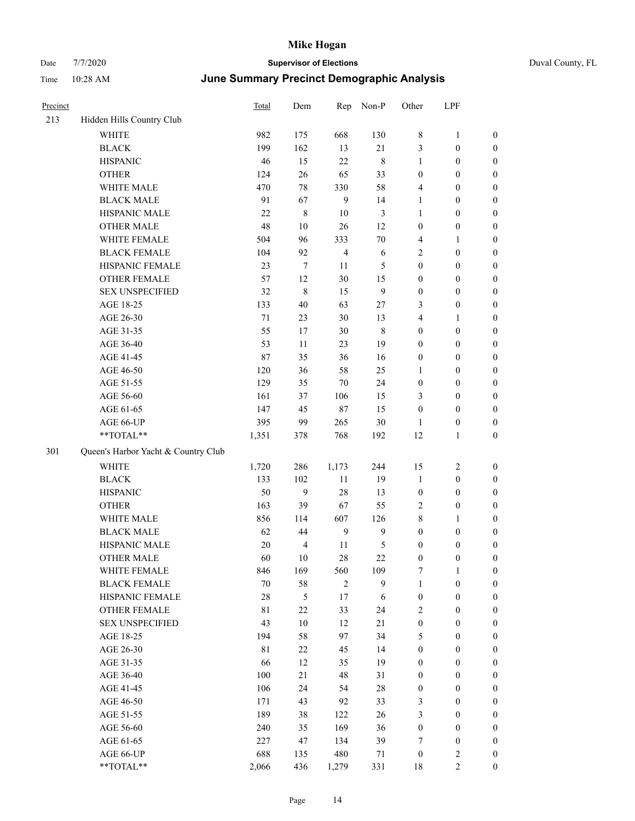| Precinct |                                                             | Total       | Dem            | Rep            | Non-P       | Other            | LPF              |                  |
|----------|-------------------------------------------------------------|-------------|----------------|----------------|-------------|------------------|------------------|------------------|
| 213      | Hidden Hills Country Club                                   |             |                |                |             |                  |                  |                  |
|          | WHITE                                                       | 982         | 175            | 668            | 130         | 8                | $\mathbf{1}$     | $\boldsymbol{0}$ |
|          | <b>BLACK</b>                                                | 199         | 162            | 13             | 21          | 3                | $\boldsymbol{0}$ | $\boldsymbol{0}$ |
|          | <b>HISPANIC</b>                                             | 46          | 15             | $22\,$         | $\,$ 8 $\,$ | $\mathbf{1}$     | $\boldsymbol{0}$ | $\boldsymbol{0}$ |
|          | <b>OTHER</b>                                                | 124         | 26             | 65             | 33          | $\boldsymbol{0}$ | $\boldsymbol{0}$ | $\boldsymbol{0}$ |
|          | WHITE MALE                                                  | 470         | 78             | 330            | 58          | $\overline{4}$   | $\boldsymbol{0}$ | $\boldsymbol{0}$ |
|          | <b>BLACK MALE</b>                                           | 91          | 67             | 9              | 14          | $\mathbf{1}$     | $\boldsymbol{0}$ | $\boldsymbol{0}$ |
|          | HISPANIC MALE                                               | 22          | $\,8\,$        | $10\,$         | 3           | $\mathbf{1}$     | $\boldsymbol{0}$ | $\boldsymbol{0}$ |
|          | <b>OTHER MALE</b>                                           | 48          | 10             | $26\,$         | 12          | $\boldsymbol{0}$ | $\boldsymbol{0}$ | $\boldsymbol{0}$ |
|          | WHITE FEMALE                                                | 504         | 96             | 333            | $70\,$      | 4                | $\mathbf{1}$     | $\boldsymbol{0}$ |
|          | <b>BLACK FEMALE</b>                                         | 104         | 92             | $\overline{4}$ | 6           | $\sqrt{2}$       | $\boldsymbol{0}$ | $\boldsymbol{0}$ |
|          | HISPANIC FEMALE                                             | 23          | $\tau$         | 11             | 5           | $\boldsymbol{0}$ | $\boldsymbol{0}$ | $\boldsymbol{0}$ |
|          | <b>OTHER FEMALE</b>                                         | 57          | 12             | 30             | 15          | $\boldsymbol{0}$ | $\boldsymbol{0}$ | $\boldsymbol{0}$ |
|          | <b>SEX UNSPECIFIED</b>                                      | 32          | $\,8\,$        | 15             | 9           | $\boldsymbol{0}$ | $\boldsymbol{0}$ | $\boldsymbol{0}$ |
|          | AGE 18-25                                                   | 133         | 40             | 63             | $27\,$      | 3                | $\boldsymbol{0}$ | $\boldsymbol{0}$ |
|          | AGE 26-30                                                   | $71\,$      | 23             | 30             | 13          | $\overline{4}$   | $\mathbf{1}$     | $\boldsymbol{0}$ |
|          | AGE 31-35                                                   | 55          | 17             | 30             | $\,8\,$     | $\boldsymbol{0}$ | $\boldsymbol{0}$ | $\boldsymbol{0}$ |
|          | AGE 36-40                                                   | 53          | 11             | 23             | 19          | $\boldsymbol{0}$ | $\boldsymbol{0}$ | $\boldsymbol{0}$ |
|          | AGE 41-45                                                   | 87          | 35             | 36             | 16          | $\boldsymbol{0}$ | $\boldsymbol{0}$ | $\boldsymbol{0}$ |
|          | AGE 46-50                                                   | 120         | 36             | 58             | 25          | $\mathbf{1}$     | $\boldsymbol{0}$ | $\boldsymbol{0}$ |
|          | AGE 51-55                                                   | 129         | 35             | $70\,$         | 24          | $\boldsymbol{0}$ | $\boldsymbol{0}$ | $\boldsymbol{0}$ |
|          | AGE 56-60                                                   | 161         | 37             | 106            | 15          | 3                | $\boldsymbol{0}$ | $\boldsymbol{0}$ |
|          | AGE 61-65                                                   | 147         | 45             | $87\,$         | 15          | $\boldsymbol{0}$ | $\boldsymbol{0}$ | $\boldsymbol{0}$ |
|          | AGE 66-UP                                                   | 395         | 99             | 265            | 30          | $\mathbf{1}$     | $\boldsymbol{0}$ | $\boldsymbol{0}$ |
|          | $**TOTAL**$                                                 | 1,351       | 378            | 768            | 192         | 12               | $\mathbf{1}$     | $\boldsymbol{0}$ |
| 301      | Queen's Harbor Yacht & Country Club                         |             |                |                |             |                  |                  |                  |
|          | <b>WHITE</b>                                                | 1,720       | 286            | 1,173          | 244         | 15               | $\overline{c}$   | $\boldsymbol{0}$ |
|          | <b>BLACK</b>                                                | 133         | 102            | 11             | 19          | $\mathbf{1}$     | $\boldsymbol{0}$ | $\boldsymbol{0}$ |
|          | <b>HISPANIC</b>                                             | 50          | 9              | 28             | 13          | $\boldsymbol{0}$ | $\boldsymbol{0}$ | $\boldsymbol{0}$ |
|          | <b>OTHER</b>                                                | 163         | 39             | 67             | 55          | $\overline{c}$   | $\boldsymbol{0}$ | $\boldsymbol{0}$ |
|          | WHITE MALE                                                  | 856         | 114            | 607            | 126         | $\,$ $\,$        | $\mathbf{1}$     | $\boldsymbol{0}$ |
|          | <b>BLACK MALE</b>                                           | 62          | 44             | 9              | 9           | $\boldsymbol{0}$ | $\boldsymbol{0}$ | $\boldsymbol{0}$ |
|          | HISPANIC MALE                                               | 20          | $\overline{4}$ | 11             | 5           | $\boldsymbol{0}$ | $\boldsymbol{0}$ | $\boldsymbol{0}$ |
|          | <b>OTHER MALE</b>                                           | 60          | 10             | 28             | 22          | $\mathbf{0}$     | $\boldsymbol{0}$ | $\boldsymbol{0}$ |
|          | WHITE FEMALE                                                | 846         | 169            | 560            | 109         | $\tau$           | $\mathbf{1}$     | $\boldsymbol{0}$ |
|          | <b>BLACK FEMALE</b>                                         | $70\,$      | 58             | $\overline{c}$ | 9           | $\mathbf{1}$     | $\boldsymbol{0}$ | $\boldsymbol{0}$ |
|          | HISPANIC FEMALE                                             | 28          | $\mathfrak{S}$ | 17             | 6           | $\boldsymbol{0}$ | $\boldsymbol{0}$ | $\boldsymbol{0}$ |
|          | OTHER FEMALE                                                | 81          | 22             | 33             | 24          | $\overline{c}$   | $\boldsymbol{0}$ | $\boldsymbol{0}$ |
|          | <b>SEX UNSPECIFIED</b>                                      | 43          | 10             | 12             | $21\,$      | $\boldsymbol{0}$ | $\boldsymbol{0}$ | $\boldsymbol{0}$ |
|          | AGE 18-25                                                   | 194         | 58             | 97             | 34          | 5                | $\boldsymbol{0}$ | $\boldsymbol{0}$ |
|          | AGE 26-30                                                   | $8\sqrt{1}$ | $22\,$         | 45             | 14          | $\boldsymbol{0}$ | $\boldsymbol{0}$ | $\boldsymbol{0}$ |
|          | AGE 31-35                                                   | 66          | 12             | 35             | 19          | $\boldsymbol{0}$ | $\boldsymbol{0}$ | $\boldsymbol{0}$ |
|          | AGE 36-40                                                   | 100         | 21             | 48             | 31          | $\boldsymbol{0}$ | $\boldsymbol{0}$ | $\boldsymbol{0}$ |
|          | AGE 41-45                                                   | 106         | 24             | 54             | 28          | $\boldsymbol{0}$ | $\boldsymbol{0}$ | $\boldsymbol{0}$ |
|          | AGE 46-50                                                   | 171         | 43             | 92             | 33          | 3                | $\boldsymbol{0}$ | $\boldsymbol{0}$ |
|          | AGE 51-55                                                   | 189         | 38             | 122            | 26          | 3                | $\boldsymbol{0}$ | $\boldsymbol{0}$ |
|          | AGE 56-60                                                   | 240         | 35             | 169            | 36          | $\boldsymbol{0}$ | $\boldsymbol{0}$ | $\boldsymbol{0}$ |
|          | AGE 61-65                                                   | 227         | 47             | 134            | 39          | 7                | $\boldsymbol{0}$ | $\boldsymbol{0}$ |
|          | AGE 66-UP                                                   | 688         | 135            | 480            | 71          | $\boldsymbol{0}$ | $\overline{c}$   | $\boldsymbol{0}$ |
|          | $\mathrm{*}\mathrm{*} \mathrm{TOTAL} \mathrm{*} \mathrm{*}$ | 2,066       | 436            | 1,279          | 331         | $18\,$           | $\overline{2}$   | $\boldsymbol{0}$ |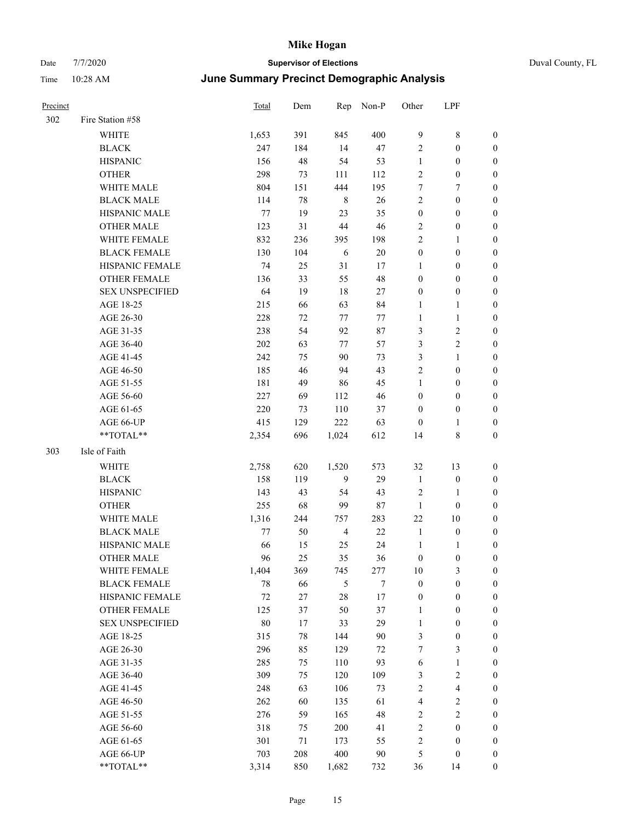| Duval County, FI |  |
|------------------|--|

| Precinct |                        | Total  | Dem | Rep            | Non-P            | Other            | LPF                     |                  |
|----------|------------------------|--------|-----|----------------|------------------|------------------|-------------------------|------------------|
| 302      | Fire Station #58       |        |     |                |                  |                  |                         |                  |
|          | <b>WHITE</b>           | 1,653  | 391 | 845            | 400              | $\overline{9}$   | $\,$ 8 $\,$             | $\boldsymbol{0}$ |
|          | <b>BLACK</b>           | 247    | 184 | 14             | 47               | $\overline{c}$   | $\boldsymbol{0}$        | $\boldsymbol{0}$ |
|          | <b>HISPANIC</b>        | 156    | 48  | 54             | 53               | $\mathbf{1}$     | $\boldsymbol{0}$        | $\boldsymbol{0}$ |
|          | <b>OTHER</b>           | 298    | 73  | 111            | 112              | $\overline{c}$   | $\boldsymbol{0}$        | $\boldsymbol{0}$ |
|          | WHITE MALE             | 804    | 151 | 444            | 195              | 7                | $\boldsymbol{7}$        | $\boldsymbol{0}$ |
|          | <b>BLACK MALE</b>      | 114    | 78  | 8              | 26               | $\sqrt{2}$       | $\boldsymbol{0}$        | 0                |
|          | HISPANIC MALE          | 77     | 19  | 23             | 35               | $\boldsymbol{0}$ | $\boldsymbol{0}$        | 0                |
|          | <b>OTHER MALE</b>      | 123    | 31  | $44\,$         | 46               | $\overline{c}$   | $\boldsymbol{0}$        | 0                |
|          | WHITE FEMALE           | 832    | 236 | 395            | 198              | $\sqrt{2}$       | $\mathbf{1}$            | $\boldsymbol{0}$ |
|          | <b>BLACK FEMALE</b>    | 130    | 104 | 6              | $20\,$           | $\boldsymbol{0}$ | $\boldsymbol{0}$        | $\boldsymbol{0}$ |
|          | HISPANIC FEMALE        | 74     | 25  | 31             | 17               | $\mathbf{1}$     | $\boldsymbol{0}$        | $\boldsymbol{0}$ |
|          | OTHER FEMALE           | 136    | 33  | 55             | 48               | $\boldsymbol{0}$ | $\boldsymbol{0}$        | $\boldsymbol{0}$ |
|          | <b>SEX UNSPECIFIED</b> | 64     | 19  | $18\,$         | 27               | $\boldsymbol{0}$ | $\boldsymbol{0}$        | $\boldsymbol{0}$ |
|          | AGE 18-25              | 215    | 66  | 63             | 84               | $\mathbf{1}$     | $\mathbf{1}$            | $\boldsymbol{0}$ |
|          | AGE 26-30              | 228    | 72  | 77             | 77               | $\mathbf{1}$     | $\mathbf{1}$            | $\boldsymbol{0}$ |
|          | AGE 31-35              | 238    | 54  | 92             | 87               | 3                | $\sqrt{2}$              | 0                |
|          | AGE 36-40              | 202    | 63  | 77             | 57               | 3                | $\sqrt{2}$              | 0                |
|          | AGE 41-45              | 242    | 75  | 90             | 73               | 3                | $\mathbf{1}$            | 0                |
|          | AGE 46-50              | 185    | 46  | 94             | 43               | $\overline{c}$   | $\boldsymbol{0}$        | 0                |
|          | AGE 51-55              | 181    | 49  | 86             | 45               | $\mathbf{1}$     | $\boldsymbol{0}$        | $\boldsymbol{0}$ |
|          | AGE 56-60              | 227    | 69  | 112            | 46               | $\boldsymbol{0}$ | $\boldsymbol{0}$        | $\boldsymbol{0}$ |
|          | AGE 61-65              | 220    | 73  | 110            | 37               | $\boldsymbol{0}$ | $\boldsymbol{0}$        | $\boldsymbol{0}$ |
|          | AGE 66-UP              | 415    | 129 | 222            | 63               | $\boldsymbol{0}$ | $\mathbf{1}$            | $\boldsymbol{0}$ |
|          | **TOTAL**              | 2,354  | 696 | 1,024          | 612              | 14               | $\,$ 8 $\,$             | $\boldsymbol{0}$ |
| 303      | Isle of Faith          |        |     |                |                  |                  |                         |                  |
|          | WHITE                  | 2,758  | 620 | 1,520          | 573              | 32               | 13                      | $\boldsymbol{0}$ |
|          | <b>BLACK</b>           | 158    | 119 | $\mathbf{9}$   | 29               | $\mathbf{1}$     | $\boldsymbol{0}$        | $\boldsymbol{0}$ |
|          | <b>HISPANIC</b>        | 143    | 43  | 54             | 43               | $\overline{c}$   | 1                       | $\boldsymbol{0}$ |
|          | <b>OTHER</b>           | 255    | 68  | 99             | $87\,$           | $\mathbf{1}$     | $\boldsymbol{0}$        | 0                |
|          | WHITE MALE             | 1,316  | 244 | 757            | 283              | 22               | $10\,$                  | 0                |
|          | <b>BLACK MALE</b>      | 77     | 50  | $\overline{4}$ | $22\,$           | $\mathbf{1}$     | $\boldsymbol{0}$        | 0                |
|          | HISPANIC MALE          | 66     | 15  | 25             | 24               | 1                | 1                       | $\boldsymbol{0}$ |
|          | <b>OTHER MALE</b>      | 96     | 25  | 35             | 36               | $\boldsymbol{0}$ | $\boldsymbol{0}$        | $\boldsymbol{0}$ |
|          | WHITE FEMALE           | 1,404  | 369 | 745            | 277              | 10               | $\mathfrak{Z}$          | $\boldsymbol{0}$ |
|          | <b>BLACK FEMALE</b>    | $78\,$ | 66  | $\sqrt{5}$     | $\boldsymbol{7}$ | $\boldsymbol{0}$ | $\boldsymbol{0}$        | $\overline{0}$   |
|          | HISPANIC FEMALE        | $72\,$ | 27  | $28\,$         | $17\,$           | $\boldsymbol{0}$ | $\boldsymbol{0}$        | $\theta$         |
|          | <b>OTHER FEMALE</b>    | 125    | 37  | 50             | 37               | $\mathbf{1}$     | $\boldsymbol{0}$        | 0                |
|          | <b>SEX UNSPECIFIED</b> | 80     | 17  | 33             | 29               | $\mathbf{1}$     | $\boldsymbol{0}$        | 0                |
|          | AGE 18-25              | 315    | 78  | 144            | $90\,$           | 3                | $\boldsymbol{0}$        | 0                |
|          | AGE 26-30              | 296    | 85  | 129            | $72\,$           | 7                | 3                       | 0                |
|          | AGE 31-35              | 285    | 75  | 110            | 93               | 6                | $\mathbf{1}$            | 0                |
|          | AGE 36-40              | 309    | 75  | 120            | 109              | 3                | $\sqrt{2}$              | $\boldsymbol{0}$ |
|          | AGE 41-45              | 248    | 63  | 106            | 73               | $\overline{c}$   | $\overline{\mathbf{4}}$ | $\boldsymbol{0}$ |
|          | AGE 46-50              | 262    | 60  | 135            | 61               | $\overline{4}$   | $\sqrt{2}$              | $\boldsymbol{0}$ |
|          | AGE 51-55              | 276    | 59  | 165            | 48               | $\sqrt{2}$       | $\sqrt{2}$              | $\overline{0}$   |
|          | AGE 56-60              | 318    | 75  | 200            | 41               | $\sqrt{2}$       | $\boldsymbol{0}$        | $\overline{0}$   |
|          | AGE 61-65              | 301    | 71  | 173            | 55               | $\sqrt{2}$       | $\boldsymbol{0}$        | $\overline{0}$   |
|          | AGE 66-UP              | 703    | 208 | 400            | 90               | $\mathfrak s$    | $\boldsymbol{0}$        | $\boldsymbol{0}$ |
|          | **TOTAL**              | 3,314  | 850 | 1,682          | 732              | 36               | 14                      | $\boldsymbol{0}$ |
|          |                        |        |     |                |                  |                  |                         |                  |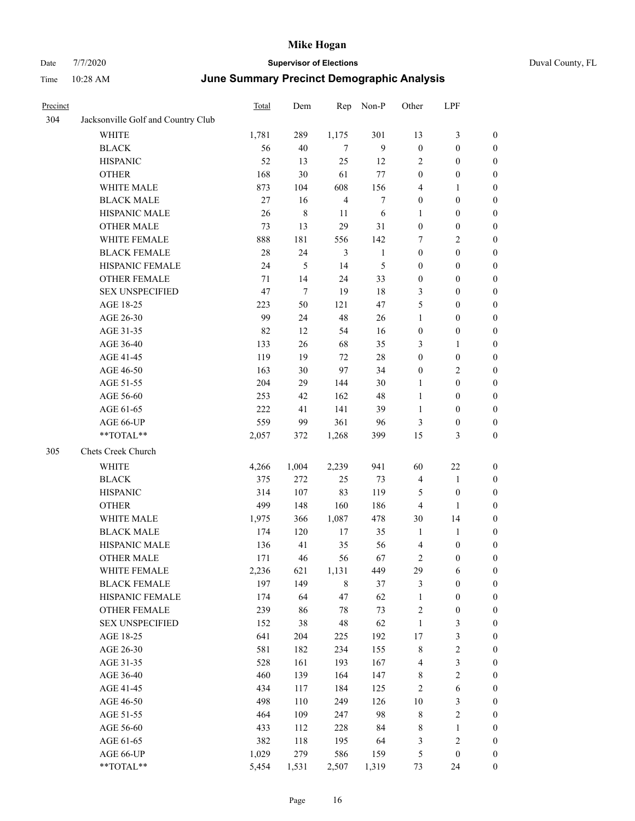## Date 7/7/2020 **Supervisor of Elections** Duval County, FL Time 10:28 AM **June Summary Precinct Demographic Analysis**

| Precinct |                                    | <b>Total</b> | Dem            |                | Rep Non-P    | Other            | LPF              |                  |
|----------|------------------------------------|--------------|----------------|----------------|--------------|------------------|------------------|------------------|
| 304      | Jacksonville Golf and Country Club |              |                |                |              |                  |                  |                  |
|          | <b>WHITE</b>                       | 1,781        | 289            | 1,175          | 301          | 13               | 3                | 0                |
|          | <b>BLACK</b>                       | 56           | 40             | 7              | 9            | $\boldsymbol{0}$ | $\boldsymbol{0}$ | 0                |
|          | <b>HISPANIC</b>                    | 52           | 13             | 25             | 12           | 2                | $\boldsymbol{0}$ | $\boldsymbol{0}$ |
|          | <b>OTHER</b>                       | 168          | 30             | 61             | 77           | $\boldsymbol{0}$ | $\boldsymbol{0}$ | $\boldsymbol{0}$ |
|          | WHITE MALE                         | 873          | 104            | 608            | 156          | 4                | $\mathbf{1}$     | $\boldsymbol{0}$ |
|          | <b>BLACK MALE</b>                  | 27           | 16             | $\overline{4}$ | 7            | $\boldsymbol{0}$ | $\boldsymbol{0}$ | $\boldsymbol{0}$ |
|          | HISPANIC MALE                      | 26           | $\,8\,$        | 11             | 6            | $\mathbf{1}$     | $\boldsymbol{0}$ | $\boldsymbol{0}$ |
|          | <b>OTHER MALE</b>                  | 73           | 13             | 29             | 31           | $\boldsymbol{0}$ | $\boldsymbol{0}$ | $\boldsymbol{0}$ |
|          | WHITE FEMALE                       | 888          | 181            | 556            | 142          | 7                | 2                | $\boldsymbol{0}$ |
|          | <b>BLACK FEMALE</b>                | $28\,$       | 24             | 3              | $\mathbf{1}$ | $\boldsymbol{0}$ | $\mathbf{0}$     | $\boldsymbol{0}$ |
|          | HISPANIC FEMALE                    | 24           | $\mathfrak{S}$ | 14             | 5            | $\boldsymbol{0}$ | $\boldsymbol{0}$ | $\boldsymbol{0}$ |
|          | OTHER FEMALE                       | 71           | 14             | 24             | 33           | $\boldsymbol{0}$ | $\boldsymbol{0}$ | $\boldsymbol{0}$ |
|          | <b>SEX UNSPECIFIED</b>             | 47           | $\tau$         | 19             | 18           | 3                | $\boldsymbol{0}$ | $\boldsymbol{0}$ |
|          | AGE 18-25                          | 223          | 50             | 121            | 47           | 5                | $\boldsymbol{0}$ | $\boldsymbol{0}$ |
|          | AGE 26-30                          | 99           | 24             | 48             | 26           | $\mathbf{1}$     | $\boldsymbol{0}$ | $\boldsymbol{0}$ |
|          | AGE 31-35                          | 82           | 12             | 54             | 16           | $\boldsymbol{0}$ | $\boldsymbol{0}$ | $\boldsymbol{0}$ |
|          | AGE 36-40                          | 133          | 26             | 68             | 35           | 3                | $\mathbf{1}$     | $\boldsymbol{0}$ |
|          | AGE 41-45                          | 119          | 19             | 72             | $28\,$       | $\boldsymbol{0}$ | $\boldsymbol{0}$ | $\boldsymbol{0}$ |
|          | AGE 46-50                          | 163          | 30             | 97             | 34           | $\boldsymbol{0}$ | $\overline{2}$   | $\boldsymbol{0}$ |
|          | AGE 51-55                          | 204          | 29             | 144            | 30           | $\mathbf{1}$     | $\boldsymbol{0}$ | $\boldsymbol{0}$ |
|          | AGE 56-60                          | 253          | 42             | 162            | 48           | 1                | $\boldsymbol{0}$ | $\boldsymbol{0}$ |
|          | AGE 61-65                          | 222          | 41             | 141            | 39           | $\mathbf{1}$     | $\overline{0}$   | $\boldsymbol{0}$ |
|          | AGE 66-UP                          | 559          | 99             | 361            | 96           | 3                | $\boldsymbol{0}$ | $\boldsymbol{0}$ |
|          | **TOTAL**                          | 2,057        | 372            | 1,268          | 399          | 15               | 3                | $\overline{0}$   |
| 305      | Chets Creek Church                 |              |                |                |              |                  |                  |                  |
|          | <b>WHITE</b>                       | 4,266        | 1,004          | 2,239          | 941          | 60               | $22\,$           | $\boldsymbol{0}$ |
|          | <b>BLACK</b>                       | 375          | 272            | 25             | 73           | $\overline{4}$   | $\mathbf{1}$     | $\boldsymbol{0}$ |
|          | <b>HISPANIC</b>                    | 314          | 107            | 83             | 119          | 5                | $\boldsymbol{0}$ | $\boldsymbol{0}$ |
|          | <b>OTHER</b>                       | 499          | 148            | 160            | 186          | $\overline{4}$   | $\mathbf{1}$     | $\boldsymbol{0}$ |
|          | WHITE MALE                         | 1,975        | 366            | 1,087          | 478          | 30               | 14               | $\boldsymbol{0}$ |
|          | <b>BLACK MALE</b>                  | 174          | 120            | 17             | 35           | $\mathbf{1}$     | $\mathbf{1}$     | $\boldsymbol{0}$ |
|          | HISPANIC MALE                      | 136          | 41             | 35             | 56           | $\overline{4}$   | $\boldsymbol{0}$ | $\boldsymbol{0}$ |
|          | OTHER MALE                         | 171          | 46             | 56             | 67           | 2                | $\boldsymbol{0}$ | 0                |
|          | WHITE FEMALE                       | 2,236        | 621            | 1,131          | 449          | 29               | 6                | $\boldsymbol{0}$ |
|          | <b>BLACK FEMALE</b>                | 197          | 149            | $\,$ 8 $\,$    | 37           | 3                | $\boldsymbol{0}$ | $\boldsymbol{0}$ |
|          | HISPANIC FEMALE                    | 174          | 64             | 47             | 62           | $\mathbf{1}$     | $\boldsymbol{0}$ | $\boldsymbol{0}$ |
|          | <b>OTHER FEMALE</b>                | 239          | 86             | 78             | 73           | $\overline{c}$   | $\boldsymbol{0}$ | $\boldsymbol{0}$ |
|          | <b>SEX UNSPECIFIED</b>             | 152          | 38             | 48             | 62           | $\mathbf{1}$     | 3                | $\boldsymbol{0}$ |
|          | AGE 18-25                          | 641          | 204            | 225            | 192          | 17               | $\mathfrak{Z}$   | $\boldsymbol{0}$ |
|          | AGE 26-30                          | 581          | 182            | 234            | 155          | $8\,$            | $\boldsymbol{2}$ | $\boldsymbol{0}$ |
|          | AGE 31-35                          | 528          | 161            | 193            | 167          | $\overline{4}$   | $\mathfrak{Z}$   | $\boldsymbol{0}$ |
|          | AGE 36-40                          | 460          | 139            | 164            | 147          | 8                | $\sqrt{2}$       | $\boldsymbol{0}$ |
|          | AGE 41-45                          | 434          | 117            | 184            | 125          | $\overline{c}$   | $\sqrt{6}$       | $\boldsymbol{0}$ |

AGE 46-50 498 110 249 126 10 3 0 AGE 51-55 464 109 247 98 8 2 0 AGE 56-60 433 112 228 84 8 1 0 AGE 61-65 382 118 195 64 3 2 0 AGE 66-UP 1,029 279 586 159 5 0 0 \*\*TOTAL\*\* 5,454 1,531 2,507 1,319 73 24 0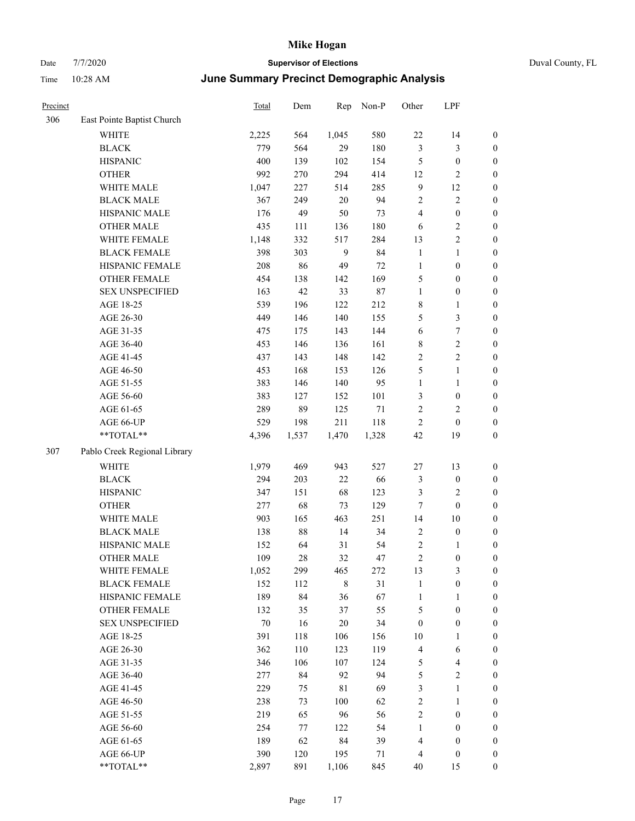| Precinct |                              | <b>Total</b> | Dem    | Rep         | Non-P  | Other            | LPF                     |                  |
|----------|------------------------------|--------------|--------|-------------|--------|------------------|-------------------------|------------------|
| 306      | East Pointe Baptist Church   |              |        |             |        |                  |                         |                  |
|          | <b>WHITE</b>                 | 2,225        | 564    | 1,045       | 580    | $22\,$           | 14                      | $\boldsymbol{0}$ |
|          | <b>BLACK</b>                 | 779          | 564    | 29          | 180    | $\mathfrak{Z}$   | 3                       | $\boldsymbol{0}$ |
|          | <b>HISPANIC</b>              | 400          | 139    | 102         | 154    | 5                | $\boldsymbol{0}$        | $\boldsymbol{0}$ |
|          | <b>OTHER</b>                 | 992          | 270    | 294         | 414    | 12               | 2                       | $\boldsymbol{0}$ |
|          | WHITE MALE                   | 1,047        | 227    | 514         | 285    | 9                | 12                      | $\boldsymbol{0}$ |
|          | <b>BLACK MALE</b>            | 367          | 249    | $20\,$      | 94     | $\sqrt{2}$       | 2                       | $\boldsymbol{0}$ |
|          | HISPANIC MALE                | 176          | 49     | 50          | 73     | $\overline{4}$   | $\boldsymbol{0}$        | $\boldsymbol{0}$ |
|          | <b>OTHER MALE</b>            | 435          | 111    | 136         | 180    | 6                | 2                       | $\boldsymbol{0}$ |
|          | WHITE FEMALE                 | 1,148        | 332    | 517         | 284    | 13               | $\overline{c}$          | $\boldsymbol{0}$ |
|          | <b>BLACK FEMALE</b>          | 398          | 303    | 9           | 84     | $\mathbf{1}$     | 1                       | $\boldsymbol{0}$ |
|          | HISPANIC FEMALE              | 208          | 86     | 49          | 72     | $\mathbf{1}$     | $\boldsymbol{0}$        | $\boldsymbol{0}$ |
|          | <b>OTHER FEMALE</b>          | 454          | 138    | 142         | 169    | 5                | $\boldsymbol{0}$        | $\boldsymbol{0}$ |
|          | <b>SEX UNSPECIFIED</b>       | 163          | 42     | 33          | $87\,$ | $\mathbf{1}$     | $\boldsymbol{0}$        | $\boldsymbol{0}$ |
|          | AGE 18-25                    | 539          | 196    | 122         | 212    | $\,$ 8 $\,$      | 1                       | $\boldsymbol{0}$ |
|          | AGE 26-30                    | 449          | 146    | 140         | 155    | 5                | 3                       | $\boldsymbol{0}$ |
|          | AGE 31-35                    | 475          | 175    | 143         | 144    | 6                | 7                       | $\boldsymbol{0}$ |
|          | AGE 36-40                    | 453          | 146    | 136         | 161    | $\,$ 8 $\,$      | 2                       | $\boldsymbol{0}$ |
|          | AGE 41-45                    | 437          | 143    | 148         | 142    | $\overline{2}$   | 2                       | $\boldsymbol{0}$ |
|          | AGE 46-50                    | 453          | 168    | 153         | 126    | 5                | 1                       | $\boldsymbol{0}$ |
|          | AGE 51-55                    | 383          | 146    | 140         | 95     | $\mathbf{1}$     | 1                       | $\boldsymbol{0}$ |
|          | AGE 56-60                    | 383          | 127    | 152         | 101    | 3                | $\boldsymbol{0}$        | $\boldsymbol{0}$ |
|          | AGE 61-65                    | 289          | 89     | 125         | 71     | $\sqrt{2}$       | 2                       | $\boldsymbol{0}$ |
|          | AGE 66-UP                    | 529          | 198    | 211         | 118    | $\overline{2}$   | $\boldsymbol{0}$        | $\boldsymbol{0}$ |
|          | **TOTAL**                    | 4,396        | 1,537  | 1,470       | 1,328  | 42               | 19                      | $\boldsymbol{0}$ |
| 307      | Pablo Creek Regional Library |              |        |             |        |                  |                         |                  |
|          | <b>WHITE</b>                 | 1,979        | 469    | 943         | 527    | 27               | 13                      | $\boldsymbol{0}$ |
|          | <b>BLACK</b>                 | 294          | 203    | $22\,$      | 66     | 3                | $\boldsymbol{0}$        | $\boldsymbol{0}$ |
|          | <b>HISPANIC</b>              | 347          | 151    | 68          | 123    | 3                | 2                       | $\boldsymbol{0}$ |
|          | <b>OTHER</b>                 | 277          | 68     | 73          | 129    | 7                | $\boldsymbol{0}$        | $\boldsymbol{0}$ |
|          | WHITE MALE                   | 903          | 165    | 463         | 251    | 14               | 10                      | $\boldsymbol{0}$ |
|          | <b>BLACK MALE</b>            | 138          | $88\,$ | 14          | 34     | $\sqrt{2}$       | $\boldsymbol{0}$        | $\boldsymbol{0}$ |
|          | HISPANIC MALE                | 152          | 64     | 31          | 54     | $\sqrt{2}$       | 1                       | $\boldsymbol{0}$ |
|          | <b>OTHER MALE</b>            | 109          | 28     | 32          | 47     | $\mathfrak{2}$   | $\boldsymbol{0}$        | $\boldsymbol{0}$ |
|          | WHITE FEMALE                 | 1,052        | 299    | 465         | 272    | 13               | 3                       | $\mathbf{0}$     |
|          | <b>BLACK FEMALE</b>          | 152          | 112    | $\,$ 8 $\,$ | 31     | $\mathbf{1}$     | $\boldsymbol{0}$        | $\boldsymbol{0}$ |
|          | HISPANIC FEMALE              | 189          | 84     | 36          | 67     | $\mathbf{1}$     | 1                       | $\boldsymbol{0}$ |
|          | <b>OTHER FEMALE</b>          | 132          | 35     | 37          | 55     | $\sqrt{5}$       | $\boldsymbol{0}$        | $\boldsymbol{0}$ |
|          | <b>SEX UNSPECIFIED</b>       | $70\,$       | 16     | $20\,$      | 34     | $\boldsymbol{0}$ | $\boldsymbol{0}$        | $\boldsymbol{0}$ |
|          | AGE 18-25                    | 391          | 118    | 106         | 156    | 10               | 1                       | $\boldsymbol{0}$ |
|          | AGE 26-30                    | 362          | 110    | 123         | 119    | $\overline{4}$   | 6                       | $\boldsymbol{0}$ |
|          | AGE 31-35                    | 346          | 106    | 107         | 124    | $\mathfrak{S}$   | 4                       | $\boldsymbol{0}$ |
|          | AGE 36-40                    | 277          | 84     | 92          | 94     | $\mathfrak s$    | $\overline{\mathbf{c}}$ | $\boldsymbol{0}$ |
|          | AGE 41-45                    | 229          | 75     | $8\sqrt{1}$ | 69     | 3                | 1                       | $\boldsymbol{0}$ |
|          | AGE 46-50                    | 238          | 73     | 100         | 62     | $\sqrt{2}$       | 1                       | $\boldsymbol{0}$ |
|          | AGE 51-55                    | 219          | 65     | 96          | 56     | $\sqrt{2}$       | $\boldsymbol{0}$        | $\boldsymbol{0}$ |
|          | AGE 56-60                    | 254          | 77     | 122         | 54     | $\mathbf{1}$     | $\boldsymbol{0}$        | $\boldsymbol{0}$ |
|          | AGE 61-65                    | 189          | 62     | 84          | 39     | $\overline{4}$   | $\boldsymbol{0}$        | $\boldsymbol{0}$ |
|          | AGE 66-UP                    | 390          | 120    | 195         | 71     | $\overline{4}$   | $\boldsymbol{0}$        | $\boldsymbol{0}$ |
|          | **TOTAL**                    | 2,897        | 891    | 1,106       | 845    | 40               | 15                      | $\boldsymbol{0}$ |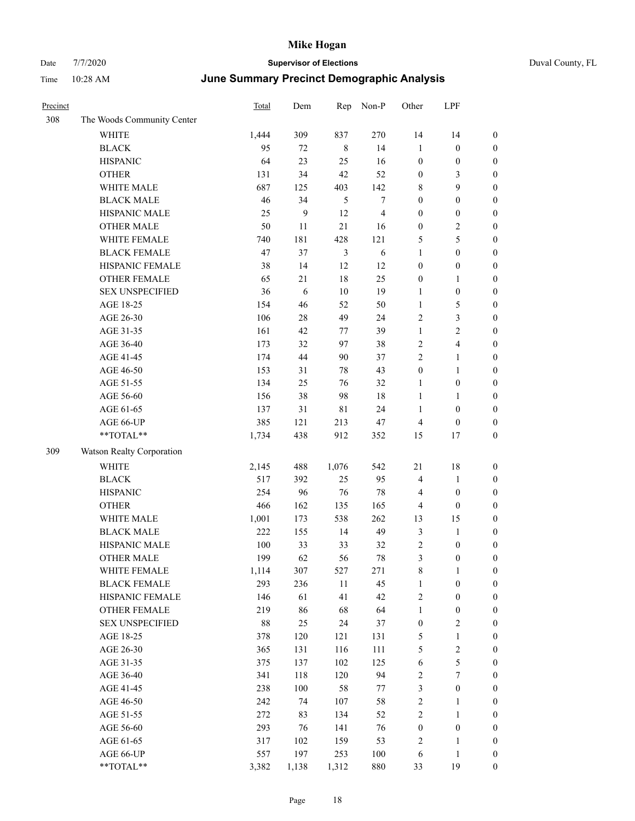| Precinct |                            | Total  | Dem   | Rep            | Non-P          | Other            | LPF                     |                  |
|----------|----------------------------|--------|-------|----------------|----------------|------------------|-------------------------|------------------|
| 308      | The Woods Community Center |        |       |                |                |                  |                         |                  |
|          | WHITE                      | 1,444  | 309   | 837            | 270            | 14               | 14                      | $\boldsymbol{0}$ |
|          | <b>BLACK</b>               | 95     | 72    | $\,$ 8 $\,$    | 14             | $\mathbf{1}$     | $\boldsymbol{0}$        | $\boldsymbol{0}$ |
|          | <b>HISPANIC</b>            | 64     | 23    | 25             | 16             | $\boldsymbol{0}$ | $\boldsymbol{0}$        | $\boldsymbol{0}$ |
|          | <b>OTHER</b>               | 131    | 34    | 42             | 52             | $\boldsymbol{0}$ | 3                       | 0                |
|          | WHITE MALE                 | 687    | 125   | 403            | 142            | 8                | 9                       | $\boldsymbol{0}$ |
|          | <b>BLACK MALE</b>          | 46     | 34    | $\mathfrak{H}$ | $\tau$         | $\boldsymbol{0}$ | $\boldsymbol{0}$        | $\boldsymbol{0}$ |
|          | HISPANIC MALE              | 25     | 9     | 12             | $\overline{4}$ | $\boldsymbol{0}$ | $\boldsymbol{0}$        | $\boldsymbol{0}$ |
|          | <b>OTHER MALE</b>          | 50     | 11    | $21\,$         | 16             | $\boldsymbol{0}$ | $\sqrt{2}$              | $\boldsymbol{0}$ |
|          | WHITE FEMALE               | 740    | 181   | 428            | 121            | 5                | 5                       | $\boldsymbol{0}$ |
|          | <b>BLACK FEMALE</b>        | 47     | 37    | $\mathfrak{Z}$ | $\sqrt{6}$     | $\mathbf{1}$     | $\boldsymbol{0}$        | $\boldsymbol{0}$ |
|          | HISPANIC FEMALE            | 38     | 14    | 12             | 12             | $\boldsymbol{0}$ | $\boldsymbol{0}$        | $\boldsymbol{0}$ |
|          | OTHER FEMALE               | 65     | 21    | $18\,$         | 25             | $\boldsymbol{0}$ | $\mathbf{1}$            | $\boldsymbol{0}$ |
|          | <b>SEX UNSPECIFIED</b>     | 36     | 6     | $10\,$         | 19             | $\mathbf{1}$     | $\boldsymbol{0}$        | $\boldsymbol{0}$ |
|          | AGE 18-25                  | 154    | 46    | 52             | 50             | $\mathbf{1}$     | $\mathfrak{S}$          | 0                |
|          | AGE 26-30                  | 106    | 28    | 49             | 24             | $\overline{c}$   | $\mathfrak{Z}$          | 0                |
|          | AGE 31-35                  | 161    | 42    | 77             | 39             | $\mathbf{1}$     | $\sqrt{2}$              | $\boldsymbol{0}$ |
|          | AGE 36-40                  | 173    | 32    | 97             | 38             | 2                | $\overline{\mathbf{4}}$ | $\boldsymbol{0}$ |
|          | AGE 41-45                  | 174    | 44    | 90             | 37             | $\overline{c}$   | $\mathbf{1}$            | $\boldsymbol{0}$ |
|          | AGE 46-50                  | 153    | 31    | 78             | 43             | $\boldsymbol{0}$ | $\mathbf{1}$            | $\boldsymbol{0}$ |
|          | AGE 51-55                  | 134    | 25    | 76             | 32             | $\mathbf{1}$     | $\boldsymbol{0}$        | $\boldsymbol{0}$ |
|          | AGE 56-60                  | 156    | 38    | 98             | 18             | $\mathbf{1}$     | $\mathbf{1}$            | $\boldsymbol{0}$ |
|          | AGE 61-65                  | 137    | 31    | $8\sqrt{1}$    | 24             | $\mathbf{1}$     | $\boldsymbol{0}$        | $\boldsymbol{0}$ |
|          | AGE 66-UP                  | 385    | 121   | 213            | 47             | 4                | $\boldsymbol{0}$        | 0                |
|          | **TOTAL**                  | 1,734  | 438   | 912            | 352            | 15               | 17                      | 0                |
| 309      | Watson Realty Corporation  |        |       |                |                |                  |                         |                  |
|          | <b>WHITE</b>               | 2,145  | 488   | 1,076          | 542            | 21               | 18                      | 0                |
|          | <b>BLACK</b>               | 517    | 392   | 25             | 95             | $\overline{4}$   | $\mathbf{1}$            | 0                |
|          | <b>HISPANIC</b>            | 254    | 96    | 76             | $78\,$         | 4                | $\boldsymbol{0}$        | 0                |
|          | <b>OTHER</b>               | 466    | 162   | 135            | 165            | 4                | $\boldsymbol{0}$        | $\boldsymbol{0}$ |
|          | WHITE MALE                 | 1,001  | 173   | 538            | 262            | 13               | 15                      | $\boldsymbol{0}$ |
|          | <b>BLACK MALE</b>          | 222    | 155   | 14             | 49             | 3                | $\mathbf{1}$            | $\boldsymbol{0}$ |
|          | HISPANIC MALE              | 100    | 33    | 33             | 32             | $\overline{c}$   | $\boldsymbol{0}$        | $\boldsymbol{0}$ |
|          | <b>OTHER MALE</b>          | 199    | 62    | 56             | 78             | 3                | $\boldsymbol{0}$        | $\boldsymbol{0}$ |
|          | WHITE FEMALE               | 1,114  | 307   | 527            | 271            | $\,$ 8 $\,$      | $\mathbf{1}$            | $\boldsymbol{0}$ |
|          | <b>BLACK FEMALE</b>        | 293    | 236   | $11\,$         | 45             | $\mathbf{1}$     | $\boldsymbol{0}$        | 0                |
|          | HISPANIC FEMALE            | 146    | 61    | 41             | 42             | $\sqrt{2}$       | $\boldsymbol{0}$        | 0                |
|          | OTHER FEMALE               | 219    | 86    | 68             | 64             | $\mathbf{1}$     | $\boldsymbol{0}$        | 0                |
|          | <b>SEX UNSPECIFIED</b>     | $88\,$ | 25    | 24             | 37             | $\boldsymbol{0}$ | $\sqrt{2}$              | 0                |
|          | AGE 18-25                  | 378    | 120   | 121            | 131            | 5                | $\mathbf{1}$            | $\boldsymbol{0}$ |
|          | AGE 26-30                  | 365    | 131   | 116            | 111            | 5                | $\sqrt{2}$              | $\overline{0}$   |
|          | AGE 31-35                  | 375    | 137   | 102            | 125            | 6                | 5                       | 0                |
|          | AGE 36-40                  | 341    | 118   | 120            | 94             | $\overline{c}$   | 7                       | $\overline{0}$   |
|          | AGE 41-45                  | 238    | 100   | 58             | 77             | 3                | $\boldsymbol{0}$        | $\overline{0}$   |
|          | AGE 46-50                  | 242    | 74    | 107            | 58             | $\sqrt{2}$       | $\mathbf{1}$            | 0                |
|          | AGE 51-55                  | 272    | 83    | 134            | 52             | $\sqrt{2}$       | $\mathbf{1}$            | 0                |
|          | AGE 56-60                  | 293    | 76    | 141            | 76             | $\boldsymbol{0}$ | $\boldsymbol{0}$        | 0                |
|          | AGE 61-65                  | 317    | 102   | 159            | 53             | $\overline{c}$   | $\mathbf{1}$            | 0                |
|          | AGE 66-UP                  | 557    | 197   | 253            | 100            | 6                | $\mathbf{1}$            | 0                |
|          | $**TOTAL**$                | 3,382  | 1,138 | 1,312          | 880            | 33               | 19                      | $\boldsymbol{0}$ |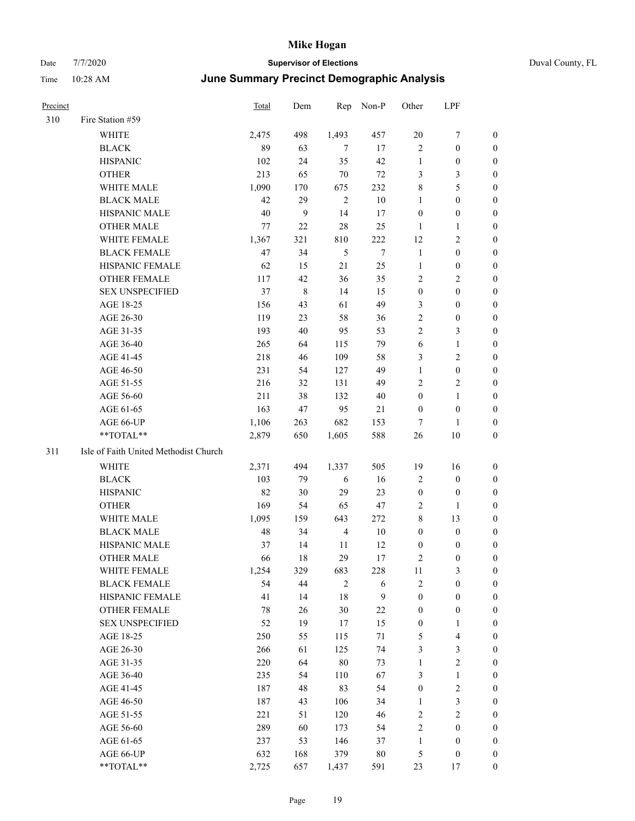| Precinct |                                       | <b>Total</b> | Dem | Rep            | Non-P        | Other            | LPF                     |                  |
|----------|---------------------------------------|--------------|-----|----------------|--------------|------------------|-------------------------|------------------|
| 310      | Fire Station #59                      |              |     |                |              |                  |                         |                  |
|          | WHITE                                 | 2,475        | 498 | 1,493          | 457          | $20\,$           | 7                       | $\boldsymbol{0}$ |
|          | <b>BLACK</b>                          | 89           | 63  | 7              | 17           | $\mathbf{2}$     | $\boldsymbol{0}$        | $\boldsymbol{0}$ |
|          | <b>HISPANIC</b>                       | 102          | 24  | 35             | 42           | $\mathbf{1}$     | $\boldsymbol{0}$        | 0                |
|          | <b>OTHER</b>                          | 213          | 65  | 70             | $72\,$       | 3                | $\mathfrak{Z}$          | 0                |
|          | WHITE MALE                            | 1,090        | 170 | 675            | 232          | 8                | $\mathfrak{S}$          | 0                |
|          | <b>BLACK MALE</b>                     | 42           | 29  | $\sqrt{2}$     | $10\,$       | $\mathbf{1}$     | $\boldsymbol{0}$        | $\boldsymbol{0}$ |
|          | HISPANIC MALE                         | 40           | 9   | 14             | 17           | $\boldsymbol{0}$ | $\boldsymbol{0}$        | $\boldsymbol{0}$ |
|          | <b>OTHER MALE</b>                     | 77           | 22  | 28             | 25           | $\mathbf{1}$     | $\mathbf{1}$            | $\boldsymbol{0}$ |
|          | WHITE FEMALE                          | 1,367        | 321 | 810            | 222          | 12               | $\sqrt{2}$              | 0                |
|          | <b>BLACK FEMALE</b>                   | 47           | 34  | $\sqrt{5}$     | $\tau$       | $\mathbf{1}$     | $\boldsymbol{0}$        | $\boldsymbol{0}$ |
|          | HISPANIC FEMALE                       | 62           | 15  | 21             | 25           | $\mathbf{1}$     | $\boldsymbol{0}$        | $\boldsymbol{0}$ |
|          | OTHER FEMALE                          | 117          | 42  | 36             | 35           | $\mathbf{2}$     | $\sqrt{2}$              | 0                |
|          | <b>SEX UNSPECIFIED</b>                | 37           | 8   | 14             | 15           | $\boldsymbol{0}$ | $\boldsymbol{0}$        | 0                |
|          | AGE 18-25                             | 156          | 43  | 61             | 49           | 3                | $\boldsymbol{0}$        | 0                |
|          | AGE 26-30                             | 119          | 23  | 58             | 36           | $\overline{c}$   | $\boldsymbol{0}$        | 0                |
|          | AGE 31-35                             | 193          | 40  | 95             | 53           | $\overline{c}$   | $\mathfrak{Z}$          | 0                |
|          | AGE 36-40                             | 265          | 64  | 115            | 79           | 6                | $\mathbf{1}$            | $\boldsymbol{0}$ |
|          | AGE 41-45                             | 218          | 46  | 109            | 58           | 3                | $\mathbf{2}$            | $\boldsymbol{0}$ |
|          | AGE 46-50                             | 231          | 54  | 127            | 49           | $\mathbf{1}$     | $\boldsymbol{0}$        | 0                |
|          | AGE 51-55                             | 216          | 32  | 131            | 49           | $\overline{c}$   | $\sqrt{2}$              | $\boldsymbol{0}$ |
|          | AGE 56-60                             | 211          | 38  | 132            | 40           | $\boldsymbol{0}$ | $\mathbf{1}$            | $\boldsymbol{0}$ |
|          | AGE 61-65                             | 163          | 47  | 95             | 21           | $\boldsymbol{0}$ | $\boldsymbol{0}$        | 0                |
|          | AGE 66-UP                             | 1,106        | 263 | 682            | 153          | 7                | 1                       | 0                |
|          | $**TOTAL**$                           | 2,879        | 650 | 1,605          | 588          | 26               | 10                      | 0                |
| 311      | Isle of Faith United Methodist Church |              |     |                |              |                  |                         |                  |
|          | WHITE                                 | 2,371        | 494 | 1,337          | 505          | 19               | 16                      | 0                |
|          | <b>BLACK</b>                          | 103          | 79  | 6              | 16           | 2                | $\boldsymbol{0}$        | 0                |
|          | <b>HISPANIC</b>                       | 82           | 30  | 29             | 23           | $\boldsymbol{0}$ | $\boldsymbol{0}$        | 0                |
|          | <b>OTHER</b>                          | 169          | 54  | 65             | 47           | 2                | $\mathbf{1}$            | $\boldsymbol{0}$ |
|          | WHITE MALE                            | 1,095        | 159 | 643            | 272          | 8                | 13                      | 0                |
|          | <b>BLACK MALE</b>                     | 48           | 34  | $\overline{4}$ | 10           | $\boldsymbol{0}$ | $\boldsymbol{0}$        | $\boldsymbol{0}$ |
|          | HISPANIC MALE                         | 37           | 14  | 11             | 12           | $\boldsymbol{0}$ | $\boldsymbol{0}$        | 0                |
|          | <b>OTHER MALE</b>                     | 66           | 18  | 29             | 17           | 2                | $\boldsymbol{0}$        | $\boldsymbol{0}$ |
|          | WHITE FEMALE                          | 1,254        | 329 | 683            | 228          | 11               | $\mathfrak{Z}$          | 0                |
|          | <b>BLACK FEMALE</b>                   | 54           | 44  | $\overline{2}$ | 6            | $\sqrt{2}$       | $\boldsymbol{0}$        | 0                |
|          | HISPANIC FEMALE                       | 41           | 14  | $18\,$         | $\mathbf{9}$ | $\boldsymbol{0}$ | $\boldsymbol{0}$        | 0                |
|          | OTHER FEMALE                          | $78\,$       | 26  | $30\,$         | $22\,$       | $\boldsymbol{0}$ | $\boldsymbol{0}$        | 0                |
|          | <b>SEX UNSPECIFIED</b>                | 52           | 19  | 17             | 15           | $\boldsymbol{0}$ | $\mathbf{1}$            | 0                |
|          | AGE 18-25                             | 250          | 55  | 115            | 71           | 5                | $\overline{\mathbf{4}}$ | $\overline{0}$   |
|          | AGE 26-30                             | 266          | 61  | 125            | 74           | 3                | $\mathfrak{Z}$          | 0                |
|          | AGE 31-35                             | 220          | 64  | $80\,$         | 73           | $\mathbf{1}$     | $\sqrt{2}$              | 0                |
|          | AGE 36-40                             | 235          | 54  | 110            | 67           | 3                | $\mathbf{1}$            | 0                |
|          | AGE 41-45                             | 187          | 48  | 83             | 54           | $\boldsymbol{0}$ | $\overline{2}$          | 0                |
|          | AGE 46-50                             | 187          | 43  | 106            | 34           | $\mathbf{1}$     | $\mathfrak{Z}$          | 0                |
|          | AGE 51-55                             | 221          | 51  | 120            | 46           | $\sqrt{2}$       | $\sqrt{2}$              | 0                |
|          | AGE 56-60                             | 289          | 60  | 173            | 54           | $\sqrt{2}$       | $\boldsymbol{0}$        | 0                |
|          | AGE 61-65                             | 237          | 53  | 146            | 37           | $\mathbf{1}$     | $\boldsymbol{0}$        | $\boldsymbol{0}$ |
|          | AGE 66-UP                             | 632          | 168 | 379            | $80\,$       | 5                | $\boldsymbol{0}$        | 0                |
|          | **TOTAL**                             | 2,725        | 657 | 1,437          | 591          | 23               | 17                      | $\boldsymbol{0}$ |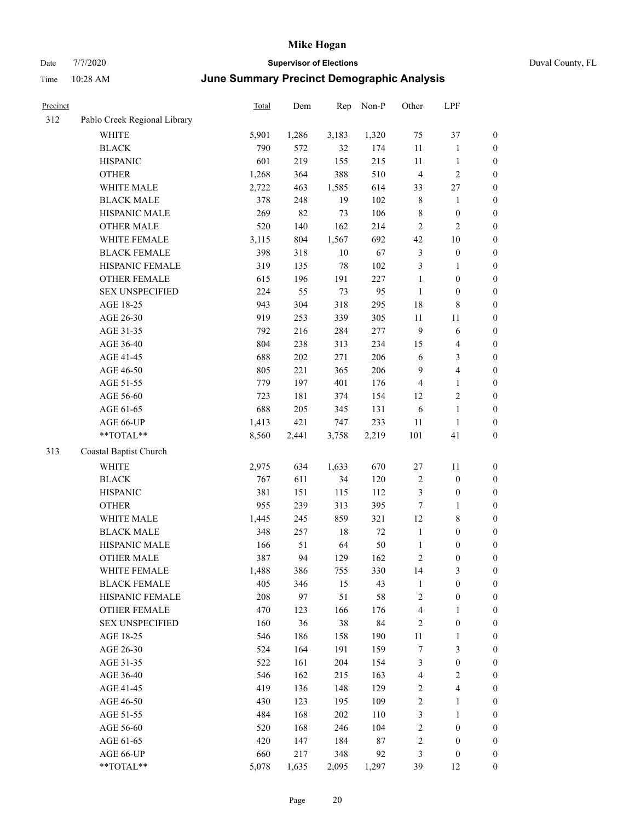## Date 7/7/2020 **Supervisor of Elections** Duval County, FL Time 10:28 AM **June Summary Precinct Demographic Analysis**

| Precinct |                              | <b>Total</b> | Dem   | Rep    | Non-P | Other            | LPF              |                  |
|----------|------------------------------|--------------|-------|--------|-------|------------------|------------------|------------------|
| 312      | Pablo Creek Regional Library |              |       |        |       |                  |                  |                  |
|          | WHITE                        | 5,901        | 1,286 | 3,183  | 1,320 | 75               | 37               | $\boldsymbol{0}$ |
|          | <b>BLACK</b>                 | 790          | 572   | 32     | 174   | $11\,$           | 1                | $\boldsymbol{0}$ |
|          | <b>HISPANIC</b>              | 601          | 219   | 155    | 215   | 11               | $\mathbf{1}$     | $\boldsymbol{0}$ |
|          | <b>OTHER</b>                 | 1,268        | 364   | 388    | 510   | $\overline{4}$   | $\overline{2}$   | $\boldsymbol{0}$ |
|          | WHITE MALE                   | 2,722        | 463   | 1,585  | 614   | 33               | 27               | $\boldsymbol{0}$ |
|          | <b>BLACK MALE</b>            | 378          | 248   | 19     | 102   | $\,$ 8 $\,$      | $\mathbf{1}$     | $\boldsymbol{0}$ |
|          | HISPANIC MALE                | 269          | 82    | 73     | 106   | 8                | $\boldsymbol{0}$ | $\boldsymbol{0}$ |
|          | <b>OTHER MALE</b>            | 520          | 140   | 162    | 214   | $\mathbf{2}$     | $\mathfrak{2}$   | $\boldsymbol{0}$ |
|          | WHITE FEMALE                 | 3,115        | 804   | 1,567  | 692   | 42               | 10               | $\boldsymbol{0}$ |
|          | <b>BLACK FEMALE</b>          | 398          | 318   | $10\,$ | 67    | $\mathfrak{Z}$   | $\boldsymbol{0}$ | $\boldsymbol{0}$ |
|          | HISPANIC FEMALE              | 319          | 135   | 78     | 102   | 3                | $\mathbf{1}$     | $\boldsymbol{0}$ |
|          | OTHER FEMALE                 | 615          | 196   | 191    | 227   | 1                | $\boldsymbol{0}$ | $\boldsymbol{0}$ |
|          | <b>SEX UNSPECIFIED</b>       | 224          | 55    | 73     | 95    | $\mathbf{1}$     | $\boldsymbol{0}$ | $\boldsymbol{0}$ |
|          | AGE 18-25                    | 943          | 304   | 318    | 295   | 18               | $\,$ 8 $\,$      | $\boldsymbol{0}$ |
|          | AGE 26-30                    | 919          | 253   | 339    | 305   | 11               | 11               | $\boldsymbol{0}$ |
|          | AGE 31-35                    | 792          | 216   | 284    | 277   | $\mathbf{9}$     | 6                | $\boldsymbol{0}$ |
|          | AGE 36-40                    | 804          | 238   | 313    | 234   | 15               | $\overline{4}$   | $\boldsymbol{0}$ |
|          | AGE 41-45                    | 688          | 202   | 271    | 206   | 6                | 3                | $\boldsymbol{0}$ |
|          | AGE 46-50                    | 805          | 221   | 365    | 206   | 9                | $\overline{4}$   | $\boldsymbol{0}$ |
|          | AGE 51-55                    | 779          | 197   | 401    | 176   | 4                | $\mathbf{1}$     | $\boldsymbol{0}$ |
|          | AGE 56-60                    | 723          | 181   | 374    | 154   | 12               | 2                | $\boldsymbol{0}$ |
|          | AGE 61-65                    | 688          | 205   | 345    | 131   | 6                | $\mathbf{1}$     | $\boldsymbol{0}$ |
|          | AGE 66-UP                    | 1,413        | 421   | 747    | 233   | 11               | $\mathbf{1}$     | $\boldsymbol{0}$ |
|          | **TOTAL**                    | 8,560        | 2,441 | 3,758  | 2,219 | 101              | 41               | $\boldsymbol{0}$ |
| 313      | Coastal Baptist Church       |              |       |        |       |                  |                  |                  |
|          | <b>WHITE</b>                 | 2,975        | 634   | 1,633  | 670   | 27               | 11               | $\boldsymbol{0}$ |
|          | <b>BLACK</b>                 | 767          | 611   | 34     | 120   | $\overline{2}$   | $\boldsymbol{0}$ | $\boldsymbol{0}$ |
|          | <b>HISPANIC</b>              | 381          | 151   | 115    | 112   | 3                | $\boldsymbol{0}$ | $\boldsymbol{0}$ |
|          | <b>OTHER</b>                 | 955          | 239   | 313    | 395   | 7                | 1                | $\boldsymbol{0}$ |
|          | WHITE MALE                   | 1,445        | 245   | 859    | 321   | 12               | $\,$ 8 $\,$      | $\boldsymbol{0}$ |
|          | <b>BLACK MALE</b>            | 348          | 257   | 18     | 72    | $\mathbf{1}$     | $\boldsymbol{0}$ | $\boldsymbol{0}$ |
|          | HISPANIC MALE                | 166          | 51    | 64     | 50    | $\mathbf{1}$     | $\boldsymbol{0}$ | $\boldsymbol{0}$ |
|          | <b>OTHER MALE</b>            | 387          | 94    | 129    | 162   | $\overline{c}$   | $\boldsymbol{0}$ | $\boldsymbol{0}$ |
|          | WHITE FEMALE                 | 1,488        | 386   | 755    | 330   | 14               | $\mathfrak{Z}$   | $\boldsymbol{0}$ |
|          | <b>BLACK FEMALE</b>          | 405          | 346   | 15     | 43    | 1                | $\boldsymbol{0}$ | $\boldsymbol{0}$ |
|          | HISPANIC FEMALE              | 208          | 97    | 51     | 58    | $\sqrt{2}$       | $\boldsymbol{0}$ | $\boldsymbol{0}$ |
|          | OTHER FEMALE                 | 470          | 123   | 166    | 176   | $\overline{4}$   | 1                | $\boldsymbol{0}$ |
|          | <b>SEX UNSPECIFIED</b>       | 160          | 36    | 38     | 84    | $\overline{c}$   | $\boldsymbol{0}$ | $\boldsymbol{0}$ |
|          | AGE 18-25                    | 546          | 186   | 158    | 190   | 11               | 1                | $\boldsymbol{0}$ |
|          | AGE 26-30                    | 524          | 164   | 191    | 159   | $\boldsymbol{7}$ | $\mathfrak{Z}$   | $\boldsymbol{0}$ |
|          | AGE 31-35                    | 522          | 161   | 204    | 154   | $\mathfrak{Z}$   | $\boldsymbol{0}$ | $\boldsymbol{0}$ |
|          | AGE 36-40                    | 546          | 162   | 215    | 163   | $\overline{4}$   | $\sqrt{2}$       | $\boldsymbol{0}$ |
|          | AGE 41-45                    | 419          | 136   | 148    | 129   | $\sqrt{2}$       | $\overline{4}$   | $\boldsymbol{0}$ |
|          | AGE 46-50                    | 430          | 123   | 195    | 109   | 2                | 1                | $\boldsymbol{0}$ |
|          | AGE 51-55                    | 484          | 168   | 202    | 110   | 3                | 1                | $\boldsymbol{0}$ |
|          |                              |              |       |        |       |                  |                  |                  |

AGE 56-60 520 168 246 104 2 0 0 AGE 61-65 420 147 184 87 2 0 0 AGE 66-UP 660 217 348 92 3 0 0 \*\*TOTAL\*\* 5,078 1,635 2,095 1,297 39 12 0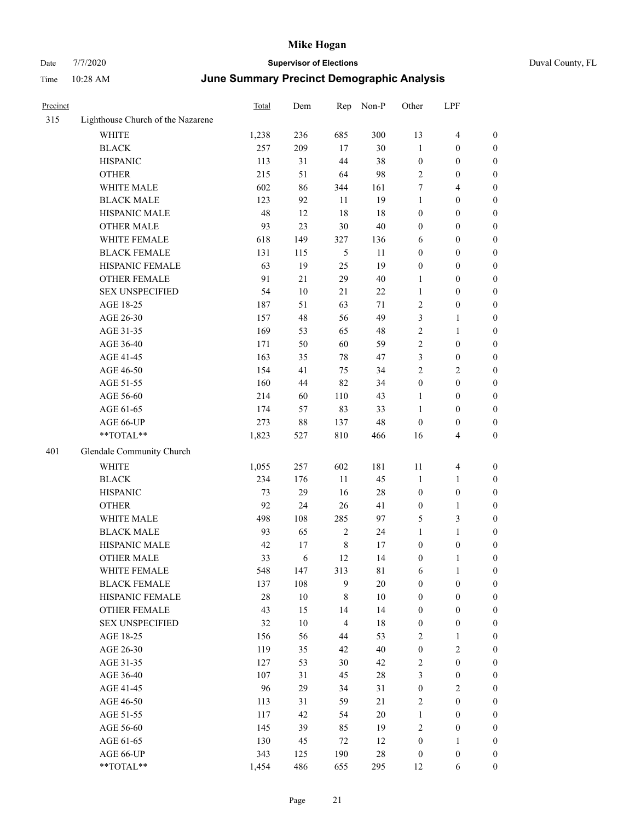| Precinct |                                   | Total | Dem        | Rep            | Non-P       | Other            | LPF              |                  |
|----------|-----------------------------------|-------|------------|----------------|-------------|------------------|------------------|------------------|
| 315      | Lighthouse Church of the Nazarene |       |            |                |             |                  |                  |                  |
|          | <b>WHITE</b>                      | 1,238 | 236        | 685            | 300         | 13               | $\overline{4}$   | $\boldsymbol{0}$ |
|          | <b>BLACK</b>                      | 257   | 209        | 17             | 30          | $\mathbf{1}$     | $\boldsymbol{0}$ | $\boldsymbol{0}$ |
|          | <b>HISPANIC</b>                   | 113   | 31         | 44             | 38          | $\boldsymbol{0}$ | $\boldsymbol{0}$ | $\boldsymbol{0}$ |
|          | <b>OTHER</b>                      | 215   | 51         | 64             | 98          | $\sqrt{2}$       | 0                | $\boldsymbol{0}$ |
|          | WHITE MALE                        | 602   | 86         | 344            | 161         | 7                | 4                | $\boldsymbol{0}$ |
|          | <b>BLACK MALE</b>                 | 123   | 92         | 11             | 19          | $\mathbf{1}$     | $\boldsymbol{0}$ | $\boldsymbol{0}$ |
|          | HISPANIC MALE                     | 48    | 12         | 18             | 18          | $\boldsymbol{0}$ | $\boldsymbol{0}$ | $\boldsymbol{0}$ |
|          | <b>OTHER MALE</b>                 | 93    | 23         | 30             | 40          | $\boldsymbol{0}$ | $\boldsymbol{0}$ | $\boldsymbol{0}$ |
|          | WHITE FEMALE                      | 618   | 149        | 327            | 136         | 6                | $\boldsymbol{0}$ | $\boldsymbol{0}$ |
|          | <b>BLACK FEMALE</b>               | 131   | 115        | 5              | 11          | $\boldsymbol{0}$ | $\boldsymbol{0}$ | $\boldsymbol{0}$ |
|          | HISPANIC FEMALE                   | 63    | 19         | 25             | 19          | $\boldsymbol{0}$ | $\boldsymbol{0}$ | $\boldsymbol{0}$ |
|          | <b>OTHER FEMALE</b>               | 91    | 21         | 29             | $40\,$      | 1                | $\boldsymbol{0}$ | $\boldsymbol{0}$ |
|          | <b>SEX UNSPECIFIED</b>            | 54    | 10         | 21             | 22          | $\mathbf{1}$     | $\boldsymbol{0}$ | $\boldsymbol{0}$ |
|          | AGE 18-25                         | 187   | 51         | 63             | 71          | $\sqrt{2}$       | $\boldsymbol{0}$ | $\boldsymbol{0}$ |
|          | AGE 26-30                         | 157   | 48         | 56             | 49          | $\mathfrak{Z}$   | 1                | $\boldsymbol{0}$ |
|          | AGE 31-35                         | 169   | 53         | 65             | 48          | $\sqrt{2}$       | 1                | $\boldsymbol{0}$ |
|          | AGE 36-40                         | 171   | 50         | 60             | 59          | $\sqrt{2}$       | $\boldsymbol{0}$ | $\boldsymbol{0}$ |
|          | AGE 41-45                         | 163   | 35         | $78\,$         | 47          | 3                | $\boldsymbol{0}$ | $\boldsymbol{0}$ |
|          | AGE 46-50                         | 154   | 41         | 75             | 34          | $\overline{2}$   | 2                | $\boldsymbol{0}$ |
|          | AGE 51-55                         | 160   | 44         | 82             | 34          | $\boldsymbol{0}$ | $\boldsymbol{0}$ | $\boldsymbol{0}$ |
|          | AGE 56-60                         | 214   | 60         | 110            | 43          | $\mathbf{1}$     | $\boldsymbol{0}$ | $\boldsymbol{0}$ |
|          | AGE 61-65                         | 174   | 57         | 83             | 33          | $\mathbf{1}$     | $\boldsymbol{0}$ | $\boldsymbol{0}$ |
|          | AGE 66-UP                         | 273   | $88\,$     | 137            | 48          | $\mathbf{0}$     | $\boldsymbol{0}$ | $\boldsymbol{0}$ |
|          | **TOTAL**                         | 1,823 | 527        | 810            | 466         | 16               | 4                | $\boldsymbol{0}$ |
| 401      | Glendale Community Church         |       |            |                |             |                  |                  |                  |
|          | <b>WHITE</b>                      | 1,055 | 257        | 602            | 181         | 11               | $\overline{4}$   | $\boldsymbol{0}$ |
|          | <b>BLACK</b>                      | 234   | 176        | 11             | 45          | $\mathbf{1}$     | 1                | $\boldsymbol{0}$ |
|          | <b>HISPANIC</b>                   | 73    | 29         | 16             | 28          | $\boldsymbol{0}$ | $\boldsymbol{0}$ | $\boldsymbol{0}$ |
|          | <b>OTHER</b>                      | 92    | 24         | 26             | 41          | $\boldsymbol{0}$ | 1                | $\boldsymbol{0}$ |
|          | WHITE MALE                        | 498   | 108        | 285            | 97          | $\mathfrak{H}$   | 3                | $\boldsymbol{0}$ |
|          | <b>BLACK MALE</b>                 | 93    | 65         | $\overline{2}$ | 24          | 1                | 1                | $\boldsymbol{0}$ |
|          | HISPANIC MALE                     | 42    | 17         | $\,$ 8 $\,$    | 17          | $\boldsymbol{0}$ | $\boldsymbol{0}$ | $\boldsymbol{0}$ |
|          | <b>OTHER MALE</b>                 | 33    | $\sqrt{6}$ | 12             | 14          | $\boldsymbol{0}$ | 1                | $\boldsymbol{0}$ |
|          | WHITE FEMALE                      | 548   | 147        | 313            | $8\sqrt{1}$ | 6                | $\mathbf{1}$     | $\mathbf{0}$     |
|          | <b>BLACK FEMALE</b>               | 137   | 108        | 9              | $20\,$      | $\boldsymbol{0}$ | $\boldsymbol{0}$ | $\boldsymbol{0}$ |
|          | HISPANIC FEMALE                   | 28    | 10         | $\,8\,$        | 10          | $\boldsymbol{0}$ | $\boldsymbol{0}$ | $\boldsymbol{0}$ |
|          | <b>OTHER FEMALE</b>               | 43    | 15         | 14             | 14          | $\boldsymbol{0}$ | $\boldsymbol{0}$ | $\boldsymbol{0}$ |
|          | <b>SEX UNSPECIFIED</b>            | 32    | $10\,$     | $\overline{4}$ | $18\,$      | $\boldsymbol{0}$ | $\boldsymbol{0}$ | $\boldsymbol{0}$ |
|          | AGE 18-25                         | 156   | 56         | 44             | 53          | $\sqrt{2}$       | 1                | $\boldsymbol{0}$ |
|          | AGE 26-30                         | 119   | 35         | 42             | 40          | $\boldsymbol{0}$ | $\mathbf{2}$     | $\boldsymbol{0}$ |
|          | AGE 31-35                         | 127   | 53         | 30             | 42          | $\sqrt{2}$       | $\boldsymbol{0}$ | $\boldsymbol{0}$ |
|          | AGE 36-40                         | 107   | 31         | 45             | $28\,$      | $\mathfrak{Z}$   | $\boldsymbol{0}$ | $\boldsymbol{0}$ |
|          | AGE 41-45                         | 96    | 29         | 34             | 31          | $\boldsymbol{0}$ | $\mathbf{2}$     | $\boldsymbol{0}$ |
|          | AGE 46-50                         | 113   | 31         | 59             | 21          | $\sqrt{2}$       | $\boldsymbol{0}$ | $\boldsymbol{0}$ |
|          | AGE 51-55                         | 117   | 42         | 54             | 20          | $\mathbf{1}$     | $\boldsymbol{0}$ | $\boldsymbol{0}$ |
|          | AGE 56-60                         | 145   | 39         | 85             | 19          | $\sqrt{2}$       | $\boldsymbol{0}$ | $\boldsymbol{0}$ |
|          | AGE 61-65                         | 130   | 45         | $72\,$         | 12          | $\boldsymbol{0}$ | $\mathbf{1}$     | $\boldsymbol{0}$ |
|          | AGE 66-UP                         | 343   | 125        | 190            | $28\,$      | $\boldsymbol{0}$ | $\boldsymbol{0}$ | $\mathbf{0}$     |
|          | **TOTAL**                         | 1,454 | 486        | 655            | 295         | 12               | 6                | $\boldsymbol{0}$ |
|          |                                   |       |            |                |             |                  |                  |                  |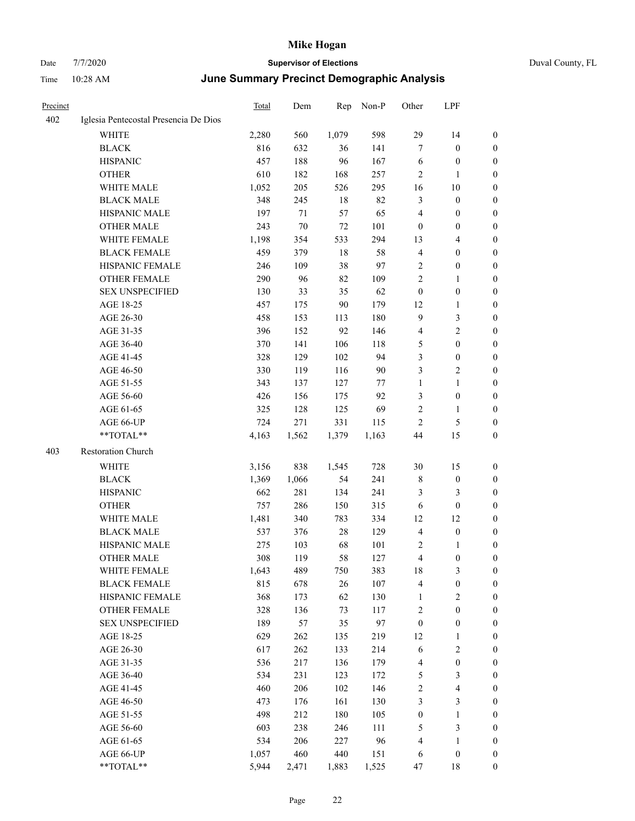| Precinct |                                       | <b>Total</b> | Dem    | Rep      | Non-P      | Other                   | LPF                     |                  |
|----------|---------------------------------------|--------------|--------|----------|------------|-------------------------|-------------------------|------------------|
| 402      | Iglesia Pentecostal Presencia De Dios |              |        |          |            |                         |                         |                  |
|          | WHITE                                 | 2,280        | 560    | 1,079    | 598        | 29                      | 14                      | $\boldsymbol{0}$ |
|          | <b>BLACK</b>                          | 816          | 632    | 36       | 141        | $\tau$                  | $\boldsymbol{0}$        | $\boldsymbol{0}$ |
|          | <b>HISPANIC</b>                       | 457          | 188    | 96       | 167        | 6                       | $\boldsymbol{0}$        | 0                |
|          | <b>OTHER</b>                          | 610          | 182    | 168      | 257        | 2                       | 1                       | 0                |
|          | WHITE MALE                            | 1,052        | 205    | 526      | 295        | 16                      | 10                      | 0                |
|          | <b>BLACK MALE</b>                     | 348          | 245    | 18       | 82         | 3                       | $\boldsymbol{0}$        | $\boldsymbol{0}$ |
|          | HISPANIC MALE                         | 197          | $71\,$ | 57       | 65         | $\overline{4}$          | $\boldsymbol{0}$        | $\boldsymbol{0}$ |
|          | <b>OTHER MALE</b>                     | 243          | $70\,$ | $72\,$   | 101        | $\boldsymbol{0}$        | $\boldsymbol{0}$        | $\boldsymbol{0}$ |
|          | WHITE FEMALE                          | 1,198        | 354    | 533      | 294        | 13                      | $\overline{\mathbf{4}}$ | $\boldsymbol{0}$ |
|          | <b>BLACK FEMALE</b>                   | 459          | 379    | $18\,$   | 58         | $\overline{4}$          | $\boldsymbol{0}$        | $\boldsymbol{0}$ |
|          | HISPANIC FEMALE                       | 246          | 109    | 38       | 97         | $\overline{c}$          | $\boldsymbol{0}$        | $\boldsymbol{0}$ |
|          | <b>OTHER FEMALE</b>                   | 290          | 96     | 82       | 109        | $\overline{c}$          | $\mathbf{1}$            | $\boldsymbol{0}$ |
|          | <b>SEX UNSPECIFIED</b>                | 130          | 33     | 35       | 62         | $\boldsymbol{0}$        | $\boldsymbol{0}$        | 0                |
|          | AGE 18-25                             | 457          | 175    | $90\,$   | 179        | 12                      | $\mathbf{1}$            | 0                |
|          | AGE 26-30                             | 458          | 153    | 113      | 180        | $\overline{9}$          | $\mathfrak{Z}$          | 0                |
|          | AGE 31-35                             | 396          | 152    | 92       | 146        | 4                       | $\sqrt{2}$              | 0                |
|          | AGE 36-40                             | 370          | 141    | 106      | 118        | 5                       | $\boldsymbol{0}$        | 0                |
|          | AGE 41-45                             | 328          | 129    | 102      | 94         | 3                       | $\boldsymbol{0}$        | $\boldsymbol{0}$ |
|          | AGE 46-50                             | 330          | 119    | 116      | 90         | 3                       | $\sqrt{2}$              | $\boldsymbol{0}$ |
|          | AGE 51-55                             | 343          | 137    | 127      | 77         | $\mathbf{1}$            | $\mathbf{1}$            | $\boldsymbol{0}$ |
|          | AGE 56-60                             | 426          | 156    | 175      | 92         | 3                       | $\boldsymbol{0}$        | $\boldsymbol{0}$ |
|          | AGE 61-65                             | 325          | 128    | 125      | 69         | $\sqrt{2}$              | $\mathbf{1}$            | $\boldsymbol{0}$ |
|          | AGE 66-UP                             | 724          | 271    | 331      | 115        | $\overline{c}$          | $\mathfrak{S}$          | 0                |
|          | **TOTAL**                             | 4,163        | 1,562  | 1,379    | 1,163      | 44                      | 15                      | 0                |
| 403      | Restoration Church                    |              |        |          |            |                         |                         |                  |
|          | WHITE                                 | 3,156        | 838    | 1,545    | 728        | 30                      | 15                      | 0                |
|          | <b>BLACK</b>                          | 1,369        | 1,066  | 54       | 241        | $\,$ 8 $\,$             | $\boldsymbol{0}$        | 0                |
|          | <b>HISPANIC</b>                       | 662          | 281    | 134      | 241        | 3                       | 3                       | 0                |
|          | <b>OTHER</b>                          | 757          | 286    | 150      | 315        | 6                       | $\boldsymbol{0}$        | 0                |
|          | WHITE MALE                            | 1,481        |        |          | 334        |                         |                         |                  |
|          |                                       |              | 340    | 783      |            | 12                      | 12<br>$\boldsymbol{0}$  | $\boldsymbol{0}$ |
|          | <b>BLACK MALE</b>                     | 537          | 376    | 28<br>68 | 129        | 4                       |                         | $\boldsymbol{0}$ |
|          | HISPANIC MALE                         | 275          | 103    | 58       | 101<br>127 | $\overline{c}$<br>4     | 1                       | 0                |
|          | <b>OTHER MALE</b>                     | 308          | 119    |          |            |                         | $\boldsymbol{0}$        | $\boldsymbol{0}$ |
|          | WHITE FEMALE                          | 1,643        | 489    | 750      | 383        | 18                      | $\mathfrak{Z}$          | $\boldsymbol{0}$ |
|          | <b>BLACK FEMALE</b>                   | 815          | 678    | $26\,$   | 107        | $\overline{\mathbf{4}}$ | $\boldsymbol{0}$        | 0                |
|          | HISPANIC FEMALE                       | 368          | 173    | 62       | 130        | 1                       | $\sqrt{2}$              | 0                |
|          | <b>OTHER FEMALE</b>                   | 328          | 136    | 73       | 117        | $\overline{c}$          | $\boldsymbol{0}$        | 0                |
|          | <b>SEX UNSPECIFIED</b>                | 189          | 57     | 35       | 97         | $\boldsymbol{0}$        | $\boldsymbol{0}$        | 0                |
|          | AGE 18-25                             | 629          | 262    | 135      | 219        | 12                      | $\mathbf{1}$            | 0                |
|          | AGE 26-30                             | 617          | 262    | 133      | 214        | 6                       | $\sqrt{2}$              | $\boldsymbol{0}$ |
|          | AGE 31-35                             | 536          | 217    | 136      | 179        | 4                       | $\boldsymbol{0}$        | $\overline{0}$   |
|          | AGE 36-40                             | 534          | 231    | 123      | 172        | 5                       | $\mathfrak{Z}$          | 0                |
|          | AGE 41-45                             | 460          | 206    | 102      | 146        | $\overline{c}$          | $\overline{\mathbf{4}}$ | 0                |
|          | AGE 46-50                             | 473          | 176    | 161      | 130        | 3                       | $\mathfrak{Z}$          | 0                |
|          | AGE 51-55                             | 498          | 212    | 180      | 105        | $\boldsymbol{0}$        | $\mathbf{1}$            | 0                |
|          | AGE 56-60                             | 603          | 238    | 246      | 111        | 5                       | $\mathfrak{Z}$          | 0                |
|          | AGE 61-65                             | 534          | 206    | 227      | 96         | $\overline{4}$          | $\mathbf{1}$            | 0                |
|          | AGE 66-UP                             | 1,057        | 460    | 440      | 151        | 6                       | $\boldsymbol{0}$        | 0                |
|          | $**TOTAL**$                           | 5,944        | 2,471  | 1,883    | 1,525      | 47                      | $18\,$                  | $\boldsymbol{0}$ |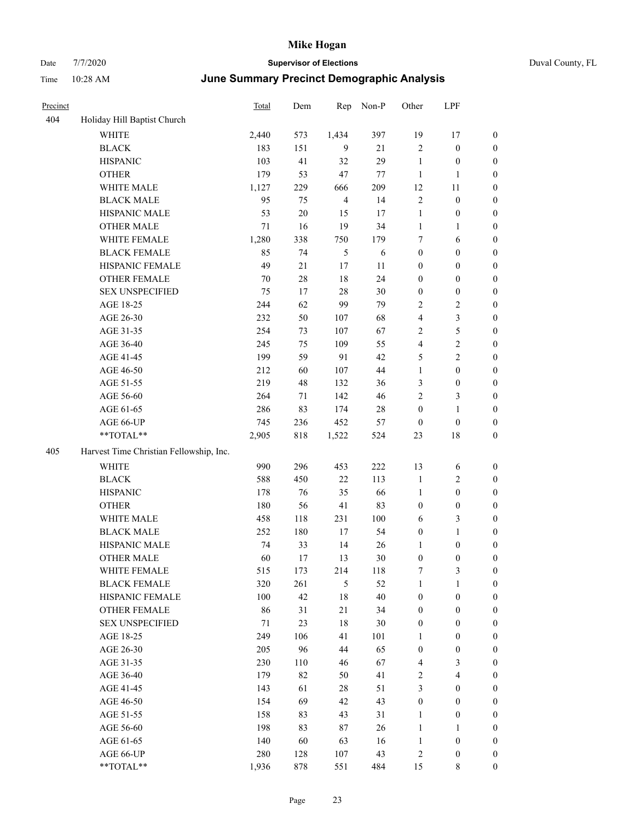| Precinct |                                                             | <b>Total</b> | Dem    | Rep            | Non-P  | Other            | LPF                     |                  |
|----------|-------------------------------------------------------------|--------------|--------|----------------|--------|------------------|-------------------------|------------------|
| 404      | Holiday Hill Baptist Church                                 |              |        |                |        |                  |                         |                  |
|          | <b>WHITE</b>                                                | 2,440        | 573    | 1,434          | 397    | 19               | 17                      | $\boldsymbol{0}$ |
|          | <b>BLACK</b>                                                | 183          | 151    | 9              | 21     | $\overline{c}$   | $\boldsymbol{0}$        | $\boldsymbol{0}$ |
|          | <b>HISPANIC</b>                                             | 103          | 41     | 32             | 29     | $\mathbf{1}$     | $\boldsymbol{0}$        | $\boldsymbol{0}$ |
|          | <b>OTHER</b>                                                | 179          | 53     | 47             | 77     | $\mathbf{1}$     | $\mathbf{1}$            | $\boldsymbol{0}$ |
|          | WHITE MALE                                                  | 1,127        | 229    | 666            | 209    | 12               | 11                      | $\boldsymbol{0}$ |
|          | <b>BLACK MALE</b>                                           | 95           | 75     | $\overline{4}$ | 14     | $\sqrt{2}$       | $\boldsymbol{0}$        | $\boldsymbol{0}$ |
|          | HISPANIC MALE                                               | 53           | $20\,$ | 15             | 17     | $\mathbf{1}$     | $\boldsymbol{0}$        | $\boldsymbol{0}$ |
|          | <b>OTHER MALE</b>                                           | $71\,$       | 16     | 19             | 34     | $\mathbf{1}$     | $\mathbf{1}$            | $\boldsymbol{0}$ |
|          | WHITE FEMALE                                                | 1,280        | 338    | 750            | 179    | 7                | 6                       | 0                |
|          | <b>BLACK FEMALE</b>                                         | 85           | 74     | 5              | 6      | $\boldsymbol{0}$ | $\boldsymbol{0}$        | 0                |
|          | HISPANIC FEMALE                                             | 49           | 21     | 17             | 11     | $\boldsymbol{0}$ | $\boldsymbol{0}$        | $\boldsymbol{0}$ |
|          | OTHER FEMALE                                                | 70           | 28     | 18             | 24     | $\boldsymbol{0}$ | $\boldsymbol{0}$        | $\boldsymbol{0}$ |
|          | <b>SEX UNSPECIFIED</b>                                      | 75           | 17     | 28             | 30     | $\boldsymbol{0}$ | $\boldsymbol{0}$        | $\boldsymbol{0}$ |
|          | AGE 18-25                                                   | 244          | 62     | 99             | 79     | 2                | $\mathfrak{2}$          | $\boldsymbol{0}$ |
|          | AGE 26-30                                                   | 232          | 50     | 107            | 68     | 4                | $\mathfrak{Z}$          | $\boldsymbol{0}$ |
|          | AGE 31-35                                                   | 254          | 73     | 107            | 67     | $\mathfrak{2}$   | $\mathfrak{S}$          | $\boldsymbol{0}$ |
|          | AGE 36-40                                                   | 245          | 75     | 109            | 55     | 4                | $\sqrt{2}$              | $\boldsymbol{0}$ |
|          | AGE 41-45                                                   | 199          | 59     | 91             | 42     | 5                | $\sqrt{2}$              | $\boldsymbol{0}$ |
|          | AGE 46-50                                                   | 212          | 60     | 107            | 44     | $\mathbf{1}$     | $\boldsymbol{0}$        | 0                |
|          | AGE 51-55                                                   | 219          | 48     | 132            | 36     | 3                | $\boldsymbol{0}$        | 0                |
|          | AGE 56-60                                                   | 264          | $71\,$ | 142            | 46     | $\mathfrak{2}$   | 3                       | $\boldsymbol{0}$ |
|          | AGE 61-65                                                   | 286          | 83     | 174            | $28\,$ | $\boldsymbol{0}$ | $\mathbf{1}$            | $\boldsymbol{0}$ |
|          | AGE 66-UP                                                   | 745          | 236    | 452            | 57     | $\boldsymbol{0}$ | $\boldsymbol{0}$        | $\boldsymbol{0}$ |
|          | **TOTAL**                                                   | 2,905        | 818    | 1,522          | 524    | 23               | 18                      | $\boldsymbol{0}$ |
| 405      | Harvest Time Christian Fellowship, Inc.                     |              |        |                |        |                  |                         |                  |
|          | <b>WHITE</b>                                                | 990          | 296    | 453            | 222    | 13               | 6                       | $\boldsymbol{0}$ |
|          | <b>BLACK</b>                                                | 588          | 450    | 22             | 113    | $\mathbf{1}$     | $\overline{c}$          | $\boldsymbol{0}$ |
|          | <b>HISPANIC</b>                                             | 178          | 76     | 35             | 66     | $\mathbf{1}$     | $\boldsymbol{0}$        | $\boldsymbol{0}$ |
|          | <b>OTHER</b>                                                | 180          | 56     | 41             | 83     | $\boldsymbol{0}$ | $\boldsymbol{0}$        | $\boldsymbol{0}$ |
|          | WHITE MALE                                                  | 458          | 118    | 231            | 100    | 6                | $\mathfrak{Z}$          | $\boldsymbol{0}$ |
|          | <b>BLACK MALE</b>                                           | 252          | 180    | 17             | 54     | $\boldsymbol{0}$ | $\mathbf{1}$            | $\boldsymbol{0}$ |
|          | HISPANIC MALE                                               | 74           | 33     | 14             | 26     | $\mathbf{1}$     | $\boldsymbol{0}$        | 0                |
|          | <b>OTHER MALE</b>                                           | 60           | 17     | 13             | 30     | $\boldsymbol{0}$ | 0                       | $\boldsymbol{0}$ |
|          | WHITE FEMALE                                                | 515          | 173    | 214            | 118    | 7                | $\mathfrak{Z}$          | $\boldsymbol{0}$ |
|          | <b>BLACK FEMALE</b>                                         | 320          | 261    | $\mathfrak{H}$ | 52     | $\mathbf{1}$     | $\mathbf{1}$            | $\boldsymbol{0}$ |
|          | HISPANIC FEMALE                                             | 100          | 42     | 18             | $40\,$ | $\boldsymbol{0}$ | $\boldsymbol{0}$        | 0                |
|          | <b>OTHER FEMALE</b>                                         | 86           | 31     | 21             | 34     | $\boldsymbol{0}$ | $\boldsymbol{0}$        | 0                |
|          | <b>SEX UNSPECIFIED</b>                                      | 71           | 23     | $18\,$         | $30\,$ | $\boldsymbol{0}$ | $\boldsymbol{0}$        | $\boldsymbol{0}$ |
|          | AGE 18-25                                                   | 249          | 106    | 41             | 101    | $\mathbf{1}$     | $\boldsymbol{0}$        | 0                |
|          | AGE 26-30                                                   | 205          | 96     | 44             | 65     | $\boldsymbol{0}$ | $\boldsymbol{0}$        | 0                |
|          | AGE 31-35                                                   | 230          | 110    | 46             | 67     | $\overline{4}$   | $\mathfrak{Z}$          | 0                |
|          | AGE 36-40                                                   | 179          | 82     | 50             | 41     | $\overline{c}$   | $\overline{\mathbf{4}}$ | 0                |
|          | AGE 41-45                                                   | 143          | 61     | 28             | 51     | 3                | $\boldsymbol{0}$        | $\boldsymbol{0}$ |
|          | AGE 46-50                                                   | 154          | 69     | 42             | 43     | $\boldsymbol{0}$ | $\boldsymbol{0}$        | $\boldsymbol{0}$ |
|          | AGE 51-55                                                   | 158          | 83     | 43             | 31     | $\mathbf{1}$     | $\boldsymbol{0}$        | $\boldsymbol{0}$ |
|          | AGE 56-60                                                   | 198          | 83     | $87\,$         | 26     | $\mathbf{1}$     | $\mathbf{1}$            | 0                |
|          | AGE 61-65                                                   | 140          | 60     | 63             | 16     | $\mathbf{1}$     | $\boldsymbol{0}$        | $\boldsymbol{0}$ |
|          | AGE 66-UP                                                   | 280          | 128    | 107            | 43     | $\overline{c}$   | $\boldsymbol{0}$        | $\boldsymbol{0}$ |
|          | $\mathrm{*}\mathrm{*} \mathrm{TOTAL} \mathrm{*} \mathrm{*}$ | 1,936        | 878    | 551            | 484    | 15               | 8                       | $\overline{0}$   |
|          |                                                             |              |        |                |        |                  |                         |                  |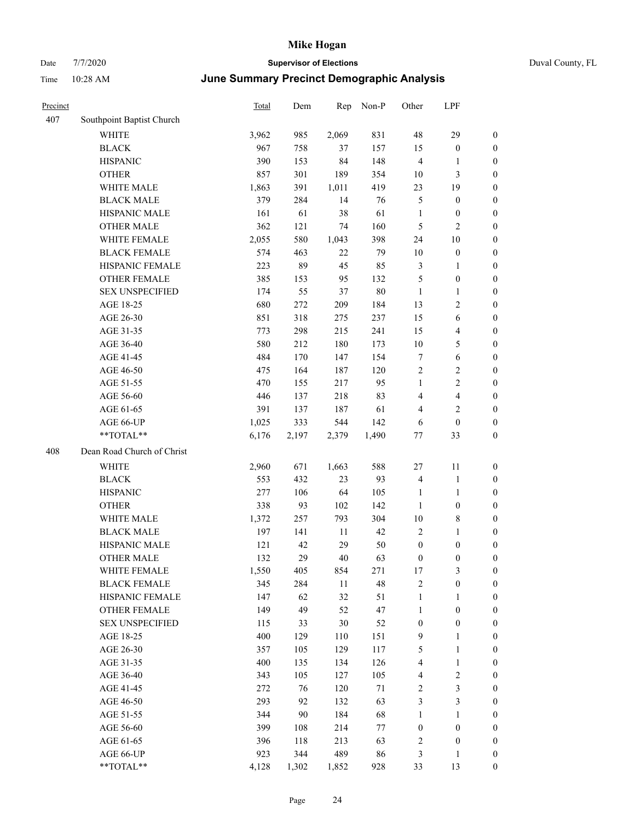| Duval Cou |  |
|-----------|--|

| Precinct |                            | Total | Dem    | Rep    | Non-P  | Other            | LPF                     |                  |
|----------|----------------------------|-------|--------|--------|--------|------------------|-------------------------|------------------|
| 407      | Southpoint Baptist Church  |       |        |        |        |                  |                         |                  |
|          | <b>WHITE</b>               | 3,962 | 985    | 2,069  | 831    | 48               | 29                      | $\boldsymbol{0}$ |
|          | <b>BLACK</b>               | 967   | 758    | 37     | 157    | 15               | $\boldsymbol{0}$        | $\boldsymbol{0}$ |
|          | <b>HISPANIC</b>            | 390   | 153    | 84     | 148    | $\overline{4}$   | 1                       | $\boldsymbol{0}$ |
|          | <b>OTHER</b>               | 857   | 301    | 189    | 354    | 10               | $\mathfrak{Z}$          | $\boldsymbol{0}$ |
|          | WHITE MALE                 | 1,863 | 391    | 1,011  | 419    | 23               | 19                      | $\boldsymbol{0}$ |
|          | <b>BLACK MALE</b>          | 379   | 284    | 14     | 76     | 5                | $\boldsymbol{0}$        | $\boldsymbol{0}$ |
|          | HISPANIC MALE              | 161   | 61     | 38     | 61     | $\mathbf{1}$     | $\boldsymbol{0}$        | $\boldsymbol{0}$ |
|          | <b>OTHER MALE</b>          | 362   | 121    | 74     | 160    | 5                | $\mathfrak{2}$          | 0                |
|          | WHITE FEMALE               | 2,055 | 580    | 1,043  | 398    | 24               | $10\,$                  | 0                |
|          | <b>BLACK FEMALE</b>        | 574   | 463    | 22     | 79     | 10               | $\boldsymbol{0}$        | $\boldsymbol{0}$ |
|          | HISPANIC FEMALE            | 223   | 89     | 45     | 85     | 3                | $\mathbf{1}$            | $\boldsymbol{0}$ |
|          | OTHER FEMALE               | 385   | 153    | 95     | 132    | 5                | $\boldsymbol{0}$        | $\boldsymbol{0}$ |
|          | <b>SEX UNSPECIFIED</b>     | 174   | 55     | 37     | 80     | $\mathbf{1}$     | $\mathbf{1}$            | $\boldsymbol{0}$ |
|          | AGE 18-25                  | 680   | 272    | 209    | 184    | 13               | $\sqrt{2}$              | $\boldsymbol{0}$ |
|          | AGE 26-30                  | 851   | 318    | 275    | 237    | 15               | $\sqrt{6}$              | $\boldsymbol{0}$ |
|          | AGE 31-35                  | 773   | 298    | 215    | 241    | 15               | $\overline{\mathbf{4}}$ | $\boldsymbol{0}$ |
|          | AGE 36-40                  | 580   | 212    | 180    | 173    | $10\,$           | $\mathfrak{S}$          | $\boldsymbol{0}$ |
|          | AGE 41-45                  | 484   | 170    | 147    | 154    | 7                | $\sqrt{6}$              | $\boldsymbol{0}$ |
|          | AGE 46-50                  | 475   | 164    | 187    | 120    | $\sqrt{2}$       | $\sqrt{2}$              | 0                |
|          | AGE 51-55                  | 470   | 155    | 217    | 95     | 1                | $\sqrt{2}$              | 0                |
|          | AGE 56-60                  | 446   | 137    | 218    | 83     | 4                | $\overline{\mathbf{4}}$ | $\boldsymbol{0}$ |
|          | AGE 61-65                  | 391   | 137    | 187    | 61     | 4                | $\mathfrak{2}$          | $\boldsymbol{0}$ |
|          | AGE 66-UP                  | 1,025 | 333    | 544    | 142    | 6                | $\boldsymbol{0}$        | $\boldsymbol{0}$ |
|          | **TOTAL**                  | 6,176 | 2,197  | 2,379  | 1,490  | 77               | 33                      | $\boldsymbol{0}$ |
| 408      | Dean Road Church of Christ |       |        |        |        |                  |                         |                  |
|          | <b>WHITE</b>               | 2,960 | 671    | 1,663  | 588    | 27               | 11                      | $\boldsymbol{0}$ |
|          | <b>BLACK</b>               | 553   | 432    | 23     | 93     | $\overline{4}$   | $\mathbf{1}$            | $\boldsymbol{0}$ |
|          | <b>HISPANIC</b>            | 277   | 106    | 64     | 105    | $\mathbf{1}$     | $\mathbf{1}$            | $\boldsymbol{0}$ |
|          | <b>OTHER</b>               | 338   | 93     | 102    | 142    | $\mathbf{1}$     | $\boldsymbol{0}$        | $\boldsymbol{0}$ |
|          | WHITE MALE                 | 1,372 | 257    | 793    | 304    | $10\,$           | $\,$ 8 $\,$             | 0                |
|          | <b>BLACK MALE</b>          | 197   | 141    | 11     | 42     | $\overline{2}$   | $\mathbf{1}$            | 0                |
|          | HISPANIC MALE              | 121   | 42     | 29     | 50     | $\boldsymbol{0}$ | $\boldsymbol{0}$        | 0                |
|          | <b>OTHER MALE</b>          | 132   | 29     | 40     | 63     | $\boldsymbol{0}$ | $\boldsymbol{0}$        | $\boldsymbol{0}$ |
|          | WHITE FEMALE               | 1,550 | 405    | 854    | 271    | $17\,$           | $\mathfrak{Z}$          | $\boldsymbol{0}$ |
|          | <b>BLACK FEMALE</b>        | 345   | 284    | 11     | 48     | $\sqrt{2}$       | $\boldsymbol{0}$        | $\boldsymbol{0}$ |
|          | HISPANIC FEMALE            | 147   | 62     | 32     | 51     | $\mathbf{1}$     | $\mathbf{1}$            | $\overline{0}$   |
|          | <b>OTHER FEMALE</b>        | 149   | 49     | 52     | 47     | $\mathbf{1}$     | $\boldsymbol{0}$        | $\overline{0}$   |
|          | <b>SEX UNSPECIFIED</b>     | 115   | 33     | $30\,$ | 52     | $\boldsymbol{0}$ | $\boldsymbol{0}$        | $\theta$         |
|          | AGE 18-25                  | 400   | 129    | 110    | 151    | 9                | $\mathbf{1}$            | 0                |
|          | AGE 26-30                  | 357   | 105    | 129    | 117    | 5                | $\mathbf{1}$            | 0                |
|          | AGE 31-35                  | 400   | 135    | 134    | 126    | $\overline{4}$   | $\mathbf{1}$            | 0                |
|          | AGE 36-40                  | 343   | 105    | 127    | 105    | 4                | $\sqrt{2}$              | 0                |
|          | AGE 41-45                  | 272   | 76     | 120    | $71\,$ | 2                | $\mathfrak{Z}$          | $\boldsymbol{0}$ |
|          | AGE 46-50                  | 293   | 92     | 132    | 63     | $\mathfrak{Z}$   | $\mathfrak{Z}$          | $\boldsymbol{0}$ |
|          | AGE 51-55                  | 344   | $90\,$ | 184    | 68     | $\mathbf{1}$     | $\mathbf{1}$            | $\boldsymbol{0}$ |
|          | AGE 56-60                  | 399   | 108    | 214    | 77     | $\boldsymbol{0}$ | $\boldsymbol{0}$        | $\boldsymbol{0}$ |
|          | AGE 61-65                  | 396   | 118    | 213    | 63     | 2                | $\boldsymbol{0}$        | $\boldsymbol{0}$ |
|          | AGE 66-UP                  | 923   | 344    | 489    | 86     | 3                | $\mathbf{1}$            | $\boldsymbol{0}$ |
|          | **TOTAL**                  | 4,128 | 1,302  | 1,852  | 928    | 33               | 13                      | $\overline{0}$   |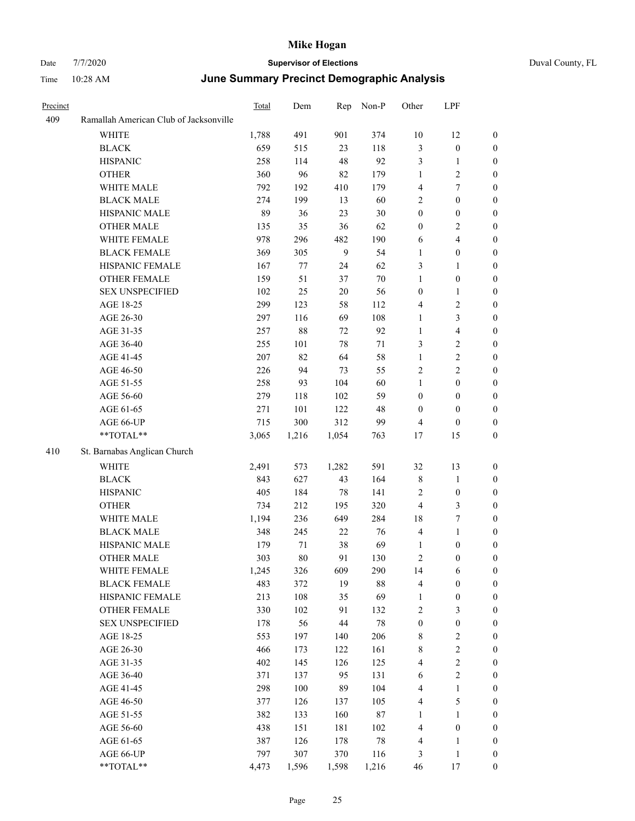| Precinct |                                        | Total      | Dem        | Rep      | Non-P      | Other                        | LPF               |                                      |
|----------|----------------------------------------|------------|------------|----------|------------|------------------------------|-------------------|--------------------------------------|
| 409      | Ramallah American Club of Jacksonville |            |            |          |            |                              |                   |                                      |
|          | <b>WHITE</b>                           | 1,788      | 491        | 901      | 374        | 10                           | 12                | $\mathbf{0}$                         |
|          | <b>BLACK</b>                           | 659        | 515        | 23       | 118        | $\mathfrak{Z}$               | $\boldsymbol{0}$  | $\boldsymbol{0}$                     |
|          | <b>HISPANIC</b>                        | 258        | 114        | 48       | 92         | $\mathfrak{Z}$               | 1                 | $\boldsymbol{0}$                     |
|          | <b>OTHER</b>                           | 360        | 96         | 82       | 179        | 1                            | $\mathbf{2}$      | $\boldsymbol{0}$                     |
|          | WHITE MALE                             | 792        | 192        | 410      | 179        | $\overline{4}$               | 7                 | $\boldsymbol{0}$                     |
|          | <b>BLACK MALE</b>                      | 274        | 199        | 13       | 60         | $\mathbf{2}$                 | $\boldsymbol{0}$  | $\boldsymbol{0}$                     |
|          | HISPANIC MALE                          | 89         | 36         | 23       | 30         | $\boldsymbol{0}$             | $\boldsymbol{0}$  | $\boldsymbol{0}$                     |
|          | <b>OTHER MALE</b>                      | 135        | 35         | 36       | 62         | $\boldsymbol{0}$             | 2                 | $\boldsymbol{0}$                     |
|          | WHITE FEMALE                           | 978        | 296        | 482      | 190        | 6                            | 4                 | $\boldsymbol{0}$                     |
|          | <b>BLACK FEMALE</b>                    | 369        | 305        | 9        | 54         | $\mathbf{1}$                 | $\boldsymbol{0}$  | $\boldsymbol{0}$                     |
|          | HISPANIC FEMALE                        | 167        | 77         | 24       | 62         | 3                            | 1                 | $\boldsymbol{0}$                     |
|          | <b>OTHER FEMALE</b>                    | 159        | 51         | 37       | 70         | $\mathbf{1}$                 | $\boldsymbol{0}$  | $\boldsymbol{0}$                     |
|          | <b>SEX UNSPECIFIED</b>                 | 102        | 25         | 20       | 56         | $\boldsymbol{0}$             | 1                 | $\boldsymbol{0}$                     |
|          | AGE 18-25                              | 299        | 123        | 58       | 112        | $\overline{4}$               | 2                 | $\boldsymbol{0}$                     |
|          | AGE 26-30                              | 297        | 116        | 69       | 108        | $\mathbf{1}$                 | 3                 | $\boldsymbol{0}$                     |
|          | AGE 31-35                              | 257        | $88\,$     | 72       | 92         | $\mathbf{1}$                 | 4                 | $\boldsymbol{0}$                     |
|          | AGE 36-40                              | 255        | 101        | 78       | 71         | 3                            | 2                 | $\boldsymbol{0}$                     |
|          | AGE 41-45                              | 207        | 82         | 64       | 58         | $\mathbf{1}$                 | $\overline{c}$    | $\boldsymbol{0}$                     |
|          | AGE 46-50                              | 226        | 94         | 73       | 55         | $\overline{c}$               | 2                 | $\boldsymbol{0}$                     |
|          | AGE 51-55                              | 258        | 93         | 104      | 60         | $\mathbf{1}$                 | $\boldsymbol{0}$  | $\boldsymbol{0}$                     |
|          | AGE 56-60                              | 279        | 118        | 102      | 59         | $\boldsymbol{0}$             | $\boldsymbol{0}$  | $\boldsymbol{0}$                     |
|          | AGE 61-65                              | 271        | 101        | 122      | 48         | $\boldsymbol{0}$             | $\boldsymbol{0}$  | $\boldsymbol{0}$                     |
|          | AGE 66-UP                              | 715        | 300        | 312      | 99         | $\overline{4}$               | $\boldsymbol{0}$  | $\boldsymbol{0}$                     |
|          | **TOTAL**                              | 3,065      | 1,216      | 1,054    | 763        | 17                           | 15                | $\boldsymbol{0}$                     |
| 410      | St. Barnabas Anglican Church           |            |            |          |            |                              |                   |                                      |
|          | <b>WHITE</b>                           | 2,491      | 573        | 1,282    | 591        | 32                           | 13                | $\boldsymbol{0}$                     |
|          | <b>BLACK</b>                           | 843        | 627        | 43       | 164        | $\,$ 8 $\,$                  | $\mathbf{1}$      | $\boldsymbol{0}$                     |
|          | <b>HISPANIC</b>                        | 405        | 184        | 78       | 141        | $\overline{2}$               | $\boldsymbol{0}$  | $\boldsymbol{0}$                     |
|          | <b>OTHER</b>                           | 734        | 212        | 195      | 320        | $\overline{4}$               | 3                 | $\boldsymbol{0}$                     |
|          | WHITE MALE                             | 1,194      | 236        | 649      | 284        | 18                           | 7                 | $\boldsymbol{0}$                     |
|          | <b>BLACK MALE</b>                      | 348        | 245        | 22       | 76         | $\overline{4}$               | 1                 | $\boldsymbol{0}$                     |
|          | HISPANIC MALE                          | 179        | 71         | 38       | 69         | $\mathbf{1}$                 | $\boldsymbol{0}$  | $\boldsymbol{0}$                     |
|          | <b>OTHER MALE</b>                      | 303        | 80         | 91       | 130        | $\overline{c}$               | $\boldsymbol{0}$  | $\boldsymbol{0}$                     |
|          | WHITE FEMALE                           | 1,245      | 326        | 609      | 290        | 14                           | 6                 | $\boldsymbol{0}$                     |
|          | <b>BLACK FEMALE</b>                    | 483        | 372        | 19       | $88\,$     | $\overline{4}$               | $\boldsymbol{0}$  | $\boldsymbol{0}$                     |
|          | HISPANIC FEMALE                        | 213        | 108        | 35       | 69         | $\mathbf{1}$                 | $\boldsymbol{0}$  | $\boldsymbol{0}$                     |
|          | <b>OTHER FEMALE</b>                    | 330        | 102        | 91       | 132        | $\sqrt{2}$                   | 3                 | $\boldsymbol{0}$                     |
|          | <b>SEX UNSPECIFIED</b>                 | 178        | 56         | 44       | $78\,$     | $\boldsymbol{0}$             | $\boldsymbol{0}$  | $\boldsymbol{0}$                     |
|          | AGE 18-25                              | 553        | 197        | 140      | 206        | 8                            | $\boldsymbol{2}$  | $\boldsymbol{0}$                     |
|          | AGE 26-30                              | 466        | 173        | 122      | 161        | $8\,$                        | $\overline{c}$    | $\boldsymbol{0}$                     |
|          | AGE 31-35                              | 402        | 145        | 126      | 125        | $\overline{\mathbf{4}}$      | $\overline{c}$    | $\boldsymbol{0}$                     |
|          |                                        |            |            |          |            |                              |                   |                                      |
|          | AGE 36-40<br>AGE 41-45                 | 371<br>298 | 137<br>100 | 95<br>89 | 131<br>104 | 6<br>$\overline{\mathbf{4}}$ | 2<br>$\mathbf{1}$ | $\boldsymbol{0}$<br>$\boldsymbol{0}$ |
|          |                                        |            |            |          |            |                              |                   |                                      |
|          | AGE 46-50                              | 377        | 126        | 137      | 105        | $\overline{4}$               | 5                 | $\boldsymbol{0}$                     |
|          | AGE 51-55                              | 382        | 133        | 160      | 87         | $\mathbf{1}$                 | $\mathbf{1}$      | $\boldsymbol{0}$                     |
|          | AGE 56-60                              | 438        | 151        | 181      | 102        | $\overline{4}$               | $\boldsymbol{0}$  | $\boldsymbol{0}$                     |
|          | AGE 61-65                              | 387<br>797 | 126<br>307 | 178      | $78\,$     | $\overline{4}$<br>3          | 1                 | $\boldsymbol{0}$                     |
|          | AGE 66-UP<br>$**TOTAL**$               | 4,473      | 1,596      | 370      | 116        |                              | 1                 | $\boldsymbol{0}$<br>$\boldsymbol{0}$ |
|          |                                        |            |            | 1,598    | 1,216      | 46                           | $17\,$            |                                      |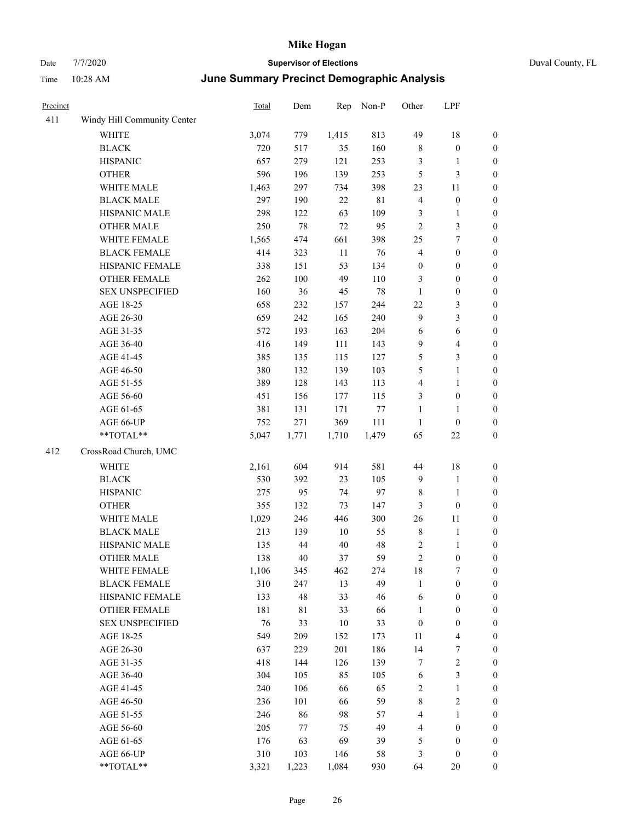| Precinct |                             | Total | Dem     | Rep    | Non-P       | Other            | LPF                     |                  |
|----------|-----------------------------|-------|---------|--------|-------------|------------------|-------------------------|------------------|
| 411      | Windy Hill Community Center |       |         |        |             |                  |                         |                  |
|          | <b>WHITE</b>                | 3,074 | 779     | 1,415  | 813         | 49               | 18                      | $\boldsymbol{0}$ |
|          | <b>BLACK</b>                | 720   | 517     | 35     | 160         | $\,$ 8 $\,$      | $\boldsymbol{0}$        | $\boldsymbol{0}$ |
|          | <b>HISPANIC</b>             | 657   | 279     | 121    | 253         | $\mathfrak{Z}$   | 1                       | $\boldsymbol{0}$ |
|          | <b>OTHER</b>                | 596   | 196     | 139    | 253         | 5                | 3                       | $\boldsymbol{0}$ |
|          | WHITE MALE                  | 1,463 | 297     | 734    | 398         | 23               | 11                      | $\boldsymbol{0}$ |
|          | <b>BLACK MALE</b>           | 297   | 190     | $22\,$ | $8\sqrt{1}$ | $\overline{4}$   | $\boldsymbol{0}$        | $\boldsymbol{0}$ |
|          | HISPANIC MALE               | 298   | 122     | 63     | 109         | $\mathfrak{Z}$   | $\mathbf{1}$            | $\boldsymbol{0}$ |
|          | <b>OTHER MALE</b>           | 250   | $78\,$  | 72     | 95          | $\overline{2}$   | 3                       | $\boldsymbol{0}$ |
|          | WHITE FEMALE                | 1,565 | 474     | 661    | 398         | 25               | 7                       | $\boldsymbol{0}$ |
|          | <b>BLACK FEMALE</b>         | 414   | 323     | 11     | 76          | $\overline{4}$   | $\boldsymbol{0}$        | $\boldsymbol{0}$ |
|          | HISPANIC FEMALE             | 338   | 151     | 53     | 134         | $\boldsymbol{0}$ | $\boldsymbol{0}$        | $\boldsymbol{0}$ |
|          | <b>OTHER FEMALE</b>         | 262   | $100\,$ | 49     | 110         | 3                | $\boldsymbol{0}$        | $\boldsymbol{0}$ |
|          | <b>SEX UNSPECIFIED</b>      | 160   | 36      | 45     | 78          | $\mathbf{1}$     | $\boldsymbol{0}$        | $\boldsymbol{0}$ |
|          | AGE 18-25                   | 658   | 232     | 157    | 244         | 22               | 3                       | $\boldsymbol{0}$ |
|          | AGE 26-30                   | 659   | 242     | 165    | 240         | 9                | 3                       | $\boldsymbol{0}$ |
|          | AGE 31-35                   | 572   | 193     | 163    | 204         | 6                | 6                       | $\boldsymbol{0}$ |
|          | AGE 36-40                   | 416   | 149     | 111    | 143         | 9                | $\overline{4}$          | $\boldsymbol{0}$ |
|          | AGE 41-45                   | 385   | 135     | 115    | 127         | 5                | 3                       | $\boldsymbol{0}$ |
|          | AGE 46-50                   | 380   | 132     | 139    | 103         | 5                | 1                       | $\boldsymbol{0}$ |
|          | AGE 51-55                   | 389   | 128     | 143    | 113         | $\overline{4}$   | 1                       | $\boldsymbol{0}$ |
|          | AGE 56-60                   | 451   | 156     | 177    | 115         | 3                | $\boldsymbol{0}$        | $\boldsymbol{0}$ |
|          | AGE 61-65                   | 381   | 131     | 171    | 77          | $\mathbf{1}$     | $\mathbf{1}$            | $\boldsymbol{0}$ |
|          | AGE 66-UP                   | 752   | 271     | 369    | 111         | $\mathbf{1}$     | $\boldsymbol{0}$        | $\boldsymbol{0}$ |
|          | **TOTAL**                   | 5,047 | 1,771   | 1,710  | 1,479       | 65               | 22                      | $\boldsymbol{0}$ |
| 412      | CrossRoad Church, UMC       |       |         |        |             |                  |                         |                  |
|          | WHITE                       | 2,161 | 604     | 914    | 581         | 44               | 18                      | $\boldsymbol{0}$ |
|          | <b>BLACK</b>                | 530   | 392     | 23     | 105         | 9                | 1                       | $\boldsymbol{0}$ |
|          | <b>HISPANIC</b>             | 275   | 95      | 74     | 97          | 8                | 1                       | $\boldsymbol{0}$ |
|          | <b>OTHER</b>                | 355   | 132     | 73     | 147         | 3                | $\boldsymbol{0}$        | $\boldsymbol{0}$ |
|          | WHITE MALE                  | 1,029 | 246     | 446    | 300         | 26               | 11                      | $\boldsymbol{0}$ |
|          | <b>BLACK MALE</b>           | 213   | 139     | $10\,$ | 55          | $\,$ 8 $\,$      | 1                       | $\boldsymbol{0}$ |
|          | HISPANIC MALE               | 135   | 44      | 40     | 48          | $\sqrt{2}$       | 1                       | $\boldsymbol{0}$ |
|          | <b>OTHER MALE</b>           | 138   | 40      | 37     | 59          | $\mathfrak{2}$   | $\boldsymbol{0}$        | $\boldsymbol{0}$ |
|          | WHITE FEMALE                | 1,106 | 345     | 462    | 274         | 18               | $\boldsymbol{7}$        | $\boldsymbol{0}$ |
|          | <b>BLACK FEMALE</b>         | 310   | 247     | 13     | 49          | $\mathbf{1}$     | $\boldsymbol{0}$        | $\boldsymbol{0}$ |
|          | HISPANIC FEMALE             | 133   | 48      | 33     | 46          | 6                | $\boldsymbol{0}$        | $\boldsymbol{0}$ |
|          | OTHER FEMALE                | 181   | 81      | 33     | 66          | 1                | $\boldsymbol{0}$        | $\boldsymbol{0}$ |
|          | <b>SEX UNSPECIFIED</b>      | 76    | 33      | $10\,$ | 33          | $\boldsymbol{0}$ | $\boldsymbol{0}$        | $\boldsymbol{0}$ |
|          | AGE 18-25                   | 549   | 209     | 152    | 173         | 11               | $\overline{4}$          | $\boldsymbol{0}$ |
|          | AGE 26-30                   | 637   | 229     | 201    | 186         | 14               | $\boldsymbol{7}$        | $\boldsymbol{0}$ |
|          | AGE 31-35                   | 418   | 144     | 126    | 139         | $\boldsymbol{7}$ | $\sqrt{2}$              | $\boldsymbol{0}$ |
|          | AGE 36-40                   | 304   | 105     | 85     | 105         | 6                | 3                       | $\boldsymbol{0}$ |
|          | AGE 41-45                   | 240   | 106     | 66     | 65          | $\sqrt{2}$       | 1                       | $\boldsymbol{0}$ |
|          | AGE 46-50                   | 236   | 101     | 66     | 59          | $\,$ 8 $\,$      | $\overline{\mathbf{c}}$ | $\boldsymbol{0}$ |
|          | AGE 51-55                   | 246   | 86      | 98     | 57          | $\overline{4}$   | 1                       | $\boldsymbol{0}$ |
|          | AGE 56-60                   | 205   | 77      | 75     | 49          | $\overline{4}$   | $\boldsymbol{0}$        | $\boldsymbol{0}$ |
|          | AGE 61-65                   | 176   | 63      | 69     | 39          | $\sqrt{5}$       | $\boldsymbol{0}$        | $\boldsymbol{0}$ |
|          | AGE 66-UP                   | 310   | 103     | 146    | 58          | 3                | $\boldsymbol{0}$        | $\boldsymbol{0}$ |
|          | **TOTAL**                   | 3,321 | 1,223   | 1,084  | 930         | 64               | $20\,$                  | $\boldsymbol{0}$ |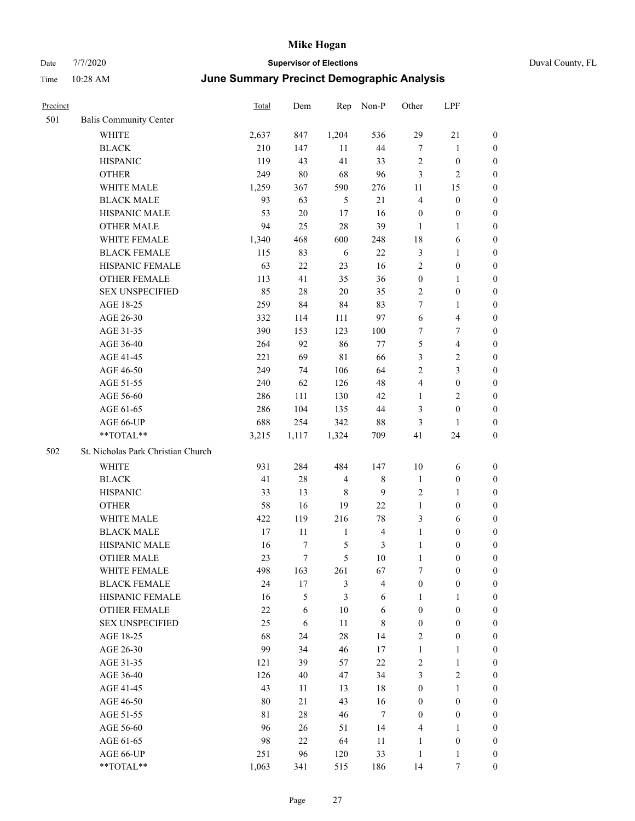| Precinct |                                    | <b>Total</b> | Dem            | Rep            | Non-P          | Other            | LPF                     |                  |
|----------|------------------------------------|--------------|----------------|----------------|----------------|------------------|-------------------------|------------------|
| 501      | <b>Balis Community Center</b>      |              |                |                |                |                  |                         |                  |
|          | WHITE                              | 2,637        | 847            | 1,204          | 536            | 29               | 21                      | $\mathbf{0}$     |
|          | <b>BLACK</b>                       | 210          | 147            | 11             | 44             | $\tau$           | 1                       | $\boldsymbol{0}$ |
|          | <b>HISPANIC</b>                    | 119          | 43             | 41             | 33             | $\sqrt{2}$       | $\boldsymbol{0}$        | $\boldsymbol{0}$ |
|          | <b>OTHER</b>                       | 249          | $80\,$         | 68             | 96             | 3                | 2                       | $\boldsymbol{0}$ |
|          | WHITE MALE                         | 1,259        | 367            | 590            | 276            | 11               | 15                      | $\boldsymbol{0}$ |
|          | <b>BLACK MALE</b>                  | 93           | 63             | $\mathfrak{H}$ | 21             | $\overline{4}$   | $\boldsymbol{0}$        | $\boldsymbol{0}$ |
|          | HISPANIC MALE                      | 53           | $20\,$         | 17             | 16             | $\boldsymbol{0}$ | $\boldsymbol{0}$        | $\boldsymbol{0}$ |
|          | <b>OTHER MALE</b>                  | 94           | 25             | 28             | 39             | $\mathbf{1}$     | 1                       | $\boldsymbol{0}$ |
|          | WHITE FEMALE                       | 1,340        | 468            | 600            | 248            | 18               | 6                       | $\boldsymbol{0}$ |
|          | <b>BLACK FEMALE</b>                | 115          | 83             | 6              | 22             | $\mathfrak{Z}$   | 1                       | $\boldsymbol{0}$ |
|          | HISPANIC FEMALE                    | 63           | 22             | 23             | 16             | $\sqrt{2}$       | $\boldsymbol{0}$        | $\boldsymbol{0}$ |
|          | <b>OTHER FEMALE</b>                | 113          | 41             | 35             | 36             | $\boldsymbol{0}$ | 1                       | $\boldsymbol{0}$ |
|          | <b>SEX UNSPECIFIED</b>             | 85           | $28\,$         | $20\,$         | 35             | $\overline{2}$   | $\boldsymbol{0}$        | $\boldsymbol{0}$ |
|          | AGE 18-25                          | 259          | 84             | 84             | 83             | $\tau$           | 1                       | $\boldsymbol{0}$ |
|          | AGE 26-30                          | 332          | 114            | 111            | 97             | 6                | $\overline{4}$          | $\boldsymbol{0}$ |
|          | AGE 31-35                          | 390          | 153            | 123            | 100            | 7                | 7                       | $\boldsymbol{0}$ |
|          | AGE 36-40                          | 264          | 92             | 86             | 77             | 5                | 4                       | $\boldsymbol{0}$ |
|          | AGE 41-45                          | 221          | 69             | 81             | 66             | 3                | $\overline{\mathbf{c}}$ | $\boldsymbol{0}$ |
|          | AGE 46-50                          | 249          | 74             | 106            | 64             | 2                | 3                       | $\boldsymbol{0}$ |
|          | AGE 51-55                          | 240          | 62             | 126            | 48             | $\overline{4}$   | $\boldsymbol{0}$        | $\boldsymbol{0}$ |
|          | AGE 56-60                          | 286          | 111            | 130            | 42             | $\mathbf{1}$     | 2                       | $\boldsymbol{0}$ |
|          | AGE 61-65                          | 286          | 104            | 135            | 44             | 3                | $\boldsymbol{0}$        | $\boldsymbol{0}$ |
|          | AGE 66-UP                          | 688          | 254            | 342            | 88             | $\mathfrak{Z}$   | 1                       | $\boldsymbol{0}$ |
|          | **TOTAL**                          | 3,215        | 1,117          | 1,324          | 709            | 41               | 24                      | $\boldsymbol{0}$ |
| 502      | St. Nicholas Park Christian Church |              |                |                |                |                  |                         |                  |
|          | WHITE                              | 931          | 284            | 484            | 147            | 10               | 6                       | $\boldsymbol{0}$ |
|          | <b>BLACK</b>                       | 41           | $28\,$         | $\overline{4}$ | 8              | $\mathbf{1}$     | $\boldsymbol{0}$        | $\boldsymbol{0}$ |
|          | <b>HISPANIC</b>                    | 33           | 13             | 8              | 9              | $\sqrt{2}$       | 1                       | $\boldsymbol{0}$ |
|          | <b>OTHER</b>                       | 58           | 16             | 19             | $22\,$         | $\mathbf{1}$     | $\boldsymbol{0}$        | $\boldsymbol{0}$ |
|          | WHITE MALE                         | 422          | 119            | 216            | 78             | 3                | 6                       | $\boldsymbol{0}$ |
|          | <b>BLACK MALE</b>                  | 17           | 11             | $\mathbf{1}$   | 4              | $\mathbf{1}$     | $\boldsymbol{0}$        | $\boldsymbol{0}$ |
|          | HISPANIC MALE                      | 16           | 7              | $\mathfrak{S}$ | 3              | $\mathbf{1}$     | $\boldsymbol{0}$        | $\boldsymbol{0}$ |
|          | <b>OTHER MALE</b>                  | 23           | $\overline{7}$ | 5              | 10             | 1                | $\boldsymbol{0}$        | $\boldsymbol{0}$ |
|          | WHITE FEMALE                       | 498          | 163            | 261            | 67             | $\tau$           | $\boldsymbol{0}$        | $\boldsymbol{0}$ |
|          | <b>BLACK FEMALE</b>                | 24           | $17\,$         | $\mathfrak{Z}$ | $\overline{4}$ | $\boldsymbol{0}$ | $\boldsymbol{0}$        | $\boldsymbol{0}$ |
|          | HISPANIC FEMALE                    | 16           | 5              | 3              | 6              | $\mathbf{1}$     | 1                       | $\boldsymbol{0}$ |
|          | OTHER FEMALE                       | 22           | 6              | 10             | $\sqrt{6}$     | $\boldsymbol{0}$ | $\boldsymbol{0}$        | $\boldsymbol{0}$ |
|          | <b>SEX UNSPECIFIED</b>             | 25           | 6              | 11             | $\,$ 8 $\,$    | $\boldsymbol{0}$ | $\boldsymbol{0}$        | $\boldsymbol{0}$ |
|          | AGE 18-25                          | 68           | 24             | $28\,$         | 14             | $\sqrt{2}$       | $\boldsymbol{0}$        | $\boldsymbol{0}$ |
|          | AGE 26-30                          | 99           | 34             | 46             | 17             | $\mathbf{1}$     | 1                       | $\boldsymbol{0}$ |
|          | AGE 31-35                          | 121          | 39             | 57             | $22\,$         | $\sqrt{2}$       | 1                       | $\boldsymbol{0}$ |
|          | AGE 36-40                          | 126          | 40             | 47             | 34             | 3                | 2                       | $\boldsymbol{0}$ |
|          | AGE 41-45                          | 43           | 11             | 13             | $18\,$         | $\boldsymbol{0}$ | 1                       | $\boldsymbol{0}$ |
|          | AGE 46-50                          | 80           | 21             | 43             | 16             | $\boldsymbol{0}$ | $\boldsymbol{0}$        | $\boldsymbol{0}$ |
|          | AGE 51-55                          | $8\sqrt{1}$  | $28\,$         | 46             | $\tau$         | $\boldsymbol{0}$ | $\boldsymbol{0}$        | $\boldsymbol{0}$ |
|          | AGE 56-60                          | 96           | 26             | 51             | 14             | $\overline{4}$   | 1                       | $\boldsymbol{0}$ |
|          | AGE 61-65                          | 98           | 22             | 64             | 11             | $\mathbf{1}$     | $\boldsymbol{0}$        | $\boldsymbol{0}$ |
|          | AGE 66-UP                          | 251          | 96             | 120            | 33             | 1                | 1                       | $\boldsymbol{0}$ |
|          | **TOTAL**                          | 1,063        | 341            | 515            | 186            | 14               | $\tau$                  | $\boldsymbol{0}$ |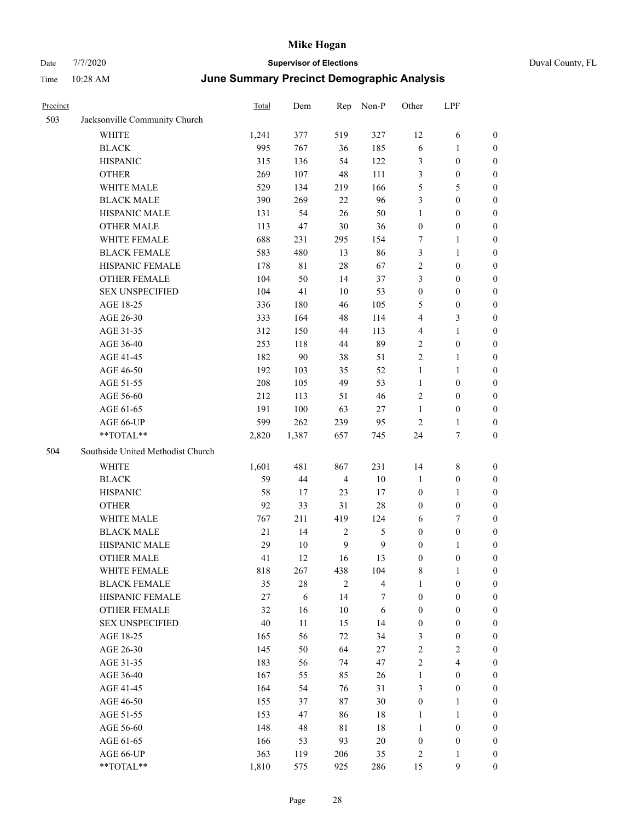| Precinct |                                   | <b>Total</b> | Dem        | Rep            | Non-P                   | Other            | LPF                     |                  |
|----------|-----------------------------------|--------------|------------|----------------|-------------------------|------------------|-------------------------|------------------|
| 503      | Jacksonville Community Church     |              |            |                |                         |                  |                         |                  |
|          | <b>WHITE</b>                      | 1,241        | 377        | 519            | 327                     | 12               | 6                       | $\boldsymbol{0}$ |
|          | <b>BLACK</b>                      | 995          | 767        | 36             | 185                     | 6                | $\mathbf{1}$            | $\boldsymbol{0}$ |
|          | <b>HISPANIC</b>                   | 315          | 136        | 54             | 122                     | 3                | $\boldsymbol{0}$        | $\boldsymbol{0}$ |
|          | <b>OTHER</b>                      | 269          | 107        | 48             | 111                     | 3                | $\boldsymbol{0}$        | $\boldsymbol{0}$ |
|          | WHITE MALE                        | 529          | 134        | 219            | 166                     | 5                | 5                       | 0                |
|          | <b>BLACK MALE</b>                 | 390          | 269        | 22             | 96                      | 3                | $\boldsymbol{0}$        | 0                |
|          | HISPANIC MALE                     | 131          | 54         | 26             | 50                      | $\mathbf{1}$     | $\boldsymbol{0}$        | 0                |
|          | <b>OTHER MALE</b>                 | 113          | 47         | $30\,$         | 36                      | $\boldsymbol{0}$ | $\boldsymbol{0}$        | $\boldsymbol{0}$ |
|          | WHITE FEMALE                      | 688          | 231        | 295            | 154                     | 7                | $\mathbf{1}$            | $\boldsymbol{0}$ |
|          | <b>BLACK FEMALE</b>               | 583          | 480        | 13             | 86                      | 3                | $\mathbf{1}$            | $\boldsymbol{0}$ |
|          | HISPANIC FEMALE                   | 178          | 81         | 28             | 67                      | $\sqrt{2}$       | $\boldsymbol{0}$        | $\boldsymbol{0}$ |
|          | OTHER FEMALE                      | 104          | 50         | 14             | 37                      | 3                | $\boldsymbol{0}$        | $\boldsymbol{0}$ |
|          | <b>SEX UNSPECIFIED</b>            | 104          | 41         | $10\,$         | 53                      | $\boldsymbol{0}$ | $\boldsymbol{0}$        | $\boldsymbol{0}$ |
|          | AGE 18-25                         | 336          | 180        | 46             | 105                     | 5                | $\boldsymbol{0}$        | $\boldsymbol{0}$ |
|          | AGE 26-30                         | 333          | 164        | 48             | 114                     | 4                | $\mathfrak{Z}$          | 0                |
|          | AGE 31-35                         | 312          | 150        | 44             | 113                     | 4                | $\mathbf{1}$            | 0                |
|          | AGE 36-40                         | 253          | 118        | 44             | 89                      | $\overline{2}$   | $\boldsymbol{0}$        | 0                |
|          | AGE 41-45                         | 182          | 90         | 38             | 51                      | $\mathbf{2}$     | $\mathbf{1}$            | $\boldsymbol{0}$ |
|          | AGE 46-50                         | 192          | 103        | 35             | 52                      | $\mathbf{1}$     | 1                       | $\boldsymbol{0}$ |
|          | AGE 51-55                         | 208          | 105        | 49             | 53                      | $\mathbf{1}$     | $\boldsymbol{0}$        | $\boldsymbol{0}$ |
|          | AGE 56-60                         | 212          | 113        | 51             | 46                      | $\mathfrak{2}$   | $\boldsymbol{0}$        | $\boldsymbol{0}$ |
|          | AGE 61-65                         | 191          | 100        | 63             | 27                      | $\mathbf{1}$     | $\boldsymbol{0}$        | $\boldsymbol{0}$ |
|          | AGE 66-UP                         | 599          | 262        | 239            | 95                      | $\overline{c}$   | $\mathbf{1}$            | 0                |
|          | **TOTAL**                         | 2,820        | 1,387      | 657            | 745                     | 24               | $\boldsymbol{7}$        | $\boldsymbol{0}$ |
| 504      | Southside United Methodist Church |              |            |                |                         |                  |                         |                  |
|          | WHITE                             | 1,601        | 481        | 867            | 231                     | 14               | $8\,$                   | $\boldsymbol{0}$ |
|          | <b>BLACK</b>                      | 59           | 44         | $\overline{4}$ | $10\,$                  | $\mathbf{1}$     | $\boldsymbol{0}$        | 0                |
|          | <b>HISPANIC</b>                   | 58           | 17         | 23             | 17                      | $\boldsymbol{0}$ | $\mathbf{1}$            | 0                |
|          | <b>OTHER</b>                      | 92           | 33         | 31             | $28\,$                  | $\boldsymbol{0}$ | $\boldsymbol{0}$        | 0                |
|          | WHITE MALE                        | 767          | 211        | 419            | 124                     | 6                | $\tau$                  | $\boldsymbol{0}$ |
|          | <b>BLACK MALE</b>                 | 21           | 14         | $\sqrt{2}$     | 5                       | $\boldsymbol{0}$ | $\boldsymbol{0}$        | $\boldsymbol{0}$ |
|          | HISPANIC MALE                     | 29           | 10         | 9              | 9                       | $\boldsymbol{0}$ | 1                       | $\boldsymbol{0}$ |
|          | <b>OTHER MALE</b>                 | 41           | 12         | 16             | 13                      | $\boldsymbol{0}$ | $\boldsymbol{0}$        | $\boldsymbol{0}$ |
|          | WHITE FEMALE                      | 818          | 267        | 438            | 104                     | $\,$ 8 $\,$      | $\mathbf{1}$            | $\overline{0}$   |
|          | <b>BLACK FEMALE</b>               | 35           | $28\,$     | $\sqrt{2}$     | $\overline{\mathbf{4}}$ | $\mathbf{1}$     | $\boldsymbol{0}$        | $\overline{0}$   |
|          | <b>HISPANIC FEMALE</b>            | $27\,$       | $\sqrt{6}$ | 14             | 7                       | $\boldsymbol{0}$ | $\boldsymbol{0}$        | 0                |
|          | <b>OTHER FEMALE</b>               | 32           | 16         | $10\,$         | $\sqrt{6}$              | $\boldsymbol{0}$ | $\boldsymbol{0}$        | 0                |
|          | <b>SEX UNSPECIFIED</b>            | 40           | 11         | 15             | 14                      | $\boldsymbol{0}$ | $\boldsymbol{0}$        | 0                |
|          | AGE 18-25                         | 165          | 56         | 72             | 34                      | 3                | $\boldsymbol{0}$        | 0                |
|          | AGE 26-30                         | 145          | 50         | 64             | 27                      | $\sqrt{2}$       | $\sqrt{2}$              | $\overline{0}$   |
|          | AGE 31-35                         | 183          | 56         | 74             | 47                      | $\sqrt{2}$       | $\overline{\mathbf{4}}$ | $\overline{0}$   |
|          | AGE 36-40                         | 167          | 55         | 85             | 26                      | $\mathbf{1}$     | $\boldsymbol{0}$        | $\overline{0}$   |
|          | AGE 41-45                         | 164          | 54         | 76             | 31                      | 3                | $\boldsymbol{0}$        | $\overline{0}$   |
|          | AGE 46-50                         | 155          | 37         | 87             | 30                      | $\boldsymbol{0}$ | $\mathbf{1}$            | $\overline{0}$   |
|          | AGE 51-55                         | 153          | 47         | 86             | 18                      | $\mathbf{1}$     | $\mathbf{1}$            | $\overline{0}$   |
|          | AGE 56-60                         | 148          | 48         | $8\sqrt{1}$    | $18\,$                  | $\mathbf{1}$     | $\boldsymbol{0}$        | $\overline{0}$   |
|          | AGE 61-65                         | 166          | 53         | 93             | $20\,$                  | $\boldsymbol{0}$ | $\boldsymbol{0}$        | 0                |
|          | AGE 66-UP                         | 363          | 119        | 206            | 35                      | $\overline{c}$   | $\mathbf{1}$            | 0                |
|          | **TOTAL**                         | 1,810        | 575        | 925            | 286                     | 15               | $\mathbf{9}$            | $\boldsymbol{0}$ |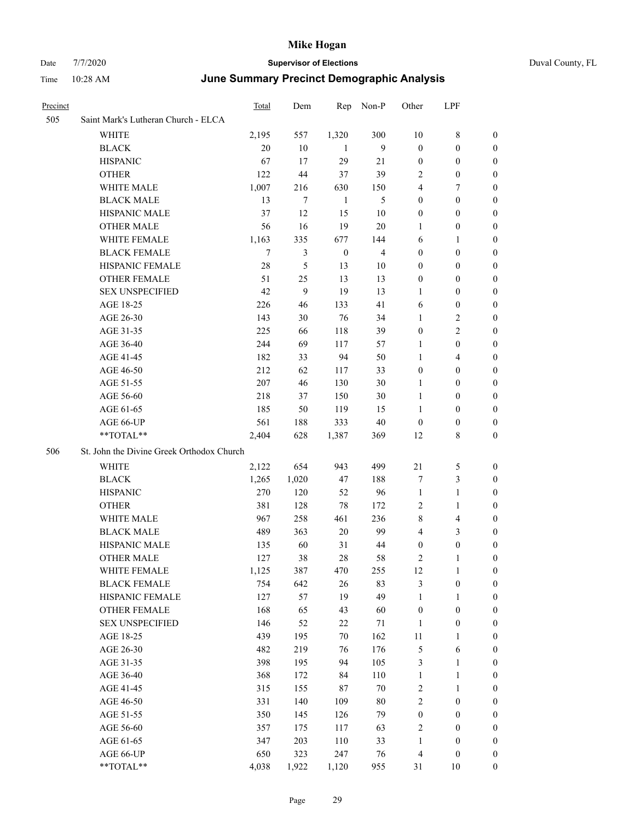# Date 7/7/2020 **Supervisor of Elections** Duval County, FL

## Time 10:28 AM **June Summary Precinct Demographic Analysis**

| Precinct |                                           | <b>Total</b>   | Dem            | Rep          | Non-P          | Other            | LPF              |                  |
|----------|-------------------------------------------|----------------|----------------|--------------|----------------|------------------|------------------|------------------|
| 505      | Saint Mark's Lutheran Church - ELCA       |                |                |              |                |                  |                  |                  |
|          | <b>WHITE</b>                              | 2,195          | 557            | 1,320        | 300            | 10               | $8\,$            | 0                |
|          | <b>BLACK</b>                              | 20             | 10             | -1           | 9              | $\boldsymbol{0}$ | $\boldsymbol{0}$ | 0                |
|          | <b>HISPANIC</b>                           | 67             | 17             | 29           | 21             | $\boldsymbol{0}$ | $\boldsymbol{0}$ | 0                |
|          | <b>OTHER</b>                              | 122            | 44             | 37           | 39             | 2                | $\boldsymbol{0}$ | $\boldsymbol{0}$ |
|          | WHITE MALE                                | 1,007          | 216            | 630          | 150            | 4                | 7                | $\boldsymbol{0}$ |
|          | <b>BLACK MALE</b>                         | 13             | $\tau$         | 1            | 5              | $\boldsymbol{0}$ | $\boldsymbol{0}$ | 0                |
|          | HISPANIC MALE                             | 37             | 12             | 15           | 10             | $\boldsymbol{0}$ | $\boldsymbol{0}$ | 0                |
|          | <b>OTHER MALE</b>                         | 56             | 16             | 19           | $20\,$         | $\mathbf{1}$     | $\boldsymbol{0}$ | 0                |
|          | WHITE FEMALE                              | 1,163          | 335            | 677          | 144            | 6                | $\mathbf{1}$     | 0                |
|          | <b>BLACK FEMALE</b>                       | $\overline{7}$ | $\mathfrak{Z}$ | $\mathbf{0}$ | $\overline{4}$ | $\boldsymbol{0}$ | $\boldsymbol{0}$ | 0                |
|          | HISPANIC FEMALE                           | 28             | 5              | 13           | 10             | 0                | $\boldsymbol{0}$ | 0                |
|          | <b>OTHER FEMALE</b>                       | 51             | 25             | 13           | 13             | $\boldsymbol{0}$ | $\boldsymbol{0}$ | 0                |
|          | <b>SEX UNSPECIFIED</b>                    | 42             | 9              | 19           | 13             | 1                | $\boldsymbol{0}$ | 0                |
|          | AGE 18-25                                 | 226            | 46             | 133          | 41             | 6                | $\boldsymbol{0}$ | $\boldsymbol{0}$ |
|          | AGE 26-30                                 | 143            | 30             | 76           | 34             | $\mathbf{1}$     | $\sqrt{2}$       | $\boldsymbol{0}$ |
|          | AGE 31-35                                 | 225            | 66             | 118          | 39             | $\boldsymbol{0}$ | $\overline{c}$   | 0                |
|          | AGE 36-40                                 | 244            | 69             | 117          | 57             | 1                | $\boldsymbol{0}$ | $\boldsymbol{0}$ |
|          | AGE 41-45                                 | 182            | 33             | 94           | 50             | $\mathbf{1}$     | $\overline{4}$   | $\boldsymbol{0}$ |
|          | AGE 46-50                                 | 212            | 62             | 117          | 33             | $\boldsymbol{0}$ | $\boldsymbol{0}$ | $\boldsymbol{0}$ |
|          | AGE 51-55                                 | 207            | 46             | 130          | $30\,$         | 1                | $\boldsymbol{0}$ | 0                |
|          | AGE 56-60                                 | 218            | 37             | 150          | 30             | $\mathbf{1}$     | $\boldsymbol{0}$ | 0                |
|          | AGE 61-65                                 | 185            | 50             | 119          | 15             | 1                | $\boldsymbol{0}$ | 0                |
|          | AGE 66-UP                                 | 561            | 188            | 333          | $40\,$         | $\boldsymbol{0}$ | $\boldsymbol{0}$ | 0                |
|          | **TOTAL**                                 | 2,404          | 628            | 1,387        | 369            | 12               | $8\,$            | $\boldsymbol{0}$ |
| 506      | St. John the Divine Greek Orthodox Church |                |                |              |                |                  |                  |                  |
|          | <b>WHITE</b>                              | 2,122          | 654            | 943          | 499            | 21               | 5                | $\boldsymbol{0}$ |
|          | <b>BLACK</b>                              | 1,265          | 1,020          | 47           | 188            | 7                | $\mathfrak{Z}$   | $\boldsymbol{0}$ |
|          | <b>HISPANIC</b>                           | 270            | 120            | 52           | 96             | $\mathbf{1}$     | $\mathbf{1}$     | 0                |
|          | <b>OTHER</b>                              | 381            | 128            | 78           | 172            | 2                | $\mathbf{1}$     | $\boldsymbol{0}$ |
|          | <b>WHITE MALE</b>                         | 967            | 258            | 461          | 236            | 8                | $\overline{4}$   | 0                |
|          | <b>BLACK MALE</b>                         | 489            | 363            | $20\,$       | 99             | $\overline{4}$   | 3                | 0                |
|          | HISPANIC MALE                             | 135            | 60             | 31           | 44             | $\boldsymbol{0}$ | $\boldsymbol{0}$ | 0                |
|          | <b>OTHER MALE</b>                         | 127            | 38             | 28           | 58             | 2                | 1                | 0                |
|          | WHITE FEMALE                              | 1,125          | 387            | 470          | 255            | 12               | 1                | 0                |
|          | <b>BLACK FEMALE</b>                       | 754            | 642            | 26           | 83             | 3                | $\boldsymbol{0}$ | $\boldsymbol{0}$ |
|          | HISPANIC FEMALE                           | 127            | 57             | 19           | 49             | $\mathbf{1}$     | $\mathbf{1}$     | $\overline{0}$   |
|          | OTHER FEMALE                              | 168            | 65             | 43           | 60             | $\boldsymbol{0}$ | $\boldsymbol{0}$ | $\overline{0}$   |
|          | <b>SEX UNSPECIFIED</b>                    | 146            | 52             | 22           | $71\,$         | $\mathbf{1}$     | $\boldsymbol{0}$ | 0                |
|          | AGE 18-25                                 | 439            | 195            | 70           | 162            | $11\,$           | $\mathbf{1}$     | $\theta$         |
|          | AGE 26-30                                 | 482            | 219            | 76           | 176            | 5                | $\sqrt{6}$       | 0                |
|          | AGE 31-35                                 | 398            | 195            | 94           | 105            | 3                | $\mathbf{1}$     | 0                |
|          | AGE 36-40                                 | 368            | 172            | 84           | 110            | $\mathbf{1}$     | $\mathbf{1}$     | 0                |
|          | AGE 41-45                                 | 315            | 155            | 87           | $70\,$         | 2                | $\mathbf{1}$     | 0                |
|          | AGE 46-50                                 | 331            | 140            | 109          | $80\,$         | 2                | $\boldsymbol{0}$ | 0                |
|          | AGE 51-55                                 | 350            | 145            | 126          | 79             | $\boldsymbol{0}$ | $\boldsymbol{0}$ | 0                |
|          | AGE 56-60                                 | 357            | 175            | 117          | 63             | 2                | $\boldsymbol{0}$ | $\overline{0}$   |
|          | AGE 61-65                                 | 347            | 203            | 110          | 33             | $\mathbf{1}$     | $\boldsymbol{0}$ | $\overline{0}$   |
|          | AGE 66-UP                                 | 650            | 323            | 247          | 76             | 4                | $\boldsymbol{0}$ | 0                |
|          | **TOTAL**                                 | 4,038          | 1,922          | 1,120        | 955            | 31               | 10               | $\boldsymbol{0}$ |
|          |                                           |                |                |              |                |                  |                  |                  |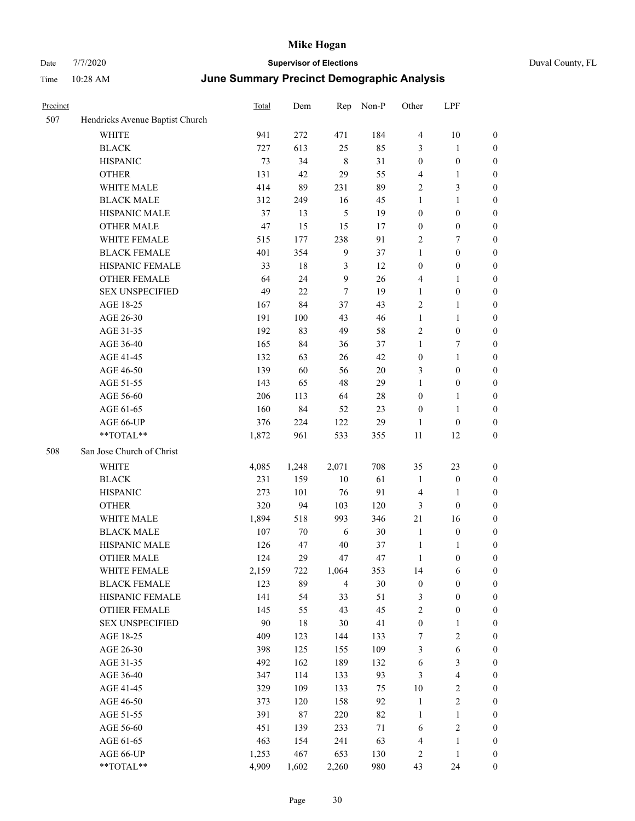| Duval County, FL |  |
|------------------|--|
|------------------|--|

| Precinct |                                 | <b>Total</b> | Dem    | Rep            | Non-P  | Other                   | LPF                     |                  |
|----------|---------------------------------|--------------|--------|----------------|--------|-------------------------|-------------------------|------------------|
| 507      | Hendricks Avenue Baptist Church |              |        |                |        |                         |                         |                  |
|          | <b>WHITE</b>                    | 941          | 272    | 471            | 184    | $\overline{\mathbf{4}}$ | $10\,$                  | $\boldsymbol{0}$ |
|          | <b>BLACK</b>                    | 727          | 613    | 25             | 85     | 3                       | $\mathbf{1}$            | $\boldsymbol{0}$ |
|          | <b>HISPANIC</b>                 | 73           | 34     | $\,8\,$        | 31     | $\boldsymbol{0}$        | $\boldsymbol{0}$        | 0                |
|          | <b>OTHER</b>                    | 131          | 42     | 29             | 55     | 4                       | $\mathbf{1}$            | 0                |
|          | WHITE MALE                      | 414          | 89     | 231            | 89     | $\overline{c}$          | $\mathfrak{Z}$          | $\boldsymbol{0}$ |
|          | <b>BLACK MALE</b>               | 312          | 249    | 16             | 45     | $\mathbf{1}$            | $\mathbf{1}$            | $\boldsymbol{0}$ |
|          | HISPANIC MALE                   | 37           | 13     | 5              | 19     | $\boldsymbol{0}$        | $\boldsymbol{0}$        | $\boldsymbol{0}$ |
|          | OTHER MALE                      | 47           | 15     | 15             | 17     | $\boldsymbol{0}$        | $\boldsymbol{0}$        | $\boldsymbol{0}$ |
|          | WHITE FEMALE                    | 515          | 177    | 238            | 91     | 2                       | 7                       | $\boldsymbol{0}$ |
|          | <b>BLACK FEMALE</b>             | 401          | 354    | $\overline{9}$ | 37     | $\mathbf{1}$            | $\boldsymbol{0}$        | $\boldsymbol{0}$ |
|          | HISPANIC FEMALE                 | 33           | $18\,$ | 3              | 12     | $\boldsymbol{0}$        | $\boldsymbol{0}$        | $\boldsymbol{0}$ |
|          | OTHER FEMALE                    | 64           | 24     | $\overline{9}$ | $26\,$ | 4                       | $\mathbf{1}$            | 0                |
|          | <b>SEX UNSPECIFIED</b>          | 49           | 22     | 7              | 19     | $\mathbf{1}$            | $\boldsymbol{0}$        | 0                |
|          | AGE 18-25                       | 167          | 84     | 37             | 43     | $\mathbf{2}$            | $\mathbf{1}$            | 0                |
|          | AGE 26-30                       | 191          | 100    | 43             | 46     | $\mathbf{1}$            | $\mathbf{1}$            | $\boldsymbol{0}$ |
|          | AGE 31-35                       | 192          | 83     | 49             | 58     | 2                       | $\boldsymbol{0}$        | $\boldsymbol{0}$ |
|          | AGE 36-40                       | 165          | 84     | 36             | 37     | $\mathbf{1}$            | 7                       | $\boldsymbol{0}$ |
|          | AGE 41-45                       | 132          | 63     | 26             | 42     | $\boldsymbol{0}$        | $\mathbf{1}$            | $\boldsymbol{0}$ |
|          | AGE 46-50                       | 139          | 60     | 56             | 20     | 3                       | $\boldsymbol{0}$        | $\boldsymbol{0}$ |
|          | AGE 51-55                       | 143          | 65     | 48             | 29     | $\mathbf{1}$            | $\boldsymbol{0}$        | $\boldsymbol{0}$ |
|          | AGE 56-60                       | 206          | 113    | 64             | $28\,$ | $\boldsymbol{0}$        | $\mathbf{1}$            | 0                |
|          | AGE 61-65                       | 160          | 84     | 52             | 23     | $\boldsymbol{0}$        | $\mathbf{1}$            | 0                |
|          | AGE 66-UP                       | 376          | 224    | 122            | 29     | 1                       | $\boldsymbol{0}$        | 0                |
|          | **TOTAL**                       | 1,872        | 961    | 533            | 355    | 11                      | 12                      | $\boldsymbol{0}$ |
| 508      | San Jose Church of Christ       |              |        |                |        |                         |                         |                  |
|          | <b>WHITE</b>                    | 4,085        | 1,248  | 2,071          | 708    | 35                      | 23                      | 0                |
|          | <b>BLACK</b>                    | 231          | 159    | 10             | 61     | $\mathbf{1}$            | $\boldsymbol{0}$        | $\boldsymbol{0}$ |
|          | <b>HISPANIC</b>                 | 273          | 101    | 76             | 91     | 4                       | 1                       | $\boldsymbol{0}$ |
|          | <b>OTHER</b>                    | 320          | 94     | 103            | 120    | 3                       | $\boldsymbol{0}$        | $\boldsymbol{0}$ |
|          | WHITE MALE                      | 1,894        | 518    | 993            | 346    | 21                      | 16                      | $\boldsymbol{0}$ |
|          | <b>BLACK MALE</b>               | 107          | 70     | 6              | 30     | $\mathbf{1}$            | $\boldsymbol{0}$        | $\boldsymbol{0}$ |
|          | HISPANIC MALE                   | 126          | 47     | 40             | 37     | $\mathbf{1}$            | $\mathbf{1}$            | $\boldsymbol{0}$ |
|          | <b>OTHER MALE</b>               | 124          | 29     | 47             | 47     | 1                       | $\boldsymbol{0}$        | $\boldsymbol{0}$ |
|          | WHITE FEMALE                    | 2,159        | 722    | 1,064          | 353    | 14                      | 6                       | 0                |
|          | <b>BLACK FEMALE</b>             | 123          | 89     | $\overline{4}$ | $30\,$ | $\boldsymbol{0}$        | $\boldsymbol{0}$        | 0                |
|          | HISPANIC FEMALE                 | 141          | 54     | 33             | 51     | 3                       | $\boldsymbol{0}$        | 0                |
|          | OTHER FEMALE                    | 145          | 55     | 43             | 45     | 2                       | $\boldsymbol{0}$        | 0                |
|          | <b>SEX UNSPECIFIED</b>          | 90           | 18     | 30             | 41     | $\boldsymbol{0}$        | $\mathbf{1}$            | 0                |
|          | AGE 18-25                       | 409          | 123    | 144            | 133    | 7                       | $\sqrt{2}$              | 0                |
|          | AGE 26-30                       | 398          | 125    | 155            | 109    | 3                       | $\sqrt{6}$              | 0                |
|          | AGE 31-35                       | 492          | 162    | 189            | 132    | 6                       | $\mathfrak{Z}$          | 0                |
|          | AGE 36-40                       | 347          | 114    | 133            | 93     | 3                       | $\overline{\mathbf{4}}$ | 0                |
|          | AGE 41-45                       | 329          | 109    | 133            | 75     | $10\,$                  | $\boldsymbol{2}$        | 0                |
|          | AGE 46-50                       | 373          | 120    | 158            | 92     | $\mathbf{1}$            | $\sqrt{2}$              | 0                |
|          | AGE 51-55                       | 391          | 87     | 220            | $82\,$ | $\mathbf{1}$            | $\mathbf{1}$            | 0                |
|          | AGE 56-60                       | 451          | 139    | 233            | 71     | 6                       | $\sqrt{2}$              | 0                |
|          | AGE 61-65                       | 463          | 154    | 241            | 63     | $\overline{\mathbf{4}}$ | $\mathbf{1}$            | $\boldsymbol{0}$ |
|          | AGE 66-UP                       | 1,253        | 467    | 653            | 130    | $\overline{c}$          | $\mathbf{1}$            | $\boldsymbol{0}$ |
|          | **TOTAL**                       | 4,909        | 1,602  | 2,260          | 980    | 43                      | 24                      | $\boldsymbol{0}$ |
|          |                                 |              |        |                |        |                         |                         |                  |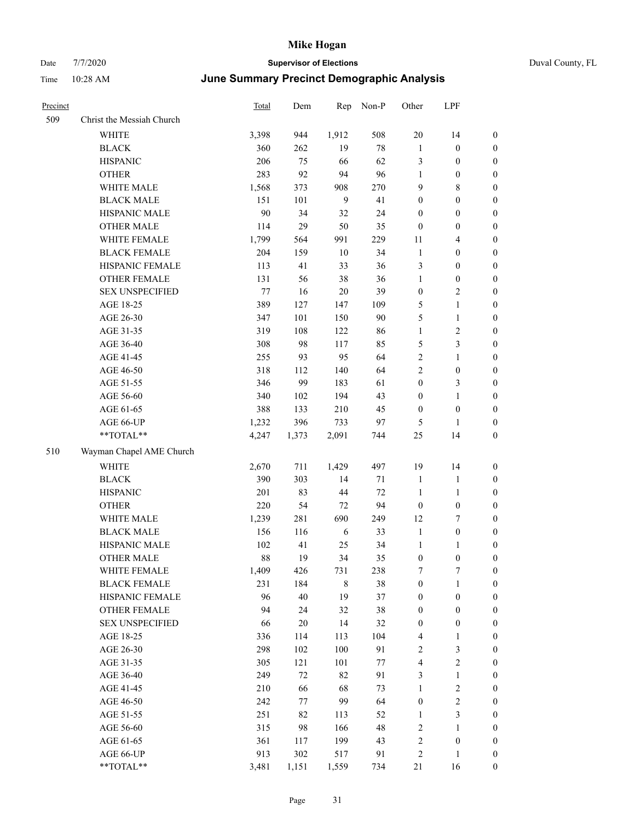| Precinct |                           | Total | Dem    | Rep         | Non-P  | Other            | LPF                     |                  |
|----------|---------------------------|-------|--------|-------------|--------|------------------|-------------------------|------------------|
| 509      | Christ the Messiah Church |       |        |             |        |                  |                         |                  |
|          | WHITE                     | 3,398 | 944    | 1,912       | 508    | 20               | 14                      | $\boldsymbol{0}$ |
|          | <b>BLACK</b>              | 360   | 262    | 19          | $78\,$ | $\mathbf{1}$     | $\boldsymbol{0}$        | $\boldsymbol{0}$ |
|          | <b>HISPANIC</b>           | 206   | 75     | 66          | 62     | $\mathfrak{Z}$   | $\boldsymbol{0}$        | $\boldsymbol{0}$ |
|          | <b>OTHER</b>              | 283   | 92     | 94          | 96     | $\mathbf{1}$     | $\boldsymbol{0}$        | $\boldsymbol{0}$ |
|          | WHITE MALE                | 1,568 | 373    | 908         | 270    | 9                | 8                       | $\boldsymbol{0}$ |
|          | <b>BLACK MALE</b>         | 151   | 101    | 9           | 41     | $\boldsymbol{0}$ | $\boldsymbol{0}$        | $\boldsymbol{0}$ |
|          | HISPANIC MALE             | 90    | 34     | 32          | 24     | $\boldsymbol{0}$ | $\boldsymbol{0}$        | $\boldsymbol{0}$ |
|          | <b>OTHER MALE</b>         | 114   | 29     | 50          | 35     | $\boldsymbol{0}$ | $\boldsymbol{0}$        | $\boldsymbol{0}$ |
|          | WHITE FEMALE              | 1,799 | 564    | 991         | 229    | 11               | 4                       | $\boldsymbol{0}$ |
|          | <b>BLACK FEMALE</b>       | 204   | 159    | $10\,$      | 34     | $\mathbf{1}$     | $\boldsymbol{0}$        | $\boldsymbol{0}$ |
|          | HISPANIC FEMALE           | 113   | 41     | 33          | 36     | 3                | $\boldsymbol{0}$        | $\boldsymbol{0}$ |
|          | <b>OTHER FEMALE</b>       | 131   | 56     | 38          | 36     | $\mathbf{1}$     | $\boldsymbol{0}$        | $\boldsymbol{0}$ |
|          | <b>SEX UNSPECIFIED</b>    | 77    | 16     | $20\,$      | 39     | $\boldsymbol{0}$ | 2                       | $\boldsymbol{0}$ |
|          | AGE 18-25                 | 389   | 127    | 147         | 109    | 5                | 1                       | $\boldsymbol{0}$ |
|          | AGE 26-30                 | 347   | 101    | 150         | 90     | $\mathfrak{H}$   | $\mathbf{1}$            | $\boldsymbol{0}$ |
|          | AGE 31-35                 | 319   | 108    | 122         | 86     | $\mathbf{1}$     | 2                       | $\boldsymbol{0}$ |
|          | AGE 36-40                 | 308   | 98     | 117         | 85     | 5                | 3                       | $\boldsymbol{0}$ |
|          | AGE 41-45                 | 255   | 93     | 95          | 64     | $\overline{2}$   | 1                       | $\boldsymbol{0}$ |
|          | AGE 46-50                 | 318   | 112    | 140         | 64     | $\sqrt{2}$       | $\boldsymbol{0}$        | $\boldsymbol{0}$ |
|          | AGE 51-55                 | 346   | 99     | 183         | 61     | $\boldsymbol{0}$ | 3                       | $\boldsymbol{0}$ |
|          | AGE 56-60                 | 340   | 102    | 194         | 43     | $\boldsymbol{0}$ | 1                       | $\boldsymbol{0}$ |
|          | AGE 61-65                 | 388   | 133    | 210         | 45     | $\boldsymbol{0}$ | $\boldsymbol{0}$        | $\boldsymbol{0}$ |
|          | AGE 66-UP                 | 1,232 | 396    | 733         | 97     | 5                | 1                       | $\boldsymbol{0}$ |
|          | **TOTAL**                 | 4,247 | 1,373  | 2,091       | 744    | 25               | 14                      | $\boldsymbol{0}$ |
| 510      | Wayman Chapel AME Church  |       |        |             |        |                  |                         |                  |
|          | WHITE                     | 2,670 | 711    | 1,429       | 497    | 19               | 14                      | $\boldsymbol{0}$ |
|          | <b>BLACK</b>              | 390   | 303    | 14          | 71     | $\mathbf{1}$     | 1                       | $\boldsymbol{0}$ |
|          | <b>HISPANIC</b>           | 201   | 83     | 44          | 72     | $\mathbf{1}$     | $\mathbf{1}$            | $\boldsymbol{0}$ |
|          | <b>OTHER</b>              | 220   | 54     | 72          | 94     | $\boldsymbol{0}$ | $\boldsymbol{0}$        | $\boldsymbol{0}$ |
|          | WHITE MALE                | 1,239 | 281    | 690         | 249    | 12               | 7                       | $\boldsymbol{0}$ |
|          | <b>BLACK MALE</b>         | 156   | 116    | 6           | 33     | $\mathbf{1}$     | $\boldsymbol{0}$        | $\boldsymbol{0}$ |
|          | HISPANIC MALE             | 102   | 41     | 25          | 34     | $\mathbf{1}$     | 1                       | $\boldsymbol{0}$ |
|          | <b>OTHER MALE</b>         | 88    | 19     | 34          | 35     | $\boldsymbol{0}$ | 0                       | $\boldsymbol{0}$ |
|          | WHITE FEMALE              | 1,409 | 426    | 731         | 238    | $\boldsymbol{7}$ | $\boldsymbol{7}$        | $\boldsymbol{0}$ |
|          | <b>BLACK FEMALE</b>       | 231   | 184    | $\,$ 8 $\,$ | $38\,$ | $\boldsymbol{0}$ | $\mathbf{1}$            | $\boldsymbol{0}$ |
|          | HISPANIC FEMALE           | 96    | $40\,$ | 19          | 37     | $\boldsymbol{0}$ | $\boldsymbol{0}$        | $\boldsymbol{0}$ |
|          | OTHER FEMALE              | 94    | 24     | 32          | 38     | $\boldsymbol{0}$ | $\boldsymbol{0}$        | $\boldsymbol{0}$ |
|          | <b>SEX UNSPECIFIED</b>    | 66    | $20\,$ | 14          | 32     | $\boldsymbol{0}$ | $\boldsymbol{0}$        | $\boldsymbol{0}$ |
|          | AGE 18-25                 | 336   | 114    | 113         | 104    | $\overline{4}$   | 1                       | $\boldsymbol{0}$ |
|          | AGE 26-30                 | 298   | 102    | 100         | 91     | $\sqrt{2}$       | 3                       | $\boldsymbol{0}$ |
|          | AGE 31-35                 | 305   | 121    | 101         | 77     | $\overline{4}$   | $\sqrt{2}$              | $\boldsymbol{0}$ |
|          | AGE 36-40                 | 249   | 72     | 82          | 91     | $\mathfrak{Z}$   | $\mathbf{1}$            | $\boldsymbol{0}$ |
|          | AGE 41-45                 | 210   | 66     | 68          | 73     | $\mathbf{1}$     | $\overline{\mathbf{c}}$ | $\boldsymbol{0}$ |
|          | AGE 46-50                 | 242   | 77     | 99          | 64     | $\boldsymbol{0}$ | $\overline{\mathbf{c}}$ | $\boldsymbol{0}$ |
|          | AGE 51-55                 | 251   | 82     | 113         | 52     | $\mathbf{1}$     | 3                       | $\boldsymbol{0}$ |
|          | AGE 56-60                 | 315   | 98     | 166         | 48     | $\sqrt{2}$       | 1                       | $\boldsymbol{0}$ |
|          | AGE 61-65                 | 361   | 117    | 199         | 43     | $\sqrt{2}$       | $\boldsymbol{0}$        | $\boldsymbol{0}$ |
|          | AGE 66-UP                 | 913   | 302    | 517         | 91     | $\sqrt{2}$       | 1                       | $\mathbf{0}$     |
|          | **TOTAL**                 | 3,481 | 1,151  | 1,559       | 734    | 21               | 16                      | $\boldsymbol{0}$ |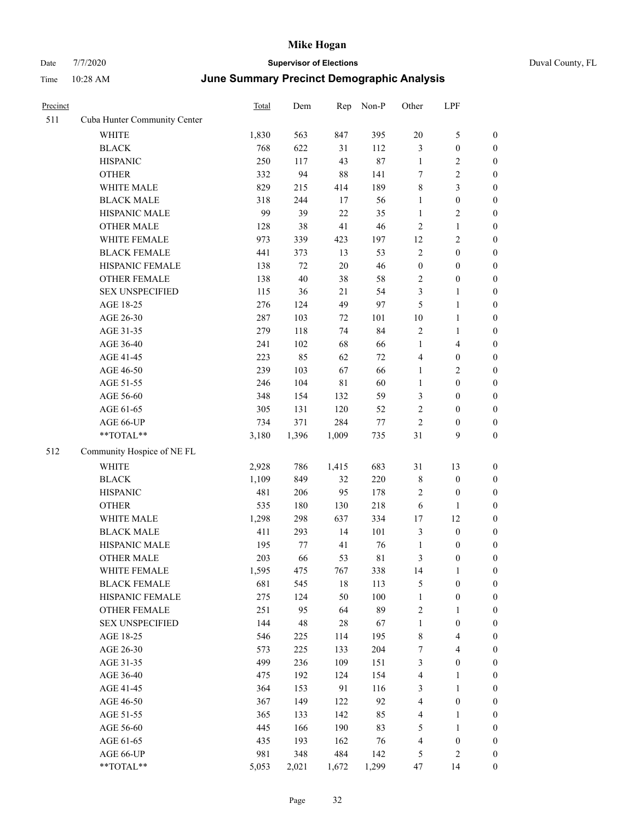| Precinct |                              | Total | Dem         | Rep         | Non-P       | Other            | LPF                     |                  |
|----------|------------------------------|-------|-------------|-------------|-------------|------------------|-------------------------|------------------|
| 511      | Cuba Hunter Community Center |       |             |             |             |                  |                         |                  |
|          | <b>WHITE</b>                 | 1,830 | 563         | 847         | 395         | 20               | 5                       | $\boldsymbol{0}$ |
|          | <b>BLACK</b>                 | 768   | 622         | 31          | 112         | $\mathfrak{Z}$   | $\boldsymbol{0}$        | $\boldsymbol{0}$ |
|          | <b>HISPANIC</b>              | 250   | 117         | 43          | 87          | $\mathbf{1}$     | 2                       | $\boldsymbol{0}$ |
|          | <b>OTHER</b>                 | 332   | 94          | $88\,$      | 141         | $\tau$           | $\overline{c}$          | $\boldsymbol{0}$ |
|          | WHITE MALE                   | 829   | 215         | 414         | 189         | $\,$ 8 $\,$      | 3                       | $\boldsymbol{0}$ |
|          | <b>BLACK MALE</b>            | 318   | 244         | 17          | 56          | $\mathbf{1}$     | $\boldsymbol{0}$        | $\boldsymbol{0}$ |
|          | HISPANIC MALE                | 99    | 39          | 22          | 35          | $\mathbf{1}$     | 2                       | $\boldsymbol{0}$ |
|          | <b>OTHER MALE</b>            | 128   | 38          | 41          | 46          | $\overline{2}$   | $\mathbf{1}$            | $\boldsymbol{0}$ |
|          | WHITE FEMALE                 | 973   | 339         | 423         | 197         | 12               | 2                       | $\boldsymbol{0}$ |
|          | <b>BLACK FEMALE</b>          | 441   | 373         | 13          | 53          | $\sqrt{2}$       | $\boldsymbol{0}$        | $\boldsymbol{0}$ |
|          | HISPANIC FEMALE              | 138   | 72          | $20\,$      | 46          | $\boldsymbol{0}$ | $\boldsymbol{0}$        | $\boldsymbol{0}$ |
|          | <b>OTHER FEMALE</b>          | 138   | $40\,$      | 38          | 58          | $\sqrt{2}$       | $\boldsymbol{0}$        | $\boldsymbol{0}$ |
|          | <b>SEX UNSPECIFIED</b>       | 115   | 36          | 21          | 54          | 3                | 1                       | $\boldsymbol{0}$ |
|          | AGE 18-25                    | 276   | 124         | 49          | 97          | 5                | 1                       | $\boldsymbol{0}$ |
|          | AGE 26-30                    | 287   | 103         | 72          | 101         | 10               | 1                       | $\boldsymbol{0}$ |
|          | AGE 31-35                    | 279   | 118         | 74          | 84          | $\sqrt{2}$       | 1                       | $\boldsymbol{0}$ |
|          | AGE 36-40                    | 241   | 102         | 68          | 66          | $\mathbf{1}$     | 4                       | $\boldsymbol{0}$ |
|          | AGE 41-45                    | 223   | 85          | 62          | 72          | $\overline{4}$   | $\boldsymbol{0}$        | $\boldsymbol{0}$ |
|          | AGE 46-50                    | 239   | 103         | 67          | 66          | $\mathbf{1}$     | 2                       | $\boldsymbol{0}$ |
|          | AGE 51-55                    | 246   | 104         | $8\sqrt{1}$ | 60          | $\mathbf{1}$     | $\boldsymbol{0}$        | $\boldsymbol{0}$ |
|          | AGE 56-60                    | 348   | 154         | 132         | 59          | 3                | $\boldsymbol{0}$        | $\boldsymbol{0}$ |
|          | AGE 61-65                    | 305   | 131         | 120         | 52          | $\sqrt{2}$       | $\boldsymbol{0}$        | $\boldsymbol{0}$ |
|          | AGE 66-UP                    | 734   | 371         | 284         | 77          | $\overline{2}$   | $\boldsymbol{0}$        | $\boldsymbol{0}$ |
|          | **TOTAL**                    | 3,180 | 1,396       | 1,009       | 735         | 31               | 9                       | $\boldsymbol{0}$ |
| 512      | Community Hospice of NE FL   |       |             |             |             |                  |                         |                  |
|          | WHITE                        | 2,928 | 786         | 1,415       | 683         | 31               | 13                      | $\boldsymbol{0}$ |
|          | <b>BLACK</b>                 | 1,109 | 849         | 32          | 220         | $\,$ 8 $\,$      | $\boldsymbol{0}$        | $\boldsymbol{0}$ |
|          | <b>HISPANIC</b>              | 481   | 206         | 95          | 178         | $\overline{2}$   | $\boldsymbol{0}$        | $\boldsymbol{0}$ |
|          | <b>OTHER</b>                 | 535   | 180         | 130         | 218         | 6                | 1                       | $\boldsymbol{0}$ |
|          | WHITE MALE                   | 1,298 | 298         | 637         | 334         | 17               | 12                      | $\boldsymbol{0}$ |
|          | <b>BLACK MALE</b>            | 411   | 293         | 14          | 101         | $\mathfrak{Z}$   | $\boldsymbol{0}$        | $\boldsymbol{0}$ |
|          | HISPANIC MALE                | 195   | 77          | 41          | 76          | 1                | $\boldsymbol{0}$        | $\boldsymbol{0}$ |
|          | <b>OTHER MALE</b>            | 203   | 66          | 53          | $8\sqrt{1}$ | 3                | $\boldsymbol{0}$        | $\boldsymbol{0}$ |
|          | WHITE FEMALE                 | 1,595 | 475         | 767         | 338         | 14               | $\mathbf{1}$            | $\boldsymbol{0}$ |
|          | <b>BLACK FEMALE</b>          | 681   | 545         | $18\,$      | 113         | $\mathfrak{S}$   | $\boldsymbol{0}$        | $\boldsymbol{0}$ |
|          | HISPANIC FEMALE              | 275   | 124         | 50          | 100         | $\mathbf{1}$     | $\boldsymbol{0}$        | $\boldsymbol{0}$ |
|          | OTHER FEMALE                 | 251   | 95          | 64          | 89          | $\sqrt{2}$       | 1                       | $\boldsymbol{0}$ |
|          | <b>SEX UNSPECIFIED</b>       | 144   | $\sqrt{48}$ | $28\,$      | 67          | $\mathbf{1}$     | $\boldsymbol{0}$        | $\boldsymbol{0}$ |
|          | AGE 18-25                    | 546   | 225         | 114         | 195         | $\,8\,$          | 4                       | $\boldsymbol{0}$ |
|          | AGE 26-30                    | 573   | 225         | 133         | 204         | $\boldsymbol{7}$ | $\overline{\mathbf{4}}$ | $\boldsymbol{0}$ |
|          | AGE 31-35                    | 499   | 236         | 109         | 151         | $\mathfrak{Z}$   | $\boldsymbol{0}$        | $\boldsymbol{0}$ |
|          | AGE 36-40                    | 475   | 192         | 124         | 154         | $\overline{4}$   | 1                       | $\boldsymbol{0}$ |
|          | AGE 41-45                    | 364   | 153         | 91          | 116         | $\mathfrak{Z}$   | $\mathbf{1}$            | $\boldsymbol{0}$ |
|          | AGE 46-50                    | 367   | 149         | 122         | 92          | $\overline{4}$   | $\boldsymbol{0}$        | $\boldsymbol{0}$ |
|          | AGE 51-55                    | 365   | 133         | 142         | 85          | $\overline{4}$   | 1                       | $\boldsymbol{0}$ |
|          | AGE 56-60                    | 445   | 166         | 190         | 83          | $\sqrt{5}$       | 1                       | $\boldsymbol{0}$ |
|          | AGE 61-65                    | 435   | 193         | 162         | 76          | $\overline{4}$   | $\boldsymbol{0}$        | $\boldsymbol{0}$ |
|          | AGE 66-UP                    | 981   | 348         | 484         | 142         | 5                | 2                       | $\mathbf{0}$     |
|          | **TOTAL**                    | 5,053 | 2,021       | 1,672       | 1,299       | 47               | 14                      | $\mathbf{0}$     |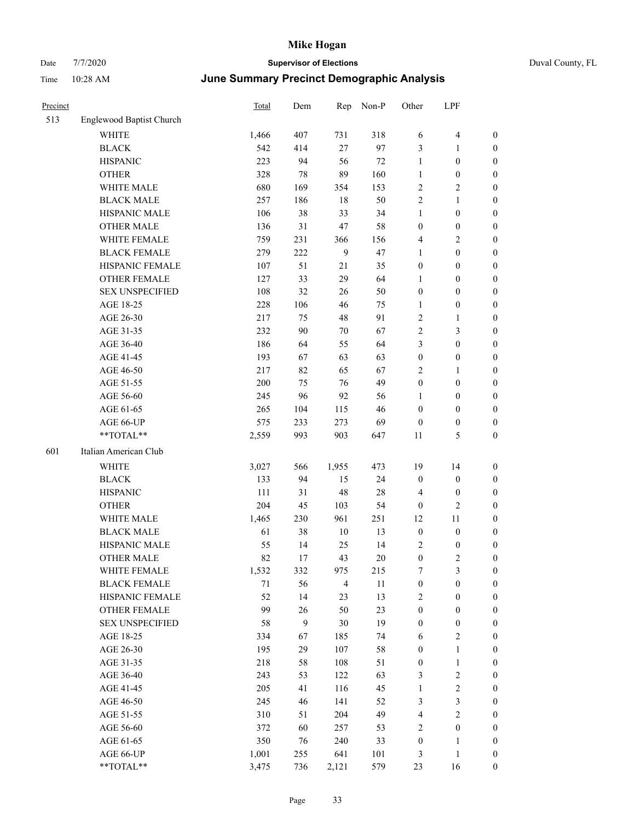| Time     | 10:28 AM                        | June Summary Precinct Demographic Analysis |     |     |       |                |              |                  |  |  |
|----------|---------------------------------|--------------------------------------------|-----|-----|-------|----------------|--------------|------------------|--|--|
| Precinct |                                 | Total                                      | Dem | Rep | Non-P | Other          | LPF          |                  |  |  |
| 513      | <b>Englewood Baptist Church</b> |                                            |     |     |       |                |              |                  |  |  |
|          | <b>WHITE</b>                    | 1,466                                      | 407 | 731 | 318   | 6              | 4            | 0                |  |  |
|          | <b>BLACK</b>                    | 542                                        | 414 | 27  | 97    | 3              |              | 0                |  |  |
|          | <b>HISPANIC</b>                 | 223                                        | 94  | 56  | 72    | 1              | $\mathbf{0}$ | 0                |  |  |
|          | <b>OTHER</b>                    | 328                                        | 78  | 89  | 160   | 1              | $\mathbf{0}$ | 0                |  |  |
|          | WHITE MALE                      | 680                                        | 169 | 354 | 153   | 2              | 2            | 0                |  |  |
|          | <b>BLACK MALE</b>               | 257                                        | 186 | 18  | 50    | $\overline{2}$ | 1            | 0                |  |  |
|          | <b>HISPANIC MALE</b>            | 106                                        | 38  | 33  | 34    |                | $\theta$     | 0                |  |  |
|          | <b>OTHER MALE</b>               | 136                                        | 31  | 47  | 58    | $\Omega$       | $\theta$     | 0                |  |  |
|          | WHITE FEMALE                    | 759                                        | 231 | 366 | 156   | 4              | 2            | $\boldsymbol{0}$ |  |  |
|          | <b>BLACK FEMALE</b>             | 279                                        | 222 | 9   | 47    |                | $\Omega$     | 0                |  |  |
|          | HISPANIC FEMALE                 | 107                                        | 51  | 21  | 35    | $\Omega$       | $\theta$     | 0                |  |  |
|          | <b>OTHER FEMALE</b>             | 127                                        | 33  | 29  | 64    |                | $\Omega$     | 0                |  |  |
|          | <b>SEX UNSPECIFIED</b>          | 108                                        | 32  | 26  | 50    | $\mathbf{0}$   | $\mathbf{0}$ | 0                |  |  |
|          | AGE 18-25                       | 228                                        | 106 | 46  | 75    | 1              | $\mathbf{0}$ | 0                |  |  |
|          | AGE 26-30                       | 217                                        | 75  | 48  | 91    | $\overline{c}$ |              | 0                |  |  |
|          | AGE 31-35                       | 232                                        | 90  | 70  | 67    | $\overline{2}$ | 3            | 0                |  |  |
|          | AGE 36-40                       | 186                                        | 64  | 55  | 64    | 3              | $\theta$     | 0                |  |  |
|          | AGE 41-45                       | 193                                        | 67  | 63  | 63    | $\Omega$       | $\theta$     | $\boldsymbol{0}$ |  |  |
|          | AGE 46-50                       | 217                                        | 82  | 65  | 67    | 2              |              | $\boldsymbol{0}$ |  |  |
|          | AGE 51-55                       | 200                                        | 75  | 76  | 49    | $\mathbf{0}$   | $\theta$     | $\boldsymbol{0}$ |  |  |

| ×<br>×<br>I<br>۰. |  |
|-------------------|--|

| AGE 56-60              | 245   | 96  | 92             | 56  | 1                | $\theta$         | $\boldsymbol{0}$ |
|------------------------|-------|-----|----------------|-----|------------------|------------------|------------------|
| AGE 61-65              | 265   | 104 | 115            | 46  | $\mathbf{0}$     | $\mathbf{0}$     | $\boldsymbol{0}$ |
| AGE 66-UP              | 575   | 233 | 273            | 69  | $\theta$         | $\mathbf{0}$     | $\boldsymbol{0}$ |
| **TOTAL**              | 2,559 | 993 | 903            | 647 | 11               | 5                | $\boldsymbol{0}$ |
| Italian American Club  |       |     |                |     |                  |                  |                  |
| <b>WHITE</b>           | 3,027 | 566 | 1,955          | 473 | 19               | 14               | $\mathbf{0}$     |
| <b>BLACK</b>           | 133   | 94  | 15             | 24  | $\theta$         | $\theta$         | $\boldsymbol{0}$ |
| <b>HISPANIC</b>        | 111   | 31  | 48             | 28  | $\overline{4}$   | $\mathbf{0}$     | $\boldsymbol{0}$ |
| <b>OTHER</b>           | 204   | 45  | 103            | 54  | $\mathbf{0}$     | $\overline{2}$   | $\boldsymbol{0}$ |
| <b>WHITE MALE</b>      | 1,465 | 230 | 961            | 251 | 12               | 11               | $\mathbf{0}$     |
| <b>BLACK MALE</b>      | 61    | 38  | 10             | 13  | $\mathbf{0}$     | $\theta$         | $\boldsymbol{0}$ |
| <b>HISPANIC MALE</b>   | 55    | 14  | 25             | 14  | $\overline{c}$   | $\theta$         | $\boldsymbol{0}$ |
| <b>OTHER MALE</b>      | 82    | 17  | 43             | 20  | $\mathbf{0}$     | $\overline{c}$   | $\boldsymbol{0}$ |
| <b>WHITE FEMALE</b>    | 1,532 | 332 | 975            | 215 | 7                | 3                | $\mathbf{0}$     |
| <b>BLACK FEMALE</b>    | 71    | 56  | $\overline{4}$ | 11  | $\boldsymbol{0}$ | $\boldsymbol{0}$ | $\boldsymbol{0}$ |
| <b>HISPANIC FEMALE</b> | 52    | 14  | 23             | 13  | $\overline{2}$   | $\mathbf{0}$     | $\boldsymbol{0}$ |
| <b>OTHER FEMALE</b>    | 99    | 26  | 50             | 23  | $\mathbf{0}$     | $\boldsymbol{0}$ | $\boldsymbol{0}$ |
| <b>SEX UNSPECIFIED</b> | 58    | 9   | 30             | 19  | $\mathbf{0}$     | $\mathbf{0}$     | $\boldsymbol{0}$ |
| AGE 18-25              | 334   | 67  | 185            | 74  | 6                | $\overline{2}$   | $\mathbf{0}$     |
| AGE 26-30              | 195   | 29  | 107            | 58  | $\mathbf{0}$     | 1                | $\boldsymbol{0}$ |
| AGE 31-35              | 218   | 58  | 108            | 51  | $\mathbf{0}$     | 1                | $\mathbf{0}$     |
| AGE 36-40              | 243   | 53  | 122            | 63  | 3                | $\overline{2}$   | $\boldsymbol{0}$ |
| AGE 41-45              | 205   | 41  | 116            | 45  | 1                | $\mathfrak{2}$   | $\mathbf{0}$     |
| AGE 46-50              | 245   | 46  | 141            | 52  | 3                | 3                | $\boldsymbol{0}$ |
| AGE 51-55              | 310   | 51  | 204            | 49  | $\overline{4}$   | $\mathfrak{2}$   | $\mathbf{0}$     |
| AGE 56-60              | 372   | 60  | 257            | 53  | $\overline{2}$   | $\overline{0}$   | $\boldsymbol{0}$ |
| AGE 61-65              | 350   | 76  | 240            | 33  | $\mathbf{0}$     | 1                | $\boldsymbol{0}$ |
| AGE 66-UP              | 1,001 | 255 | 641            | 101 | 3                | 1                | $\mathbf{0}$     |
| **TOTAL**              | 3,475 | 736 | 2,121          | 579 | 23               | 16               | $\boldsymbol{0}$ |
|                        |       |     |                |     |                  |                  |                  |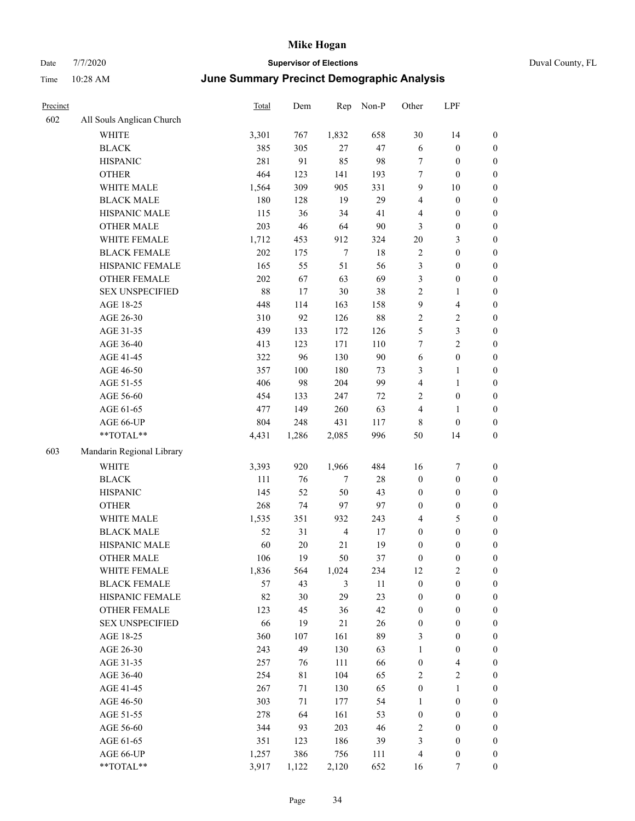# Date 7/7/2020 **Supervisor of Elections** Duval County, FL Time 10:28 AM **June Summary Precinct Demographic Analysis**

| Precinct |                           | <b>Total</b> | Dem   | Rep            | Non-P  | Other            | LPF                     |                  |
|----------|---------------------------|--------------|-------|----------------|--------|------------------|-------------------------|------------------|
| 602      | All Souls Anglican Church |              |       |                |        |                  |                         |                  |
|          | <b>WHITE</b>              | 3,301        | 767   | 1,832          | 658    | 30               | 14                      | $\boldsymbol{0}$ |
|          | <b>BLACK</b>              | 385          | 305   | $27\,$         | 47     | 6                | $\boldsymbol{0}$        | $\boldsymbol{0}$ |
|          | <b>HISPANIC</b>           | 281          | 91    | 85             | 98     | $\tau$           | $\boldsymbol{0}$        | $\boldsymbol{0}$ |
|          | <b>OTHER</b>              | 464          | 123   | 141            | 193    | $\boldsymbol{7}$ | $\boldsymbol{0}$        | $\boldsymbol{0}$ |
|          | WHITE MALE                | 1,564        | 309   | 905            | 331    | 9                | 10                      | $\boldsymbol{0}$ |
|          | <b>BLACK MALE</b>         | 180          | 128   | 19             | 29     | $\overline{4}$   | $\boldsymbol{0}$        | $\boldsymbol{0}$ |
|          | HISPANIC MALE             | 115          | 36    | 34             | 41     | $\overline{4}$   | $\boldsymbol{0}$        | $\boldsymbol{0}$ |
|          | <b>OTHER MALE</b>         | 203          | 46    | 64             | 90     | 3                | $\boldsymbol{0}$        | $\boldsymbol{0}$ |
|          | WHITE FEMALE              | 1,712        | 453   | 912            | 324    | 20               | 3                       | $\boldsymbol{0}$ |
|          | <b>BLACK FEMALE</b>       | 202          | 175   | 7              | $18\,$ | $\sqrt{2}$       | $\boldsymbol{0}$        | $\boldsymbol{0}$ |
|          | HISPANIC FEMALE           | 165          | 55    | 51             | 56     | 3                | $\boldsymbol{0}$        | $\boldsymbol{0}$ |
|          | <b>OTHER FEMALE</b>       | 202          | 67    | 63             | 69     | $\mathfrak{Z}$   | $\boldsymbol{0}$        | $\boldsymbol{0}$ |
|          | <b>SEX UNSPECIFIED</b>    | 88           | 17    | $30\,$         | 38     | $\sqrt{2}$       | 1                       | $\boldsymbol{0}$ |
|          | AGE 18-25                 | 448          | 114   | 163            | 158    | 9                | 4                       | $\boldsymbol{0}$ |
|          | AGE 26-30                 | 310          | 92    | 126            | 88     | $\sqrt{2}$       | 2                       | $\boldsymbol{0}$ |
|          | AGE 31-35                 | 439          | 133   | 172            | 126    | 5                | 3                       | $\boldsymbol{0}$ |
|          | AGE 36-40                 | 413          | 123   | 171            | 110    | 7                | $\overline{c}$          | $\boldsymbol{0}$ |
|          | AGE 41-45                 | 322          | 96    | 130            | 90     | 6                | $\boldsymbol{0}$        | $\boldsymbol{0}$ |
|          | AGE 46-50                 | 357          | 100   | 180            | 73     | 3                | 1                       | $\boldsymbol{0}$ |
|          | AGE 51-55                 | 406          | 98    | 204            | 99     | $\overline{4}$   | 1                       | $\boldsymbol{0}$ |
|          | AGE 56-60                 | 454          | 133   | 247            | 72     | $\overline{c}$   | $\boldsymbol{0}$        | $\boldsymbol{0}$ |
|          | AGE 61-65                 | 477          | 149   | 260            | 63     | $\overline{4}$   | 1                       | $\boldsymbol{0}$ |
|          | AGE 66-UP                 | 804          | 248   | 431            | 117    | $\,$ 8 $\,$      | $\boldsymbol{0}$        | $\boldsymbol{0}$ |
|          | **TOTAL**                 | 4,431        | 1,286 | 2,085          | 996    | 50               | 14                      | $\boldsymbol{0}$ |
| 603      | Mandarin Regional Library |              |       |                |        |                  |                         |                  |
|          | <b>WHITE</b>              | 3,393        | 920   | 1,966          | 484    | 16               | 7                       | $\boldsymbol{0}$ |
|          | <b>BLACK</b>              | 111          | 76    | $\tau$         | 28     | $\boldsymbol{0}$ | $\boldsymbol{0}$        | $\boldsymbol{0}$ |
|          | <b>HISPANIC</b>           | 145          | 52    | 50             | 43     | $\boldsymbol{0}$ | $\boldsymbol{0}$        | $\boldsymbol{0}$ |
|          | <b>OTHER</b>              | 268          | 74    | 97             | 97     | $\boldsymbol{0}$ | $\boldsymbol{0}$        | $\boldsymbol{0}$ |
|          | WHITE MALE                | 1,535        | 351   | 932            | 243    | $\overline{4}$   | 5                       | $\boldsymbol{0}$ |
|          | <b>BLACK MALE</b>         | 52           | 31    | $\overline{4}$ | 17     | $\boldsymbol{0}$ | $\boldsymbol{0}$        | $\boldsymbol{0}$ |
|          | HISPANIC MALE             | 60           | 20    | 21             | 19     | $\boldsymbol{0}$ | $\boldsymbol{0}$        | $\boldsymbol{0}$ |
|          | <b>OTHER MALE</b>         | 106          | 19    | 50             | 37     | $\boldsymbol{0}$ | 0                       | $\boldsymbol{0}$ |
|          | WHITE FEMALE              | 1,836        | 564   | 1,024          | 234    | 12               | $\sqrt{2}$              | $\boldsymbol{0}$ |
|          | <b>BLACK FEMALE</b>       | 57           | 43    | $\mathfrak{Z}$ | 11     | $\boldsymbol{0}$ | $\boldsymbol{0}$        | $\boldsymbol{0}$ |
|          | HISPANIC FEMALE           | 82           | 30    | 29             | 23     | $\boldsymbol{0}$ | $\boldsymbol{0}$        | $\boldsymbol{0}$ |
|          | <b>OTHER FEMALE</b>       | 123          | 45    | 36             | 42     | $\boldsymbol{0}$ | $\boldsymbol{0}$        | $\boldsymbol{0}$ |
|          | <b>SEX UNSPECIFIED</b>    | 66           | 19    | 21             | 26     | $\boldsymbol{0}$ | $\boldsymbol{0}$        | $\boldsymbol{0}$ |
|          | AGE 18-25                 | 360          | 107   | 161            | 89     | $\mathfrak{Z}$   | $\boldsymbol{0}$        | $\boldsymbol{0}$ |
|          | AGE 26-30                 | 243          | 49    | 130            | 63     | $\mathbf{1}$     | $\boldsymbol{0}$        | $\boldsymbol{0}$ |
|          | AGE 31-35                 | 257          | 76    | 111            | 66     | $\boldsymbol{0}$ | 4                       | $\boldsymbol{0}$ |
|          | AGE 36-40                 | 254          | 81    | 104            | 65     | $\sqrt{2}$       | $\overline{\mathbf{c}}$ | $\boldsymbol{0}$ |
|          | AGE 41-45                 | 267          | 71    | 130            | 65     | $\boldsymbol{0}$ | 1                       | $\boldsymbol{0}$ |
|          | AGE 46-50                 | 303          | 71    | 177            | 54     | $\mathbf{1}$     | $\boldsymbol{0}$        | $\boldsymbol{0}$ |
|          | AGE 51-55                 | 278          | 64    | 161            | 53     | $\boldsymbol{0}$ | $\boldsymbol{0}$        | $\boldsymbol{0}$ |
|          | AGE 56-60                 | 344          | 93    | 203            | 46     | $\sqrt{2}$       | $\boldsymbol{0}$        | $\boldsymbol{0}$ |
|          | AGE 61-65                 | 351          | 123   | 186            | 39     | $\mathfrak{Z}$   | $\boldsymbol{0}$        | $\boldsymbol{0}$ |
|          | AGE 66-UP                 | 1,257        | 386   | 756            | 111    | $\overline{4}$   | $\boldsymbol{0}$        | $\boldsymbol{0}$ |
|          | **TOTAL**                 | 3,917        | 1,122 | 2,120          | 652    | 16               | 7                       | $\boldsymbol{0}$ |

Page 34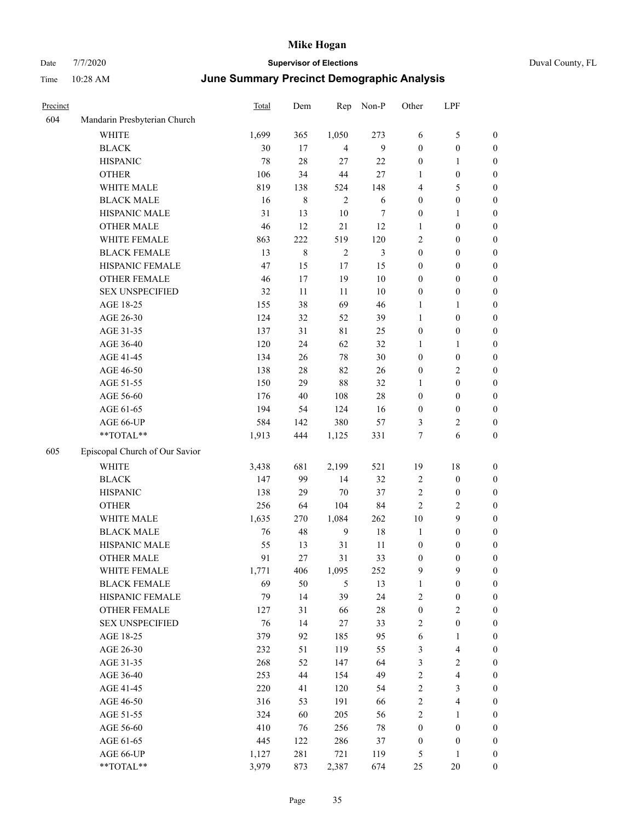| Duval Cour |  |
|------------|--|

| Precinct |                                | Total | Dem         | Rep            | Non-P      | Other            | LPF                     |                  |
|----------|--------------------------------|-------|-------------|----------------|------------|------------------|-------------------------|------------------|
| 604      | Mandarin Presbyterian Church   |       |             |                |            |                  |                         |                  |
|          | <b>WHITE</b>                   | 1,699 | 365         | 1,050          | 273        | 6                | 5                       | $\boldsymbol{0}$ |
|          | <b>BLACK</b>                   | 30    | 17          | $\overline{4}$ | 9          | $\boldsymbol{0}$ | $\boldsymbol{0}$        | $\boldsymbol{0}$ |
|          | <b>HISPANIC</b>                | 78    | 28          | 27             | 22         | $\boldsymbol{0}$ | $\mathbf{1}$            | $\boldsymbol{0}$ |
|          | <b>OTHER</b>                   | 106   | 34          | 44             | $27\,$     | 1                | $\boldsymbol{0}$        | $\boldsymbol{0}$ |
|          | WHITE MALE                     | 819   | 138         | 524            | 148        | 4                | 5                       | $\boldsymbol{0}$ |
|          | <b>BLACK MALE</b>              | 16    | $\,$ 8 $\,$ | $\overline{2}$ | $\sqrt{6}$ | $\boldsymbol{0}$ | $\boldsymbol{0}$        | $\boldsymbol{0}$ |
|          | HISPANIC MALE                  | 31    | 13          | $10\,$         | $\tau$     | $\boldsymbol{0}$ | $\mathbf{1}$            | $\boldsymbol{0}$ |
|          | <b>OTHER MALE</b>              | 46    | 12          | 21             | 12         | 1                | $\boldsymbol{0}$        | $\boldsymbol{0}$ |
|          | WHITE FEMALE                   | 863   | 222         | 519            | 120        | 2                | $\boldsymbol{0}$        | $\boldsymbol{0}$ |
|          | <b>BLACK FEMALE</b>            | 13    | 8           | $\overline{2}$ | 3          | $\boldsymbol{0}$ | $\boldsymbol{0}$        | 0                |
|          | HISPANIC FEMALE                | 47    | 15          | 17             | 15         | $\boldsymbol{0}$ | $\boldsymbol{0}$        | $\boldsymbol{0}$ |
|          | OTHER FEMALE                   | 46    | 17          | 19             | $10\,$     | $\boldsymbol{0}$ | $\boldsymbol{0}$        | $\boldsymbol{0}$ |
|          | <b>SEX UNSPECIFIED</b>         | 32    | 11          | 11             | 10         | $\boldsymbol{0}$ | $\boldsymbol{0}$        | $\boldsymbol{0}$ |
|          | AGE 18-25                      | 155   | 38          | 69             | 46         | $\mathbf{1}$     | $\mathbf{1}$            | $\boldsymbol{0}$ |
|          | AGE 26-30                      | 124   | 32          | 52             | 39         | $\mathbf{1}$     | $\boldsymbol{0}$        | $\boldsymbol{0}$ |
|          | AGE 31-35                      | 137   | 31          | $8\sqrt{1}$    | 25         | $\boldsymbol{0}$ | $\boldsymbol{0}$        | $\boldsymbol{0}$ |
|          | AGE 36-40                      | 120   | 24          | 62             | 32         | $\mathbf{1}$     | $\mathbf{1}$            | $\boldsymbol{0}$ |
|          | AGE 41-45                      | 134   | 26          | 78             | 30         | $\boldsymbol{0}$ | $\boldsymbol{0}$        | $\boldsymbol{0}$ |
|          | AGE 46-50                      | 138   | $28\,$      | 82             | 26         | $\boldsymbol{0}$ | $\sqrt{2}$              | $\boldsymbol{0}$ |
|          | AGE 51-55                      | 150   | 29          | $88\,$         | 32         | 1                | $\boldsymbol{0}$        | 0                |
|          | AGE 56-60                      | 176   | 40          | 108            | $28\,$     | $\boldsymbol{0}$ | $\boldsymbol{0}$        | $\boldsymbol{0}$ |
|          | AGE 61-65                      | 194   | 54          | 124            | 16         | $\boldsymbol{0}$ | $\boldsymbol{0}$        | $\boldsymbol{0}$ |
|          | AGE 66-UP                      | 584   | 142         | 380            | 57         | 3                | $\sqrt{2}$              | $\boldsymbol{0}$ |
|          | **TOTAL**                      | 1,913 | 444         | 1,125          | 331        | 7                | 6                       | $\boldsymbol{0}$ |
| 605      | Episcopal Church of Our Savior |       |             |                |            |                  |                         |                  |
|          | WHITE                          | 3,438 | 681         | 2,199          | 521        | 19               | $18\,$                  | $\boldsymbol{0}$ |
|          | <b>BLACK</b>                   | 147   | 99          | 14             | 32         | $\sqrt{2}$       | $\boldsymbol{0}$        | $\boldsymbol{0}$ |
|          | <b>HISPANIC</b>                | 138   | 29          | 70             | 37         | $\sqrt{2}$       | $\boldsymbol{0}$        | $\boldsymbol{0}$ |
|          | <b>OTHER</b>                   | 256   | 64          | 104            | 84         | $\mathbf{2}$     | $\sqrt{2}$              | $\boldsymbol{0}$ |
|          | WHITE MALE                     | 1,635 | 270         | 1,084          | 262        | 10               | $\mathbf{9}$            | $\boldsymbol{0}$ |
|          | <b>BLACK MALE</b>              | 76    | 48          | 9              | $18\,$     | 1                | $\boldsymbol{0}$        | $\boldsymbol{0}$ |
|          | HISPANIC MALE                  | 55    | 13          | 31             | 11         | $\boldsymbol{0}$ | $\boldsymbol{0}$        | 0                |
|          | <b>OTHER MALE</b>              | 91    | 27          | 31             | 33         | $\boldsymbol{0}$ | $\boldsymbol{0}$        | $\boldsymbol{0}$ |
|          | WHITE FEMALE                   | 1,771 | 406         | 1,095          | 252        | 9                | 9                       | $\boldsymbol{0}$ |
|          | <b>BLACK FEMALE</b>            | 69    | 50          | $\mathfrak{S}$ | 13         | $\mathbf{1}$     | $\boldsymbol{0}$        | $\boldsymbol{0}$ |
|          | HISPANIC FEMALE                | 79    | 14          | 39             | 24         | $\sqrt{2}$       | $\boldsymbol{0}$        | $\overline{0}$   |
|          | <b>OTHER FEMALE</b>            | 127   | 31          | 66             | $28\,$     | $\boldsymbol{0}$ | $\sqrt{2}$              | 0                |
|          | <b>SEX UNSPECIFIED</b>         | 76    | 14          | 27             | 33         | $\sqrt{2}$       | $\boldsymbol{0}$        | 0                |
|          | AGE 18-25                      | 379   | 92          | 185            | 95         | 6                | $\mathbf{1}$            | 0                |
|          | AGE 26-30                      | 232   | 51          | 119            | 55         | $\mathfrak{Z}$   | $\overline{\mathbf{4}}$ | 0                |
|          | AGE 31-35                      | 268   | 52          | 147            | 64         | $\mathfrak{Z}$   | $\sqrt{2}$              | 0                |
|          | AGE 36-40                      | 253   | 44          | 154            | 49         | $\sqrt{2}$       | $\overline{\mathbf{4}}$ | 0                |
|          | AGE 41-45                      | 220   | 41          | 120            | 54         | $\sqrt{2}$       | $\mathfrak{Z}$          | 0                |
|          | AGE 46-50                      | 316   | 53          | 191            | 66         | $\sqrt{2}$       | $\overline{\mathbf{4}}$ | $\boldsymbol{0}$ |
|          | AGE 51-55                      | 324   | 60          | 205            | 56         | $\sqrt{2}$       | $\mathbf{1}$            | $\boldsymbol{0}$ |
|          | AGE 56-60                      | 410   | 76          | 256            | $78\,$     | $\boldsymbol{0}$ | $\boldsymbol{0}$        | $\boldsymbol{0}$ |
|          | AGE 61-65                      | 445   | 122         | 286            | 37         | $\boldsymbol{0}$ | $\boldsymbol{0}$        | 0                |
|          | AGE 66-UP                      | 1,127 | 281         | 721            | 119        | $\mathfrak s$    | $\mathbf{1}$            | $\boldsymbol{0}$ |
|          | **TOTAL**                      | 3,979 | 873         | 2,387          | 674        | 25               | $20\,$                  | $\boldsymbol{0}$ |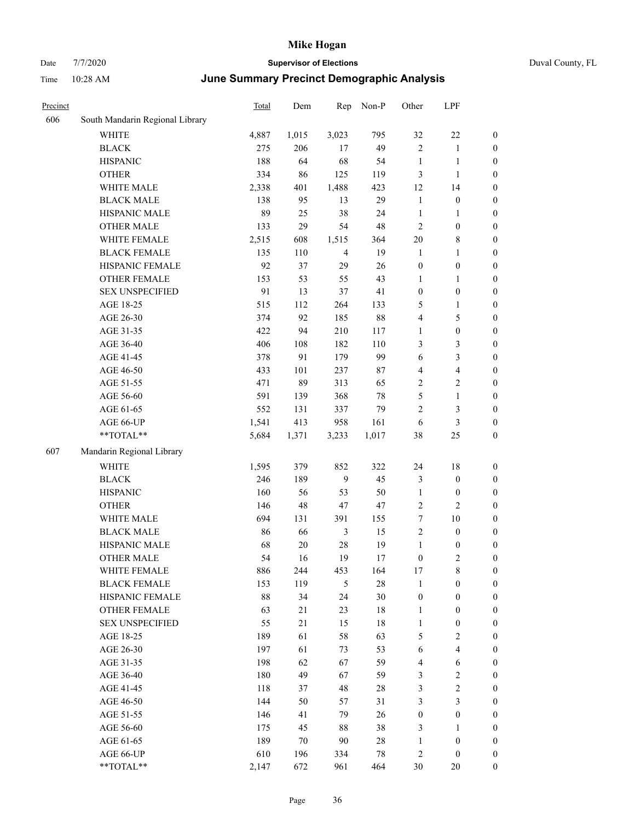# Date 7/7/2020 **Supervisor of Elections** Duval County, FL Time 10:28 AM **June Summary Precinct Demographic Analysis**

| Precinct |                                 | <b>Total</b> | Dem   | Rep            | Non-P  | Other                   | LPF              |                  |
|----------|---------------------------------|--------------|-------|----------------|--------|-------------------------|------------------|------------------|
| 606      | South Mandarin Regional Library |              |       |                |        |                         |                  |                  |
|          | <b>WHITE</b>                    | 4,887        | 1,015 | 3,023          | 795    | 32                      | $22\,$           | $\boldsymbol{0}$ |
|          | <b>BLACK</b>                    | 275          | 206   | 17             | 49     | $\sqrt{2}$              | $\mathbf{1}$     | $\boldsymbol{0}$ |
|          | <b>HISPANIC</b>                 | 188          | 64    | 68             | 54     | $\mathbf{1}$            | $\mathbf{1}$     | $\boldsymbol{0}$ |
|          | <b>OTHER</b>                    | 334          | 86    | 125            | 119    | 3                       | $\mathbf{1}$     | $\boldsymbol{0}$ |
|          | WHITE MALE                      | 2,338        | 401   | 1,488          | 423    | 12                      | 14               | $\boldsymbol{0}$ |
|          | <b>BLACK MALE</b>               | 138          | 95    | 13             | 29     | $\mathbf{1}$            | $\boldsymbol{0}$ | $\boldsymbol{0}$ |
|          | HISPANIC MALE                   | 89           | 25    | 38             | 24     | $\mathbf{1}$            | 1                | $\boldsymbol{0}$ |
|          | <b>OTHER MALE</b>               | 133          | 29    | 54             | 48     | $\mathbf{2}$            | $\boldsymbol{0}$ | $\boldsymbol{0}$ |
|          | WHITE FEMALE                    | 2,515        | 608   | 1,515          | 364    | $20\,$                  | 8                | $\boldsymbol{0}$ |
|          | <b>BLACK FEMALE</b>             | 135          | 110   | $\overline{4}$ | 19     | $\mathbf{1}$            | $\mathbf{1}$     | $\boldsymbol{0}$ |
|          | HISPANIC FEMALE                 | 92           | 37    | 29             | 26     | $\boldsymbol{0}$        | $\boldsymbol{0}$ | $\boldsymbol{0}$ |
|          | <b>OTHER FEMALE</b>             | 153          | 53    | 55             | 43     | $\mathbf{1}$            | 1                | $\boldsymbol{0}$ |
|          | <b>SEX UNSPECIFIED</b>          | 91           | 13    | 37             | 41     | $\boldsymbol{0}$        | $\boldsymbol{0}$ | $\boldsymbol{0}$ |
|          | AGE 18-25                       | 515          | 112   | 264            | 133    | $\mathfrak{S}$          | 1                | $\boldsymbol{0}$ |
|          | AGE 26-30                       | 374          | 92    | 185            | 88     | $\overline{4}$          | 5                | $\boldsymbol{0}$ |
|          | AGE 31-35                       | 422          | 94    | 210            | 117    | $\mathbf{1}$            | $\boldsymbol{0}$ | $\boldsymbol{0}$ |
|          | AGE 36-40                       | 406          | 108   | 182            | 110    | 3                       | 3                | $\boldsymbol{0}$ |
|          | AGE 41-45                       | 378          | 91    | 179            | 99     | 6                       | 3                | $\boldsymbol{0}$ |
|          | AGE 46-50                       | 433          | 101   | 237            | 87     | $\overline{4}$          | 4                | $\boldsymbol{0}$ |
|          | AGE 51-55                       | 471          | 89    | 313            | 65     | $\sqrt{2}$              | 2                | $\boldsymbol{0}$ |
|          | AGE 56-60                       | 591          | 139   | 368            | 78     | $\mathfrak s$           | $\mathbf{1}$     | $\boldsymbol{0}$ |
|          | AGE 61-65                       | 552          | 131   | 337            | 79     | $\mathbf{2}$            | 3                | $\boldsymbol{0}$ |
|          | AGE 66-UP                       | 1,541        | 413   | 958            | 161    | $\sqrt{6}$              | 3                | $\boldsymbol{0}$ |
|          | **TOTAL**                       | 5,684        | 1,371 | 3,233          | 1,017  | $38\,$                  | $25\,$           | $\boldsymbol{0}$ |
| 607      | Mandarin Regional Library       |              |       |                |        |                         |                  |                  |
|          | WHITE                           | 1,595        | 379   | 852            | 322    | 24                      | 18               | $\boldsymbol{0}$ |
|          | <b>BLACK</b>                    | 246          | 189   | 9              | 45     | 3                       | $\boldsymbol{0}$ | $\boldsymbol{0}$ |
|          | <b>HISPANIC</b>                 | 160          | 56    | 53             | 50     | $\mathbf{1}$            | $\boldsymbol{0}$ | $\boldsymbol{0}$ |
|          | <b>OTHER</b>                    | 146          | 48    | 47             | 47     | $\overline{c}$          | 2                | $\boldsymbol{0}$ |
|          | WHITE MALE                      | 694          | 131   | 391            | 155    | $\boldsymbol{7}$        | $10\,$           | $\boldsymbol{0}$ |
|          | <b>BLACK MALE</b>               | 86           | 66    | 3              | 15     | $\sqrt{2}$              | $\boldsymbol{0}$ | $\boldsymbol{0}$ |
|          | HISPANIC MALE                   | 68           | 20    | $28\,$         | 19     | $\mathbf{1}$            | $\boldsymbol{0}$ | $\boldsymbol{0}$ |
|          | <b>OTHER MALE</b>               | 54           | 16    | 19             | 17     | $\boldsymbol{0}$        | 2                | $\boldsymbol{0}$ |
|          | WHITE FEMALE                    | 886          | 244   | 453            | 164    | 17                      | 8                | $\theta$         |
|          | <b>BLACK FEMALE</b>             | 153          | 119   | 5              | 28     | $\mathbf{1}$            | $\boldsymbol{0}$ | $\boldsymbol{0}$ |
|          | HISPANIC FEMALE                 | $88\,$       | 34    | 24             | 30     | $\boldsymbol{0}$        | $\boldsymbol{0}$ | $\boldsymbol{0}$ |
|          | OTHER FEMALE                    | 63           | 21    | 23             | $18\,$ | $\mathbf{1}$            | $\boldsymbol{0}$ | $\mathbf{0}$     |
|          | <b>SEX UNSPECIFIED</b>          | 55           | 21    | 15             | 18     | $\mathbf{1}$            | $\boldsymbol{0}$ | $\mathbf{0}$     |
|          | AGE 18-25                       | 189          | 61    | 58             | 63     | $\mathfrak{S}$          | 2                | $\theta$         |
|          | AGE 26-30                       | 197          | 61    | 73             | 53     | $\sqrt{6}$              | 4                | $\theta$         |
|          | AGE 31-35                       | 198          | 62    | 67             | 59     | $\overline{\mathbf{4}}$ | 6                | $\theta$         |
|          | AGE 36-40                       | 180          | 49    | 67             | 59     | 3                       | $\overline{c}$   | $\theta$         |
|          | AGE 41-45                       | 118          | 37    | 48             | 28     | $\mathfrak{Z}$          | $\overline{c}$   | $\theta$         |
|          | AGE 46-50                       | 144          | 50    | 57             | 31     | $\mathfrak{Z}$          | 3                | $\theta$         |
|          | AGE 51-55                       | 146          | 41    | 79             | 26     | $\boldsymbol{0}$        | $\boldsymbol{0}$ | $\boldsymbol{0}$ |
|          | AGE 56-60                       | 175          | 45    | 88             | 38     | 3                       | 1                | 0                |
|          | AGE 61-65                       | 189          | 70    | 90             | 28     | 1                       | $\boldsymbol{0}$ | $\boldsymbol{0}$ |
|          | AGE 66-UP                       | 610          | 196   | 334            | $78\,$ | $\overline{c}$          | $\boldsymbol{0}$ | $\boldsymbol{0}$ |

\*\*TOTAL\*\* 2,147 672 961 464 30 20 0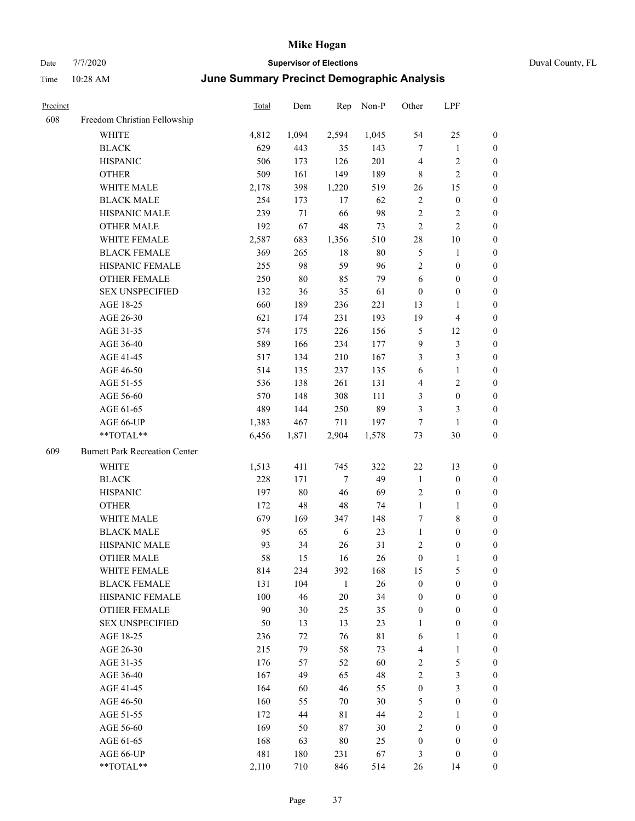| Duval County, FL |  |
|------------------|--|
|------------------|--|

| Precinct |                                       | Total | Dem    | Rep          | Non-P       | Other            | LPF                     |                  |
|----------|---------------------------------------|-------|--------|--------------|-------------|------------------|-------------------------|------------------|
| 608      | Freedom Christian Fellowship          |       |        |              |             |                  |                         |                  |
|          | <b>WHITE</b>                          | 4,812 | 1,094  | 2,594        | 1,045       | 54               | 25                      | $\boldsymbol{0}$ |
|          | <b>BLACK</b>                          | 629   | 443    | 35           | 143         | $\tau$           | $\mathbf{1}$            | $\boldsymbol{0}$ |
|          | <b>HISPANIC</b>                       | 506   | 173    | 126          | 201         | $\overline{4}$   | $\sqrt{2}$              | $\boldsymbol{0}$ |
|          | <b>OTHER</b>                          | 509   | 161    | 149          | 189         | $\,$ 8 $\,$      | $\sqrt{2}$              | $\boldsymbol{0}$ |
|          | WHITE MALE                            | 2,178 | 398    | 1,220        | 519         | 26               | 15                      | 0                |
|          | <b>BLACK MALE</b>                     | 254   | 173    | 17           | 62          | $\sqrt{2}$       | $\boldsymbol{0}$        | $\boldsymbol{0}$ |
|          | HISPANIC MALE                         | 239   | 71     | 66           | 98          | $\sqrt{2}$       | $\sqrt{2}$              | $\boldsymbol{0}$ |
|          | <b>OTHER MALE</b>                     | 192   | 67     | $48\,$       | 73          | $\mathfrak{2}$   | $\sqrt{2}$              | $\boldsymbol{0}$ |
|          | WHITE FEMALE                          | 2,587 | 683    | 1,356        | 510         | $28\,$           | $10\,$                  | $\boldsymbol{0}$ |
|          | <b>BLACK FEMALE</b>                   | 369   | 265    | 18           | $80\,$      | 5                | $\mathbf{1}$            | $\boldsymbol{0}$ |
|          | HISPANIC FEMALE                       | 255   | 98     | 59           | 96          | $\sqrt{2}$       | $\boldsymbol{0}$        | $\boldsymbol{0}$ |
|          | OTHER FEMALE                          | 250   | $80\,$ | 85           | 79          | 6                | $\boldsymbol{0}$        | $\boldsymbol{0}$ |
|          | <b>SEX UNSPECIFIED</b>                | 132   | 36     | 35           | 61          | $\boldsymbol{0}$ | $\boldsymbol{0}$        | $\boldsymbol{0}$ |
|          | AGE 18-25                             | 660   | 189    | 236          | 221         | 13               | $\mathbf{1}$            | $\boldsymbol{0}$ |
|          | AGE 26-30                             | 621   | 174    | 231          | 193         | 19               | $\overline{\mathbf{4}}$ | 0                |
|          | AGE 31-35                             | 574   | 175    | 226          | 156         | 5                | 12                      | 0                |
|          | AGE 36-40                             | 589   | 166    | 234          | 177         | 9                | $\mathfrak{Z}$          | $\boldsymbol{0}$ |
|          | AGE 41-45                             | 517   | 134    | 210          | 167         | 3                | $\mathfrak{Z}$          | $\boldsymbol{0}$ |
|          | AGE 46-50                             | 514   | 135    | 237          | 135         | 6                | $\mathbf{1}$            | $\boldsymbol{0}$ |
|          | AGE 51-55                             | 536   | 138    | 261          | 131         | 4                | $\sqrt{2}$              | $\boldsymbol{0}$ |
|          | AGE 56-60                             | 570   | 148    | 308          | 111         | 3                | $\boldsymbol{0}$        | $\boldsymbol{0}$ |
|          | AGE 61-65                             | 489   | 144    | 250          | 89          | 3                | 3                       | $\boldsymbol{0}$ |
|          | AGE 66-UP                             | 1,383 | 467    | 711          | 197         | 7                | $\mathbf{1}$            | 0                |
|          | **TOTAL**                             | 6,456 | 1,871  | 2,904        | 1,578       | 73               | $30\,$                  | 0                |
| 609      | <b>Burnett Park Recreation Center</b> |       |        |              |             |                  |                         |                  |
|          | WHITE                                 | 1,513 | 411    | 745          | 322         | 22               | 13                      | $\boldsymbol{0}$ |
|          | <b>BLACK</b>                          | 228   | 171    | $\tau$       | 49          | $\mathbf{1}$     | $\boldsymbol{0}$        | 0                |
|          | <b>HISPANIC</b>                       | 197   | $80\,$ | 46           | 69          | $\sqrt{2}$       | $\boldsymbol{0}$        | 0                |
|          | <b>OTHER</b>                          | 172   | 48     | 48           | 74          | $\mathbf{1}$     | $\mathbf{1}$            | $\boldsymbol{0}$ |
|          | WHITE MALE                            | 679   | 169    | 347          | 148         | 7                | $\,$ 8 $\,$             | $\boldsymbol{0}$ |
|          | <b>BLACK MALE</b>                     | 95    | 65     | 6            | 23          | $\mathbf{1}$     | $\boldsymbol{0}$        | $\boldsymbol{0}$ |
|          | HISPANIC MALE                         | 93    | 34     | 26           | 31          | $\overline{c}$   | $\boldsymbol{0}$        | $\boldsymbol{0}$ |
|          | <b>OTHER MALE</b>                     | 58    | 15     | 16           | 26          | $\boldsymbol{0}$ | $\mathbf{1}$            | $\boldsymbol{0}$ |
|          | WHITE FEMALE                          | 814   | 234    | 392          | 168         | 15               | $\mathfrak{S}$          | $\boldsymbol{0}$ |
|          | <b>BLACK FEMALE</b>                   | 131   | 104    | $\mathbf{1}$ | 26          | $\boldsymbol{0}$ | $\boldsymbol{0}$        | 0                |
|          | HISPANIC FEMALE                       | 100   | 46     | $20\,$       | 34          | $\boldsymbol{0}$ | $\boldsymbol{0}$        | 0                |
|          | <b>OTHER FEMALE</b>                   | 90    | 30     | 25           | 35          | $\boldsymbol{0}$ | $\boldsymbol{0}$        | 0                |
|          | <b>SEX UNSPECIFIED</b>                | 50    | 13     | 13           | 23          | $\mathbf{1}$     | $\boldsymbol{0}$        | 0                |
|          | AGE 18-25                             | 236   | 72     | 76           | $8\sqrt{1}$ | 6                | $\mathbf{1}$            | $\boldsymbol{0}$ |
|          | AGE 26-30                             | 215   | 79     | 58           | 73          | 4                | $\mathbf{1}$            | $\boldsymbol{0}$ |
|          | AGE 31-35                             | 176   | 57     | 52           | 60          | 2                | $\mathfrak{S}$          | $\overline{0}$   |
|          | AGE 36-40                             | 167   | 49     | 65           | 48          | $\sqrt{2}$       | $\mathfrak{Z}$          | 0                |
|          | AGE 41-45                             | 164   | 60     | 46           | 55          | $\boldsymbol{0}$ | $\mathfrak{Z}$          | $\overline{0}$   |
|          | AGE 46-50                             | 160   | 55     | 70           | 30          | 5                | $\boldsymbol{0}$        | 0                |
|          | AGE 51-55                             | 172   | 44     | 81           | 44          | $\sqrt{2}$       | $\mathbf{1}$            | $\boldsymbol{0}$ |
|          | AGE 56-60                             | 169   | 50     | $87\,$       | 30          | $\sqrt{2}$       | $\boldsymbol{0}$        | 0                |
|          | AGE 61-65                             | 168   | 63     | $80\,$       | 25          | $\boldsymbol{0}$ | $\boldsymbol{0}$        | 0                |
|          | AGE 66-UP                             | 481   | 180    | 231          | 67          | 3                | $\boldsymbol{0}$        | 0                |
|          | $**TOTAL**$                           | 2,110 | 710    | 846          | 514         | 26               | 14                      | $\boldsymbol{0}$ |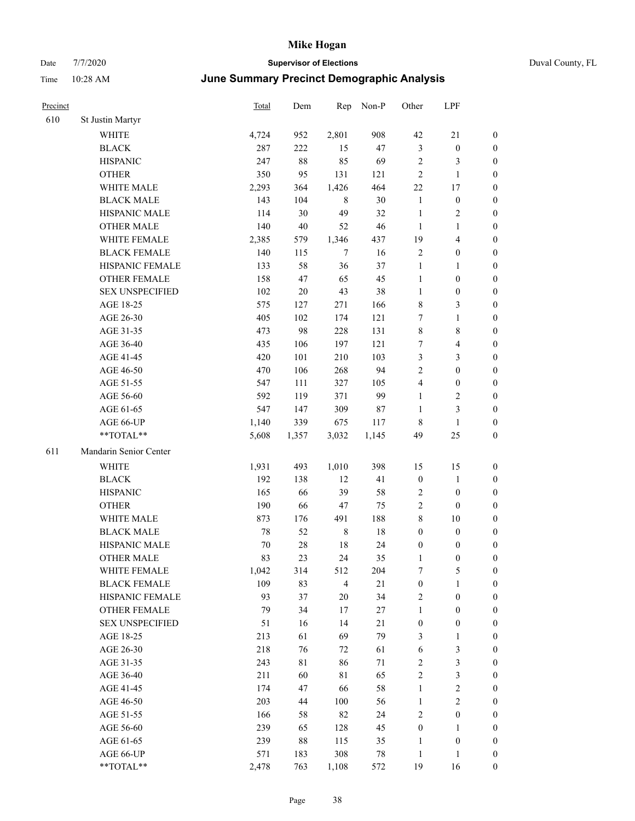# Date 7/7/2020 **Supervisor of Elections** Duval County, FL

# Time 10:28 AM **June Summary Precinct Demographic Analysis**

| Precinct |                        | <b>Total</b> | Dem    | Rep            | Non-P  | Other            | LPF                     |                  |
|----------|------------------------|--------------|--------|----------------|--------|------------------|-------------------------|------------------|
| 610      | St Justin Martyr       |              |        |                |        |                  |                         |                  |
|          | <b>WHITE</b>           | 4,724        | 952    | 2,801          | 908    | 42               | 21                      | 0                |
|          | <b>BLACK</b>           | 287          | 222    | 15             | 47     | $\mathfrak{Z}$   | $\boldsymbol{0}$        | 0                |
|          | <b>HISPANIC</b>        | 247          | $88\,$ | 85             | 69     | $\sqrt{2}$       | 3                       | $\boldsymbol{0}$ |
|          | <b>OTHER</b>           | 350          | 95     | 131            | 121    | $\mathbf{2}$     | $\mathbf{1}$            | $\boldsymbol{0}$ |
|          | WHITE MALE             | 2,293        | 364    | 1,426          | 464    | $22\,$           | 17                      | $\boldsymbol{0}$ |
|          | <b>BLACK MALE</b>      | 143          | 104    | $\,8\,$        | $30\,$ | $\mathbf{1}$     | $\boldsymbol{0}$        | $\boldsymbol{0}$ |
|          | HISPANIC MALE          | 114          | 30     | 49             | 32     | $\mathbf{1}$     | $\sqrt{2}$              | $\boldsymbol{0}$ |
|          | <b>OTHER MALE</b>      | 140          | 40     | 52             | 46     | $\mathbf{1}$     | $\mathbf{1}$            | $\boldsymbol{0}$ |
|          | WHITE FEMALE           | 2,385        | 579    | 1,346          | 437    | 19               | $\overline{\mathbf{4}}$ | $\boldsymbol{0}$ |
|          | <b>BLACK FEMALE</b>    | 140          | 115    | $\tau$         | 16     | $\sqrt{2}$       | $\boldsymbol{0}$        | 0                |
|          | HISPANIC FEMALE        | 133          | 58     | 36             | 37     | $\mathbf{1}$     | $\mathbf{1}$            | 0                |
|          | <b>OTHER FEMALE</b>    | 158          | 47     | 65             | 45     | $\mathbf{1}$     | $\boldsymbol{0}$        | $\boldsymbol{0}$ |
|          | <b>SEX UNSPECIFIED</b> | 102          | $20\,$ | 43             | 38     | $\mathbf{1}$     | $\boldsymbol{0}$        | $\boldsymbol{0}$ |
|          | AGE 18-25              | 575          | 127    | 271            | 166    | 8                | $\mathfrak{Z}$          | $\boldsymbol{0}$ |
|          | AGE 26-30              | 405          | 102    | 174            | 121    | 7                | $\mathbf{1}$            | $\boldsymbol{0}$ |
|          | AGE 31-35              | 473          | 98     | 228            | 131    | $\,$ $\,$        | $\,8\,$                 | $\boldsymbol{0}$ |
|          | AGE 36-40              | 435          | 106    | 197            | 121    | 7                | $\overline{\mathbf{4}}$ | $\boldsymbol{0}$ |
|          | AGE 41-45              | 420          | 101    | 210            | 103    | 3                | $\mathfrak{Z}$          | $\boldsymbol{0}$ |
|          | AGE 46-50              | 470          | 106    | 268            | 94     | $\overline{2}$   | $\boldsymbol{0}$        | $\boldsymbol{0}$ |
|          | AGE 51-55              | 547          | 111    | 327            | 105    | 4                | $\boldsymbol{0}$        | $\boldsymbol{0}$ |
|          | AGE 56-60              | 592          | 119    | 371            | 99     | $\mathbf{1}$     | $\sqrt{2}$              | 0                |
|          | AGE 61-65              | 547          | 147    | 309            | 87     | $\mathbf{1}$     | $\mathfrak{Z}$          | $\boldsymbol{0}$ |
|          | AGE 66-UP              | 1,140        | 339    | 675            | 117    | 8                | $\mathbf{1}$            | $\boldsymbol{0}$ |
|          | **TOTAL**              | 5,608        | 1,357  | 3,032          | 1,145  | 49               | 25                      | $\boldsymbol{0}$ |
| 611      | Mandarin Senior Center |              |        |                |        |                  |                         |                  |
|          | <b>WHITE</b>           | 1,931        | 493    | 1,010          | 398    | 15               | 15                      | $\boldsymbol{0}$ |
|          | <b>BLACK</b>           | 192          | 138    | 12             | 41     | $\boldsymbol{0}$ | $\mathbf{1}$            | $\boldsymbol{0}$ |
|          | <b>HISPANIC</b>        | 165          | 66     | 39             | 58     | 2                | $\boldsymbol{0}$        | $\boldsymbol{0}$ |
|          | <b>OTHER</b>           | 190          | 66     | 47             | 75     | $\overline{c}$   | $\boldsymbol{0}$        | $\boldsymbol{0}$ |
|          | WHITE MALE             | 873          | 176    | 491            | 188    | 8                | $10\,$                  | $\boldsymbol{0}$ |
|          | <b>BLACK MALE</b>      | 78           | 52     | $\,8\,$        | 18     | $\boldsymbol{0}$ | $\boldsymbol{0}$        | $\boldsymbol{0}$ |
|          | HISPANIC MALE          | 70           | $28\,$ | 18             | 24     | $\boldsymbol{0}$ | $\boldsymbol{0}$        | 0                |
|          | <b>OTHER MALE</b>      | 83           | 23     | 24             | 35     | $\mathbf{1}$     | $\boldsymbol{0}$        | $\boldsymbol{0}$ |
|          | WHITE FEMALE           | 1,042        | 314    | 512            | 204    | 7                | 5                       | 0                |
|          | <b>BLACK FEMALE</b>    | 109          | 83     | $\overline{4}$ | 21     | $\boldsymbol{0}$ | $\mathbf{1}$            | $\overline{0}$   |
|          | HISPANIC FEMALE        | 93           | 37     | 20             | 34     | 2                | $\boldsymbol{0}$        | $\overline{0}$   |
|          | OTHER FEMALE           | 79           | 34     | 17             | $27\,$ | $\mathbf{1}$     | $\boldsymbol{0}$        | 0                |
|          | <b>SEX UNSPECIFIED</b> | 51           | 16     | 14             | 21     | $\boldsymbol{0}$ | $\boldsymbol{0}$        | 0                |
|          | AGE 18-25              | 213          | 61     | 69             | 79     | 3                | $\mathbf{1}$            | 0                |
|          | AGE 26-30              | 218          | 76     | 72             | 61     | 6                | $\mathfrak{Z}$          | 0                |
|          | AGE 31-35              | 243          | 81     | 86             | 71     | 2                | $\mathfrak{Z}$          | 0                |
|          | AGE 36-40              | 211          | 60     | 81             | 65     | 2                | $\mathfrak{Z}$          | 0                |
|          | AGE 41-45              | 174          | 47     | 66             | 58     | $\mathbf{1}$     | $\sqrt{2}$              | 0                |
|          | AGE 46-50              | 203          | 44     | 100            | 56     | $\mathbf{1}$     | $\sqrt{2}$              | 0                |
|          | AGE 51-55              | 166          | 58     | 82             | 24     | 2                | $\boldsymbol{0}$        | 0                |
|          | AGE 56-60              | 239          | 65     | 128            | 45     | $\boldsymbol{0}$ | 1                       | 0                |
|          | AGE 61-65              | 239          | $88\,$ | 115            | 35     | 1                | $\boldsymbol{0}$        | 0                |
|          | AGE 66-UP              | 571          | 183    | 308            | $78\,$ | $\mathbf{1}$     | $\mathbf{1}$            | 0                |
|          | **TOTAL**              | 2,478        | 763    | 1,108          | 572    | 19               | 16                      | $\boldsymbol{0}$ |
|          |                        |              |        |                |        |                  |                         |                  |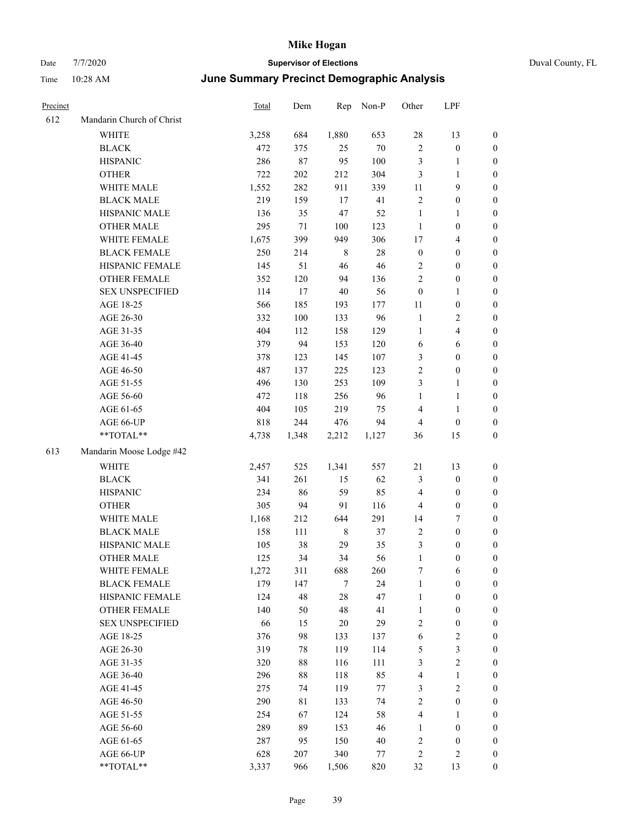| Precinct |                           | <b>Total</b> | Dem     | Rep         | Non-P  | Other            | LPF                     |                  |
|----------|---------------------------|--------------|---------|-------------|--------|------------------|-------------------------|------------------|
| 612      | Mandarin Church of Christ |              |         |             |        |                  |                         |                  |
|          | WHITE                     | 3,258        | 684     | 1,880       | 653    | 28               | 13                      | $\boldsymbol{0}$ |
|          | <b>BLACK</b>              | 472          | 375     | 25          | $70\,$ | $\overline{c}$   | $\boldsymbol{0}$        | $\boldsymbol{0}$ |
|          | <b>HISPANIC</b>           | 286          | 87      | 95          | 100    | 3                | $\mathbf{1}$            | 0                |
|          | <b>OTHER</b>              | 722          | $202\,$ | 212         | 304    | 3                | $\mathbf{1}$            | 0                |
|          | WHITE MALE                | 1,552        | 282     | 911         | 339    | 11               | 9                       | $\boldsymbol{0}$ |
|          | <b>BLACK MALE</b>         | 219          | 159     | 17          | 41     | $\sqrt{2}$       | $\boldsymbol{0}$        | $\boldsymbol{0}$ |
|          | HISPANIC MALE             | 136          | 35      | 47          | 52     | $\mathbf{1}$     | $\mathbf{1}$            | $\boldsymbol{0}$ |
|          | <b>OTHER MALE</b>         | 295          | $71\,$  | 100         | 123    | $\mathbf{1}$     | $\boldsymbol{0}$        | $\boldsymbol{0}$ |
|          | WHITE FEMALE              | 1,675        | 399     | 949         | 306    | 17               | $\overline{\mathbf{4}}$ | $\boldsymbol{0}$ |
|          | <b>BLACK FEMALE</b>       | 250          | 214     | $\,$ 8 $\,$ | $28\,$ | $\boldsymbol{0}$ | $\boldsymbol{0}$        | $\boldsymbol{0}$ |
|          | HISPANIC FEMALE           | 145          | 51      | 46          | 46     | $\sqrt{2}$       | $\boldsymbol{0}$        | $\boldsymbol{0}$ |
|          | <b>OTHER FEMALE</b>       | 352          | 120     | 94          | 136    | $\overline{c}$   | $\boldsymbol{0}$        | $\boldsymbol{0}$ |
|          | <b>SEX UNSPECIFIED</b>    | 114          | 17      | $40\,$      | 56     | $\boldsymbol{0}$ | $\mathbf{1}$            | 0                |
|          | AGE 18-25                 | 566          | 185     | 193         | 177    | 11               | $\boldsymbol{0}$        | 0                |
|          | AGE 26-30                 | 332          | 100     | 133         | 96     | $\mathbf{1}$     | $\sqrt{2}$              | 0                |
|          | AGE 31-35                 | 404          | 112     | 158         | 129    | 1                | $\overline{\mathbf{4}}$ | $\boldsymbol{0}$ |
|          | AGE 36-40                 | 379          | 94      | 153         | 120    | 6                | 6                       | $\boldsymbol{0}$ |
|          | AGE 41-45                 | 378          | 123     | 145         | 107    | 3                | $\boldsymbol{0}$        | $\boldsymbol{0}$ |
|          | AGE 46-50                 | 487          | 137     | 225         | 123    | $\sqrt{2}$       | $\boldsymbol{0}$        | $\boldsymbol{0}$ |
|          | AGE 51-55                 | 496          | 130     | 253         | 109    | 3                | $\mathbf{1}$            | $\boldsymbol{0}$ |
|          | AGE 56-60                 | 472          | 118     | 256         | 96     | $\mathbf{1}$     | $\mathbf{1}$            | $\boldsymbol{0}$ |
|          | AGE 61-65                 | 404          | 105     | 219         | 75     | 4                | $\mathbf{1}$            | 0                |
|          | AGE 66-UP                 | 818          | 244     | 476         | 94     | $\overline{4}$   | $\boldsymbol{0}$        | 0                |
|          | $**TOTAL**$               | 4,738        | 1,348   | 2,212       | 1,127  | 36               | 15                      | $\boldsymbol{0}$ |
| 613      | Mandarin Moose Lodge #42  |              |         |             |        |                  |                         |                  |
|          | <b>WHITE</b>              | 2,457        | 525     | 1,341       | 557    | 21               | 13                      | 0                |
|          | <b>BLACK</b>              | 341          | 261     | 15          | 62     | 3                | $\boldsymbol{0}$        | $\boldsymbol{0}$ |
|          | <b>HISPANIC</b>           | 234          | 86      | 59          | 85     | $\overline{4}$   | $\boldsymbol{0}$        | 0                |
|          | <b>OTHER</b>              | 305          | 94      | 91          | 116    | 4                | $\boldsymbol{0}$        | $\boldsymbol{0}$ |
|          | WHITE MALE                | 1,168        | 212     | 644         | 291    | 14               | $\boldsymbol{7}$        | $\boldsymbol{0}$ |
|          | <b>BLACK MALE</b>         | 158          | 111     | $\,$ 8 $\,$ | 37     | 2                | $\boldsymbol{0}$        | $\boldsymbol{0}$ |
|          | HISPANIC MALE             | 105          | 38      | 29          | 35     | 3                | $\boldsymbol{0}$        | $\boldsymbol{0}$ |
|          | <b>OTHER MALE</b>         | 125          | 34      | 34          | 56     | $\mathbf{1}$     | $\boldsymbol{0}$        | $\boldsymbol{0}$ |
|          | WHITE FEMALE              | 1,272        | 311     | 688         | 260    | 7                | 6                       | 0                |
|          | <b>BLACK FEMALE</b>       | 179          | 147     | 7           | 24     | $\mathbf{1}$     | $\boldsymbol{0}$        | 0                |
|          | HISPANIC FEMALE           | 124          | 48      | $28\,$      | 47     | $\mathbf{1}$     | $\boldsymbol{0}$        | 0                |
|          | OTHER FEMALE              | 140          | 50      | 48          | 41     | $\mathbf{1}$     | $\boldsymbol{0}$        | 0                |
|          | <b>SEX UNSPECIFIED</b>    | 66           | 15      | $20\,$      | 29     | $\sqrt{2}$       | $\boldsymbol{0}$        | 0                |
|          | AGE 18-25                 | 376          | 98      | 133         | 137    | 6                | $\sqrt{2}$              | $\boldsymbol{0}$ |
|          | AGE 26-30                 | 319          | 78      | 119         | 114    | 5                | $\mathfrak{Z}$          | 0                |
|          | AGE 31-35                 | 320          | 88      | 116         | 111    | 3                | $\sqrt{2}$              | 0                |
|          | AGE 36-40                 | 296          | $88\,$  | 118         | 85     | 4                | $\mathbf{1}$            | 0                |
|          | AGE 41-45                 | 275          | 74      | 119         | 77     | 3                | $\overline{2}$          | 0                |
|          | AGE 46-50                 | 290          | 81      | 133         | 74     | $\sqrt{2}$       | $\boldsymbol{0}$        | 0                |
|          | AGE 51-55                 | 254          | 67      | 124         | 58     | $\overline{4}$   | $\mathbf{1}$            | 0                |
|          | AGE 56-60                 | 289          | 89      | 153         | 46     | $\mathbf{1}$     | $\boldsymbol{0}$        | 0                |
|          | AGE 61-65                 | 287          | 95      | 150         | $40\,$ | $\sqrt{2}$       | $\boldsymbol{0}$        | 0                |
|          | AGE 66-UP                 | 628          | 207     | 340         | 77     | $\sqrt{2}$       | $\sqrt{2}$              | 0                |
|          | **TOTAL**                 | 3,337        | 966     | 1,506       | 820    | 32               | 13                      | $\boldsymbol{0}$ |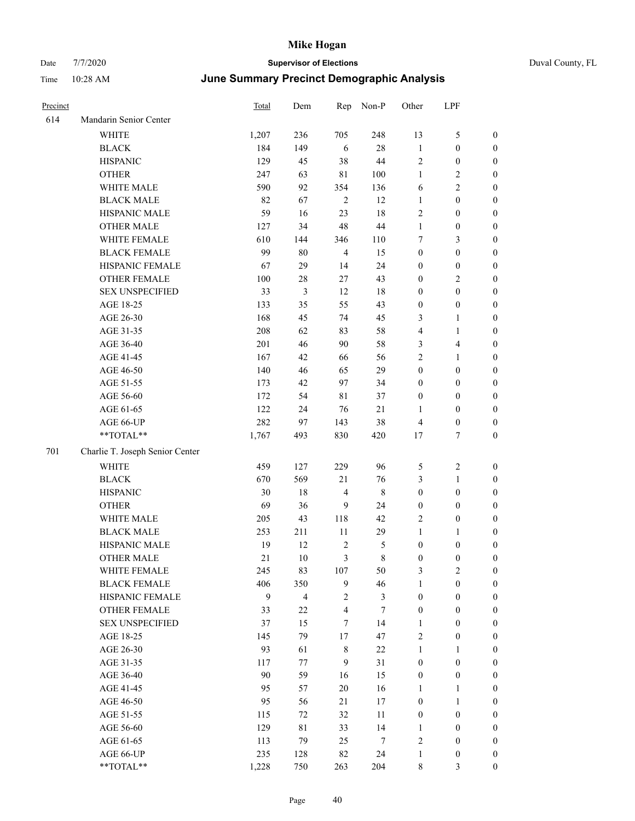| Precinct |                                 | Total | Dem            | Rep                     | Non-P          | Other            | LPF              |                  |
|----------|---------------------------------|-------|----------------|-------------------------|----------------|------------------|------------------|------------------|
| 614      | Mandarin Senior Center          |       |                |                         |                |                  |                  |                  |
|          | <b>WHITE</b>                    | 1,207 | 236            | 705                     | 248            | 13               | 5                | $\boldsymbol{0}$ |
|          | <b>BLACK</b>                    | 184   | 149            | 6                       | $28\,$         | $\mathbf{1}$     | $\boldsymbol{0}$ | $\boldsymbol{0}$ |
|          | <b>HISPANIC</b>                 | 129   | 45             | 38                      | 44             | $\sqrt{2}$       | $\boldsymbol{0}$ | $\boldsymbol{0}$ |
|          | <b>OTHER</b>                    | 247   | 63             | $8\sqrt{1}$             | 100            | $\mathbf{1}$     | 2                | $\boldsymbol{0}$ |
|          | WHITE MALE                      | 590   | 92             | 354                     | 136            | 6                | $\overline{c}$   | $\boldsymbol{0}$ |
|          | <b>BLACK MALE</b>               | 82    | 67             | $\overline{2}$          | 12             | $\mathbf{1}$     | $\boldsymbol{0}$ | $\boldsymbol{0}$ |
|          | HISPANIC MALE                   | 59    | 16             | 23                      | 18             | $\sqrt{2}$       | $\boldsymbol{0}$ | $\boldsymbol{0}$ |
|          | <b>OTHER MALE</b>               | 127   | 34             | 48                      | 44             | $\mathbf{1}$     | $\boldsymbol{0}$ | $\boldsymbol{0}$ |
|          | WHITE FEMALE                    | 610   | 144            | 346                     | 110            | 7                | 3                | $\boldsymbol{0}$ |
|          | <b>BLACK FEMALE</b>             | 99    | 80             | $\overline{4}$          | 15             | $\boldsymbol{0}$ | $\boldsymbol{0}$ | $\boldsymbol{0}$ |
|          | HISPANIC FEMALE                 | 67    | 29             | 14                      | 24             | $\boldsymbol{0}$ | $\boldsymbol{0}$ | $\boldsymbol{0}$ |
|          | <b>OTHER FEMALE</b>             | 100   | $28\,$         | $27\,$                  | 43             | $\boldsymbol{0}$ | 2                | $\boldsymbol{0}$ |
|          | <b>SEX UNSPECIFIED</b>          | 33    | $\mathfrak{Z}$ | 12                      | $18\,$         | $\boldsymbol{0}$ | $\boldsymbol{0}$ | $\boldsymbol{0}$ |
|          | AGE 18-25                       | 133   | 35             | 55                      | 43             | $\boldsymbol{0}$ | $\boldsymbol{0}$ | $\boldsymbol{0}$ |
|          | AGE 26-30                       | 168   | 45             | 74                      | 45             | 3                | 1                | $\boldsymbol{0}$ |
|          | AGE 31-35                       | 208   | 62             | 83                      | 58             | $\overline{4}$   | $\mathbf{1}$     | $\boldsymbol{0}$ |
|          | AGE 36-40                       | 201   | 46             | 90                      | 58             | 3                | 4                | $\boldsymbol{0}$ |
|          | AGE 41-45                       | 167   | 42             | 66                      | 56             | $\mathbf{2}$     | 1                | $\boldsymbol{0}$ |
|          | AGE 46-50                       | 140   | 46             | 65                      | 29             | $\boldsymbol{0}$ | $\boldsymbol{0}$ | $\boldsymbol{0}$ |
|          | AGE 51-55                       | 173   | 42             | 97                      | 34             | $\boldsymbol{0}$ | $\boldsymbol{0}$ | $\boldsymbol{0}$ |
|          | AGE 56-60                       | 172   | 54             | $8\sqrt{1}$             | 37             | $\boldsymbol{0}$ | $\boldsymbol{0}$ | $\boldsymbol{0}$ |
|          | AGE 61-65                       | 122   | 24             | 76                      | $21\,$         | $\mathbf{1}$     | $\boldsymbol{0}$ | $\boldsymbol{0}$ |
|          | AGE 66-UP                       | 282   | 97             | 143                     | 38             | $\overline{4}$   | $\boldsymbol{0}$ | $\boldsymbol{0}$ |
|          | **TOTAL**                       | 1,767 | 493            | 830                     | 420            | 17               | 7                | $\boldsymbol{0}$ |
| 701      | Charlie T. Joseph Senior Center |       |                |                         |                |                  |                  |                  |
|          | WHITE                           | 459   | 127            | 229                     | 96             | 5                | $\overline{c}$   | $\boldsymbol{0}$ |
|          | <b>BLACK</b>                    | 670   | 569            | 21                      | 76             | 3                | $\mathbf{1}$     | $\boldsymbol{0}$ |
|          | <b>HISPANIC</b>                 | 30    | 18             | $\overline{4}$          | 8              | $\boldsymbol{0}$ | $\boldsymbol{0}$ | $\boldsymbol{0}$ |
|          | <b>OTHER</b>                    | 69    | 36             | 9                       | 24             | $\boldsymbol{0}$ | $\boldsymbol{0}$ | $\boldsymbol{0}$ |
|          | WHITE MALE                      | 205   | 43             | 118                     | 42             | $\sqrt{2}$       | $\boldsymbol{0}$ | $\boldsymbol{0}$ |
|          | <b>BLACK MALE</b>               | 253   | 211            | 11                      | 29             | $\mathbf{1}$     | 1                | $\boldsymbol{0}$ |
|          | HISPANIC MALE                   | 19    | 12             | $\sqrt{2}$              | 5              | $\boldsymbol{0}$ | $\boldsymbol{0}$ | $\boldsymbol{0}$ |
|          | <b>OTHER MALE</b>               | 21    | $10\,$         | 3                       | 8              | $\boldsymbol{0}$ | $\boldsymbol{0}$ | $\boldsymbol{0}$ |
|          | WHITE FEMALE                    | 245   | 83             | 107                     | 50             | $\mathfrak{Z}$   | $\mathbf{2}$     | $\boldsymbol{0}$ |
|          | <b>BLACK FEMALE</b>             | 406   | 350            | $\mathbf{9}$            | 46             | $\mathbf{1}$     | $\boldsymbol{0}$ | $\boldsymbol{0}$ |
|          | HISPANIC FEMALE                 | 9     | $\overline{4}$ | $\overline{2}$          | $\mathfrak{Z}$ | $\boldsymbol{0}$ | $\boldsymbol{0}$ | $\boldsymbol{0}$ |
|          | OTHER FEMALE                    | 33    | 22             | $\overline{\mathbf{4}}$ | $\tau$         | $\boldsymbol{0}$ | $\boldsymbol{0}$ | $\boldsymbol{0}$ |
|          | <b>SEX UNSPECIFIED</b>          | 37    | 15             | $\tau$                  | 14             | 1                | $\boldsymbol{0}$ | $\boldsymbol{0}$ |
|          | AGE 18-25                       | 145   | 79             | 17                      | 47             | $\sqrt{2}$       | $\boldsymbol{0}$ | $\boldsymbol{0}$ |
|          | AGE 26-30                       | 93    | 61             | $\,$ 8 $\,$             | 22             | $\mathbf{1}$     | $\mathbf{1}$     | $\boldsymbol{0}$ |
|          | AGE 31-35                       | 117   | 77             | 9                       | 31             | $\boldsymbol{0}$ | $\boldsymbol{0}$ | $\boldsymbol{0}$ |
|          | AGE 36-40                       | 90    | 59             | 16                      | 15             | $\boldsymbol{0}$ | $\boldsymbol{0}$ | $\boldsymbol{0}$ |
|          | AGE 41-45                       | 95    | 57             | $20\,$                  | 16             | 1                | 1                | $\boldsymbol{0}$ |
|          | AGE 46-50                       | 95    | 56             | 21                      | 17             | $\boldsymbol{0}$ | 1                | $\boldsymbol{0}$ |
|          | AGE 51-55                       | 115   | 72             | 32                      | 11             | $\boldsymbol{0}$ | $\boldsymbol{0}$ | $\boldsymbol{0}$ |
|          | AGE 56-60                       | 129   | $8\sqrt{1}$    | 33                      | 14             | 1                | $\boldsymbol{0}$ | $\boldsymbol{0}$ |
|          | AGE 61-65                       | 113   | 79             | 25                      | $\tau$         | $\sqrt{2}$       | $\boldsymbol{0}$ | $\boldsymbol{0}$ |
|          | AGE 66-UP                       | 235   | 128            | $82\,$                  | 24             | $\mathbf{1}$     | $\boldsymbol{0}$ | $\mathbf{0}$     |
|          | **TOTAL**                       | 1,228 | 750            | 263                     | 204            | $\,$ 8 $\,$      | 3                | $\boldsymbol{0}$ |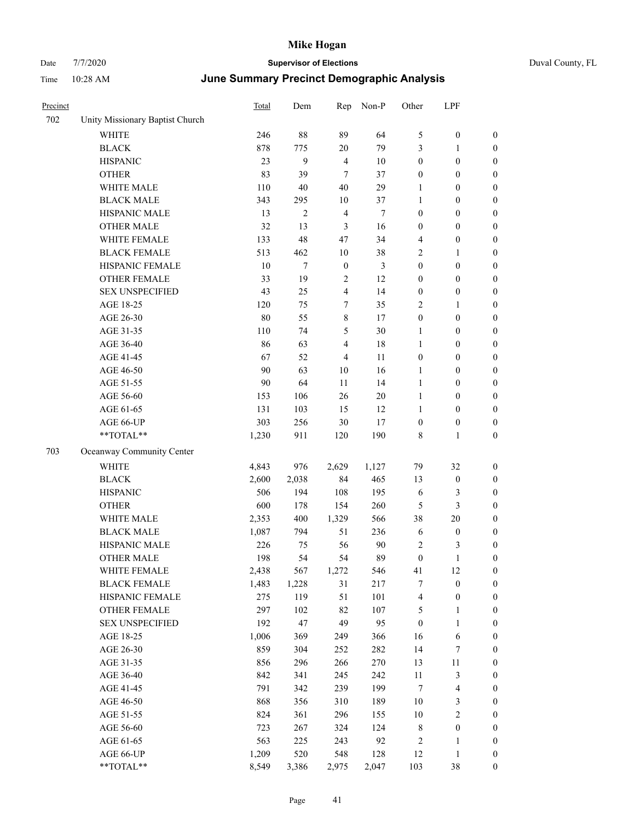|  | Duval County, FL |  |
|--|------------------|--|
|--|------------------|--|

| Precinct |                                 | <b>Total</b> | Dem    | Rep              | Non-P          | Other            | LPF              |                  |
|----------|---------------------------------|--------------|--------|------------------|----------------|------------------|------------------|------------------|
| 702      | Unity Missionary Baptist Church |              |        |                  |                |                  |                  |                  |
|          | WHITE                           | 246          | 88     | 89               | 64             | 5                | $\boldsymbol{0}$ | $\boldsymbol{0}$ |
|          | <b>BLACK</b>                    | 878          | 775    | $20\,$           | 79             | 3                | 1                | $\boldsymbol{0}$ |
|          | <b>HISPANIC</b>                 | 23           | 9      | $\overline{4}$   | 10             | $\boldsymbol{0}$ | $\boldsymbol{0}$ | $\boldsymbol{0}$ |
|          | <b>OTHER</b>                    | 83           | 39     | $\tau$           | 37             | $\boldsymbol{0}$ | $\boldsymbol{0}$ | $\boldsymbol{0}$ |
|          | WHITE MALE                      | 110          | $40\,$ | 40               | 29             | 1                | $\boldsymbol{0}$ | $\boldsymbol{0}$ |
|          | <b>BLACK MALE</b>               | 343          | 295    | $10\,$           | 37             | $\mathbf{1}$     | $\boldsymbol{0}$ | $\boldsymbol{0}$ |
|          | HISPANIC MALE                   | 13           | 2      | $\overline{4}$   | $\tau$         | $\boldsymbol{0}$ | $\boldsymbol{0}$ | $\boldsymbol{0}$ |
|          | <b>OTHER MALE</b>               | 32           | 13     | 3                | 16             | $\boldsymbol{0}$ | $\boldsymbol{0}$ | $\boldsymbol{0}$ |
|          | WHITE FEMALE                    | 133          | 48     | 47               | 34             | $\overline{4}$   | $\boldsymbol{0}$ | $\boldsymbol{0}$ |
|          | <b>BLACK FEMALE</b>             | 513          | 462    | 10               | 38             | $\overline{2}$   | 1                | $\boldsymbol{0}$ |
|          | HISPANIC FEMALE                 | 10           | $\tau$ | $\boldsymbol{0}$ | $\mathfrak{Z}$ | $\boldsymbol{0}$ | $\boldsymbol{0}$ | $\boldsymbol{0}$ |
|          | <b>OTHER FEMALE</b>             | 33           | 19     | $\overline{c}$   | 12             | $\boldsymbol{0}$ | $\boldsymbol{0}$ | $\boldsymbol{0}$ |
|          | <b>SEX UNSPECIFIED</b>          | 43           | 25     | 4                | 14             | $\boldsymbol{0}$ | $\boldsymbol{0}$ | $\boldsymbol{0}$ |
|          | AGE 18-25                       | 120          | 75     | 7                | 35             | $\overline{2}$   | 1                | $\boldsymbol{0}$ |
|          | AGE 26-30                       | 80           | 55     | 8                | 17             | $\boldsymbol{0}$ | $\boldsymbol{0}$ | $\boldsymbol{0}$ |
|          | AGE 31-35                       | 110          | 74     | 5                | $30\,$         | 1                | $\boldsymbol{0}$ | $\boldsymbol{0}$ |
|          | AGE 36-40                       | 86           | 63     | 4                | 18             | $\mathbf{1}$     | $\boldsymbol{0}$ | $\boldsymbol{0}$ |
|          | AGE 41-45                       | 67           | 52     | $\overline{4}$   | 11             | $\boldsymbol{0}$ | $\boldsymbol{0}$ | $\boldsymbol{0}$ |
|          | AGE 46-50                       | 90           | 63     | 10               | 16             | 1                | $\boldsymbol{0}$ | $\boldsymbol{0}$ |
|          | AGE 51-55                       | 90           | 64     | 11               | 14             | 1                | $\boldsymbol{0}$ | $\boldsymbol{0}$ |
|          | AGE 56-60                       | 153          | 106    | 26               | $20\,$         | 1                | $\boldsymbol{0}$ | $\boldsymbol{0}$ |
|          | AGE 61-65                       | 131          | 103    | 15               | 12             | $\mathbf{1}$     | $\boldsymbol{0}$ | $\boldsymbol{0}$ |
|          | AGE 66-UP                       | 303          | 256    | 30               | 17             | $\boldsymbol{0}$ | $\boldsymbol{0}$ | $\boldsymbol{0}$ |
|          | **TOTAL**                       | 1,230        | 911    | 120              | 190            | 8                | 1                | $\boldsymbol{0}$ |
| 703      | Oceanway Community Center       |              |        |                  |                |                  |                  |                  |
|          | <b>WHITE</b>                    | 4,843        | 976    | 2,629            | 1,127          | 79               | 32               | $\boldsymbol{0}$ |
|          | <b>BLACK</b>                    | 2,600        | 2,038  | 84               | 465            | 13               | $\boldsymbol{0}$ | $\boldsymbol{0}$ |
|          | <b>HISPANIC</b>                 | 506          | 194    | 108              | 195            | 6                | 3                | $\boldsymbol{0}$ |
|          | <b>OTHER</b>                    | 600          | 178    | 154              | 260            | 5                | 3                | $\boldsymbol{0}$ |
|          | WHITE MALE                      | 2,353        | 400    | 1,329            | 566            | 38               | 20               | $\boldsymbol{0}$ |
|          | <b>BLACK MALE</b>               | 1,087        | 794    | 51               | 236            | 6                | $\boldsymbol{0}$ | $\boldsymbol{0}$ |
|          | HISPANIC MALE                   | 226          | 75     | 56               | 90             | $\sqrt{2}$       | 3                | $\boldsymbol{0}$ |
|          | <b>OTHER MALE</b>               | 198          | 54     | 54               | 89             | $\mathbf{0}$     | 1                | $\boldsymbol{0}$ |
|          | WHITE FEMALE                    | 2,438        | 567    | 1,272            | 546            | 41               | 12               | $\boldsymbol{0}$ |
|          | <b>BLACK FEMALE</b>             | 1,483        | 1,228  | 31               | 217            | $\tau$           | $\boldsymbol{0}$ | $\boldsymbol{0}$ |
|          | HISPANIC FEMALE                 | 275          | 119    | 51               | 101            | $\overline{4}$   | $\boldsymbol{0}$ | $\boldsymbol{0}$ |
|          | OTHER FEMALE                    | 297          | 102    | 82               | 107            | 5                | 1                | $\boldsymbol{0}$ |
|          | <b>SEX UNSPECIFIED</b>          | 192          | 47     | 49               | 95             | $\boldsymbol{0}$ | 1                | $\boldsymbol{0}$ |
|          | AGE 18-25                       | 1,006        | 369    | 249              | 366            | 16               | 6                | $\boldsymbol{0}$ |
|          | AGE 26-30                       | 859          | 304    | 252              | 282            | 14               | 7                | $\boldsymbol{0}$ |
|          | AGE 31-35                       | 856          | 296    | 266              | 270            | 13               | 11               | $\boldsymbol{0}$ |
|          | AGE 36-40                       | 842          | 341    | 245              | 242            | $11\,$           | 3                | $\boldsymbol{0}$ |
|          | AGE 41-45                       | 791          | 342    | 239              | 199            | $\boldsymbol{7}$ | $\overline{4}$   | $\boldsymbol{0}$ |
|          | AGE 46-50                       | 868          | 356    | 310              | 189            | 10               | 3                | $\boldsymbol{0}$ |
|          | AGE 51-55                       | 824          | 361    | 296              | 155            | 10               | $\overline{c}$   | $\boldsymbol{0}$ |
|          | AGE 56-60                       | 723          | 267    | 324              | 124            | $\,$ 8 $\,$      | $\boldsymbol{0}$ | $\boldsymbol{0}$ |
|          | AGE 61-65                       | 563          | 225    | 243              | 92             | $\sqrt{2}$       | 1                | $\boldsymbol{0}$ |
|          | AGE 66-UP                       | 1,209        | 520    | 548              | 128            | 12               | 1                | $\boldsymbol{0}$ |
|          | **TOTAL**                       | 8,549        | 3,386  | 2,975            | 2,047          | 103              | 38               | $\boldsymbol{0}$ |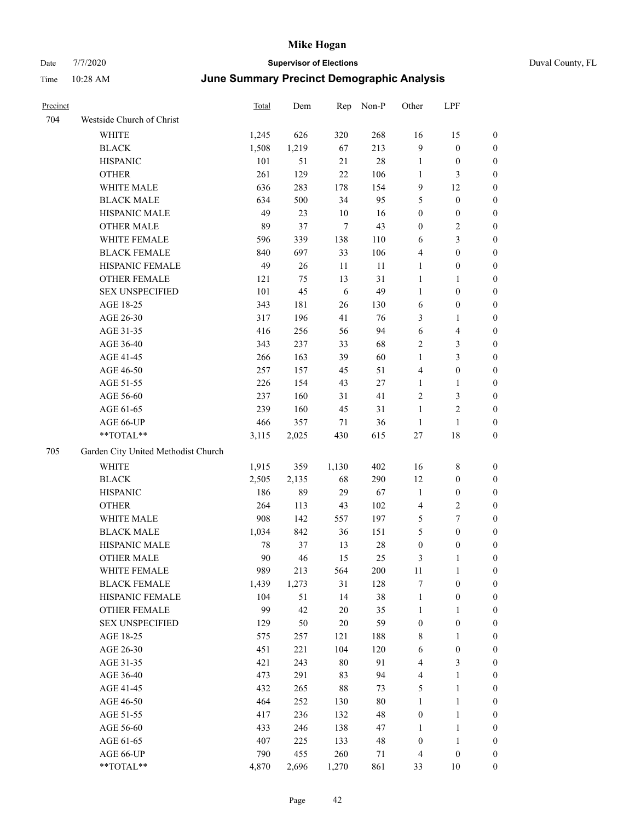| Precinct |                                     | <b>Total</b> | Dem   | Rep        | Non-P  | Other            | LPF              |                  |
|----------|-------------------------------------|--------------|-------|------------|--------|------------------|------------------|------------------|
| 704      | Westside Church of Christ           |              |       |            |        |                  |                  |                  |
|          | <b>WHITE</b>                        | 1,245        | 626   | 320        | 268    | 16               | 15               | $\boldsymbol{0}$ |
|          | <b>BLACK</b>                        | 1,508        | 1,219 | 67         | 213    | $\mathbf{9}$     | $\boldsymbol{0}$ | $\boldsymbol{0}$ |
|          | <b>HISPANIC</b>                     | 101          | 51    | 21         | 28     | $\mathbf{1}$     | $\boldsymbol{0}$ | 0                |
|          | <b>OTHER</b>                        | 261          | 129   | $22\,$     | 106    | $\mathbf{1}$     | $\mathfrak{Z}$   | 0                |
|          | WHITE MALE                          | 636          | 283   | 178        | 154    | $\overline{9}$   | 12               | $\boldsymbol{0}$ |
|          | <b>BLACK MALE</b>                   | 634          | 500   | 34         | 95     | 5                | $\boldsymbol{0}$ | $\boldsymbol{0}$ |
|          | HISPANIC MALE                       | 49           | 23    | $10\,$     | 16     | $\boldsymbol{0}$ | $\boldsymbol{0}$ | $\boldsymbol{0}$ |
|          | <b>OTHER MALE</b>                   | 89           | 37    | $\tau$     | 43     | $\boldsymbol{0}$ | $\sqrt{2}$       | $\boldsymbol{0}$ |
|          | WHITE FEMALE                        | 596          | 339   | 138        | 110    | 6                | $\mathfrak{Z}$   | $\boldsymbol{0}$ |
|          | <b>BLACK FEMALE</b>                 | 840          | 697   | 33         | 106    | 4                | $\boldsymbol{0}$ | $\boldsymbol{0}$ |
|          | HISPANIC FEMALE                     | 49           | 26    | 11         | 11     | $\mathbf{1}$     | $\boldsymbol{0}$ | $\boldsymbol{0}$ |
|          | <b>OTHER FEMALE</b>                 | 121          | 75    | 13         | 31     | $\mathbf{1}$     | $\mathbf{1}$     | 0                |
|          | <b>SEX UNSPECIFIED</b>              | 101          | 45    | $\sqrt{6}$ | 49     | $\mathbf{1}$     | $\boldsymbol{0}$ | 0                |
|          | AGE 18-25                           | 343          | 181   | 26         | 130    | 6                | $\boldsymbol{0}$ | 0                |
|          | AGE 26-30                           | 317          | 196   | 41         | 76     | 3                | $\mathbf{1}$     | 0                |
|          | AGE 31-35                           | 416          | 256   | 56         | 94     | 6                | $\overline{4}$   | 0                |
|          | AGE 36-40                           | 343          | 237   | 33         | 68     | $\overline{c}$   | $\mathfrak{Z}$   | $\boldsymbol{0}$ |
|          | AGE 41-45                           | 266          | 163   | 39         | 60     | $\mathbf{1}$     | $\mathfrak{Z}$   | $\boldsymbol{0}$ |
|          | AGE 46-50                           | 257          | 157   | 45         | 51     | 4                | $\boldsymbol{0}$ | $\boldsymbol{0}$ |
|          | AGE 51-55                           | 226          | 154   | 43         | 27     | $\mathbf{1}$     | $\mathbf{1}$     | $\boldsymbol{0}$ |
|          | AGE 56-60                           | 237          | 160   | 31         | 41     | $\overline{c}$   | $\mathfrak{Z}$   | $\boldsymbol{0}$ |
|          | AGE 61-65                           | 239          | 160   | 45         | 31     | $\mathbf{1}$     | $\overline{c}$   | 0                |
|          | AGE 66-UP                           | 466          | 357   | 71         | 36     | $\mathbf{1}$     | $\mathbf{1}$     | 0                |
|          | **TOTAL**                           | 3,115        | 2,025 | 430        | 615    | $27\,$           | 18               | 0                |
| 705      | Garden City United Methodist Church |              |       |            |        |                  |                  |                  |
|          | <b>WHITE</b>                        | 1,915        | 359   | 1,130      | 402    | 16               | 8                | 0                |
|          | <b>BLACK</b>                        | 2,505        | 2,135 | 68         | 290    | 12               | $\boldsymbol{0}$ | 0                |
|          | <b>HISPANIC</b>                     | 186          | 89    | 29         | 67     | $\mathbf{1}$     | $\boldsymbol{0}$ | 0                |
|          | <b>OTHER</b>                        | 264          | 113   | 43         | 102    | 4                | $\sqrt{2}$       | $\boldsymbol{0}$ |
|          | WHITE MALE                          | 908          | 142   | 557        | 197    | 5                | $\boldsymbol{7}$ | $\boldsymbol{0}$ |
|          | <b>BLACK MALE</b>                   | 1,034        | 842   | 36         | 151    | 5                | $\boldsymbol{0}$ | $\boldsymbol{0}$ |
|          | HISPANIC MALE                       | 78           | 37    | 13         | 28     | $\boldsymbol{0}$ | $\boldsymbol{0}$ | 0                |
|          | <b>OTHER MALE</b>                   | 90           | 46    | 15         | 25     | 3                | $\mathbf{1}$     | $\boldsymbol{0}$ |
|          | WHITE FEMALE                        | 989          | 213   | 564        | 200    | $11\,$           | $\mathbf{1}$     | 0                |
|          | <b>BLACK FEMALE</b>                 | 1,439        | 1,273 | 31         | 128    | 7                | $\boldsymbol{0}$ | 0                |
|          | HISPANIC FEMALE                     | 104          | 51    | 14         | 38     | $\mathbf{1}$     | $\boldsymbol{0}$ | 0                |
|          | OTHER FEMALE                        | 99           | 42    | $20\,$     | 35     | $\mathbf{1}$     | $\mathbf{1}$     | 0                |
|          | <b>SEX UNSPECIFIED</b>              | 129          | 50    | $20\,$     | 59     | $\boldsymbol{0}$ | $\boldsymbol{0}$ | $\overline{0}$   |
|          | AGE 18-25                           | 575          | 257   | 121        | 188    | 8                | $\mathbf{1}$     | $\boldsymbol{0}$ |
|          | AGE 26-30                           | 451          | 221   | 104        | 120    | 6                | $\boldsymbol{0}$ | $\overline{0}$   |
|          | AGE 31-35                           | 421          | 243   | 80         | 91     | 4                | $\mathfrak{Z}$   | 0                |
|          | AGE 36-40                           | 473          | 291   | 83         | 94     | 4                | $\mathbf{1}$     | $\overline{0}$   |
|          | AGE 41-45                           | 432          | 265   | $88\,$     | 73     | 5                | $\mathbf{1}$     | $\overline{0}$   |
|          | AGE 46-50                           | 464          | 252   | 130        | $80\,$ | $\mathbf{1}$     | $\mathbf{1}$     | 0                |
|          | AGE 51-55                           | 417          | 236   | 132        | 48     | $\boldsymbol{0}$ | $\mathbf{1}$     | 0                |
|          | AGE 56-60                           | 433          | 246   | 138        | 47     | $\mathbf{1}$     | $\mathbf{1}$     | 0                |
|          | AGE 61-65                           | 407          | 225   | 133        | 48     | $\boldsymbol{0}$ | $\mathbf{1}$     | $\boldsymbol{0}$ |
|          | AGE 66-UP                           | 790          | 455   | 260        | 71     | $\overline{4}$   | $\boldsymbol{0}$ | 0                |
|          | $**TOTAL**$                         | 4,870        | 2,696 | 1,270      | 861    | 33               | $10\,$           | $\boldsymbol{0}$ |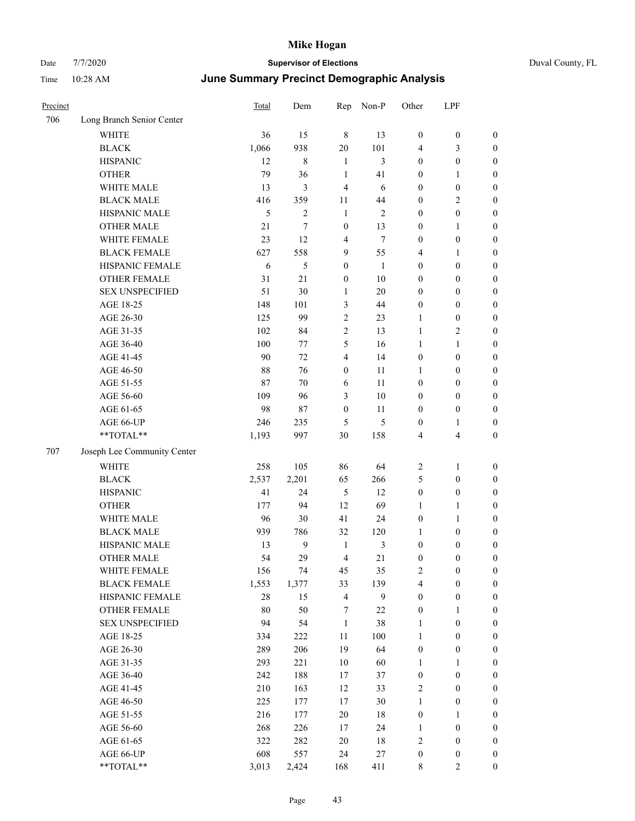| Precinct |                             | <b>Total</b> | Dem            | Rep              | Non-P        | Other            | LPF                     |                  |
|----------|-----------------------------|--------------|----------------|------------------|--------------|------------------|-------------------------|------------------|
| 706      | Long Branch Senior Center   |              |                |                  |              |                  |                         |                  |
|          | <b>WHITE</b>                | 36           | 15             | $\,8\,$          | 13           | $\boldsymbol{0}$ | $\boldsymbol{0}$        | $\boldsymbol{0}$ |
|          | <b>BLACK</b>                | 1,066        | 938            | $20\,$           | 101          | 4                | 3                       | $\boldsymbol{0}$ |
|          | <b>HISPANIC</b>             | 12           | 8              | 1                | 3            | $\boldsymbol{0}$ | $\boldsymbol{0}$        | $\boldsymbol{0}$ |
|          | <b>OTHER</b>                | 79           | 36             | $\mathbf{1}$     | 41           | $\boldsymbol{0}$ | $\mathbf{1}$            | 0                |
|          | WHITE MALE                  | 13           | 3              | $\overline{4}$   | 6            | $\boldsymbol{0}$ | $\boldsymbol{0}$        | 0                |
|          | <b>BLACK MALE</b>           | 416          | 359            | 11               | 44           | $\boldsymbol{0}$ | $\mathfrak{2}$          | $\boldsymbol{0}$ |
|          | HISPANIC MALE               | 5            | $\overline{c}$ | $\mathbf{1}$     | $\mathbf{2}$ | $\boldsymbol{0}$ | $\boldsymbol{0}$        | $\boldsymbol{0}$ |
|          | <b>OTHER MALE</b>           | 21           | 7              | $\boldsymbol{0}$ | 13           | $\boldsymbol{0}$ | $\mathbf{1}$            | $\boldsymbol{0}$ |
|          | WHITE FEMALE                | 23           | 12             | $\overline{4}$   | $\tau$       | $\boldsymbol{0}$ | $\boldsymbol{0}$        | $\boldsymbol{0}$ |
|          | <b>BLACK FEMALE</b>         | 627          | 558            | 9                | 55           | 4                | $\mathbf{1}$            | $\boldsymbol{0}$ |
|          | HISPANIC FEMALE             | 6            | 5              | $\boldsymbol{0}$ | $\mathbf{1}$ | $\boldsymbol{0}$ | $\boldsymbol{0}$        | $\boldsymbol{0}$ |
|          | OTHER FEMALE                | 31           | 21             | $\boldsymbol{0}$ | $10\,$       | $\boldsymbol{0}$ | $\boldsymbol{0}$        | $\boldsymbol{0}$ |
|          | <b>SEX UNSPECIFIED</b>      | 51           | 30             | $\mathbf{1}$     | $20\,$       | $\boldsymbol{0}$ | $\boldsymbol{0}$        | $\boldsymbol{0}$ |
|          | AGE 18-25                   | 148          | 101            | 3                | 44           | $\boldsymbol{0}$ | $\boldsymbol{0}$        | 0                |
|          | AGE 26-30                   | 125          | 99             | $\overline{2}$   | 23           | 1                | $\boldsymbol{0}$        | 0                |
|          | AGE 31-35                   | 102          | 84             | $\mathfrak{2}$   | 13           | $\mathbf{1}$     | $\mathfrak{2}$          | $\boldsymbol{0}$ |
|          | AGE 36-40                   | 100          | 77             | 5                | 16           | 1                | 1                       | $\boldsymbol{0}$ |
|          | AGE 41-45                   | 90           | 72             | 4                | 14           | $\boldsymbol{0}$ | $\boldsymbol{0}$        | $\boldsymbol{0}$ |
|          | AGE 46-50                   | 88           | 76             | $\boldsymbol{0}$ | 11           | $\mathbf{1}$     | $\boldsymbol{0}$        | $\boldsymbol{0}$ |
|          | AGE 51-55                   | 87           | 70             | 6                | 11           | $\boldsymbol{0}$ | $\boldsymbol{0}$        | $\boldsymbol{0}$ |
|          | AGE 56-60                   | 109          | 96             | $\mathfrak{Z}$   | 10           | $\boldsymbol{0}$ | $\boldsymbol{0}$        | $\boldsymbol{0}$ |
|          | AGE 61-65                   | 98           | 87             | $\boldsymbol{0}$ | 11           | $\boldsymbol{0}$ | $\boldsymbol{0}$        | 0                |
|          | AGE 66-UP                   | 246          | 235            | 5                | 5            | $\boldsymbol{0}$ | $\mathbf{1}$            | $\boldsymbol{0}$ |
|          | **TOTAL**                   | 1,193        | 997            | 30               | 158          | 4                | $\overline{\mathbf{4}}$ | 0                |
| 707      | Joseph Lee Community Center |              |                |                  |              |                  |                         |                  |
|          | <b>WHITE</b>                | 258          | 105            | 86               | 64           | $\overline{2}$   | $\mathbf{1}$            | 0                |
|          | <b>BLACK</b>                | 2,537        | 2,201          | 65               | 266          | $\mathfrak s$    | $\boldsymbol{0}$        | 0                |
|          | <b>HISPANIC</b>             | 41           | 24             | 5                | 12           | $\boldsymbol{0}$ | $\boldsymbol{0}$        | 0                |
|          | <b>OTHER</b>                | 177          | 94             | 12               | 69           | 1                | $\mathbf{1}$            | $\boldsymbol{0}$ |
|          | WHITE MALE                  | 96           | 30             | 41               | 24           | $\boldsymbol{0}$ | $\mathbf{1}$            | $\boldsymbol{0}$ |
|          | <b>BLACK MALE</b>           | 939          | 786            | 32               | 120          | $\mathbf{1}$     | $\boldsymbol{0}$        | $\boldsymbol{0}$ |
|          | HISPANIC MALE               | 13           | 9              | $\mathbf{1}$     | 3            | $\boldsymbol{0}$ | $\boldsymbol{0}$        | $\boldsymbol{0}$ |
|          | <b>OTHER MALE</b>           | 54           | 29             | 4                | 21           | $\boldsymbol{0}$ | $\boldsymbol{0}$        | $\boldsymbol{0}$ |
|          | WHITE FEMALE                | 156          | 74             | 45               | 35           | $\sqrt{2}$       | $\boldsymbol{0}$        | 0                |
|          | <b>BLACK FEMALE</b>         | 1,553        | 1,377          | 33               | 139          | $\overline{4}$   | $\boldsymbol{0}$        | 0                |
|          | HISPANIC FEMALE             | 28           | 15             | $\overline{4}$   | 9            | $\boldsymbol{0}$ | $\boldsymbol{0}$        | 0                |
|          | <b>OTHER FEMALE</b>         | 80           | 50             | 7                | 22           | $\boldsymbol{0}$ | $\mathbf{1}$            | 0                |
|          | <b>SEX UNSPECIFIED</b>      | 94           | 54             | $\mathbf{1}$     | 38           | $\mathbf{1}$     | $\boldsymbol{0}$        | 0                |
|          | AGE 18-25                   | 334          | 222            | 11               | 100          | $\mathbf{1}$     | $\boldsymbol{0}$        | $\boldsymbol{0}$ |
|          | AGE 26-30                   | 289          | 206            | 19               | 64           | $\boldsymbol{0}$ | $\boldsymbol{0}$        | $\overline{0}$   |
|          | AGE 31-35                   | 293          | 221            | 10               | 60           | $\mathbf{1}$     | $\mathbf{1}$            | 0                |
|          | AGE 36-40                   | 242          | 188            | 17               | 37           | $\boldsymbol{0}$ | $\boldsymbol{0}$        | $\overline{0}$   |
|          | AGE 41-45                   | 210          | 163            | 12               | 33           | $\overline{c}$   | $\boldsymbol{0}$        | $\overline{0}$   |
|          | AGE 46-50                   | 225          | 177            | 17               | 30           | $\mathbf{1}$     | $\boldsymbol{0}$        | $\boldsymbol{0}$ |
|          | AGE 51-55                   | 216          | 177            | $20\,$           | $18\,$       | $\boldsymbol{0}$ | $\mathbf{1}$            | 0                |
|          | AGE 56-60                   | 268          | 226            | 17               | 24           | $\mathbf{1}$     | $\boldsymbol{0}$        | 0                |
|          | AGE 61-65                   | 322          | 282            | 20               | 18           | $\sqrt{2}$       | $\boldsymbol{0}$        | 0                |
|          | AGE 66-UP                   | 608          | 557            | 24               | $27\,$       | $\boldsymbol{0}$ | $\boldsymbol{0}$        | 0                |
|          | $**TOTAL**$                 | 3,013        | 2,424          | 168              | 411          | $\,8\,$          | $\sqrt{2}$              | $\overline{0}$   |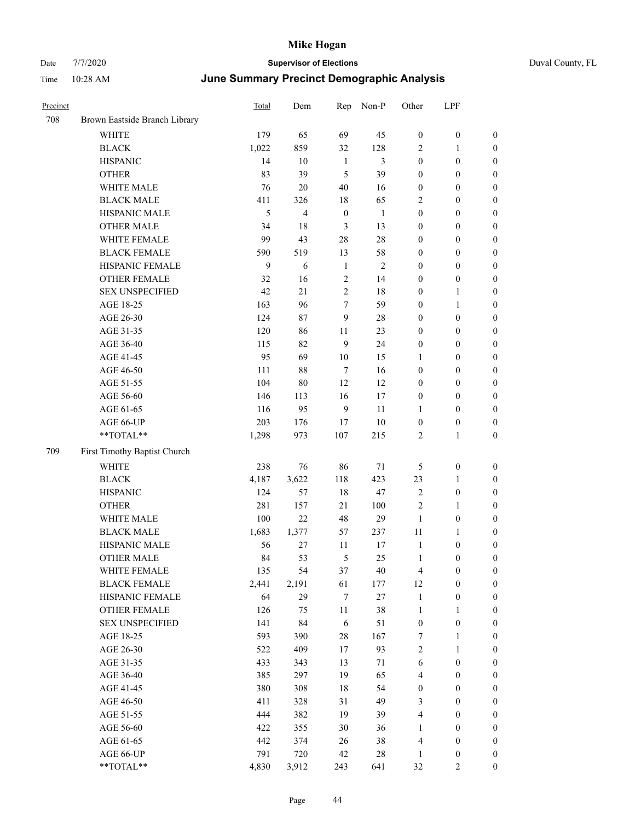# Date 7/7/2020 **Supervisor of Elections** Duval County, FL Time 10:28 AM **June Summary Precinct Demographic Analysis**

| Precinct |                                                           | Total        | Dem            | Rep              | Non-P          | Other                   | LPF              |                  |
|----------|-----------------------------------------------------------|--------------|----------------|------------------|----------------|-------------------------|------------------|------------------|
| 708      | Brown Eastside Branch Library                             |              |                |                  |                |                         |                  |                  |
|          | <b>WHITE</b>                                              | 179          | 65             | 69               | 45             | $\boldsymbol{0}$        | $\boldsymbol{0}$ | $\boldsymbol{0}$ |
|          | <b>BLACK</b>                                              | 1,022        | 859            | 32               | 128            | $\overline{2}$          | $\mathbf{1}$     | $\boldsymbol{0}$ |
|          | <b>HISPANIC</b>                                           | 14           | $10\,$         | $\mathbf{1}$     | $\mathfrak{Z}$ | $\boldsymbol{0}$        | $\boldsymbol{0}$ | $\boldsymbol{0}$ |
|          | <b>OTHER</b>                                              | 83           | 39             | 5                | 39             | $\boldsymbol{0}$        | $\boldsymbol{0}$ | $\boldsymbol{0}$ |
|          | WHITE MALE                                                | 76           | $20\,$         | 40               | 16             | $\boldsymbol{0}$        | $\boldsymbol{0}$ | $\boldsymbol{0}$ |
|          | <b>BLACK MALE</b>                                         | 411          | 326            | $18\,$           | 65             | $\sqrt{2}$              | $\boldsymbol{0}$ | $\boldsymbol{0}$ |
|          | HISPANIC MALE                                             | 5            | $\overline{4}$ | $\boldsymbol{0}$ | $\mathbf{1}$   | $\boldsymbol{0}$        | $\boldsymbol{0}$ | $\boldsymbol{0}$ |
|          | <b>OTHER MALE</b>                                         | 34           | 18             | $\mathfrak{Z}$   | 13             | $\boldsymbol{0}$        | $\boldsymbol{0}$ | $\boldsymbol{0}$ |
|          | WHITE FEMALE                                              | 99           | 43             | 28               | 28             | $\boldsymbol{0}$        | $\boldsymbol{0}$ | $\boldsymbol{0}$ |
|          | <b>BLACK FEMALE</b>                                       | 590          | 519            | 13               | 58             | $\boldsymbol{0}$        | $\boldsymbol{0}$ | $\boldsymbol{0}$ |
|          | HISPANIC FEMALE                                           | $\mathbf{9}$ | 6              | $\mathbf{1}$     | $\sqrt{2}$     | $\boldsymbol{0}$        | $\boldsymbol{0}$ | $\boldsymbol{0}$ |
|          | OTHER FEMALE                                              | 32           | 16             | $\sqrt{2}$       | 14             | $\boldsymbol{0}$        | $\boldsymbol{0}$ | $\boldsymbol{0}$ |
|          | <b>SEX UNSPECIFIED</b>                                    | 42           | 21             | $\mathbf{2}$     | 18             | $\boldsymbol{0}$        | $\mathbf{1}$     | $\boldsymbol{0}$ |
|          | AGE 18-25                                                 | 163          | 96             | 7                | 59             | $\boldsymbol{0}$        | $\mathbf{1}$     | $\boldsymbol{0}$ |
|          | AGE 26-30                                                 | 124          | 87             | 9                | 28             | $\boldsymbol{0}$        | $\boldsymbol{0}$ | $\boldsymbol{0}$ |
|          | AGE 31-35                                                 | 120          | 86             | 11               | 23             | $\boldsymbol{0}$        | $\boldsymbol{0}$ | $\boldsymbol{0}$ |
|          | AGE 36-40                                                 | 115          | 82             | 9                | 24             | $\boldsymbol{0}$        | $\boldsymbol{0}$ | $\boldsymbol{0}$ |
|          | AGE 41-45                                                 | 95           | 69             | $10\,$           | 15             | 1                       | $\boldsymbol{0}$ | $\boldsymbol{0}$ |
|          | AGE 46-50                                                 | 111          | $88\,$         | $\tau$           | 16             | $\boldsymbol{0}$        | $\boldsymbol{0}$ | $\boldsymbol{0}$ |
|          | AGE 51-55                                                 | 104          | 80             | 12               | 12             | $\boldsymbol{0}$        | $\boldsymbol{0}$ | $\boldsymbol{0}$ |
|          | AGE 56-60                                                 | 146          | 113            | 16               | $17\,$         | $\boldsymbol{0}$        | $\boldsymbol{0}$ | $\boldsymbol{0}$ |
|          | AGE 61-65                                                 | 116          | 95             | $\mathbf{9}$     | 11             | $\mathbf{1}$            | $\boldsymbol{0}$ | $\boldsymbol{0}$ |
|          | AGE 66-UP                                                 | 203          | 176            | $17\,$           | $10\,$         | $\boldsymbol{0}$        | $\boldsymbol{0}$ | $\boldsymbol{0}$ |
|          | $\mathrm{*}\mathrm{*}\mathrm{TOTAL} \mathrm{*}\mathrm{*}$ | 1,298        | 973            | 107              | 215            | $\overline{2}$          | $\mathbf{1}$     | $\boldsymbol{0}$ |
| 709      | First Timothy Baptist Church                              |              |                |                  |                |                         |                  |                  |
|          | <b>WHITE</b>                                              | 238          | 76             | 86               | $71\,$         | 5                       | $\boldsymbol{0}$ | $\boldsymbol{0}$ |
|          | <b>BLACK</b>                                              | 4,187        | 3,622          | 118              | 423            | 23                      | 1                | $\boldsymbol{0}$ |
|          | <b>HISPANIC</b>                                           | 124          | 57             | $18\,$           | 47             | $\sqrt{2}$              | $\boldsymbol{0}$ | $\boldsymbol{0}$ |
|          | <b>OTHER</b>                                              | 281          | 157            | 21               | 100            | $\sqrt{2}$              | $\mathbf{1}$     | $\boldsymbol{0}$ |
|          | WHITE MALE                                                | 100          | 22             | 48               | 29             | $\mathbf{1}$            | $\boldsymbol{0}$ | $\boldsymbol{0}$ |
|          | <b>BLACK MALE</b>                                         | 1,683        | 1,377          | 57               | 237            | 11                      | $\mathbf{1}$     | $\boldsymbol{0}$ |
|          | HISPANIC MALE                                             | 56           | 27             | 11               | 17             | $\mathbf{1}$            | $\boldsymbol{0}$ | $\boldsymbol{0}$ |
|          | <b>OTHER MALE</b>                                         | 84           | 53             | 5                | 25             | $\mathbf{1}$            | $\boldsymbol{0}$ | $\boldsymbol{0}$ |
|          | WHITE FEMALE                                              | 135          | 54             | 37               | 40             | $\overline{\mathbf{4}}$ | $\boldsymbol{0}$ | $\boldsymbol{0}$ |
|          | <b>BLACK FEMALE</b>                                       | 2,441        | 2,191          | 61               | 177            | 12                      | $\boldsymbol{0}$ | 0                |
|          | HISPANIC FEMALE                                           | 64           | 29             | $\tau$           | 27             | $\mathbf{1}$            | $\boldsymbol{0}$ | $\boldsymbol{0}$ |
|          | <b>OTHER FEMALE</b>                                       | 126          | 75             | 11               | 38             | $\mathbf{1}$            | $\mathbf{1}$     | $\boldsymbol{0}$ |
|          | <b>SEX UNSPECIFIED</b>                                    | 141          | 84             | $\sqrt{6}$       | 51             | $\boldsymbol{0}$        | $\boldsymbol{0}$ | $\boldsymbol{0}$ |
|          | AGE 18-25                                                 | 593          | 390            | $28\,$           | 167            | $\boldsymbol{7}$        | $\mathbf{1}$     | $\boldsymbol{0}$ |
|          | AGE 26-30                                                 | 522          | 409            | $17\,$           | 93             | $\sqrt{2}$              | $\mathbf{1}$     | $\boldsymbol{0}$ |
|          | AGE 31-35                                                 | 433          | 343            | 13               | 71             | 6                       | $\boldsymbol{0}$ | $\boldsymbol{0}$ |
|          | AGE 36-40                                                 | 385          | 297            | 19               | 65             | $\overline{4}$          | $\boldsymbol{0}$ | $\boldsymbol{0}$ |
|          | AGE 41-45                                                 | 380          | 308            | $18\,$           | 54             | $\boldsymbol{0}$        | $\boldsymbol{0}$ | $\boldsymbol{0}$ |
|          | AGE 46-50                                                 | 411          | 328            | 31               | 49             | 3                       | $\boldsymbol{0}$ | $\boldsymbol{0}$ |
|          | AGE 51-55                                                 | 444          | 382            | 19               | 39             | $\overline{\mathbf{4}}$ | $\boldsymbol{0}$ | $\boldsymbol{0}$ |
|          | AGE 56-60                                                 | 422          | 355            | 30               | 36             | $\mathbf{1}$            | $\boldsymbol{0}$ | $\boldsymbol{0}$ |
|          | AGE 61-65                                                 | 442          | 374            | 26               | 38             | $\overline{4}$          | $\boldsymbol{0}$ | $\boldsymbol{0}$ |
|          | AGE 66-UP                                                 | 791          | 720            | 42               | 28             | 1                       | $\boldsymbol{0}$ | $\boldsymbol{0}$ |

\*\*TOTAL\*\* 4,830 3,912 243 641 32 2 0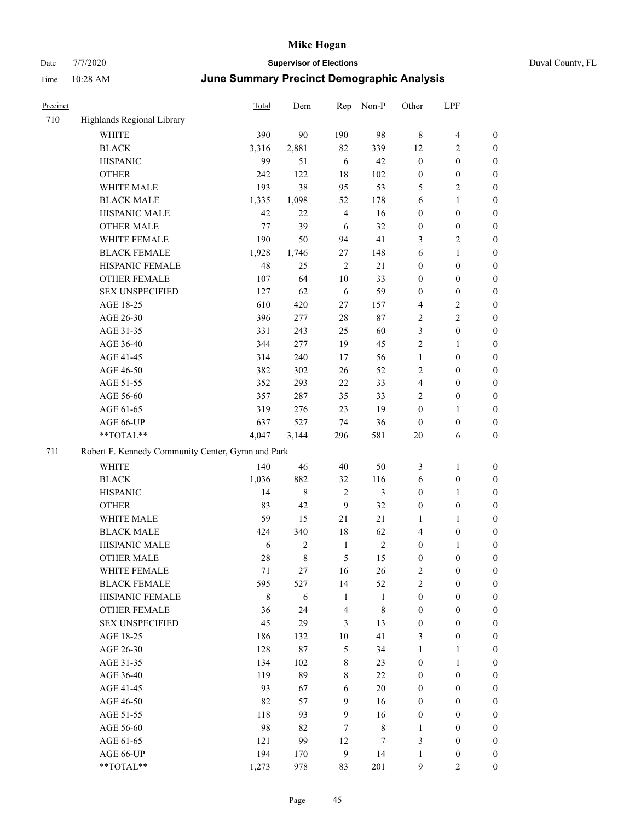| Precinct |                                                   | Total   | Dem        | Rep            | Non-P        | Other            | LPF              |                  |  |  |  |
|----------|---------------------------------------------------|---------|------------|----------------|--------------|------------------|------------------|------------------|--|--|--|
| 710      | Highlands Regional Library                        |         |            |                |              |                  |                  |                  |  |  |  |
|          | <b>WHITE</b>                                      | 390     | 90         | 190            | 98           | $\,8\,$          | $\overline{4}$   | $\boldsymbol{0}$ |  |  |  |
|          | <b>BLACK</b>                                      | 3,316   | 2,881      | 82             | 339          | 12               | 2                | $\boldsymbol{0}$ |  |  |  |
|          | <b>HISPANIC</b>                                   | 99      | 51         | 6              | 42           | $\boldsymbol{0}$ | $\boldsymbol{0}$ | $\boldsymbol{0}$ |  |  |  |
|          | <b>OTHER</b>                                      | 242     | 122        | 18             | 102          | $\boldsymbol{0}$ | $\boldsymbol{0}$ | $\boldsymbol{0}$ |  |  |  |
|          | WHITE MALE                                        | 193     | 38         | 95             | 53           | 5                | 2                | $\boldsymbol{0}$ |  |  |  |
|          | <b>BLACK MALE</b>                                 | 1,335   | 1,098      | 52             | 178          | 6                | 1                | $\boldsymbol{0}$ |  |  |  |
|          | HISPANIC MALE                                     | 42      | 22         | $\overline{4}$ | 16           | $\mathbf{0}$     | $\boldsymbol{0}$ | $\boldsymbol{0}$ |  |  |  |
|          | <b>OTHER MALE</b>                                 | 77      | 39         | 6              | 32           | $\boldsymbol{0}$ | $\boldsymbol{0}$ | $\boldsymbol{0}$ |  |  |  |
|          | WHITE FEMALE                                      | 190     | 50         | 94             | 41           | 3                | 2                | $\boldsymbol{0}$ |  |  |  |
|          | <b>BLACK FEMALE</b>                               | 1,928   | 1,746      | 27             | 148          | 6                | 1                | $\boldsymbol{0}$ |  |  |  |
|          | HISPANIC FEMALE                                   | 48      | 25         | $\overline{2}$ | 21           | $\boldsymbol{0}$ | $\boldsymbol{0}$ | $\boldsymbol{0}$ |  |  |  |
|          | <b>OTHER FEMALE</b>                               | 107     | 64         | 10             | 33           | $\boldsymbol{0}$ | $\boldsymbol{0}$ | $\boldsymbol{0}$ |  |  |  |
|          | <b>SEX UNSPECIFIED</b>                            | 127     | 62         | 6              | 59           | $\boldsymbol{0}$ | $\boldsymbol{0}$ | $\boldsymbol{0}$ |  |  |  |
|          | AGE 18-25                                         | 610     | 420        | 27             | 157          | $\overline{4}$   | 2                | $\boldsymbol{0}$ |  |  |  |
|          | AGE 26-30                                         | 396     | 277        | $28\,$         | 87           | $\sqrt{2}$       | $\mathbf{2}$     | $\boldsymbol{0}$ |  |  |  |
|          | AGE 31-35                                         | 331     | 243        | 25             | 60           | 3                | $\boldsymbol{0}$ | $\boldsymbol{0}$ |  |  |  |
|          | AGE 36-40                                         | 344     | 277        | 19             | 45           | $\overline{2}$   | 1                | $\boldsymbol{0}$ |  |  |  |
|          | AGE 41-45                                         | 314     | 240        | 17             | 56           | $\mathbf{1}$     | $\boldsymbol{0}$ | $\boldsymbol{0}$ |  |  |  |
|          | AGE 46-50                                         | 382     | 302        | 26             | 52           | $\overline{2}$   | $\boldsymbol{0}$ | $\boldsymbol{0}$ |  |  |  |
|          | AGE 51-55                                         | 352     | 293        | $22\,$         | 33           | $\overline{4}$   | $\boldsymbol{0}$ | $\boldsymbol{0}$ |  |  |  |
|          | AGE 56-60                                         | 357     | 287        | 35             | 33           | $\overline{2}$   | $\boldsymbol{0}$ | $\boldsymbol{0}$ |  |  |  |
|          | AGE 61-65                                         | 319     | 276        | 23             | 19           | $\boldsymbol{0}$ | 1                | $\boldsymbol{0}$ |  |  |  |
|          | AGE 66-UP                                         | 637     | 527        | 74             | 36           | $\boldsymbol{0}$ | $\boldsymbol{0}$ | $\mathbf{0}$     |  |  |  |
|          | **TOTAL**                                         | 4,047   | 3,144      | 296            | 581          | 20               | 6                | $\boldsymbol{0}$ |  |  |  |
| 711      | Robert F. Kennedy Community Center, Gymn and Park |         |            |                |              |                  |                  |                  |  |  |  |
|          | <b>WHITE</b>                                      | 140     | 46         | 40             | 50           | $\mathfrak{Z}$   | 1                | $\boldsymbol{0}$ |  |  |  |
|          | <b>BLACK</b>                                      | 1,036   | 882        | 32             | 116          | 6                | $\boldsymbol{0}$ | $\boldsymbol{0}$ |  |  |  |
|          | <b>HISPANIC</b>                                   | 14      | $\,8\,$    | $\overline{2}$ | 3            | $\boldsymbol{0}$ | 1                | $\boldsymbol{0}$ |  |  |  |
|          | <b>OTHER</b>                                      | 83      | 42         | 9              | 32           | $\mathbf{0}$     | $\boldsymbol{0}$ | $\boldsymbol{0}$ |  |  |  |
|          | WHITE MALE                                        | 59      | 15         | 21             | 21           | 1                | 1                | $\boldsymbol{0}$ |  |  |  |
|          | <b>BLACK MALE</b>                                 | 424     | 340        | 18             | 62           | $\overline{4}$   | $\boldsymbol{0}$ | $\boldsymbol{0}$ |  |  |  |
|          | HISPANIC MALE                                     | 6       | 2          | $\mathbf{1}$   | 2            | $\boldsymbol{0}$ | 1                | $\boldsymbol{0}$ |  |  |  |
|          | <b>OTHER MALE</b>                                 | 28      | 8          | 5              | 15           | $\boldsymbol{0}$ | $\boldsymbol{0}$ | $\boldsymbol{0}$ |  |  |  |
|          | WHITE FEMALE                                      | 71      | 27         | 16             | 26           | $\sqrt{2}$       | $\boldsymbol{0}$ | $\mathbf{0}$     |  |  |  |
|          | <b>BLACK FEMALE</b>                               | 595     | 527        | 14             | 52           | $\overline{c}$   | $\boldsymbol{0}$ | $\boldsymbol{0}$ |  |  |  |
|          | HISPANIC FEMALE                                   | $\,8\,$ | $\sqrt{6}$ | 1              | $\mathbf{1}$ | $\boldsymbol{0}$ | $\boldsymbol{0}$ | $\boldsymbol{0}$ |  |  |  |
|          | <b>OTHER FEMALE</b>                               | 36      | 24         | $\overline{4}$ | 8            | $\boldsymbol{0}$ | $\boldsymbol{0}$ | $\boldsymbol{0}$ |  |  |  |
|          | <b>SEX UNSPECIFIED</b>                            | 45      | 29         | 3              | 13           | $\boldsymbol{0}$ | $\boldsymbol{0}$ | $\boldsymbol{0}$ |  |  |  |
|          | AGE 18-25                                         | 186     | 132        | 10             | 41           | 3                | $\boldsymbol{0}$ | $\boldsymbol{0}$ |  |  |  |
|          | AGE 26-30                                         | 128     | $87\,$     | $\mathfrak{H}$ | 34           | $\mathbf{1}$     | $\mathbf{1}$     | $\boldsymbol{0}$ |  |  |  |
|          | AGE 31-35                                         | 134     | 102        | 8              | 23           | $\boldsymbol{0}$ | $\mathbf{1}$     | $\boldsymbol{0}$ |  |  |  |
|          | AGE 36-40                                         | 119     | 89         | 8              | $22\,$       | $\boldsymbol{0}$ | $\boldsymbol{0}$ | $\boldsymbol{0}$ |  |  |  |
|          | AGE 41-45                                         | 93      | 67         | 6              | $20\,$       | $\boldsymbol{0}$ | $\boldsymbol{0}$ | $\boldsymbol{0}$ |  |  |  |
|          | AGE 46-50                                         | 82      | 57         | 9              | 16           | $\boldsymbol{0}$ | $\boldsymbol{0}$ | $\boldsymbol{0}$ |  |  |  |
|          | AGE 51-55                                         | 118     | 93         | 9              | 16           | $\boldsymbol{0}$ | $\boldsymbol{0}$ | $\boldsymbol{0}$ |  |  |  |
|          | AGE 56-60                                         | 98      | 82         | $\tau$         | $\,$ 8 $\,$  | 1                | $\boldsymbol{0}$ | $\boldsymbol{0}$ |  |  |  |
|          | AGE 61-65                                         | 121     | 99         | 12             | 7            | $\mathfrak{Z}$   | $\boldsymbol{0}$ | $\boldsymbol{0}$ |  |  |  |
|          | AGE 66-UP                                         | 194     | 170        | $\overline{9}$ | 14           | 1                | $\boldsymbol{0}$ | $\mathbf{0}$     |  |  |  |
|          | **TOTAL**                                         | 1,273   | 978        | 83             | 201          | 9                | 2                | $\boldsymbol{0}$ |  |  |  |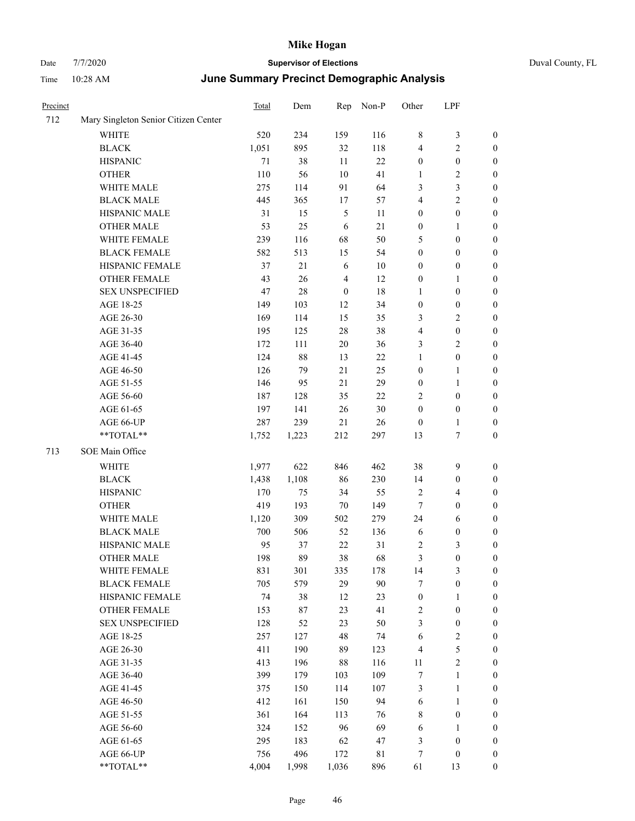| Precinct |                                      | <b>Total</b> | Dem    | Rep              | Non-P       | Other            | LPF                     |                  |
|----------|--------------------------------------|--------------|--------|------------------|-------------|------------------|-------------------------|------------------|
| 712      | Mary Singleton Senior Citizen Center |              |        |                  |             |                  |                         |                  |
|          | WHITE                                | 520          | 234    | 159              | 116         | $\,$ 8 $\,$      | 3                       | $\boldsymbol{0}$ |
|          | <b>BLACK</b>                         | 1,051        | 895    | 32               | 118         | $\overline{4}$   | 2                       | $\boldsymbol{0}$ |
|          | <b>HISPANIC</b>                      | 71           | 38     | 11               | 22          | $\boldsymbol{0}$ | $\boldsymbol{0}$        | $\boldsymbol{0}$ |
|          | <b>OTHER</b>                         | 110          | 56     | 10               | 41          | 1                | 2                       | $\boldsymbol{0}$ |
|          | WHITE MALE                           | 275          | 114    | 91               | 64          | 3                | 3                       | $\boldsymbol{0}$ |
|          | <b>BLACK MALE</b>                    | 445          | 365    | 17               | 57          | $\overline{4}$   | $\overline{c}$          | $\boldsymbol{0}$ |
|          | HISPANIC MALE                        | 31           | 15     | 5                | 11          | $\boldsymbol{0}$ | $\boldsymbol{0}$        | $\boldsymbol{0}$ |
|          | <b>OTHER MALE</b>                    | 53           | 25     | 6                | 21          | $\boldsymbol{0}$ | 1                       | $\boldsymbol{0}$ |
|          | WHITE FEMALE                         | 239          | 116    | 68               | 50          | 5                | $\boldsymbol{0}$        | $\boldsymbol{0}$ |
|          | <b>BLACK FEMALE</b>                  | 582          | 513    | 15               | 54          | $\boldsymbol{0}$ | $\boldsymbol{0}$        | $\boldsymbol{0}$ |
|          | HISPANIC FEMALE                      | 37           | 21     | 6                | 10          | $\boldsymbol{0}$ | $\boldsymbol{0}$        | $\boldsymbol{0}$ |
|          | <b>OTHER FEMALE</b>                  | 43           | 26     | $\overline{4}$   | 12          | $\boldsymbol{0}$ | 1                       | $\boldsymbol{0}$ |
|          | <b>SEX UNSPECIFIED</b>               | 47           | 28     | $\boldsymbol{0}$ | 18          | 1                | $\boldsymbol{0}$        | $\boldsymbol{0}$ |
|          | AGE 18-25                            | 149          | 103    | 12               | 34          | $\boldsymbol{0}$ | $\boldsymbol{0}$        | $\boldsymbol{0}$ |
|          | AGE 26-30                            | 169          | 114    | 15               | 35          | 3                | 2                       | $\boldsymbol{0}$ |
|          | AGE 31-35                            | 195          | 125    | 28               | 38          | $\overline{4}$   | $\boldsymbol{0}$        | $\boldsymbol{0}$ |
|          | AGE 36-40                            | 172          | 111    | $20\,$           | 36          | 3                | 2                       | $\boldsymbol{0}$ |
|          | AGE 41-45                            | 124          | 88     | 13               | 22          | $\mathbf{1}$     | $\boldsymbol{0}$        | $\boldsymbol{0}$ |
|          | AGE 46-50                            | 126          | 79     | 21               | 25          | $\boldsymbol{0}$ | 1                       | $\boldsymbol{0}$ |
|          | AGE 51-55                            | 146          | 95     | 21               | 29          | $\boldsymbol{0}$ | 1                       | $\boldsymbol{0}$ |
|          | AGE 56-60                            | 187          | 128    | 35               | 22          | $\sqrt{2}$       | $\boldsymbol{0}$        | $\boldsymbol{0}$ |
|          | AGE 61-65                            | 197          | 141    | 26               | $30\,$      | $\boldsymbol{0}$ | $\boldsymbol{0}$        | $\boldsymbol{0}$ |
|          | AGE 66-UP                            | 287          | 239    | 21               | 26          | $\boldsymbol{0}$ | 1                       | $\boldsymbol{0}$ |
|          | **TOTAL**                            | 1,752        | 1,223  | 212              | 297         | 13               | 7                       | $\boldsymbol{0}$ |
| 713      | SOE Main Office                      |              |        |                  |             |                  |                         |                  |
|          | <b>WHITE</b>                         | 1,977        | 622    | 846              | 462         | 38               | 9                       | $\boldsymbol{0}$ |
|          | <b>BLACK</b>                         | 1,438        | 1,108  | 86               | 230         | 14               | $\boldsymbol{0}$        | $\boldsymbol{0}$ |
|          | <b>HISPANIC</b>                      | 170          | 75     | 34               | 55          | $\sqrt{2}$       | 4                       | $\boldsymbol{0}$ |
|          | <b>OTHER</b>                         | 419          | 193    | 70               | 149         | 7                | $\boldsymbol{0}$        | $\boldsymbol{0}$ |
|          | WHITE MALE                           | 1,120        | 309    | 502              | 279         | 24               | 6                       | $\boldsymbol{0}$ |
|          | <b>BLACK MALE</b>                    | 700          | 506    | 52               | 136         | 6                | 0                       | $\boldsymbol{0}$ |
|          | HISPANIC MALE                        | 95           | 37     | $22\,$           | 31          | $\sqrt{2}$       | 3                       | $\boldsymbol{0}$ |
|          | <b>OTHER MALE</b>                    | 198          | 89     | 38               | 68          | 3                | $\boldsymbol{0}$        | $\boldsymbol{0}$ |
|          | WHITE FEMALE                         | 831          | 301    | 335              | 178         | 14               | 3                       | $\mathbf{0}$     |
|          | <b>BLACK FEMALE</b>                  | 705          | 579    | 29               | 90          | 7                | $\boldsymbol{0}$        | $\boldsymbol{0}$ |
|          | HISPANIC FEMALE                      | 74           | 38     | 12               | 23          | $\boldsymbol{0}$ | 1                       | $\boldsymbol{0}$ |
|          | <b>OTHER FEMALE</b>                  | 153          | $87\,$ | 23               | 41          | $\sqrt{2}$       | $\boldsymbol{0}$        | $\boldsymbol{0}$ |
|          | <b>SEX UNSPECIFIED</b>               | 128          | 52     | 23               | 50          | $\mathfrak{Z}$   | $\boldsymbol{0}$        | $\boldsymbol{0}$ |
|          | AGE 18-25                            | 257          | 127    | 48               | 74          | 6                | $\sqrt{2}$              | $\boldsymbol{0}$ |
|          | AGE 26-30                            | 411          | 190    | 89               | 123         | $\overline{4}$   | 5                       | $\boldsymbol{0}$ |
|          | AGE 31-35                            | 413          | 196    | 88               | 116         | 11               | $\overline{\mathbf{c}}$ | $\boldsymbol{0}$ |
|          | AGE 36-40                            | 399          | 179    | 103              | 109         | $\boldsymbol{7}$ | $\mathbf{1}$            | $\boldsymbol{0}$ |
|          | AGE 41-45                            | 375          | 150    | 114              | 107         | 3                | $\mathbf{1}$            | $\boldsymbol{0}$ |
|          | AGE 46-50                            | 412          | 161    | 150              | 94          | 6                | 1                       | $\boldsymbol{0}$ |
|          | AGE 51-55                            | 361          | 164    | 113              | 76          | $\,$ 8 $\,$      | $\boldsymbol{0}$        | $\boldsymbol{0}$ |
|          | AGE 56-60                            | 324          | 152    | 96               | 69          | 6                | 1                       | $\boldsymbol{0}$ |
|          | AGE 61-65                            | 295          | 183    | 62               | 47          | $\mathfrak{Z}$   | $\boldsymbol{0}$        | $\boldsymbol{0}$ |
|          | AGE 66-UP                            | 756          | 496    | 172              | $8\sqrt{1}$ | $\tau$           | $\boldsymbol{0}$        | $\bf{0}$         |
|          | **TOTAL**                            | 4,004        | 1,998  | 1,036            | 896         | 61               | 13                      | $\mathbf{0}$     |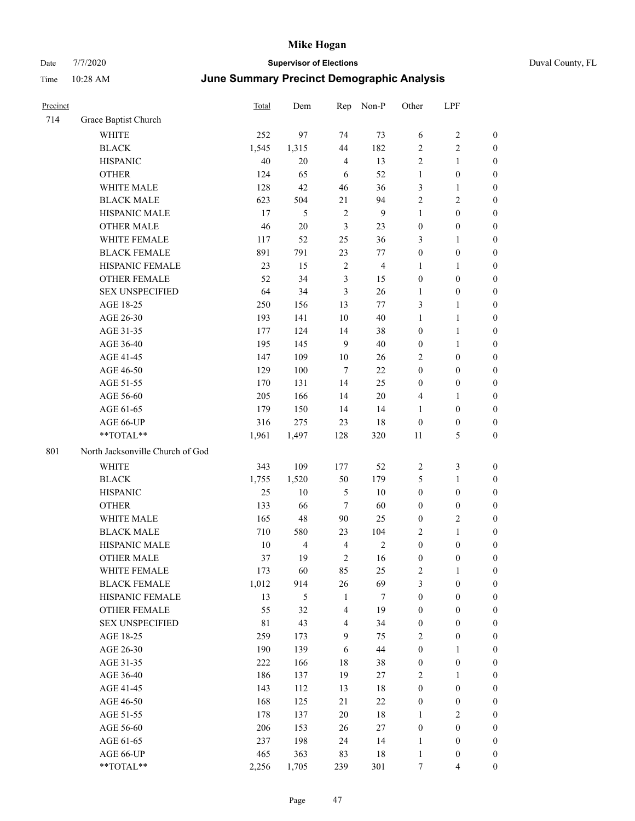| Precinct |                                  | <b>Total</b> | Dem            | Rep            | Non-P          | Other            | LPF                     |                  |
|----------|----------------------------------|--------------|----------------|----------------|----------------|------------------|-------------------------|------------------|
| 714      | Grace Baptist Church             |              |                |                |                |                  |                         |                  |
|          | WHITE                            | 252          | 97             | 74             | 73             | 6                | 2                       | $\boldsymbol{0}$ |
|          | <b>BLACK</b>                     | 1,545        | 1,315          | 44             | 182            | $\overline{2}$   | 2                       | $\boldsymbol{0}$ |
|          | <b>HISPANIC</b>                  | 40           | $20\,$         | $\overline{4}$ | 13             | $\sqrt{2}$       | $\mathbf{1}$            | $\boldsymbol{0}$ |
|          | <b>OTHER</b>                     | 124          | 65             | 6              | 52             | $\mathbf{1}$     | $\boldsymbol{0}$        | $\boldsymbol{0}$ |
|          | WHITE MALE                       | 128          | 42             | 46             | 36             | $\mathfrak{Z}$   | 1                       | $\boldsymbol{0}$ |
|          | <b>BLACK MALE</b>                | 623          | 504            | 21             | 94             | $\overline{2}$   | 2                       | $\boldsymbol{0}$ |
|          | HISPANIC MALE                    | 17           | 5              | $\sqrt{2}$     | 9              | $\mathbf{1}$     | $\boldsymbol{0}$        | $\boldsymbol{0}$ |
|          | <b>OTHER MALE</b>                | 46           | $20\,$         | 3              | 23             | $\boldsymbol{0}$ | $\boldsymbol{0}$        | $\boldsymbol{0}$ |
|          | WHITE FEMALE                     | 117          | 52             | 25             | 36             | 3                | 1                       | $\boldsymbol{0}$ |
|          | <b>BLACK FEMALE</b>              | 891          | 791            | 23             | 77             | $\boldsymbol{0}$ | $\boldsymbol{0}$        | $\boldsymbol{0}$ |
|          | HISPANIC FEMALE                  | 23           | 15             | $\overline{2}$ | $\overline{4}$ | 1                | 1                       | $\boldsymbol{0}$ |
|          | <b>OTHER FEMALE</b>              | 52           | 34             | 3              | 15             | $\boldsymbol{0}$ | $\boldsymbol{0}$        | $\boldsymbol{0}$ |
|          | <b>SEX UNSPECIFIED</b>           | 64           | 34             | 3              | 26             | 1                | $\boldsymbol{0}$        | $\boldsymbol{0}$ |
|          | AGE 18-25                        | 250          | 156            | 13             | 77             | 3                | 1                       | $\boldsymbol{0}$ |
|          | AGE 26-30                        | 193          | 141            | 10             | 40             | 1                | 1                       | $\boldsymbol{0}$ |
|          | AGE 31-35                        | 177          | 124            | 14             | 38             | $\boldsymbol{0}$ | $\mathbf{1}$            | $\boldsymbol{0}$ |
|          | AGE 36-40                        | 195          | 145            | 9              | 40             | $\boldsymbol{0}$ | 1                       | $\boldsymbol{0}$ |
|          | AGE 41-45                        | 147          | 109            | 10             | 26             | 2                | $\boldsymbol{0}$        | $\boldsymbol{0}$ |
|          | AGE 46-50                        | 129          | $100\,$        | $\tau$         | 22             | $\boldsymbol{0}$ | $\boldsymbol{0}$        | $\boldsymbol{0}$ |
|          | AGE 51-55                        | 170          | 131            | 14             | 25             | $\boldsymbol{0}$ | $\boldsymbol{0}$        | $\boldsymbol{0}$ |
|          | AGE 56-60                        | 205          | 166            | 14             | 20             | $\overline{4}$   | 1                       | $\boldsymbol{0}$ |
|          | AGE 61-65                        | 179          | 150            | 14             | 14             | 1                | $\boldsymbol{0}$        | $\boldsymbol{0}$ |
|          | AGE 66-UP                        | 316          | 275            | 23             | 18             | $\boldsymbol{0}$ | $\boldsymbol{0}$        | $\boldsymbol{0}$ |
|          | **TOTAL**                        | 1,961        | 1,497          | 128            | 320            | 11               | 5                       | $\boldsymbol{0}$ |
| 801      | North Jacksonville Church of God |              |                |                |                |                  |                         |                  |
|          | <b>WHITE</b>                     | 343          | 109            | 177            | 52             | $\overline{2}$   | 3                       | $\boldsymbol{0}$ |
|          | <b>BLACK</b>                     | 1,755        | 1,520          | 50             | 179            | $\mathfrak{S}$   | 1                       | $\boldsymbol{0}$ |
|          | <b>HISPANIC</b>                  | 25           | 10             | 5              | 10             | $\boldsymbol{0}$ | $\boldsymbol{0}$        | $\boldsymbol{0}$ |
|          | <b>OTHER</b>                     | 133          | 66             | $\tau$         | 60             | $\boldsymbol{0}$ | $\boldsymbol{0}$        | $\boldsymbol{0}$ |
|          | WHITE MALE                       | 165          | 48             | 90             | 25             | $\boldsymbol{0}$ | $\overline{\mathbf{c}}$ | $\boldsymbol{0}$ |
|          | <b>BLACK MALE</b>                | 710          | 580            | 23             | 104            | 2                | 1                       | $\boldsymbol{0}$ |
|          | HISPANIC MALE                    | 10           | $\overline{4}$ | $\overline{4}$ | $\overline{c}$ | $\boldsymbol{0}$ | $\boldsymbol{0}$        | $\boldsymbol{0}$ |
|          | <b>OTHER MALE</b>                | 37           | 19             | $\overline{2}$ | 16             | $\mathbf{0}$     | $\boldsymbol{0}$        | $\boldsymbol{0}$ |
|          | WHITE FEMALE                     | 173          | 60             | 85             | 25             | $\sqrt{2}$       | $\mathbf{1}$            | $\boldsymbol{0}$ |
|          | <b>BLACK FEMALE</b>              | 1,012        | 914            | 26             | 69             | $\mathfrak{Z}$   | $\boldsymbol{0}$        | $\boldsymbol{0}$ |
|          | HISPANIC FEMALE                  | 13           | 5              | $\mathbf{1}$   | $\tau$         | $\boldsymbol{0}$ | $\boldsymbol{0}$        | $\boldsymbol{0}$ |
|          | OTHER FEMALE                     | 55           | 32             | $\overline{4}$ | 19             | $\boldsymbol{0}$ | $\boldsymbol{0}$        | $\boldsymbol{0}$ |
|          | <b>SEX UNSPECIFIED</b>           | $8\sqrt{1}$  | 43             | $\overline{4}$ | 34             | $\boldsymbol{0}$ | $\boldsymbol{0}$        | $\boldsymbol{0}$ |
|          | AGE 18-25                        | 259          | 173            | 9              | 75             | $\sqrt{2}$       | $\boldsymbol{0}$        | $\boldsymbol{0}$ |
|          | AGE 26-30                        | 190          | 139            | $\sqrt{6}$     | $44\,$         | $\boldsymbol{0}$ | 1                       | $\boldsymbol{0}$ |
|          | AGE 31-35                        | 222          | 166            | $18\,$         | 38             | $\boldsymbol{0}$ | $\boldsymbol{0}$        | $\boldsymbol{0}$ |
|          | AGE 36-40                        | 186          | 137            | 19             | 27             | $\sqrt{2}$       | 1                       | $\boldsymbol{0}$ |
|          | AGE 41-45                        | 143          | 112            | 13             | 18             | $\boldsymbol{0}$ | $\boldsymbol{0}$        | $\boldsymbol{0}$ |
|          | AGE 46-50                        | 168          | 125            | 21             | $22\,$         | $\boldsymbol{0}$ | $\boldsymbol{0}$        | $\boldsymbol{0}$ |
|          | AGE 51-55                        | 178          | 137            | $20\,$         | 18             | $\mathbf{1}$     | 2                       | $\boldsymbol{0}$ |
|          | AGE 56-60                        | 206          | 153            | 26             | $27\,$         | $\boldsymbol{0}$ | $\boldsymbol{0}$        | $\boldsymbol{0}$ |
|          | AGE 61-65                        | 237          | 198            | 24             | 14             | $\mathbf{1}$     | $\boldsymbol{0}$        | $\boldsymbol{0}$ |
|          | AGE 66-UP                        | 465          | 363            | 83             | 18             | $\mathbf{1}$     | $\boldsymbol{0}$        | $\boldsymbol{0}$ |
|          | $**TOTAL**$                      | 2,256        | 1,705          | 239            | 301            | $\tau$           | $\overline{4}$          | $\boldsymbol{0}$ |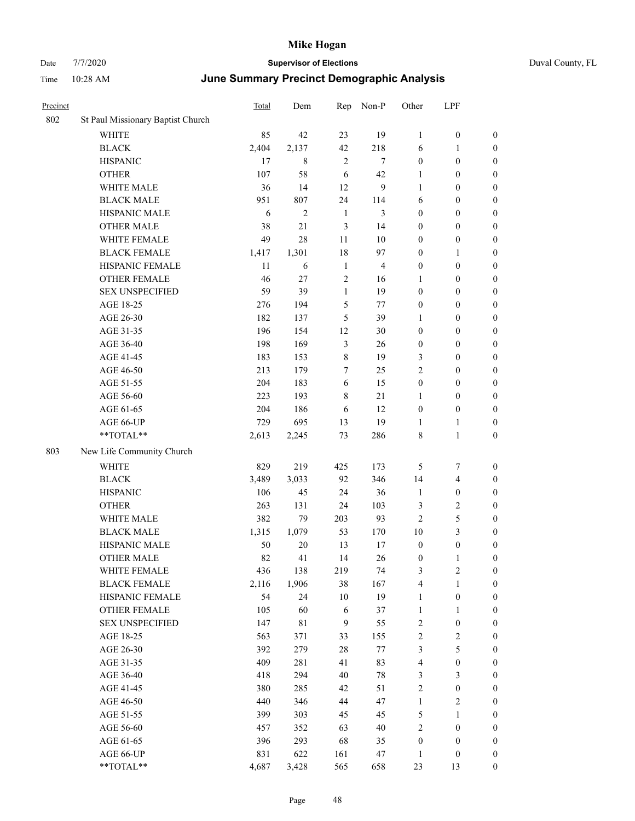|  | Duval County, FL |
|--|------------------|
|--|------------------|

| Date     | 7/7/2020                          |                                                   | <b>Supervisor of Elections</b> |                |                  |                  |                  |                  | Duval County, FL |
|----------|-----------------------------------|---------------------------------------------------|--------------------------------|----------------|------------------|------------------|------------------|------------------|------------------|
| Time     | 10:28 AM                          | <b>June Summary Precinct Demographic Analysis</b> |                                |                |                  |                  |                  |                  |                  |
| Precinct |                                   | Total                                             | Dem                            |                | Rep Non-P        | Other            | LPF              |                  |                  |
| 802      | St Paul Missionary Baptist Church |                                                   |                                |                |                  |                  |                  |                  |                  |
|          | <b>WHITE</b>                      | 85                                                | 42                             | 23             | 19               | $\mathbf{1}$     | $\boldsymbol{0}$ | $\boldsymbol{0}$ |                  |
|          | $\operatorname{BLACK}$            | 2,404                                             | 2,137                          | 42             | 218              | 6                | 1                | $\boldsymbol{0}$ |                  |
|          | <b>HISPANIC</b>                   | 17                                                | $\,8\,$                        | $\overline{c}$ | $\boldsymbol{7}$ | $\boldsymbol{0}$ | $\boldsymbol{0}$ | $\boldsymbol{0}$ |                  |
|          | <b>OTHER</b>                      | 107                                               | 58                             | 6              | 42               | $\mathbf{1}$     | $\boldsymbol{0}$ | $\boldsymbol{0}$ |                  |
|          | WHITE MALE                        | 36                                                | 14                             | 12             | 9                | $\mathbf{1}$     | $\boldsymbol{0}$ | $\boldsymbol{0}$ |                  |
|          | <b>BLACK MALE</b>                 | 951                                               | 807                            | 24             | 114              | 6                | $\boldsymbol{0}$ | $\boldsymbol{0}$ |                  |
|          | HISPANIC MALE                     | 6                                                 | $\overline{c}$                 | $\mathbf{1}$   | 3                | $\boldsymbol{0}$ | $\boldsymbol{0}$ | $\boldsymbol{0}$ |                  |
|          | <b>OTHER MALE</b>                 | 38                                                | 21                             | 3              | 14               | $\boldsymbol{0}$ | $\boldsymbol{0}$ | $\boldsymbol{0}$ |                  |
|          | WHITE FEMALE                      | 49                                                | 28                             | 11             | $10\,$           | $\boldsymbol{0}$ | $\boldsymbol{0}$ | $\boldsymbol{0}$ |                  |
|          | <b>BLACK FEMALE</b>               | 1,417                                             | 1,301                          | 18             | 97               | $\boldsymbol{0}$ | 1                | $\boldsymbol{0}$ |                  |
|          | HISPANIC FEMALE                   | 11                                                | 6                              | $\mathbf{1}$   | 4                | $\boldsymbol{0}$ | $\boldsymbol{0}$ | $\boldsymbol{0}$ |                  |
|          | OTHER FEMALE                      | $46\,$                                            | 27                             | $\overline{2}$ | 16               | $\mathbf{1}$     | $\boldsymbol{0}$ | $\boldsymbol{0}$ |                  |
|          | <b>SEX UNSPECIFIED</b>            | 59                                                | 39                             | $\mathbf{1}$   | 19               | $\boldsymbol{0}$ | $\boldsymbol{0}$ | $\boldsymbol{0}$ |                  |
|          | AGE 18-25                         | 276                                               | 194                            | 5              | $77 \,$          | $\boldsymbol{0}$ | $\boldsymbol{0}$ | $\boldsymbol{0}$ |                  |
|          | AGE 26-30                         | 182                                               | 137                            | 5              | 39               | $\mathbf{1}$     | $\boldsymbol{0}$ | $\boldsymbol{0}$ |                  |
|          | AGE 31-35                         | 196                                               | 154                            | 12             | $30\,$           | $\boldsymbol{0}$ | $\boldsymbol{0}$ | $\boldsymbol{0}$ |                  |
|          | AGE 36-40                         | 198                                               | 169                            | $\mathfrak{Z}$ | 26               | $\boldsymbol{0}$ | $\boldsymbol{0}$ | $\boldsymbol{0}$ |                  |
|          | AGE 41-45                         | 183                                               | 153                            | $\,$ 8 $\,$    | 19               | $\mathfrak{Z}$   | $\boldsymbol{0}$ | $\boldsymbol{0}$ |                  |
|          | AGE 46-50                         | 213                                               | 179                            | 7              | $25\,$           | $\sqrt{2}$       | $\boldsymbol{0}$ | $\boldsymbol{0}$ |                  |
|          | AGE 51-55                         | 204                                               | 183                            | 6              | 15               | $\boldsymbol{0}$ | $\boldsymbol{0}$ | $\boldsymbol{0}$ |                  |
|          | AGE 56-60                         | 223                                               | 193                            | 8              | $21\,$           | 1                | $\boldsymbol{0}$ | $\boldsymbol{0}$ |                  |
|          | AGE 61-65                         | 204                                               | 186                            | 6              | 12               | $\boldsymbol{0}$ | $\boldsymbol{0}$ | $\boldsymbol{0}$ |                  |
|          | AGE 66-UP                         | 729                                               | 695                            | 13             | 19               | $\mathbf{1}$     | $\mathbf{1}$     | $\boldsymbol{0}$ |                  |
|          | **TOTAL**                         | 2,613                                             | 2,245                          | 73             | 286              | 8                | $\mathbf{1}$     | $\boldsymbol{0}$ |                  |
| 803      | New Life Community Church         |                                                   |                                |                |                  |                  |                  |                  |                  |
|          | <b>WHITE</b>                      | 829                                               | 219                            | 425            | 173              | $\mathfrak s$    | 7                | $\boldsymbol{0}$ |                  |
|          | <b>BLACK</b>                      | 3,489                                             | 3,033                          | 92             | 346              | 14               | 4                | $\boldsymbol{0}$ |                  |
|          | <b>HISPANIC</b>                   | 106                                               | 45                             | 24             | 36               | $\mathbf{1}$     | $\boldsymbol{0}$ | $\boldsymbol{0}$ |                  |
|          | <b>OTHER</b>                      | 263                                               | 131                            | 24             | 103              | 3                | $\overline{c}$   | $\boldsymbol{0}$ |                  |
|          | WHITE MALE                        | 382                                               | 79                             | 203            | 93               | $\boldsymbol{2}$ | $\mathfrak s$    | $\overline{0}$   |                  |
|          | <b>BLACK MALE</b>                 | 1,315                                             | 1,079                          | 53             | 170              | 10               | 3                | $\boldsymbol{0}$ |                  |
|          | HISPANIC MALE                     | 50                                                | 20                             | 13             | 17               | $\boldsymbol{0}$ | $\boldsymbol{0}$ | $\boldsymbol{0}$ |                  |
|          | <b>OTHER MALE</b>                 | 82                                                | 41                             | 14             | 26               | $\boldsymbol{0}$ | 1                | $\boldsymbol{0}$ |                  |
|          | WHITE FEMALE                      | 436                                               | 138                            | 219            | 74               | 3                | $\sqrt{2}$       | $\overline{0}$   |                  |
|          | <b>BLACK FEMALE</b>               | 2,116                                             | 1,906                          | 38             | 167              | 4                | $\mathbf{1}$     | $\boldsymbol{0}$ |                  |
|          | HISPANIC FEMALE                   | 54                                                | 24                             | 10             | 19               | $\mathbf{1}$     | $\boldsymbol{0}$ | $\boldsymbol{0}$ |                  |

OTHER FEMALE 105 60 6 37 1 1 0 SEX UNSPECIFIED 147 81 9 55 2 0 0 AGE 18-25 563 371 33 155 2 2 0 AGE 26-30 392 279 28 77 3 5 0 AGE 31-35 409 281 41 83 4 0 0 AGE 36-40 418 294 40 78 3 3 0 AGE 41-45 380 285 42 51 2 0 0 AGE 46-50 440 440 346 44 47 1 2 0 AGE 51-55 399 303 45 45 5 1 0 AGE 56-60 457 352 63 40 2 0 0 AGE 61-65 396 293 68 35 0 0 0 AGE 66-UP 831 622 161 47 1 0 0 \*\*TOTAL\*\* 4,687 3,428 565 658 23 13 0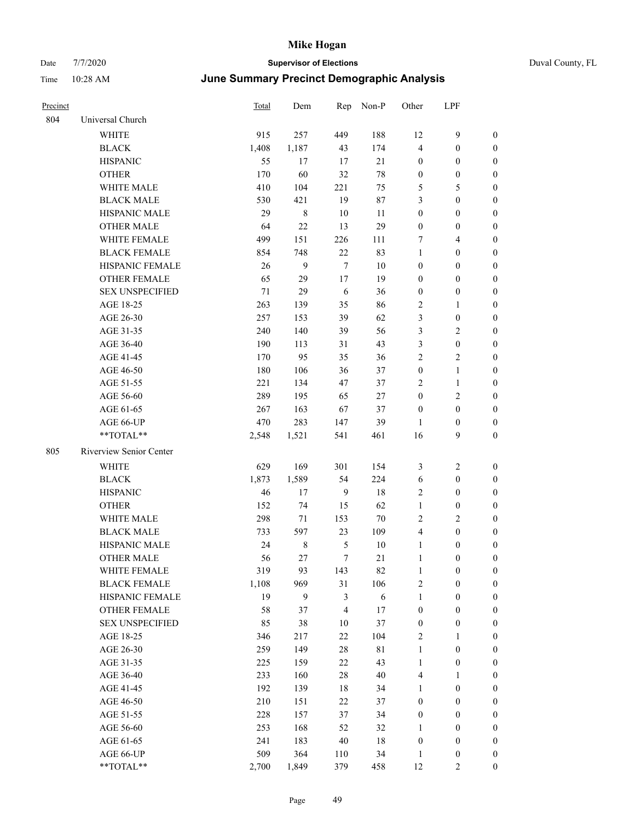| Precinct |                         | Total  | Dem         | Rep            | Non-P       | Other            | LPF              |                  |
|----------|-------------------------|--------|-------------|----------------|-------------|------------------|------------------|------------------|
| 804      | Universal Church        |        |             |                |             |                  |                  |                  |
|          | <b>WHITE</b>            | 915    | 257         | 449            | 188         | 12               | 9                | $\mathbf{0}$     |
|          | <b>BLACK</b>            | 1,408  | 1,187       | 43             | 174         | $\overline{4}$   | $\boldsymbol{0}$ | $\mathbf{0}$     |
|          | <b>HISPANIC</b>         | 55     | 17          | 17             | 21          | $\boldsymbol{0}$ | $\boldsymbol{0}$ | $\mathbf{0}$     |
|          | <b>OTHER</b>            | 170    | 60          | 32             | 78          | $\boldsymbol{0}$ | $\boldsymbol{0}$ | $\boldsymbol{0}$ |
|          | WHITE MALE              | 410    | 104         | 221            | 75          | 5                | 5                | $\boldsymbol{0}$ |
|          | <b>BLACK MALE</b>       | 530    | 421         | 19             | $87\,$      | 3                | $\boldsymbol{0}$ | $\boldsymbol{0}$ |
|          | HISPANIC MALE           | 29     | $8\,$       | 10             | 11          | $\boldsymbol{0}$ | $\boldsymbol{0}$ | $\boldsymbol{0}$ |
|          | <b>OTHER MALE</b>       | 64     | 22          | 13             | 29          | $\boldsymbol{0}$ | $\boldsymbol{0}$ | $\boldsymbol{0}$ |
|          | WHITE FEMALE            | 499    | 151         | 226            | 111         | $\tau$           | 4                | $\boldsymbol{0}$ |
|          | <b>BLACK FEMALE</b>     | 854    | 748         | $22\,$         | 83          | $\mathbf{1}$     | $\boldsymbol{0}$ | $\boldsymbol{0}$ |
|          | HISPANIC FEMALE         | 26     | 9           | $\tau$         | 10          | $\boldsymbol{0}$ | $\theta$         | $\boldsymbol{0}$ |
|          | <b>OTHER FEMALE</b>     | 65     | 29          | 17             | 19          | $\mathbf{0}$     | $\boldsymbol{0}$ | $\boldsymbol{0}$ |
|          | <b>SEX UNSPECIFIED</b>  | $71\,$ | 29          | 6              | 36          | $\boldsymbol{0}$ | $\boldsymbol{0}$ | $\boldsymbol{0}$ |
|          | AGE 18-25               | 263    | 139         | 35             | 86          | $\sqrt{2}$       | 1                | $\boldsymbol{0}$ |
|          | AGE 26-30               | 257    | 153         | 39             | 62          | 3                | $\boldsymbol{0}$ | $\boldsymbol{0}$ |
|          | AGE 31-35               | 240    | 140         | 39             | 56          | $\mathfrak{Z}$   | 2                | $\boldsymbol{0}$ |
|          | AGE 36-40               | 190    | 113         | 31             | 43          | $\mathfrak{Z}$   | $\boldsymbol{0}$ | $\boldsymbol{0}$ |
|          | AGE 41-45               | 170    | 95          | 35             | 36          | $\overline{2}$   | 2                | $\boldsymbol{0}$ |
|          | AGE 46-50               | 180    | 106         | 36             | 37          | $\boldsymbol{0}$ | $\mathbf{1}$     | $\boldsymbol{0}$ |
|          | AGE 51-55               | 221    | 134         | 47             | 37          | $\sqrt{2}$       | $\mathbf{1}$     | $\boldsymbol{0}$ |
|          | AGE 56-60               | 289    | 195         | 65             | $27\,$      | $\boldsymbol{0}$ | 2                | $\boldsymbol{0}$ |
|          | AGE 61-65               | 267    | 163         | 67             | 37          | $\boldsymbol{0}$ | $\boldsymbol{0}$ | $\boldsymbol{0}$ |
|          | AGE 66-UP               | 470    | 283         | 147            | 39          | 1                | $\boldsymbol{0}$ | $\mathbf{0}$     |
|          | **TOTAL**               | 2,548  | 1,521       | 541            | 461         | 16               | 9                | $\boldsymbol{0}$ |
| 805      | Riverview Senior Center |        |             |                |             |                  |                  |                  |
|          | <b>WHITE</b>            | 629    | 169         | 301            | 154         | 3                | $\mathbf{2}$     | $\boldsymbol{0}$ |
|          | <b>BLACK</b>            | 1,873  | 1,589       | 54             | 224         | 6                | $\boldsymbol{0}$ | $\boldsymbol{0}$ |
|          | <b>HISPANIC</b>         | 46     | 17          | 9              | 18          | $\overline{2}$   | $\boldsymbol{0}$ | $\boldsymbol{0}$ |
|          | <b>OTHER</b>            | 152    | 74          | 15             | 62          | $\mathbf{1}$     | $\boldsymbol{0}$ | $\boldsymbol{0}$ |
|          | WHITE MALE              | 298    | 71          | 153            | 70          | $\overline{2}$   | 2                | $\boldsymbol{0}$ |
|          | <b>BLACK MALE</b>       | 733    | 597         | 23             | 109         | $\overline{4}$   | $\boldsymbol{0}$ | $\boldsymbol{0}$ |
|          | HISPANIC MALE           | 24     | $\,$ 8 $\,$ | $\mathfrak s$  | 10          | $\mathbf{1}$     | $\boldsymbol{0}$ | $\boldsymbol{0}$ |
|          | <b>OTHER MALE</b>       | 56     | 27          | $\tau$         | 21          | $\mathbf{1}$     | $\boldsymbol{0}$ | $\boldsymbol{0}$ |
|          | WHITE FEMALE            | 319    | 93          | 143            | 82          | $\mathbf{1}$     | $\boldsymbol{0}$ | $\boldsymbol{0}$ |
|          | <b>BLACK FEMALE</b>     | 1,108  | 969         | 31             | 106         | $\sqrt{2}$       | $\boldsymbol{0}$ | $\boldsymbol{0}$ |
|          | HISPANIC FEMALE         | 19     | 9           | $\mathfrak{Z}$ | $\sqrt{6}$  | $\mathbf{1}$     | $\boldsymbol{0}$ | $\boldsymbol{0}$ |
|          | OTHER FEMALE            | 58     | 37          | $\overline{4}$ | 17          | $\boldsymbol{0}$ | $\boldsymbol{0}$ | $\boldsymbol{0}$ |
|          | <b>SEX UNSPECIFIED</b>  | 85     | 38          | 10             | 37          | $\boldsymbol{0}$ | $\boldsymbol{0}$ | $\boldsymbol{0}$ |
|          | AGE 18-25               | 346    | 217         | $22\,$         | 104         | $\overline{2}$   | 1                | $\boldsymbol{0}$ |
|          | AGE 26-30               | 259    | 149         | $28\,$         | $8\sqrt{1}$ | $\mathbf{1}$     | $\boldsymbol{0}$ | $\boldsymbol{0}$ |
|          | AGE 31-35               | 225    | 159         | $22\,$         | 43          | $\mathbf{1}$     | $\boldsymbol{0}$ | $\boldsymbol{0}$ |
|          | AGE 36-40               | 233    | 160         | $28\,$         | 40          | $\overline{4}$   | 1                | $\boldsymbol{0}$ |
|          | AGE 41-45               | 192    | 139         | 18             | 34          | $\mathbf{1}$     | $\boldsymbol{0}$ | $\boldsymbol{0}$ |
|          | AGE 46-50               | 210    | 151         | $22\,$         | 37          | $\boldsymbol{0}$ | $\boldsymbol{0}$ | $\boldsymbol{0}$ |
|          | AGE 51-55               | 228    | 157         | 37             | 34          | $\boldsymbol{0}$ | $\boldsymbol{0}$ | $\boldsymbol{0}$ |
|          | AGE 56-60               | 253    | 168         | 52             | 32          | 1                | $\boldsymbol{0}$ | $\boldsymbol{0}$ |
|          | AGE 61-65               | 241    | 183         | $40\,$         | 18          | $\boldsymbol{0}$ | $\boldsymbol{0}$ | $\boldsymbol{0}$ |
|          | AGE 66-UP               | 509    | 364         | 110            | 34          | 1                | $\boldsymbol{0}$ | $\boldsymbol{0}$ |
|          | **TOTAL**               | 2,700  | 1,849       | 379            | 458         | 12               | $\overline{c}$   | $\mathbf{0}$     |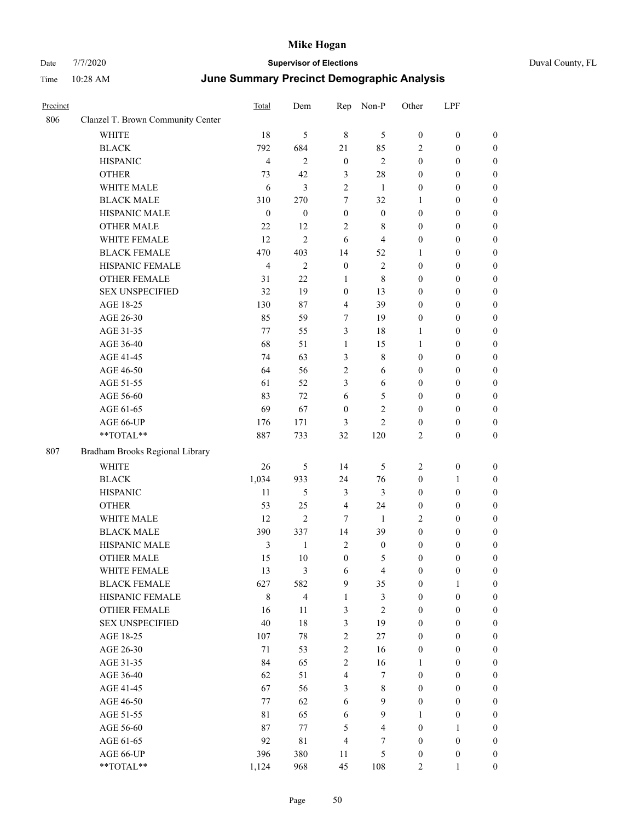| Precinct |                                   | <b>Total</b>     | Dem              | Rep              | Non-P            | Other            | LPF              |                  |
|----------|-----------------------------------|------------------|------------------|------------------|------------------|------------------|------------------|------------------|
| 806      | Clanzel T. Brown Community Center |                  |                  |                  |                  |                  |                  |                  |
|          | WHITE                             | 18               | 5                | $\,8\,$          | 5                | $\boldsymbol{0}$ | $\boldsymbol{0}$ | $\boldsymbol{0}$ |
|          | <b>BLACK</b>                      | 792              | 684              | 21               | 85               | $\sqrt{2}$       | $\boldsymbol{0}$ | $\boldsymbol{0}$ |
|          | <b>HISPANIC</b>                   | $\overline{4}$   | 2                | $\mathbf{0}$     | $\overline{2}$   | $\boldsymbol{0}$ | $\boldsymbol{0}$ | $\boldsymbol{0}$ |
|          | <b>OTHER</b>                      | 73               | 42               | 3                | 28               | $\mathbf{0}$     | $\boldsymbol{0}$ | $\boldsymbol{0}$ |
|          | WHITE MALE                        | 6                | 3                | $\overline{2}$   | $\mathbf{1}$     | $\boldsymbol{0}$ | $\boldsymbol{0}$ | $\boldsymbol{0}$ |
|          | <b>BLACK MALE</b>                 | 310              | 270              | 7                | 32               | 1                | $\boldsymbol{0}$ | $\boldsymbol{0}$ |
|          | HISPANIC MALE                     | $\boldsymbol{0}$ | $\boldsymbol{0}$ | $\boldsymbol{0}$ | $\boldsymbol{0}$ | $\boldsymbol{0}$ | $\boldsymbol{0}$ | $\boldsymbol{0}$ |
|          | <b>OTHER MALE</b>                 | 22               | 12               | $\overline{2}$   | 8                | $\boldsymbol{0}$ | $\mathbf{0}$     | $\boldsymbol{0}$ |
|          | WHITE FEMALE                      | 12               | 2                | 6                | $\overline{4}$   | $\boldsymbol{0}$ | $\boldsymbol{0}$ | $\boldsymbol{0}$ |
|          | <b>BLACK FEMALE</b>               | 470              | 403              | 14               | 52               | 1                | $\boldsymbol{0}$ | $\boldsymbol{0}$ |
|          | HISPANIC FEMALE                   | $\overline{4}$   | $\overline{2}$   | $\boldsymbol{0}$ | $\overline{2}$   | $\boldsymbol{0}$ | $\boldsymbol{0}$ | $\boldsymbol{0}$ |
|          | <b>OTHER FEMALE</b>               | 31               | 22               | 1                | 8                | $\boldsymbol{0}$ | $\boldsymbol{0}$ | $\boldsymbol{0}$ |
|          | <b>SEX UNSPECIFIED</b>            | 32               | 19               | $\mathbf{0}$     | 13               | $\mathbf{0}$     | $\theta$         | $\boldsymbol{0}$ |
|          | AGE 18-25                         | 130              | 87               | 4                | 39               | $\mathbf{0}$     | $\boldsymbol{0}$ | $\boldsymbol{0}$ |
|          | AGE 26-30                         | 85               | 59               | 7                | 19               | $\boldsymbol{0}$ | $\boldsymbol{0}$ | $\boldsymbol{0}$ |
|          | AGE 31-35                         | 77               | 55               | 3                | 18               | 1                | $\boldsymbol{0}$ | $\boldsymbol{0}$ |
|          | AGE 36-40                         | 68               | 51               | 1                | 15               | $\mathbf{1}$     | $\boldsymbol{0}$ | $\boldsymbol{0}$ |
|          | AGE 41-45                         | 74               | 63               | 3                | 8                | $\boldsymbol{0}$ | $\boldsymbol{0}$ | $\boldsymbol{0}$ |
|          | AGE 46-50                         | 64               | 56               | $\overline{c}$   | 6                | $\boldsymbol{0}$ | $\boldsymbol{0}$ | $\boldsymbol{0}$ |
|          | AGE 51-55                         | 61               | 52               | 3                | 6                | $\boldsymbol{0}$ | $\boldsymbol{0}$ | $\boldsymbol{0}$ |
|          | AGE 56-60                         | 83               | 72               | 6                | 5                | $\boldsymbol{0}$ | $\boldsymbol{0}$ | $\boldsymbol{0}$ |
|          | AGE 61-65                         | 69               | 67               | $\boldsymbol{0}$ | $\overline{c}$   | $\boldsymbol{0}$ | $\boldsymbol{0}$ | $\boldsymbol{0}$ |
|          | AGE 66-UP                         | 176              | 171              | 3                | $\overline{2}$   | $\boldsymbol{0}$ | $\boldsymbol{0}$ | $\boldsymbol{0}$ |
|          | **TOTAL**                         | 887              | 733              | 32               | 120              | $\overline{2}$   | $\theta$         | $\boldsymbol{0}$ |
| 807      | Bradham Brooks Regional Library   |                  |                  |                  |                  |                  |                  |                  |
|          | <b>WHITE</b>                      | 26               | 5                | 14               | 5                | $\overline{2}$   | $\boldsymbol{0}$ | $\boldsymbol{0}$ |
|          | <b>BLACK</b>                      | 1,034            | 933              | 24               | 76               | $\boldsymbol{0}$ | 1                | $\boldsymbol{0}$ |
|          | <b>HISPANIC</b>                   | 11               | 5                | 3                | $\mathfrak{Z}$   | $\boldsymbol{0}$ | $\boldsymbol{0}$ | $\boldsymbol{0}$ |
|          | <b>OTHER</b>                      | 53               | 25               | $\overline{4}$   | 24               | $\boldsymbol{0}$ | $\boldsymbol{0}$ | $\boldsymbol{0}$ |
|          | WHITE MALE                        | 12               | $\overline{c}$   | 7                | $\mathbf{1}$     | $\overline{2}$   | $\boldsymbol{0}$ | $\boldsymbol{0}$ |
|          | <b>BLACK MALE</b>                 | 390              | 337              | 14               | 39               | $\boldsymbol{0}$ | $\boldsymbol{0}$ | $\boldsymbol{0}$ |
|          | HISPANIC MALE                     | 3                | $\mathbf{1}$     | $\overline{2}$   | $\boldsymbol{0}$ | $\boldsymbol{0}$ | $\boldsymbol{0}$ | $\boldsymbol{0}$ |
|          | <b>OTHER MALE</b>                 | 15               | 10               | $\mathbf{0}$     | 5                | $\mathbf{0}$     | $\mathbf{0}$     | $\boldsymbol{0}$ |
|          | WHITE FEMALE                      | 13               | 3                | 6                | $\overline{4}$   | $\boldsymbol{0}$ | $\boldsymbol{0}$ | $\mathbf{0}$     |
|          | <b>BLACK FEMALE</b>               | 627              | 582              | 9                | 35               | $\boldsymbol{0}$ | 1                | $\boldsymbol{0}$ |
|          | HISPANIC FEMALE                   | $\,8\,$          | $\overline{4}$   | $\mathbf{1}$     | 3                | $\mathbf{0}$     | $\boldsymbol{0}$ | $\boldsymbol{0}$ |
|          | OTHER FEMALE                      | 16               | 11               | 3                | $\mathbf{2}$     | $\boldsymbol{0}$ | $\boldsymbol{0}$ | $\boldsymbol{0}$ |
|          | <b>SEX UNSPECIFIED</b>            | 40               | $18\,$           | 3                | 19               | $\boldsymbol{0}$ | $\boldsymbol{0}$ | $\mathbf{0}$     |
|          | AGE 18-25                         | 107              | $78\,$           | $\mathbf{2}$     | $27\,$           | $\boldsymbol{0}$ | $\boldsymbol{0}$ | $\boldsymbol{0}$ |
|          | AGE 26-30                         | $71\,$           | 53               | $\sqrt{2}$       | 16               | $\boldsymbol{0}$ | $\boldsymbol{0}$ | $\mathbf{0}$     |
|          | AGE 31-35                         | 84               | 65               | $\overline{c}$   | 16               | 1                | $\boldsymbol{0}$ | $\mathbf{0}$     |
|          | AGE 36-40                         | 62               | 51               | $\overline{4}$   | $\tau$           | $\boldsymbol{0}$ | $\boldsymbol{0}$ | $\boldsymbol{0}$ |
|          | AGE 41-45                         | 67               | 56               | 3                | $\,$ 8 $\,$      | $\boldsymbol{0}$ | $\boldsymbol{0}$ | $\boldsymbol{0}$ |
|          | AGE 46-50                         | 77               | 62               | 6                | 9                | $\boldsymbol{0}$ | $\boldsymbol{0}$ | $\boldsymbol{0}$ |
|          | AGE 51-55                         | $8\sqrt{1}$      | 65               | 6                | 9                | 1                | $\boldsymbol{0}$ | $\boldsymbol{0}$ |
|          | AGE 56-60                         | 87               | 77               | 5                | $\overline{4}$   | $\boldsymbol{0}$ | 1                | $\boldsymbol{0}$ |
|          | AGE 61-65                         | 92               | $8\sqrt{1}$      | 4                | 7                | $\boldsymbol{0}$ | $\boldsymbol{0}$ | $\boldsymbol{0}$ |
|          | AGE 66-UP                         | 396              | 380              | 11               | 5                | $\boldsymbol{0}$ | $\boldsymbol{0}$ | $\mathbf{0}$     |
|          | $**TOTAL**$                       | 1,124            | 968              | 45               | 108              | $\overline{2}$   |                  | $\boldsymbol{0}$ |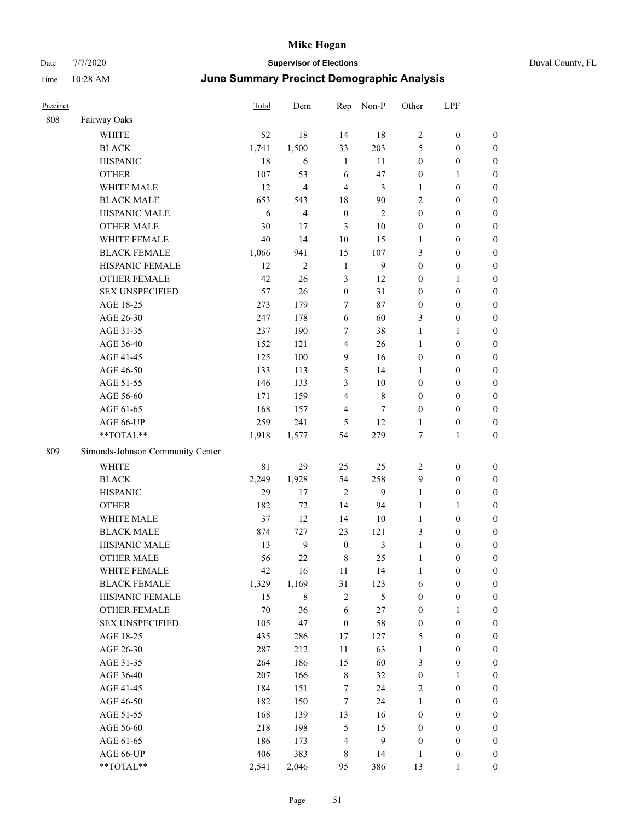| Precinct |                                  | Total | Dem            | Rep              | Non-P          | Other            | LPF              |                  |
|----------|----------------------------------|-------|----------------|------------------|----------------|------------------|------------------|------------------|
| 808      | Fairway Oaks                     |       |                |                  |                |                  |                  |                  |
|          | <b>WHITE</b>                     | 52    | 18             | 14               | 18             | $\sqrt{2}$       | $\boldsymbol{0}$ | $\boldsymbol{0}$ |
|          | <b>BLACK</b>                     | 1,741 | 1,500          | 33               | 203            | 5                | $\boldsymbol{0}$ | $\boldsymbol{0}$ |
|          | <b>HISPANIC</b>                  | 18    | 6              | 1                | 11             | $\boldsymbol{0}$ | $\boldsymbol{0}$ | $\boldsymbol{0}$ |
|          | <b>OTHER</b>                     | 107   | 53             | 6                | 47             | $\boldsymbol{0}$ | 1                | $\boldsymbol{0}$ |
|          | WHITE MALE                       | 12    | $\overline{4}$ | $\overline{4}$   | 3              | 1                | $\boldsymbol{0}$ | $\boldsymbol{0}$ |
|          | <b>BLACK MALE</b>                | 653   | 543            | 18               | $90\,$         | $\sqrt{2}$       | $\boldsymbol{0}$ | $\boldsymbol{0}$ |
|          | HISPANIC MALE                    | 6     | $\overline{4}$ | $\boldsymbol{0}$ | $\overline{2}$ | $\boldsymbol{0}$ | $\boldsymbol{0}$ | $\boldsymbol{0}$ |
|          | <b>OTHER MALE</b>                | 30    | 17             | $\mathfrak{Z}$   | $10\,$         | $\boldsymbol{0}$ | $\boldsymbol{0}$ | $\boldsymbol{0}$ |
|          | WHITE FEMALE                     | 40    | 14             | 10               | 15             | 1                | $\boldsymbol{0}$ | $\boldsymbol{0}$ |
|          | <b>BLACK FEMALE</b>              | 1,066 | 941            | 15               | 107            | $\mathfrak{Z}$   | $\boldsymbol{0}$ | $\boldsymbol{0}$ |
|          | HISPANIC FEMALE                  | 12    | $\mathfrak{2}$ | $\mathbf{1}$     | 9              | $\boldsymbol{0}$ | $\boldsymbol{0}$ | $\boldsymbol{0}$ |
|          | <b>OTHER FEMALE</b>              | 42    | 26             | 3                | 12             | $\boldsymbol{0}$ | 1                | $\boldsymbol{0}$ |
|          | <b>SEX UNSPECIFIED</b>           | 57    | 26             | $\mathbf{0}$     | 31             | $\mathbf{0}$     | $\boldsymbol{0}$ | $\boldsymbol{0}$ |
|          | AGE 18-25                        | 273   | 179            | 7                | 87             | $\boldsymbol{0}$ | $\boldsymbol{0}$ | $\boldsymbol{0}$ |
|          | AGE 26-30                        | 247   | 178            | 6                | 60             | $\mathfrak{Z}$   | $\boldsymbol{0}$ | $\boldsymbol{0}$ |
|          | AGE 31-35                        | 237   | 190            | 7                | 38             | $\mathbf{1}$     | 1                | $\boldsymbol{0}$ |
|          | AGE 36-40                        | 152   | 121            | 4                | 26             | $\mathbf{1}$     | $\boldsymbol{0}$ | $\boldsymbol{0}$ |
|          | AGE 41-45                        | 125   | 100            | $\overline{9}$   | 16             | $\boldsymbol{0}$ | $\boldsymbol{0}$ | $\boldsymbol{0}$ |
|          | AGE 46-50                        | 133   | 113            | 5                | 14             | 1                | $\boldsymbol{0}$ | $\boldsymbol{0}$ |
|          | AGE 51-55                        | 146   | 133            | 3                | 10             | $\boldsymbol{0}$ | $\boldsymbol{0}$ | $\boldsymbol{0}$ |
|          | AGE 56-60                        | 171   | 159            | $\overline{4}$   | $\,8\,$        | $\boldsymbol{0}$ | $\boldsymbol{0}$ | $\boldsymbol{0}$ |
|          | AGE 61-65                        | 168   | 157            | 4                | $\tau$         | $\boldsymbol{0}$ | $\boldsymbol{0}$ | $\boldsymbol{0}$ |
|          | AGE 66-UP                        | 259   | 241            | 5                | 12             | $\mathbf{1}$     | $\boldsymbol{0}$ | $\boldsymbol{0}$ |
|          | **TOTAL**                        | 1,918 | 1,577          | 54               | 279            | $\tau$           | $\mathbf{1}$     | $\boldsymbol{0}$ |
| 809      | Simonds-Johnson Community Center |       |                |                  |                |                  |                  |                  |
|          | <b>WHITE</b>                     | 81    | 29             | 25               | 25             | $\overline{2}$   | $\boldsymbol{0}$ | $\boldsymbol{0}$ |
|          | <b>BLACK</b>                     | 2,249 | 1,928          | 54               | 258            | 9                | $\boldsymbol{0}$ | $\boldsymbol{0}$ |
|          | <b>HISPANIC</b>                  | 29    | 17             | $\overline{2}$   | 9              | $\mathbf{1}$     | $\boldsymbol{0}$ | $\boldsymbol{0}$ |
|          | <b>OTHER</b>                     | 182   | 72             | 14               | 94             | $\mathbf{1}$     | 1                | $\boldsymbol{0}$ |
|          | WHITE MALE                       | 37    | 12             | 14               | 10             | 1                | $\boldsymbol{0}$ | $\boldsymbol{0}$ |
|          | <b>BLACK MALE</b>                | 874   | 727            | 23               | 121            | 3                | $\boldsymbol{0}$ | $\boldsymbol{0}$ |
|          | HISPANIC MALE                    | 13    | $\mathbf{9}$   | $\boldsymbol{0}$ | 3              | $\mathbf{1}$     | $\boldsymbol{0}$ | $\boldsymbol{0}$ |
|          | <b>OTHER MALE</b>                | 56    | 22             | 8                | 25             | 1                | $\boldsymbol{0}$ | $\boldsymbol{0}$ |
|          | WHITE FEMALE                     | 42    | 16             | 11               | 14             | $\mathbf{1}$     | $\boldsymbol{0}$ | $\boldsymbol{0}$ |
|          | <b>BLACK FEMALE</b>              | 1,329 | 1,169          | 31               | 123            | 6                | $\boldsymbol{0}$ | $\boldsymbol{0}$ |
|          | HISPANIC FEMALE                  | 15    | 8              | $\sqrt{2}$       | $\mathfrak{H}$ | $\boldsymbol{0}$ | $\boldsymbol{0}$ | $\boldsymbol{0}$ |
|          | OTHER FEMALE                     | 70    | 36             | 6                | 27             | $\boldsymbol{0}$ | $\mathbf{1}$     | $\boldsymbol{0}$ |
|          | <b>SEX UNSPECIFIED</b>           | 105   | 47             | $\boldsymbol{0}$ | 58             | $\boldsymbol{0}$ | $\boldsymbol{0}$ | $\boldsymbol{0}$ |
|          | AGE 18-25                        | 435   | 286            | 17               | 127            | $\mathfrak s$    | $\boldsymbol{0}$ | $\boldsymbol{0}$ |
|          | AGE 26-30                        | 287   | 212            | 11               | 63             | $\mathbf{1}$     | $\boldsymbol{0}$ | $\boldsymbol{0}$ |
|          | AGE 31-35                        | 264   | 186            | 15               | 60             | $\mathfrak{Z}$   | $\boldsymbol{0}$ | $\boldsymbol{0}$ |
|          | AGE 36-40                        | 207   | 166            | $\,$ 8 $\,$      | 32             | $\boldsymbol{0}$ | 1                | $\boldsymbol{0}$ |
|          | AGE 41-45                        | 184   | 151            | 7                | 24             | $\sqrt{2}$       | $\boldsymbol{0}$ | $\boldsymbol{0}$ |
|          | AGE 46-50                        | 182   | 150            | $\tau$           | 24             | $\mathbf{1}$     | $\boldsymbol{0}$ | $\boldsymbol{0}$ |
|          | AGE 51-55                        | 168   | 139            | 13               | 16             | $\boldsymbol{0}$ | $\boldsymbol{0}$ | $\boldsymbol{0}$ |
|          | AGE 56-60                        | 218   | 198            | $\sqrt{5}$       | 15             | $\boldsymbol{0}$ | $\boldsymbol{0}$ | $\boldsymbol{0}$ |
|          | AGE 61-65                        | 186   | 173            | $\overline{4}$   | 9              | $\boldsymbol{0}$ | $\boldsymbol{0}$ | $\boldsymbol{0}$ |
|          | AGE 66-UP                        | 406   | 383            | 8                | 14             | 1                | $\boldsymbol{0}$ | $\mathbf{0}$     |
|          | **TOTAL**                        | 2,541 | 2,046          | 95               | 386            | 13               | 1                | $\boldsymbol{0}$ |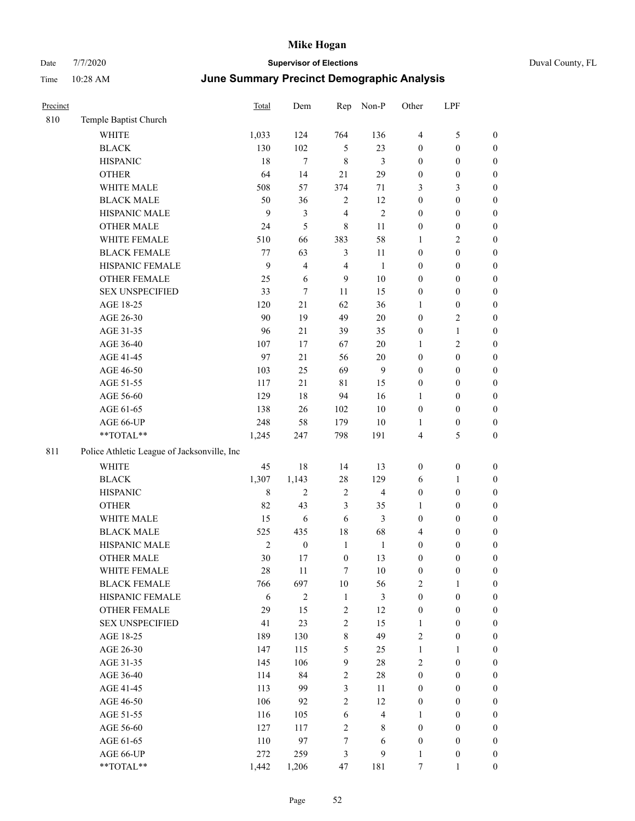| Precinct |                                             | Total          | Dem              | Rep              | Non-P                   | Other            | LPF              |                  |
|----------|---------------------------------------------|----------------|------------------|------------------|-------------------------|------------------|------------------|------------------|
| 810      | Temple Baptist Church                       |                |                  |                  |                         |                  |                  |                  |
|          | <b>WHITE</b>                                | 1,033          | 124              | 764              | 136                     | $\overline{4}$   | 5                | $\boldsymbol{0}$ |
|          | <b>BLACK</b>                                | 130            | 102              | $\mathfrak{H}$   | 23                      | $\boldsymbol{0}$ | $\boldsymbol{0}$ | $\boldsymbol{0}$ |
|          | <b>HISPANIC</b>                             | 18             | 7                | $\,$ 8 $\,$      | 3                       | $\boldsymbol{0}$ | $\boldsymbol{0}$ | $\boldsymbol{0}$ |
|          | <b>OTHER</b>                                | 64             | 14               | 21               | 29                      | $\boldsymbol{0}$ | $\boldsymbol{0}$ | $\boldsymbol{0}$ |
|          | WHITE MALE                                  | 508            | 57               | 374              | 71                      | 3                | 3                | $\boldsymbol{0}$ |
|          | <b>BLACK MALE</b>                           | 50             | 36               | $\mathbf{2}$     | 12                      | $\boldsymbol{0}$ | $\boldsymbol{0}$ | $\boldsymbol{0}$ |
|          | HISPANIC MALE                               | 9              | $\mathfrak{Z}$   | 4                | $\overline{2}$          | $\boldsymbol{0}$ | $\boldsymbol{0}$ | $\boldsymbol{0}$ |
|          | <b>OTHER MALE</b>                           | 24             | 5                | $\,8\,$          | 11                      | $\boldsymbol{0}$ | $\boldsymbol{0}$ | $\boldsymbol{0}$ |
|          | WHITE FEMALE                                | 510            | 66               | 383              | 58                      | $\mathbf{1}$     | 2                | $\boldsymbol{0}$ |
|          | <b>BLACK FEMALE</b>                         | $77 \,$        | 63               | 3                | 11                      | $\boldsymbol{0}$ | $\boldsymbol{0}$ | $\boldsymbol{0}$ |
|          | HISPANIC FEMALE                             | 9              | $\overline{4}$   | 4                | $\mathbf{1}$            | $\boldsymbol{0}$ | $\boldsymbol{0}$ | $\boldsymbol{0}$ |
|          | <b>OTHER FEMALE</b>                         | 25             | 6                | 9                | 10                      | $\boldsymbol{0}$ | $\boldsymbol{0}$ | $\boldsymbol{0}$ |
|          | <b>SEX UNSPECIFIED</b>                      | 33             | $\tau$           | 11               | 15                      | $\boldsymbol{0}$ | $\boldsymbol{0}$ | $\boldsymbol{0}$ |
|          | AGE 18-25                                   | 120            | 21               | 62               | 36                      | 1                | $\boldsymbol{0}$ | $\boldsymbol{0}$ |
|          | AGE 26-30                                   | 90             | 19               | 49               | 20                      | $\boldsymbol{0}$ | 2                | $\boldsymbol{0}$ |
|          | AGE 31-35                                   | 96             | 21               | 39               | 35                      | $\boldsymbol{0}$ | $\mathbf{1}$     | $\boldsymbol{0}$ |
|          | AGE 36-40                                   | 107            | 17               | 67               | 20                      | 1                | 2                | $\boldsymbol{0}$ |
|          | AGE 41-45                                   | 97             | 21               | 56               | $20\,$                  | $\boldsymbol{0}$ | $\boldsymbol{0}$ | $\boldsymbol{0}$ |
|          | AGE 46-50                                   | 103            | 25               | 69               | $\overline{9}$          | $\boldsymbol{0}$ | $\boldsymbol{0}$ | $\boldsymbol{0}$ |
|          | AGE 51-55                                   | 117            | 21               | 81               | 15                      | $\boldsymbol{0}$ | $\boldsymbol{0}$ | $\boldsymbol{0}$ |
|          | AGE 56-60                                   | 129            | 18               | 94               | 16                      | 1                | $\boldsymbol{0}$ | $\boldsymbol{0}$ |
|          | AGE 61-65                                   | 138            | 26               | 102              | $10\,$                  | $\boldsymbol{0}$ | $\boldsymbol{0}$ | $\boldsymbol{0}$ |
|          | AGE 66-UP                                   | 248            | 58               | 179              | $10\,$                  | 1                | $\boldsymbol{0}$ | $\boldsymbol{0}$ |
|          | **TOTAL**                                   | 1,245          | 247              | 798              | 191                     | $\overline{4}$   | 5                | $\boldsymbol{0}$ |
| 811      | Police Athletic League of Jacksonville, Inc |                |                  |                  |                         |                  |                  |                  |
|          | WHITE                                       | 45             | $18\,$           | 14               | 13                      | $\boldsymbol{0}$ | $\boldsymbol{0}$ | $\boldsymbol{0}$ |
|          | <b>BLACK</b>                                | 1,307          | 1,143            | $28\,$           | 129                     | 6                | 1                | $\boldsymbol{0}$ |
|          | <b>HISPANIC</b>                             | $\,8\,$        | 2                | 2                | $\overline{4}$          | $\boldsymbol{0}$ | $\boldsymbol{0}$ | $\boldsymbol{0}$ |
|          | <b>OTHER</b>                                | 82             | 43               | 3                | 35                      | $\mathbf{1}$     | $\boldsymbol{0}$ | $\boldsymbol{0}$ |
|          | WHITE MALE                                  | 15             | 6                | 6                | 3                       | $\boldsymbol{0}$ | $\boldsymbol{0}$ | $\boldsymbol{0}$ |
|          | <b>BLACK MALE</b>                           | 525            | 435              | 18               | 68                      | $\overline{4}$   | $\boldsymbol{0}$ | $\boldsymbol{0}$ |
|          | HISPANIC MALE                               | $\overline{c}$ | $\boldsymbol{0}$ | $\mathbf{1}$     | $\mathbf{1}$            | $\boldsymbol{0}$ | 0                | $\boldsymbol{0}$ |
|          | <b>OTHER MALE</b>                           | 30             | 17               | $\boldsymbol{0}$ | 13                      | $\boldsymbol{0}$ | $\boldsymbol{0}$ | $\boldsymbol{0}$ |
|          | WHITE FEMALE                                | 28             | 11               | $\tau$           | $10\,$                  | $\boldsymbol{0}$ | $\boldsymbol{0}$ | $\boldsymbol{0}$ |
|          | <b>BLACK FEMALE</b>                         | 766            | 697              | $10\,$           | 56                      | $\sqrt{2}$       | 1                | $\boldsymbol{0}$ |
|          | HISPANIC FEMALE                             | 6              | $\sqrt{2}$       | $\mathbf{1}$     | $\mathfrak{Z}$          | $\boldsymbol{0}$ | $\boldsymbol{0}$ | $\boldsymbol{0}$ |
|          | OTHER FEMALE                                | 29             | 15               | $\sqrt{2}$       | 12                      | $\boldsymbol{0}$ | $\boldsymbol{0}$ | $\boldsymbol{0}$ |
|          | <b>SEX UNSPECIFIED</b>                      | 41             | 23               | $\overline{2}$   | 15                      | $\mathbf{1}$     | $\boldsymbol{0}$ | $\boldsymbol{0}$ |
|          | AGE 18-25                                   | 189            | 130              | $\,8\,$          | 49                      | $\sqrt{2}$       | $\boldsymbol{0}$ | $\boldsymbol{0}$ |
|          | AGE 26-30                                   | 147            | 115              | 5                | 25                      | $\mathbf{1}$     | 1                | $\boldsymbol{0}$ |
|          | AGE 31-35                                   | 145            | 106              | 9                | $28\,$                  | $\sqrt{2}$       | $\boldsymbol{0}$ | $\boldsymbol{0}$ |
|          | AGE 36-40                                   | 114            | 84               | $\sqrt{2}$       | $28\,$                  | $\boldsymbol{0}$ | $\boldsymbol{0}$ | $\boldsymbol{0}$ |
|          | AGE 41-45                                   | 113            | 99               | $\mathfrak{Z}$   | 11                      | $\boldsymbol{0}$ | $\boldsymbol{0}$ | $\boldsymbol{0}$ |
|          | AGE 46-50                                   | 106            | 92               | $\overline{2}$   | 12                      | $\boldsymbol{0}$ | $\boldsymbol{0}$ | $\boldsymbol{0}$ |
|          | AGE 51-55                                   | 116            | 105              | 6                | $\overline{\mathbf{4}}$ | 1                | $\boldsymbol{0}$ | $\boldsymbol{0}$ |
|          | AGE 56-60                                   | 127            | 117              | $\sqrt{2}$       | $\,$ 8 $\,$             | $\boldsymbol{0}$ | $\boldsymbol{0}$ | $\boldsymbol{0}$ |
|          | AGE 61-65                                   | 110            | 97               | $\boldsymbol{7}$ | 6                       | $\boldsymbol{0}$ | $\boldsymbol{0}$ | $\boldsymbol{0}$ |
|          | AGE 66-UP                                   | 272            | 259              | $\mathfrak{Z}$   | 9                       | 1                | $\boldsymbol{0}$ | $\mathbf{0}$     |
|          | **TOTAL**                                   | 1,442          | 1,206            | 47               | 181                     | $\overline{7}$   |                  | $\overline{0}$   |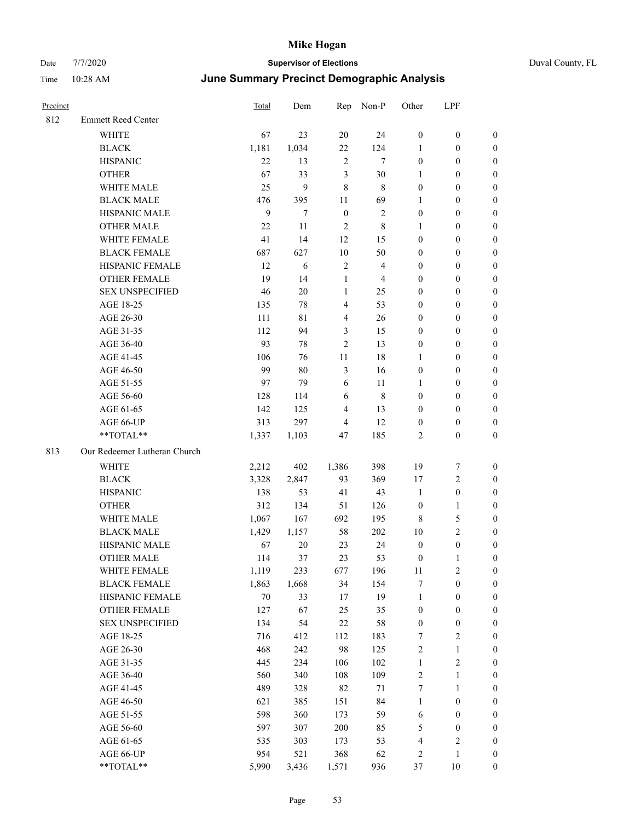| Precinct |                              | Total  | Dem    | Rep                     | Non-P                   | Other            | LPF                     |                  |
|----------|------------------------------|--------|--------|-------------------------|-------------------------|------------------|-------------------------|------------------|
| 812      | <b>Emmett Reed Center</b>    |        |        |                         |                         |                  |                         |                  |
|          | <b>WHITE</b>                 | 67     | 23     | 20                      | 24                      | $\boldsymbol{0}$ | $\boldsymbol{0}$        | $\boldsymbol{0}$ |
|          | <b>BLACK</b>                 | 1,181  | 1,034  | 22                      | 124                     | $\mathbf{1}$     | $\boldsymbol{0}$        | $\boldsymbol{0}$ |
|          | <b>HISPANIC</b>              | 22     | 13     | $\overline{2}$          | 7                       | $\boldsymbol{0}$ | $\boldsymbol{0}$        | $\mathbf{0}$     |
|          | <b>OTHER</b>                 | 67     | 33     | 3                       | 30                      | 1                | $\boldsymbol{0}$        | $\boldsymbol{0}$ |
|          | WHITE MALE                   | 25     | 9      | $\,8\,$                 | 8                       | $\boldsymbol{0}$ | $\boldsymbol{0}$        | $\boldsymbol{0}$ |
|          | <b>BLACK MALE</b>            | 476    | 395    | 11                      | 69                      | 1                | $\boldsymbol{0}$        | $\boldsymbol{0}$ |
|          | HISPANIC MALE                | 9      | $\tau$ | $\boldsymbol{0}$        | $\overline{2}$          | $\boldsymbol{0}$ | $\boldsymbol{0}$        | $\boldsymbol{0}$ |
|          | <b>OTHER MALE</b>            | 22     | 11     | 2                       | 8                       | 1                | $\boldsymbol{0}$        | $\boldsymbol{0}$ |
|          | WHITE FEMALE                 | 41     | 14     | 12                      | 15                      | $\boldsymbol{0}$ | $\boldsymbol{0}$        | $\boldsymbol{0}$ |
|          | <b>BLACK FEMALE</b>          | 687    | 627    | $10\,$                  | 50                      | $\boldsymbol{0}$ | $\boldsymbol{0}$        | $\boldsymbol{0}$ |
|          | HISPANIC FEMALE              | 12     | 6      | $\sqrt{2}$              | $\overline{\mathbf{4}}$ | $\boldsymbol{0}$ | $\boldsymbol{0}$        | $\boldsymbol{0}$ |
|          | <b>OTHER FEMALE</b>          | 19     | 14     | $\mathbf{1}$            | 4                       | $\boldsymbol{0}$ | $\boldsymbol{0}$        | $\boldsymbol{0}$ |
|          | <b>SEX UNSPECIFIED</b>       | 46     | 20     | 1                       | 25                      | $\boldsymbol{0}$ | $\boldsymbol{0}$        | $\boldsymbol{0}$ |
|          | AGE 18-25                    | 135    | 78     | 4                       | 53                      | $\boldsymbol{0}$ | $\boldsymbol{0}$        | $\boldsymbol{0}$ |
|          | AGE 26-30                    | 111    | 81     | $\overline{\mathbf{4}}$ | $26\,$                  | $\boldsymbol{0}$ | $\boldsymbol{0}$        | $\boldsymbol{0}$ |
|          | AGE 31-35                    | 112    | 94     | 3                       | 15                      | $\boldsymbol{0}$ | $\boldsymbol{0}$        | $\boldsymbol{0}$ |
|          | AGE 36-40                    | 93     | 78     | $\overline{2}$          | 13                      | $\boldsymbol{0}$ | $\boldsymbol{0}$        | $\boldsymbol{0}$ |
|          | AGE 41-45                    | 106    | 76     | 11                      | 18                      | 1                | $\boldsymbol{0}$        | $\mathbf{0}$     |
|          | AGE 46-50                    | 99     | 80     | 3                       | 16                      | $\boldsymbol{0}$ | $\boldsymbol{0}$        | $\boldsymbol{0}$ |
|          | AGE 51-55                    | 97     | 79     | 6                       | 11                      | 1                | $\boldsymbol{0}$        | $\boldsymbol{0}$ |
|          | AGE 56-60                    | 128    | 114    | 6                       | $\,8\,$                 | $\boldsymbol{0}$ | $\boldsymbol{0}$        | $\boldsymbol{0}$ |
|          | AGE 61-65                    | 142    | 125    | 4                       | 13                      | $\boldsymbol{0}$ | $\boldsymbol{0}$        | $\boldsymbol{0}$ |
|          | AGE 66-UP                    | 313    | 297    | 4                       | 12                      | $\mathbf{0}$     | $\boldsymbol{0}$        | $\mathbf{0}$     |
|          | **TOTAL**                    | 1,337  | 1,103  | 47                      | 185                     | $\sqrt{2}$       | $\boldsymbol{0}$        | $\boldsymbol{0}$ |
| 813      | Our Redeemer Lutheran Church |        |        |                         |                         |                  |                         |                  |
|          | WHITE                        | 2,212  | 402    | 1,386                   | 398                     | 19               | 7                       | $\boldsymbol{0}$ |
|          | <b>BLACK</b>                 | 3,328  | 2,847  | 93                      | 369                     | 17               | $\overline{c}$          | $\mathbf{0}$     |
|          | <b>HISPANIC</b>              | 138    | 53     | 41                      | 43                      | 1                | $\boldsymbol{0}$        | $\mathbf{0}$     |
|          | <b>OTHER</b>                 | 312    | 134    | 51                      | 126                     | $\boldsymbol{0}$ | $\mathbf{1}$            | $\boldsymbol{0}$ |
|          | WHITE MALE                   | 1,067  | 167    | 692                     | 195                     | 8                | 5                       | $\boldsymbol{0}$ |
|          | <b>BLACK MALE</b>            | 1,429  | 1,157  | 58                      | 202                     | 10               | 2                       | $\boldsymbol{0}$ |
|          | HISPANIC MALE                | 67     | 20     | 23                      | 24                      | $\boldsymbol{0}$ | $\boldsymbol{0}$        | $\boldsymbol{0}$ |
|          | <b>OTHER MALE</b>            | 114    | 37     | 23                      | 53                      | $\boldsymbol{0}$ | 1                       | $\boldsymbol{0}$ |
|          | WHITE FEMALE                 | 1,119  | 233    | 677                     | 196                     | $11\,$           | $\mathbf{2}$            | $\boldsymbol{0}$ |
|          | <b>BLACK FEMALE</b>          | 1,863  | 1,668  | 34                      | 154                     | 7                | $\boldsymbol{0}$        | $\boldsymbol{0}$ |
|          | HISPANIC FEMALE              | $70\,$ | 33     | 17                      | 19                      | $\mathbf{1}$     | $\boldsymbol{0}$        | $\boldsymbol{0}$ |
|          | <b>OTHER FEMALE</b>          | 127    | 67     | 25                      | 35                      | $\boldsymbol{0}$ | $\boldsymbol{0}$        | $\boldsymbol{0}$ |
|          | <b>SEX UNSPECIFIED</b>       | 134    | 54     | $22\,$                  | 58                      | $\boldsymbol{0}$ | $\boldsymbol{0}$        | $\boldsymbol{0}$ |
|          | AGE 18-25                    | 716    | 412    | 112                     | 183                     | $\tau$           | 2                       | $\boldsymbol{0}$ |
|          | AGE 26-30                    | 468    | 242    | 98                      | 125                     | $\sqrt{2}$       | $\mathbf{1}$            | $\boldsymbol{0}$ |
|          | AGE 31-35                    | 445    | 234    | 106                     | 102                     | $\mathbf{1}$     | $\sqrt{2}$              | $\boldsymbol{0}$ |
|          | AGE 36-40                    | 560    | 340    | 108                     | 109                     | $\sqrt{2}$       | 1                       | $\boldsymbol{0}$ |
|          | AGE 41-45                    | 489    | 328    | 82                      | 71                      | $\boldsymbol{7}$ | 1                       | $\boldsymbol{0}$ |
|          | AGE 46-50                    | 621    | 385    | 151                     | 84                      | $\mathbf{1}$     | $\boldsymbol{0}$        | $\boldsymbol{0}$ |
|          | AGE 51-55                    | 598    | 360    | 173                     | 59                      | 6                | $\boldsymbol{0}$        | $\boldsymbol{0}$ |
|          | AGE 56-60                    | 597    | 307    | 200                     | 85                      | $\mathfrak s$    | $\boldsymbol{0}$        | $\boldsymbol{0}$ |
|          | AGE 61-65                    | 535    | 303    | 173                     | 53                      | $\overline{4}$   | $\overline{\mathbf{c}}$ | $\boldsymbol{0}$ |
|          | AGE 66-UP                    | 954    | 521    | 368                     | 62                      | $\overline{c}$   | $\mathbf{1}$            | $\boldsymbol{0}$ |
|          | **TOTAL**                    | 5,990  | 3,436  | 1,571                   | 936                     | 37               | 10                      | $\boldsymbol{0}$ |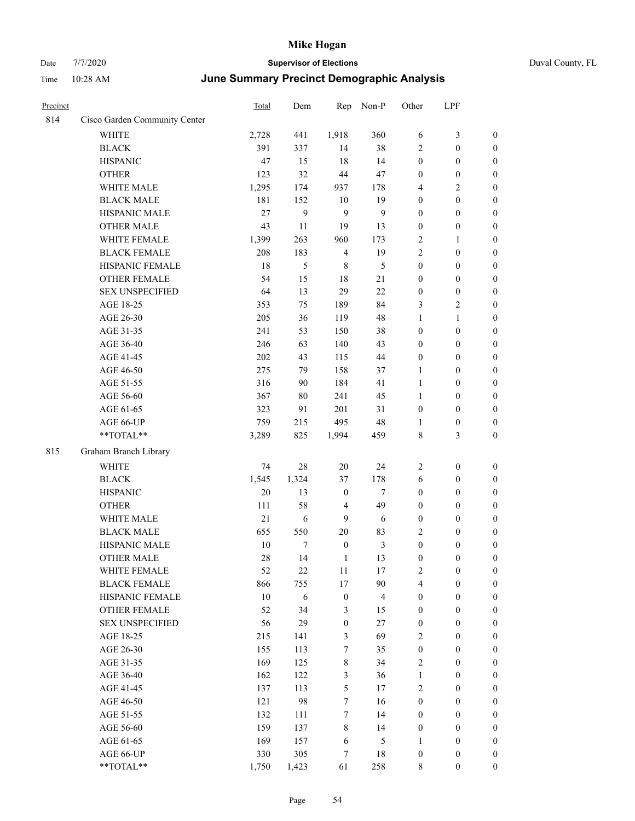| Precinct |                               | Total  | Dem        | Rep              | Non-P          | Other            | LPF              |                  |
|----------|-------------------------------|--------|------------|------------------|----------------|------------------|------------------|------------------|
| 814      | Cisco Garden Community Center |        |            |                  |                |                  |                  |                  |
|          | WHITE                         | 2,728  | 441        | 1,918            | 360            | 6                | 3                | $\boldsymbol{0}$ |
|          | <b>BLACK</b>                  | 391    | 337        | 14               | 38             | $\overline{2}$   | $\boldsymbol{0}$ | $\boldsymbol{0}$ |
|          | <b>HISPANIC</b>               | 47     | 15         | 18               | 14             | $\boldsymbol{0}$ | $\boldsymbol{0}$ | $\boldsymbol{0}$ |
|          | <b>OTHER</b>                  | 123    | 32         | 44               | 47             | $\boldsymbol{0}$ | $\boldsymbol{0}$ | $\boldsymbol{0}$ |
|          | WHITE MALE                    | 1,295  | 174        | 937              | 178            | $\overline{4}$   | 2                | $\boldsymbol{0}$ |
|          | <b>BLACK MALE</b>             | 181    | 152        | $10\,$           | 19             | $\boldsymbol{0}$ | $\boldsymbol{0}$ | $\boldsymbol{0}$ |
|          | HISPANIC MALE                 | 27     | 9          | 9                | 9              | $\boldsymbol{0}$ | $\boldsymbol{0}$ | $\boldsymbol{0}$ |
|          | <b>OTHER MALE</b>             | 43     | 11         | 19               | 13             | $\boldsymbol{0}$ | $\boldsymbol{0}$ | $\boldsymbol{0}$ |
|          | WHITE FEMALE                  | 1,399  | 263        | 960              | 173            | $\sqrt{2}$       | 1                | $\boldsymbol{0}$ |
|          | <b>BLACK FEMALE</b>           | 208    | 183        | $\overline{4}$   | 19             | $\overline{2}$   | $\boldsymbol{0}$ | $\boldsymbol{0}$ |
|          | HISPANIC FEMALE               | 18     | 5          | 8                | 5              | $\boldsymbol{0}$ | $\boldsymbol{0}$ | $\boldsymbol{0}$ |
|          | <b>OTHER FEMALE</b>           | 54     | 15         | 18               | 21             | $\boldsymbol{0}$ | $\boldsymbol{0}$ | $\boldsymbol{0}$ |
|          | <b>SEX UNSPECIFIED</b>        | 64     | 13         | 29               | 22             | $\boldsymbol{0}$ | $\boldsymbol{0}$ | $\boldsymbol{0}$ |
|          | AGE 18-25                     | 353    | 75         | 189              | 84             | 3                | 2                | $\boldsymbol{0}$ |
|          | AGE 26-30                     | 205    | 36         | 119              | 48             | 1                | 1                | $\boldsymbol{0}$ |
|          | AGE 31-35                     | 241    | 53         | 150              | 38             | $\boldsymbol{0}$ | $\boldsymbol{0}$ | $\boldsymbol{0}$ |
|          | AGE 36-40                     | 246    | 63         | 140              | 43             | $\boldsymbol{0}$ | $\boldsymbol{0}$ | $\boldsymbol{0}$ |
|          | AGE 41-45                     | 202    | 43         | 115              | 44             | $\boldsymbol{0}$ | $\boldsymbol{0}$ | $\boldsymbol{0}$ |
|          | AGE 46-50                     | 275    | 79         | 158              | 37             | 1                | $\boldsymbol{0}$ | $\boldsymbol{0}$ |
|          | AGE 51-55                     | 316    | 90         | 184              | 41             | $\mathbf{1}$     | $\boldsymbol{0}$ | $\boldsymbol{0}$ |
|          | AGE 56-60                     | 367    | 80         | 241              | 45             | $\mathbf{1}$     | $\boldsymbol{0}$ | $\boldsymbol{0}$ |
|          | AGE 61-65                     | 323    | 91         | 201              | 31             | $\boldsymbol{0}$ | $\boldsymbol{0}$ | $\boldsymbol{0}$ |
|          | AGE 66-UP                     | 759    | 215        | 495              | 48             | 1                | $\boldsymbol{0}$ | $\boldsymbol{0}$ |
|          | **TOTAL**                     | 3,289  | 825        | 1,994            | 459            | $\,8\,$          | 3                | $\boldsymbol{0}$ |
| 815      | Graham Branch Library         |        |            |                  |                |                  |                  |                  |
|          | <b>WHITE</b>                  | 74     | 28         | 20               | 24             | $\overline{2}$   | $\boldsymbol{0}$ | $\boldsymbol{0}$ |
|          | <b>BLACK</b>                  | 1,545  | 1,324      | 37               | 178            | 6                | $\boldsymbol{0}$ | $\boldsymbol{0}$ |
|          | <b>HISPANIC</b>               | 20     | 13         | $\boldsymbol{0}$ | $\tau$         | $\boldsymbol{0}$ | $\boldsymbol{0}$ | $\boldsymbol{0}$ |
|          | <b>OTHER</b>                  | 111    | 58         | $\overline{4}$   | 49             | $\boldsymbol{0}$ | $\boldsymbol{0}$ | $\boldsymbol{0}$ |
|          | WHITE MALE                    | 21     | 6          | 9                | 6              | $\boldsymbol{0}$ | $\boldsymbol{0}$ | $\boldsymbol{0}$ |
|          | <b>BLACK MALE</b>             | 655    | 550        | $20\,$           | 83             | $\sqrt{2}$       | $\boldsymbol{0}$ | $\boldsymbol{0}$ |
|          | HISPANIC MALE                 | 10     | 7          | $\boldsymbol{0}$ | 3              | $\boldsymbol{0}$ | $\boldsymbol{0}$ | $\boldsymbol{0}$ |
|          | <b>OTHER MALE</b>             | 28     | 14         | 1                | 13             | $\mathbf{0}$     | 0                | $\boldsymbol{0}$ |
|          | WHITE FEMALE                  | 52     | 22         | 11               | 17             | $\overline{2}$   | $\boldsymbol{0}$ | $\boldsymbol{0}$ |
|          | <b>BLACK FEMALE</b>           | 866    | 755        | $17\,$           | 90             | $\overline{4}$   | $\boldsymbol{0}$ | $\boldsymbol{0}$ |
|          | HISPANIC FEMALE               | $10\,$ | $\sqrt{6}$ | $\boldsymbol{0}$ | $\overline{4}$ | $\boldsymbol{0}$ | $\boldsymbol{0}$ | $\boldsymbol{0}$ |
|          | <b>OTHER FEMALE</b>           | 52     | 34         | 3                | 15             | $\boldsymbol{0}$ | $\boldsymbol{0}$ | $\boldsymbol{0}$ |
|          | <b>SEX UNSPECIFIED</b>        | 56     | 29         | $\boldsymbol{0}$ | $27\,$         | $\boldsymbol{0}$ | $\boldsymbol{0}$ | $\boldsymbol{0}$ |
|          | AGE 18-25                     | 215    | 141        | 3                | 69             | $\sqrt{2}$       | $\boldsymbol{0}$ | $\boldsymbol{0}$ |
|          | AGE 26-30                     | 155    | 113        | $\tau$           | 35             | $\boldsymbol{0}$ | $\boldsymbol{0}$ | $\boldsymbol{0}$ |
|          | AGE 31-35                     | 169    | 125        | 8                | 34             | $\sqrt{2}$       | $\boldsymbol{0}$ | $\boldsymbol{0}$ |
|          | AGE 36-40                     | 162    | 122        | $\mathfrak{Z}$   | 36             | $\mathbf{1}$     | $\boldsymbol{0}$ | $\boldsymbol{0}$ |
|          | AGE 41-45                     | 137    | 113        | $\mathfrak s$    | 17             | $\sqrt{2}$       | $\boldsymbol{0}$ | $\boldsymbol{0}$ |
|          | AGE 46-50                     | 121    | 98         | $\tau$           | 16             | $\boldsymbol{0}$ | $\boldsymbol{0}$ | $\boldsymbol{0}$ |
|          | AGE 51-55                     | 132    | 111        | $\tau$           | 14             | $\boldsymbol{0}$ | $\boldsymbol{0}$ | $\boldsymbol{0}$ |
|          | AGE 56-60                     | 159    | 137        | $\,$ 8 $\,$      | 14             | $\boldsymbol{0}$ | $\boldsymbol{0}$ | $\boldsymbol{0}$ |
|          | AGE 61-65                     | 169    | 157        | 6                | 5              | 1                | $\boldsymbol{0}$ | $\boldsymbol{0}$ |
|          | AGE 66-UP                     | 330    | 305        | $\tau$           | 18             | $\boldsymbol{0}$ | $\boldsymbol{0}$ | $\boldsymbol{0}$ |
|          | **TOTAL**                     | 1,750  | 1,423      | 61               | 258            | $\,8\,$          | $\boldsymbol{0}$ | $\boldsymbol{0}$ |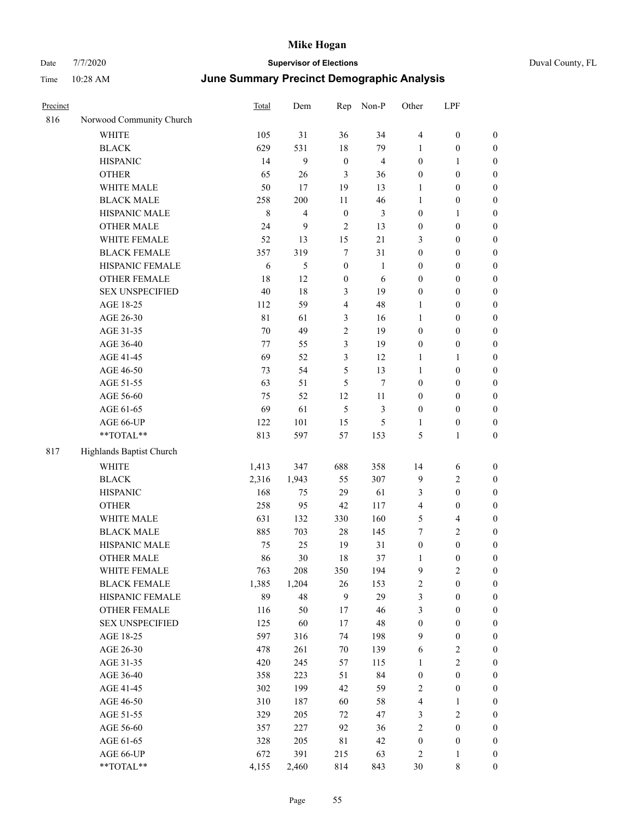| Precinct |                          | Total       | Dem   | Rep                     | Non-P                   | Other            | LPF                     |                  |
|----------|--------------------------|-------------|-------|-------------------------|-------------------------|------------------|-------------------------|------------------|
| 816      | Norwood Community Church |             |       |                         |                         |                  |                         |                  |
|          | <b>WHITE</b>             | 105         | 31    | 36                      | 34                      | $\overline{4}$   | $\boldsymbol{0}$        | $\boldsymbol{0}$ |
|          | <b>BLACK</b>             | 629         | 531   | $18\,$                  | 79                      | $\mathbf{1}$     | $\boldsymbol{0}$        | $\boldsymbol{0}$ |
|          | <b>HISPANIC</b>          | 14          | 9     | $\boldsymbol{0}$        | $\overline{\mathbf{4}}$ | $\boldsymbol{0}$ | $\mathbf{1}$            | $\boldsymbol{0}$ |
|          | <b>OTHER</b>             | 65          | 26    | $\mathfrak{Z}$          | 36                      | $\boldsymbol{0}$ | $\boldsymbol{0}$        | $\boldsymbol{0}$ |
|          | WHITE MALE               | 50          | 17    | 19                      | 13                      | 1                | $\boldsymbol{0}$        | 0                |
|          | <b>BLACK MALE</b>        | 258         | 200   | 11                      | 46                      | $\mathbf{1}$     | $\boldsymbol{0}$        | $\boldsymbol{0}$ |
|          | HISPANIC MALE            | $\,$ 8 $\,$ | 4     | $\boldsymbol{0}$        | 3                       | $\boldsymbol{0}$ | $\mathbf{1}$            | $\boldsymbol{0}$ |
|          | <b>OTHER MALE</b>        | 24          | 9     | $\overline{2}$          | 13                      | $\boldsymbol{0}$ | $\boldsymbol{0}$        | $\boldsymbol{0}$ |
|          | WHITE FEMALE             | 52          | 13    | 15                      | 21                      | 3                | $\boldsymbol{0}$        | $\boldsymbol{0}$ |
|          | <b>BLACK FEMALE</b>      | 357         | 319   | $\boldsymbol{7}$        | 31                      | $\boldsymbol{0}$ | $\boldsymbol{0}$        | $\boldsymbol{0}$ |
|          | HISPANIC FEMALE          | 6           | 5     | $\boldsymbol{0}$        | $\mathbf{1}$            | $\boldsymbol{0}$ | $\boldsymbol{0}$        | $\boldsymbol{0}$ |
|          | OTHER FEMALE             | 18          | 12    | $\boldsymbol{0}$        | 6                       | $\boldsymbol{0}$ | $\boldsymbol{0}$        | $\boldsymbol{0}$ |
|          | <b>SEX UNSPECIFIED</b>   | 40          | 18    | $\mathfrak{Z}$          | 19                      | $\boldsymbol{0}$ | $\boldsymbol{0}$        | $\boldsymbol{0}$ |
|          | AGE 18-25                | 112         | 59    | $\overline{\mathbf{4}}$ | 48                      | 1                | $\boldsymbol{0}$        | $\boldsymbol{0}$ |
|          | AGE 26-30                | $8\sqrt{1}$ | 61    | 3                       | 16                      | 1                | $\boldsymbol{0}$        | 0                |
|          | AGE 31-35                | 70          | 49    | $\sqrt{2}$              | 19                      | $\boldsymbol{0}$ | $\boldsymbol{0}$        | $\boldsymbol{0}$ |
|          | AGE 36-40                | 77          | 55    | $\mathfrak{Z}$          | 19                      | $\boldsymbol{0}$ | $\boldsymbol{0}$        | $\boldsymbol{0}$ |
|          | AGE 41-45                | 69          | 52    | 3                       | 12                      | 1                | 1                       | $\boldsymbol{0}$ |
|          | AGE 46-50                | 73          | 54    | 5                       | 13                      | $\mathbf{1}$     | $\boldsymbol{0}$        | $\boldsymbol{0}$ |
|          | AGE 51-55                | 63          | 51    | 5                       | $\tau$                  | $\boldsymbol{0}$ | $\boldsymbol{0}$        | $\boldsymbol{0}$ |
|          | AGE 56-60                | 75          | 52    | 12                      | 11                      | $\boldsymbol{0}$ | $\boldsymbol{0}$        | $\boldsymbol{0}$ |
|          | AGE 61-65                | 69          | 61    | 5                       | 3                       | $\boldsymbol{0}$ | $\boldsymbol{0}$        | $\boldsymbol{0}$ |
|          | AGE 66-UP                | 122         | 101   | 15                      | 5                       | $\mathbf{1}$     | $\boldsymbol{0}$        | $\boldsymbol{0}$ |
|          | **TOTAL**                | 813         | 597   | 57                      | 153                     | 5                | 1                       | $\boldsymbol{0}$ |
| 817      | Highlands Baptist Church |             |       |                         |                         |                  |                         |                  |
|          | <b>WHITE</b>             | 1,413       | 347   | 688                     | 358                     | 14               | 6                       | $\boldsymbol{0}$ |
|          | <b>BLACK</b>             | 2,316       | 1,943 | 55                      | 307                     | $\overline{9}$   | $\sqrt{2}$              | 0                |
|          | <b>HISPANIC</b>          | 168         | 75    | 29                      | 61                      | 3                | $\boldsymbol{0}$        | 0                |
|          | <b>OTHER</b>             | 258         | 95    | 42                      | 117                     | 4                | $\boldsymbol{0}$        | $\boldsymbol{0}$ |
|          | WHITE MALE               | 631         | 132   | 330                     | 160                     | 5                | $\overline{\mathbf{4}}$ | $\boldsymbol{0}$ |
|          | <b>BLACK MALE</b>        | 885         | 703   | 28                      | 145                     | 7                | $\sqrt{2}$              | $\boldsymbol{0}$ |
|          | HISPANIC MALE            | 75          | 25    | 19                      | 31                      | $\boldsymbol{0}$ | $\boldsymbol{0}$        | $\boldsymbol{0}$ |
|          | <b>OTHER MALE</b>        | 86          | 30    | 18                      | 37                      | $\mathbf{1}$     | $\boldsymbol{0}$        | $\boldsymbol{0}$ |
|          | WHITE FEMALE             | 763         | 208   | 350                     | 194                     | $\overline{9}$   | $\overline{2}$          | $\boldsymbol{0}$ |
|          | <b>BLACK FEMALE</b>      | 1,385       | 1,204 | $26\,$                  | 153                     | $\sqrt{2}$       | $\boldsymbol{0}$        | 0                |
|          | HISPANIC FEMALE          | 89          | 48    | 9                       | 29                      | 3                | $\boldsymbol{0}$        | 0                |
|          | <b>OTHER FEMALE</b>      | 116         | 50    | 17                      | 46                      | 3                | $\boldsymbol{0}$        | 0                |
|          | <b>SEX UNSPECIFIED</b>   | 125         | 60    | 17                      | 48                      | $\boldsymbol{0}$ | $\boldsymbol{0}$        | 0                |
|          | AGE 18-25                | 597         | 316   | 74                      | 198                     | 9                | $\boldsymbol{0}$        | $\boldsymbol{0}$ |
|          | AGE 26-30                | 478         | 261   | 70                      | 139                     | 6                | $\sqrt{2}$              | $\boldsymbol{0}$ |
|          | AGE 31-35                | 420         | 245   | 57                      | 115                     | 1                | $\sqrt{2}$              | $\overline{0}$   |
|          | AGE 36-40                | 358         | 223   | 51                      | 84                      | $\boldsymbol{0}$ | $\boldsymbol{0}$        | $\boldsymbol{0}$ |
|          | AGE 41-45                | 302         | 199   | 42                      | 59                      | $\overline{c}$   | $\boldsymbol{0}$        | $\overline{0}$   |
|          | AGE 46-50                | 310         | 187   | 60                      | 58                      | $\overline{4}$   | $\mathbf{1}$            | $\boldsymbol{0}$ |
|          | AGE 51-55                | 329         | 205   | 72                      | 47                      | 3                | $\sqrt{2}$              | $\overline{0}$   |
|          | AGE 56-60                | 357         | 227   | 92                      | 36                      | $\sqrt{2}$       | $\boldsymbol{0}$        | 0                |
|          | AGE 61-65                | 328         | 205   | $8\sqrt{1}$             | 42                      | $\boldsymbol{0}$ | $\boldsymbol{0}$        | 0                |
|          | AGE 66-UP                | 672         | 391   | 215                     | 63                      | 2                | $\mathbf{1}$            | 0                |
|          | $**TOTAL**$              | 4,155       | 2,460 | 814                     | 843                     | $30\,$           | $8\,$                   | $\boldsymbol{0}$ |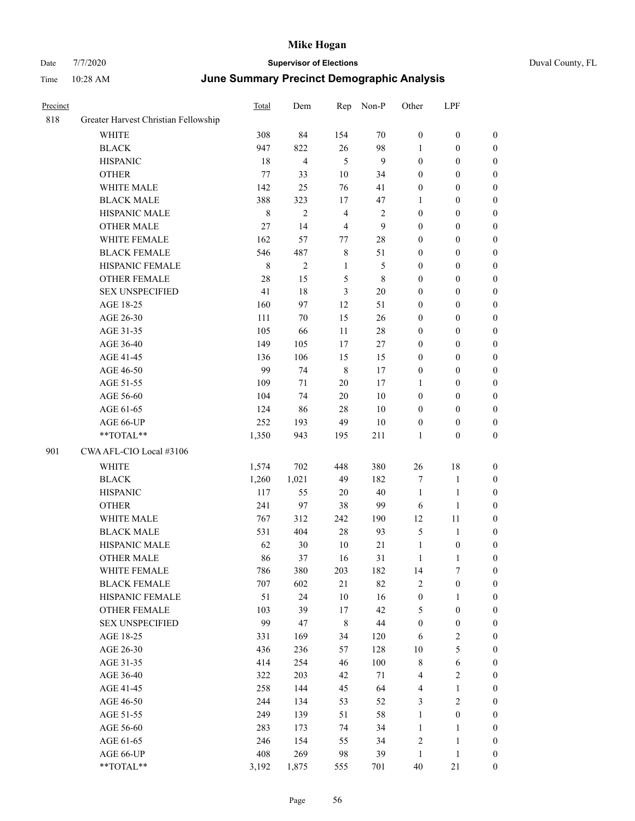| Precinct |                                      | Total       | Dem            | Rep            | Non-P            | Other            | LPF              |                  |
|----------|--------------------------------------|-------------|----------------|----------------|------------------|------------------|------------------|------------------|
| 818      | Greater Harvest Christian Fellowship |             |                |                |                  |                  |                  |                  |
|          | <b>WHITE</b>                         | 308         | 84             | 154            | 70               | $\boldsymbol{0}$ | $\boldsymbol{0}$ | $\boldsymbol{0}$ |
|          | <b>BLACK</b>                         | 947         | 822            | 26             | 98               | $\mathbf{1}$     | $\boldsymbol{0}$ | $\boldsymbol{0}$ |
|          | <b>HISPANIC</b>                      | 18          | $\overline{4}$ | $\mathfrak{H}$ | $\boldsymbol{9}$ | $\boldsymbol{0}$ | $\boldsymbol{0}$ | $\boldsymbol{0}$ |
|          | <b>OTHER</b>                         | $77\,$      | 33             | $10\,$         | 34               | $\boldsymbol{0}$ | $\boldsymbol{0}$ | $\boldsymbol{0}$ |
|          | WHITE MALE                           | 142         | 25             | 76             | 41               | $\boldsymbol{0}$ | $\boldsymbol{0}$ | $\boldsymbol{0}$ |
|          | <b>BLACK MALE</b>                    | 388         | 323            | 17             | 47               | 1                | $\boldsymbol{0}$ | $\boldsymbol{0}$ |
|          | HISPANIC MALE                        | $\,$ 8 $\,$ | $\overline{c}$ | $\overline{4}$ | $\overline{c}$   | $\boldsymbol{0}$ | $\boldsymbol{0}$ | 0                |
|          | <b>OTHER MALE</b>                    | $27\,$      | 14             | $\overline{4}$ | 9                | $\boldsymbol{0}$ | $\boldsymbol{0}$ | $\boldsymbol{0}$ |
|          | WHITE FEMALE                         | 162         | 57             | 77             | $28\,$           | $\boldsymbol{0}$ | $\boldsymbol{0}$ | $\boldsymbol{0}$ |
|          | <b>BLACK FEMALE</b>                  | 546         | 487            | $\,$ 8 $\,$    | 51               | $\boldsymbol{0}$ | $\boldsymbol{0}$ | $\boldsymbol{0}$ |
|          | HISPANIC FEMALE                      | $\,$ 8 $\,$ | $\overline{c}$ | $\mathbf{1}$   | 5                | $\boldsymbol{0}$ | $\boldsymbol{0}$ | $\boldsymbol{0}$ |
|          | OTHER FEMALE                         | 28          | 15             | 5              | 8                | $\boldsymbol{0}$ | $\boldsymbol{0}$ | $\boldsymbol{0}$ |
|          | <b>SEX UNSPECIFIED</b>               | 41          | 18             | $\mathfrak{Z}$ | 20               | $\boldsymbol{0}$ | $\boldsymbol{0}$ | $\boldsymbol{0}$ |
|          | AGE 18-25                            | 160         | 97             | 12             | 51               | $\boldsymbol{0}$ | $\boldsymbol{0}$ | $\boldsymbol{0}$ |
|          | AGE 26-30                            | 111         | 70             | 15             | 26               | $\boldsymbol{0}$ | $\boldsymbol{0}$ | $\boldsymbol{0}$ |
|          | AGE 31-35                            | 105         | 66             | 11             | $28\,$           | $\boldsymbol{0}$ | $\boldsymbol{0}$ | $\boldsymbol{0}$ |
|          | AGE 36-40                            | 149         | 105            | 17             | 27               | $\boldsymbol{0}$ | $\boldsymbol{0}$ | 0                |
|          | AGE 41-45                            | 136         | 106            | 15             | 15               | $\boldsymbol{0}$ | $\boldsymbol{0}$ | $\boldsymbol{0}$ |
|          | AGE 46-50                            | 99          | 74             | $\,8\,$        | $17\,$           | $\boldsymbol{0}$ | $\boldsymbol{0}$ | $\boldsymbol{0}$ |
|          | AGE 51-55                            | 109         | 71             | $20\,$         | 17               | 1                | $\boldsymbol{0}$ | $\boldsymbol{0}$ |
|          | AGE 56-60                            | 104         | 74             | $20\,$         | 10               | $\boldsymbol{0}$ | $\boldsymbol{0}$ | $\boldsymbol{0}$ |
|          | AGE 61-65                            | 124         | 86             | 28             | 10               | $\boldsymbol{0}$ | $\boldsymbol{0}$ | $\boldsymbol{0}$ |
|          | AGE 66-UP                            | 252         | 193            | 49             | 10               | $\boldsymbol{0}$ | $\boldsymbol{0}$ | $\boldsymbol{0}$ |
|          | **TOTAL**                            | 1,350       | 943            | 195            | 211              | $\mathbf{1}$     | $\boldsymbol{0}$ | $\boldsymbol{0}$ |
| 901      | CWA AFL-CIO Local #3106              |             |                |                |                  |                  |                  |                  |
|          | WHITE                                | 1,574       | 702            | 448            | 380              | 26               | 18               | $\boldsymbol{0}$ |
|          | <b>BLACK</b>                         | 1,260       | 1,021          | 49             | 182              | 7                | $\mathbf{1}$     | $\boldsymbol{0}$ |
|          | <b>HISPANIC</b>                      | 117         | 55             | 20             | $40\,$           | $\mathbf{1}$     | $\mathbf{1}$     | 0                |
|          | <b>OTHER</b>                         | 241         | 97             | 38             | 99               | 6                | $\mathbf{1}$     | 0                |
|          | WHITE MALE                           | 767         | 312            | 242            | 190              | 12               | 11               | 0                |
|          | <b>BLACK MALE</b>                    | 531         | 404            | $28\,$         | 93               | 5                | $\mathbf{1}$     | 0                |
|          | HISPANIC MALE                        | 62          | 30             | $10\,$         | 21               | $\mathbf{1}$     | $\boldsymbol{0}$ | $\boldsymbol{0}$ |
|          | <b>OTHER MALE</b>                    | 86          | 37             | 16             | 31               | $\mathbf{1}$     | $\mathbf{1}$     | $\boldsymbol{0}$ |
|          | WHITE FEMALE                         | 786         | 380            | 203            | 182              | 14               | $\tau$           | $\boldsymbol{0}$ |
|          | <b>BLACK FEMALE</b>                  | 707         | 602            | 21             | 82               | $\sqrt{2}$       | $\boldsymbol{0}$ | $\overline{0}$   |
|          | HISPANIC FEMALE                      | 51          | 24             | $10\,$         | 16               | $\boldsymbol{0}$ | $\mathbf{1}$     | $\overline{0}$   |
|          | <b>OTHER FEMALE</b>                  | 103         | 39             | 17             | 42               | 5                | $\boldsymbol{0}$ | $\overline{0}$   |
|          | <b>SEX UNSPECIFIED</b>               | 99          | 47             | $\,$ 8 $\,$    | $44\,$           | $\boldsymbol{0}$ | $\boldsymbol{0}$ | 0                |
|          | AGE 18-25                            | 331         | 169            | 34             | 120              | 6                | $\sqrt{2}$       | 0                |
|          | AGE 26-30                            | 436         | 236            | 57             | 128              | 10               | $\mathfrak s$    | 0                |
|          | AGE 31-35                            | 414         | 254            | 46             | 100              | $\,$ 8 $\,$      | 6                | $\overline{0}$   |
|          | AGE 36-40                            | 322         | 203            | 42             | 71               | $\overline{4}$   | $\sqrt{2}$       | $\boldsymbol{0}$ |
|          | AGE 41-45                            | 258         | 144            | 45             | 64               | 4                | $\mathbf{1}$     | $\boldsymbol{0}$ |
|          | AGE 46-50                            | 244         | 134            | 53             | 52               | 3                | $\mathfrak{2}$   | $\boldsymbol{0}$ |
|          | AGE 51-55                            | 249         | 139            | 51             | 58               | $\mathbf{1}$     | $\boldsymbol{0}$ | $\overline{0}$   |
|          | AGE 56-60                            | 283         | 173            | 74             | 34               | $\mathbf{1}$     | $\mathbf{1}$     | $\overline{0}$   |
|          | AGE 61-65                            | 246         | 154            | 55             | 34               | $\sqrt{2}$       | $\mathbf{1}$     | $\overline{0}$   |
|          | AGE 66-UP                            | 408         | 269            | 98             | 39               | $\mathbf{1}$     | $\mathbf{1}$     | $\boldsymbol{0}$ |
|          | **TOTAL**                            | 3,192       | 1,875          | 555            | 701              | 40               | 21               | $\boldsymbol{0}$ |
|          |                                      |             |                |                |                  |                  |                  |                  |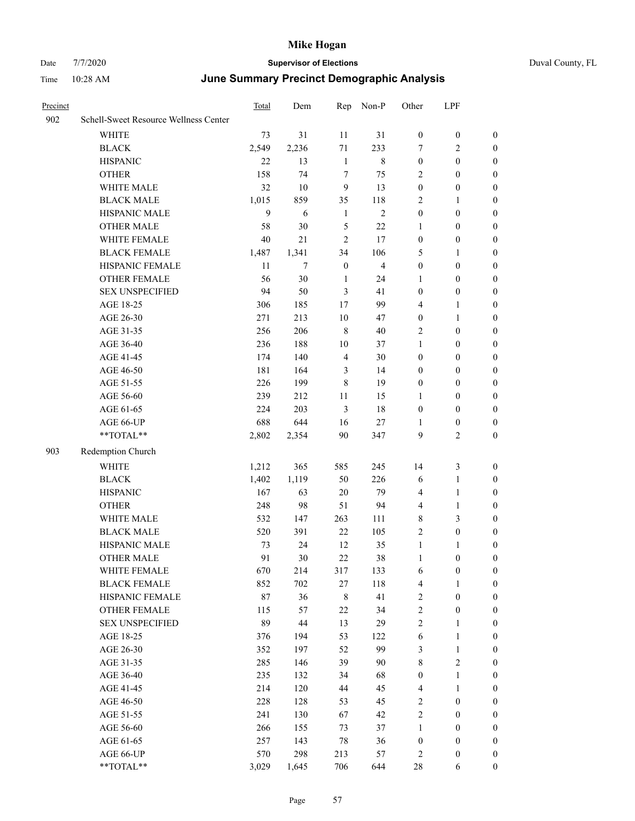|  | Duval County, FL |  |
|--|------------------|--|
|--|------------------|--|

| Precinct |                                       | <b>Total</b> | Dem    | Rep            | Non-P        | Other            | LPF              |                  |
|----------|---------------------------------------|--------------|--------|----------------|--------------|------------------|------------------|------------------|
| 902      | Schell-Sweet Resource Wellness Center |              |        |                |              |                  |                  |                  |
|          | <b>WHITE</b>                          | 73           | 31     | 11             | 31           | $\boldsymbol{0}$ | $\boldsymbol{0}$ | $\boldsymbol{0}$ |
|          | <b>BLACK</b>                          | 2,549        | 2,236  | 71             | 233          | 7                | 2                | $\mathbf{0}$     |
|          | <b>HISPANIC</b>                       | 22           | 13     | 1              | $\,8\,$      | $\boldsymbol{0}$ | $\boldsymbol{0}$ | $\boldsymbol{0}$ |
|          | <b>OTHER</b>                          | 158          | 74     | 7              | 75           | $\mathbf{2}$     | $\boldsymbol{0}$ | $\boldsymbol{0}$ |
|          | WHITE MALE                            | 32           | 10     | 9              | 13           | $\boldsymbol{0}$ | $\boldsymbol{0}$ | $\boldsymbol{0}$ |
|          | <b>BLACK MALE</b>                     | 1,015        | 859    | 35             | 118          | $\overline{c}$   | 1                | $\boldsymbol{0}$ |
|          | HISPANIC MALE                         | 9            | 6      | 1              | $\mathbf{2}$ | $\boldsymbol{0}$ | $\boldsymbol{0}$ | $\boldsymbol{0}$ |
|          | <b>OTHER MALE</b>                     | 58           | 30     | 5              | 22           | $\mathbf{1}$     | $\boldsymbol{0}$ | $\boldsymbol{0}$ |
|          | WHITE FEMALE                          | 40           | 21     | $\overline{2}$ | 17           | $\boldsymbol{0}$ | $\boldsymbol{0}$ | $\boldsymbol{0}$ |
|          | <b>BLACK FEMALE</b>                   | 1,487        | 1,341  | 34             | 106          | 5                | 1                | $\boldsymbol{0}$ |
|          | HISPANIC FEMALE                       | 11           | 7      | $\mathbf{0}$   | 4            | $\boldsymbol{0}$ | $\boldsymbol{0}$ | $\boldsymbol{0}$ |
|          | <b>OTHER FEMALE</b>                   | 56           | 30     | 1              | 24           | 1                | $\boldsymbol{0}$ | $\boldsymbol{0}$ |
|          | <b>SEX UNSPECIFIED</b>                | 94           | 50     | 3              | 41           | $\boldsymbol{0}$ | $\boldsymbol{0}$ | $\boldsymbol{0}$ |
|          | AGE 18-25                             | 306          | 185    | 17             | 99           | $\overline{4}$   | 1                | $\boldsymbol{0}$ |
|          | AGE 26-30                             | 271          | 213    | 10             | 47           | $\boldsymbol{0}$ | $\mathbf{1}$     | $\boldsymbol{0}$ |
|          | AGE 31-35                             | 256          | 206    | $\,8\,$        | 40           | $\overline{c}$   | $\boldsymbol{0}$ | $\boldsymbol{0}$ |
|          | AGE 36-40                             | 236          | 188    | 10             | 37           | 1                | $\boldsymbol{0}$ | $\boldsymbol{0}$ |
|          | AGE 41-45                             | 174          | 140    | $\overline{4}$ | 30           | $\boldsymbol{0}$ | $\boldsymbol{0}$ | $\boldsymbol{0}$ |
|          | AGE 46-50                             | 181          | 164    | 3              | 14           | $\boldsymbol{0}$ | $\boldsymbol{0}$ | $\boldsymbol{0}$ |
|          | AGE 51-55                             | 226          | 199    | 8              | 19           | $\boldsymbol{0}$ | $\boldsymbol{0}$ | $\boldsymbol{0}$ |
|          | AGE 56-60                             | 239          | 212    | 11             | 15           | 1                | $\boldsymbol{0}$ | $\boldsymbol{0}$ |
|          | AGE 61-65                             | 224          | 203    | 3              | 18           | $\mathbf{0}$     | $\boldsymbol{0}$ | $\mathbf{0}$     |
|          | AGE 66-UP                             | 688          | 644    | 16             | 27           | $\mathbf{1}$     | $\boldsymbol{0}$ | $\boldsymbol{0}$ |
|          | **TOTAL**                             | 2,802        | 2,354  | 90             | 347          | 9                | $\sqrt{2}$       | $\boldsymbol{0}$ |
| 903      | Redemption Church                     |              |        |                |              |                  |                  |                  |
|          | <b>WHITE</b>                          | 1,212        | 365    | 585            | 245          | 14               | 3                | $\boldsymbol{0}$ |
|          | <b>BLACK</b>                          | 1,402        | 1,119  | 50             | 226          | 6                | $\mathbf{1}$     | $\boldsymbol{0}$ |
|          | <b>HISPANIC</b>                       | 167          | 63     | 20             | 79           | $\overline{4}$   | $\mathbf{1}$     | $\boldsymbol{0}$ |
|          | <b>OTHER</b>                          | 248          | 98     | 51             | 94           | $\overline{4}$   | $\mathbf{1}$     | $\boldsymbol{0}$ |
|          | WHITE MALE                            | 532          | 147    | 263            | 111          | $\,$ 8 $\,$      | 3                | $\boldsymbol{0}$ |
|          | <b>BLACK MALE</b>                     | 520          | 391    | 22             | 105          | $\mathfrak{2}$   | $\boldsymbol{0}$ | $\boldsymbol{0}$ |
|          | HISPANIC MALE                         | 73           | 24     | 12             | 35           | $\mathbf{1}$     | 1                | $\boldsymbol{0}$ |
|          | <b>OTHER MALE</b>                     | 91           | 30     | 22             | 38           | 1                | $\boldsymbol{0}$ | $\boldsymbol{0}$ |
|          | WHITE FEMALE                          | 670          | 214    | 317            | 133          | 6                | $\boldsymbol{0}$ | $\boldsymbol{0}$ |
|          | <b>BLACK FEMALE</b>                   | 852          | 702    | 27             | 118          | $\overline{4}$   | $\mathbf{1}$     | $\boldsymbol{0}$ |
|          | HISPANIC FEMALE                       | 87           | 36     | $\,$ 8 $\,$    | 41           | $\sqrt{2}$       | $\boldsymbol{0}$ | $\boldsymbol{0}$ |
|          | OTHER FEMALE                          | 115          | 57     | 22             | 34           | $\sqrt{2}$       | $\boldsymbol{0}$ | $\boldsymbol{0}$ |
|          | <b>SEX UNSPECIFIED</b>                | 89           | $44\,$ | 13             | 29           | $\mathfrak{2}$   | $\mathbf{1}$     | $\boldsymbol{0}$ |
|          | AGE 18-25                             | 376          | 194    | 53             | 122          | 6                | $\mathbf{1}$     | $\boldsymbol{0}$ |
|          | AGE 26-30                             | 352          | 197    | 52             | 99           | $\mathfrak{Z}$   | $\mathbf{1}$     | $\boldsymbol{0}$ |
|          | AGE 31-35                             | 285          | 146    | 39             | 90           | $\,$ $\,$        | $\overline{c}$   | $\boldsymbol{0}$ |
|          | AGE 36-40                             | 235          | 132    | 34             | 68           | $\boldsymbol{0}$ | $\mathbf{1}$     | $\boldsymbol{0}$ |
|          | AGE 41-45                             | 214          | 120    | 44             | 45           | $\overline{4}$   | $\mathbf{1}$     | $\boldsymbol{0}$ |
|          | AGE 46-50                             | 228          | 128    | 53             | 45           | $\overline{c}$   | $\boldsymbol{0}$ | $\boldsymbol{0}$ |
|          | AGE 51-55                             | 241          | 130    | 67             | 42           | $\sqrt{2}$       | $\boldsymbol{0}$ | $\boldsymbol{0}$ |
|          | AGE 56-60                             | 266          | 155    | 73             | 37           | $\mathbf{1}$     | $\boldsymbol{0}$ | $\boldsymbol{0}$ |
|          | AGE 61-65                             | 257          | 143    | 78             | 36           | $\boldsymbol{0}$ | $\boldsymbol{0}$ | $\boldsymbol{0}$ |
|          | AGE 66-UP                             | 570          | 298    | 213            | 57           | $\overline{2}$   | $\boldsymbol{0}$ | $\boldsymbol{0}$ |
|          | **TOTAL**                             | 3,029        | 1,645  | 706            | 644          | $28\,$           | 6                | 0                |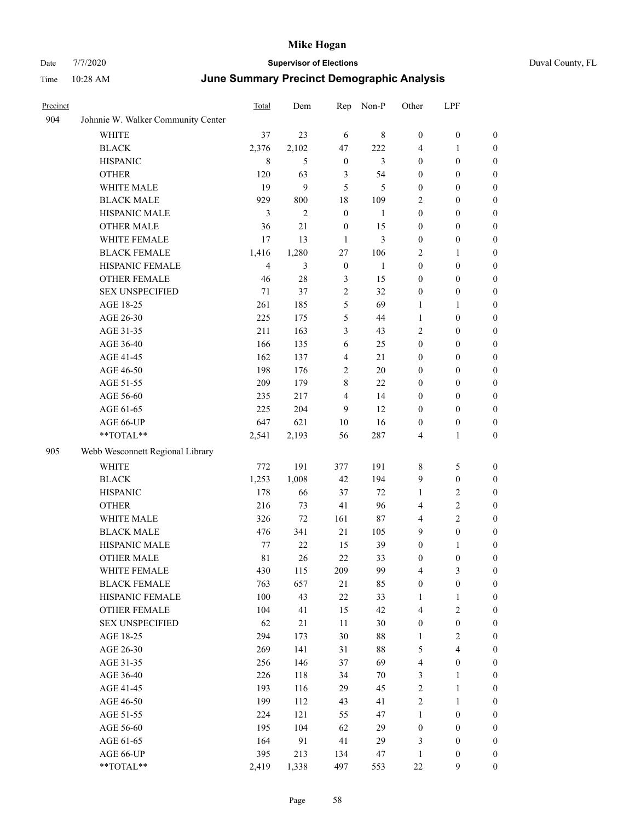| Precinct |                                    | Total          | Dem            | Rep              | Non-P        | Other            | LPF                     |                  |
|----------|------------------------------------|----------------|----------------|------------------|--------------|------------------|-------------------------|------------------|
| 904      | Johnnie W. Walker Community Center |                |                |                  |              |                  |                         |                  |
|          | WHITE                              | 37             | 23             | 6                | 8            | $\boldsymbol{0}$ | $\boldsymbol{0}$        | $\boldsymbol{0}$ |
|          | <b>BLACK</b>                       | 2,376          | 2,102          | 47               | 222          | 4                | $\mathbf{1}$            | $\boldsymbol{0}$ |
|          | <b>HISPANIC</b>                    | 8              | 5              | $\boldsymbol{0}$ | 3            | $\boldsymbol{0}$ | $\boldsymbol{0}$        | 0                |
|          | <b>OTHER</b>                       | 120            | 63             | 3                | 54           | $\boldsymbol{0}$ | $\boldsymbol{0}$        | 0                |
|          | WHITE MALE                         | 19             | 9              | 5                | 5            | $\boldsymbol{0}$ | $\boldsymbol{0}$        | $\boldsymbol{0}$ |
|          | <b>BLACK MALE</b>                  | 929            | 800            | 18               | 109          | $\overline{c}$   | $\boldsymbol{0}$        | $\boldsymbol{0}$ |
|          | HISPANIC MALE                      | 3              | $\overline{c}$ | $\boldsymbol{0}$ | $\mathbf{1}$ | $\boldsymbol{0}$ | $\boldsymbol{0}$        | $\boldsymbol{0}$ |
|          | <b>OTHER MALE</b>                  | 36             | 21             | $\boldsymbol{0}$ | 15           | $\boldsymbol{0}$ | $\boldsymbol{0}$        | $\boldsymbol{0}$ |
|          | WHITE FEMALE                       | 17             | 13             | 1                | 3            | $\boldsymbol{0}$ | $\boldsymbol{0}$        | $\boldsymbol{0}$ |
|          | <b>BLACK FEMALE</b>                | 1,416          | 1,280          | 27               | 106          | $\overline{c}$   | $\mathbf{1}$            | $\boldsymbol{0}$ |
|          | HISPANIC FEMALE                    | $\overline{4}$ | 3              | $\boldsymbol{0}$ | 1            | $\boldsymbol{0}$ | $\boldsymbol{0}$        | $\boldsymbol{0}$ |
|          | <b>OTHER FEMALE</b>                | 46             | 28             | $\mathfrak{Z}$   | 15           | $\boldsymbol{0}$ | $\boldsymbol{0}$        | $\boldsymbol{0}$ |
|          | <b>SEX UNSPECIFIED</b>             | 71             | 37             | $\sqrt{2}$       | 32           | $\boldsymbol{0}$ | $\boldsymbol{0}$        | 0                |
|          | AGE 18-25                          | 261            | 185            | $\mathfrak s$    | 69           | 1                | $\mathbf{1}$            | 0                |
|          | AGE 26-30                          | 225            | 175            | 5                | 44           | $\mathbf{1}$     | $\boldsymbol{0}$        | $\boldsymbol{0}$ |
|          | AGE 31-35                          | 211            | 163            | 3                | 43           | $\overline{c}$   | $\boldsymbol{0}$        | $\boldsymbol{0}$ |
|          | AGE 36-40                          | 166            | 135            | 6                | 25           | $\boldsymbol{0}$ | $\boldsymbol{0}$        | $\boldsymbol{0}$ |
|          | AGE 41-45                          | 162            | 137            | $\overline{4}$   | 21           | $\boldsymbol{0}$ | $\boldsymbol{0}$        | $\boldsymbol{0}$ |
|          | AGE 46-50                          | 198            | 176            | $\mathbf{2}$     | 20           | $\boldsymbol{0}$ | $\boldsymbol{0}$        | $\boldsymbol{0}$ |
|          | AGE 51-55                          | 209            | 179            | 8                | 22           | $\boldsymbol{0}$ | $\boldsymbol{0}$        | $\boldsymbol{0}$ |
|          | AGE 56-60                          | 235            | 217            | $\overline{4}$   | 14           | $\boldsymbol{0}$ | $\boldsymbol{0}$        | 0                |
|          | AGE 61-65                          | 225            | 204            | 9                | 12           | $\boldsymbol{0}$ | $\boldsymbol{0}$        | 0                |
|          | AGE 66-UP                          | 647            | 621            | $10\,$           | 16           | $\boldsymbol{0}$ | $\boldsymbol{0}$        | 0                |
|          | **TOTAL**                          | 2,541          | 2,193          | 56               | 287          | 4                | $\mathbf{1}$            | $\boldsymbol{0}$ |
| 905      | Webb Wesconnett Regional Library   |                |                |                  |              |                  |                         |                  |
|          | <b>WHITE</b>                       | 772            | 191            | 377              | 191          | 8                | 5                       | 0                |
|          | <b>BLACK</b>                       | 1,253          | 1,008          | 42               | 194          | 9                | $\boldsymbol{0}$        | $\boldsymbol{0}$ |
|          | <b>HISPANIC</b>                    | 178            | 66             | 37               | 72           | 1                | $\sqrt{2}$              | $\boldsymbol{0}$ |
|          | <b>OTHER</b>                       | 216            | 73             | 41               | 96           | 4                | $\sqrt{2}$              | $\boldsymbol{0}$ |
|          | WHITE MALE                         | 326            | 72             | 161              | 87           | 4                | $\sqrt{2}$              | $\boldsymbol{0}$ |
|          | <b>BLACK MALE</b>                  | 476            | 341            | 21               | 105          | 9                | $\boldsymbol{0}$        | $\boldsymbol{0}$ |
|          | HISPANIC MALE                      | 77             | 22             | 15               | 39           | $\boldsymbol{0}$ | $\mathbf{1}$            | $\boldsymbol{0}$ |
|          | <b>OTHER MALE</b>                  | 81             | 26             | 22               | 33           | $\boldsymbol{0}$ | $\boldsymbol{0}$        | $\boldsymbol{0}$ |
|          | WHITE FEMALE                       | 430            | 115            | 209              | 99           | 4                | $\mathfrak{Z}$          | 0                |
|          | <b>BLACK FEMALE</b>                | 763            | 657            | 21               | 85           | $\boldsymbol{0}$ | $\boldsymbol{0}$        | 0                |
|          | HISPANIC FEMALE                    | 100            | 43             | $22\,$           | 33           | $\mathbf{1}$     | $\mathbf{1}$            | 0                |
|          | OTHER FEMALE                       | 104            | 41             | 15               | 42           | $\overline{4}$   | $\sqrt{2}$              | 0                |
|          | <b>SEX UNSPECIFIED</b>             | 62             | 21             | $11\,$           | $30\,$       | $\boldsymbol{0}$ | $\boldsymbol{0}$        | $\overline{0}$   |
|          | AGE 18-25                          | 294            | 173            | $30\,$           | $88\,$       | $\mathbf{1}$     | $\sqrt{2}$              | $\overline{0}$   |
|          | AGE 26-30                          | 269            | 141            | 31               | $88\,$       | 5                | $\overline{\mathbf{4}}$ | 0                |
|          | AGE 31-35                          | 256            | 146            | 37               | 69           | 4                | $\boldsymbol{0}$        | 0                |
|          | AGE 36-40                          | 226            | 118            | 34               | 70           | $\mathfrak{Z}$   | $\mathbf{1}$            | 0                |
|          | AGE 41-45                          | 193            | 116            | 29               | 45           | $\sqrt{2}$       | $\mathbf{1}$            | $\overline{0}$   |
|          | AGE 46-50                          | 199            | 112            | 43               | 41           | $\sqrt{2}$       | $\mathbf{1}$            | 0                |
|          | AGE 51-55                          | 224            | 121            | 55               | 47           | $\mathbf{1}$     | $\boldsymbol{0}$        | 0                |
|          | AGE 56-60                          | 195            | 104            | 62               | 29           | $\boldsymbol{0}$ | $\boldsymbol{0}$        | 0                |
|          | AGE 61-65                          | 164            | 91             | 41               | 29           | 3                | $\boldsymbol{0}$        | $\boldsymbol{0}$ |
|          | AGE 66-UP                          | 395            | 213            | 134              | 47           | 1                | $\boldsymbol{0}$        | $\boldsymbol{0}$ |
|          | $**TOTAL**$                        | 2,419          | 1,338          | 497              | 553          | $22\,$           | 9                       | $\boldsymbol{0}$ |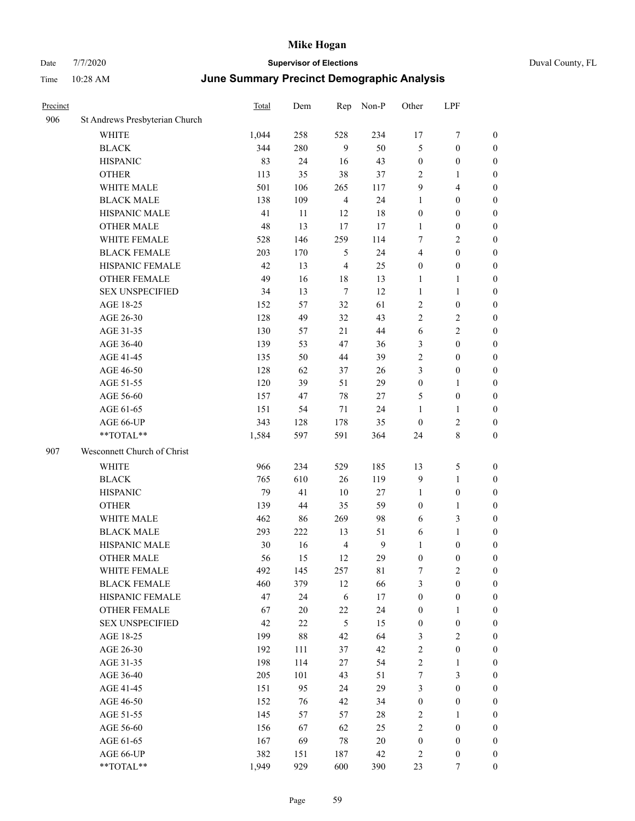| Duval County, FL |  |
|------------------|--|
|                  |  |

| Precinct |                                | Total | Dem    | Rep            | Non-P            | Other            | LPF                     |                  |
|----------|--------------------------------|-------|--------|----------------|------------------|------------------|-------------------------|------------------|
| 906      | St Andrews Presbyterian Church |       |        |                |                  |                  |                         |                  |
|          | <b>WHITE</b>                   | 1,044 | 258    | 528            | 234              | 17               | 7                       | $\boldsymbol{0}$ |
|          | <b>BLACK</b>                   | 344   | 280    | 9              | 50               | 5                | $\boldsymbol{0}$        | $\boldsymbol{0}$ |
|          | <b>HISPANIC</b>                | 83    | 24     | 16             | 43               | $\boldsymbol{0}$ | $\boldsymbol{0}$        | $\boldsymbol{0}$ |
|          | <b>OTHER</b>                   | 113   | 35     | 38             | 37               | $\mathfrak{2}$   | $\mathbf{1}$            | $\boldsymbol{0}$ |
|          | WHITE MALE                     | 501   | 106    | 265            | 117              | 9                | $\overline{\mathbf{4}}$ | 0                |
|          | <b>BLACK MALE</b>              | 138   | 109    | $\overline{4}$ | 24               | $\mathbf{1}$     | $\boldsymbol{0}$        | $\boldsymbol{0}$ |
|          | HISPANIC MALE                  | 41    | 11     | 12             | $18\,$           | $\boldsymbol{0}$ | $\boldsymbol{0}$        | $\boldsymbol{0}$ |
|          | <b>OTHER MALE</b>              | 48    | 13     | 17             | 17               | 1                | $\boldsymbol{0}$        | $\boldsymbol{0}$ |
|          | WHITE FEMALE                   | 528   | 146    | 259            | 114              | 7                | $\sqrt{2}$              | $\boldsymbol{0}$ |
|          | <b>BLACK FEMALE</b>            | 203   | 170    | 5              | 24               | 4                | $\boldsymbol{0}$        | $\boldsymbol{0}$ |
|          | HISPANIC FEMALE                | 42    | 13     | $\overline{4}$ | 25               | $\boldsymbol{0}$ | $\boldsymbol{0}$        | $\boldsymbol{0}$ |
|          | OTHER FEMALE                   | 49    | 16     | $18\,$         | 13               | $\mathbf{1}$     | $\mathbf{1}$            | $\boldsymbol{0}$ |
|          | <b>SEX UNSPECIFIED</b>         | 34    | 13     | $\tau$         | 12               | $\mathbf{1}$     | $\mathbf{1}$            | $\boldsymbol{0}$ |
|          | AGE 18-25                      | 152   | 57     | 32             | 61               | $\sqrt{2}$       | $\boldsymbol{0}$        | $\boldsymbol{0}$ |
|          | AGE 26-30                      | 128   | 49     | 32             | 43               | $\mathbf{2}$     | $\sqrt{2}$              | 0                |
|          | AGE 31-35                      | 130   | 57     | 21             | 44               | $\sqrt{6}$       | $\sqrt{2}$              | 0                |
|          | AGE 36-40                      | 139   | 53     | 47             | 36               | 3                | $\boldsymbol{0}$        | $\boldsymbol{0}$ |
|          | AGE 41-45                      | 135   | 50     | 44             | 39               | $\overline{c}$   | $\boldsymbol{0}$        | $\boldsymbol{0}$ |
|          | AGE 46-50                      | 128   | 62     | 37             | 26               | 3                | $\boldsymbol{0}$        | $\boldsymbol{0}$ |
|          | AGE 51-55                      | 120   | 39     | 51             | 29               | $\boldsymbol{0}$ | $\mathbf{1}$            | $\boldsymbol{0}$ |
|          | AGE 56-60                      | 157   | 47     | 78             | 27               | 5                | $\boldsymbol{0}$        | $\boldsymbol{0}$ |
|          | AGE 61-65                      | 151   | 54     | $71\,$         | 24               | $\mathbf{1}$     | $\mathbf{1}$            | $\boldsymbol{0}$ |
|          | AGE 66-UP                      | 343   | 128    | 178            | 35               | $\boldsymbol{0}$ | $\sqrt{2}$              | $\boldsymbol{0}$ |
|          | **TOTAL**                      | 1,584 | 597    | 591            | 364              | 24               | $\,8\,$                 | $\boldsymbol{0}$ |
| 907      | Wesconnett Church of Christ    |       |        |                |                  |                  |                         |                  |
|          | WHITE                          | 966   | 234    | 529            | 185              | 13               | $\mathfrak{S}$          | $\boldsymbol{0}$ |
|          | <b>BLACK</b>                   | 765   | 610    | 26             | 119              | $\overline{9}$   | $\mathbf{1}$            | 0                |
|          | <b>HISPANIC</b>                | 79    | 41     | 10             | 27               | $\mathbf{1}$     | $\boldsymbol{0}$        | 0                |
|          | <b>OTHER</b>                   | 139   | 44     | 35             | 59               | $\boldsymbol{0}$ | $\mathbf{1}$            | 0                |
|          | WHITE MALE                     | 462   | 86     | 269            | 98               | 6                | 3                       | $\boldsymbol{0}$ |
|          | <b>BLACK MALE</b>              | 293   | 222    | 13             | 51               | 6                | $\mathbf{1}$            | $\boldsymbol{0}$ |
|          | HISPANIC MALE                  | 30    | 16     | $\overline{4}$ | $\boldsymbol{9}$ | $\mathbf{1}$     | $\boldsymbol{0}$        | $\boldsymbol{0}$ |
|          | <b>OTHER MALE</b>              | 56    | 15     | 12             | 29               | $\boldsymbol{0}$ | $\boldsymbol{0}$        | $\boldsymbol{0}$ |
|          | WHITE FEMALE                   | 492   | 145    | 257            | $8\sqrt{1}$      | $\boldsymbol{7}$ | $\sqrt{2}$              | $\overline{0}$   |
|          | <b>BLACK FEMALE</b>            | 460   | 379    | 12             | 66               | 3                | $\boldsymbol{0}$        | 0                |
|          | HISPANIC FEMALE                | 47    | 24     | 6              | $17\,$           | $\boldsymbol{0}$ | $\boldsymbol{0}$        | 0                |
|          | <b>OTHER FEMALE</b>            | 67    | $20\,$ | $22\,$         | 24               | $\boldsymbol{0}$ | $\mathbf{1}$            | 0                |
|          | <b>SEX UNSPECIFIED</b>         | 42    | $22\,$ | $\sqrt{5}$     | 15               | $\boldsymbol{0}$ | $\boldsymbol{0}$        | 0                |
|          | AGE 18-25                      | 199   | $88\,$ | 42             | 64               | 3                | $\sqrt{2}$              | $\overline{0}$   |
|          | AGE 26-30                      | 192   | 111    | 37             | 42               | $\sqrt{2}$       | $\boldsymbol{0}$        | $\boldsymbol{0}$ |
|          | AGE 31-35                      | 198   | 114    | 27             | 54               | $\sqrt{2}$       | $\mathbf{1}$            | $\boldsymbol{0}$ |
|          | AGE 36-40                      | 205   | 101    | 43             | 51               | 7                | $\mathfrak{Z}$          | $\boldsymbol{0}$ |
|          | AGE 41-45                      | 151   | 95     | 24             | 29               | 3                | $\boldsymbol{0}$        | $\boldsymbol{0}$ |
|          | AGE 46-50                      | 152   | 76     | 42             | 34               | $\boldsymbol{0}$ | $\boldsymbol{0}$        | $\overline{0}$   |
|          | AGE 51-55                      | 145   | 57     | 57             | $28\,$           | $\sqrt{2}$       | $\mathbf{1}$            | $\boldsymbol{0}$ |
|          | AGE 56-60                      | 156   | 67     | 62             | 25               | $\sqrt{2}$       | $\boldsymbol{0}$        | $\boldsymbol{0}$ |
|          | AGE 61-65                      | 167   | 69     | $78\,$         | $20\,$           | $\boldsymbol{0}$ | $\boldsymbol{0}$        | 0                |
|          | AGE 66-UP                      | 382   | 151    | 187            | 42               | $\overline{c}$   | $\boldsymbol{0}$        | 0                |
|          | $**TOTAL**$                    | 1,949 | 929    | 600            | 390              | 23               | $\boldsymbol{7}$        | $\boldsymbol{0}$ |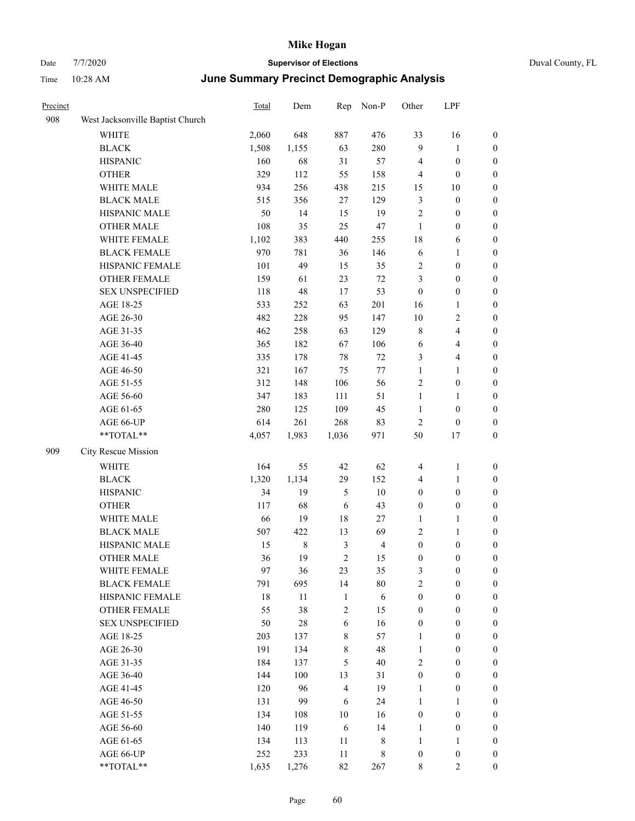|  | Duval County, FL |  |
|--|------------------|--|
|--|------------------|--|

| Precinct |                                  | <b>Total</b> | Dem         | Rep            | Non-P          | Other            | LPF              |                  |
|----------|----------------------------------|--------------|-------------|----------------|----------------|------------------|------------------|------------------|
| 908      | West Jacksonville Baptist Church |              |             |                |                |                  |                  |                  |
|          | WHITE                            | 2,060        | 648         | 887            | 476            | 33               | 16               | $\boldsymbol{0}$ |
|          | <b>BLACK</b>                     | 1,508        | 1,155       | 63             | 280            | $\overline{9}$   | $\mathbf{1}$     | $\boldsymbol{0}$ |
|          | <b>HISPANIC</b>                  | 160          | 68          | 31             | 57             | $\overline{4}$   | $\boldsymbol{0}$ | $\boldsymbol{0}$ |
|          | <b>OTHER</b>                     | 329          | 112         | 55             | 158            | $\overline{4}$   | $\boldsymbol{0}$ | $\boldsymbol{0}$ |
|          | WHITE MALE                       | 934          | 256         | 438            | 215            | 15               | 10               | $\boldsymbol{0}$ |
|          | <b>BLACK MALE</b>                | 515          | 356         | $27\,$         | 129            | 3                | $\boldsymbol{0}$ | $\boldsymbol{0}$ |
|          | HISPANIC MALE                    | 50           | 14          | 15             | 19             | $\overline{2}$   | $\boldsymbol{0}$ | $\boldsymbol{0}$ |
|          | <b>OTHER MALE</b>                | 108          | 35          | 25             | 47             | $\mathbf{1}$     | $\boldsymbol{0}$ | $\boldsymbol{0}$ |
|          | WHITE FEMALE                     | 1,102        | 383         | 440            | 255            | 18               | 6                | $\boldsymbol{0}$ |
|          | <b>BLACK FEMALE</b>              | 970          | 781         | 36             | 146            | $\sqrt{6}$       | $\mathbf{1}$     | $\boldsymbol{0}$ |
|          | HISPANIC FEMALE                  | 101          | 49          | 15             | 35             | $\sqrt{2}$       | $\boldsymbol{0}$ | $\boldsymbol{0}$ |
|          | OTHER FEMALE                     | 159          | 61          | 23             | $72\,$         | $\mathfrak{Z}$   | $\boldsymbol{0}$ | $\boldsymbol{0}$ |
|          | <b>SEX UNSPECIFIED</b>           | 118          | 48          | 17             | 53             | $\boldsymbol{0}$ | $\boldsymbol{0}$ | $\boldsymbol{0}$ |
|          | AGE 18-25                        | 533          | 252         | 63             | 201            | 16               | 1                | $\boldsymbol{0}$ |
|          | AGE 26-30                        | 482          | 228         | 95             | 147            | $10\,$           | 2                | $\boldsymbol{0}$ |
|          | AGE 31-35                        | 462          | 258         | 63             | 129            | $\,$ 8 $\,$      | 4                | $\boldsymbol{0}$ |
|          | AGE 36-40                        | 365          | 182         | 67             | 106            | 6                | 4                | $\boldsymbol{0}$ |
|          | AGE 41-45                        | 335          | 178         | 78             | 72             | 3                | 4                | $\boldsymbol{0}$ |
|          | AGE 46-50                        | 321          | 167         | 75             | $77\,$         | $\mathbf{1}$     | 1                | $\boldsymbol{0}$ |
|          | AGE 51-55                        | 312          | 148         | 106            | 56             | $\overline{c}$   | $\boldsymbol{0}$ | $\boldsymbol{0}$ |
|          | AGE 56-60                        | 347          | 183         | 111            | 51             | $\mathbf{1}$     | $\mathbf{1}$     | $\boldsymbol{0}$ |
|          | AGE 61-65                        | 280          | 125         | 109            | 45             | 1                | $\boldsymbol{0}$ | $\boldsymbol{0}$ |
|          | AGE 66-UP                        | 614          | 261         | 268            | 83             | $\mathfrak{2}$   | $\boldsymbol{0}$ | $\boldsymbol{0}$ |
|          | $**TOTAL**$                      | 4,057        | 1,983       | 1,036          | 971            | 50               | 17               | $\boldsymbol{0}$ |
| 909      | City Rescue Mission              |              |             |                |                |                  |                  |                  |
|          | <b>WHITE</b>                     | 164          | 55          | 42             | 62             | 4                | 1                | $\boldsymbol{0}$ |
|          | <b>BLACK</b>                     | 1,320        | 1,134       | 29             | 152            | 4                | 1                | $\boldsymbol{0}$ |
|          | <b>HISPANIC</b>                  | 34           | 19          | $\mathfrak s$  | $10\,$         | $\boldsymbol{0}$ | $\boldsymbol{0}$ | $\boldsymbol{0}$ |
|          | <b>OTHER</b>                     | 117          | 68          | 6              | 43             | $\boldsymbol{0}$ | $\boldsymbol{0}$ | $\boldsymbol{0}$ |
|          | WHITE MALE                       | 66           | 19          | 18             | 27             | $\mathbf{1}$     | 1                | $\boldsymbol{0}$ |
|          | <b>BLACK MALE</b>                | 507          | 422         | 13             | 69             | $\overline{c}$   | 1                | $\boldsymbol{0}$ |
|          | HISPANIC MALE                    | 15           | $\,$ 8 $\,$ | 3              | $\overline{4}$ | $\boldsymbol{0}$ | $\boldsymbol{0}$ | $\boldsymbol{0}$ |
|          | <b>OTHER MALE</b>                | 36           | 19          | $\overline{c}$ | 15             | $\boldsymbol{0}$ | $\boldsymbol{0}$ | $\boldsymbol{0}$ |
|          | WHITE FEMALE                     | 97           | 36          | 23             | 35             | $\mathfrak{Z}$   | $\boldsymbol{0}$ | $\mathbf{0}$     |
|          | <b>BLACK FEMALE</b>              | 791          | 695         | 14             | $80\,$         | $\mathbf{2}$     | $\boldsymbol{0}$ | $\boldsymbol{0}$ |
|          | HISPANIC FEMALE                  | $18\,$       | 11          | $\mathbf{1}$   | $\sqrt{6}$     | $\boldsymbol{0}$ | $\boldsymbol{0}$ | $\boldsymbol{0}$ |
|          | OTHER FEMALE                     | 55           | 38          | $\overline{2}$ | 15             | $\boldsymbol{0}$ | $\boldsymbol{0}$ | $\boldsymbol{0}$ |
|          | <b>SEX UNSPECIFIED</b>           | 50           | 28          | $\sqrt{6}$     | 16             | $\boldsymbol{0}$ | $\boldsymbol{0}$ | $\boldsymbol{0}$ |
|          | AGE 18-25                        | 203          | 137         | 8              | 57             | 1                | $\boldsymbol{0}$ | $\boldsymbol{0}$ |
|          | AGE 26-30                        | 191          | 134         | 8              | 48             | $\mathbf{1}$     | $\boldsymbol{0}$ | $\boldsymbol{0}$ |
|          | AGE 31-35                        | 184          | 137         | 5              | 40             | $\sqrt{2}$       | $\boldsymbol{0}$ | $\boldsymbol{0}$ |
|          | AGE 36-40                        | 144          | 100         | 13             | 31             | $\boldsymbol{0}$ | $\boldsymbol{0}$ | $\boldsymbol{0}$ |
|          | AGE 41-45                        | 120          | 96          | $\overline{4}$ | 19             | $\mathbf{1}$     | $\boldsymbol{0}$ | $\boldsymbol{0}$ |
|          | AGE 46-50                        | 131          | 99          | 6              | 24             | $\mathbf{1}$     | $\mathbf{1}$     | $\boldsymbol{0}$ |
|          | AGE 51-55                        | 134          | 108         | $10\,$         | 16             | $\boldsymbol{0}$ | $\boldsymbol{0}$ | $\boldsymbol{0}$ |
|          | AGE 56-60                        | 140          | 119         | 6              | 14             | $\mathbf{1}$     | $\boldsymbol{0}$ | $\boldsymbol{0}$ |
|          | AGE 61-65                        | 134          | 113         | 11             | $\,8\,$        | $\mathbf{1}$     | $\mathbf{1}$     | $\boldsymbol{0}$ |
|          | AGE 66-UP                        | 252          | 233         | $11\,$         | $\,$ 8 $\,$    | $\boldsymbol{0}$ | $\boldsymbol{0}$ | $\boldsymbol{0}$ |
|          | **TOTAL**                        | 1,635        | 1,276       | 82             | 267            | $8\,$            | $\overline{2}$   | $\boldsymbol{0}$ |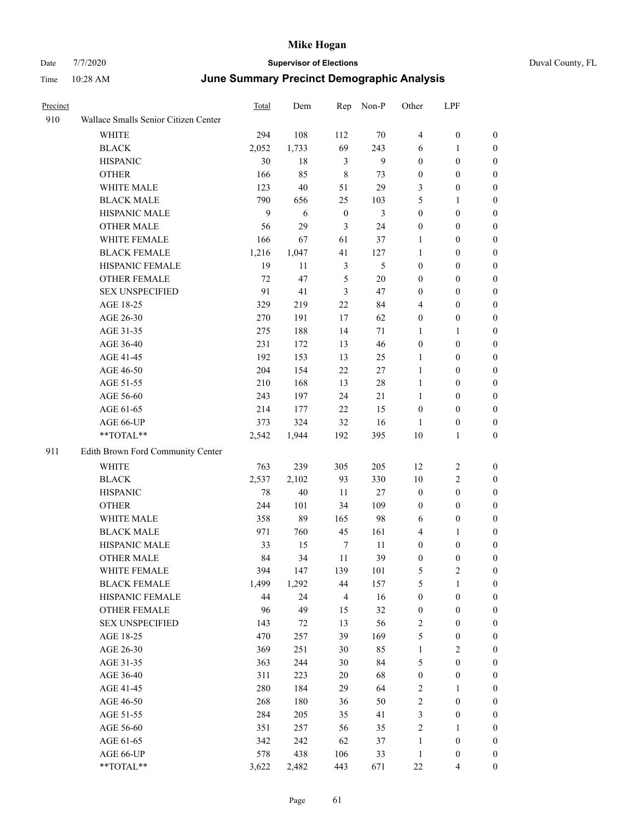# Date 7/7/2020 **Supervisor of Elections** Duval County, FL Time 10:28 AM **June Summary Precinct Demographic Analysis**

| Precinct |                                      | Total | Dem   | Rep              | Non-P          | Other            | LPF              |                  |
|----------|--------------------------------------|-------|-------|------------------|----------------|------------------|------------------|------------------|
| 910      | Wallace Smalls Senior Citizen Center |       |       |                  |                |                  |                  |                  |
|          | <b>WHITE</b>                         | 294   | 108   | 112              | 70             | 4                | $\boldsymbol{0}$ | $\boldsymbol{0}$ |
|          | <b>BLACK</b>                         | 2,052 | 1,733 | 69               | 243            | 6                | $\mathbf{1}$     | $\boldsymbol{0}$ |
|          | <b>HISPANIC</b>                      | 30    | 18    | $\mathfrak{Z}$   | $\overline{9}$ | $\boldsymbol{0}$ | $\boldsymbol{0}$ | $\boldsymbol{0}$ |
|          | <b>OTHER</b>                         | 166   | 85    | $\,8\,$          | 73             | $\boldsymbol{0}$ | $\boldsymbol{0}$ | $\boldsymbol{0}$ |
|          | WHITE MALE                           | 123   | 40    | 51               | 29             | 3                | $\boldsymbol{0}$ | 0                |
|          | <b>BLACK MALE</b>                    | 790   | 656   | 25               | 103            | 5                | $\mathbf{1}$     | $\boldsymbol{0}$ |
|          | HISPANIC MALE                        | 9     | 6     | $\boldsymbol{0}$ | 3              | $\boldsymbol{0}$ | $\boldsymbol{0}$ | $\boldsymbol{0}$ |
|          | <b>OTHER MALE</b>                    | 56    | 29    | 3                | 24             | $\boldsymbol{0}$ | $\boldsymbol{0}$ | $\boldsymbol{0}$ |
|          | WHITE FEMALE                         | 166   | 67    | 61               | 37             | $\mathbf{1}$     | $\boldsymbol{0}$ | $\boldsymbol{0}$ |
|          | <b>BLACK FEMALE</b>                  | 1,216 | 1,047 | 41               | 127            | $\mathbf{1}$     | $\boldsymbol{0}$ | $\boldsymbol{0}$ |
|          | HISPANIC FEMALE                      | 19    | 11    | 3                | $\mathfrak s$  | $\boldsymbol{0}$ | $\boldsymbol{0}$ | $\boldsymbol{0}$ |
|          | OTHER FEMALE                         | 72    | 47    | $\mathfrak s$    | $20\,$         | $\boldsymbol{0}$ | $\boldsymbol{0}$ | $\boldsymbol{0}$ |
|          | <b>SEX UNSPECIFIED</b>               | 91    | 41    | $\mathfrak{Z}$   | 47             | $\boldsymbol{0}$ | $\boldsymbol{0}$ | $\boldsymbol{0}$ |
|          | AGE 18-25                            | 329   | 219   | 22               | 84             | 4                | $\boldsymbol{0}$ | $\boldsymbol{0}$ |
|          | AGE 26-30                            | 270   | 191   | 17               | 62             | $\boldsymbol{0}$ | $\boldsymbol{0}$ | $\boldsymbol{0}$ |
|          | AGE 31-35                            | 275   | 188   | 14               | 71             | 1                | $\mathbf{1}$     | $\boldsymbol{0}$ |
|          | AGE 36-40                            | 231   | 172   | 13               | 46             | $\boldsymbol{0}$ | $\boldsymbol{0}$ | $\boldsymbol{0}$ |
|          | AGE 41-45                            | 192   | 153   | 13               | 25             | $\mathbf{1}$     | $\boldsymbol{0}$ | $\boldsymbol{0}$ |
|          | AGE 46-50                            | 204   | 154   | $22\,$           | $27\,$         | $\mathbf{1}$     | $\boldsymbol{0}$ | $\boldsymbol{0}$ |
|          | AGE 51-55                            | 210   | 168   | 13               | $28\,$         | $\mathbf{1}$     | $\boldsymbol{0}$ | $\boldsymbol{0}$ |
|          | AGE 56-60                            | 243   | 197   | 24               | 21             | $\mathbf{1}$     | $\boldsymbol{0}$ | $\boldsymbol{0}$ |
|          | AGE 61-65                            | 214   | 177   | 22               | 15             | $\boldsymbol{0}$ | $\boldsymbol{0}$ | $\boldsymbol{0}$ |
|          | AGE 66-UP                            | 373   | 324   | 32               | 16             | $\mathbf{1}$     | $\boldsymbol{0}$ | $\boldsymbol{0}$ |
|          | **TOTAL**                            | 2,542 | 1,944 | 192              | 395            | $10\,$           | 1                | $\boldsymbol{0}$ |
| 911      | Edith Brown Ford Community Center    |       |       |                  |                |                  |                  |                  |
|          | WHITE                                | 763   | 239   | 305              | 205            | 12               | $\overline{c}$   | $\boldsymbol{0}$ |
|          | <b>BLACK</b>                         | 2,537 | 2,102 | 93               | 330            | $10\,$           | $\sqrt{2}$       | $\boldsymbol{0}$ |
|          | <b>HISPANIC</b>                      | 78    | 40    | 11               | $27\,$         | $\boldsymbol{0}$ | $\boldsymbol{0}$ | $\boldsymbol{0}$ |
|          | <b>OTHER</b>                         | 244   | 101   | 34               | 109            | $\boldsymbol{0}$ | $\boldsymbol{0}$ | $\boldsymbol{0}$ |
|          | WHITE MALE                           | 358   | 89    | 165              | 98             | 6                | $\boldsymbol{0}$ | $\boldsymbol{0}$ |
|          | <b>BLACK MALE</b>                    | 971   | 760   | 45               | 161            | 4                | $\mathbf{1}$     | $\boldsymbol{0}$ |
|          | HISPANIC MALE                        | 33    | 15    | $\boldsymbol{7}$ | 11             | $\boldsymbol{0}$ | $\boldsymbol{0}$ | $\boldsymbol{0}$ |
|          | <b>OTHER MALE</b>                    | 84    | 34    | 11               | 39             | $\boldsymbol{0}$ | $\boldsymbol{0}$ | $\mathbf{0}$     |
|          | WHITE FEMALE                         | 394   | 147   | 139              | 101            | 5                | $\sqrt{2}$       | $\theta$         |
|          | <b>BLACK FEMALE</b>                  | 1,499 | 1,292 | 44               | 157            | 5                | $\mathbf{1}$     | 0                |
|          | HISPANIC FEMALE                      | 44    | 24    | $\overline{4}$   | 16             | $\boldsymbol{0}$ | $\boldsymbol{0}$ | 0                |
|          | OTHER FEMALE                         | 96    | 49    | 15               | 32             | $\boldsymbol{0}$ | $\boldsymbol{0}$ | 0                |
|          | <b>SEX UNSPECIFIED</b>               | 143   | 72    | 13               | 56             | 2                | $\boldsymbol{0}$ | $\overline{0}$   |
|          | AGE 18-25                            | 470   | 257   | 39               | 169            | 5                | $\boldsymbol{0}$ | $\boldsymbol{0}$ |
|          | AGE 26-30                            | 369   | 251   | 30               | 85             | $\mathbf{1}$     | $\sqrt{2}$       | $\overline{0}$   |
|          | AGE 31-35                            | 363   | 244   | 30               | 84             | 5                | $\boldsymbol{0}$ | $\overline{0}$   |
|          | AGE 36-40                            | 311   | 223   | 20               | 68             | $\boldsymbol{0}$ | $\boldsymbol{0}$ | $\overline{0}$   |
|          | AGE 41-45                            | 280   | 184   | 29               | 64             | 2                | $\mathbf{1}$     | $\overline{0}$   |
|          | AGE 46-50                            | 268   | 180   | 36               | 50             | 2                | $\boldsymbol{0}$ | $\overline{0}$   |
|          | AGE 51-55                            | 284   | 205   | 35               | 41             | 3                | $\boldsymbol{0}$ | $\boldsymbol{0}$ |
|          | AGE 56-60                            | 351   | 257   | 56               | 35             | $\overline{c}$   | $\mathbf{1}$     | $\boldsymbol{0}$ |
|          | AGE 61-65                            | 342   | 242   | 62               | 37             | $\mathbf{1}$     | $\boldsymbol{0}$ | 0                |
|          | AGE 66-UP                            | 578   | 438   | 106              | 33             | $\mathbf{1}$     | $\boldsymbol{0}$ | $\boldsymbol{0}$ |

\*\*TOTAL\*\* 3,622 2,482 443 671 22 4 0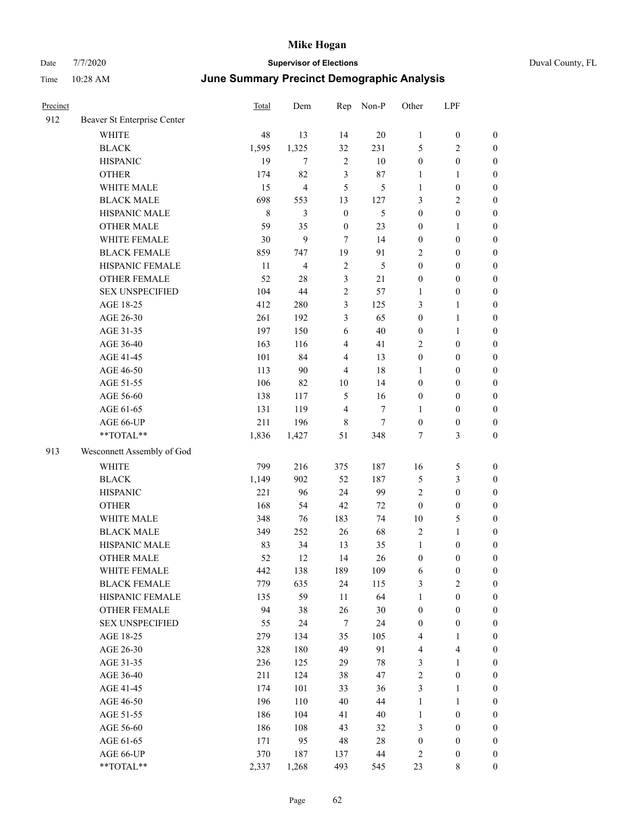| Precinct |                             | <b>Total</b> | Dem            | Rep              | Non-P  | Other            | LPF              |                  |
|----------|-----------------------------|--------------|----------------|------------------|--------|------------------|------------------|------------------|
| 912      | Beaver St Enterprise Center |              |                |                  |        |                  |                  |                  |
|          | WHITE                       | 48           | 13             | 14               | 20     | $\mathbf{1}$     | $\boldsymbol{0}$ | $\boldsymbol{0}$ |
|          | <b>BLACK</b>                | 1,595        | 1,325          | 32               | 231    | 5                | 2                | $\boldsymbol{0}$ |
|          | <b>HISPANIC</b>             | 19           | 7              | $\overline{2}$   | 10     | $\boldsymbol{0}$ | $\boldsymbol{0}$ | $\boldsymbol{0}$ |
|          | <b>OTHER</b>                | 174          | 82             | 3                | 87     | 1                | 1                | $\boldsymbol{0}$ |
|          | WHITE MALE                  | 15           | $\overline{4}$ | 5                | 5      | 1                | $\boldsymbol{0}$ | $\boldsymbol{0}$ |
|          | <b>BLACK MALE</b>           | 698          | 553            | 13               | 127    | 3                | 2                | $\boldsymbol{0}$ |
|          | HISPANIC MALE               | 8            | 3              | $\boldsymbol{0}$ | 5      | $\boldsymbol{0}$ | $\boldsymbol{0}$ | $\boldsymbol{0}$ |
|          | <b>OTHER MALE</b>           | 59           | 35             | $\mathbf{0}$     | 23     | $\boldsymbol{0}$ | 1                | $\boldsymbol{0}$ |
|          | WHITE FEMALE                | 30           | 9              | $\tau$           | 14     | $\boldsymbol{0}$ | $\boldsymbol{0}$ | $\boldsymbol{0}$ |
|          | <b>BLACK FEMALE</b>         | 859          | 747            | 19               | 91     | $\overline{2}$   | $\boldsymbol{0}$ | $\boldsymbol{0}$ |
|          | HISPANIC FEMALE             | 11           | $\overline{4}$ | $\overline{2}$   | 5      | $\boldsymbol{0}$ | $\boldsymbol{0}$ | $\boldsymbol{0}$ |
|          | <b>OTHER FEMALE</b>         | 52           | 28             | 3                | 21     | $\boldsymbol{0}$ | $\boldsymbol{0}$ | $\boldsymbol{0}$ |
|          | <b>SEX UNSPECIFIED</b>      | 104          | 44             | $\overline{c}$   | 57     | 1                | $\boldsymbol{0}$ | $\boldsymbol{0}$ |
|          | AGE 18-25                   | 412          | 280            | 3                | 125    | 3                | 1                | $\boldsymbol{0}$ |
|          | AGE 26-30                   | 261          | 192            | 3                | 65     | $\boldsymbol{0}$ | 1                | $\boldsymbol{0}$ |
|          | AGE 31-35                   | 197          | 150            | 6                | 40     | $\boldsymbol{0}$ | 1                | $\boldsymbol{0}$ |
|          | AGE 36-40                   | 163          | 116            | 4                | 41     | $\sqrt{2}$       | $\boldsymbol{0}$ | $\boldsymbol{0}$ |
|          | AGE 41-45                   | 101          | 84             | 4                | 13     | $\boldsymbol{0}$ | $\boldsymbol{0}$ | $\boldsymbol{0}$ |
|          | AGE 46-50                   | 113          | 90             | 4                | 18     | 1                | $\boldsymbol{0}$ | $\boldsymbol{0}$ |
|          | AGE 51-55                   | 106          | 82             | 10               | 14     | $\boldsymbol{0}$ | $\boldsymbol{0}$ | $\boldsymbol{0}$ |
|          | AGE 56-60                   | 138          | 117            | 5                | 16     | $\boldsymbol{0}$ | $\boldsymbol{0}$ | $\boldsymbol{0}$ |
|          | AGE 61-65                   | 131          | 119            | $\overline{4}$   | 7      | $\mathbf{1}$     | $\boldsymbol{0}$ | $\boldsymbol{0}$ |
|          | AGE 66-UP                   | 211          | 196            | 8                | 7      | $\boldsymbol{0}$ | $\boldsymbol{0}$ | $\boldsymbol{0}$ |
|          | **TOTAL**                   | 1,836        | 1,427          | 51               | 348    | 7                | 3                | $\boldsymbol{0}$ |
| 913      | Wesconnett Assembly of God  |              |                |                  |        |                  |                  |                  |
|          | <b>WHITE</b>                | 799          | 216            | 375              | 187    | 16               | 5                | $\boldsymbol{0}$ |
|          | <b>BLACK</b>                | 1,149        | 902            | 52               | 187    | $\mathfrak{S}$   | 3                | $\boldsymbol{0}$ |
|          | <b>HISPANIC</b>             | 221          | 96             | 24               | 99     | $\overline{2}$   | $\boldsymbol{0}$ | $\boldsymbol{0}$ |
|          | <b>OTHER</b>                | 168          | 54             | 42               | 72     | $\mathbf{0}$     | $\boldsymbol{0}$ | $\boldsymbol{0}$ |
|          | WHITE MALE                  | 348          | 76             | 183              | 74     | 10               | 5                | $\boldsymbol{0}$ |
|          | <b>BLACK MALE</b>           | 349          | 252            | 26               | 68     | $\sqrt{2}$       | 1                | $\boldsymbol{0}$ |
|          | HISPANIC MALE               | 83           | 34             | 13               | 35     | $\mathbf{1}$     | $\boldsymbol{0}$ | $\boldsymbol{0}$ |
|          | <b>OTHER MALE</b>           | 52           | 12             | 14               | 26     | $\boldsymbol{0}$ | $\boldsymbol{0}$ | $\boldsymbol{0}$ |
|          | WHITE FEMALE                | 442          | 138            | 189              | 109    | 6                | $\boldsymbol{0}$ | $\boldsymbol{0}$ |
|          | <b>BLACK FEMALE</b>         | 779          | 635            | 24               | 115    | $\mathfrak{Z}$   | $\sqrt{2}$       | $\boldsymbol{0}$ |
|          | HISPANIC FEMALE             | 135          | 59             | 11               | 64     | $\mathbf{1}$     | $\boldsymbol{0}$ | $\boldsymbol{0}$ |
|          | OTHER FEMALE                | 94           | 38             | $26\,$           | 30     | $\boldsymbol{0}$ | $\boldsymbol{0}$ | $\boldsymbol{0}$ |
|          | <b>SEX UNSPECIFIED</b>      | 55           | 24             | $\tau$           | 24     | $\boldsymbol{0}$ | $\boldsymbol{0}$ | $\boldsymbol{0}$ |
|          | AGE 18-25                   | 279          | 134            | 35               | 105    | $\overline{4}$   | 1                | $\boldsymbol{0}$ |
|          | AGE 26-30                   | 328          | 180            | 49               | 91     | $\overline{4}$   | 4                | $\boldsymbol{0}$ |
|          | AGE 31-35                   | 236          | 125            | 29               | 78     | $\mathfrak{Z}$   | 1                | $\boldsymbol{0}$ |
|          | AGE 36-40                   | 211          | 124            | 38               | 47     | $\sqrt{2}$       | $\boldsymbol{0}$ | $\boldsymbol{0}$ |
|          | AGE 41-45                   | 174          | 101            | 33               | 36     | $\mathfrak{Z}$   | 1                | $\boldsymbol{0}$ |
|          | AGE 46-50                   | 196          | 110            | 40               | $44\,$ | $\mathbf{1}$     | 1                | $\boldsymbol{0}$ |
|          | AGE 51-55                   | 186          | 104            | 41               | 40     | $\mathbf{1}$     | $\boldsymbol{0}$ | $\boldsymbol{0}$ |
|          | AGE 56-60                   | 186          | 108            | 43               | 32     | $\mathfrak{Z}$   | $\boldsymbol{0}$ | $\boldsymbol{0}$ |
|          | AGE 61-65                   | 171          | 95             | 48               | 28     | $\boldsymbol{0}$ | $\boldsymbol{0}$ | $\boldsymbol{0}$ |
|          | AGE 66-UP                   | 370          | 187            | 137              | 44     | $\overline{2}$   | $\boldsymbol{0}$ | $\bf{0}$         |
|          | **TOTAL**                   | 2,337        | 1,268          | 493              | 545    | 23               | 8                | $\boldsymbol{0}$ |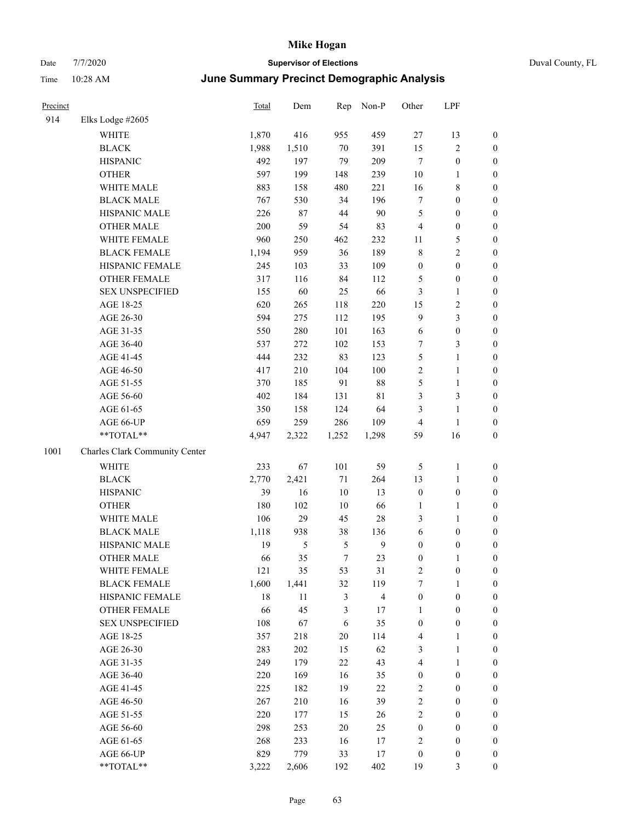| Precinct |                                | Total | Dem    | Rep           | Non-P                   | Other            | LPF              |                  |
|----------|--------------------------------|-------|--------|---------------|-------------------------|------------------|------------------|------------------|
| 914      | Elks Lodge #2605               |       |        |               |                         |                  |                  |                  |
|          | <b>WHITE</b>                   | 1,870 | 416    | 955           | 459                     | $27\,$           | 13               | $\boldsymbol{0}$ |
|          | <b>BLACK</b>                   | 1,988 | 1,510  | 70            | 391                     | 15               | 2                | $\boldsymbol{0}$ |
|          | <b>HISPANIC</b>                | 492   | 197    | 79            | 209                     | $\tau$           | $\boldsymbol{0}$ | $\boldsymbol{0}$ |
|          | <b>OTHER</b>                   | 597   | 199    | 148           | 239                     | 10               | 1                | $\boldsymbol{0}$ |
|          | WHITE MALE                     | 883   | 158    | 480           | 221                     | 16               | 8                | $\boldsymbol{0}$ |
|          | <b>BLACK MALE</b>              | 767   | 530    | 34            | 196                     | $\tau$           | $\boldsymbol{0}$ | $\boldsymbol{0}$ |
|          | HISPANIC MALE                  | 226   | $87\,$ | 44            | 90                      | $\mathfrak s$    | $\boldsymbol{0}$ | $\boldsymbol{0}$ |
|          | <b>OTHER MALE</b>              | 200   | 59     | 54            | 83                      | $\overline{4}$   | $\boldsymbol{0}$ | $\boldsymbol{0}$ |
|          | WHITE FEMALE                   | 960   | 250    | 462           | 232                     | 11               | 5                | $\boldsymbol{0}$ |
|          | <b>BLACK FEMALE</b>            | 1,194 | 959    | 36            | 189                     | $\,$ 8 $\,$      | $\overline{c}$   | $\boldsymbol{0}$ |
|          | HISPANIC FEMALE                | 245   | 103    | 33            | 109                     | $\boldsymbol{0}$ | $\boldsymbol{0}$ | $\boldsymbol{0}$ |
|          | <b>OTHER FEMALE</b>            | 317   | 116    | 84            | 112                     | 5                | $\boldsymbol{0}$ | $\boldsymbol{0}$ |
|          | <b>SEX UNSPECIFIED</b>         | 155   | 60     | 25            | 66                      | $\mathfrak{Z}$   | $\mathbf{1}$     | $\boldsymbol{0}$ |
|          | AGE 18-25                      | 620   | 265    | 118           | 220                     | 15               | 2                | $\boldsymbol{0}$ |
|          | AGE 26-30                      | 594   | 275    | 112           | 195                     | 9                | 3                | $\boldsymbol{0}$ |
|          | AGE 31-35                      | 550   | 280    | 101           | 163                     | 6                | $\boldsymbol{0}$ | $\boldsymbol{0}$ |
|          | AGE 36-40                      | 537   | 272    | 102           | 153                     | $\tau$           | 3                | $\boldsymbol{0}$ |
|          | AGE 41-45                      | 444   | 232    | 83            | 123                     | $\mathfrak{S}$   | 1                | $\boldsymbol{0}$ |
|          | AGE 46-50                      | 417   | 210    | 104           | 100                     | $\sqrt{2}$       | 1                | $\boldsymbol{0}$ |
|          | AGE 51-55                      | 370   | 185    | 91            | $88\,$                  | 5                | 1                | $\boldsymbol{0}$ |
|          | AGE 56-60                      | 402   | 184    | 131           | $8\sqrt{1}$             | $\mathfrak{Z}$   | 3                | $\boldsymbol{0}$ |
|          | AGE 61-65                      | 350   | 158    | 124           | 64                      | 3                | 1                | $\boldsymbol{0}$ |
|          | AGE 66-UP                      | 659   | 259    | 286           | 109                     | $\overline{4}$   | 1                | $\boldsymbol{0}$ |
|          | **TOTAL**                      | 4,947 | 2,322  | 1,252         | 1,298                   | 59               | 16               | $\boldsymbol{0}$ |
| 1001     | Charles Clark Community Center |       |        |               |                         |                  |                  |                  |
|          | <b>WHITE</b>                   | 233   | 67     | 101           | 59                      | 5                | $\mathbf{1}$     | $\boldsymbol{0}$ |
|          | <b>BLACK</b>                   | 2,770 | 2,421  | $71\,$        | 264                     | 13               | $\mathbf{1}$     | $\boldsymbol{0}$ |
|          | <b>HISPANIC</b>                | 39    | 16     | $10\,$        | 13                      | $\boldsymbol{0}$ | $\boldsymbol{0}$ | $\mathbf{0}$     |
|          | <b>OTHER</b>                   | 180   | 102    | 10            | 66                      | $\mathbf{1}$     | 1                | $\boldsymbol{0}$ |
|          | WHITE MALE                     | 106   | 29     | 45            | 28                      | $\mathfrak{Z}$   | 1                | $\boldsymbol{0}$ |
|          | <b>BLACK MALE</b>              | 1,118 | 938    | 38            | 136                     | 6                | $\boldsymbol{0}$ | $\boldsymbol{0}$ |
|          | HISPANIC MALE                  | 19    | 5      | $\mathfrak s$ | 9                       | $\boldsymbol{0}$ | $\boldsymbol{0}$ | $\boldsymbol{0}$ |
|          | <b>OTHER MALE</b>              | 66    | 35     | $\tau$        | 23                      | $\boldsymbol{0}$ | 1                | $\boldsymbol{0}$ |
|          | WHITE FEMALE                   | 121   | 35     | 53            | 31                      | $\sqrt{2}$       | $\boldsymbol{0}$ | $\boldsymbol{0}$ |
|          | <b>BLACK FEMALE</b>            | 1,600 | 1,441  | 32            | 119                     | 7                | 1                | $\boldsymbol{0}$ |
|          | HISPANIC FEMALE                | 18    | 11     | 3             | $\overline{\mathbf{4}}$ | $\boldsymbol{0}$ | $\boldsymbol{0}$ | $\boldsymbol{0}$ |
|          | <b>OTHER FEMALE</b>            | 66    | 45     | 3             | 17                      | $\mathbf{1}$     | $\boldsymbol{0}$ | $\boldsymbol{0}$ |
|          | <b>SEX UNSPECIFIED</b>         | 108   | 67     | 6             | 35                      | $\boldsymbol{0}$ | $\boldsymbol{0}$ | $\boldsymbol{0}$ |
|          | AGE 18-25                      | 357   | 218    | 20            | 114                     | $\overline{4}$   | 1                | $\boldsymbol{0}$ |
|          | AGE 26-30                      | 283   | 202    | 15            | 62                      | 3                | 1                | $\boldsymbol{0}$ |
|          | AGE 31-35                      | 249   | 179    | $22\,$        | 43                      | $\overline{4}$   | 1                | $\boldsymbol{0}$ |
|          | AGE 36-40                      | 220   | 169    | 16            | 35                      | $\boldsymbol{0}$ | $\boldsymbol{0}$ | $\boldsymbol{0}$ |
|          | AGE 41-45                      | 225   | 182    | 19            | $22\,$                  | $\sqrt{2}$       | $\boldsymbol{0}$ | $\boldsymbol{0}$ |
|          | AGE 46-50                      | 267   | 210    | 16            | 39                      | $\sqrt{2}$       | $\boldsymbol{0}$ | $\boldsymbol{0}$ |
|          | AGE 51-55                      | 220   | 177    | 15            | 26                      | $\sqrt{2}$       | $\boldsymbol{0}$ | $\boldsymbol{0}$ |
|          | AGE 56-60                      | 298   | 253    | $20\,$        | 25                      | $\boldsymbol{0}$ | $\boldsymbol{0}$ | $\boldsymbol{0}$ |
|          | AGE 61-65                      | 268   | 233    | 16            | 17                      | $\sqrt{2}$       | $\boldsymbol{0}$ | $\mathbf{0}$     |
|          | AGE 66-UP                      | 829   | 779    | 33            | 17                      | $\boldsymbol{0}$ | $\boldsymbol{0}$ | $\mathbf{0}$     |
|          | **TOTAL**                      | 3,222 | 2,606  | 192           | 402                     | 19               | 3                | $\boldsymbol{0}$ |
|          |                                |       |        |               |                         |                  |                  |                  |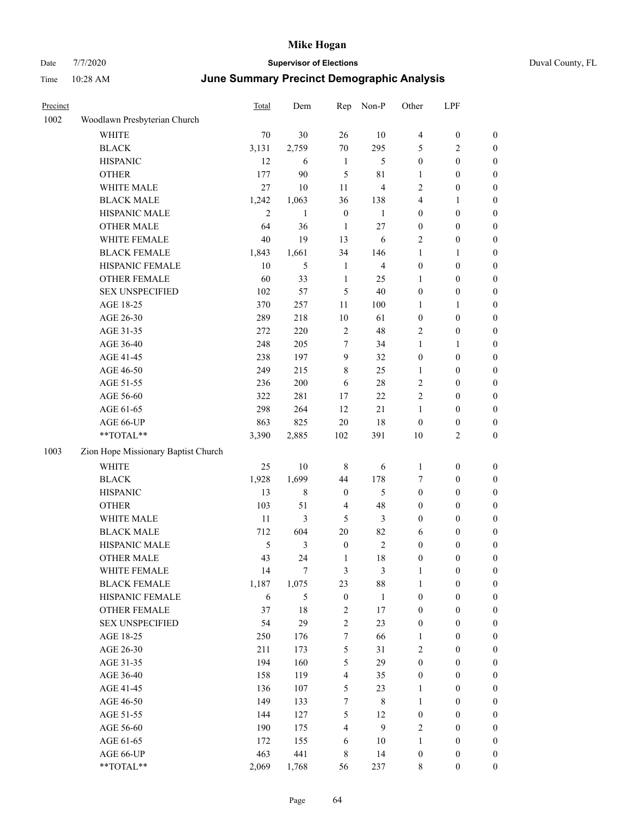| Duval Count |  |
|-------------|--|
|             |  |

| Precinct |                                     | Total          | Dem              | Rep                     | Non-P                   | Other            | LPF              |                  |
|----------|-------------------------------------|----------------|------------------|-------------------------|-------------------------|------------------|------------------|------------------|
| 1002     | Woodlawn Presbyterian Church        |                |                  |                         |                         |                  |                  |                  |
|          | <b>WHITE</b>                        | 70             | 30               | 26                      | 10                      | $\overline{4}$   | $\boldsymbol{0}$ | $\boldsymbol{0}$ |
|          | <b>BLACK</b>                        | 3,131          | 2,759            | 70                      | 295                     | 5                | $\sqrt{2}$       | $\boldsymbol{0}$ |
|          | <b>HISPANIC</b>                     | 12             | 6                | $\mathbf{1}$            | 5                       | $\boldsymbol{0}$ | $\boldsymbol{0}$ | $\boldsymbol{0}$ |
|          | <b>OTHER</b>                        | 177            | 90               | 5                       | 81                      | $\mathbf{1}$     | $\boldsymbol{0}$ | $\boldsymbol{0}$ |
|          | WHITE MALE                          | 27             | 10               | 11                      | $\overline{\mathbf{4}}$ | $\overline{c}$   | $\boldsymbol{0}$ | $\boldsymbol{0}$ |
|          | <b>BLACK MALE</b>                   | 1,242          | 1,063            | 36                      | 138                     | 4                | $\mathbf{1}$     | 0                |
|          | HISPANIC MALE                       | $\overline{2}$ | $\mathbf{1}$     | $\boldsymbol{0}$        | $\mathbf{1}$            | $\boldsymbol{0}$ | $\boldsymbol{0}$ | 0                |
|          | <b>OTHER MALE</b>                   | 64             | 36               | $\mathbf{1}$            | $27\,$                  | $\boldsymbol{0}$ | $\boldsymbol{0}$ | $\boldsymbol{0}$ |
|          | WHITE FEMALE                        | 40             | 19               | 13                      | 6                       | $\sqrt{2}$       | $\boldsymbol{0}$ | $\boldsymbol{0}$ |
|          | <b>BLACK FEMALE</b>                 | 1,843          | 1,661            | 34                      | 146                     | $\mathbf{1}$     | $\mathbf{1}$     | $\boldsymbol{0}$ |
|          | HISPANIC FEMALE                     | 10             | 5                | $\mathbf{1}$            | $\overline{\mathbf{4}}$ | $\boldsymbol{0}$ | $\boldsymbol{0}$ | $\boldsymbol{0}$ |
|          | OTHER FEMALE                        | 60             | 33               | $\mathbf{1}$            | 25                      | 1                | $\boldsymbol{0}$ | $\boldsymbol{0}$ |
|          | <b>SEX UNSPECIFIED</b>              | 102            | 57               | 5                       | 40                      | $\boldsymbol{0}$ | $\boldsymbol{0}$ | $\boldsymbol{0}$ |
|          | AGE 18-25                           | 370            | 257              | 11                      | 100                     | $\mathbf{1}$     | $\mathbf{1}$     | $\boldsymbol{0}$ |
|          | AGE 26-30                           | 289            | 218              | $10\,$                  | 61                      | $\boldsymbol{0}$ | $\boldsymbol{0}$ | $\boldsymbol{0}$ |
|          | AGE 31-35                           | 272            | 220              | $\overline{2}$          | 48                      | $\overline{2}$   | $\boldsymbol{0}$ | 0                |
|          | AGE 36-40                           | 248            | 205              | $\tau$                  | 34                      | 1                | $\mathbf{1}$     | 0                |
|          | AGE 41-45                           | 238            | 197              | 9                       | 32                      | $\boldsymbol{0}$ | $\boldsymbol{0}$ | $\boldsymbol{0}$ |
|          | AGE 46-50                           | 249            | 215              | 8                       | 25                      | 1                | $\boldsymbol{0}$ | $\boldsymbol{0}$ |
|          | AGE 51-55                           | 236            | 200              | 6                       | 28                      | 2                | $\boldsymbol{0}$ | $\boldsymbol{0}$ |
|          | AGE 56-60                           | 322            | 281              | 17                      | 22                      | 2                | $\boldsymbol{0}$ | $\boldsymbol{0}$ |
|          | AGE 61-65                           | 298            | 264              | 12                      | 21                      | $\mathbf{1}$     | $\boldsymbol{0}$ | $\boldsymbol{0}$ |
|          | AGE 66-UP                           | 863            | 825              | $20\,$                  | 18                      | $\boldsymbol{0}$ | $\boldsymbol{0}$ | $\boldsymbol{0}$ |
|          | **TOTAL**                           | 3,390          | 2,885            | 102                     | 391                     | 10               | $\mathfrak{2}$   | $\boldsymbol{0}$ |
| 1003     | Zion Hope Missionary Baptist Church |                |                  |                         |                         |                  |                  |                  |
|          | <b>WHITE</b>                        | 25             | $10\,$           | $\,$ 8 $\,$             | $\sqrt{6}$              | $\mathbf{1}$     | $\boldsymbol{0}$ | $\boldsymbol{0}$ |
|          | <b>BLACK</b>                        | 1,928          | 1,699            | 44                      | 178                     | 7                | $\boldsymbol{0}$ | $\boldsymbol{0}$ |
|          | <b>HISPANIC</b>                     | 13             | 8                | $\boldsymbol{0}$        | 5                       | $\boldsymbol{0}$ | $\boldsymbol{0}$ | $\boldsymbol{0}$ |
|          | <b>OTHER</b>                        | 103            | 51               | $\overline{4}$          | 48                      | $\boldsymbol{0}$ | $\boldsymbol{0}$ | 0                |
|          | WHITE MALE                          | 11             | 3                | 5                       | 3                       | $\boldsymbol{0}$ | $\boldsymbol{0}$ | $\boldsymbol{0}$ |
|          | <b>BLACK MALE</b>                   | 712            | 604              | $20\,$                  | 82                      | 6                | $\boldsymbol{0}$ | $\boldsymbol{0}$ |
|          | HISPANIC MALE                       | 5              | 3                | $\boldsymbol{0}$        | 2                       | $\boldsymbol{0}$ | $\boldsymbol{0}$ | $\boldsymbol{0}$ |
|          | <b>OTHER MALE</b>                   | 43             | 24               | 1                       | 18                      | $\boldsymbol{0}$ | $\boldsymbol{0}$ | $\boldsymbol{0}$ |
|          | WHITE FEMALE                        | 14             | $\boldsymbol{7}$ | $\mathfrak{Z}$          | $\mathfrak{Z}$          | $\mathbf{1}$     | $\boldsymbol{0}$ | $\boldsymbol{0}$ |
|          | <b>BLACK FEMALE</b>                 | 1,187          | 1,075            | 23                      | 88                      | $\mathbf{1}$     | $\boldsymbol{0}$ | $\overline{0}$   |
|          | HISPANIC FEMALE                     | $\sqrt{6}$     | 5                | $\boldsymbol{0}$        | $\mathbf{1}$            | $\boldsymbol{0}$ | $\boldsymbol{0}$ | $\overline{0}$   |
|          | <b>OTHER FEMALE</b>                 | 37             | 18               | $\sqrt{2}$              | 17                      | $\boldsymbol{0}$ | $\boldsymbol{0}$ | $\overline{0}$   |
|          | <b>SEX UNSPECIFIED</b>              | 54             | 29               | $\boldsymbol{2}$        | 23                      | $\boldsymbol{0}$ | $\boldsymbol{0}$ | 0                |
|          | AGE 18-25                           | 250            | 176              | $\boldsymbol{7}$        | 66                      | $\mathbf{1}$     | $\boldsymbol{0}$ | 0                |
|          | AGE 26-30                           | 211            | 173              | $\mathfrak{S}$          | 31                      | $\overline{c}$   | $\boldsymbol{0}$ | $\boldsymbol{0}$ |
|          | AGE 31-35                           | 194            | 160              | $\mathfrak{S}$          | 29                      | $\boldsymbol{0}$ | $\boldsymbol{0}$ | $\boldsymbol{0}$ |
|          | AGE 36-40                           | 158            | 119              | $\overline{\mathbf{4}}$ | 35                      | $\boldsymbol{0}$ | $\boldsymbol{0}$ | $\boldsymbol{0}$ |
|          | AGE 41-45                           | 136            | 107              | 5                       | 23                      | $\mathbf{1}$     | $\boldsymbol{0}$ | $\boldsymbol{0}$ |
|          | AGE 46-50                           | 149            | 133              | $\boldsymbol{7}$        | $\,$ 8 $\,$             | $\mathbf{1}$     | $\boldsymbol{0}$ | $\boldsymbol{0}$ |
|          | AGE 51-55                           | 144            | 127              | $\mathfrak{S}$          | 12                      | $\boldsymbol{0}$ | $\boldsymbol{0}$ | $\overline{0}$   |
|          | AGE 56-60                           | 190            | 175              | $\overline{4}$          | $\mathbf{9}$            | $\mathfrak{2}$   | $\boldsymbol{0}$ | $\overline{0}$   |
|          | AGE 61-65                           | 172            | 155              | 6                       | 10                      | $\mathbf{1}$     | $\boldsymbol{0}$ | $\overline{0}$   |
|          | AGE 66-UP                           | 463            | 441              | $\,$ 8 $\,$             | 14                      | $\boldsymbol{0}$ | $\boldsymbol{0}$ | $\boldsymbol{0}$ |
|          | $**TOTAL**$                         | 2,069          | 1,768            | 56                      | 237                     | $\,$ 8 $\,$      | $\boldsymbol{0}$ | $\overline{0}$   |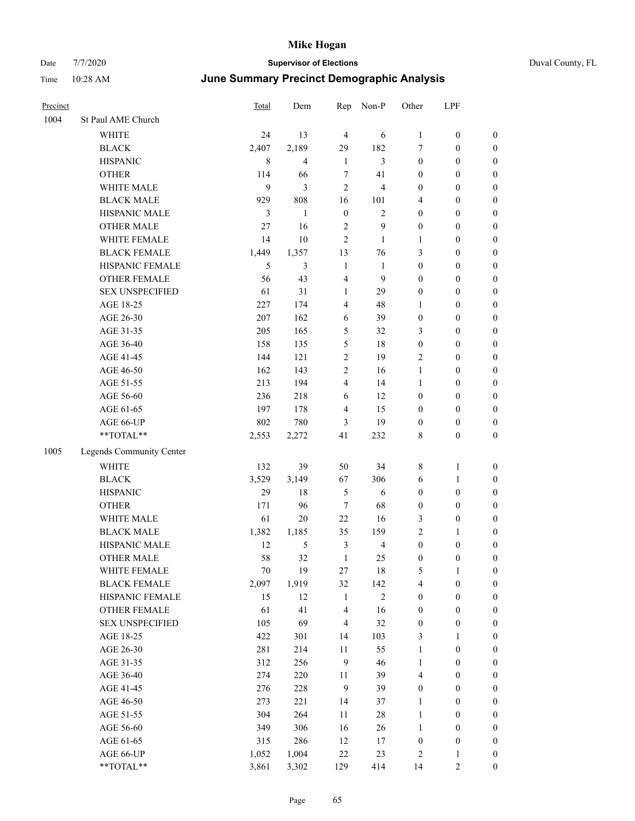|  | Duval County, F |  |
|--|-----------------|--|
|  |                 |  |

| Precinct |                          | Total       | Dem            | Rep                     | Non-P                   | Other                   | LPF              |                  |
|----------|--------------------------|-------------|----------------|-------------------------|-------------------------|-------------------------|------------------|------------------|
| 1004     | St Paul AME Church       |             |                |                         |                         |                         |                  |                  |
|          | <b>WHITE</b>             | 24          | 13             | $\overline{4}$          | 6                       | $\mathbf{1}$            | $\boldsymbol{0}$ | $\boldsymbol{0}$ |
|          | <b>BLACK</b>             | 2,407       | 2,189          | 29                      | 182                     | 7                       | $\boldsymbol{0}$ | $\boldsymbol{0}$ |
|          | <b>HISPANIC</b>          | $\,$ 8 $\,$ | 4              | 1                       | 3                       | $\boldsymbol{0}$        | $\boldsymbol{0}$ | $\boldsymbol{0}$ |
|          | <b>OTHER</b>             | 114         | 66             | $\tau$                  | 41                      | $\boldsymbol{0}$        | $\boldsymbol{0}$ | $\boldsymbol{0}$ |
|          | WHITE MALE               | 9           | 3              | $\overline{2}$          | $\overline{\mathbf{4}}$ | $\boldsymbol{0}$        | $\boldsymbol{0}$ | 0                |
|          | <b>BLACK MALE</b>        | 929         | 808            | 16                      | 101                     | 4                       | $\boldsymbol{0}$ | $\boldsymbol{0}$ |
|          | HISPANIC MALE            | 3           | $\mathbf{1}$   | $\boldsymbol{0}$        | $\mathbf{2}$            | $\boldsymbol{0}$        | $\boldsymbol{0}$ | $\boldsymbol{0}$ |
|          | <b>OTHER MALE</b>        | 27          | 16             | $\sqrt{2}$              | 9                       | $\boldsymbol{0}$        | $\boldsymbol{0}$ | $\boldsymbol{0}$ |
|          | WHITE FEMALE             | 14          | $10\,$         | $\overline{2}$          | 1                       | $\mathbf{1}$            | $\boldsymbol{0}$ | $\boldsymbol{0}$ |
|          | <b>BLACK FEMALE</b>      | 1,449       | 1,357          | 13                      | 76                      | 3                       | $\boldsymbol{0}$ | $\boldsymbol{0}$ |
|          | HISPANIC FEMALE          | 5           | $\mathfrak{Z}$ | $\mathbf{1}$            | $\mathbf{1}$            | $\boldsymbol{0}$        | $\boldsymbol{0}$ | $\boldsymbol{0}$ |
|          | OTHER FEMALE             | 56          | 43             | $\overline{4}$          | 9                       | $\boldsymbol{0}$        | $\boldsymbol{0}$ | $\boldsymbol{0}$ |
|          | <b>SEX UNSPECIFIED</b>   | 61          | 31             | $\mathbf{1}$            | 29                      | $\boldsymbol{0}$        | $\boldsymbol{0}$ | $\boldsymbol{0}$ |
|          | AGE 18-25                | 227         | 174            | $\overline{4}$          | 48                      | $\mathbf{1}$            | $\boldsymbol{0}$ | $\boldsymbol{0}$ |
|          | AGE 26-30                | 207         | 162            | 6                       | 39                      | $\boldsymbol{0}$        | $\boldsymbol{0}$ | $\boldsymbol{0}$ |
|          | AGE 31-35                | 205         | 165            | 5                       | 32                      | 3                       | $\boldsymbol{0}$ | $\boldsymbol{0}$ |
|          | AGE 36-40                | 158         | 135            | 5                       | $18\,$                  | $\boldsymbol{0}$        | $\boldsymbol{0}$ | $\boldsymbol{0}$ |
|          | AGE 41-45                | 144         | 121            | $\mathfrak{2}$          | 19                      | $\overline{c}$          | $\boldsymbol{0}$ | $\boldsymbol{0}$ |
|          | AGE 46-50                | 162         | 143            | $\mathfrak{2}$          | 16                      | $\mathbf{1}$            | $\boldsymbol{0}$ | $\boldsymbol{0}$ |
|          | AGE 51-55                | 213         | 194            | $\overline{\mathbf{4}}$ | 14                      | $\mathbf{1}$            | $\boldsymbol{0}$ | $\boldsymbol{0}$ |
|          | AGE 56-60                | 236         | 218            | 6                       | 12                      | $\boldsymbol{0}$        | $\boldsymbol{0}$ | $\boldsymbol{0}$ |
|          | AGE 61-65                | 197         | 178            | $\overline{4}$          | 15                      | $\boldsymbol{0}$        | $\boldsymbol{0}$ | $\boldsymbol{0}$ |
|          | AGE 66-UP                | 802         | 780            | 3                       | 19                      | $\boldsymbol{0}$        | $\boldsymbol{0}$ | $\boldsymbol{0}$ |
|          | **TOTAL**                | 2,553       | 2,272          | 41                      | 232                     | 8                       | $\boldsymbol{0}$ | $\boldsymbol{0}$ |
| 1005     | Legends Community Center |             |                |                         |                         |                         |                  |                  |
|          | <b>WHITE</b>             | 132         | 39             | 50                      | 34                      | 8                       | $\mathbf{1}$     | $\boldsymbol{0}$ |
|          | <b>BLACK</b>             | 3,529       | 3,149          | 67                      | 306                     | 6                       | $\mathbf{1}$     | $\boldsymbol{0}$ |
|          | <b>HISPANIC</b>          | 29          | 18             | $\mathfrak{H}$          | 6                       | $\boldsymbol{0}$        | $\boldsymbol{0}$ | 0                |
|          | <b>OTHER</b>             | 171         | 96             | $\tau$                  | 68                      | $\boldsymbol{0}$        | $\boldsymbol{0}$ | $\boldsymbol{0}$ |
|          | WHITE MALE               | 61          | $20\,$         | 22                      | 16                      | 3                       | $\boldsymbol{0}$ | $\boldsymbol{0}$ |
|          | <b>BLACK MALE</b>        | 1,382       | 1,185          | 35                      | 159                     | $\overline{c}$          | 1                | $\boldsymbol{0}$ |
|          | HISPANIC MALE            | 12          | 5              | $\mathfrak{Z}$          | $\overline{4}$          | $\boldsymbol{0}$        | $\boldsymbol{0}$ | $\boldsymbol{0}$ |
|          | <b>OTHER MALE</b>        | 58          | 32             | 1                       | 25                      | $\boldsymbol{0}$        | $\boldsymbol{0}$ | $\boldsymbol{0}$ |
|          | WHITE FEMALE             | $70\,$      | 19             | $27\,$                  | $18\,$                  | 5                       | $\mathbf{1}$     | $\boldsymbol{0}$ |
|          | <b>BLACK FEMALE</b>      | 2,097       | 1,919          | 32                      | 142                     | $\overline{\mathbf{4}}$ | $\boldsymbol{0}$ | 0                |
|          | HISPANIC FEMALE          | 15          | 12             | $\mathbf{1}$            | $\sqrt{2}$              | $\boldsymbol{0}$        | $\boldsymbol{0}$ | 0                |
|          | <b>OTHER FEMALE</b>      | 61          | 41             | $\overline{4}$          | 16                      | $\boldsymbol{0}$        | $\boldsymbol{0}$ | 0                |
|          | <b>SEX UNSPECIFIED</b>   | 105         | 69             | $\overline{4}$          | 32                      | $\boldsymbol{0}$        | $\boldsymbol{0}$ | 0                |
|          | AGE 18-25                | 422         | 301            | 14                      | 103                     | 3                       | $\mathbf{1}$     | $\boldsymbol{0}$ |
|          | AGE 26-30                | 281         | 214            | $11\,$                  | 55                      | $\mathbf{1}$            | $\boldsymbol{0}$ | $\boldsymbol{0}$ |
|          | AGE 31-35                | 312         | 256            | $\mathbf{9}$            | 46                      | $\mathbf{1}$            | $\boldsymbol{0}$ | $\boldsymbol{0}$ |
|          | AGE 36-40                | 274         | 220            | 11                      | 39                      | $\overline{4}$          | $\boldsymbol{0}$ | $\boldsymbol{0}$ |
|          | AGE 41-45                | 276         | 228            | $\boldsymbol{9}$        | 39                      | $\boldsymbol{0}$        | $\boldsymbol{0}$ | $\boldsymbol{0}$ |
|          | AGE 46-50                | 273         | 221            | 14                      | 37                      | $\mathbf{1}$            | $\boldsymbol{0}$ | $\boldsymbol{0}$ |
|          | AGE 51-55                | 304         | 264            | 11                      | $28\,$                  | $\mathbf{1}$            | $\boldsymbol{0}$ | $\boldsymbol{0}$ |
|          | AGE 56-60                | 349         | 306            | 16                      | 26                      | $\mathbf{1}$            | $\boldsymbol{0}$ | $\boldsymbol{0}$ |
|          | AGE 61-65                | 315         | 286            | 12                      | 17                      | $\boldsymbol{0}$        | $\boldsymbol{0}$ | 0                |
|          | AGE 66-UP                | 1,052       | 1,004          | $22\,$                  | 23                      | 2                       | $\mathbf{1}$     | 0                |
|          | $**TOTAL**$              | 3,861       | 3,302          | 129                     | 414                     | 14                      | $\sqrt{2}$       | $\boldsymbol{0}$ |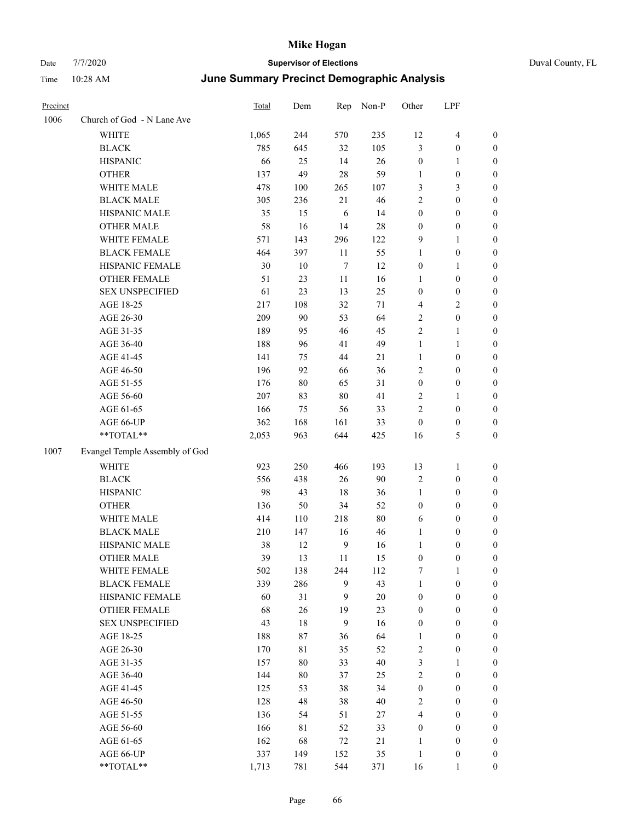#### Date 7/7/2020 **Supervisor of Elections** Duval County, FL Time 10:28 AM **June Summary Precinct Demographic Analysis**

| Precinct |                                | Total | Dem | Rep    | Non-P | Other            | LPF              |                  |
|----------|--------------------------------|-------|-----|--------|-------|------------------|------------------|------------------|
| 1006     | Church of God - N Lane Ave     |       |     |        |       |                  |                  |                  |
|          | <b>WHITE</b>                   | 1,065 | 244 | 570    | 235   | 12               | $\overline{4}$   | $\boldsymbol{0}$ |
|          | <b>BLACK</b>                   | 785   | 645 | 32     | 105   | 3                | $\mathbf{0}$     | $\theta$         |
|          | <b>HISPANIC</b>                | 66    | 25  | 14     | 26    | $\boldsymbol{0}$ | $\mathbf{1}$     | $\boldsymbol{0}$ |
|          | <b>OTHER</b>                   | 137   | 49  | 28     | 59    | $\mathbf{1}$     | $\mathbf{0}$     | $\mathbf{0}$     |
|          | WHITE MALE                     | 478   | 100 | 265    | 107   | 3                | 3                | $\boldsymbol{0}$ |
|          | <b>BLACK MALE</b>              | 305   | 236 | 21     | 46    | $\overline{2}$   | $\mathbf{0}$     | $\mathbf{0}$     |
|          | HISPANIC MALE                  | 35    | 15  | 6      | 14    | $\boldsymbol{0}$ | $\boldsymbol{0}$ | $\boldsymbol{0}$ |
|          | <b>OTHER MALE</b>              | 58    | 16  | 14     | 28    | $\mathbf{0}$     | $\mathbf{0}$     | $\mathbf{0}$     |
|          | WHITE FEMALE                   | 571   | 143 | 296    | 122   | 9                | 1                | $\theta$         |
|          | <b>BLACK FEMALE</b>            | 464   | 397 | 11     | 55    | $\mathbf{1}$     | $\mathbf{0}$     | $\theta$         |
|          | HISPANIC FEMALE                | 30    | 10  | $\tau$ | 12    | $\boldsymbol{0}$ | $\mathbf{1}$     | $\theta$         |
|          | <b>OTHER FEMALE</b>            | 51    | 23  | 11     | 16    | 1                | $\mathbf{0}$     | $\boldsymbol{0}$ |
|          | <b>SEX UNSPECIFIED</b>         | 61    | 23  | 13     | 25    | $\mathbf{0}$     | $\mathbf{0}$     | $\theta$         |
|          | AGE 18-25                      | 217   | 108 | 32     | 71    | $\overline{4}$   | $\overline{2}$   | $\theta$         |
|          | AGE 26-30                      | 209   | 90  | 53     | 64    | $\overline{2}$   | $\mathbf{0}$     | $\theta$         |
|          | AGE 31-35                      | 189   | 95  | 46     | 45    | $\overline{2}$   | 1                | $\theta$         |
|          | AGE 36-40                      | 188   | 96  | 41     | 49    | $\mathbf{1}$     | 1                | $\theta$         |
|          | AGE 41-45                      | 141   | 75  | 44     | 21    | $\mathbf{1}$     | $\mathbf{0}$     | $\mathbf{0}$     |
|          | AGE 46-50                      | 196   | 92  | 66     | 36    | $\overline{2}$   | $\overline{0}$   | $\theta$         |
|          | AGE 51-55                      | 176   | 80  | 65     | 31    | $\mathbf{0}$     | $\mathbf{0}$     | $\mathbf{0}$     |
|          | AGE 56-60                      | 207   | 83  | 80     | 41    | $\overline{2}$   | $\mathbf{1}$     | $\theta$         |
|          | AGE 61-65                      | 166   | 75  | 56     | 33    | $\overline{2}$   | $\mathbf{0}$     | $\overline{0}$   |
|          | AGE 66-UP                      | 362   | 168 | 161    | 33    | $\overline{0}$   | $\mathbf{0}$     | $\theta$         |
|          | **TOTAL**                      | 2,053 | 963 | 644    | 425   | 16               | 5                | $\mathbf{0}$     |
| 1007     | Evangel Temple Assembly of God |       |     |        |       |                  |                  |                  |
|          | <b>WHITE</b>                   | 923   | 250 | 466    | 193   | 13               | $\mathbf{1}$     | $\boldsymbol{0}$ |
|          | <b>BLACK</b>                   | 556   | 438 | 26     | 90    | $\overline{2}$   | $\mathbf{0}$     | $\theta$         |
|          | <b>HISPANIC</b>                | 98    | 43  | 18     | 36    | $\mathbf{1}$     | $\boldsymbol{0}$ | $\boldsymbol{0}$ |
|          | <b>OTHER</b>                   | 136   | 50  | 34     | 52    | $\mathbf{0}$     | $\theta$         | $\theta$         |
|          | WHITE MALE                     | 414   | 110 | 218    | 80    | 6                | $\boldsymbol{0}$ | $\boldsymbol{0}$ |
|          | <b>BLACK MALE</b>              | 210   | 147 | 16     | 46    | $\mathbf{1}$     | $\mathbf{0}$     | $\theta$         |
|          | HISPANIC MALE                  | 38    | 12  | 9      | 16    | 1                | $\boldsymbol{0}$ | $\boldsymbol{0}$ |
|          | <b>OTHER MALE</b>              | 39    | 13  | 11     | 15    | $\mathbf{0}$     | $\overline{0}$   | $\theta$         |
|          | WHITE FEMALE                   | 502   | 138 | 244    | 112   | 7                | 1                | $\theta$         |

BLACK FEMALE 339 286 9 43 1 0 0 HISPANIC FEMALE 60 31 9 20 0 0 0 OTHER FEMALE 68 26 19 23 0 0 0 SEX UNSPECIFIED 43 18 9 16 0 0 0 AGE 18-25 188 87 36 64 1 0 0 AGE 26-30 170 81 35 52 2 0 0 AGE 31-35 157 80 33 40 3 1 0 AGE 36-40 144 80 37 25 2 0 0 AGE 41-45 125 53 38 34 0 0 0 AGE 46-50 128 48 38 40 2 0 0 AGE 51-55 136 54 51 27 4 0 0 AGE 56-60 166 81 52 33 0 0 0 AGE 61-65 162 68 72 21 1 0 0 AGE 66-UP 337 149 152 35 1 0 0 \*\*TOTAL\*\* 1,713 781 544 371 16 1 0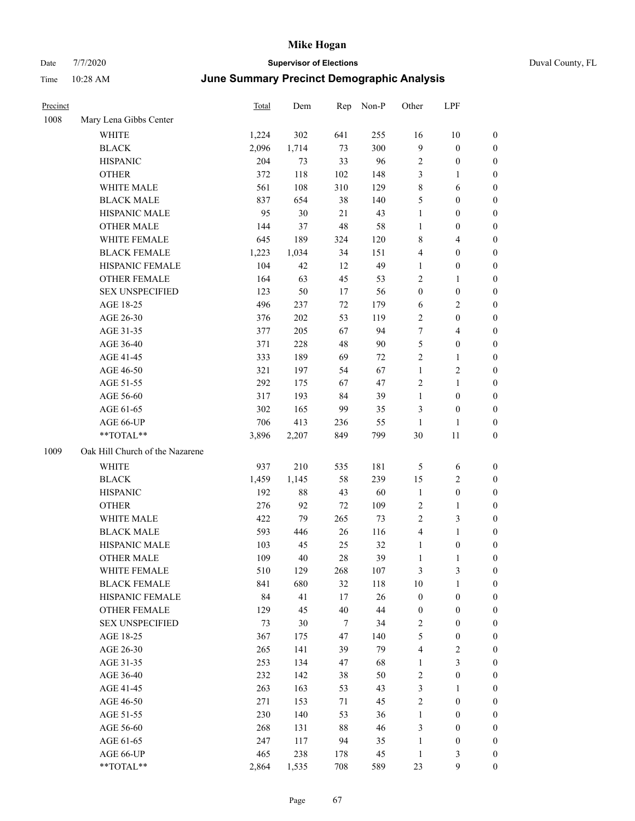|  |  | Duval |
|--|--|-------|
|  |  |       |

| Precinct |                                 | Total | Dem   | Rep    | Non-P  | Other            | LPF                     |                  |
|----------|---------------------------------|-------|-------|--------|--------|------------------|-------------------------|------------------|
| 1008     | Mary Lena Gibbs Center          |       |       |        |        |                  |                         |                  |
|          | WHITE                           | 1,224 | 302   | 641    | 255    | 16               | $10\,$                  | $\boldsymbol{0}$ |
|          | <b>BLACK</b>                    | 2,096 | 1,714 | 73     | 300    | $\overline{9}$   | $\boldsymbol{0}$        | $\boldsymbol{0}$ |
|          | <b>HISPANIC</b>                 | 204   | 73    | 33     | 96     | $\overline{c}$   | $\boldsymbol{0}$        | 0                |
|          | <b>OTHER</b>                    | 372   | 118   | 102    | 148    | 3                | $\mathbf{1}$            | 0                |
|          | WHITE MALE                      | 561   | 108   | 310    | 129    | 8                | 6                       | 0                |
|          | <b>BLACK MALE</b>               | 837   | 654   | 38     | 140    | 5                | $\boldsymbol{0}$        | $\boldsymbol{0}$ |
|          | HISPANIC MALE                   | 95    | 30    | 21     | 43     | $\mathbf{1}$     | $\boldsymbol{0}$        | $\boldsymbol{0}$ |
|          | <b>OTHER MALE</b>               | 144   | 37    | 48     | 58     | $\mathbf{1}$     | $\boldsymbol{0}$        | $\boldsymbol{0}$ |
|          | WHITE FEMALE                    | 645   | 189   | 324    | 120    | 8                | $\overline{\mathbf{4}}$ | $\boldsymbol{0}$ |
|          | <b>BLACK FEMALE</b>             | 1,223 | 1,034 | 34     | 151    | 4                | $\boldsymbol{0}$        | $\boldsymbol{0}$ |
|          | HISPANIC FEMALE                 | 104   | 42    | 12     | 49     | $\mathbf{1}$     | $\boldsymbol{0}$        | $\boldsymbol{0}$ |
|          | <b>OTHER FEMALE</b>             | 164   | 63    | 45     | 53     | $\overline{c}$   | $\mathbf{1}$            | $\boldsymbol{0}$ |
|          | <b>SEX UNSPECIFIED</b>          | 123   | 50    | 17     | 56     | $\boldsymbol{0}$ | $\boldsymbol{0}$        | 0                |
|          | AGE 18-25                       | 496   | 237   | 72     | 179    | 6                | $\mathbf{2}$            | 0                |
|          | AGE 26-30                       | 376   | 202   | 53     | 119    | $\mathbf{2}$     | $\boldsymbol{0}$        | 0                |
|          | AGE 31-35                       | 377   | 205   | 67     | 94     | 7                | $\overline{4}$          | $\boldsymbol{0}$ |
|          | AGE 36-40                       | 371   | 228   | 48     | 90     | 5                | $\boldsymbol{0}$        | $\boldsymbol{0}$ |
|          | AGE 41-45                       | 333   | 189   | 69     | 72     | $\overline{c}$   | $\mathbf{1}$            | $\boldsymbol{0}$ |
|          | AGE 46-50                       | 321   | 197   | 54     | 67     | $\mathbf{1}$     | $\sqrt{2}$              | $\boldsymbol{0}$ |
|          | AGE 51-55                       | 292   | 175   | 67     | 47     | $\overline{c}$   | $\mathbf{1}$            | $\boldsymbol{0}$ |
|          | AGE 56-60                       | 317   | 193   | 84     | 39     | $\mathbf{1}$     | $\boldsymbol{0}$        | $\boldsymbol{0}$ |
|          | AGE 61-65                       | 302   | 165   | 99     | 35     | 3                | $\boldsymbol{0}$        | 0                |
|          | AGE 66-UP                       | 706   | 413   | 236    | 55     | $\mathbf{1}$     | 1                       | 0                |
|          | **TOTAL**                       | 3,896 | 2,207 | 849    | 799    | 30               | 11                      | 0                |
| 1009     | Oak Hill Church of the Nazarene |       |       |        |        |                  |                         |                  |
|          | WHITE                           | 937   | 210   | 535    | 181    | 5                | 6                       | 0                |
|          | <b>BLACK</b>                    | 1,459 | 1,145 | 58     | 239    | 15               | $\overline{c}$          | 0                |
|          | <b>HISPANIC</b>                 | 192   | 88    | 43     | 60     | $\mathbf{1}$     | $\boldsymbol{0}$        | 0                |
|          | <b>OTHER</b>                    | 276   | 92    | 72     | 109    | 2                | $\mathbf{1}$            | 0                |
|          | WHITE MALE                      | 422   | 79    | 265    | 73     | $\overline{c}$   | $\mathfrak{Z}$          | $\boldsymbol{0}$ |
|          | <b>BLACK MALE</b>               | 593   | 446   | 26     | 116    | 4                | $\mathbf{1}$            | $\boldsymbol{0}$ |
|          | HISPANIC MALE                   | 103   | 45    | 25     | 32     | $\mathbf{1}$     | $\boldsymbol{0}$        | 0                |
|          | <b>OTHER MALE</b>               | 109   | 40    | 28     | 39     | $\mathbf{1}$     | $\mathbf{1}$            | $\boldsymbol{0}$ |
|          | WHITE FEMALE                    | 510   | 129   | 268    | 107    | $\mathfrak{Z}$   | $\mathfrak{Z}$          | 0                |
|          | <b>BLACK FEMALE</b>             | 841   | 680   | 32     | 118    | $10\,$           | $\mathbf{1}$            | 0                |
|          | HISPANIC FEMALE                 | 84    | 41    | 17     | 26     | $\boldsymbol{0}$ | $\boldsymbol{0}$        | 0                |
|          | <b>OTHER FEMALE</b>             | 129   | 45    | $40\,$ | $44\,$ | $\boldsymbol{0}$ | $\boldsymbol{0}$        | 0                |
|          | <b>SEX UNSPECIFIED</b>          | 73    | 30    | 7      | 34     | 2                | $\boldsymbol{0}$        | 0                |
|          | AGE 18-25                       | 367   | 175   | 47     | 140    | 5                | $\boldsymbol{0}$        | $\boldsymbol{0}$ |
|          | AGE 26-30                       | 265   | 141   | 39     | 79     | 4                | $\sqrt{2}$              | 0                |
|          | AGE 31-35                       | 253   | 134   | 47     | 68     | $\mathbf{1}$     | $\mathfrak{Z}$          | 0                |
|          | AGE 36-40                       | 232   | 142   | 38     | 50     | $\overline{c}$   | $\boldsymbol{0}$        | 0                |
|          | AGE 41-45                       | 263   | 163   | 53     | 43     | 3                | $\mathbf{1}$            | $\overline{0}$   |
|          | AGE 46-50                       | 271   | 153   | 71     | 45     | $\sqrt{2}$       | $\boldsymbol{0}$        | $\overline{0}$   |
|          | AGE 51-55                       | 230   | 140   | 53     | 36     | $\mathbf{1}$     | $\boldsymbol{0}$        | 0                |
|          | AGE 56-60                       | 268   | 131   | $88\,$ | 46     | 3                | $\boldsymbol{0}$        | 0                |
|          | AGE 61-65                       | 247   | 117   | 94     | 35     | $\mathbf{1}$     | $\boldsymbol{0}$        | 0                |
|          | AGE 66-UP                       | 465   | 238   | 178    | 45     | $\mathbf{1}$     | $\mathfrak{Z}$          | 0                |
|          | $**TOTAL**$                     | 2,864 | 1,535 | 708    | 589    | 23               | 9                       | $\overline{0}$   |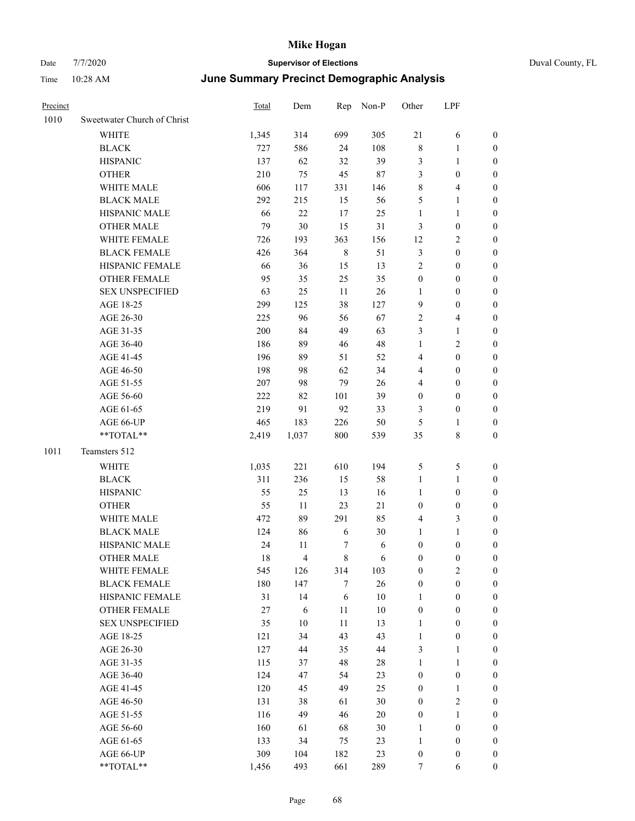| Precinct |                             | Total  | Dem            | Rep         | Non-P  | Other            | LPF              |                  |
|----------|-----------------------------|--------|----------------|-------------|--------|------------------|------------------|------------------|
| 1010     | Sweetwater Church of Christ |        |                |             |        |                  |                  |                  |
|          | <b>WHITE</b>                | 1,345  | 314            | 699         | 305    | 21               | 6                | $\boldsymbol{0}$ |
|          | <b>BLACK</b>                | 727    | 586            | 24          | 108    | $\,$ 8 $\,$      | $\mathbf{1}$     | $\bf{0}$         |
|          | <b>HISPANIC</b>             | 137    | 62             | 32          | 39     | $\mathfrak{Z}$   | 1                | $\boldsymbol{0}$ |
|          | <b>OTHER</b>                | 210    | 75             | 45          | $87\,$ | $\mathfrak{Z}$   | $\boldsymbol{0}$ | $\boldsymbol{0}$ |
|          | WHITE MALE                  | 606    | 117            | 331         | 146    | $\,$ 8 $\,$      | 4                | $\boldsymbol{0}$ |
|          | <b>BLACK MALE</b>           | 292    | 215            | 15          | 56     | 5                | 1                | $\boldsymbol{0}$ |
|          | HISPANIC MALE               | 66     | $22\,$         | 17          | 25     | $\mathbf{1}$     | 1                | $\boldsymbol{0}$ |
|          | <b>OTHER MALE</b>           | 79     | 30             | 15          | 31     | $\mathfrak{Z}$   | $\boldsymbol{0}$ | $\boldsymbol{0}$ |
|          | WHITE FEMALE                | 726    | 193            | 363         | 156    | 12               | 2                | $\boldsymbol{0}$ |
|          | <b>BLACK FEMALE</b>         | 426    | 364            | $\,$ 8 $\,$ | 51     | $\mathfrak{Z}$   | $\boldsymbol{0}$ | $\boldsymbol{0}$ |
|          | HISPANIC FEMALE             | 66     | 36             | 15          | 13     | $\sqrt{2}$       | $\boldsymbol{0}$ | $\boldsymbol{0}$ |
|          | <b>OTHER FEMALE</b>         | 95     | 35             | 25          | 35     | $\boldsymbol{0}$ | $\boldsymbol{0}$ | $\boldsymbol{0}$ |
|          | <b>SEX UNSPECIFIED</b>      | 63     | 25             | 11          | $26\,$ | $\mathbf{1}$     | $\boldsymbol{0}$ | $\boldsymbol{0}$ |
|          | AGE 18-25                   | 299    | 125            | 38          | 127    | 9                | $\boldsymbol{0}$ | $\boldsymbol{0}$ |
|          | AGE 26-30                   | 225    | 96             | 56          | 67     | $\sqrt{2}$       | 4                | $\boldsymbol{0}$ |
|          | AGE 31-35                   | 200    | 84             | 49          | 63     | 3                | $\mathbf{1}$     | $\boldsymbol{0}$ |
|          | AGE 36-40                   | 186    | 89             | 46          | 48     | $\mathbf{1}$     | 2                | $\boldsymbol{0}$ |
|          | AGE 41-45                   | 196    | 89             | 51          | 52     | $\overline{4}$   | $\boldsymbol{0}$ | $\boldsymbol{0}$ |
|          | AGE 46-50                   | 198    | 98             | 62          | 34     | $\overline{4}$   | $\boldsymbol{0}$ | $\boldsymbol{0}$ |
|          | AGE 51-55                   | 207    | 98             | 79          | 26     | $\overline{4}$   | $\boldsymbol{0}$ | $\boldsymbol{0}$ |
|          | AGE 56-60                   | 222    | 82             | 101         | 39     | $\boldsymbol{0}$ | $\boldsymbol{0}$ | $\boldsymbol{0}$ |
|          | AGE 61-65                   | 219    | 91             | 92          | 33     | 3                | $\boldsymbol{0}$ | $\boldsymbol{0}$ |
|          | AGE 66-UP                   | 465    | 183            | 226         | 50     | 5                | 1                | $\boldsymbol{0}$ |
|          | **TOTAL**                   | 2,419  | 1,037          | 800         | 539    | 35               | 8                | $\boldsymbol{0}$ |
| 1011     | Teamsters 512               |        |                |             |        |                  |                  |                  |
|          | <b>WHITE</b>                | 1,035  | 221            | 610         | 194    | $\sqrt{5}$       | 5                | $\boldsymbol{0}$ |
|          | <b>BLACK</b>                | 311    | 236            | 15          | 58     | $\mathbf{1}$     | 1                | $\boldsymbol{0}$ |
|          | <b>HISPANIC</b>             | 55     | 25             | 13          | 16     | $\mathbf{1}$     | $\boldsymbol{0}$ | $\boldsymbol{0}$ |
|          | <b>OTHER</b>                | 55     | 11             | 23          | 21     | $\boldsymbol{0}$ | $\boldsymbol{0}$ | $\boldsymbol{0}$ |
|          | WHITE MALE                  | 472    | 89             | 291         | 85     | $\overline{4}$   | 3                | $\boldsymbol{0}$ |
|          | <b>BLACK MALE</b>           | 124    | 86             | 6           | 30     | 1                | 1                | $\boldsymbol{0}$ |
|          | HISPANIC MALE               | 24     | 11             | 7           | 6      | $\boldsymbol{0}$ | $\boldsymbol{0}$ | $\boldsymbol{0}$ |
|          | <b>OTHER MALE</b>           | 18     | $\overline{4}$ | 8           | 6      | $\boldsymbol{0}$ | $\boldsymbol{0}$ | $\boldsymbol{0}$ |
|          | WHITE FEMALE                | 545    | 126            | 314         | 103    | $\boldsymbol{0}$ | $\overline{c}$   | $\boldsymbol{0}$ |
|          | <b>BLACK FEMALE</b>         | 180    | 147            | 7           | $26\,$ | $\boldsymbol{0}$ | $\boldsymbol{0}$ | $\boldsymbol{0}$ |
|          | HISPANIC FEMALE             | 31     | 14             | 6           | $10\,$ | $\mathbf{1}$     | $\boldsymbol{0}$ | $\boldsymbol{0}$ |
|          | <b>OTHER FEMALE</b>         | $27\,$ | $\sqrt{6}$     | 11          | $10\,$ | $\boldsymbol{0}$ | $\boldsymbol{0}$ | $\boldsymbol{0}$ |
|          | <b>SEX UNSPECIFIED</b>      | 35     | $10\,$         | $11\,$      | 13     | $\mathbf{1}$     | $\boldsymbol{0}$ | $\boldsymbol{0}$ |
|          | AGE 18-25                   | 121    | 34             | 43          | 43     | $\mathbf{1}$     | $\boldsymbol{0}$ | $\boldsymbol{0}$ |
|          | AGE 26-30                   | 127    | 44             | 35          | 44     | $\mathfrak{Z}$   | 1                | $\boldsymbol{0}$ |
|          | AGE 31-35                   | 115    | 37             | 48          | 28     | $\mathbf{1}$     | $\mathbf{1}$     | $\boldsymbol{0}$ |
|          | AGE 36-40                   | 124    | 47             | 54          | 23     | $\boldsymbol{0}$ | $\boldsymbol{0}$ | $\boldsymbol{0}$ |
|          | AGE 41-45                   | 120    | 45             | 49          | 25     | $\boldsymbol{0}$ | $\mathbf{1}$     | $\boldsymbol{0}$ |
|          | AGE 46-50                   | 131    | 38             | 61          | 30     | $\boldsymbol{0}$ | $\mathbf{2}$     | $\boldsymbol{0}$ |
|          | AGE 51-55                   | 116    | 49             | 46          | $20\,$ | $\boldsymbol{0}$ | 1                | $\boldsymbol{0}$ |
|          | AGE 56-60                   | 160    | 61             | 68          | 30     | $\mathbf{1}$     | $\boldsymbol{0}$ | $\boldsymbol{0}$ |
|          | AGE 61-65                   | 133    | 34             | 75          | 23     | $\mathbf{1}$     | $\boldsymbol{0}$ | $\boldsymbol{0}$ |
|          | AGE 66-UP                   | 309    | 104            | 182         | 23     | $\boldsymbol{0}$ | $\boldsymbol{0}$ | $\boldsymbol{0}$ |
|          | $**TOTAL**$                 | 1,456  | 493            | 661         | 289    | 7                | 6                | $\overline{0}$   |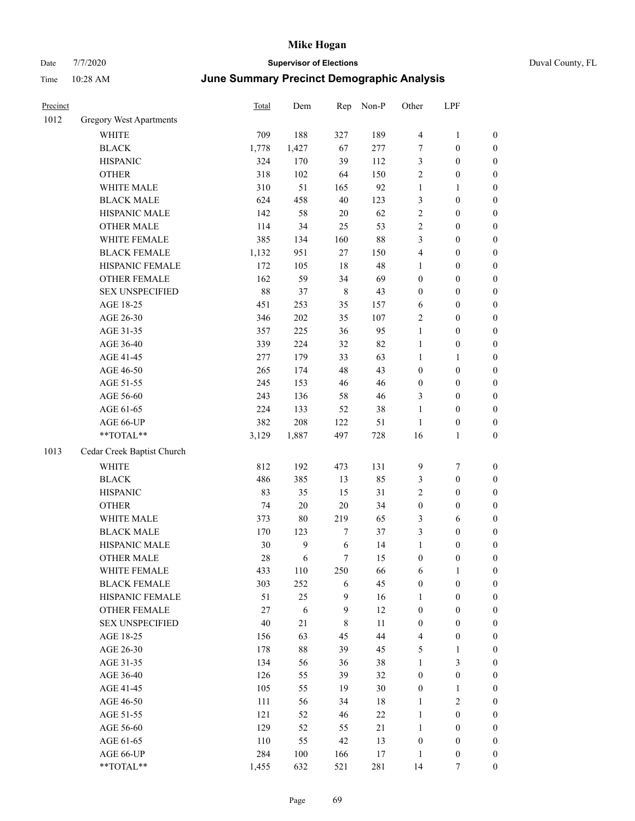| Precinct |                                | Total  | Dem        | Rep         | Non-P  | Other            | LPF              |                  |
|----------|--------------------------------|--------|------------|-------------|--------|------------------|------------------|------------------|
| 1012     | <b>Gregory West Apartments</b> |        |            |             |        |                  |                  |                  |
|          | WHITE                          | 709    | 188        | 327         | 189    | $\overline{4}$   | $\mathbf{1}$     | $\boldsymbol{0}$ |
|          | <b>BLACK</b>                   | 1,778  | 1,427      | 67          | 277    | $\tau$           | $\boldsymbol{0}$ | $\boldsymbol{0}$ |
|          | <b>HISPANIC</b>                | 324    | 170        | 39          | 112    | 3                | $\boldsymbol{0}$ | $\boldsymbol{0}$ |
|          | <b>OTHER</b>                   | 318    | 102        | 64          | 150    | $\overline{2}$   | $\boldsymbol{0}$ | $\boldsymbol{0}$ |
|          | WHITE MALE                     | 310    | 51         | 165         | 92     | $\mathbf{1}$     | 1                | $\boldsymbol{0}$ |
|          | <b>BLACK MALE</b>              | 624    | 458        | $40\,$      | 123    | 3                | $\boldsymbol{0}$ | $\boldsymbol{0}$ |
|          | HISPANIC MALE                  | 142    | 58         | $20\,$      | 62     | $\sqrt{2}$       | $\boldsymbol{0}$ | $\boldsymbol{0}$ |
|          | <b>OTHER MALE</b>              | 114    | 34         | 25          | 53     | $\sqrt{2}$       | $\boldsymbol{0}$ | $\boldsymbol{0}$ |
|          | WHITE FEMALE                   | 385    | 134        | 160         | 88     | 3                | $\boldsymbol{0}$ | $\boldsymbol{0}$ |
|          | <b>BLACK FEMALE</b>            | 1,132  | 951        | $27\,$      | 150    | $\overline{4}$   | $\boldsymbol{0}$ | $\boldsymbol{0}$ |
|          | HISPANIC FEMALE                | 172    | 105        | 18          | 48     | $\mathbf{1}$     | $\boldsymbol{0}$ | $\boldsymbol{0}$ |
|          | <b>OTHER FEMALE</b>            | 162    | 59         | 34          | 69     | $\boldsymbol{0}$ | $\boldsymbol{0}$ | $\boldsymbol{0}$ |
|          | <b>SEX UNSPECIFIED</b>         | 88     | 37         | $\,$ 8 $\,$ | 43     | $\boldsymbol{0}$ | $\boldsymbol{0}$ | $\boldsymbol{0}$ |
|          | AGE 18-25                      | 451    | 253        | 35          | 157    | 6                | $\boldsymbol{0}$ | $\boldsymbol{0}$ |
|          | AGE 26-30                      | 346    | $202\,$    | 35          | 107    | $\overline{2}$   | $\boldsymbol{0}$ | $\boldsymbol{0}$ |
|          | AGE 31-35                      | 357    | 225        | 36          | 95     | $\mathbf{1}$     | $\boldsymbol{0}$ | $\boldsymbol{0}$ |
|          | AGE 36-40                      | 339    | 224        | 32          | 82     | $\mathbf{1}$     | $\boldsymbol{0}$ | $\boldsymbol{0}$ |
|          | AGE 41-45                      | 277    | 179        | 33          | 63     | $\mathbf{1}$     | 1                | $\boldsymbol{0}$ |
|          | AGE 46-50                      | 265    | 174        | 48          | 43     | $\boldsymbol{0}$ | $\boldsymbol{0}$ | $\boldsymbol{0}$ |
|          | AGE 51-55                      | 245    | 153        | 46          | 46     | $\boldsymbol{0}$ | $\boldsymbol{0}$ | $\boldsymbol{0}$ |
|          | AGE 56-60                      | 243    | 136        | 58          | 46     | 3                | $\boldsymbol{0}$ | $\boldsymbol{0}$ |
|          | AGE 61-65                      | 224    | 133        | 52          | 38     | $\mathbf{1}$     | $\boldsymbol{0}$ | $\boldsymbol{0}$ |
|          | AGE 66-UP                      | 382    | 208        | 122         | 51     | $\mathbf{1}$     | $\boldsymbol{0}$ | $\boldsymbol{0}$ |
|          | **TOTAL**                      | 3,129  | 1,887      | 497         | 728    | 16               | 1                | $\boldsymbol{0}$ |
| 1013     | Cedar Creek Baptist Church     |        |            |             |        |                  |                  |                  |
|          | <b>WHITE</b>                   | 812    | 192        | 473         | 131    | $\overline{9}$   | 7                | $\boldsymbol{0}$ |
|          | <b>BLACK</b>                   | 486    | 385        | 13          | 85     | 3                | $\boldsymbol{0}$ | $\boldsymbol{0}$ |
|          | <b>HISPANIC</b>                | 83     | 35         | 15          | 31     | $\sqrt{2}$       | $\boldsymbol{0}$ | $\boldsymbol{0}$ |
|          | <b>OTHER</b>                   | 74     | $20\,$     | $20\,$      | 34     | $\boldsymbol{0}$ | $\boldsymbol{0}$ | $\boldsymbol{0}$ |
|          | WHITE MALE                     | 373    | $80\,$     | 219         | 65     | $\mathfrak{Z}$   | 6                | $\boldsymbol{0}$ |
|          | <b>BLACK MALE</b>              | 170    | 123        | 7           | 37     | 3                | $\boldsymbol{0}$ | $\boldsymbol{0}$ |
|          | HISPANIC MALE                  | 30     | 9          | 6           | 14     | $\mathbf{1}$     | $\boldsymbol{0}$ | $\boldsymbol{0}$ |
|          | <b>OTHER MALE</b>              | 28     | 6          | 7           | 15     | $\boldsymbol{0}$ | 0                | $\boldsymbol{0}$ |
|          | WHITE FEMALE                   | 433    | 110        | 250         | 66     | 6                | $\mathbf{1}$     | $\boldsymbol{0}$ |
|          | <b>BLACK FEMALE</b>            | 303    | 252        | 6           | 45     | $\boldsymbol{0}$ | $\boldsymbol{0}$ | $\boldsymbol{0}$ |
|          | HISPANIC FEMALE                | 51     | 25         | 9           | 16     | $\mathbf{1}$     | $\boldsymbol{0}$ | $\boldsymbol{0}$ |
|          | OTHER FEMALE                   | $27\,$ | $\sqrt{6}$ | 9           | 12     | $\boldsymbol{0}$ | $\boldsymbol{0}$ | $\boldsymbol{0}$ |
|          | <b>SEX UNSPECIFIED</b>         | 40     | 21         | 8           | 11     | $\boldsymbol{0}$ | $\boldsymbol{0}$ | $\boldsymbol{0}$ |
|          | AGE 18-25                      | 156    | 63         | 45          | 44     | $\overline{4}$   | $\boldsymbol{0}$ | $\boldsymbol{0}$ |
|          | AGE 26-30                      | 178    | $88\,$     | 39          | 45     | $\sqrt{5}$       | 1                | $\boldsymbol{0}$ |
|          | AGE 31-35                      | 134    | 56         | 36          | 38     | $\mathbf{1}$     | 3                | $\boldsymbol{0}$ |
|          | AGE 36-40                      | 126    | 55         | 39          | 32     | $\boldsymbol{0}$ | $\boldsymbol{0}$ | $\boldsymbol{0}$ |
|          | AGE 41-45                      | 105    | 55         | 19          | 30     | $\boldsymbol{0}$ | 1                | $\boldsymbol{0}$ |
|          | AGE 46-50                      | 111    | 56         | 34          | $18\,$ | $\mathbf{1}$     | $\sqrt{2}$       | $\boldsymbol{0}$ |
|          | AGE 51-55                      | 121    | 52         | 46          | $22\,$ | $\mathbf{1}$     | $\boldsymbol{0}$ | $\boldsymbol{0}$ |
|          | AGE 56-60                      | 129    | 52         | 55          | $21\,$ | $\mathbf{1}$     | $\boldsymbol{0}$ | $\boldsymbol{0}$ |
|          | AGE 61-65                      | 110    | 55         | 42          | 13     | $\boldsymbol{0}$ | $\boldsymbol{0}$ | $\boldsymbol{0}$ |
|          | AGE 66-UP                      | 284    | 100        | 166         | $17\,$ | 1                | $\boldsymbol{0}$ | $\boldsymbol{0}$ |
|          | **TOTAL**                      | 1,455  | 632        | 521         | 281    | 14               | 7                | $\boldsymbol{0}$ |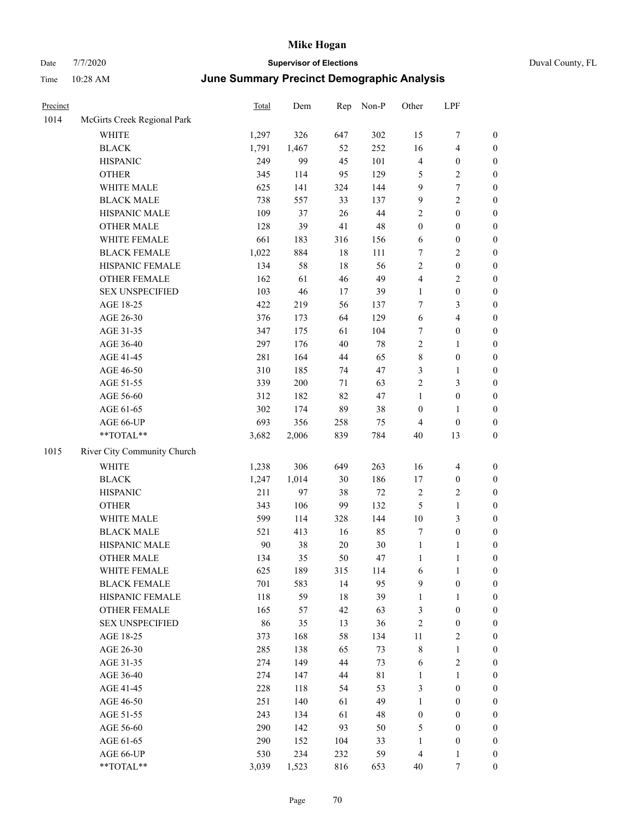## Date 7/7/2020 **Supervisor of Elections** Duval County, FL Time 10:28 AM **June Summary Precinct Demographic Analysis**

| Precinct |                             | Total | Dem   | Rep    | Non-P       | Other            | LPF                     |                  |
|----------|-----------------------------|-------|-------|--------|-------------|------------------|-------------------------|------------------|
| 1014     | McGirts Creek Regional Park |       |       |        |             |                  |                         |                  |
|          | <b>WHITE</b>                | 1,297 | 326   | 647    | 302         | 15               | 7                       | $\boldsymbol{0}$ |
|          | <b>BLACK</b>                | 1,791 | 1,467 | 52     | 252         | 16               | 4                       | $\boldsymbol{0}$ |
|          | <b>HISPANIC</b>             | 249   | 99    | 45     | 101         | $\overline{4}$   | $\boldsymbol{0}$        | $\boldsymbol{0}$ |
|          | <b>OTHER</b>                | 345   | 114   | 95     | 129         | $\mathfrak{S}$   | 2                       | $\boldsymbol{0}$ |
|          | WHITE MALE                  | 625   | 141   | 324    | 144         | 9                | 7                       | $\boldsymbol{0}$ |
|          | <b>BLACK MALE</b>           | 738   | 557   | 33     | 137         | 9                | $\overline{c}$          | $\boldsymbol{0}$ |
|          | HISPANIC MALE               | 109   | 37    | $26\,$ | 44          | $\sqrt{2}$       | $\boldsymbol{0}$        | $\boldsymbol{0}$ |
|          | <b>OTHER MALE</b>           | 128   | 39    | 41     | 48          | $\boldsymbol{0}$ | $\boldsymbol{0}$        | $\boldsymbol{0}$ |
|          | WHITE FEMALE                | 661   | 183   | 316    | 156         | 6                | $\boldsymbol{0}$        | $\boldsymbol{0}$ |
|          | <b>BLACK FEMALE</b>         | 1,022 | 884   | $18\,$ | 111         | $\tau$           | 2                       | $\boldsymbol{0}$ |
|          | HISPANIC FEMALE             | 134   | 58    | 18     | 56          | $\overline{2}$   | $\boldsymbol{0}$        | $\boldsymbol{0}$ |
|          | <b>OTHER FEMALE</b>         | 162   | 61    | 46     | 49          | $\overline{4}$   | 2                       | $\boldsymbol{0}$ |
|          | <b>SEX UNSPECIFIED</b>      | 103   | 46    | 17     | 39          | $\mathbf{1}$     | $\boldsymbol{0}$        | $\boldsymbol{0}$ |
|          | AGE 18-25                   | 422   | 219   | 56     | 137         | 7                | 3                       | $\boldsymbol{0}$ |
|          | AGE 26-30                   | 376   | 173   | 64     | 129         | 6                | 4                       | $\boldsymbol{0}$ |
|          | AGE 31-35                   | 347   | 175   | 61     | 104         | 7                | $\boldsymbol{0}$        | $\boldsymbol{0}$ |
|          | AGE 36-40                   | 297   | 176   | 40     | $78\,$      | $\sqrt{2}$       | 1                       | $\boldsymbol{0}$ |
|          | AGE 41-45                   | 281   | 164   | 44     | 65          | $\,$ 8 $\,$      | $\boldsymbol{0}$        | $\boldsymbol{0}$ |
|          | AGE 46-50                   | 310   | 185   | 74     | 47          | 3                | 1                       | $\boldsymbol{0}$ |
|          | AGE 51-55                   | 339   | 200   | 71     | 63          | $\sqrt{2}$       | 3                       | $\boldsymbol{0}$ |
|          | AGE 56-60                   | 312   | 182   | 82     | 47          | $\mathbf{1}$     | $\boldsymbol{0}$        | $\boldsymbol{0}$ |
|          | AGE 61-65                   | 302   | 174   | 89     | 38          | $\boldsymbol{0}$ | 1                       | $\boldsymbol{0}$ |
|          | AGE 66-UP                   | 693   | 356   | 258    | 75          | $\overline{4}$   | $\boldsymbol{0}$        | $\boldsymbol{0}$ |
|          | **TOTAL**                   | 3,682 | 2,006 | 839    | 784         | $40\,$           | 13                      | $\boldsymbol{0}$ |
| 1015     | River City Community Church |       |       |        |             |                  |                         |                  |
|          | <b>WHITE</b>                | 1,238 | 306   | 649    | 263         | 16               | $\overline{\mathbf{4}}$ | $\boldsymbol{0}$ |
|          | <b>BLACK</b>                | 1,247 | 1,014 | $30\,$ | 186         | 17               | $\boldsymbol{0}$        | $\boldsymbol{0}$ |
|          | <b>HISPANIC</b>             | 211   | 97    | 38     | $72\,$      | $\sqrt{2}$       | 2                       | $\boldsymbol{0}$ |
|          | <b>OTHER</b>                | 343   | 106   | 99     | 132         | 5                | $\mathbf{1}$            | $\boldsymbol{0}$ |
|          | WHITE MALE                  | 599   | 114   | 328    | 144         | $10\,$           | 3                       | $\boldsymbol{0}$ |
|          | <b>BLACK MALE</b>           | 521   | 413   | 16     | 85          | $\tau$           | $\boldsymbol{0}$        | $\boldsymbol{0}$ |
|          | HISPANIC MALE               | 90    | 38    | $20\,$ | 30          | $\mathbf{1}$     | 1                       | $\boldsymbol{0}$ |
|          | <b>OTHER MALE</b>           | 134   | 35    | 50     | 47          | $\mathbf{1}$     | 1                       | $\boldsymbol{0}$ |
|          | WHITE FEMALE                | 625   | 189   | 315    | 114         | 6                | $\mathbf{1}$            | $\boldsymbol{0}$ |
|          | <b>BLACK FEMALE</b>         | 701   | 583   | 14     | 95          | 9                | $\boldsymbol{0}$        | $\boldsymbol{0}$ |
|          | HISPANIC FEMALE             | 118   | 59    | 18     | 39          | $\mathbf{1}$     | $\mathbf{1}$            | $\boldsymbol{0}$ |
|          | <b>OTHER FEMALE</b>         | 165   | 57    | 42     | 63          | $\mathfrak{Z}$   | $\boldsymbol{0}$        | $\boldsymbol{0}$ |
|          | <b>SEX UNSPECIFIED</b>      | 86    | 35    | 13     | 36          | $\sqrt{2}$       | $\boldsymbol{0}$        | $\boldsymbol{0}$ |
|          | AGE 18-25                   | 373   | 168   | 58     | 134         | 11               | $\sqrt{2}$              | $\boldsymbol{0}$ |
|          | AGE 26-30                   | 285   | 138   | 65     | 73          | $\,$ 8 $\,$      | $\mathbf{1}$            | $\boldsymbol{0}$ |
|          | AGE 31-35                   | 274   | 149   | 44     | 73          | 6                | $\mathbf{2}$            | $\boldsymbol{0}$ |
|          | AGE 36-40                   | 274   | 147   | 44     | $8\sqrt{1}$ | $\mathbf{1}$     | $\mathbf{1}$            | $\boldsymbol{0}$ |
|          | AGE 41-45                   | 228   | 118   | 54     | 53          | $\mathfrak{Z}$   | $\boldsymbol{0}$        | $\boldsymbol{0}$ |
|          | AGE 46-50                   | 251   | 140   | 61     | 49          | $\mathbf{1}$     | $\boldsymbol{0}$        | $\boldsymbol{0}$ |
|          | AGE 51-55                   | 243   | 134   | 61     | 48          | $\boldsymbol{0}$ | $\boldsymbol{0}$        | $\boldsymbol{0}$ |
|          | AGE 56-60                   | 290   | 142   | 93     | 50          | 5                | $\boldsymbol{0}$        | $\mathbf{0}$     |
|          | AGE 61-65                   | 290   | 152   | 104    | 33          | $\mathbf{1}$     | $\boldsymbol{0}$        | $\mathbf{0}$     |
|          | AGE 66-UP                   | 530   | 234   | 232    | 59          | $\overline{4}$   | 1                       | $\boldsymbol{0}$ |

\*\*TOTAL\*\* 3,039 1,523 816 653 40 7 0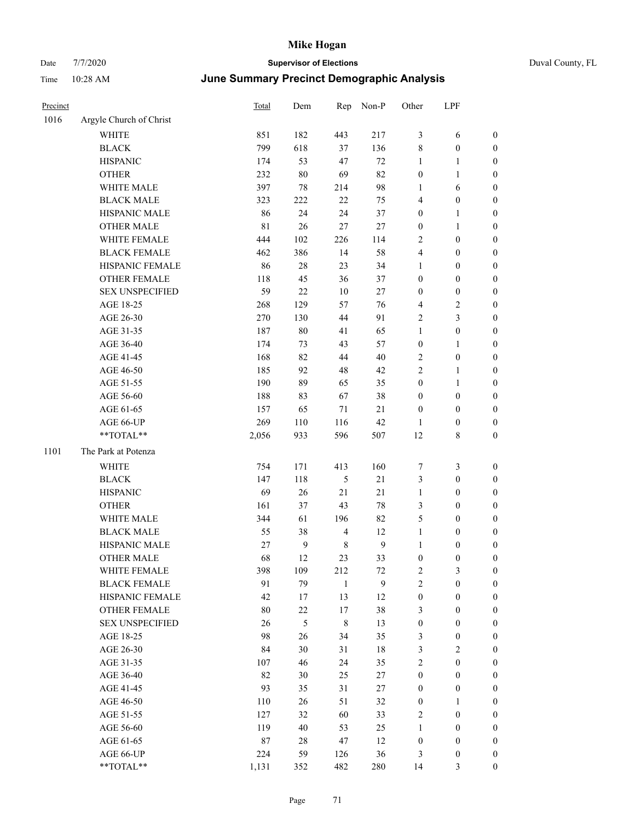# Date 7/7/2020 **Supervisor of Elections** Duval County, FL Time 10:28 AM **June Summary Precinct Demographic Analysis**

| Precinct |                         | Total       | Dem          |                         | Rep Non-P      | Other            | LPF              |                  |
|----------|-------------------------|-------------|--------------|-------------------------|----------------|------------------|------------------|------------------|
| 1016     | Argyle Church of Christ |             |              |                         |                |                  |                  |                  |
|          | <b>WHITE</b>            | 851         | 182          | 443                     | 217            | $\mathfrak{Z}$   | 6                | $\boldsymbol{0}$ |
|          | <b>BLACK</b>            | 799         | 618          | 37                      | 136            | $\,$ 8 $\,$      | $\boldsymbol{0}$ | $\boldsymbol{0}$ |
|          | <b>HISPANIC</b>         | 174         | 53           | 47                      | $72\,$         | $\mathbf{1}$     | $\mathbf{1}$     | $\boldsymbol{0}$ |
|          | <b>OTHER</b>            | 232         | $80\,$       | 69                      | 82             | $\boldsymbol{0}$ | $\mathbf{1}$     | $\boldsymbol{0}$ |
|          | WHITE MALE              | 397         | $78\,$       | 214                     | 98             | $\mathbf{1}$     | 6                | $\boldsymbol{0}$ |
|          | <b>BLACK MALE</b>       | 323         | 222          | $22\,$                  | 75             | $\overline{4}$   | $\boldsymbol{0}$ | $\boldsymbol{0}$ |
|          | HISPANIC MALE           | 86          | 24           | 24                      | 37             | $\boldsymbol{0}$ | $\mathbf{1}$     | $\boldsymbol{0}$ |
|          | <b>OTHER MALE</b>       | $8\sqrt{1}$ | 26           | 27                      | 27             | $\boldsymbol{0}$ | $\mathbf{1}$     | $\boldsymbol{0}$ |
|          | WHITE FEMALE            | 444         | 102          | 226                     | 114            | $\sqrt{2}$       | $\boldsymbol{0}$ | $\boldsymbol{0}$ |
|          | <b>BLACK FEMALE</b>     | 462         | 386          | 14                      | 58             | $\overline{4}$   | 0                | $\boldsymbol{0}$ |
|          | HISPANIC FEMALE         | 86          | $28\,$       | 23                      | 34             | 1                | $\boldsymbol{0}$ | $\boldsymbol{0}$ |
|          | OTHER FEMALE            | 118         | 45           | 36                      | 37             | $\boldsymbol{0}$ | $\boldsymbol{0}$ | $\boldsymbol{0}$ |
|          | <b>SEX UNSPECIFIED</b>  | 59          | 22           | $10\,$                  | 27             | $\boldsymbol{0}$ | $\boldsymbol{0}$ | $\boldsymbol{0}$ |
|          | AGE 18-25               | 268         | 129          | 57                      | 76             | 4                | 2                | $\boldsymbol{0}$ |
|          | AGE 26-30               | 270         | 130          | 44                      | 91             | $\overline{c}$   | 3                | $\boldsymbol{0}$ |
|          | AGE 31-35               | 187         | $80\,$       | 41                      | 65             | $\mathbf{1}$     | $\boldsymbol{0}$ | $\boldsymbol{0}$ |
|          | AGE 36-40               | 174         | 73           | 43                      | 57             | $\boldsymbol{0}$ | $\mathbf{1}$     | $\boldsymbol{0}$ |
|          | AGE 41-45               | 168         | 82           | 44                      | 40             | $\mathbf{2}$     | $\boldsymbol{0}$ | $\boldsymbol{0}$ |
|          | AGE 46-50               | 185         | 92           | 48                      | 42             | $\sqrt{2}$       | $\mathbf{1}$     | $\boldsymbol{0}$ |
|          | AGE 51-55               | 190         | 89           | 65                      | 35             | $\boldsymbol{0}$ | $\mathbf{1}$     | $\boldsymbol{0}$ |
|          | AGE 56-60               | 188         | 83           | 67                      | 38             | $\boldsymbol{0}$ | $\boldsymbol{0}$ | $\boldsymbol{0}$ |
|          | AGE 61-65               | 157         | 65           | $71\,$                  | 21             | $\boldsymbol{0}$ | $\boldsymbol{0}$ | $\boldsymbol{0}$ |
|          | AGE 66-UP               | 269         | 110          | 116                     | 42             | 1                | $\boldsymbol{0}$ | $\boldsymbol{0}$ |
|          | **TOTAL**               | 2,056       | 933          | 596                     | 507            | 12               | 8                | $\boldsymbol{0}$ |
| 1101     | The Park at Potenza     |             |              |                         |                |                  |                  |                  |
|          | WHITE                   | 754         | 171          | 413                     | 160            | 7                | 3                | $\boldsymbol{0}$ |
|          | <b>BLACK</b>            | 147         | 118          | 5                       | 21             | $\mathfrak{Z}$   | $\boldsymbol{0}$ | $\boldsymbol{0}$ |
|          | <b>HISPANIC</b>         | 69          | 26           | $21\,$                  | 21             | $\mathbf{1}$     | $\boldsymbol{0}$ | $\boldsymbol{0}$ |
|          | <b>OTHER</b>            | 161         | 37           | 43                      | $78\,$         | $\mathfrak{Z}$   | $\boldsymbol{0}$ | $\boldsymbol{0}$ |
|          | WHITE MALE              | 344         | 61           | 196                     | 82             | $\mathfrak s$    | $\boldsymbol{0}$ | $\boldsymbol{0}$ |
|          | <b>BLACK MALE</b>       | 55          | 38           | $\overline{\mathbf{4}}$ | 12             | $\mathbf{1}$     | $\boldsymbol{0}$ | $\boldsymbol{0}$ |
|          | HISPANIC MALE           | 27          | $\mathbf{9}$ | 8                       | $\overline{9}$ | $\mathbf{1}$     | 0                | $\boldsymbol{0}$ |
|          | <b>OTHER MALE</b>       | 68          | 12           | 23                      | 33             | $\boldsymbol{0}$ | 0                | $\boldsymbol{0}$ |
|          | WHITE FEMALE            | 398         | 109          | 212                     | 72             | $\overline{c}$   | 3                | $\boldsymbol{0}$ |
|          | <b>BLACK FEMALE</b>     | 91          | 79           | $\mathbf{1}$            | $\mathbf{9}$   | $\mathbf{2}$     | $\boldsymbol{0}$ | $\boldsymbol{0}$ |
|          | HISPANIC FEMALE         | 42          | 17           | 13                      | 12             | $\boldsymbol{0}$ | $\boldsymbol{0}$ | $\boldsymbol{0}$ |
|          | <b>OTHER FEMALE</b>     | 80          | $22\,$       | 17                      | 38             | $\mathfrak{Z}$   | $\boldsymbol{0}$ | $\boldsymbol{0}$ |
|          | <b>SEX UNSPECIFIED</b>  | 26          | $\sqrt{5}$   | $\,8\,$                 | 13             | $\boldsymbol{0}$ | $\boldsymbol{0}$ | $\boldsymbol{0}$ |
|          | AGE 18-25               | 98          | 26           | 34                      | 35             | 3                | $\boldsymbol{0}$ | $\boldsymbol{0}$ |
|          | AGE 26-30               | 84          | 30           | 31                      | $18\,$         | $\mathfrak{Z}$   | $\overline{2}$   | $\boldsymbol{0}$ |
|          | AGE 31-35               | 107         | 46           | 24                      | 35             | $\sqrt{2}$       | $\boldsymbol{0}$ | $\boldsymbol{0}$ |
|          | AGE 36-40               | 82          | 30           | 25                      | 27             | $\boldsymbol{0}$ | $\boldsymbol{0}$ | $\boldsymbol{0}$ |
|          | AGE 41-45               | 93          | 35           | 31                      | 27             | $\boldsymbol{0}$ | $\boldsymbol{0}$ | $\boldsymbol{0}$ |
|          | AGE 46-50               | 110         | 26           | 51                      | 32             | $\boldsymbol{0}$ | $\mathbf{1}$     | $\boldsymbol{0}$ |
|          | AGE 51-55               | 127         | 32           | 60                      | 33             | $\sqrt{2}$       | $\boldsymbol{0}$ | $\boldsymbol{0}$ |
|          | AGE 56-60               | 119         | $40\,$       | 53                      | 25             | $\mathbf{1}$     | $\boldsymbol{0}$ | $\boldsymbol{0}$ |
|          | AGE 61-65               | $87\,$      | $28\,$       | 47                      | 12             | $\boldsymbol{0}$ | $\boldsymbol{0}$ | $\boldsymbol{0}$ |
|          | AGE 66-UP               | 224         | 59           | 126                     | 36             | $\mathfrak{Z}$   | $\boldsymbol{0}$ | $\boldsymbol{0}$ |

\*\*TOTAL\*\* 1,131 352 482 280 14 3 0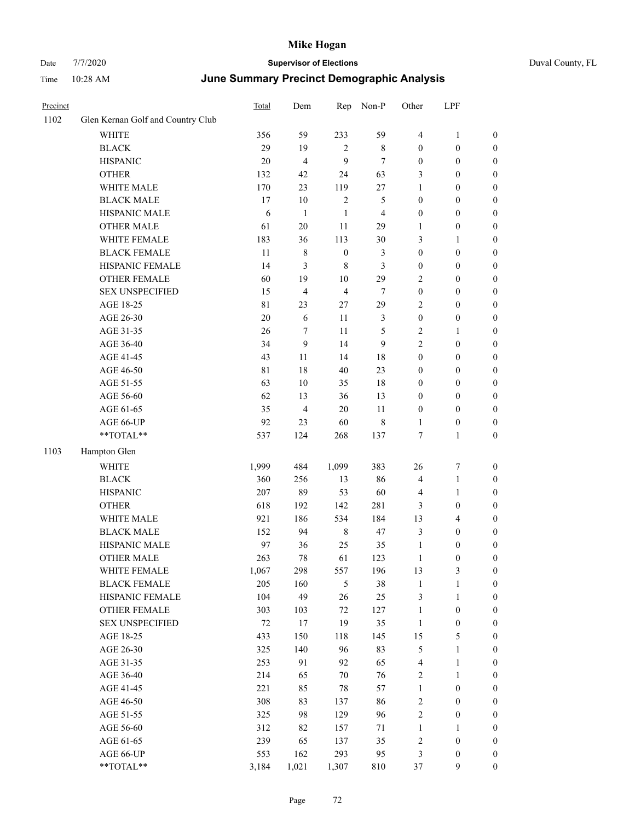| Precinct |                                   | <b>Total</b> | Dem            | Rep              | Non-P            | Other            | LPF              |                  |
|----------|-----------------------------------|--------------|----------------|------------------|------------------|------------------|------------------|------------------|
| 1102     | Glen Kernan Golf and Country Club |              |                |                  |                  |                  |                  |                  |
|          | <b>WHITE</b>                      | 356          | 59             | 233              | 59               | 4                | $\mathbf{1}$     | $\boldsymbol{0}$ |
|          | <b>BLACK</b>                      | 29           | 19             | $\sqrt{2}$       | $\,$ 8 $\,$      | $\boldsymbol{0}$ | $\boldsymbol{0}$ | $\boldsymbol{0}$ |
|          | <b>HISPANIC</b>                   | $20\,$       | $\overline{4}$ | 9                | 7                | $\boldsymbol{0}$ | $\boldsymbol{0}$ | $\boldsymbol{0}$ |
|          | <b>OTHER</b>                      | 132          | 42             | 24               | 63               | 3                | $\boldsymbol{0}$ | $\boldsymbol{0}$ |
|          | WHITE MALE                        | 170          | 23             | 119              | $27\,$           | 1                | $\boldsymbol{0}$ | $\boldsymbol{0}$ |
|          | <b>BLACK MALE</b>                 | 17           | $10\,$         | $\mathbf{2}$     | $\mathfrak{S}$   | 0                | $\boldsymbol{0}$ | $\boldsymbol{0}$ |
|          | HISPANIC MALE                     | $\sqrt{6}$   | $\mathbf{1}$   | $\mathbf{1}$     | $\overline{4}$   | $\boldsymbol{0}$ | $\boldsymbol{0}$ | $\boldsymbol{0}$ |
|          | <b>OTHER MALE</b>                 | 61           | 20             | 11               | 29               | 1                | $\boldsymbol{0}$ | $\boldsymbol{0}$ |
|          | WHITE FEMALE                      | 183          | 36             | 113              | 30               | 3                | $\mathbf{1}$     | 0                |
|          | <b>BLACK FEMALE</b>               | 11           | $\,$ 8 $\,$    | $\boldsymbol{0}$ | 3                | $\boldsymbol{0}$ | $\boldsymbol{0}$ | $\boldsymbol{0}$ |
|          | HISPANIC FEMALE                   | 14           | $\mathfrak{Z}$ | 8                | 3                | $\boldsymbol{0}$ | $\boldsymbol{0}$ | $\boldsymbol{0}$ |
|          | <b>OTHER FEMALE</b>               | 60           | 19             | $10\,$           | 29               | $\mathbf{2}$     | $\boldsymbol{0}$ | $\boldsymbol{0}$ |
|          | <b>SEX UNSPECIFIED</b>            | 15           | $\overline{4}$ | $\overline{4}$   | 7                | $\boldsymbol{0}$ | $\boldsymbol{0}$ | $\boldsymbol{0}$ |
|          | AGE 18-25                         | 81           | 23             | 27               | 29               | $\overline{c}$   | $\boldsymbol{0}$ | $\boldsymbol{0}$ |
|          | AGE 26-30                         | $20\,$       | 6              | 11               | 3                | $\boldsymbol{0}$ | $\boldsymbol{0}$ | $\boldsymbol{0}$ |
|          | AGE 31-35                         | 26           | $\tau$         | 11               | $\mathfrak s$    | $\overline{c}$   | $\mathbf{1}$     | $\boldsymbol{0}$ |
|          | AGE 36-40                         | 34           | $\mathbf{9}$   | 14               | $\boldsymbol{9}$ | $\overline{c}$   | $\boldsymbol{0}$ | $\boldsymbol{0}$ |
|          | AGE 41-45                         | 43           | $11\,$         | 14               | 18               | $\boldsymbol{0}$ | $\boldsymbol{0}$ | $\boldsymbol{0}$ |
|          | AGE 46-50                         | 81           | 18             | 40               | 23               | $\boldsymbol{0}$ | $\boldsymbol{0}$ | 0                |
|          | AGE 51-55                         | 63           | 10             | 35               | $18\,$           | $\boldsymbol{0}$ | $\boldsymbol{0}$ | $\boldsymbol{0}$ |
|          | AGE 56-60                         | 62           | 13             | 36               | 13               | $\boldsymbol{0}$ | $\boldsymbol{0}$ | $\boldsymbol{0}$ |
|          | AGE 61-65                         | 35           | $\overline{4}$ | $20\,$           | $11\,$           | 0                | $\boldsymbol{0}$ | $\boldsymbol{0}$ |
|          | AGE 66-UP                         | 92           | 23             | 60               | $\,$ 8 $\,$      | 1                | $\boldsymbol{0}$ | $\boldsymbol{0}$ |
|          | $**TOTAL**$                       | 537          | 124            | 268              | 137              | $\tau$           | $\mathbf{1}$     | $\boldsymbol{0}$ |
| 1103     | Hampton Glen                      |              |                |                  |                  |                  |                  |                  |
|          | <b>WHITE</b>                      | 1,999        | 484            | 1,099            | 383              | 26               | $\boldsymbol{7}$ | $\boldsymbol{0}$ |
|          | <b>BLACK</b>                      | 360          | 256            | 13               | 86               | 4                | $\mathbf{1}$     | $\boldsymbol{0}$ |
|          | <b>HISPANIC</b>                   | 207          | 89             | 53               | 60               | 4                | $\mathbf{1}$     | $\boldsymbol{0}$ |
|          | <b>OTHER</b>                      | 618          | 192            | 142              | 281              | 3                | $\boldsymbol{0}$ | $\boldsymbol{0}$ |
|          | WHITE MALE                        | 921          | 186            | 534              | 184              | 13               | $\overline{4}$   | $\boldsymbol{0}$ |
|          | <b>BLACK MALE</b>                 | 152          | 94             | $\,8\,$          | 47               | 3                | $\boldsymbol{0}$ | 0                |
|          | HISPANIC MALE                     | 97           | 36             | 25               | 35               | $\mathbf{1}$     | $\boldsymbol{0}$ | 0                |
|          | <b>OTHER MALE</b>                 | 263          | 78             | 61               | 123              | 1                | $\boldsymbol{0}$ | $\boldsymbol{0}$ |
|          | WHITE FEMALE                      | 1,067        | 298            | 557              | 196              | 13               | $\sqrt{3}$       | $\boldsymbol{0}$ |
|          | <b>BLACK FEMALE</b>               | 205          | 160            | 5                | 38               | $\mathbf{1}$     | $\mathbf{1}$     | $\boldsymbol{0}$ |
|          | HISPANIC FEMALE                   | 104          | 49             | 26               | 25               | 3                | $\mathbf{1}$     | $\overline{0}$   |
|          | <b>OTHER FEMALE</b>               | 303          | 103            | 72               | 127              | $\mathbf{1}$     | $\boldsymbol{0}$ | $\overline{0}$   |
|          | <b>SEX UNSPECIFIED</b>            | $72\,$       | 17             | 19               | 35               | $\mathbf{1}$     | $\boldsymbol{0}$ | $\theta$         |
|          | AGE 18-25                         | 433          | 150            | 118              | 145              | 15               | $\mathfrak s$    | 0                |
|          | AGE 26-30                         | 325          | 140            | 96               | 83               | 5                | $\mathbf{1}$     | 0                |
|          | AGE 31-35                         | 253          | 91             | 92               | 65               | 4                | $\mathbf{1}$     | 0                |
|          | AGE 36-40                         | 214          | 65             | $70\,$           | 76               | $\mathbf{2}$     | $\mathbf{1}$     | 0                |
|          | AGE 41-45                         | 221          | 85             | $78\,$           | 57               | 1                | $\boldsymbol{0}$ | 0                |
|          | AGE 46-50                         | 308          | 83             | 137              | 86               | 2                | $\boldsymbol{0}$ | $\boldsymbol{0}$ |
|          | AGE 51-55                         | 325          | 98             | 129              | 96               | 2                | $\boldsymbol{0}$ | $\boldsymbol{0}$ |
|          | AGE 56-60                         | 312          | 82             | 157              | 71               | 1                | $\mathbf{1}$     | $\boldsymbol{0}$ |
|          | AGE 61-65                         | 239          | 65             | 137              | 35               | 2                | $\boldsymbol{0}$ | $\boldsymbol{0}$ |
|          | AGE 66-UP                         | 553          | 162            | 293              | 95               | 3                | $\boldsymbol{0}$ | $\boldsymbol{0}$ |
|          | **TOTAL**                         | 3,184        | 1,021          | 1,307            | $810\,$          | 37               | 9                | $\overline{0}$   |
|          |                                   |              |                |                  |                  |                  |                  |                  |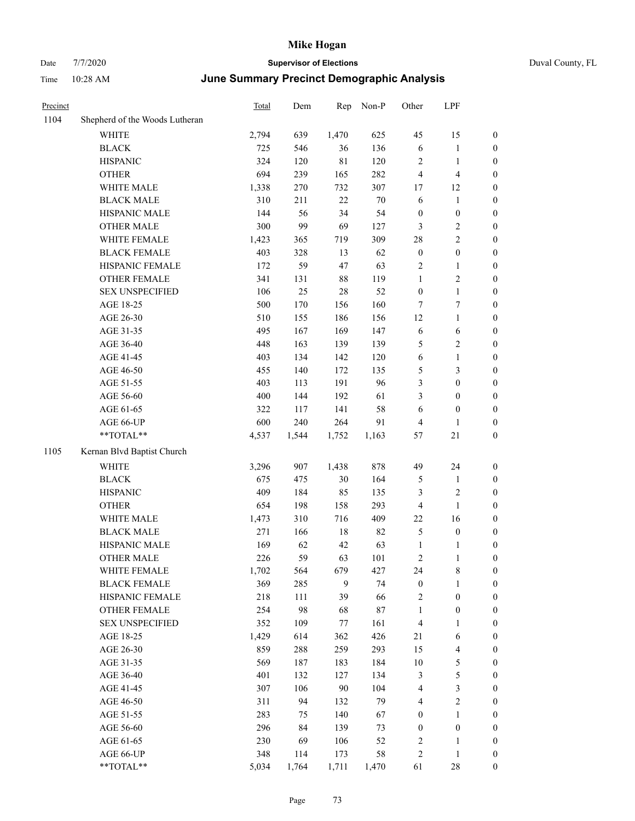| Precinct |                                | Total | Dem   | Rep            | Non-P  | Other            | LPF                     |                  |
|----------|--------------------------------|-------|-------|----------------|--------|------------------|-------------------------|------------------|
| 1104     | Shepherd of the Woods Lutheran |       |       |                |        |                  |                         |                  |
|          | <b>WHITE</b>                   | 2,794 | 639   | 1,470          | 625    | 45               | 15                      | $\boldsymbol{0}$ |
|          | <b>BLACK</b>                   | 725   | 546   | 36             | 136    | 6                | 1                       | $\boldsymbol{0}$ |
|          | <b>HISPANIC</b>                | 324   | 120   | $8\sqrt{1}$    | 120    | $\boldsymbol{2}$ | $\mathbf{1}$            | $\boldsymbol{0}$ |
|          | <b>OTHER</b>                   | 694   | 239   | 165            | 282    | $\overline{4}$   | $\overline{4}$          | $\boldsymbol{0}$ |
|          | WHITE MALE                     | 1,338 | 270   | 732            | 307    | 17               | 12                      | $\boldsymbol{0}$ |
|          | <b>BLACK MALE</b>              | 310   | 211   | 22             | 70     | 6                | $\mathbf{1}$            | $\boldsymbol{0}$ |
|          | HISPANIC MALE                  | 144   | 56    | 34             | 54     | $\boldsymbol{0}$ | $\boldsymbol{0}$        | $\boldsymbol{0}$ |
|          | <b>OTHER MALE</b>              | 300   | 99    | 69             | 127    | 3                | 2                       | $\boldsymbol{0}$ |
|          | WHITE FEMALE                   | 1,423 | 365   | 719            | 309    | 28               | 2                       | $\boldsymbol{0}$ |
|          | <b>BLACK FEMALE</b>            | 403   | 328   | 13             | 62     | $\boldsymbol{0}$ | $\boldsymbol{0}$        | $\boldsymbol{0}$ |
|          | HISPANIC FEMALE                | 172   | 59    | 47             | 63     | $\sqrt{2}$       | $\mathbf{1}$            | $\boldsymbol{0}$ |
|          | <b>OTHER FEMALE</b>            | 341   | 131   | $88\,$         | 119    | $\mathbf{1}$     | $\overline{c}$          | $\boldsymbol{0}$ |
|          | <b>SEX UNSPECIFIED</b>         | 106   | 25    | $28\,$         | 52     | $\boldsymbol{0}$ | $\mathbf{1}$            | $\boldsymbol{0}$ |
|          | AGE 18-25                      | 500   | 170   | 156            | 160    | 7                | 7                       | $\boldsymbol{0}$ |
|          | AGE 26-30                      | 510   | 155   | 186            | 156    | 12               | $\mathbf{1}$            | $\boldsymbol{0}$ |
|          | AGE 31-35                      | 495   | 167   | 169            | 147    | 6                | 6                       | $\boldsymbol{0}$ |
|          | AGE 36-40                      | 448   | 163   | 139            | 139    | $\mathfrak{H}$   | 2                       | $\boldsymbol{0}$ |
|          | AGE 41-45                      | 403   | 134   | 142            | 120    | 6                | $\mathbf{1}$            | $\boldsymbol{0}$ |
|          | AGE 46-50                      | 455   | 140   | 172            | 135    | $\mathfrak{S}$   | 3                       | $\boldsymbol{0}$ |
|          | AGE 51-55                      | 403   | 113   | 191            | 96     | 3                | $\boldsymbol{0}$        | $\boldsymbol{0}$ |
|          | AGE 56-60                      | 400   | 144   | 192            | 61     | 3                | $\boldsymbol{0}$        | $\boldsymbol{0}$ |
|          | AGE 61-65                      | 322   | 117   | 141            | 58     | 6                | $\boldsymbol{0}$        | $\boldsymbol{0}$ |
|          | AGE 66-UP                      | 600   | 240   | 264            | 91     | $\overline{4}$   | 1                       | $\boldsymbol{0}$ |
|          | **TOTAL**                      | 4,537 | 1,544 | 1,752          | 1,163  | 57               | 21                      | $\boldsymbol{0}$ |
| 1105     | Kernan Blvd Baptist Church     |       |       |                |        |                  |                         |                  |
|          | WHITE                          | 3,296 | 907   | 1,438          | 878    | 49               | 24                      | $\boldsymbol{0}$ |
|          | <b>BLACK</b>                   | 675   | 475   | $30\,$         | 164    | 5                | 1                       | $\boldsymbol{0}$ |
|          | <b>HISPANIC</b>                | 409   | 184   | 85             | 135    | $\mathfrak{Z}$   | 2                       | $\boldsymbol{0}$ |
|          | <b>OTHER</b>                   | 654   | 198   | 158            | 293    | $\overline{4}$   | $\mathbf{1}$            | $\boldsymbol{0}$ |
|          | WHITE MALE                     | 1,473 | 310   | 716            | 409    | 22               | 16                      | $\boldsymbol{0}$ |
|          | <b>BLACK MALE</b>              | 271   | 166   | 18             | 82     | $\mathfrak{S}$   | $\boldsymbol{0}$        | $\boldsymbol{0}$ |
|          | HISPANIC MALE                  | 169   | 62    | 42             | 63     | 1                | 1                       | $\boldsymbol{0}$ |
|          | <b>OTHER MALE</b>              | 226   | 59    | 63             | 101    | $\sqrt{2}$       | 1                       | $\boldsymbol{0}$ |
|          | WHITE FEMALE                   | 1,702 | 564   | 679            | 427    | 24               | 8                       | $\boldsymbol{0}$ |
|          | <b>BLACK FEMALE</b>            | 369   | 285   | $\overline{9}$ | 74     | $\boldsymbol{0}$ | 1                       | $\boldsymbol{0}$ |
|          | HISPANIC FEMALE                | 218   | 111   | 39             | 66     | $\sqrt{2}$       | $\boldsymbol{0}$        | $\boldsymbol{0}$ |
|          | <b>OTHER FEMALE</b>            | 254   | 98    | 68             | $87\,$ | $\mathbf{1}$     | $\boldsymbol{0}$        | $\boldsymbol{0}$ |
|          | <b>SEX UNSPECIFIED</b>         | 352   | 109   | 77             | 161    | $\overline{4}$   | 1                       | $\boldsymbol{0}$ |
|          | AGE 18-25                      | 1,429 | 614   | 362            | 426    | 21               | 6                       | $\boldsymbol{0}$ |
|          | AGE 26-30                      | 859   | 288   | 259            | 293    | 15               | 4                       | $\boldsymbol{0}$ |
|          | AGE 31-35                      | 569   | 187   | 183            | 184    | $10\,$           | 5                       | $\boldsymbol{0}$ |
|          | AGE 36-40                      | 401   | 132   | 127            | 134    | $\mathfrak{Z}$   | 5                       | $\boldsymbol{0}$ |
|          | AGE 41-45                      | 307   | 106   | $90\,$         | 104    | $\overline{4}$   | 3                       | $\boldsymbol{0}$ |
|          | AGE 46-50                      | 311   | 94    | 132            | 79     | $\overline{4}$   | $\overline{\mathbf{c}}$ | $\boldsymbol{0}$ |
|          | AGE 51-55                      | 283   | 75    | 140            | 67     | $\boldsymbol{0}$ | 1                       | $\boldsymbol{0}$ |
|          | AGE 56-60                      | 296   | 84    | 139            | 73     | $\boldsymbol{0}$ | $\boldsymbol{0}$        | $\boldsymbol{0}$ |
|          | AGE 61-65                      | 230   | 69    | 106            | 52     | $\sqrt{2}$       | 1                       | $\boldsymbol{0}$ |
|          | AGE 66-UP                      | 348   | 114   | 173            | 58     | $\sqrt{2}$       | $\mathbf{1}$            | $\boldsymbol{0}$ |
|          | **TOTAL**                      | 5,034 | 1,764 | 1,711          | 1,470  | 61               | 28                      | $\boldsymbol{0}$ |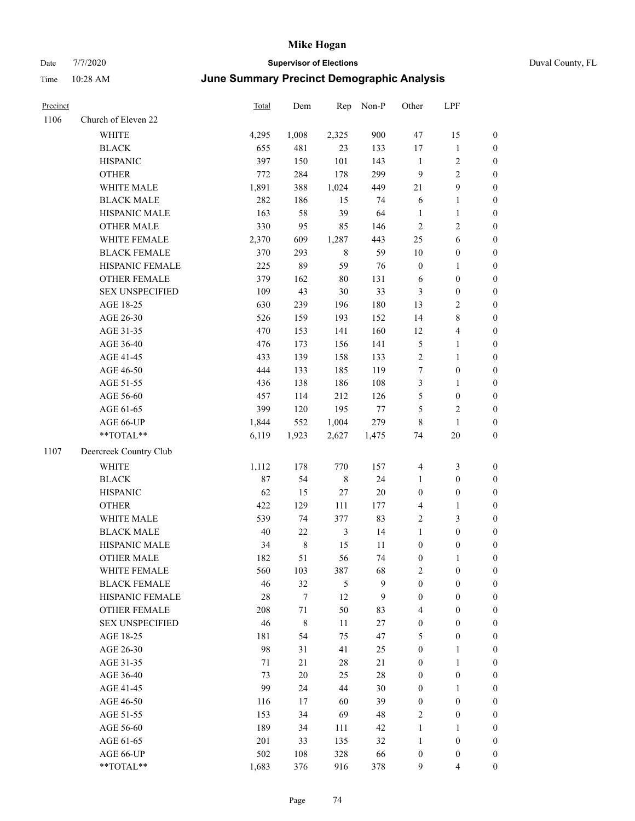| Precinct |                        | Total | Dem         | Rep            | Non-P  | Other            | LPF                      |                  |
|----------|------------------------|-------|-------------|----------------|--------|------------------|--------------------------|------------------|
| 1106     | Church of Eleven 22    |       |             |                |        |                  |                          |                  |
|          | WHITE                  | 4,295 | 1,008       | 2,325          | 900    | 47               | 15                       | $\boldsymbol{0}$ |
|          | <b>BLACK</b>           | 655   | 481         | 23             | 133    | 17               | $\mathbf{1}$             | $\boldsymbol{0}$ |
|          | <b>HISPANIC</b>        | 397   | 150         | 101            | 143    | $\mathbf{1}$     | $\overline{\mathbf{c}}$  | $\boldsymbol{0}$ |
|          | <b>OTHER</b>           | 772   | 284         | 178            | 299    | 9                | $\overline{c}$           | $\boldsymbol{0}$ |
|          | WHITE MALE             | 1,891 | 388         | 1,024          | 449    | 21               | 9                        | $\boldsymbol{0}$ |
|          | <b>BLACK MALE</b>      | 282   | 186         | 15             | 74     | 6                | 1                        | $\boldsymbol{0}$ |
|          | HISPANIC MALE          | 163   | 58          | 39             | 64     | $\mathbf{1}$     | 1                        | $\boldsymbol{0}$ |
|          | <b>OTHER MALE</b>      | 330   | 95          | 85             | 146    | $\sqrt{2}$       | 2                        | $\boldsymbol{0}$ |
|          | WHITE FEMALE           | 2,370 | 609         | 1,287          | 443    | 25               | 6                        | $\boldsymbol{0}$ |
|          | <b>BLACK FEMALE</b>    | 370   | 293         | $\,8\,$        | 59     | 10               | $\boldsymbol{0}$         | $\boldsymbol{0}$ |
|          | HISPANIC FEMALE        | 225   | 89          | 59             | 76     | $\boldsymbol{0}$ | $\mathbf{1}$             | $\boldsymbol{0}$ |
|          | <b>OTHER FEMALE</b>    | 379   | 162         | 80             | 131    | 6                | $\boldsymbol{0}$         | $\boldsymbol{0}$ |
|          | <b>SEX UNSPECIFIED</b> | 109   | 43          | $30\,$         | 33     | $\mathfrak{Z}$   | $\boldsymbol{0}$         | $\boldsymbol{0}$ |
|          | AGE 18-25              | 630   | 239         | 196            | 180    | 13               | 2                        | $\boldsymbol{0}$ |
|          | AGE 26-30              | 526   | 159         | 193            | 152    | 14               | 8                        | $\boldsymbol{0}$ |
|          | AGE 31-35              | 470   | 153         | 141            | 160    | 12               | 4                        | $\boldsymbol{0}$ |
|          | AGE 36-40              | 476   | 173         | 156            | 141    | $\mathfrak{S}$   | 1                        | $\boldsymbol{0}$ |
|          | AGE 41-45              | 433   | 139         | 158            | 133    | $\sqrt{2}$       | 1                        | $\boldsymbol{0}$ |
|          | AGE 46-50              | 444   | 133         | 185            | 119    | $\tau$           | $\boldsymbol{0}$         | $\boldsymbol{0}$ |
|          | AGE 51-55              | 436   | 138         | 186            | 108    | 3                | 1                        | $\boldsymbol{0}$ |
|          | AGE 56-60              | 457   | 114         | 212            | 126    | 5                | $\boldsymbol{0}$         | $\boldsymbol{0}$ |
|          | AGE 61-65              | 399   | 120         | 195            | 77     | 5                | 2                        | $\boldsymbol{0}$ |
|          | AGE 66-UP              | 1,844 | 552         | 1,004          | 279    | $\,$ 8 $\,$      | $\mathbf{1}$             | $\boldsymbol{0}$ |
|          | **TOTAL**              | 6,119 | 1,923       | 2,627          | 1,475  | 74               | 20                       | $\boldsymbol{0}$ |
| 1107     | Deercreek Country Club |       |             |                |        |                  |                          |                  |
|          | <b>WHITE</b>           | 1,112 | 178         | 770            | 157    | $\overline{4}$   | 3                        | $\boldsymbol{0}$ |
|          | <b>BLACK</b>           | 87    | 54          | $\,$ 8 $\,$    | 24     | 1                | $\boldsymbol{0}$         | $\boldsymbol{0}$ |
|          | <b>HISPANIC</b>        | 62    | 15          | 27             | $20\,$ | $\boldsymbol{0}$ | $\boldsymbol{0}$         | $\boldsymbol{0}$ |
|          | <b>OTHER</b>           | 422   | 129         | 111            | 177    | $\overline{4}$   | 1                        | $\boldsymbol{0}$ |
|          | WHITE MALE             | 539   | 74          | 377            | 83     | $\sqrt{2}$       | 3                        | $\boldsymbol{0}$ |
|          | <b>BLACK MALE</b>      | 40    | $22\,$      | $\mathfrak{Z}$ | 14     | $\mathbf{1}$     | $\boldsymbol{0}$         | $\boldsymbol{0}$ |
|          | HISPANIC MALE          | 34    | $\,$ 8 $\,$ | 15             | 11     | $\boldsymbol{0}$ | $\boldsymbol{0}$         | $\boldsymbol{0}$ |
|          | <b>OTHER MALE</b>      | 182   | 51          | 56             | 74     | $\boldsymbol{0}$ | 1                        | $\boldsymbol{0}$ |
|          | WHITE FEMALE           | 560   | 103         | 387            | 68     | $\sqrt{2}$       | $\boldsymbol{0}$         | $\mathbf{0}$     |
|          | <b>BLACK FEMALE</b>    | 46    | 32          | $\mathfrak{H}$ | 9      | $\boldsymbol{0}$ | $\boldsymbol{0}$         | $\boldsymbol{0}$ |
|          | HISPANIC FEMALE        | 28    | $\tau$      | 12             | 9      | $\boldsymbol{0}$ | $\boldsymbol{0}$         | $\boldsymbol{0}$ |
|          | OTHER FEMALE           | 208   | 71          | 50             | 83     | $\overline{4}$   | $\boldsymbol{0}$         | $\boldsymbol{0}$ |
|          | <b>SEX UNSPECIFIED</b> | 46    | $\,$ 8 $\,$ | 11             | $27\,$ | $\boldsymbol{0}$ | $\boldsymbol{0}$         | $\boldsymbol{0}$ |
|          | AGE 18-25              | 181   | 54          | 75             | 47     | 5                | $\boldsymbol{0}$         | $\boldsymbol{0}$ |
|          | AGE 26-30              | 98    | 31          | 41             | 25     | $\boldsymbol{0}$ | 1                        | $\boldsymbol{0}$ |
|          | AGE 31-35              | 71    | 21          | $28\,$         | 21     | $\boldsymbol{0}$ | $\mathbf{1}$             | $\boldsymbol{0}$ |
|          | AGE 36-40              | 73    | 20          | 25             | 28     | $\boldsymbol{0}$ | $\boldsymbol{0}$         | $\boldsymbol{0}$ |
|          | AGE 41-45              | 99    | 24          | 44             | 30     | $\boldsymbol{0}$ | 1                        | $\boldsymbol{0}$ |
|          | AGE 46-50              | 116   | 17          | 60             | 39     | $\boldsymbol{0}$ | $\boldsymbol{0}$         | $\boldsymbol{0}$ |
|          | AGE 51-55              | 153   | 34          | 69             | 48     | $\sqrt{2}$       | $\boldsymbol{0}$         | $\boldsymbol{0}$ |
|          | AGE 56-60              | 189   | 34          | 111            | 42     | $\mathbf{1}$     | 1                        | $\boldsymbol{0}$ |
|          | AGE 61-65              | 201   | 33          | 135            | 32     | $\mathbf{1}$     | $\boldsymbol{0}$         | $\boldsymbol{0}$ |
|          | AGE 66-UP              | 502   | 108         | 328            | 66     | $\boldsymbol{0}$ | $\boldsymbol{0}$         | $\boldsymbol{0}$ |
|          | **TOTAL**              | 1,683 | 376         | 916            | 378    | 9                | $\overline{\mathcal{L}}$ | $\boldsymbol{0}$ |
|          |                        |       |             |                |        |                  |                          |                  |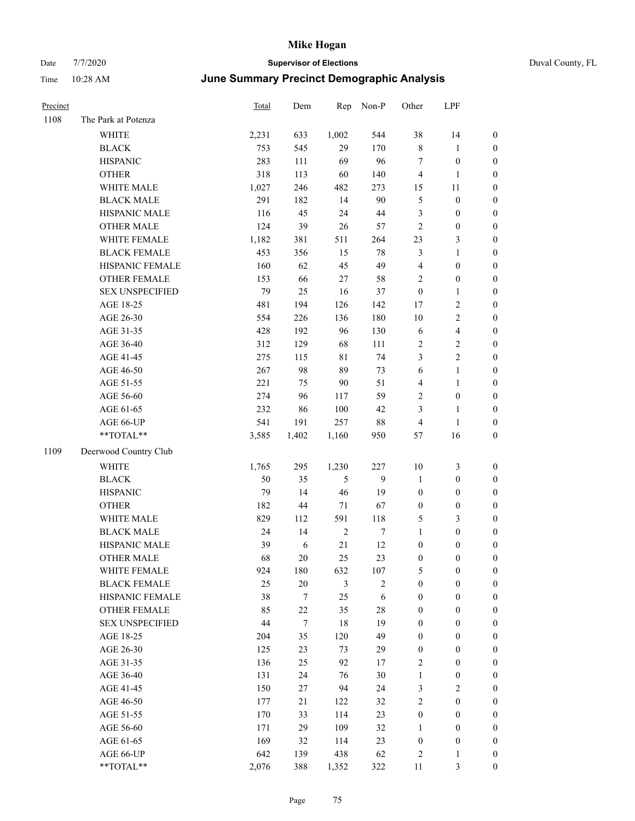| Duval County, FL |  |  |
|------------------|--|--|
|------------------|--|--|

| Precinct |                        | <b>Total</b> | Dem              |                | Rep Non-P  | Other            | LPF              |                  |
|----------|------------------------|--------------|------------------|----------------|------------|------------------|------------------|------------------|
| 1108     | The Park at Potenza    |              |                  |                |            |                  |                  |                  |
|          | WHITE                  | 2,231        | 633              | 1,002          | 544        | 38               | 14               | $\boldsymbol{0}$ |
|          | <b>BLACK</b>           | 753          | 545              | 29             | 170        | $\,$ 8 $\,$      | $\mathbf{1}$     | $\boldsymbol{0}$ |
|          | <b>HISPANIC</b>        | 283          | 111              | 69             | 96         | 7                | $\boldsymbol{0}$ | $\boldsymbol{0}$ |
|          | <b>OTHER</b>           | 318          | 113              | 60             | 140        | 4                | $\mathbf{1}$     | $\boldsymbol{0}$ |
|          | WHITE MALE             | 1,027        | 246              | 482            | 273        | 15               | 11               | $\boldsymbol{0}$ |
|          | <b>BLACK MALE</b>      | 291          | 182              | 14             | 90         | 5                | $\boldsymbol{0}$ | $\boldsymbol{0}$ |
|          | HISPANIC MALE          | 116          | 45               | 24             | $44\,$     | 3                | $\boldsymbol{0}$ | $\boldsymbol{0}$ |
|          | <b>OTHER MALE</b>      | 124          | 39               | 26             | 57         | $\sqrt{2}$       | $\boldsymbol{0}$ | $\boldsymbol{0}$ |
|          | WHITE FEMALE           | 1,182        | 381              | 511            | 264        | 23               | $\mathfrak{Z}$   | $\boldsymbol{0}$ |
|          | <b>BLACK FEMALE</b>    | 453          | 356              | 15             | 78         | 3                | $\mathbf{1}$     | 0                |
|          | HISPANIC FEMALE        | 160          | 62               | 45             | 49         | $\overline{4}$   | $\boldsymbol{0}$ | 0                |
|          | OTHER FEMALE           | 153          | 66               | $27\,$         | 58         | 2                | $\boldsymbol{0}$ | $\boldsymbol{0}$ |
|          | <b>SEX UNSPECIFIED</b> | 79           | 25               | 16             | 37         | $\boldsymbol{0}$ | $\mathbf{1}$     | $\boldsymbol{0}$ |
|          | AGE 18-25              | 481          | 194              | 126            | 142        | 17               | $\sqrt{2}$       | $\boldsymbol{0}$ |
|          | AGE 26-30              | 554          | 226              | 136            | 180        | 10               | $\sqrt{2}$       | $\boldsymbol{0}$ |
|          | AGE 31-35              | 428          | 192              | 96             | 130        | 6                | $\overline{4}$   | $\boldsymbol{0}$ |
|          | AGE 36-40              | 312          | 129              | 68             | 111        | $\overline{c}$   | $\sqrt{2}$       | $\boldsymbol{0}$ |
|          | AGE 41-45              | 275          | 115              | $8\sqrt{1}$    | 74         | 3                | $\overline{c}$   | $\boldsymbol{0}$ |
|          | AGE 46-50              | 267          | 98               | 89             | 73         | 6                | $\mathbf{1}$     | $\boldsymbol{0}$ |
|          | AGE 51-55              | 221          | 75               | 90             | 51         | $\overline{4}$   | $\mathbf{1}$     | 0                |
|          | AGE 56-60              | 274          | 96               | 117            | 59         | 2                | $\boldsymbol{0}$ | 0                |
|          | AGE 61-65              | 232          | 86               | 100            | 42         | 3                | $\mathbf{1}$     | 0                |
|          | AGE 66-UP              | 541          | 191              | 257            | $88\,$     | $\overline{4}$   | $\mathbf{1}$     | $\boldsymbol{0}$ |
|          | $**TOTAL**$            | 3,585        | 1,402            | 1,160          | 950        | 57               | 16               | $\boldsymbol{0}$ |
| 1109     | Deerwood Country Club  |              |                  |                |            |                  |                  |                  |
|          | <b>WHITE</b>           | 1,765        | 295              | 1,230          | 227        | 10               | 3                | $\boldsymbol{0}$ |
|          | <b>BLACK</b>           | 50           | 35               | $\mathfrak{H}$ | 9          | $\mathbf{1}$     | $\boldsymbol{0}$ | $\boldsymbol{0}$ |
|          | <b>HISPANIC</b>        | 79           | 14               | 46             | 19         | $\boldsymbol{0}$ | $\boldsymbol{0}$ | $\boldsymbol{0}$ |
|          | <b>OTHER</b>           | 182          | 44               | 71             | 67         | $\boldsymbol{0}$ | $\boldsymbol{0}$ | $\boldsymbol{0}$ |
|          | WHITE MALE             | 829          | 112              | 591            | 118        | 5                | $\mathfrak{Z}$   | $\boldsymbol{0}$ |
|          | <b>BLACK MALE</b>      | 24           | 14               | $\sqrt{2}$     | 7          | $\mathbf{1}$     | $\boldsymbol{0}$ | $\boldsymbol{0}$ |
|          | HISPANIC MALE          | 39           | 6                | 21             | 12         | $\boldsymbol{0}$ | 0                | $\boldsymbol{0}$ |
|          | <b>OTHER MALE</b>      | 68           | 20               | 25             | 23         | $\boldsymbol{0}$ | $\boldsymbol{0}$ | $\overline{0}$   |
|          | WHITE FEMALE           | 924          | 180              | 632            | 107        | 5                | $\boldsymbol{0}$ | $\boldsymbol{0}$ |
|          | <b>BLACK FEMALE</b>    | 25           | $20\,$           | $\mathfrak{Z}$ | $\sqrt{2}$ | $\boldsymbol{0}$ | $\boldsymbol{0}$ | $\boldsymbol{0}$ |
|          | HISPANIC FEMALE        | 38           | $\tau$           | 25             | 6          | $\boldsymbol{0}$ | $\boldsymbol{0}$ | $\boldsymbol{0}$ |
|          | <b>OTHER FEMALE</b>    | 85           | 22               | 35             | $28\,$     | $\boldsymbol{0}$ | $\boldsymbol{0}$ | $\overline{0}$   |
|          | <b>SEX UNSPECIFIED</b> | 44           | $\boldsymbol{7}$ | 18             | 19         | $\boldsymbol{0}$ | $\boldsymbol{0}$ | $\overline{0}$   |
|          | AGE 18-25              | 204          | 35               | 120            | 49         | $\boldsymbol{0}$ | $\boldsymbol{0}$ | $\overline{0}$   |
|          | AGE 26-30              | 125          | 23               | 73             | 29         | $\boldsymbol{0}$ | $\boldsymbol{0}$ | $\overline{0}$   |
|          | AGE 31-35              | 136          | 25               | 92             | 17         | $\mathbf{2}$     | $\boldsymbol{0}$ | $\boldsymbol{0}$ |
|          | AGE 36-40              | 131          | 24               | 76             | 30         | $\mathbf{1}$     | $\boldsymbol{0}$ | 0                |
|          | AGE 41-45              | 150          | 27               | 94             | 24         | 3                | $\sqrt{2}$       | 0                |
|          | AGE 46-50              | 177          | 21               | 122            | 32         | $\sqrt{2}$       | $\boldsymbol{0}$ | $\boldsymbol{0}$ |
|          | AGE 51-55              | 170          | 33               | 114            | 23         | $\boldsymbol{0}$ | $\boldsymbol{0}$ | $\boldsymbol{0}$ |
|          | AGE 56-60              | 171          | 29               | 109            | 32         | $\mathbf{1}$     | $\boldsymbol{0}$ | $\boldsymbol{0}$ |
|          | AGE 61-65              | 169          | 32               | 114            | 23         | $\boldsymbol{0}$ | $\boldsymbol{0}$ | $\boldsymbol{0}$ |
|          | AGE 66-UP              | 642          | 139              | 438            | 62         | $\sqrt{2}$       | $\mathbf{1}$     | $\boldsymbol{0}$ |
|          | **TOTAL**              | 2,076        | 388              | 1,352          | 322        | 11               | 3                | $\overline{0}$   |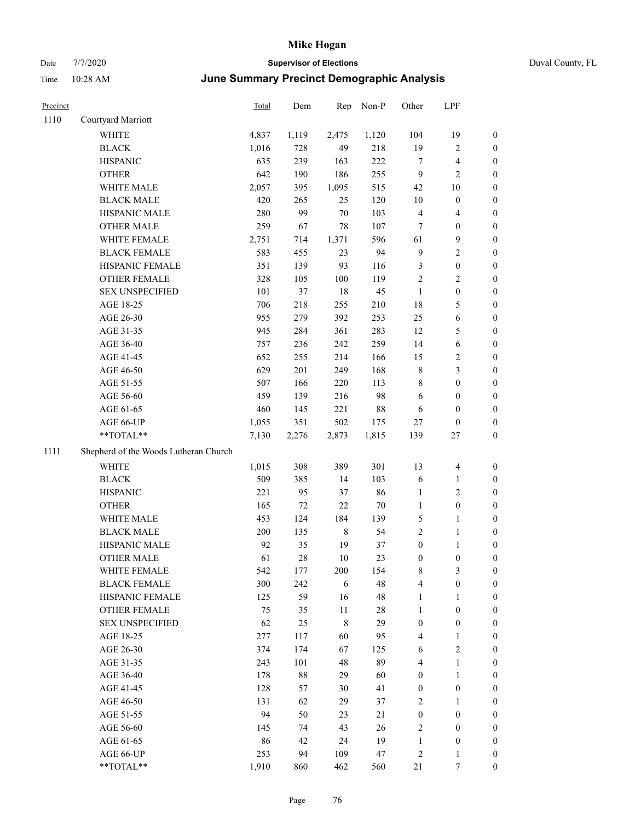| Precinct |                                       | Total | Dem   | Rep         | Non-P  | Other            | LPF              |                  |
|----------|---------------------------------------|-------|-------|-------------|--------|------------------|------------------|------------------|
| 1110     | Courtyard Marriott                    |       |       |             |        |                  |                  |                  |
|          | WHITE                                 | 4,837 | 1,119 | 2,475       | 1,120  | 104              | 19               | $\boldsymbol{0}$ |
|          | <b>BLACK</b>                          | 1,016 | 728   | 49          | 218    | 19               | 2                | $\boldsymbol{0}$ |
|          | <b>HISPANIC</b>                       | 635   | 239   | 163         | 222    | $\tau$           | 4                | $\boldsymbol{0}$ |
|          | <b>OTHER</b>                          | 642   | 190   | 186         | 255    | 9                | 2                | $\boldsymbol{0}$ |
|          | WHITE MALE                            | 2,057 | 395   | 1,095       | 515    | 42               | 10               | $\boldsymbol{0}$ |
|          | <b>BLACK MALE</b>                     | 420   | 265   | 25          | 120    | $10\,$           | $\boldsymbol{0}$ | $\boldsymbol{0}$ |
|          | HISPANIC MALE                         | 280   | 99    | $70\,$      | 103    | $\overline{4}$   | 4                | $\boldsymbol{0}$ |
|          | <b>OTHER MALE</b>                     | 259   | 67    | 78          | 107    | 7                | $\boldsymbol{0}$ | $\boldsymbol{0}$ |
|          | WHITE FEMALE                          | 2,751 | 714   | 1,371       | 596    | 61               | 9                | $\boldsymbol{0}$ |
|          | <b>BLACK FEMALE</b>                   | 583   | 455   | 23          | 94     | $\overline{9}$   | 2                | $\boldsymbol{0}$ |
|          | HISPANIC FEMALE                       | 351   | 139   | 93          | 116    | $\mathfrak z$    | $\boldsymbol{0}$ | $\boldsymbol{0}$ |
|          | <b>OTHER FEMALE</b>                   | 328   | 105   | 100         | 119    | $\overline{2}$   | 2                | $\boldsymbol{0}$ |
|          | <b>SEX UNSPECIFIED</b>                | 101   | 37    | 18          | 45     | $\mathbf{1}$     | $\boldsymbol{0}$ | $\boldsymbol{0}$ |
|          | AGE 18-25                             | 706   | 218   | 255         | 210    | 18               | 5                | $\boldsymbol{0}$ |
|          | AGE 26-30                             | 955   | 279   | 392         | 253    | 25               | 6                | $\boldsymbol{0}$ |
|          | AGE 31-35                             | 945   | 284   | 361         | 283    | 12               | 5                | $\boldsymbol{0}$ |
|          | AGE 36-40                             | 757   | 236   | 242         | 259    | 14               | 6                | $\boldsymbol{0}$ |
|          | AGE 41-45                             | 652   | 255   | 214         | 166    | 15               | 2                | $\boldsymbol{0}$ |
|          | AGE 46-50                             | 629   | 201   | 249         | 168    | $\,$ 8 $\,$      | 3                | $\boldsymbol{0}$ |
|          | AGE 51-55                             | 507   | 166   | 220         | 113    | $\,$ 8 $\,$      | $\boldsymbol{0}$ | $\boldsymbol{0}$ |
|          | AGE 56-60                             | 459   | 139   | 216         | 98     | 6                | $\boldsymbol{0}$ | $\boldsymbol{0}$ |
|          | AGE 61-65                             | 460   | 145   | 221         | 88     | 6                | $\boldsymbol{0}$ | $\boldsymbol{0}$ |
|          | AGE 66-UP                             | 1,055 | 351   | 502         | 175    | 27               | $\boldsymbol{0}$ | $\boldsymbol{0}$ |
|          | **TOTAL**                             | 7,130 | 2,276 | 2,873       | 1,815  | 139              | 27               | $\boldsymbol{0}$ |
| 1111     | Shepherd of the Woods Lutheran Church |       |       |             |        |                  |                  |                  |
|          | WHITE                                 | 1,015 | 308   | 389         | 301    | 13               | 4                | $\boldsymbol{0}$ |
|          | <b>BLACK</b>                          | 509   | 385   | 14          | 103    | 6                | 1                | $\boldsymbol{0}$ |
|          | <b>HISPANIC</b>                       | 221   | 95    | 37          | 86     | $\mathbf{1}$     | 2                | $\boldsymbol{0}$ |
|          | <b>OTHER</b>                          | 165   | 72    | 22          | $70\,$ | $\mathbf{1}$     | $\boldsymbol{0}$ | $\boldsymbol{0}$ |
|          | WHITE MALE                            | 453   | 124   | 184         | 139    | $\mathfrak{S}$   | 1                | $\boldsymbol{0}$ |
|          | <b>BLACK MALE</b>                     | 200   | 135   | $\,$ 8 $\,$ | 54     | $\sqrt{2}$       | 1                | $\boldsymbol{0}$ |
|          | HISPANIC MALE                         | 92    | 35    | 19          | 37     | $\boldsymbol{0}$ | 1                | $\boldsymbol{0}$ |
|          | <b>OTHER MALE</b>                     | 61    | 28    | 10          | 23     | $\boldsymbol{0}$ | $\boldsymbol{0}$ | $\boldsymbol{0}$ |
|          | WHITE FEMALE                          | 542   | 177   | 200         | 154    | $\,$ 8 $\,$      | 3                | $\boldsymbol{0}$ |
|          | <b>BLACK FEMALE</b>                   | 300   | 242   | 6           | 48     | $\overline{4}$   | $\boldsymbol{0}$ | $\boldsymbol{0}$ |
|          | HISPANIC FEMALE                       | 125   | 59    | 16          | 48     | $\mathbf{1}$     | 1                | $\boldsymbol{0}$ |
|          | OTHER FEMALE                          | 75    | 35    | 11          | $28\,$ | $\mathbf{1}$     | $\boldsymbol{0}$ | $\boldsymbol{0}$ |
|          | <b>SEX UNSPECIFIED</b>                | 62    | 25    | $\,8\,$     | 29     | $\boldsymbol{0}$ | $\boldsymbol{0}$ | $\boldsymbol{0}$ |
|          | AGE 18-25                             | 277   | 117   | 60          | 95     | $\overline{4}$   | $\mathbf{1}$     | $\boldsymbol{0}$ |
|          | AGE 26-30                             | 374   | 174   | 67          | 125    | 6                | $\overline{c}$   | $\boldsymbol{0}$ |
|          | AGE 31-35                             | 243   | 101   | 48          | 89     | $\overline{4}$   | 1                | $\boldsymbol{0}$ |
|          | AGE 36-40                             | 178   | 88    | 29          | 60     | $\boldsymbol{0}$ | 1                | $\boldsymbol{0}$ |
|          | AGE 41-45                             | 128   | 57    | 30          | 41     | $\boldsymbol{0}$ | $\boldsymbol{0}$ | $\boldsymbol{0}$ |
|          | AGE 46-50                             | 131   | 62    | 29          | 37     | $\sqrt{2}$       | 1                | $\boldsymbol{0}$ |
|          | AGE 51-55                             | 94    | 50    | 23          | 21     | $\boldsymbol{0}$ | $\boldsymbol{0}$ | $\boldsymbol{0}$ |
|          | AGE 56-60                             | 145   | 74    | 43          | $26\,$ | $\sqrt{2}$       | $\boldsymbol{0}$ | $\boldsymbol{0}$ |
|          | AGE 61-65                             | 86    | 42    | 24          | 19     | $\mathbf{1}$     | $\boldsymbol{0}$ | $\boldsymbol{0}$ |
|          | AGE 66-UP                             | 253   | 94    | 109         | 47     | $\sqrt{2}$       | 1                | $\mathbf{0}$     |
|          | **TOTAL**                             | 1,910 | 860   | 462         | 560    | 21               | 7                | $\boldsymbol{0}$ |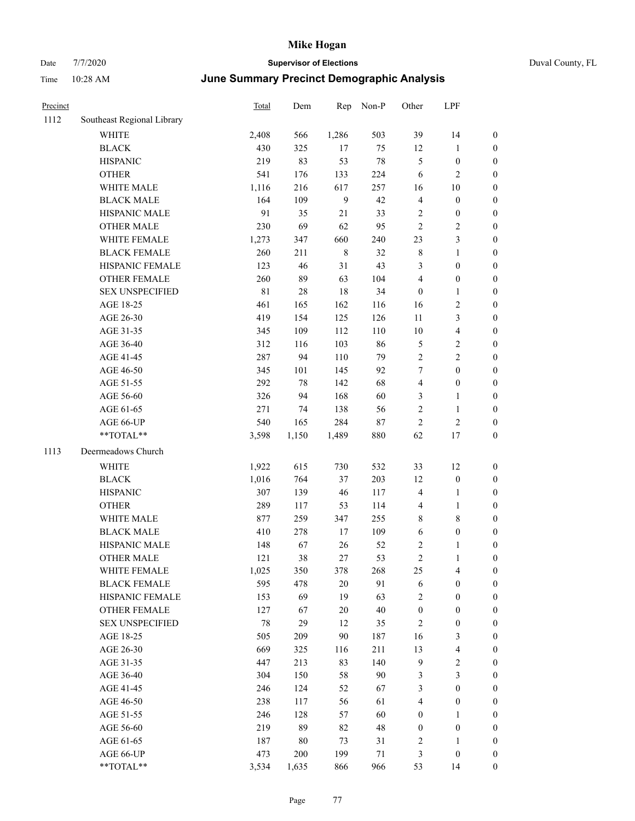| Precinct |                            | Total | Dem |       | Non-P | Other          | LPF            |              |  |
|----------|----------------------------|-------|-----|-------|-------|----------------|----------------|--------------|--|
| 1112     | Southeast Regional Library |       |     | Rep   |       |                |                |              |  |
|          | <b>WHITE</b>               | 2,408 | 566 | 1,286 | 503   | 39             | 14             | $\mathbf{0}$ |  |
|          | <b>BLACK</b>               | 430   | 325 | 17    | 75    | 12             | 1              | $\Omega$     |  |
|          | <b>HISPANIC</b>            | 219   | 83  | 53    | 78    | 5              | $\mathbf{0}$   | $\mathbf{0}$ |  |
|          | <b>OTHER</b>               | 541   | 176 | 133   | 224   | 6              | $\overline{2}$ | $\theta$     |  |
|          | <b>WHITE MALE</b>          | 1,116 | 216 | 617   | 257   | 16             | 10             | $\theta$     |  |
|          | <b>BLACK MALE</b>          | 164   | 109 | 9     | 42    | 4              | $\mathbf{0}$   | $\mathbf{0}$ |  |
|          | <b>HISPANIC MALE</b>       | 91    | 35  | 21    | 33    | $\overline{c}$ | $\theta$       | $\theta$     |  |
|          | <b>OTHER MALE</b>          | 230   | 69  | 62    | 95    | $\overline{2}$ | $\overline{c}$ | $\theta$     |  |
|          | WHITE FEMALE               | 1,273 | 347 | 660   | 240   | 23             | 3              | $\mathbf{0}$ |  |
|          | <b>BLACK FEMALE</b>        | 260   | 211 | 8     | 32    | 8              | 1              | $\mathbf{0}$ |  |
|          | <b>HISPANIC FEMALE</b>     | 123   | 46  | 31    | 43    | 3              | $\Omega$       | $\Omega$     |  |
|          | <b>OTHER FEMALE</b>        | 260   | 89  | 63    | 104   | 4              | $\mathbf{0}$   | $\mathbf{0}$ |  |
|          | <b>SEX UNSPECIFIED</b>     | 81    | 28  | 18    | 34    | $\Omega$       | 1              | $\theta$     |  |
|          | AGE 18-25                  | 461   | 165 | 162   | 116   | 16             | $\overline{c}$ | $\theta$     |  |
|          | AGE 26-30                  | 419   | 154 | 125   | 126   | 11             | 3              | $\mathbf{0}$ |  |
|          | AGE 31-35                  | 345   | 109 | 112   | 110   | 10             | $\overline{4}$ | $\theta$     |  |
|          | AGE 36-40                  | 312   | 116 | 103   | 86    | 5              | 2              | $\Omega$     |  |
|          | AGE 41-45                  | 287   | 94  | 110   | 79    | 2              | 2              | 0            |  |
|          | AGE 46-50                  | 345   | 101 | 145   | 92    | 7              | $\theta$       | $\theta$     |  |
|          |                            |       |     |       |       |                |                |              |  |

|      | ,,,,,,,                                                     | $-$ , $\sim$ | $\sim$ | 1,000       |        | -                       | . .                     |                  |
|------|-------------------------------------------------------------|--------------|--------|-------------|--------|-------------------------|-------------------------|------------------|
|      | <b>BLACK</b>                                                | 430          | 325    | 17          | 75     | 12                      | $\mathbf{1}$            | $\boldsymbol{0}$ |
|      | <b>HISPANIC</b>                                             | 219          | 83     | 53          | $78\,$ | 5                       | $\boldsymbol{0}$        | $\bf{0}$         |
|      | <b>OTHER</b>                                                | 541          | 176    | 133         | 224    | $\sqrt{6}$              | $\sqrt{2}$              | $\boldsymbol{0}$ |
|      | WHITE MALE                                                  | 1,116        | 216    | 617         | 257    | 16                      | $10\,$                  | $\mathbf{0}$     |
|      | <b>BLACK MALE</b>                                           | 164          | 109    | 9           | 42     | $\overline{4}$          | $\boldsymbol{0}$        | $\mathbf{0}$     |
|      | HISPANIC MALE                                               | 91           | 35     | 21          | 33     | $\overline{2}$          | $\boldsymbol{0}$        | $\mathbf{0}$     |
|      | <b>OTHER MALE</b>                                           | 230          | 69     | 62          | 95     | $\overline{2}$          | $\mathfrak{2}$          | $\mathbf{0}$     |
|      | WHITE FEMALE                                                | 1,273        | 347    | 660         | 240    | 23                      | 3                       | $\boldsymbol{0}$ |
|      | <b>BLACK FEMALE</b>                                         | 260          | 211    | $\,$ 8 $\,$ | 32     | $\,$ 8 $\,$             | $\mathbf{1}$            | $\boldsymbol{0}$ |
|      | HISPANIC FEMALE                                             | 123          | 46     | 31          | 43     | $\mathfrak{Z}$          | $\boldsymbol{0}$        | $\boldsymbol{0}$ |
|      | OTHER FEMALE                                                | 260          | 89     | 63          | 104    | $\overline{\mathbf{4}}$ | $\boldsymbol{0}$        | $\boldsymbol{0}$ |
|      | <b>SEX UNSPECIFIED</b>                                      | $81\,$       | $28\,$ | $18\,$      | 34     | $\boldsymbol{0}$        | $\mathbf{1}$            | $\boldsymbol{0}$ |
|      | AGE 18-25                                                   | 461          | 165    | 162         | 116    | 16                      | $\sqrt{2}$              | $\boldsymbol{0}$ |
|      | AGE 26-30                                                   | 419          | 154    | 125         | 126    | 11                      | 3                       | $\mathbf{0}$     |
|      | AGE 31-35                                                   | 345          | 109    | 112         | 110    | $10\,$                  | $\overline{4}$          | $\mathbf{0}$     |
|      | AGE 36-40                                                   | 312          | 116    | 103         | 86     | 5                       | $\overline{2}$          | $\boldsymbol{0}$ |
|      | AGE 41-45                                                   | 287          | 94     | 110         | 79     | $\overline{2}$          | $\overline{2}$          | $\mathbf{0}$     |
|      | AGE 46-50                                                   | 345          | 101    | 145         | 92     | $\tau$                  | $\boldsymbol{0}$        | $\boldsymbol{0}$ |
|      | AGE 51-55                                                   | 292          | $78\,$ | 142         | 68     | $\overline{\mathbf{4}}$ | $\boldsymbol{0}$        | $\bf{0}$         |
|      | AGE 56-60                                                   | 326          | 94     | 168         | 60     | $\mathfrak{Z}$          | 1                       | $\bf{0}$         |
|      | AGE 61-65                                                   | 271          | 74     | 138         | 56     | $\sqrt{2}$              | $\mathbf{1}$            | $\bf{0}$         |
|      | AGE 66-UP                                                   | 540          | 165    | 284         | 87     | $\sqrt{2}$              | $\sqrt{2}$              | $\mathbf{0}$     |
|      | $**TOTAL**$                                                 | 3,598        | 1,150  | 1,489       | 880    | 62                      | 17                      | $\boldsymbol{0}$ |
| 1113 | Deermeadows Church                                          |              |        |             |        |                         |                         |                  |
|      | WHITE                                                       | 1,922        | 615    | 730         | 532    | 33                      | 12                      | $\bf{0}$         |
|      | <b>BLACK</b>                                                | 1,016        | 764    | 37          | 203    | 12                      | $\boldsymbol{0}$        | $\mathbf{0}$     |
|      | <b>HISPANIC</b>                                             | 307          | 139    | 46          | 117    | $\overline{4}$          | 1                       | $\mathbf{0}$     |
|      | <b>OTHER</b>                                                | 289          | 117    | 53          | 114    | $\overline{4}$          | $\mathbf{1}$            | $\boldsymbol{0}$ |
|      | WHITE MALE                                                  | 877          | 259    | 347         | 255    | 8                       | $\,$ 8 $\,$             | $\mathbf{0}$     |
|      | <b>BLACK MALE</b>                                           | 410          | 278    | 17          | 109    | 6                       | $\boldsymbol{0}$        | $\boldsymbol{0}$ |
|      | HISPANIC MALE                                               | 148          | 67     | 26          | 52     | $\sqrt{2}$              | $\mathbf{1}$            | $\bf{0}$         |
|      | <b>OTHER MALE</b>                                           | 121          | 38     | 27          | 53     | $\sqrt{2}$              | $\mathbf{1}$            | $\bf{0}$         |
|      | WHITE FEMALE                                                | 1,025        | 350    | 378         | 268    | 25                      | $\overline{4}$          | $\bf{0}$         |
|      | <b>BLACK FEMALE</b>                                         | 595          | 478    | $20\,$      | 91     | 6                       | 0                       | $\boldsymbol{0}$ |
|      | HISPANIC FEMALE                                             | 153          | 69     | 19          | 63     | $\mathfrak{2}$          | $\boldsymbol{0}$        | $\boldsymbol{0}$ |
|      | <b>OTHER FEMALE</b>                                         | 127          | 67     | $20\,$      | $40\,$ | $\boldsymbol{0}$        | $\boldsymbol{0}$        | $\boldsymbol{0}$ |
|      | <b>SEX UNSPECIFIED</b>                                      | $78\,$       | 29     | 12          | 35     | $\sqrt{2}$              | $\boldsymbol{0}$        | $\boldsymbol{0}$ |
|      | AGE 18-25                                                   | 505          | 209    | 90          | 187    | 16                      | 3                       | $\boldsymbol{0}$ |
|      | AGE 26-30                                                   | 669          | 325    | 116         | 211    | 13                      | $\overline{\mathbf{4}}$ | $\boldsymbol{0}$ |
|      | AGE 31-35                                                   | 447          | 213    | 83          | 140    | $\overline{9}$          | $\sqrt{2}$              | $\boldsymbol{0}$ |
|      | AGE 36-40                                                   | 304          | 150    | 58          | 90     | 3                       | 3                       | $\boldsymbol{0}$ |
|      | AGE 41-45                                                   | 246          | 124    | 52          | 67     | $\mathfrak{Z}$          | $\boldsymbol{0}$        | $\boldsymbol{0}$ |
|      | AGE 46-50                                                   | 238          | 117    | 56          | 61     | $\overline{\mathbf{4}}$ | $\boldsymbol{0}$        | $\boldsymbol{0}$ |
|      | AGE 51-55                                                   | 246          | 128    | 57          | 60     | $\boldsymbol{0}$        | 1                       | $\boldsymbol{0}$ |
|      | AGE 56-60                                                   | 219          | 89     | 82          | 48     | $\boldsymbol{0}$        | $\boldsymbol{0}$        | $\boldsymbol{0}$ |
|      | AGE 61-65                                                   | 187          | 80     | 73          | 31     | $\sqrt{2}$              | 1                       | $\boldsymbol{0}$ |
|      | AGE 66-UP                                                   | 473          | 200    | 199         | 71     | $\mathfrak{Z}$          | $\boldsymbol{0}$        | $\boldsymbol{0}$ |
|      | $\mathrm{*}\mathrm{*} \mathrm{TOTAL} \mathrm{*} \mathrm{*}$ | 3,534        | 1,635  | 866         | 966    | 53                      | 14                      | $\boldsymbol{0}$ |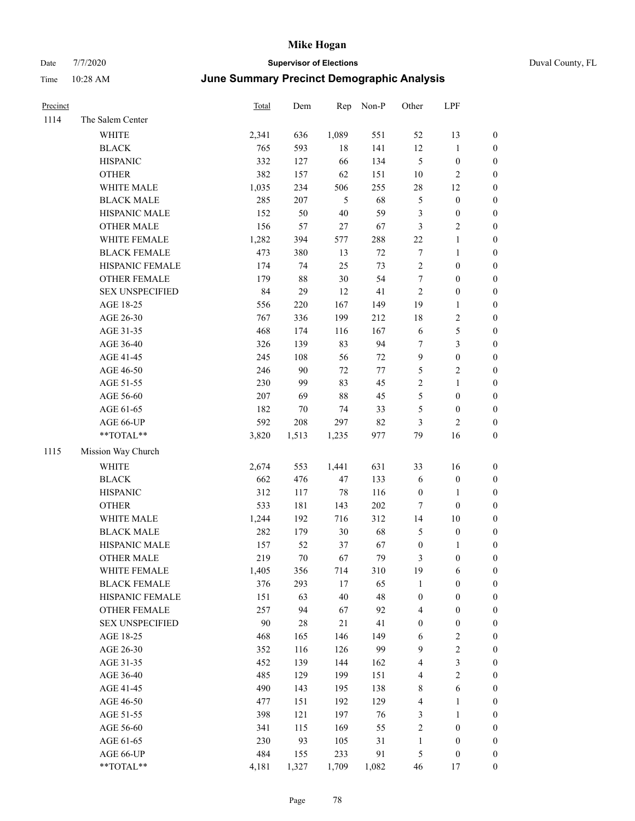| Duval County, FL |  |  |
|------------------|--|--|
|------------------|--|--|

| Precinct |                        | <b>Total</b> | Dem    | Rep    | Non-P  | Other            | LPF              |                  |
|----------|------------------------|--------------|--------|--------|--------|------------------|------------------|------------------|
| 1114     | The Salem Center       |              |        |        |        |                  |                  |                  |
|          | <b>WHITE</b>           | 2,341        | 636    | 1,089  | 551    | 52               | 13               | $\boldsymbol{0}$ |
|          | <b>BLACK</b>           | 765          | 593    | 18     | 141    | 12               | $\mathbf{1}$     | $\boldsymbol{0}$ |
|          | <b>HISPANIC</b>        | 332          | 127    | 66     | 134    | $\mathfrak{S}$   | $\boldsymbol{0}$ | $\boldsymbol{0}$ |
|          | <b>OTHER</b>           | 382          | 157    | 62     | 151    | $10\,$           | $\sqrt{2}$       | $\boldsymbol{0}$ |
|          | WHITE MALE             | 1,035        | 234    | 506    | 255    | 28               | 12               | 0                |
|          | <b>BLACK MALE</b>      | 285          | 207    | 5      | 68     | 5                | $\boldsymbol{0}$ | $\boldsymbol{0}$ |
|          | HISPANIC MALE          | 152          | 50     | $40\,$ | 59     | 3                | $\boldsymbol{0}$ | $\boldsymbol{0}$ |
|          | <b>OTHER MALE</b>      | 156          | 57     | $27\,$ | 67     | 3                | $\sqrt{2}$       | $\boldsymbol{0}$ |
|          | WHITE FEMALE           | 1,282        | 394    | 577    | 288    | $22\,$           | $\mathbf{1}$     | $\boldsymbol{0}$ |
|          | <b>BLACK FEMALE</b>    | 473          | 380    | 13     | $72\,$ | $\boldsymbol{7}$ | $\mathbf{1}$     | $\boldsymbol{0}$ |
|          | HISPANIC FEMALE        | 174          | 74     | 25     | 73     | $\sqrt{2}$       | $\boldsymbol{0}$ | $\boldsymbol{0}$ |
|          | OTHER FEMALE           | 179          | 88     | $30\,$ | 54     | $\boldsymbol{7}$ | $\boldsymbol{0}$ | $\boldsymbol{0}$ |
|          | <b>SEX UNSPECIFIED</b> | 84           | 29     | 12     | 41     | $\overline{2}$   | $\boldsymbol{0}$ | $\boldsymbol{0}$ |
|          | AGE 18-25              | 556          | 220    | 167    | 149    | 19               | $\mathbf{1}$     | $\boldsymbol{0}$ |
|          | AGE 26-30              | 767          | 336    | 199    | 212    | 18               | $\sqrt{2}$       | 0                |
|          | AGE 31-35              | 468          | 174    | 116    | 167    | $\sqrt{6}$       | $\mathfrak s$    | 0                |
|          | AGE 36-40              | 326          | 139    | 83     | 94     | 7                | $\mathfrak{Z}$   | $\boldsymbol{0}$ |
|          | AGE 41-45              | 245          | 108    | 56     | $72\,$ | 9                | $\boldsymbol{0}$ | $\boldsymbol{0}$ |
|          | AGE 46-50              | 246          | 90     | $72\,$ | $77\,$ | 5                | $\sqrt{2}$       | $\boldsymbol{0}$ |
|          | AGE 51-55              | 230          | 99     | 83     | 45     | 2                | $\mathbf{1}$     | $\boldsymbol{0}$ |
|          | AGE 56-60              | 207          | 69     | $88\,$ | 45     | 5                | $\boldsymbol{0}$ | $\boldsymbol{0}$ |
|          | AGE 61-65              | 182          | 70     | 74     | 33     | 5                | $\boldsymbol{0}$ | $\boldsymbol{0}$ |
|          | AGE 66-UP              | 592          | 208    | 297    | 82     | 3                | $\mathbf{2}$     | $\boldsymbol{0}$ |
|          | **TOTAL**              | 3,820        | 1,513  | 1,235  | 977    | 79               | 16               | $\boldsymbol{0}$ |
| 1115     | Mission Way Church     |              |        |        |        |                  |                  |                  |
|          | WHITE                  | 2,674        | 553    | 1,441  | 631    | 33               | 16               | $\boldsymbol{0}$ |
|          | <b>BLACK</b>           | 662          | 476    | $47\,$ | 133    | 6                | $\boldsymbol{0}$ | $\boldsymbol{0}$ |
|          | <b>HISPANIC</b>        | 312          | 117    | $78\,$ | 116    | $\boldsymbol{0}$ | $\mathbf{1}$     | 0                |
|          | <b>OTHER</b>           | 533          | 181    | 143    | 202    | 7                | $\boldsymbol{0}$ | $\boldsymbol{0}$ |
|          | WHITE MALE             | 1,244        | 192    | 716    | 312    | 14               | 10               | $\boldsymbol{0}$ |
|          | <b>BLACK MALE</b>      | 282          | 179    | $30\,$ | 68     | 5                | $\boldsymbol{0}$ | $\boldsymbol{0}$ |
|          | HISPANIC MALE          | 157          | 52     | 37     | 67     | $\boldsymbol{0}$ | $\mathbf{1}$     | $\boldsymbol{0}$ |
|          | <b>OTHER MALE</b>      | 219          | $70\,$ | 67     | 79     | 3                | $\boldsymbol{0}$ | $\boldsymbol{0}$ |
|          | WHITE FEMALE           | 1,405        | 356    | 714    | 310    | 19               | $\sqrt{6}$       | $\boldsymbol{0}$ |
|          | <b>BLACK FEMALE</b>    | 376          | 293    | $17\,$ | 65     | $\mathbf{1}$     | $\boldsymbol{0}$ | 0                |
|          | HISPANIC FEMALE        | 151          | 63     | $40\,$ | 48     | $\boldsymbol{0}$ | $\boldsymbol{0}$ | 0                |
|          | <b>OTHER FEMALE</b>    | 257          | 94     | 67     | 92     | $\overline{4}$   | $\boldsymbol{0}$ | 0                |
|          | <b>SEX UNSPECIFIED</b> | 90           | 28     | 21     | 41     | $\boldsymbol{0}$ | $\boldsymbol{0}$ | 0                |
|          | AGE 18-25              | 468          | 165    | 146    | 149    | 6                | $\sqrt{2}$       | $\boldsymbol{0}$ |
|          | AGE 26-30              | 352          | 116    | 126    | 99     | 9                | $\sqrt{2}$       | $\boldsymbol{0}$ |
|          | AGE 31-35              | 452          | 139    | 144    | 162    | 4                | $\mathfrak{Z}$   | $\boldsymbol{0}$ |
|          | AGE 36-40              | 485          | 129    | 199    | 151    | $\overline{4}$   | $\sqrt{2}$       | $\boldsymbol{0}$ |
|          | AGE 41-45              | 490          | 143    | 195    | 138    | $\,$ 8 $\,$      | 6                | 0                |
|          | AGE 46-50              | 477          | 151    | 192    | 129    | 4                | $\mathbf{1}$     | $\boldsymbol{0}$ |
|          | AGE 51-55              | 398          | 121    | 197    | 76     | $\mathfrak{Z}$   | $\mathbf{1}$     | $\boldsymbol{0}$ |
|          | AGE 56-60              | 341          | 115    | 169    | 55     | $\sqrt{2}$       | $\boldsymbol{0}$ | $\boldsymbol{0}$ |
|          | AGE 61-65              | 230          | 93     | 105    | 31     | $\mathbf{1}$     | $\boldsymbol{0}$ | 0                |
|          | AGE 66-UP              | 484          | 155    | 233    | 91     | 5                | $\boldsymbol{0}$ | 0                |
|          | $**TOTAL**$            | 4,181        | 1,327  | 1,709  | 1,082  | $46\,$           | $17\,$           | $\boldsymbol{0}$ |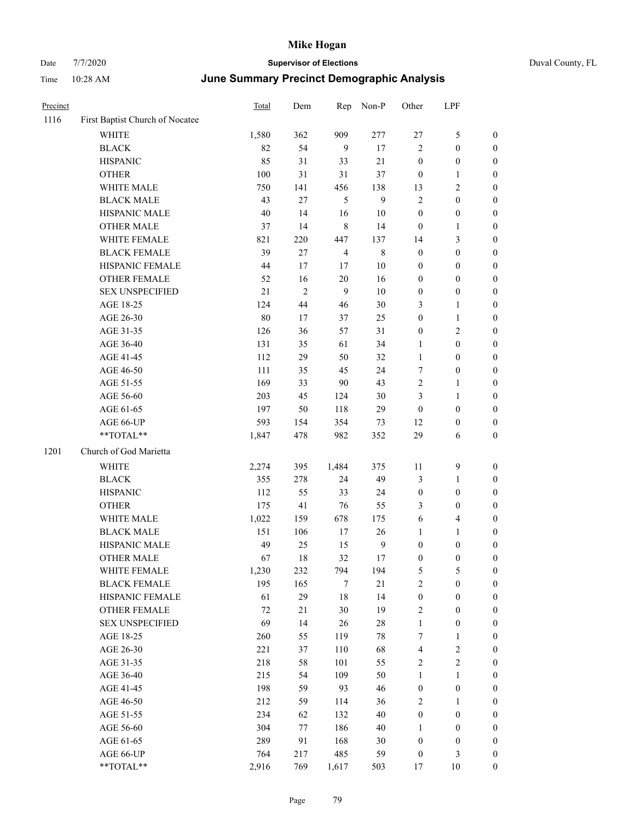| Duval County, FL |  |
|------------------|--|

| Precinct |                                 | <b>Total</b> | Dem            | Rep            | Non-P            | Other            | LPF                     |                  |
|----------|---------------------------------|--------------|----------------|----------------|------------------|------------------|-------------------------|------------------|
| 1116     | First Baptist Church of Nocatee |              |                |                |                  |                  |                         |                  |
|          | WHITE                           | 1,580        | 362            | 909            | 277              | $27\,$           | $\mathfrak{S}$          | $\boldsymbol{0}$ |
|          | <b>BLACK</b>                    | 82           | 54             | $\overline{9}$ | $17\,$           | $\mathfrak{2}$   | $\boldsymbol{0}$        | $\boldsymbol{0}$ |
|          | <b>HISPANIC</b>                 | 85           | 31             | 33             | 21               | $\boldsymbol{0}$ | $\boldsymbol{0}$        | $\boldsymbol{0}$ |
|          | <b>OTHER</b>                    | 100          | 31             | 31             | 37               | $\boldsymbol{0}$ | $\mathbf{1}$            | $\boldsymbol{0}$ |
|          | WHITE MALE                      | 750          | 141            | 456            | 138              | 13               | $\sqrt{2}$              | 0                |
|          | <b>BLACK MALE</b>               | 43           | 27             | 5              | 9                | 2                | $\boldsymbol{0}$        | $\boldsymbol{0}$ |
|          | HISPANIC MALE                   | 40           | 14             | 16             | $10\,$           | $\boldsymbol{0}$ | $\boldsymbol{0}$        | $\boldsymbol{0}$ |
|          | <b>OTHER MALE</b>               | 37           | 14             | $\,$ 8 $\,$    | 14               | $\boldsymbol{0}$ | $\mathbf{1}$            | $\boldsymbol{0}$ |
|          | WHITE FEMALE                    | 821          | 220            | 447            | 137              | 14               | $\mathfrak{Z}$          | $\boldsymbol{0}$ |
|          | <b>BLACK FEMALE</b>             | 39           | 27             | $\overline{4}$ | $\,$ $\,$        | $\boldsymbol{0}$ | $\boldsymbol{0}$        | $\boldsymbol{0}$ |
|          | HISPANIC FEMALE                 | 44           | 17             | 17             | $10\,$           | $\boldsymbol{0}$ | $\boldsymbol{0}$        | $\boldsymbol{0}$ |
|          | OTHER FEMALE                    | 52           | 16             | $20\,$         | 16               | $\boldsymbol{0}$ | $\boldsymbol{0}$        | $\boldsymbol{0}$ |
|          | <b>SEX UNSPECIFIED</b>          | $21\,$       | $\overline{c}$ | 9              | $10\,$           | $\boldsymbol{0}$ | $\boldsymbol{0}$        | 0                |
|          | AGE 18-25                       | 124          | 44             | 46             | 30               | 3                | $\mathbf{1}$            | 0                |
|          | AGE 26-30                       | 80           | 17             | 37             | 25               | $\boldsymbol{0}$ | $\mathbf{1}$            | 0                |
|          | AGE 31-35                       | 126          | 36             | 57             | 31               | $\boldsymbol{0}$ | $\sqrt{2}$              | 0                |
|          | AGE 36-40                       | 131          | 35             | 61             | 34               | 1                | $\boldsymbol{0}$        | 0                |
|          | AGE 41-45                       | 112          | 29             | 50             | 32               | $\mathbf{1}$     | $\boldsymbol{0}$        | $\boldsymbol{0}$ |
|          | AGE 46-50                       | 111          | 35             | 45             | 24               | 7                | $\boldsymbol{0}$        | $\boldsymbol{0}$ |
|          | AGE 51-55                       | 169          | 33             | $90\,$         | 43               | 2                | $\mathbf{1}$            | $\boldsymbol{0}$ |
|          | AGE 56-60                       | 203          | 45             | 124            | 30               | 3                | $\mathbf{1}$            | $\boldsymbol{0}$ |
|          | AGE 61-65                       | 197          | 50             | 118            | 29               | $\boldsymbol{0}$ | $\boldsymbol{0}$        | $\boldsymbol{0}$ |
|          | AGE 66-UP                       | 593          | 154            | 354            | 73               | 12               | $\boldsymbol{0}$        | 0                |
|          | **TOTAL**                       | 1,847        | 478            | 982            | 352              | 29               | 6                       | 0                |
| 1201     | Church of God Marietta          |              |                |                |                  |                  |                         |                  |
|          | WHITE                           | 2,274        | 395            | 1,484          | 375              | 11               | $\mathbf{9}$            | $\boldsymbol{0}$ |
|          | <b>BLACK</b>                    | 355          | 278            | 24             | 49               | 3                | $\mathbf{1}$            | 0                |
|          | <b>HISPANIC</b>                 | 112          | 55             | 33             | 24               | $\boldsymbol{0}$ | $\boldsymbol{0}$        | 0                |
|          | <b>OTHER</b>                    | 175          | 41             | 76             | 55               | 3                | $\boldsymbol{0}$        | 0                |
|          | WHITE MALE                      | 1,022        | 159            | 678            | 175              | 6                | $\overline{\mathbf{4}}$ | $\boldsymbol{0}$ |
|          | <b>BLACK MALE</b>               | 151          | 106            | 17             | 26               | 1                | $\mathbf{1}$            | $\boldsymbol{0}$ |
|          | HISPANIC MALE                   | 49           | 25             | 15             | $\boldsymbol{9}$ | $\boldsymbol{0}$ | $\boldsymbol{0}$        | 0                |
|          | <b>OTHER MALE</b>               | 67           | 18             | 32             | 17               | $\boldsymbol{0}$ | $\boldsymbol{0}$        | $\boldsymbol{0}$ |
|          | WHITE FEMALE                    | 1,230        | 232            | 794            | 194              | $\mathfrak{S}$   | $\mathfrak{S}$          | $\boldsymbol{0}$ |
|          | <b>BLACK FEMALE</b>             | 195          | 165            | $\tau$         | $21\,$           | $\sqrt{2}$       | $\boldsymbol{0}$        | 0                |
|          | HISPANIC FEMALE                 | 61           | 29             | 18             | 14               | $\boldsymbol{0}$ | $\boldsymbol{0}$        | 0                |
|          | <b>OTHER FEMALE</b>             | $72\,$       | 21             | $30\,$         | 19               | $\sqrt{2}$       | $\boldsymbol{0}$        | 0                |
|          | <b>SEX UNSPECIFIED</b>          | 69           | 14             | 26             | $28\,$           | $\mathbf{1}$     | $\boldsymbol{0}$        | 0                |
|          | AGE 18-25                       | 260          | 55             | 119            | 78               | $\boldsymbol{7}$ | $\mathbf{1}$            | $\boldsymbol{0}$ |
|          | AGE 26-30                       | 221          | 37             | 110            | 68               | 4                | $\sqrt{2}$              | $\boldsymbol{0}$ |
|          | AGE 31-35                       | 218          | 58             | 101            | 55               | 2                | $\sqrt{2}$              | $\overline{0}$   |
|          | AGE 36-40                       | 215          | 54             | 109            | 50               | $\mathbf{1}$     | $\mathbf{1}$            | 0                |
|          | AGE 41-45                       | 198          | 59             | 93             | 46               | $\boldsymbol{0}$ | $\boldsymbol{0}$        | $\overline{0}$   |
|          | AGE 46-50                       | 212          | 59             | 114            | 36               | $\sqrt{2}$       | $\mathbf{1}$            | $\boldsymbol{0}$ |
|          | AGE 51-55                       | 234          | 62             | 132            | 40               | $\boldsymbol{0}$ | $\boldsymbol{0}$        | $\boldsymbol{0}$ |
|          | AGE 56-60                       | 304          | 77             | 186            | 40               | $\mathbf{1}$     | $\boldsymbol{0}$        | 0                |
|          | AGE 61-65                       | 289          | 91             | 168            | 30               | $\boldsymbol{0}$ | $\boldsymbol{0}$        | 0                |
|          | AGE 66-UP                       | 764          | 217            | 485            | 59               | $\boldsymbol{0}$ | 3                       | 0                |
|          | $**TOTAL**$                     | 2,916        | 769            | 1,617          | 503              | 17               | $10\,$                  | $\boldsymbol{0}$ |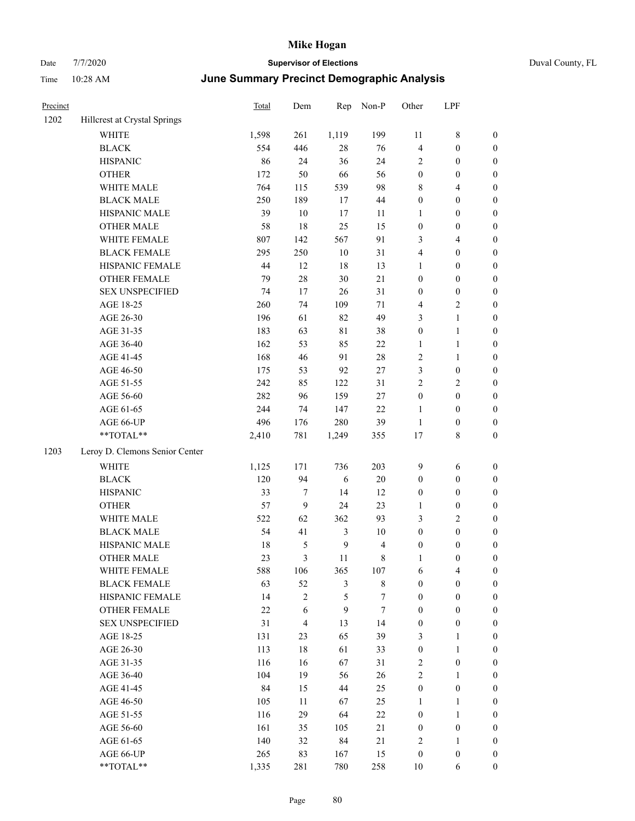| Precinct |                                | Total | Dem            | Rep            | Non-P       | Other            | LPF              |                  |
|----------|--------------------------------|-------|----------------|----------------|-------------|------------------|------------------|------------------|
| 1202     | Hillcrest at Crystal Springs   |       |                |                |             |                  |                  |                  |
|          | <b>WHITE</b>                   | 1,598 | 261            | 1,119          | 199         | 11               | 8                | $\boldsymbol{0}$ |
|          | <b>BLACK</b>                   | 554   | 446            | $28\,$         | 76          | $\overline{4}$   | $\boldsymbol{0}$ | $\boldsymbol{0}$ |
|          | <b>HISPANIC</b>                | 86    | 24             | 36             | 24          | $\sqrt{2}$       | $\boldsymbol{0}$ | $\boldsymbol{0}$ |
|          | <b>OTHER</b>                   | 172   | 50             | 66             | 56          | $\boldsymbol{0}$ | $\boldsymbol{0}$ | $\boldsymbol{0}$ |
|          | WHITE MALE                     | 764   | 115            | 539            | 98          | $\,8\,$          | 4                | $\boldsymbol{0}$ |
|          | <b>BLACK MALE</b>              | 250   | 189            | 17             | 44          | $\boldsymbol{0}$ | $\boldsymbol{0}$ | $\boldsymbol{0}$ |
|          | HISPANIC MALE                  | 39    | $10\,$         | 17             | 11          | $\mathbf{1}$     | $\boldsymbol{0}$ | $\boldsymbol{0}$ |
|          | <b>OTHER MALE</b>              | 58    | 18             | 25             | 15          | $\boldsymbol{0}$ | $\boldsymbol{0}$ | $\boldsymbol{0}$ |
|          | WHITE FEMALE                   | 807   | 142            | 567            | 91          | 3                | 4                | $\boldsymbol{0}$ |
|          | <b>BLACK FEMALE</b>            | 295   | 250            | 10             | 31          | $\overline{4}$   | $\boldsymbol{0}$ | $\boldsymbol{0}$ |
|          | HISPANIC FEMALE                | 44    | 12             | 18             | 13          | $\mathbf{1}$     | $\boldsymbol{0}$ | $\boldsymbol{0}$ |
|          | <b>OTHER FEMALE</b>            | 79    | $28\,$         | $30\,$         | $21\,$      | $\boldsymbol{0}$ | $\boldsymbol{0}$ | $\boldsymbol{0}$ |
|          | <b>SEX UNSPECIFIED</b>         | 74    | 17             | 26             | 31          | $\boldsymbol{0}$ | $\boldsymbol{0}$ | $\boldsymbol{0}$ |
|          | AGE 18-25                      | 260   | 74             | 109            | 71          | $\overline{4}$   | 2                | $\boldsymbol{0}$ |
|          | AGE 26-30                      | 196   | 61             | 82             | 49          | 3                | $\mathbf{1}$     | $\boldsymbol{0}$ |
|          | AGE 31-35                      | 183   | 63             | $8\sqrt{1}$    | 38          | $\boldsymbol{0}$ | $\mathbf{1}$     | $\boldsymbol{0}$ |
|          | AGE 36-40                      | 162   | 53             | 85             | $22\,$      | $\mathbf{1}$     | 1                | $\boldsymbol{0}$ |
|          | AGE 41-45                      | 168   | 46             | 91             | $28\,$      | $\sqrt{2}$       | 1                | $\boldsymbol{0}$ |
|          | AGE 46-50                      | 175   | 53             | 92             | $27\,$      | 3                | $\boldsymbol{0}$ | $\boldsymbol{0}$ |
|          | AGE 51-55                      | 242   | 85             | 122            | 31          | $\overline{2}$   | 2                | $\boldsymbol{0}$ |
|          | AGE 56-60                      | 282   | 96             | 159            | $27\,$      | $\boldsymbol{0}$ | $\boldsymbol{0}$ | $\boldsymbol{0}$ |
|          | AGE 61-65                      | 244   | 74             | 147            | $22\,$      | 1                | $\boldsymbol{0}$ | $\boldsymbol{0}$ |
|          | AGE 66-UP                      | 496   | 176            | 280            | 39          | 1                | $\boldsymbol{0}$ | $\boldsymbol{0}$ |
|          | **TOTAL**                      | 2,410 | 781            | 1,249          | 355         | 17               | 8                | $\boldsymbol{0}$ |
| 1203     | Leroy D. Clemons Senior Center |       |                |                |             |                  |                  |                  |
|          | WHITE                          | 1,125 | 171            | 736            | 203         | $\overline{9}$   | 6                | $\boldsymbol{0}$ |
|          | <b>BLACK</b>                   | 120   | 94             | 6              | 20          | $\boldsymbol{0}$ | $\boldsymbol{0}$ | $\boldsymbol{0}$ |
|          | <b>HISPANIC</b>                | 33    | 7              | 14             | 12          | $\boldsymbol{0}$ | $\boldsymbol{0}$ | $\boldsymbol{0}$ |
|          | <b>OTHER</b>                   | 57    | 9              | 24             | 23          | 1                | $\boldsymbol{0}$ | $\boldsymbol{0}$ |
|          | WHITE MALE                     | 522   | 62             | 362            | 93          | 3                | 2                | $\boldsymbol{0}$ |
|          | <b>BLACK MALE</b>              | 54    | 41             | 3              | 10          | $\boldsymbol{0}$ | $\boldsymbol{0}$ | $\boldsymbol{0}$ |
|          | HISPANIC MALE                  | 18    | 5              | $\mathbf{9}$   | 4           | $\boldsymbol{0}$ | $\boldsymbol{0}$ | $\boldsymbol{0}$ |
|          | <b>OTHER MALE</b>              | 23    | 3              | 11             | 8           | $\mathbf{1}$     | $\boldsymbol{0}$ | $\boldsymbol{0}$ |
|          | WHITE FEMALE                   | 588   | 106            | 365            | 107         | $\sqrt{6}$       | 4                | $\boldsymbol{0}$ |
|          | <b>BLACK FEMALE</b>            | 63    | 52             | $\mathfrak{Z}$ | $\,$ 8 $\,$ | $\boldsymbol{0}$ | $\boldsymbol{0}$ | $\boldsymbol{0}$ |
|          | HISPANIC FEMALE                | 14    | $\overline{c}$ | $\mathfrak{S}$ | 7           | $\boldsymbol{0}$ | $\boldsymbol{0}$ | $\boldsymbol{0}$ |
|          | OTHER FEMALE                   | 22    | 6              | $\mathbf{9}$   | $\tau$      | $\boldsymbol{0}$ | $\boldsymbol{0}$ | $\boldsymbol{0}$ |
|          | <b>SEX UNSPECIFIED</b>         | 31    | $\overline{4}$ | 13             | 14          | $\boldsymbol{0}$ | $\boldsymbol{0}$ | $\boldsymbol{0}$ |
|          | AGE 18-25                      | 131   | 23             | 65             | 39          | 3                | 1                | $\boldsymbol{0}$ |
|          | AGE 26-30                      | 113   | 18             | 61             | 33          | $\boldsymbol{0}$ | $\mathbf{1}$     | $\boldsymbol{0}$ |
|          | AGE 31-35                      | 116   | 16             | 67             | 31          | $\sqrt{2}$       | $\boldsymbol{0}$ | $\boldsymbol{0}$ |
|          | AGE 36-40                      | 104   | 19             | 56             | 26          | $\sqrt{2}$       | 1                | $\boldsymbol{0}$ |
|          | AGE 41-45                      | 84    | 15             | 44             | 25          | $\boldsymbol{0}$ | $\boldsymbol{0}$ | $\boldsymbol{0}$ |
|          | AGE 46-50                      | 105   | 11             | 67             | 25          | 1                | 1                | $\boldsymbol{0}$ |
|          | AGE 51-55                      | 116   | 29             | 64             | $22\,$      | $\boldsymbol{0}$ | 1                | $\boldsymbol{0}$ |
|          | AGE 56-60                      | 161   | 35             | 105            | $21\,$      | $\boldsymbol{0}$ | $\boldsymbol{0}$ | $\boldsymbol{0}$ |
|          | AGE 61-65                      | 140   | 32             | 84             | 21          | $\overline{2}$   | $\mathbf{1}$     | $\boldsymbol{0}$ |
|          | AGE 66-UP                      | 265   | 83             | 167            | 15          | $\boldsymbol{0}$ | $\boldsymbol{0}$ | $\boldsymbol{0}$ |
|          | **TOTAL**                      | 1,335 | 281            | 780            | 258         | $10\,$           | 6                | $\boldsymbol{0}$ |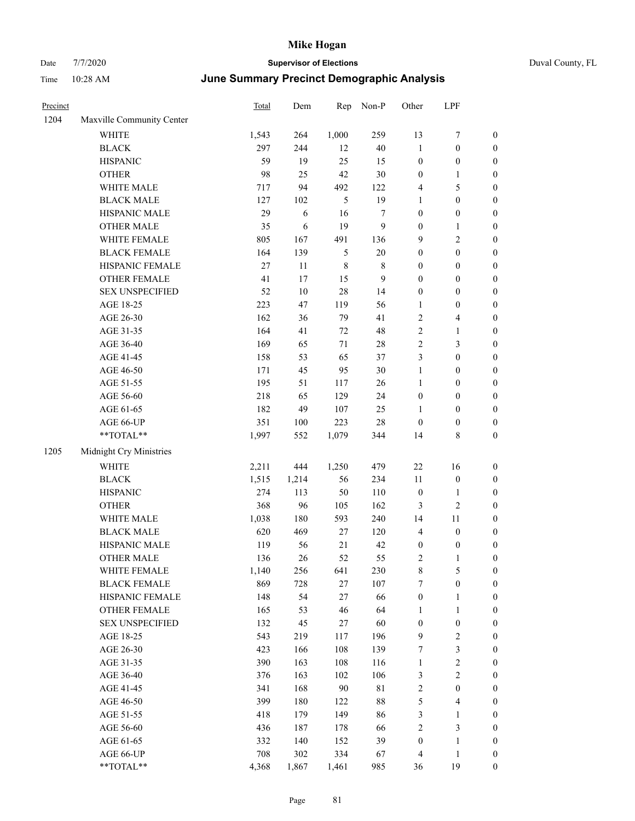| Precinct |                           | Total | Dem     | Rep     | Non-P   | Other            | LPF              |                  |
|----------|---------------------------|-------|---------|---------|---------|------------------|------------------|------------------|
| 1204     | Maxville Community Center |       |         |         |         |                  |                  |                  |
|          | <b>WHITE</b>              | 1,543 | 264     | 1,000   | 259     | 13               | 7                | $\boldsymbol{0}$ |
|          | <b>BLACK</b>              | 297   | 244     | 12      | $40\,$  | $\mathbf{1}$     | $\boldsymbol{0}$ | $\boldsymbol{0}$ |
|          | <b>HISPANIC</b>           | 59    | 19      | 25      | 15      | $\boldsymbol{0}$ | $\boldsymbol{0}$ | $\boldsymbol{0}$ |
|          | <b>OTHER</b>              | 98    | 25      | 42      | $30\,$  | $\boldsymbol{0}$ | 1                | $\boldsymbol{0}$ |
|          | WHITE MALE                | 717   | 94      | 492     | 122     | $\overline{4}$   | 5                | $\boldsymbol{0}$ |
|          | <b>BLACK MALE</b>         | 127   | 102     | 5       | 19      | 1                | $\boldsymbol{0}$ | $\boldsymbol{0}$ |
|          | HISPANIC MALE             | 29    | 6       | 16      | $\tau$  | $\boldsymbol{0}$ | $\boldsymbol{0}$ | $\boldsymbol{0}$ |
|          | <b>OTHER MALE</b>         | 35    | 6       | 19      | 9       | $\boldsymbol{0}$ | $\mathbf{1}$     | $\boldsymbol{0}$ |
|          | WHITE FEMALE              | 805   | 167     | 491     | 136     | 9                | $\overline{c}$   | $\boldsymbol{0}$ |
|          | <b>BLACK FEMALE</b>       | 164   | 139     | 5       | $20\,$  | $\boldsymbol{0}$ | $\boldsymbol{0}$ | $\boldsymbol{0}$ |
|          | HISPANIC FEMALE           | 27    | 11      | $\,8\,$ | $\,8\,$ | $\boldsymbol{0}$ | $\boldsymbol{0}$ | $\boldsymbol{0}$ |
|          | <b>OTHER FEMALE</b>       | 41    | 17      | 15      | 9       | $\mathbf{0}$     | $\boldsymbol{0}$ | $\boldsymbol{0}$ |
|          | <b>SEX UNSPECIFIED</b>    | 52    | $10\,$  | $28\,$  | 14      | $\boldsymbol{0}$ | $\boldsymbol{0}$ | $\boldsymbol{0}$ |
|          | AGE 18-25                 | 223   | 47      | 119     | 56      | $\mathbf{1}$     | $\boldsymbol{0}$ | $\boldsymbol{0}$ |
|          | AGE 26-30                 | 162   | 36      | 79      | 41      | $\sqrt{2}$       | 4                | $\boldsymbol{0}$ |
|          | AGE 31-35                 | 164   | 41      | 72      | 48      | $\sqrt{2}$       | 1                | $\boldsymbol{0}$ |
|          | AGE 36-40                 | 169   | 65      | 71      | 28      | $\sqrt{2}$       | 3                | $\boldsymbol{0}$ |
|          | AGE 41-45                 | 158   | 53      | 65      | 37      | 3                | $\boldsymbol{0}$ | $\boldsymbol{0}$ |
|          | AGE 46-50                 | 171   | 45      | 95      | 30      | $\mathbf{1}$     | $\boldsymbol{0}$ | $\boldsymbol{0}$ |
|          | AGE 51-55                 | 195   | 51      | 117     | 26      | $\mathbf{1}$     | $\boldsymbol{0}$ | $\boldsymbol{0}$ |
|          | AGE 56-60                 | 218   | 65      | 129     | 24      | $\boldsymbol{0}$ | $\boldsymbol{0}$ | $\boldsymbol{0}$ |
|          | AGE 61-65                 | 182   | 49      | 107     | 25      | 1                | $\boldsymbol{0}$ | $\boldsymbol{0}$ |
|          | AGE 66-UP                 | 351   | $100\,$ | 223     | 28      | $\boldsymbol{0}$ | $\boldsymbol{0}$ | $\boldsymbol{0}$ |
|          | **TOTAL**                 | 1,997 | 552     | 1,079   | 344     | 14               | 8                | $\boldsymbol{0}$ |
| 1205     | Midnight Cry Ministries   |       |         |         |         |                  |                  |                  |
|          | <b>WHITE</b>              | 2,211 | 444     | 1,250   | 479     | 22               | 16               | $\boldsymbol{0}$ |
|          | <b>BLACK</b>              | 1,515 | 1,214   | 56      | 234     | 11               | $\boldsymbol{0}$ | $\boldsymbol{0}$ |
|          | <b>HISPANIC</b>           | 274   | 113     | 50      | 110     | $\boldsymbol{0}$ | 1                | $\boldsymbol{0}$ |
|          | <b>OTHER</b>              | 368   | 96      | 105     | 162     | 3                | 2                | $\boldsymbol{0}$ |
|          | WHITE MALE                | 1,038 | 180     | 593     | 240     | 14               | $11\,$           | $\boldsymbol{0}$ |
|          | <b>BLACK MALE</b>         | 620   | 469     | 27      | 120     | $\overline{4}$   | $\boldsymbol{0}$ | $\boldsymbol{0}$ |
|          | HISPANIC MALE             | 119   | 56      | 21      | 42      | $\boldsymbol{0}$ | $\boldsymbol{0}$ | $\boldsymbol{0}$ |
|          | <b>OTHER MALE</b>         | 136   | 26      | 52      | 55      | $\overline{2}$   | 1                | $\boldsymbol{0}$ |
|          | WHITE FEMALE              | 1,140 | 256     | 641     | 230     | $\,8\,$          | 5                | $\mathbf{0}$     |
|          | <b>BLACK FEMALE</b>       | 869   | 728     | $27\,$  | 107     | 7                | $\boldsymbol{0}$ | $\boldsymbol{0}$ |
|          | HISPANIC FEMALE           | 148   | 54      | $27\,$  | 66      | $\boldsymbol{0}$ | 1                | $\boldsymbol{0}$ |
|          | OTHER FEMALE              | 165   | 53      | 46      | 64      | $\mathbf{1}$     | $\mathbf{1}$     | $\boldsymbol{0}$ |
|          | <b>SEX UNSPECIFIED</b>    | 132   | 45      | $27\,$  | 60      | $\boldsymbol{0}$ | $\boldsymbol{0}$ | $\boldsymbol{0}$ |
|          | AGE 18-25                 | 543   | 219     | 117     | 196     | $\overline{9}$   | $\sqrt{2}$       | $\boldsymbol{0}$ |
|          | AGE 26-30                 | 423   | 166     | 108     | 139     | $\boldsymbol{7}$ | 3                | $\boldsymbol{0}$ |
|          | AGE 31-35                 | 390   | 163     | 108     | 116     | $\mathbf{1}$     | $\overline{c}$   | $\boldsymbol{0}$ |
|          | AGE 36-40                 | 376   | 163     | 102     | 106     | $\mathfrak{Z}$   | $\sqrt{2}$       | $\boldsymbol{0}$ |
|          | AGE 41-45                 | 341   | 168     | 90      | 81      | $\sqrt{2}$       | $\boldsymbol{0}$ | $\boldsymbol{0}$ |
|          | AGE 46-50                 | 399   | 180     | 122     | $88\,$  | $\mathfrak s$    | 4                | $\boldsymbol{0}$ |
|          | AGE 51-55                 | 418   | 179     | 149     | 86      | $\mathfrak{Z}$   | $\mathbf{1}$     | $\boldsymbol{0}$ |
|          | AGE 56-60                 | 436   | 187     | 178     | 66      | $\sqrt{2}$       | 3                | $\boldsymbol{0}$ |
|          | AGE 61-65                 | 332   | 140     | 152     | 39      | $\boldsymbol{0}$ | $\mathbf{1}$     | $\boldsymbol{0}$ |
|          | AGE 66-UP                 | 708   | 302     | 334     | 67      | $\overline{4}$   | 1                | $\mathbf{0}$     |
|          | **TOTAL**                 | 4,368 | 1,867   | 1,461   | 985     | 36               | 19               | $\mathbf{0}$     |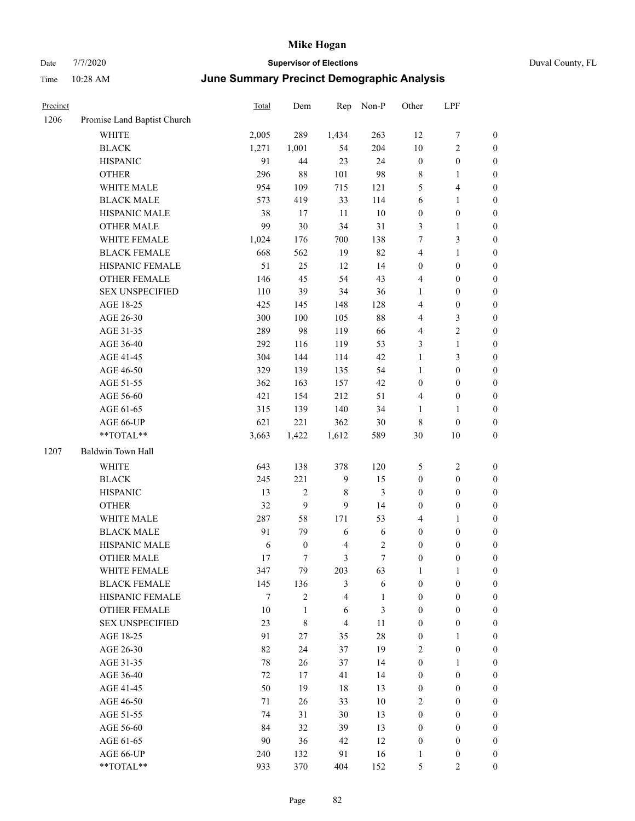| ンいい         |                             | <b>PUPPI VIDEO DI LICCIIONI</b>            |     |     |       |       |     |  |  |  |
|-------------|-----------------------------|--------------------------------------------|-----|-----|-------|-------|-----|--|--|--|
| <b>Time</b> | $10:28$ AM                  | June Summary Precinct Demographic Analysis |     |     |       |       |     |  |  |  |
| Precinct    |                             | <b>Total</b>                               | Dem | Rep | Non-P | Other | LPF |  |  |  |
| 1206        | Promise Land Baptist Church |                                            |     |     |       |       |     |  |  |  |

| 1206 | Promise Land Baptist Church |        |                  |                |                |                  |                            |                  |
|------|-----------------------------|--------|------------------|----------------|----------------|------------------|----------------------------|------------------|
|      | WHITE                       | 2,005  | 289              | 1,434          | 263            | 12               | $\boldsymbol{7}$           | $\boldsymbol{0}$ |
|      | <b>BLACK</b>                | 1,271  | 1,001            | 54             | 204            | 10               | $\sqrt{2}$                 | $\boldsymbol{0}$ |
|      | <b>HISPANIC</b>             | 91     | 44               | 23             | 24             | $\boldsymbol{0}$ | $\boldsymbol{0}$           | $\boldsymbol{0}$ |
|      | <b>OTHER</b>                | 296    | $88\,$           | 101            | 98             | 8                | 1                          | $\boldsymbol{0}$ |
|      | WHITE MALE                  | 954    | 109              | 715            | 121            | 5                | $\overline{\mathbf{4}}$    | $\boldsymbol{0}$ |
|      | <b>BLACK MALE</b>           | 573    | 419              | 33             | 114            | 6                | $\mathbf{1}$               | $\boldsymbol{0}$ |
|      | HISPANIC MALE               | 38     | 17               | 11             | $10\,$         | $\boldsymbol{0}$ | $\boldsymbol{0}$           | $\boldsymbol{0}$ |
|      | <b>OTHER MALE</b>           | 99     | 30               | 34             | 31             | 3                | $\mathbf{1}$               | 0                |
|      | WHITE FEMALE                | 1,024  | 176              | 700            | 138            | 7                | $\mathfrak{Z}$             | 0                |
|      | <b>BLACK FEMALE</b>         | 668    | 562              | 19             | 82             | 4                | $\mathbf{1}$               | $\boldsymbol{0}$ |
|      | HISPANIC FEMALE             | 51     | 25               | 12             | 14             | $\boldsymbol{0}$ | $\boldsymbol{0}$           | $\boldsymbol{0}$ |
|      | OTHER FEMALE                | 146    | 45               | 54             | 43             | 4                | $\boldsymbol{0}$           | $\boldsymbol{0}$ |
|      | <b>SEX UNSPECIFIED</b>      | 110    | 39               | 34             | 36             | $\mathbf{1}$     | $\boldsymbol{0}$           | $\boldsymbol{0}$ |
|      | AGE 18-25                   | 425    | 145              | 148            | 128            | 4                | $\boldsymbol{0}$           | $\boldsymbol{0}$ |
|      | AGE 26-30                   | 300    | 100              | 105            | $88\,$         | 4                | $\mathfrak{Z}$             | $\boldsymbol{0}$ |
|      | AGE 31-35                   | 289    | 98               | 119            | 66             | 4                | $\sqrt{2}$                 | $\boldsymbol{0}$ |
|      | AGE 36-40                   | 292    | 116              | 119            | 53             | 3                | $\mathbf{1}$               | $\boldsymbol{0}$ |
|      | AGE 41-45                   | 304    | 144              | 114            | 42             | $\mathbf{1}$     | $\mathfrak{Z}$             | 0                |
|      | AGE 46-50                   | 329    | 139              | 135            | 54             | $\mathbf{1}$     | $\boldsymbol{0}$           | 0                |
|      | AGE 51-55                   | 362    | 163              | 157            | 42             | $\boldsymbol{0}$ | $\boldsymbol{0}$           | $\boldsymbol{0}$ |
|      | AGE 56-60                   | 421    | 154              | 212            | 51             | 4                | $\boldsymbol{0}$           | $\boldsymbol{0}$ |
|      | AGE 61-65                   | 315    | 139              | 140            | 34             | $\mathbf{1}$     | 1                          | $\boldsymbol{0}$ |
|      |                             |        |                  |                |                |                  |                            |                  |
|      | AGE 66-UP<br>**TOTAL**      | 621    | 221              | 362            | $30\,$         | 8<br>30          | $\boldsymbol{0}$<br>$10\,$ | $\boldsymbol{0}$ |
|      |                             | 3,663  | 1,422            | 1,612          | 589            |                  |                            | $\boldsymbol{0}$ |
| 1207 | Baldwin Town Hall           |        |                  |                |                |                  |                            |                  |
|      | WHITE                       | 643    | 138              | 378            | 120            | 5                | $\sqrt{2}$                 | $\boldsymbol{0}$ |
|      | <b>BLACK</b>                | 245    | 221              | $\overline{9}$ | 15             | $\boldsymbol{0}$ | $\boldsymbol{0}$           | $\boldsymbol{0}$ |
|      | <b>HISPANIC</b>             | 13     | $\mathbf{2}$     | 8              | $\mathfrak{Z}$ | $\boldsymbol{0}$ | $\boldsymbol{0}$           | $\boldsymbol{0}$ |
|      | <b>OTHER</b>                | 32     | 9                | $\mathbf{9}$   | 14             | $\boldsymbol{0}$ | $\boldsymbol{0}$           | $\boldsymbol{0}$ |
|      | WHITE MALE                  | 287    | 58               | 171            | 53             | $\overline{4}$   | $\mathbf{1}$               | 0                |
|      | <b>BLACK MALE</b>           | 91     | 79               | 6              | 6              | $\boldsymbol{0}$ | $\boldsymbol{0}$           | 0                |
|      | HISPANIC MALE               | 6      | $\boldsymbol{0}$ | $\overline{4}$ | $\sqrt{2}$     | $\boldsymbol{0}$ | $\boldsymbol{0}$           | $\boldsymbol{0}$ |
|      | OTHER MALE                  | 17     | 7                | $\mathfrak{Z}$ | $\tau$         | $\boldsymbol{0}$ | $\boldsymbol{0}$           | $\boldsymbol{0}$ |
|      | WHITE FEMALE                | 347    | 79               | 203            | 63             | 1                | $\mathbf{1}$               | $\boldsymbol{0}$ |
|      | <b>BLACK FEMALE</b>         | 145    | 136              | $\mathfrak{Z}$ | 6              | $\boldsymbol{0}$ | $\boldsymbol{0}$           | $\boldsymbol{0}$ |
|      | HISPANIC FEMALE             | 7      | $\overline{c}$   | 4              | $\mathbf{1}$   | $\boldsymbol{0}$ | $\boldsymbol{0}$           | $\overline{0}$   |
|      | OTHER FEMALE                | 10     | $\mathbf{1}$     | 6              | $\mathfrak{Z}$ | $\boldsymbol{0}$ | $\boldsymbol{0}$           | $\theta$         |
|      | <b>SEX UNSPECIFIED</b>      | 23     | 8                | $\overline{4}$ | $11\,$         | $\boldsymbol{0}$ | $\boldsymbol{0}$           | 0                |
|      | AGE 18-25                   | 91     | 27               | 35             | $28\,$         | $\boldsymbol{0}$ | $\mathbf{1}$               | 0                |
|      | AGE 26-30                   | 82     | 24               | 37             | 19             | 2                | $\boldsymbol{0}$           | 0                |
|      | AGE 31-35                   | 78     | 26               | 37             | 14             | $\boldsymbol{0}$ | $\mathbf{1}$               | 0                |
|      | AGE 36-40                   | 72     | 17               | 41             | 14             | $\boldsymbol{0}$ | $\boldsymbol{0}$           | 0                |
|      | AGE 41-45                   | 50     | 19               | 18             | 13             | $\boldsymbol{0}$ | $\boldsymbol{0}$           | $\overline{0}$   |
|      | AGE 46-50                   | 71     | 26               | 33             | $10\,$         | 2                | $\boldsymbol{0}$           | $\boldsymbol{0}$ |
|      | AGE 51-55                   | 74     | 31               | 30             | 13             | $\boldsymbol{0}$ | $\boldsymbol{0}$           | $\overline{0}$   |
|      | AGE 56-60                   | 84     | 32               | 39             | 13             | $\boldsymbol{0}$ | $\boldsymbol{0}$           | $\overline{0}$   |
|      | AGE 61-65                   | $90\,$ | 36               | 42             | 12             | $\boldsymbol{0}$ | $\boldsymbol{0}$           | $\overline{0}$   |
|      | AGE 66-UP                   | 240    | 132              | 91             | 16             | $\mathbf{1}$     | $\boldsymbol{0}$           | $\boldsymbol{0}$ |
|      | **TOTAL**                   | 933    | 370              | 404            | 152            | 5                | 2                          | $\boldsymbol{0}$ |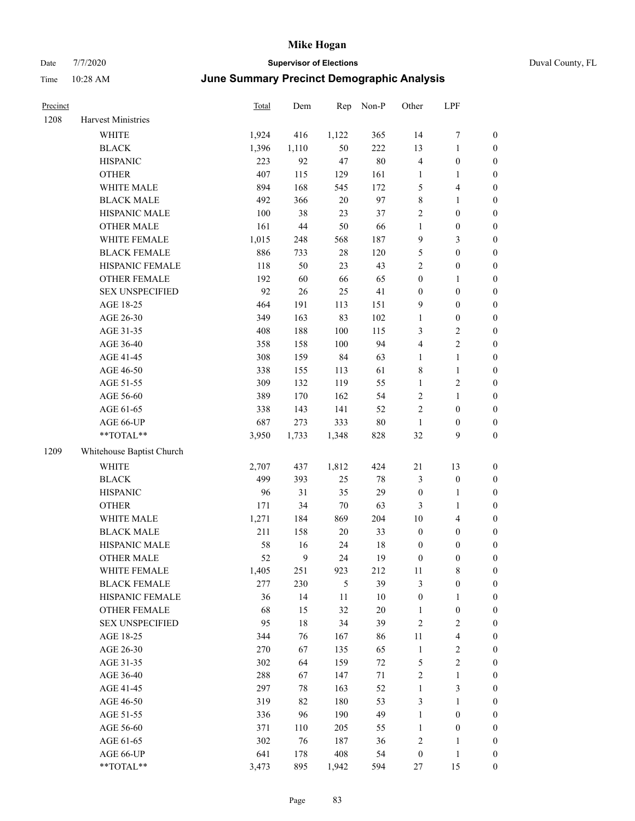| Precinct |                           | Total | Dem    | Rep        | Non-P  | Other            | LPF                     |                  |
|----------|---------------------------|-------|--------|------------|--------|------------------|-------------------------|------------------|
| 1208     | Harvest Ministries        |       |        |            |        |                  |                         |                  |
|          | WHITE                     | 1,924 | 416    | 1,122      | 365    | 14               | 7                       | $\boldsymbol{0}$ |
|          | <b>BLACK</b>              | 1,396 | 1,110  | 50         | 222    | 13               | 1                       | $\boldsymbol{0}$ |
|          | <b>HISPANIC</b>           | 223   | 92     | 47         | $80\,$ | $\overline{4}$   | $\boldsymbol{0}$        | $\boldsymbol{0}$ |
|          | <b>OTHER</b>              | 407   | 115    | 129        | 161    | $\mathbf{1}$     | 1                       | $\boldsymbol{0}$ |
|          | WHITE MALE                | 894   | 168    | 545        | 172    | 5                | 4                       | $\boldsymbol{0}$ |
|          | <b>BLACK MALE</b>         | 492   | 366    | $20\,$     | 97     | $\,$ 8 $\,$      | 1                       | $\boldsymbol{0}$ |
|          | HISPANIC MALE             | 100   | 38     | 23         | 37     | $\sqrt{2}$       | $\boldsymbol{0}$        | $\boldsymbol{0}$ |
|          | <b>OTHER MALE</b>         | 161   | $44\,$ | 50         | 66     | $\mathbf{1}$     | $\boldsymbol{0}$        | $\boldsymbol{0}$ |
|          | WHITE FEMALE              | 1,015 | 248    | 568        | 187    | 9                | 3                       | $\boldsymbol{0}$ |
|          | <b>BLACK FEMALE</b>       | 886   | 733    | $28\,$     | 120    | $\mathfrak{S}$   | $\boldsymbol{0}$        | $\boldsymbol{0}$ |
|          | HISPANIC FEMALE           | 118   | 50     | 23         | 43     | $\overline{2}$   | $\boldsymbol{0}$        | $\boldsymbol{0}$ |
|          | <b>OTHER FEMALE</b>       | 192   | 60     | 66         | 65     | $\boldsymbol{0}$ | 1                       | $\boldsymbol{0}$ |
|          | <b>SEX UNSPECIFIED</b>    | 92    | 26     | 25         | 41     | $\boldsymbol{0}$ | $\boldsymbol{0}$        | $\boldsymbol{0}$ |
|          | AGE 18-25                 | 464   | 191    | 113        | 151    | 9                | $\boldsymbol{0}$        | $\boldsymbol{0}$ |
|          | AGE 26-30                 | 349   | 163    | 83         | 102    | $\mathbf{1}$     | $\boldsymbol{0}$        | $\boldsymbol{0}$ |
|          | AGE 31-35                 | 408   | 188    | 100        | 115    | 3                | 2                       | $\boldsymbol{0}$ |
|          | AGE 36-40                 | 358   | 158    | 100        | 94     | $\overline{4}$   | $\overline{c}$          | $\boldsymbol{0}$ |
|          | AGE 41-45                 | 308   | 159    | 84         | 63     | $\mathbf{1}$     | 1                       | $\boldsymbol{0}$ |
|          | AGE 46-50                 | 338   | 155    | 113        | 61     | $\,$ 8 $\,$      | $\mathbf{1}$            | $\boldsymbol{0}$ |
|          | AGE 51-55                 | 309   | 132    | 119        | 55     | $\mathbf{1}$     | $\overline{\mathbf{c}}$ | $\boldsymbol{0}$ |
|          | AGE 56-60                 | 389   | 170    | 162        | 54     | $\sqrt{2}$       | 1                       | $\boldsymbol{0}$ |
|          | AGE 61-65                 | 338   | 143    | 141        | 52     | $\sqrt{2}$       | $\boldsymbol{0}$        | $\boldsymbol{0}$ |
|          | AGE 66-UP                 | 687   | 273    | 333        | $80\,$ | $\mathbf{1}$     | $\boldsymbol{0}$        | $\boldsymbol{0}$ |
|          | **TOTAL**                 | 3,950 | 1,733  | 1,348      | 828    | 32               | 9                       | $\boldsymbol{0}$ |
| 1209     | Whitehouse Baptist Church |       |        |            |        |                  |                         |                  |
|          | <b>WHITE</b>              | 2,707 | 437    | 1,812      | 424    | 21               | 13                      | $\boldsymbol{0}$ |
|          | <b>BLACK</b>              | 499   | 393    | 25         | $78\,$ | 3                | $\boldsymbol{0}$        | $\boldsymbol{0}$ |
|          | <b>HISPANIC</b>           | 96    | 31     | 35         | 29     | $\boldsymbol{0}$ | 1                       | $\boldsymbol{0}$ |
|          | <b>OTHER</b>              | 171   | 34     | 70         | 63     | $\mathfrak{Z}$   | 1                       | $\boldsymbol{0}$ |
|          | WHITE MALE                | 1,271 | 184    | 869        | 204    | 10               | 4                       | $\boldsymbol{0}$ |
|          | <b>BLACK MALE</b>         | 211   | 158    | $20\,$     | 33     | $\boldsymbol{0}$ | $\boldsymbol{0}$        | $\boldsymbol{0}$ |
|          | HISPANIC MALE             | 58    | 16     | 24         | 18     | $\boldsymbol{0}$ | $\boldsymbol{0}$        | $\boldsymbol{0}$ |
|          | <b>OTHER MALE</b>         | 52    | 9      | 24         | 19     | $\boldsymbol{0}$ | 0                       | $\boldsymbol{0}$ |
|          | WHITE FEMALE              | 1,405 | 251    | 923        | 212    | 11               | 8                       | $\boldsymbol{0}$ |
|          | <b>BLACK FEMALE</b>       | 277   | 230    | $\sqrt{5}$ | 39     | $\mathfrak{Z}$   | $\boldsymbol{0}$        | $\boldsymbol{0}$ |
|          | HISPANIC FEMALE           | 36    | 14     | 11         | $10\,$ | $\boldsymbol{0}$ | 1                       | $\boldsymbol{0}$ |
|          | OTHER FEMALE              | 68    | 15     | 32         | $20\,$ | $\mathbf{1}$     | $\boldsymbol{0}$        | $\boldsymbol{0}$ |
|          | <b>SEX UNSPECIFIED</b>    | 95    | 18     | 34         | 39     | $\sqrt{2}$       | $\overline{\mathbf{c}}$ | $\boldsymbol{0}$ |
|          | AGE 18-25                 | 344   | 76     | 167        | 86     | 11               | 4                       | $\boldsymbol{0}$ |
|          | AGE 26-30                 | 270   | 67     | 135        | 65     | $\mathbf{1}$     | $\overline{\mathbf{c}}$ | $\boldsymbol{0}$ |
|          | AGE 31-35                 | 302   | 64     | 159        | $72\,$ | $\mathfrak{S}$   | 2                       | $\boldsymbol{0}$ |
|          | AGE 36-40                 | 288   | 67     | 147        | 71     | $\sqrt{2}$       | 1                       | $\boldsymbol{0}$ |
|          | AGE 41-45                 | 297   | 78     | 163        | 52     | $\mathbf{1}$     | 3                       | $\boldsymbol{0}$ |
|          | AGE 46-50                 | 319   | 82     | 180        | 53     | $\mathfrak{Z}$   | 1                       | $\boldsymbol{0}$ |
|          | AGE 51-55                 | 336   | 96     | 190        | 49     | $\mathbf{1}$     | $\boldsymbol{0}$        | $\boldsymbol{0}$ |
|          | AGE 56-60                 | 371   | 110    | 205        | 55     | $\mathbf{1}$     | $\boldsymbol{0}$        | $\boldsymbol{0}$ |
|          | AGE 61-65                 | 302   | $76\,$ | 187        | 36     | $\sqrt{2}$       | 1                       | $\boldsymbol{0}$ |
|          | AGE 66-UP                 | 641   | 178    | 408        | 54     | $\boldsymbol{0}$ | 1                       | $\boldsymbol{0}$ |
|          | $**TOTAL**$               | 3,473 | 895    | 1,942      | 594    | $27\,$           | 15                      | $\mathbf{0}$     |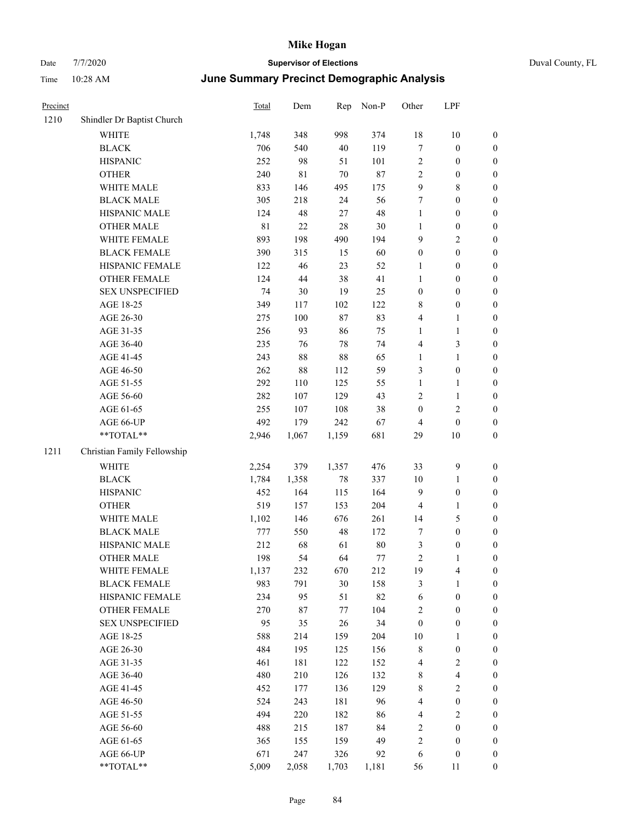|  | Duval County, FL |  |
|--|------------------|--|

| Precinct |                             | Total | Dem         | Rep    | Non-P | Other            | LPF                     |                  |
|----------|-----------------------------|-------|-------------|--------|-------|------------------|-------------------------|------------------|
| 1210     | Shindler Dr Baptist Church  |       |             |        |       |                  |                         |                  |
|          | WHITE                       | 1,748 | 348         | 998    | 374   | 18               | $10\,$                  | $\boldsymbol{0}$ |
|          | <b>BLACK</b>                | 706   | 540         | $40\,$ | 119   | $\tau$           | $\boldsymbol{0}$        | $\boldsymbol{0}$ |
|          | <b>HISPANIC</b>             | 252   | 98          | 51     | 101   | $\sqrt{2}$       | $\boldsymbol{0}$        | $\boldsymbol{0}$ |
|          | <b>OTHER</b>                | 240   | $8\sqrt{1}$ | $70\,$ | 87    | $\sqrt{2}$       | $\boldsymbol{0}$        | $\boldsymbol{0}$ |
|          | WHITE MALE                  | 833   | 146         | 495    | 175   | $\overline{9}$   | $\,$ 8 $\,$             | 0                |
|          | <b>BLACK MALE</b>           | 305   | 218         | 24     | 56    | 7                | $\boldsymbol{0}$        | $\boldsymbol{0}$ |
|          | HISPANIC MALE               | 124   | 48          | $27\,$ | 48    | $\mathbf{1}$     | $\boldsymbol{0}$        | $\boldsymbol{0}$ |
|          | <b>OTHER MALE</b>           | 81    | $22\,$      | 28     | 30    | $\mathbf{1}$     | $\boldsymbol{0}$        | $\boldsymbol{0}$ |
|          | WHITE FEMALE                | 893   | 198         | 490    | 194   | 9                | $\sqrt{2}$              | $\boldsymbol{0}$ |
|          | <b>BLACK FEMALE</b>         | 390   | 315         | 15     | 60    | $\boldsymbol{0}$ | $\boldsymbol{0}$        | $\boldsymbol{0}$ |
|          | HISPANIC FEMALE             | 122   | 46          | 23     | 52    | $\mathbf{1}$     | $\boldsymbol{0}$        | $\boldsymbol{0}$ |
|          | OTHER FEMALE                | 124   | $44\,$      | 38     | 41    | $\mathbf{1}$     | $\boldsymbol{0}$        | $\boldsymbol{0}$ |
|          | <b>SEX UNSPECIFIED</b>      | 74    | 30          | 19     | 25    | $\boldsymbol{0}$ | $\boldsymbol{0}$        | $\boldsymbol{0}$ |
|          | AGE 18-25                   | 349   | 117         | 102    | 122   | 8                | $\boldsymbol{0}$        | $\boldsymbol{0}$ |
|          | AGE 26-30                   | 275   | 100         | $87\,$ | 83    | $\overline{4}$   | $\mathbf{1}$            | 0                |
|          | AGE 31-35                   | 256   | 93          | 86     | 75    | 1                | $\mathbf{1}$            | $\boldsymbol{0}$ |
|          | AGE 36-40                   | 235   | 76          | 78     | 74    | $\overline{4}$   | $\mathfrak{Z}$          | $\boldsymbol{0}$ |
|          | AGE 41-45                   | 243   | 88          | 88     | 65    | $\mathbf{1}$     | $\mathbf{1}$            | $\boldsymbol{0}$ |
|          | AGE 46-50                   | 262   | 88          | 112    | 59    | 3                | $\boldsymbol{0}$        | $\boldsymbol{0}$ |
|          | AGE 51-55                   | 292   | 110         | 125    | 55    | $\mathbf{1}$     | $\mathbf{1}$            | $\boldsymbol{0}$ |
|          | AGE 56-60                   | 282   | 107         | 129    | 43    | 2                | $\mathbf{1}$            | $\boldsymbol{0}$ |
|          | AGE 61-65                   | 255   | 107         | 108    | 38    | $\boldsymbol{0}$ | $\mathbf{2}$            | $\boldsymbol{0}$ |
|          | AGE 66-UP                   | 492   | 179         | 242    | 67    | 4                | $\boldsymbol{0}$        | 0                |
|          | **TOTAL**                   | 2,946 | 1,067       | 1,159  | 681   | 29               | $10\,$                  | $\boldsymbol{0}$ |
| 1211     | Christian Family Fellowship |       |             |        |       |                  |                         |                  |
|          | WHITE                       | 2,254 | 379         | 1,357  | 476   | 33               | $\mathbf{9}$            | $\boldsymbol{0}$ |
|          | $\operatorname{BLACK}$      | 1,784 | 1,358       | 78     | 337   | 10               | $\mathbf{1}$            | 0                |
|          | <b>HISPANIC</b>             | 452   | 164         | 115    | 164   | $\overline{9}$   | $\boldsymbol{0}$        | 0                |
|          | <b>OTHER</b>                | 519   | 157         | 153    | 204   | 4                | $\mathbf{1}$            | $\boldsymbol{0}$ |
|          | WHITE MALE                  | 1,102 | 146         | 676    | 261   | 14               | $\mathfrak{S}$          | $\boldsymbol{0}$ |
|          | <b>BLACK MALE</b>           | 777   | 550         | 48     | 172   | 7                | $\boldsymbol{0}$        | $\boldsymbol{0}$ |
|          | HISPANIC MALE               | 212   | 68          | 61     | 80    | 3                | $\boldsymbol{0}$        | $\boldsymbol{0}$ |
|          | <b>OTHER MALE</b>           | 198   | 54          | 64     | 77    | $\overline{c}$   | $\mathbf{1}$            | $\boldsymbol{0}$ |
|          | WHITE FEMALE                | 1,137 | 232         | 670    | 212   | 19               | $\overline{4}$          | $\boldsymbol{0}$ |
|          | <b>BLACK FEMALE</b>         | 983   | 791         | $30\,$ | 158   | $\mathfrak{Z}$   | $\mathbf{1}$            | 0                |
|          | HISPANIC FEMALE             | 234   | 95          | 51     | 82    | 6                | $\boldsymbol{0}$        | 0                |
|          | <b>OTHER FEMALE</b>         | 270   | 87          | $77\,$ | 104   | $\overline{c}$   | $\boldsymbol{0}$        | 0                |
|          | <b>SEX UNSPECIFIED</b>      | 95    | 35          | 26     | 34    | $\boldsymbol{0}$ | $\boldsymbol{0}$        | 0                |
|          | AGE 18-25                   | 588   | 214         | 159    | 204   | 10               | $\mathbf{1}$            | 0                |
|          | AGE 26-30                   | 484   | 195         | 125    | 156   | 8                | $\boldsymbol{0}$        | $\boldsymbol{0}$ |
|          | AGE 31-35                   | 461   | 181         | 122    | 152   | 4                | $\sqrt{2}$              | $\overline{0}$   |
|          | AGE 36-40                   | 480   | 210         | 126    | 132   | 8                | $\overline{\mathbf{4}}$ | 0                |
|          | AGE 41-45                   | 452   | 177         | 136    | 129   | $\,$ 8 $\,$      | $\sqrt{2}$              | $\overline{0}$   |
|          | AGE 46-50                   | 524   | 243         | 181    | 96    | 4                | $\boldsymbol{0}$        | $\boldsymbol{0}$ |
|          | AGE 51-55                   | 494   | 220         | 182    | 86    | 4                | $\sqrt{2}$              | $\overline{0}$   |
|          | AGE 56-60                   | 488   | 215         | 187    | 84    | $\sqrt{2}$       | $\boldsymbol{0}$        | 0                |
|          | AGE 61-65                   | 365   | 155         | 159    | 49    | $\sqrt{2}$       | $\boldsymbol{0}$        | 0                |
|          | AGE 66-UP                   | 671   | 247         | 326    | 92    | 6                | $\boldsymbol{0}$        | 0                |
|          | $**TOTAL**$                 | 5,009 | 2,058       | 1,703  | 1,181 | 56               | 11                      | $\boldsymbol{0}$ |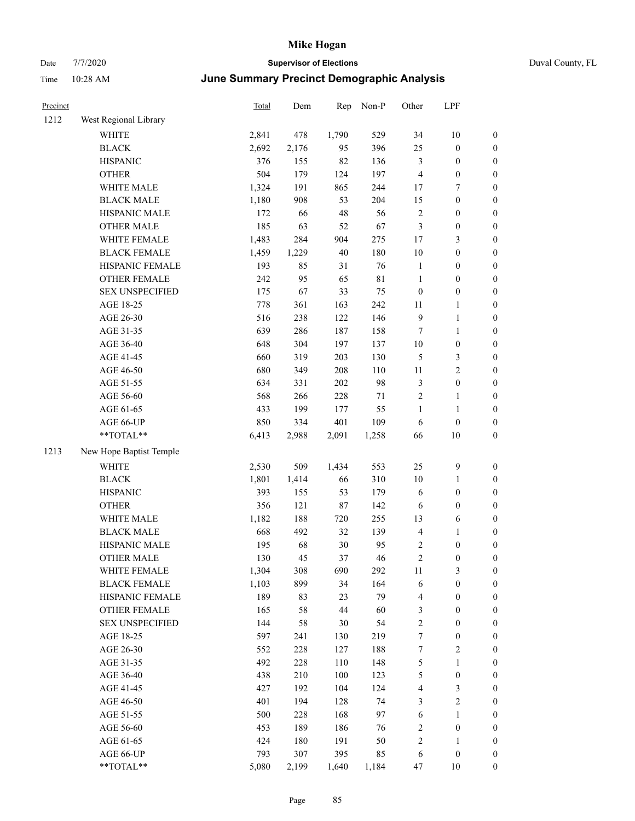### Date 7/7/2020 **Supervisor of Elections** Duval County, FL Time 10:28 AM **June Summary Precinct Demographic Analysis**

| June Summary Precinct Demographic Analysis<br>10:28 AM<br>Time |                        |       |       |       |       |                |              |                |  |
|----------------------------------------------------------------|------------------------|-------|-------|-------|-------|----------------|--------------|----------------|--|
| Precinct                                                       |                        | Total | Dem   | Rep   | Non-P | Other          | LPF          |                |  |
| 1212                                                           | West Regional Library  |       |       |       |       |                |              |                |  |
|                                                                | <b>WHITE</b>           | 2,841 | 478   | 1,790 | 529   | 34             | 10           | $\overline{0}$ |  |
|                                                                | <b>BLACK</b>           | 2,692 | 2,176 | 95    | 396   | 25             | $\theta$     | $\theta$       |  |
|                                                                | <b>HISPANIC</b>        | 376   | 155   | 82    | 136   | 3              | 0            | 0              |  |
|                                                                | <b>OTHER</b>           | 504   | 179   | 124   | 197   | 4              | 0            | $\mathbf{0}$   |  |
|                                                                | <b>WHITE MALE</b>      | 1,324 | 191   | 865   | 244   | 17             | 7            | $\mathbf{0}$   |  |
|                                                                | <b>BLACK MALE</b>      | 1,180 | 908   | 53    | 204   | 15             | $\mathbf{0}$ | $\mathbf{0}$   |  |
|                                                                | <b>HISPANIC MALE</b>   | 172   | 66    | 48    | 56    | $\overline{2}$ | 0            | $\mathbf{0}$   |  |
|                                                                | <b>OTHER MALE</b>      | 185   | 63    | 52    | 67    | 3              | 0            | $\theta$       |  |
|                                                                | WHITE FEMALE           | 1,483 | 284   | 904   | 275   | 17             | 3            | $\theta$       |  |
|                                                                | <b>BLACK FEMALE</b>    | 1,459 | 1,229 | 40    | 180   | 10             | 0            | 0              |  |
|                                                                | HISPANIC FEMALE        | 193   | 85    | 31    | 76    | 1              | 0            | 0              |  |
|                                                                | <b>OTHER FEMALE</b>    | 242   | 95    | 65    | 81    | 1              | 0            | $\mathbf{0}$   |  |
|                                                                | <b>SEX UNSPECIFIED</b> | 175   | 67    | 33    | 75    | $\mathbf{0}$   | 0            | $\mathbf{0}$   |  |
|                                                                | AGE 18-25              | 778   | 361   | 163   | 242   | 11             |              | $\mathbf{0}$   |  |
|                                                                | AGE 26-30              | 516   | 238   | 122   | 146   | 9              |              | $\theta$       |  |
|                                                                | AGE 31-35              | 639   | 286   | 187   | 158   | 7              | 1            | $\theta$       |  |
|                                                                | AGE 36-40              | 648   | 304   | 197   | 137   | 10             | 0            | 0              |  |
|                                                                | AGE 41-45              | 660   | 319   | 203   | 130   | 5              | 3            | 0              |  |
|                                                                | AGE 46-50              | 680   | 349   | 208   | 110   | 11             | 2            | $\theta$       |  |
|                                                                | AGE 51-55              | 634   | 331   | 202   | 98    | 3              | $\theta$     | $\theta$       |  |

#### $1213$

| AGE 56-60               | 568   | 266   | 228   | 71    | $\mathfrak{2}$ | 1                | $\boldsymbol{0}$ |
|-------------------------|-------|-------|-------|-------|----------------|------------------|------------------|
| AGE 61-65               | 433   | 199   | 177   | 55    | $\mathbf{1}$   | 1                | $\boldsymbol{0}$ |
| AGE 66-UP               | 850   | 334   | 401   | 109   | 6              | $\boldsymbol{0}$ | $\boldsymbol{0}$ |
| **TOTAL**               | 6,413 | 2,988 | 2,091 | 1,258 | 66             | 10               | $\boldsymbol{0}$ |
| New Hope Baptist Temple |       |       |       |       |                |                  |                  |
| <b>WHITE</b>            | 2,530 | 509   | 1,434 | 553   | 25             | 9                | $\boldsymbol{0}$ |
| <b>BLACK</b>            | 1,801 | 1,414 | 66    | 310   | 10             | 1                | $\boldsymbol{0}$ |
| <b>HISPANIC</b>         | 393   | 155   | 53    | 179   | 6              | $\boldsymbol{0}$ | $\boldsymbol{0}$ |
| <b>OTHER</b>            | 356   | 121   | 87    | 142   | 6              | $\theta$         | $\boldsymbol{0}$ |
| <b>WHITE MALE</b>       | 1,182 | 188   | 720   | 255   | 13             | 6                | $\overline{0}$   |
| <b>BLACK MALE</b>       | 668   | 492   | 32    | 139   | $\overline{4}$ | $\mathbf{1}$     | $\boldsymbol{0}$ |
| <b>HISPANIC MALE</b>    | 195   | 68    | 30    | 95    | $\mathfrak{2}$ | $\boldsymbol{0}$ | $\boldsymbol{0}$ |
| <b>OTHER MALE</b>       | 130   | 45    | 37    | 46    | $\overline{2}$ | $\boldsymbol{0}$ | $\boldsymbol{0}$ |
| <b>WHITE FEMALE</b>     | 1,304 | 308   | 690   | 292   | 11             | 3                | $\boldsymbol{0}$ |
| <b>BLACK FEMALE</b>     | 1,103 | 899   | 34    | 164   | 6              | $\boldsymbol{0}$ | $\boldsymbol{0}$ |
| HISPANIC FEMALE         | 189   | 83    | 23    | 79    | 4              | $\boldsymbol{0}$ | $\boldsymbol{0}$ |
| <b>OTHER FEMALE</b>     | 165   | 58    | 44    | 60    | 3              | $\boldsymbol{0}$ | $\boldsymbol{0}$ |
| <b>SEX UNSPECIFIED</b>  | 144   | 58    | 30    | 54    | $\overline{2}$ | $\mathbf{0}$     | $\boldsymbol{0}$ |
| AGE 18-25               | 597   | 241   | 130   | 219   | 7              | $\boldsymbol{0}$ | $\boldsymbol{0}$ |
| AGE 26-30               | 552   | 228   | 127   | 188   | 7              | $\sqrt{2}$       | $\boldsymbol{0}$ |
| AGE 31-35               | 492   | 228   | 110   | 148   | 5              | $\mathbf{1}$     | $\boldsymbol{0}$ |
| AGE 36-40               | 438   | 210   | 100   | 123   | 5              | $\boldsymbol{0}$ | $\boldsymbol{0}$ |
| AGE 41-45               | 427   | 192   | 104   | 124   | 4              | 3                | $\boldsymbol{0}$ |
| AGE 46-50               | 401   | 194   | 128   | 74    | 3              | $\mathbf{2}$     | $\boldsymbol{0}$ |
| AGE 51-55               | 500   | 228   | 168   | 97    | 6              | $\mathbf{1}$     | $\boldsymbol{0}$ |
| AGE 56-60               | 453   | 189   | 186   | 76    | $\overline{2}$ | $\theta$         | $\boldsymbol{0}$ |
| AGE 61-65               | 424   | 180   | 191   | 50    | $\overline{2}$ | $\mathbf{1}$     | $\boldsymbol{0}$ |
| AGE 66-UP               | 793   | 307   | 395   | 85    | 6              | $\theta$         | $\boldsymbol{0}$ |
| $*$ TOTAL $*$           | 5,080 | 2.199 | 1.640 | 1,184 | 47             | 10               | $\overline{0}$   |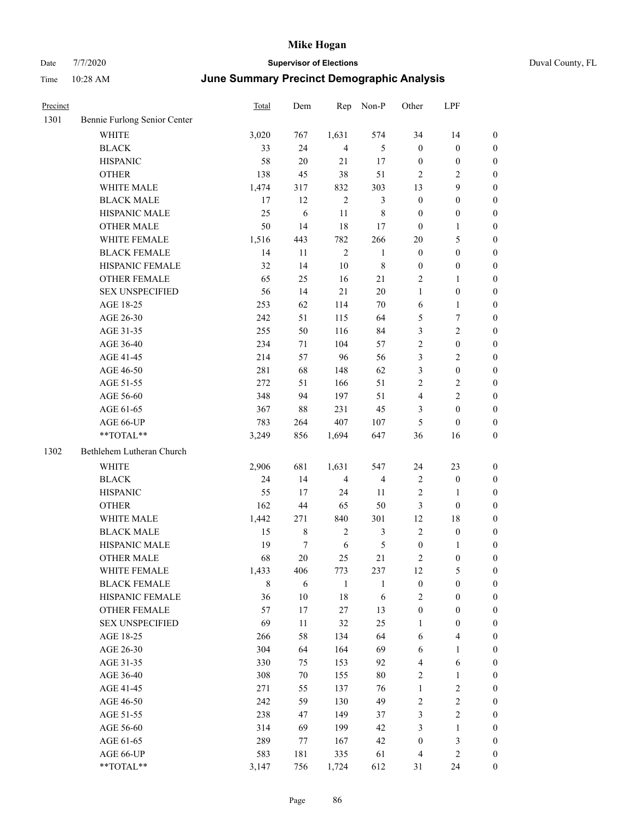| Duval Count |  |
|-------------|--|

| Precinct |                              | Total       | Dem        | Rep            | Non-P          | Other            | LPF                     |                  |
|----------|------------------------------|-------------|------------|----------------|----------------|------------------|-------------------------|------------------|
| 1301     | Bennie Furlong Senior Center |             |            |                |                |                  |                         |                  |
|          | <b>WHITE</b>                 | 3,020       | 767        | 1,631          | 574            | 34               | 14                      | $\boldsymbol{0}$ |
|          | <b>BLACK</b>                 | 33          | 24         | $\overline{4}$ | 5              | $\boldsymbol{0}$ | $\boldsymbol{0}$        | $\boldsymbol{0}$ |
|          | <b>HISPANIC</b>              | 58          | $20\,$     | $21\,$         | 17             | $\boldsymbol{0}$ | $\boldsymbol{0}$        | $\boldsymbol{0}$ |
|          | <b>OTHER</b>                 | 138         | 45         | 38             | 51             | 2                | $\sqrt{2}$              | $\boldsymbol{0}$ |
|          | WHITE MALE                   | 1,474       | 317        | 832            | 303            | 13               | 9                       | 0                |
|          | <b>BLACK MALE</b>            | 17          | 12         | $\overline{2}$ | 3              | $\boldsymbol{0}$ | $\boldsymbol{0}$        | 0                |
|          | HISPANIC MALE                | 25          | 6          | $11\,$         | $\,$ 8 $\,$    | $\boldsymbol{0}$ | $\boldsymbol{0}$        | $\boldsymbol{0}$ |
|          | <b>OTHER MALE</b>            | 50          | 14         | 18             | 17             | $\boldsymbol{0}$ | $\mathbf{1}$            | $\boldsymbol{0}$ |
|          | WHITE FEMALE                 | 1,516       | 443        | 782            | 266            | 20               | $\mathfrak{S}$          | $\boldsymbol{0}$ |
|          | <b>BLACK FEMALE</b>          | 14          | 11         | $\overline{2}$ | $\mathbf{1}$   | $\boldsymbol{0}$ | $\boldsymbol{0}$        | $\boldsymbol{0}$ |
|          | HISPANIC FEMALE              | 32          | 14         | $10\,$         | $\,$ 8 $\,$    | $\boldsymbol{0}$ | $\boldsymbol{0}$        | $\boldsymbol{0}$ |
|          | OTHER FEMALE                 | 65          | 25         | 16             | 21             | 2                | $\mathbf{1}$            | $\boldsymbol{0}$ |
|          | <b>SEX UNSPECIFIED</b>       | 56          | 14         | 21             | $20\,$         | $\mathbf{1}$     | $\boldsymbol{0}$        | $\boldsymbol{0}$ |
|          | AGE 18-25                    | 253         | 62         | 114            | 70             | 6                | $\mathbf{1}$            | $\boldsymbol{0}$ |
|          | AGE 26-30                    | 242         | 51         | 115            | 64             | 5                | 7                       | 0                |
|          | AGE 31-35                    | 255         | 50         | 116            | 84             | 3                | $\sqrt{2}$              | 0                |
|          | AGE 36-40                    | 234         | 71         | 104            | 57             | 2                | $\boldsymbol{0}$        | 0                |
|          | AGE 41-45                    | 214         | 57         | 96             | 56             | 3                | $\mathfrak{2}$          | $\boldsymbol{0}$ |
|          | AGE 46-50                    | 281         | 68         | 148            | 62             | 3                | $\boldsymbol{0}$        | $\boldsymbol{0}$ |
|          | AGE 51-55                    | 272         | 51         | 166            | 51             | 2                | $\mathfrak{2}$          | $\boldsymbol{0}$ |
|          | AGE 56-60                    | 348         | 94         | 197            | 51             | 4                | $\sqrt{2}$              | $\boldsymbol{0}$ |
|          | AGE 61-65                    | 367         | $88\,$     | 231            | 45             | 3                | $\boldsymbol{0}$        | $\boldsymbol{0}$ |
|          | AGE 66-UP                    | 783         | 264        | 407            | 107            | 5                | $\boldsymbol{0}$        | 0                |
|          | **TOTAL**                    | 3,249       | 856        | 1,694          | 647            | 36               | 16                      | $\boldsymbol{0}$ |
| 1302     | Bethlehem Lutheran Church    |             |            |                |                |                  |                         |                  |
|          | WHITE                        | 2,906       | 681        | 1,631          | 547            | 24               | 23                      | $\boldsymbol{0}$ |
|          | <b>BLACK</b>                 | 24          | 14         | $\overline{4}$ | $\overline{4}$ | $\overline{2}$   | $\boldsymbol{0}$        | 0                |
|          | <b>HISPANIC</b>              | 55          | 17         | 24             | 11             | 2                | $\mathbf{1}$            | 0                |
|          | <b>OTHER</b>                 | 162         | 44         | 65             | 50             | 3                | $\boldsymbol{0}$        | 0                |
|          | WHITE MALE                   | 1,442       | 271        | 840            | 301            | 12               | 18                      | $\boldsymbol{0}$ |
|          | <b>BLACK MALE</b>            | 15          | 8          | $\sqrt{2}$     | 3              | $\overline{c}$   | $\boldsymbol{0}$        | $\boldsymbol{0}$ |
|          | HISPANIC MALE                | 19          | 7          | 6              | 5              | $\boldsymbol{0}$ | $\mathbf{1}$            | 0                |
|          | <b>OTHER MALE</b>            | 68          | 20         | 25             | 21             | $\overline{c}$   | $\boldsymbol{0}$        | $\boldsymbol{0}$ |
|          | WHITE FEMALE                 | 1,433       | 406        | 773            | 237            | 12               | $\mathfrak{S}$          | $\overline{0}$   |
|          | <b>BLACK FEMALE</b>          | $\,$ 8 $\,$ | $\sqrt{6}$ | $\mathbf{1}$   | $\mathbf{1}$   | $\boldsymbol{0}$ | $\boldsymbol{0}$        | 0                |
|          | HISPANIC FEMALE              | 36          | $10\,$     | 18             | 6              | $\mathfrak{2}$   | $\boldsymbol{0}$        | 0                |
|          | <b>OTHER FEMALE</b>          | 57          | 17         | $27\,$         | 13             | $\boldsymbol{0}$ | $\boldsymbol{0}$        | 0                |
|          | <b>SEX UNSPECIFIED</b>       | 69          | 11         | 32             | 25             | $\mathbf{1}$     | $\boldsymbol{0}$        | 0                |
|          | AGE 18-25                    | 266         | 58         | 134            | 64             | 6                | $\overline{\mathbf{4}}$ | $\boldsymbol{0}$ |
|          | AGE 26-30                    | 304         | 64         | 164            | 69             | 6                | $\mathbf{1}$            | $\boldsymbol{0}$ |
|          | AGE 31-35                    | 330         | 75         | 153            | 92             | 4                | 6                       | $\boldsymbol{0}$ |
|          | AGE 36-40                    | 308         | 70         | 155            | $80\,$         | 2                | $\mathbf{1}$            | $\boldsymbol{0}$ |
|          | AGE 41-45                    | 271         | 55         | 137            | 76             | $\mathbf{1}$     | $\sqrt{2}$              | 0                |
|          | AGE 46-50                    | 242         | 59         | 130            | 49             | 2                | $\sqrt{2}$              | $\overline{0}$   |
|          | AGE 51-55                    | 238         | 47         | 149            | 37             | 3                | $\sqrt{2}$              | $\overline{0}$   |
|          | AGE 56-60                    | 314         | 69         | 199            | 42             | $\mathfrak{Z}$   | $\mathbf{1}$            | $\boldsymbol{0}$ |
|          | AGE 61-65                    | 289         | 77         | 167            | 42             | $\boldsymbol{0}$ | $\mathfrak{Z}$          | 0                |
|          | AGE 66-UP                    | 583         | 181        | 335            | 61             | $\overline{4}$   | $\sqrt{2}$              | 0                |
|          | $**TOTAL**$                  | 3,147       | 756        | 1,724          | 612            | 31               | 24                      | $\boldsymbol{0}$ |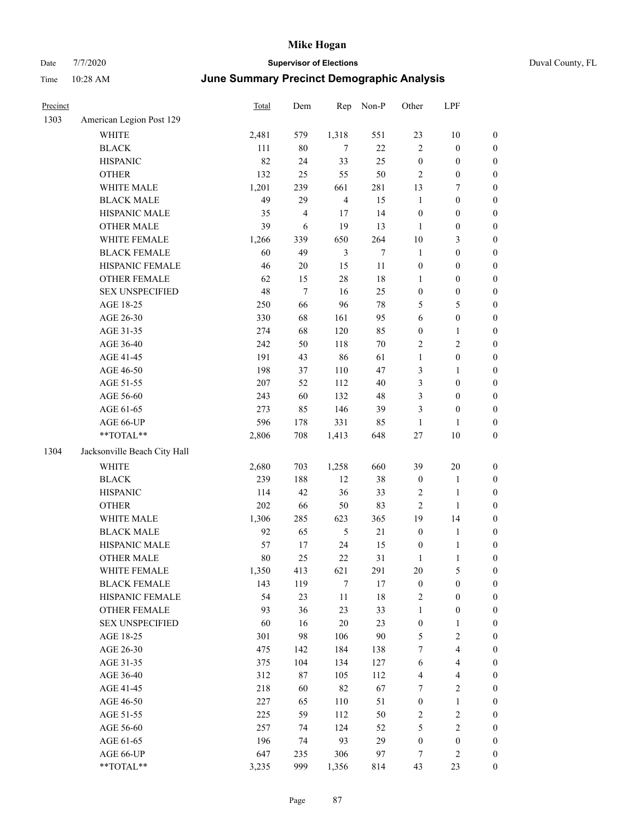| Duval County, FL |  |
|------------------|--|
|------------------|--|

| Precinct |                                                           | Total | Dem        | Rep            | Non-P  | Other            | LPF                     |                  |
|----------|-----------------------------------------------------------|-------|------------|----------------|--------|------------------|-------------------------|------------------|
| 1303     | American Legion Post 129                                  |       |            |                |        |                  |                         |                  |
|          | WHITE                                                     | 2,481 | 579        | 1,318          | 551    | 23               | $10\,$                  | $\boldsymbol{0}$ |
|          | <b>BLACK</b>                                              | 111   | $80\,$     | $\tau$         | $22\,$ | $\overline{c}$   | $\boldsymbol{0}$        | $\boldsymbol{0}$ |
|          | <b>HISPANIC</b>                                           | 82    | 24         | 33             | 25     | $\boldsymbol{0}$ | $\boldsymbol{0}$        | $\boldsymbol{0}$ |
|          | <b>OTHER</b>                                              | 132   | 25         | 55             | 50     | 2                | $\boldsymbol{0}$        | $\boldsymbol{0}$ |
|          | WHITE MALE                                                | 1,201 | 239        | 661            | 281    | 13               | 7                       | $\boldsymbol{0}$ |
|          | <b>BLACK MALE</b>                                         | 49    | 29         | $\overline{4}$ | 15     | $\mathbf{1}$     | $\boldsymbol{0}$        | $\boldsymbol{0}$ |
|          | HISPANIC MALE                                             | 35    | 4          | 17             | 14     | $\boldsymbol{0}$ | $\boldsymbol{0}$        | $\boldsymbol{0}$ |
|          | <b>OTHER MALE</b>                                         | 39    | $\sqrt{6}$ | 19             | 13     | $\mathbf{1}$     | $\boldsymbol{0}$        | $\boldsymbol{0}$ |
|          | WHITE FEMALE                                              | 1,266 | 339        | 650            | 264    | $10\,$           | $\mathfrak{Z}$          | $\boldsymbol{0}$ |
|          | <b>BLACK FEMALE</b>                                       | 60    | 49         | $\mathfrak{Z}$ | $\tau$ | $\mathbf{1}$     | $\boldsymbol{0}$        | $\boldsymbol{0}$ |
|          | HISPANIC FEMALE                                           | 46    | 20         | 15             | 11     | $\boldsymbol{0}$ | $\boldsymbol{0}$        | 0                |
|          | OTHER FEMALE                                              | 62    | 15         | $28\,$         | $18\,$ | 1                | $\boldsymbol{0}$        | 0                |
|          | <b>SEX UNSPECIFIED</b>                                    | 48    | $\tau$     | 16             | 25     | $\boldsymbol{0}$ | $\boldsymbol{0}$        | $\boldsymbol{0}$ |
|          | AGE 18-25                                                 | 250   | 66         | 96             | $78\,$ | 5                | $\mathfrak{S}$          | $\boldsymbol{0}$ |
|          | AGE 26-30                                                 | 330   | 68         | 161            | 95     | 6                | $\boldsymbol{0}$        | $\boldsymbol{0}$ |
|          | AGE 31-35                                                 | 274   | 68         | 120            | 85     | $\boldsymbol{0}$ | $\mathbf{1}$            | $\boldsymbol{0}$ |
|          | AGE 36-40                                                 | 242   | 50         | 118            | $70\,$ | 2                | $\sqrt{2}$              | $\boldsymbol{0}$ |
|          | AGE 41-45                                                 | 191   | 43         | 86             | 61     | $\mathbf{1}$     | $\boldsymbol{0}$        | $\boldsymbol{0}$ |
|          | AGE 46-50                                                 | 198   | 37         | 110            | 47     | 3                | $\mathbf{1}$            | $\boldsymbol{0}$ |
|          | AGE 51-55                                                 | 207   | 52         | 112            | 40     | 3                | $\boldsymbol{0}$        | $\boldsymbol{0}$ |
|          | AGE 56-60                                                 | 243   | 60         | 132            | 48     | 3                | $\boldsymbol{0}$        | 0                |
|          | AGE 61-65                                                 | 273   | 85         | 146            | 39     | 3                | $\boldsymbol{0}$        | 0                |
|          | AGE 66-UP                                                 | 596   | 178        | 331            | 85     | $\mathbf{1}$     | 1                       | 0                |
|          | $**TOTAL**$                                               | 2,806 | 708        | 1,413          | 648    | 27               | $10\,$                  | $\boldsymbol{0}$ |
| 1304     | Jacksonville Beach City Hall                              |       |            |                |        |                  |                         |                  |
|          | <b>WHITE</b>                                              | 2,680 | 703        | 1,258          | 660    | 39               | $20\,$                  | $\boldsymbol{0}$ |
|          | <b>BLACK</b>                                              | 239   | 188        | 12             | 38     | $\boldsymbol{0}$ | $\mathbf{1}$            | $\boldsymbol{0}$ |
|          | <b>HISPANIC</b>                                           | 114   | 42         | 36             | 33     | 2                | $\mathbf{1}$            | $\boldsymbol{0}$ |
|          | <b>OTHER</b>                                              | 202   | 66         | 50             | 83     | $\sqrt{2}$       | $\mathbf{1}$            | $\boldsymbol{0}$ |
|          | WHITE MALE                                                | 1,306 | 285        | 623            | 365    | 19               | 14                      | $\boldsymbol{0}$ |
|          | <b>BLACK MALE</b>                                         | 92    | 65         | $\sqrt{5}$     | $21\,$ | $\boldsymbol{0}$ | $\mathbf{1}$            | $\boldsymbol{0}$ |
|          | HISPANIC MALE                                             | 57    | 17         | 24             | 15     | $\boldsymbol{0}$ | $\mathbf{1}$            | $\boldsymbol{0}$ |
|          | <b>OTHER MALE</b>                                         | 80    | 25         | 22             | 31     | 1                | 1                       | $\boldsymbol{0}$ |
|          | WHITE FEMALE                                              | 1,350 | 413        | 621            | 291    | 20               | 5                       | 0                |
|          | <b>BLACK FEMALE</b>                                       | 143   | 119        | $\tau$         | $17\,$ | $\boldsymbol{0}$ | $\boldsymbol{0}$        | 0                |
|          | HISPANIC FEMALE                                           | 54    | 23         | $11\,$         | 18     | $\overline{c}$   | $\boldsymbol{0}$        | 0                |
|          | <b>OTHER FEMALE</b>                                       | 93    | 36         | 23             | 33     | $\mathbf{1}$     | $\boldsymbol{0}$        | $\boldsymbol{0}$ |
|          | <b>SEX UNSPECIFIED</b>                                    | 60    | 16         | $20\,$         | 23     | $\boldsymbol{0}$ | $\mathbf{1}$            | 0                |
|          | AGE 18-25                                                 | 301   | 98         | 106            | $90\,$ | 5                | $\sqrt{2}$              | 0                |
|          | AGE 26-30                                                 | 475   | 142        | 184            | 138    | 7                | $\overline{\mathbf{4}}$ | 0                |
|          | AGE 31-35                                                 | 375   | 104        | 134            | 127    | 6                | $\overline{4}$          | 0                |
|          | AGE 36-40                                                 | 312   | 87         | 105            | 112    | 4                | $\overline{4}$          | 0                |
|          | AGE 41-45                                                 | 218   | 60         | 82             | 67     | 7                | $\sqrt{2}$              | 0                |
|          | AGE 46-50                                                 | 227   | 65         | 110            | 51     | $\boldsymbol{0}$ | $\mathbf{1}$            | 0                |
|          | AGE 51-55                                                 | 225   | 59         | 112            | 50     | $\overline{c}$   | $\sqrt{2}$              | $\boldsymbol{0}$ |
|          | AGE 56-60                                                 | 257   | 74         | 124            | 52     | 5                | $\sqrt{2}$              | 0                |
|          | AGE 61-65                                                 | 196   | 74         | 93             | 29     | $\boldsymbol{0}$ | $\boldsymbol{0}$        | $\boldsymbol{0}$ |
|          | AGE 66-UP                                                 | 647   | 235        | 306            | 97     | 7                | $\sqrt{2}$              | $\boldsymbol{0}$ |
|          | $\mathrm{*}\mathrm{*}\mathrm{TOTAL} \mathrm{*}\mathrm{*}$ | 3,235 | 999        | 1,356          | 814    | 43               | 23                      | $\overline{0}$   |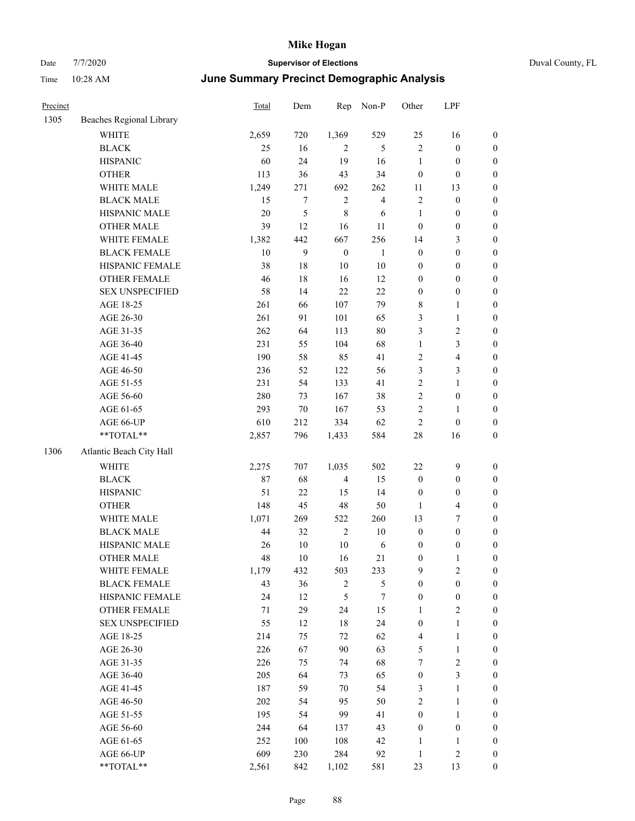| Precinct |                          | <b>Total</b> | Dem    | Rep              | Non-P            | Other            | LPF                     |                  |
|----------|--------------------------|--------------|--------|------------------|------------------|------------------|-------------------------|------------------|
| 1305     | Beaches Regional Library |              |        |                  |                  |                  |                         |                  |
|          | WHITE                    | 2,659        | 720    | 1,369            | 529              | 25               | 16                      | $\boldsymbol{0}$ |
|          | <b>BLACK</b>             | 25           | 16     | $\overline{2}$   | 5                | $\mathfrak{2}$   | $\boldsymbol{0}$        | $\boldsymbol{0}$ |
|          | <b>HISPANIC</b>          | 60           | 24     | 19               | 16               | $\mathbf{1}$     | $\boldsymbol{0}$        | $\boldsymbol{0}$ |
|          | <b>OTHER</b>             | 113          | 36     | 43               | 34               | $\boldsymbol{0}$ | $\boldsymbol{0}$        | $\boldsymbol{0}$ |
|          | WHITE MALE               | 1,249        | 271    | 692              | 262              | 11               | 13                      | 0                |
|          | <b>BLACK MALE</b>        | 15           | 7      | $\overline{2}$   | $\overline{4}$   | 2                | $\boldsymbol{0}$        | 0                |
|          | HISPANIC MALE            | 20           | 5      | $\,$ 8 $\,$      | 6                | $\mathbf{1}$     | $\boldsymbol{0}$        | 0                |
|          | <b>OTHER MALE</b>        | 39           | 12     | 16               | 11               | $\boldsymbol{0}$ | $\boldsymbol{0}$        | $\boldsymbol{0}$ |
|          | WHITE FEMALE             | 1,382        | 442    | 667              | 256              | 14               | $\mathfrak{Z}$          | $\boldsymbol{0}$ |
|          | <b>BLACK FEMALE</b>      | 10           | 9      | $\boldsymbol{0}$ | $\mathbf{1}$     | $\boldsymbol{0}$ | $\boldsymbol{0}$        | $\boldsymbol{0}$ |
|          | HISPANIC FEMALE          | 38           | 18     | $10\,$           | 10               | $\boldsymbol{0}$ | $\boldsymbol{0}$        | $\boldsymbol{0}$ |
|          | OTHER FEMALE             | 46           | 18     | 16               | 12               | $\boldsymbol{0}$ | $\boldsymbol{0}$        | $\boldsymbol{0}$ |
|          | <b>SEX UNSPECIFIED</b>   | 58           | 14     | 22               | 22               | $\boldsymbol{0}$ | $\boldsymbol{0}$        | $\boldsymbol{0}$ |
|          | AGE 18-25                | 261          | 66     | 107              | 79               | 8                | $\mathbf{1}$            | $\boldsymbol{0}$ |
|          | AGE 26-30                | 261          | 91     | 101              | 65               | 3                | $\mathbf{1}$            | $\boldsymbol{0}$ |
|          | AGE 31-35                | 262          | 64     | 113              | 80               | 3                | $\sqrt{2}$              | 0                |
|          | AGE 36-40                | 231          | 55     | 104              | 68               | $\mathbf{1}$     | $\mathfrak{Z}$          | 0                |
|          | AGE 41-45                | 190          | 58     | 85               | 41               | $\sqrt{2}$       | $\overline{\mathbf{4}}$ | $\boldsymbol{0}$ |
|          | AGE 46-50                | 236          | 52     | 122              | 56               | 3                | $\mathfrak{Z}$          | $\boldsymbol{0}$ |
|          | AGE 51-55                | 231          | 54     | 133              | 41               | 2                | $\mathbf{1}$            | $\boldsymbol{0}$ |
|          | AGE 56-60                | 280          | 73     | 167              | 38               | $\sqrt{2}$       | $\boldsymbol{0}$        | $\boldsymbol{0}$ |
|          | AGE 61-65                | 293          | 70     | 167              | 53               | $\sqrt{2}$       | $\mathbf{1}$            | $\boldsymbol{0}$ |
|          | AGE 66-UP                | 610          | 212    | 334              | 62               | $\overline{c}$   | $\boldsymbol{0}$        | $\boldsymbol{0}$ |
|          | $**TOTAL**$              | 2,857        | 796    | 1,433            | 584              | $28\,$           | 16                      | $\boldsymbol{0}$ |
| 1306     | Atlantic Beach City Hall |              |        |                  |                  |                  |                         |                  |
|          | <b>WHITE</b>             | 2,275        | 707    | 1,035            | 502              | 22               | $\mathbf{9}$            | $\boldsymbol{0}$ |
|          | $\operatorname{BLACK}$   | 87           | 68     | $\overline{4}$   | 15               | $\boldsymbol{0}$ | $\boldsymbol{0}$        | $\boldsymbol{0}$ |
|          | <b>HISPANIC</b>          | 51           | 22     | 15               | 14               | $\boldsymbol{0}$ | $\boldsymbol{0}$        | 0                |
|          | <b>OTHER</b>             | 148          | 45     | $48\,$           | 50               | $\mathbf{1}$     | $\overline{\mathbf{4}}$ | 0                |
|          | WHITE MALE               | 1,071        | 269    | 522              | 260              | 13               | $\tau$                  | $\boldsymbol{0}$ |
|          | <b>BLACK MALE</b>        | 44           | 32     | $\sqrt{2}$       | $10\,$           | $\boldsymbol{0}$ | $\boldsymbol{0}$        | $\boldsymbol{0}$ |
|          | HISPANIC MALE            | 26           | $10\,$ | $10\,$           | 6                | $\boldsymbol{0}$ | $\boldsymbol{0}$        | $\boldsymbol{0}$ |
|          | <b>OTHER MALE</b>        | 48           | $10\,$ | 16               | 21               | $\boldsymbol{0}$ | $\mathbf{1}$            | $\boldsymbol{0}$ |
|          | WHITE FEMALE             | 1,179        | 432    | 503              | 233              | $\overline{9}$   | $\sqrt{2}$              | $\overline{0}$   |
|          | <b>BLACK FEMALE</b>      | 43           | 36     | $\sqrt{2}$       | 5                | $\boldsymbol{0}$ | $\boldsymbol{0}$        | 0                |
|          | <b>HISPANIC FEMALE</b>   | 24           | 12     | $\mathfrak s$    | $\boldsymbol{7}$ | $\boldsymbol{0}$ | $\boldsymbol{0}$        | 0                |
|          | OTHER FEMALE             | 71           | 29     | 24               | 15               | $\mathbf{1}$     | $\sqrt{2}$              | 0                |
|          | <b>SEX UNSPECIFIED</b>   | 55           | 12     | $18\,$           | 24               | $\boldsymbol{0}$ | $\mathbf{1}$            | 0                |
|          | AGE 18-25                | 214          | 75     | 72               | 62               | 4                | $\mathbf{1}$            | 0                |
|          | AGE 26-30                | 226          | 67     | 90               | 63               | 5                | $\mathbf{1}$            | 0                |
|          | AGE 31-35                | 226          | 75     | 74               | 68               | 7                | $\sqrt{2}$              | $\boldsymbol{0}$ |
|          | AGE 36-40                | 205          | 64     | 73               | 65               | $\boldsymbol{0}$ | $\mathfrak{Z}$          | $\overline{0}$   |
|          | AGE 41-45                | 187          | 59     | 70               | 54               | 3                | $\mathbf{1}$            | $\boldsymbol{0}$ |
|          | AGE 46-50                | 202          | 54     | 95               | 50               | $\overline{c}$   | $\mathbf{1}$            | $\overline{0}$   |
|          | AGE 51-55                | 195          | 54     | 99               | 41               | $\boldsymbol{0}$ | $\mathbf{1}$            | $\overline{0}$   |
|          | AGE 56-60                | 244          | 64     | 137              | 43               | $\boldsymbol{0}$ | $\boldsymbol{0}$        | $\overline{0}$   |
|          | AGE 61-65                | 252          | 100    | 108              | 42               | $\mathbf{1}$     | $\mathbf{1}$            | 0                |
|          | AGE 66-UP                | 609          | 230    | 284              | 92               | $\mathbf{1}$     | $\sqrt{2}$              | 0                |
|          | **TOTAL**                | 2,561        | 842    | 1,102            | 581              | 23               | 13                      | $\boldsymbol{0}$ |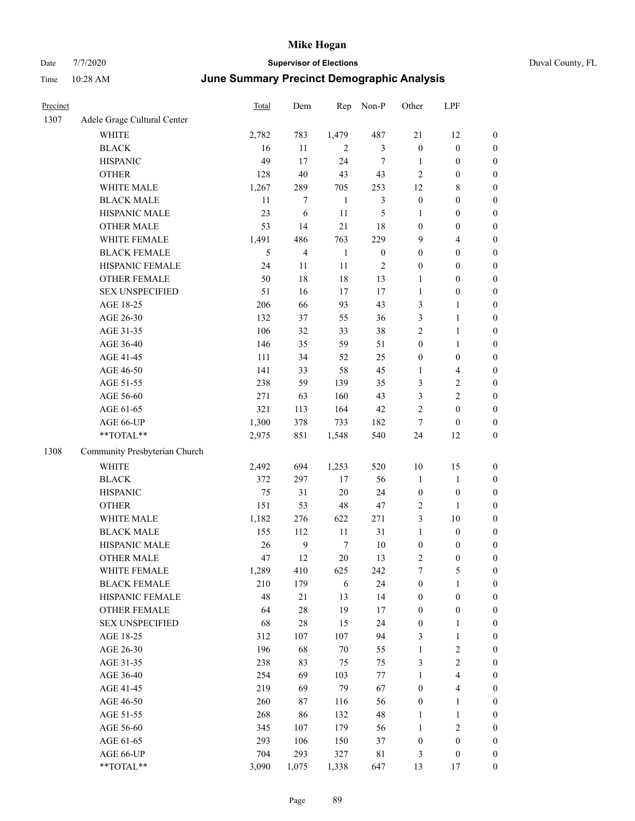| Precinct |                               | Total | Dem            | Rep          | Non-P            | Other            | LPF                     |                  |
|----------|-------------------------------|-------|----------------|--------------|------------------|------------------|-------------------------|------------------|
| 1307     | Adele Grage Cultural Center   |       |                |              |                  |                  |                         |                  |
|          | WHITE                         | 2,782 | 783            | 1,479        | 487              | 21               | 12                      | $\boldsymbol{0}$ |
|          | <b>BLACK</b>                  | 16    | 11             | 2            | 3                | $\boldsymbol{0}$ | $\boldsymbol{0}$        | $\boldsymbol{0}$ |
|          | <b>HISPANIC</b>               | 49    | 17             | 24           | 7                | 1                | $\boldsymbol{0}$        | $\boldsymbol{0}$ |
|          | <b>OTHER</b>                  | 128   | $40\,$         | 43           | 43               | $\sqrt{2}$       | $\boldsymbol{0}$        | $\boldsymbol{0}$ |
|          | WHITE MALE                    | 1,267 | 289            | 705          | 253              | 12               | 8                       | $\boldsymbol{0}$ |
|          | <b>BLACK MALE</b>             | 11    | 7              | $\mathbf{1}$ | 3                | $\boldsymbol{0}$ | $\boldsymbol{0}$        | $\boldsymbol{0}$ |
|          | HISPANIC MALE                 | 23    | 6              | 11           | 5                | $\mathbf{1}$     | $\boldsymbol{0}$        | $\boldsymbol{0}$ |
|          | <b>OTHER MALE</b>             | 53    | 14             | 21           | 18               | $\boldsymbol{0}$ | $\boldsymbol{0}$        | $\boldsymbol{0}$ |
|          | WHITE FEMALE                  | 1,491 | 486            | 763          | 229              | 9                | 4                       | $\boldsymbol{0}$ |
|          | <b>BLACK FEMALE</b>           | 5     | $\overline{4}$ | 1            | $\boldsymbol{0}$ | $\boldsymbol{0}$ | $\boldsymbol{0}$        | $\boldsymbol{0}$ |
|          | HISPANIC FEMALE               | 24    | 11             | 11           | $\overline{c}$   | $\boldsymbol{0}$ | $\boldsymbol{0}$        | $\boldsymbol{0}$ |
|          | <b>OTHER FEMALE</b>           | 50    | 18             | 18           | 13               | 1                | $\boldsymbol{0}$        | $\boldsymbol{0}$ |
|          | <b>SEX UNSPECIFIED</b>        | 51    | 16             | 17           | 17               | $\mathbf{1}$     | $\boldsymbol{0}$        | $\boldsymbol{0}$ |
|          | AGE 18-25                     | 206   | 66             | 93           | 43               | $\mathfrak{Z}$   | 1                       | $\boldsymbol{0}$ |
|          | AGE 26-30                     | 132   | 37             | 55           | 36               | $\mathfrak{Z}$   | 1                       | $\boldsymbol{0}$ |
|          | AGE 31-35                     | 106   | 32             | 33           | 38               | $\sqrt{2}$       | 1                       | $\boldsymbol{0}$ |
|          | AGE 36-40                     | 146   | 35             | 59           | 51               | $\boldsymbol{0}$ | 1                       | $\boldsymbol{0}$ |
|          | AGE 41-45                     | 111   | 34             | 52           | 25               | $\boldsymbol{0}$ | $\boldsymbol{0}$        | $\boldsymbol{0}$ |
|          | AGE 46-50                     | 141   | 33             | 58           | 45               | 1                | 4                       | $\boldsymbol{0}$ |
|          | AGE 51-55                     | 238   | 59             | 139          | 35               | 3                | 2                       | $\boldsymbol{0}$ |
|          | AGE 56-60                     | 271   | 63             | 160          | 43               | 3                | $\overline{\mathbf{c}}$ | $\boldsymbol{0}$ |
|          | AGE 61-65                     | 321   | 113            | 164          | 42               | $\overline{c}$   | $\boldsymbol{0}$        | $\boldsymbol{0}$ |
|          | AGE 66-UP                     | 1,300 | 378            | 733          | 182              | 7                | $\boldsymbol{0}$        | $\boldsymbol{0}$ |
|          | **TOTAL**                     | 2,975 | 851            | 1,548        | 540              | 24               | 12                      | $\boldsymbol{0}$ |
| 1308     | Community Presbyterian Church |       |                |              |                  |                  |                         |                  |
|          | <b>WHITE</b>                  | 2,492 | 694            | 1,253        | 520              | 10               | 15                      | $\boldsymbol{0}$ |
|          | <b>BLACK</b>                  | 372   | 297            | 17           | 56               | $\mathbf{1}$     | $\mathbf{1}$            | $\boldsymbol{0}$ |
|          | <b>HISPANIC</b>               | 75    | 31             | 20           | 24               | $\boldsymbol{0}$ | $\boldsymbol{0}$        | $\boldsymbol{0}$ |
|          | <b>OTHER</b>                  | 151   | 53             | 48           | 47               | $\overline{2}$   | 1                       | $\boldsymbol{0}$ |
|          | WHITE MALE                    | 1,182 | 276            | 622          | 271              | $\mathfrak{Z}$   | 10                      | $\boldsymbol{0}$ |
|          | <b>BLACK MALE</b>             | 155   | 112            | 11           | 31               | $\mathbf{1}$     | $\boldsymbol{0}$        | $\boldsymbol{0}$ |
|          | HISPANIC MALE                 | 26    | $\mathbf{9}$   | $\tau$       | 10               | $\boldsymbol{0}$ | 0                       | $\boldsymbol{0}$ |
|          | <b>OTHER MALE</b>             | 47    | 12             | 20           | 13               | $\overline{c}$   | $\boldsymbol{0}$        | $\boldsymbol{0}$ |
|          | WHITE FEMALE                  | 1,289 | 410            | 625          | 242              | $\boldsymbol{7}$ | 5                       | $\boldsymbol{0}$ |
|          | <b>BLACK FEMALE</b>           | 210   | 179            | $\sqrt{6}$   | 24               | $\boldsymbol{0}$ | $\mathbf{1}$            | $\boldsymbol{0}$ |
|          | HISPANIC FEMALE               | 48    | 21             | 13           | 14               | $\boldsymbol{0}$ | $\boldsymbol{0}$        | $\boldsymbol{0}$ |
|          | OTHER FEMALE                  | 64    | $28\,$         | 19           | $17\,$           | $\boldsymbol{0}$ | $\boldsymbol{0}$        | $\boldsymbol{0}$ |
|          | <b>SEX UNSPECIFIED</b>        | 68    | $28\,$         | 15           | 24               | $\boldsymbol{0}$ | 1                       | $\boldsymbol{0}$ |
|          | AGE 18-25                     | 312   | 107            | 107          | 94               | 3                | $\mathbf{1}$            | $\boldsymbol{0}$ |
|          | AGE 26-30                     | 196   | 68             | $70\,$       | 55               | $\mathbf{1}$     | $\sqrt{2}$              | $\boldsymbol{0}$ |
|          | AGE 31-35                     | 238   | 83             | 75           | 75               | $\mathfrak{Z}$   | $\sqrt{2}$              | $\boldsymbol{0}$ |
|          | AGE 36-40                     | 254   | 69             | 103          | 77               | $\mathbf{1}$     | 4                       | $\boldsymbol{0}$ |
|          | AGE 41-45                     | 219   | 69             | 79           | 67               | $\boldsymbol{0}$ | 4                       | $\boldsymbol{0}$ |
|          | AGE 46-50                     | 260   | 87             | 116          | 56               | $\boldsymbol{0}$ | $\mathbf{1}$            | $\boldsymbol{0}$ |
|          | AGE 51-55                     | 268   | 86             | 132          | 48               | $\mathbf{1}$     | 1                       | $\boldsymbol{0}$ |
|          | AGE 56-60                     | 345   | 107            | 179          | 56               | $\mathbf{1}$     | $\sqrt{2}$              | $\boldsymbol{0}$ |
|          | AGE 61-65                     | 293   | 106            | 150          | 37               | $\boldsymbol{0}$ | $\boldsymbol{0}$        | $\boldsymbol{0}$ |
|          | AGE 66-UP                     | 704   | 293            | 327          | $8\sqrt{1}$      | 3                | $\boldsymbol{0}$        | $\mathbf{0}$     |
|          | **TOTAL**                     | 3,090 | 1,075          | 1,338        | 647              | 13               | 17                      | $\boldsymbol{0}$ |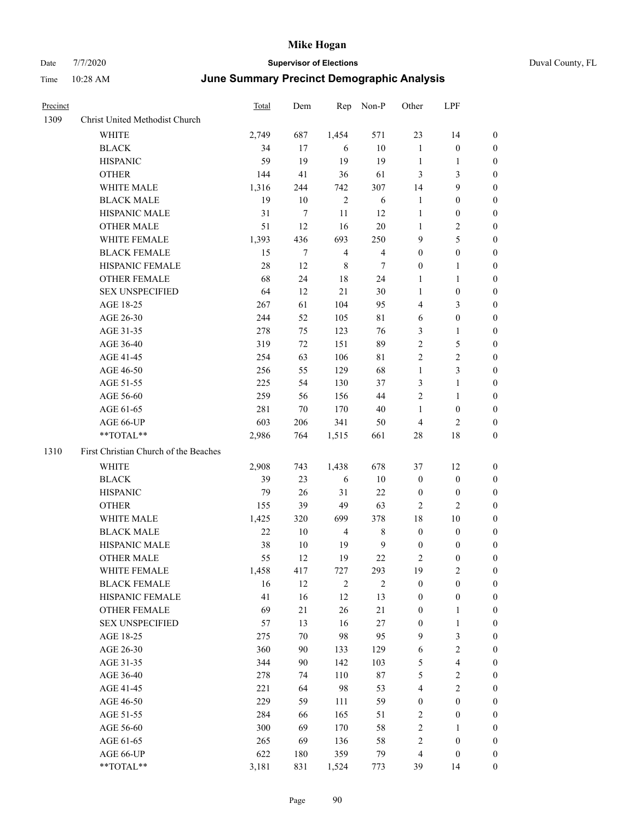|  | Duval County |
|--|--------------|

| Precinct |                                       | <b>Total</b> | Dem    | Rep            | Non-P                   | Other            | LPF                     |                  |
|----------|---------------------------------------|--------------|--------|----------------|-------------------------|------------------|-------------------------|------------------|
| 1309     | Christ United Methodist Church        |              |        |                |                         |                  |                         |                  |
|          | WHITE                                 | 2,749        | 687    | 1,454          | 571                     | 23               | 14                      | $\boldsymbol{0}$ |
|          | <b>BLACK</b>                          | 34           | 17     | 6              | $10\,$                  | $\mathbf{1}$     | $\boldsymbol{0}$        | $\boldsymbol{0}$ |
|          | <b>HISPANIC</b>                       | 59           | 19     | 19             | 19                      | $\mathbf{1}$     | 1                       | $\boldsymbol{0}$ |
|          | <b>OTHER</b>                          | 144          | 41     | 36             | 61                      | 3                | $\mathfrak{Z}$          | 0                |
|          | WHITE MALE                            | 1,316        | 244    | 742            | 307                     | 14               | $\mathbf{9}$            | 0                |
|          | <b>BLACK MALE</b>                     | 19           | 10     | $\overline{2}$ | 6                       | $\mathbf{1}$     | $\boldsymbol{0}$        | 0                |
|          | HISPANIC MALE                         | 31           | 7      | 11             | 12                      | $\mathbf{1}$     | $\boldsymbol{0}$        | 0                |
|          | <b>OTHER MALE</b>                     | 51           | 12     | 16             | $20\,$                  | 1                | $\sqrt{2}$              | $\boldsymbol{0}$ |
|          | WHITE FEMALE                          | 1,393        | 436    | 693            | 250                     | 9                | $\mathfrak s$           | $\boldsymbol{0}$ |
|          | <b>BLACK FEMALE</b>                   | 15           | 7      | $\overline{4}$ | $\overline{\mathbf{4}}$ | $\boldsymbol{0}$ | $\boldsymbol{0}$        | $\boldsymbol{0}$ |
|          | HISPANIC FEMALE                       | 28           | 12     | $\,8\,$        | 7                       | $\boldsymbol{0}$ | $\mathbf{1}$            | $\boldsymbol{0}$ |
|          | <b>OTHER FEMALE</b>                   | 68           | 24     | 18             | 24                      | $\mathbf{1}$     | $\mathbf{1}$            | $\boldsymbol{0}$ |
|          | <b>SEX UNSPECIFIED</b>                | 64           | 12     | 21             | 30                      | $\mathbf{1}$     | $\boldsymbol{0}$        | 0                |
|          | AGE 18-25                             | 267          | 61     | 104            | 95                      | 4                | $\mathfrak{Z}$          | 0                |
|          | AGE 26-30                             | 244          | 52     | 105            | 81                      | 6                | $\boldsymbol{0}$        | 0                |
|          | AGE 31-35                             | 278          | 75     | 123            | 76                      | 3                | $\mathbf{1}$            | 0                |
|          | AGE 36-40                             | 319          | 72     | 151            | 89                      | 2                | 5                       | 0                |
|          | AGE 41-45                             | 254          | 63     | 106            | 81                      | $\overline{c}$   | $\sqrt{2}$              | 0                |
|          | AGE 46-50                             | 256          | 55     | 129            | 68                      | $\mathbf{1}$     | $\mathfrak{Z}$          | $\boldsymbol{0}$ |
|          | AGE 51-55                             | 225          | 54     | 130            | 37                      | 3                | $\mathbf{1}$            | $\boldsymbol{0}$ |
|          | AGE 56-60                             | 259          | 56     | 156            | 44                      | $\overline{c}$   | $\mathbf{1}$            | 0                |
|          | AGE 61-65                             | 281          | 70     | 170            | 40                      | $\mathbf{1}$     | $\boldsymbol{0}$        | 0                |
|          | AGE 66-UP                             | 603          | 206    | 341            | 50                      | $\overline{4}$   | $\mathfrak{2}$          | 0                |
|          | **TOTAL**                             | 2,986        | 764    | 1,515          | 661                     | 28               | 18                      | 0                |
| 1310     | First Christian Church of the Beaches |              |        |                |                         |                  |                         |                  |
|          | WHITE                                 | 2,908        | 743    | 1,438          | 678                     | 37               | 12                      | $\boldsymbol{0}$ |
|          | <b>BLACK</b>                          | 39           | 23     | 6              | 10                      | $\boldsymbol{0}$ | $\boldsymbol{0}$        | 0                |
|          | <b>HISPANIC</b>                       | 79           | 26     | 31             | 22                      | $\boldsymbol{0}$ | $\boldsymbol{0}$        | 0                |
|          | <b>OTHER</b>                          | 155          | 39     | 49             | 63                      | $\overline{2}$   | $\overline{c}$          | 0                |
|          | WHITE MALE                            | 1,425        | 320    | 699            | 378                     | 18               | 10                      | 0                |
|          | <b>BLACK MALE</b>                     | 22           | 10     | $\overline{4}$ | 8                       | $\boldsymbol{0}$ | $\boldsymbol{0}$        | $\boldsymbol{0}$ |
|          | HISPANIC MALE                         | 38           | 10     | 19             | 9                       | $\boldsymbol{0}$ | $\boldsymbol{0}$        | 0                |
|          | <b>OTHER MALE</b>                     | 55           | 12     | 19             | 22                      | $\overline{c}$   | $\boldsymbol{0}$        | $\boldsymbol{0}$ |
|          | WHITE FEMALE                          | 1,458        | 417    | 727            | 293                     | 19               | $\sqrt{2}$              | $\boldsymbol{0}$ |
|          | <b>BLACK FEMALE</b>                   | 16           | 12     | $\sqrt{2}$     | $\sqrt{2}$              | $\boldsymbol{0}$ | $\boldsymbol{0}$        | 0                |
|          | HISPANIC FEMALE                       | 41           | 16     | 12             | 13                      | $\boldsymbol{0}$ | $\boldsymbol{0}$        | 0                |
|          | <b>OTHER FEMALE</b>                   | 69           | 21     | 26             | 21                      | $\boldsymbol{0}$ | $\mathbf{1}$            | 0                |
|          | <b>SEX UNSPECIFIED</b>                | 57           | 13     | 16             | $27\,$                  | $\boldsymbol{0}$ | $\mathbf{1}$            | 0                |
|          | AGE 18-25                             | 275          | $70\,$ | 98             | 95                      | $\overline{9}$   | $\mathfrak{Z}$          | 0                |
|          | AGE 26-30                             | 360          | 90     | 133            | 129                     | 6                | $\sqrt{2}$              | $\boldsymbol{0}$ |
|          | AGE 31-35                             | 344          | 90     | 142            | 103                     | 5                | $\overline{\mathbf{4}}$ | $\boldsymbol{0}$ |
|          | AGE 36-40                             | 278          | 74     | 110            | $87\,$                  | 5                | $\sqrt{2}$              | $\boldsymbol{0}$ |
|          | AGE 41-45                             | 221          | 64     | 98             | 53                      | 4                | $\sqrt{2}$              | $\boldsymbol{0}$ |
|          | AGE 46-50                             | 229          | 59     | 111            | 59                      | $\boldsymbol{0}$ | $\boldsymbol{0}$        | $\overline{0}$   |
|          | AGE 51-55                             | 284          | 66     | 165            | 51                      | $\sqrt{2}$       | $\boldsymbol{0}$        | $\boldsymbol{0}$ |
|          | AGE 56-60                             | 300          | 69     | 170            | 58                      | $\sqrt{2}$       | $\mathbf{1}$            | $\boldsymbol{0}$ |
|          | AGE 61-65                             | 265          | 69     | 136            | 58                      | $\sqrt{2}$       | $\boldsymbol{0}$        | 0                |
|          | AGE 66-UP                             | 622          | 180    | 359            | 79                      | $\overline{4}$   | $\boldsymbol{0}$        | 0                |
|          | **TOTAL**                             | 3,181        | 831    | 1,524          | 773                     | 39               | 14                      | $\boldsymbol{0}$ |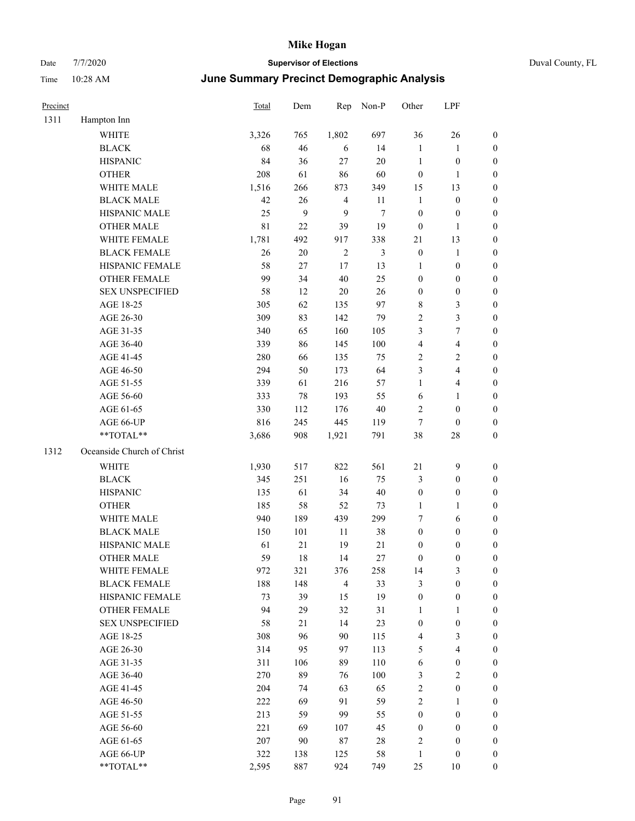| Precinct |                            | Total       | Dem    | Rep            | Non-P  | Other            | LPF                     |                  |
|----------|----------------------------|-------------|--------|----------------|--------|------------------|-------------------------|------------------|
| 1311     | Hampton Inn                |             |        |                |        |                  |                         |                  |
|          | <b>WHITE</b>               | 3,326       | 765    | 1,802          | 697    | 36               | 26                      | $\boldsymbol{0}$ |
|          | <b>BLACK</b>               | 68          | 46     | 6              | 14     | $\mathbf{1}$     | $\mathbf{1}$            | $\boldsymbol{0}$ |
|          | <b>HISPANIC</b>            | 84          | 36     | $27\,$         | $20\,$ | $\mathbf{1}$     | $\boldsymbol{0}$        | $\boldsymbol{0}$ |
|          | <b>OTHER</b>               | 208         | 61     | 86             | 60     | $\boldsymbol{0}$ | $\mathbf{1}$            | $\boldsymbol{0}$ |
|          | WHITE MALE                 | 1,516       | 266    | 873            | 349    | 15               | 13                      | $\boldsymbol{0}$ |
|          | <b>BLACK MALE</b>          | 42          | 26     | $\overline{4}$ | 11     | $\mathbf{1}$     | $\boldsymbol{0}$        | $\boldsymbol{0}$ |
|          | HISPANIC MALE              | 25          | 9      | 9              | $\tau$ | $\boldsymbol{0}$ | $\boldsymbol{0}$        | $\boldsymbol{0}$ |
|          | <b>OTHER MALE</b>          | $8\sqrt{1}$ | $22\,$ | 39             | 19     | $\boldsymbol{0}$ | $\mathbf{1}$            | $\boldsymbol{0}$ |
|          | WHITE FEMALE               | 1,781       | 492    | 917            | 338    | 21               | 13                      | $\boldsymbol{0}$ |
|          | <b>BLACK FEMALE</b>        | 26          | $20\,$ | 2              | 3      | $\boldsymbol{0}$ | $\mathbf{1}$            | 0                |
|          | HISPANIC FEMALE            | 58          | 27     | 17             | 13     | $\mathbf{1}$     | $\boldsymbol{0}$        | 0                |
|          | OTHER FEMALE               | 99          | 34     | 40             | 25     | $\boldsymbol{0}$ | $\boldsymbol{0}$        | $\boldsymbol{0}$ |
|          | <b>SEX UNSPECIFIED</b>     | 58          | 12     | $20\,$         | 26     | $\boldsymbol{0}$ | $\boldsymbol{0}$        | $\boldsymbol{0}$ |
|          | AGE 18-25                  | 305         | 62     | 135            | 97     | 8                | $\mathfrak{Z}$          | $\boldsymbol{0}$ |
|          | AGE 26-30                  | 309         | 83     | 142            | 79     | $\overline{c}$   | 3                       | $\boldsymbol{0}$ |
|          | AGE 31-35                  | 340         | 65     | 160            | 105    | 3                | 7                       | $\boldsymbol{0}$ |
|          | AGE 36-40                  | 339         | 86     | 145            | 100    | 4                | $\overline{\mathbf{4}}$ | $\boldsymbol{0}$ |
|          | AGE 41-45                  | 280         | 66     | 135            | 75     | $\overline{c}$   | $\sqrt{2}$              | $\boldsymbol{0}$ |
|          | AGE 46-50                  | 294         | 50     | 173            | 64     | 3                | $\overline{4}$          | $\boldsymbol{0}$ |
|          | AGE 51-55                  | 339         | 61     | 216            | 57     | $\mathbf{1}$     | $\overline{\mathbf{4}}$ | 0                |
|          | AGE 56-60                  | 333         | 78     | 193            | 55     | 6                | $\mathbf{1}$            | 0                |
|          | AGE 61-65                  | 330         | 112    | 176            | 40     | $\overline{c}$   | $\boldsymbol{0}$        | $\boldsymbol{0}$ |
|          | AGE 66-UP                  | 816         | 245    | 445            | 119    | 7                | $\boldsymbol{0}$        | $\boldsymbol{0}$ |
|          | **TOTAL**                  | 3,686       | 908    | 1,921          | 791    | 38               | $28\,$                  | $\boldsymbol{0}$ |
| 1312     | Oceanside Church of Christ |             |        |                |        |                  |                         |                  |
|          | <b>WHITE</b>               | 1,930       | 517    | 822            | 561    | 21               | $\mathbf{9}$            | $\boldsymbol{0}$ |
|          | <b>BLACK</b>               | 345         | 251    | 16             | 75     | 3                | $\boldsymbol{0}$        | $\boldsymbol{0}$ |
|          | <b>HISPANIC</b>            | 135         | 61     | 34             | 40     | $\boldsymbol{0}$ | $\boldsymbol{0}$        | $\boldsymbol{0}$ |
|          | <b>OTHER</b>               | 185         | 58     | 52             | 73     | $\mathbf{1}$     | $\mathbf{1}$            | $\boldsymbol{0}$ |
|          | WHITE MALE                 | 940         | 189    | 439            | 299    | 7                | 6                       | $\boldsymbol{0}$ |
|          | <b>BLACK MALE</b>          | 150         | 101    | 11             | 38     | $\boldsymbol{0}$ | $\boldsymbol{0}$        | $\boldsymbol{0}$ |
|          | HISPANIC MALE              | 61          | 21     | 19             | 21     | 0                | 0                       | 0                |
|          | <b>OTHER MALE</b>          | 59          | 18     | 14             | 27     | $\boldsymbol{0}$ | $\boldsymbol{0}$        | $\overline{0}$   |
|          | WHITE FEMALE               | 972         | 321    | 376            | 258    | 14               | 3                       | $\boldsymbol{0}$ |
|          | <b>BLACK FEMALE</b>        | 188         | 148    | $\overline{4}$ | 33     | 3                | $\boldsymbol{0}$        | $\boldsymbol{0}$ |
|          | HISPANIC FEMALE            | 73          | 39     | 15             | 19     | $\boldsymbol{0}$ | $\boldsymbol{0}$        | $\boldsymbol{0}$ |
|          | OTHER FEMALE               | 94          | 29     | 32             | 31     | $\mathbf{1}$     | $\mathbf{1}$            | 0                |
|          | <b>SEX UNSPECIFIED</b>     | 58          | 21     | 14             | 23     | $\boldsymbol{0}$ | $\boldsymbol{0}$        | 0                |
|          | AGE 18-25                  | 308         | 96     | 90             | 115    | 4                | $\mathfrak{Z}$          | $\overline{0}$   |
|          | AGE 26-30                  | 314         | 95     | 97             | 113    | 5                | $\overline{\mathbf{4}}$ | 0                |
|          | AGE 31-35                  | 311         | 106    | 89             | 110    | 6                | $\boldsymbol{0}$        | 0                |
|          | AGE 36-40                  | 270         | 89     | 76             | 100    | 3                | $\sqrt{2}$              | 0                |
|          | AGE 41-45                  | 204         | 74     | 63             | 65     | $\sqrt{2}$       | $\boldsymbol{0}$        | 0                |
|          | AGE 46-50                  | 222         | 69     | 91             | 59     | $\sqrt{2}$       | $\mathbf{1}$            | $\boldsymbol{0}$ |
|          | AGE 51-55                  | 213         | 59     | 99             | 55     | $\boldsymbol{0}$ | $\boldsymbol{0}$        | $\boldsymbol{0}$ |
|          | AGE 56-60                  | 221         | 69     | 107            | 45     | $\boldsymbol{0}$ | $\boldsymbol{0}$        | $\boldsymbol{0}$ |
|          | AGE 61-65                  | 207         | 90     | 87             | 28     | $\overline{c}$   | $\boldsymbol{0}$        | $\boldsymbol{0}$ |
|          | AGE 66-UP                  | 322         | 138    | 125            | 58     | $\mathbf{1}$     | $\boldsymbol{0}$        | $\boldsymbol{0}$ |
|          | $**TOTAL**$                | 2,595       | 887    | 924            | 749    | 25               | 10                      | $\overline{0}$   |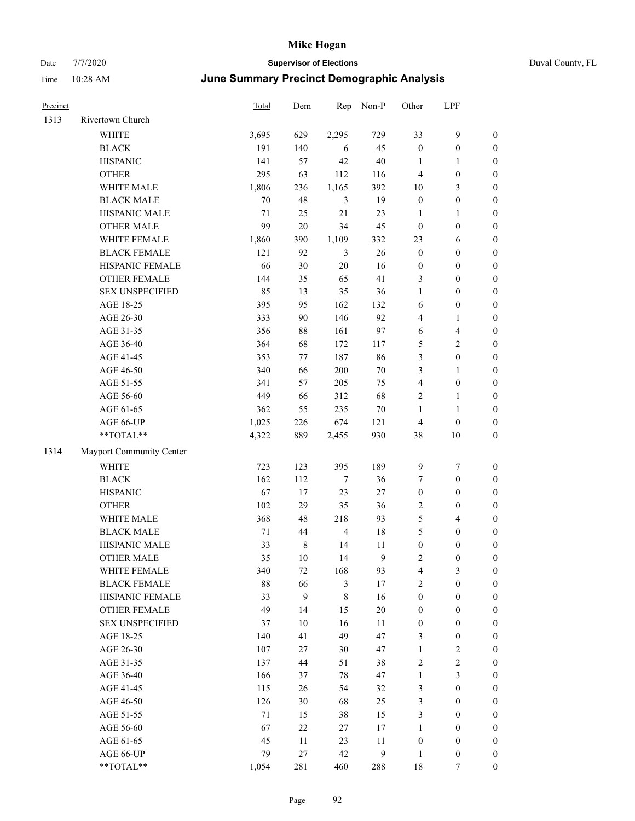| Duval County, FL |  |  |
|------------------|--|--|
|------------------|--|--|

| Precinct |                          | <b>Total</b> | Dem    | Rep            | Non-P        | Other                   | LPF                     |                  |
|----------|--------------------------|--------------|--------|----------------|--------------|-------------------------|-------------------------|------------------|
| 1313     | Rivertown Church         |              |        |                |              |                         |                         |                  |
|          | <b>WHITE</b>             | 3,695        | 629    | 2,295          | 729          | 33                      | $\mathbf{9}$            | $\boldsymbol{0}$ |
|          | <b>BLACK</b>             | 191          | 140    | 6              | 45           | $\boldsymbol{0}$        | $\boldsymbol{0}$        | $\boldsymbol{0}$ |
|          | <b>HISPANIC</b>          | 141          | 57     | 42             | 40           | 1                       | $\mathbf{1}$            | $\boldsymbol{0}$ |
|          | <b>OTHER</b>             | 295          | 63     | 112            | 116          | 4                       | $\boldsymbol{0}$        | $\boldsymbol{0}$ |
|          | WHITE MALE               | 1,806        | 236    | 1,165          | 392          | 10                      | 3                       | $\boldsymbol{0}$ |
|          | <b>BLACK MALE</b>        | 70           | 48     | $\mathfrak{Z}$ | 19           | $\boldsymbol{0}$        | $\boldsymbol{0}$        | $\boldsymbol{0}$ |
|          | HISPANIC MALE            | $71\,$       | 25     | 21             | 23           | $\mathbf{1}$            | $\mathbf{1}$            | $\boldsymbol{0}$ |
|          | <b>OTHER MALE</b>        | 99           | $20\,$ | 34             | 45           | $\boldsymbol{0}$        | $\boldsymbol{0}$        | $\boldsymbol{0}$ |
|          | WHITE FEMALE             | 1,860        | 390    | 1,109          | 332          | 23                      | 6                       | $\boldsymbol{0}$ |
|          | <b>BLACK FEMALE</b>      | 121          | 92     | 3              | 26           | $\mathbf{0}$            | $\boldsymbol{0}$        | 0                |
|          | HISPANIC FEMALE          | 66           | 30     | 20             | 16           | $\boldsymbol{0}$        | $\boldsymbol{0}$        | 0                |
|          | OTHER FEMALE             | 144          | 35     | 65             | 41           | 3                       | $\boldsymbol{0}$        | $\boldsymbol{0}$ |
|          | <b>SEX UNSPECIFIED</b>   | 85           | 13     | 35             | 36           | 1                       | $\boldsymbol{0}$        | $\boldsymbol{0}$ |
|          | AGE 18-25                | 395          | 95     | 162            | 132          | 6                       | $\boldsymbol{0}$        | $\boldsymbol{0}$ |
|          | AGE 26-30                | 333          | 90     | 146            | 92           | 4                       | $\mathbf{1}$            | $\boldsymbol{0}$ |
|          | AGE 31-35                | 356          | 88     | 161            | 97           | 6                       | $\overline{\mathbf{4}}$ | $\boldsymbol{0}$ |
|          | AGE 36-40                | 364          | 68     | 172            | 117          | 5                       | $\sqrt{2}$              | $\boldsymbol{0}$ |
|          | AGE 41-45                | 353          | 77     | 187            | 86           | 3                       | $\boldsymbol{0}$        | $\boldsymbol{0}$ |
|          | AGE 46-50                | 340          | 66     | 200            | $70\,$       | 3                       | $\mathbf{1}$            | $\boldsymbol{0}$ |
|          | AGE 51-55                | 341          | 57     | 205            | 75           | $\overline{4}$          | $\boldsymbol{0}$        | 0                |
|          | AGE 56-60                | 449          | 66     | 312            | 68           | 2                       | $\mathbf{1}$            | 0                |
|          | AGE 61-65                | 362          | 55     | 235            | $70\,$       | $\mathbf{1}$            | $\mathbf{1}$            | $\boldsymbol{0}$ |
|          | AGE 66-UP                | 1,025        | 226    | 674            | 121          | $\overline{4}$          | $\boldsymbol{0}$        | $\boldsymbol{0}$ |
|          | **TOTAL**                | 4,322        | 889    | 2,455          | 930          | 38                      | $10\,$                  | $\boldsymbol{0}$ |
| 1314     | Mayport Community Center |              |        |                |              |                         |                         |                  |
|          | <b>WHITE</b>             | 723          | 123    | 395            | 189          | 9                       | 7                       | $\boldsymbol{0}$ |
|          | <b>BLACK</b>             | 162          | 112    | $\tau$         | 36           | 7                       | $\boldsymbol{0}$        | $\boldsymbol{0}$ |
|          | <b>HISPANIC</b>          | 67           | 17     | 23             | 27           | $\boldsymbol{0}$        | $\boldsymbol{0}$        | $\boldsymbol{0}$ |
|          | <b>OTHER</b>             | 102          | 29     | 35             | 36           | 2                       | $\boldsymbol{0}$        | $\boldsymbol{0}$ |
|          | WHITE MALE               | 368          | 48     | 218            | 93           | 5                       | $\overline{\mathbf{4}}$ | $\boldsymbol{0}$ |
|          | <b>BLACK MALE</b>        | 71           | 44     | $\overline{4}$ | 18           | 5                       | $\boldsymbol{0}$        | $\boldsymbol{0}$ |
|          | HISPANIC MALE            | 33           | 8      | 14             | 11           | $\boldsymbol{0}$        | 0                       | $\boldsymbol{0}$ |
|          | <b>OTHER MALE</b>        | 35           | $10\,$ | 14             | 9            | $\overline{\mathbf{c}}$ | $\boldsymbol{0}$        | $\overline{0}$   |
|          | WHITE FEMALE             | 340          | 72     | 168            | 93           | 4                       | 3                       | $\boldsymbol{0}$ |
|          | <b>BLACK FEMALE</b>      | $88\,$       | 66     | $\mathfrak{Z}$ | $17\,$       | $\mathbf{2}$            | $\boldsymbol{0}$        | $\boldsymbol{0}$ |
|          | HISPANIC FEMALE          | 33           | 9      | $\,$ 8 $\,$    | 16           | $\boldsymbol{0}$        | $\boldsymbol{0}$        | $\boldsymbol{0}$ |
|          | <b>OTHER FEMALE</b>      | 49           | 14     | 15             | $20\,$       | $\boldsymbol{0}$        | $\boldsymbol{0}$        | 0                |
|          | <b>SEX UNSPECIFIED</b>   | 37           | 10     | 16             | 11           | $\boldsymbol{0}$        | $\boldsymbol{0}$        | 0                |
|          | AGE 18-25                | 140          | 41     | 49             | 47           | 3                       | $\boldsymbol{0}$        | $\overline{0}$   |
|          | AGE 26-30                | 107          | 27     | 30             | 47           | $\mathbf{1}$            | $\sqrt{2}$              | 0                |
|          | AGE 31-35                | 137          | 44     | 51             | 38           | $\sqrt{2}$              | $\sqrt{2}$              | 0                |
|          | AGE 36-40                | 166          | 37     | 78             | 47           | $\mathbf{1}$            | $\mathfrak{Z}$          | 0                |
|          | AGE 41-45                | 115          | 26     | 54             | 32           | 3                       | $\boldsymbol{0}$        | 0                |
|          | AGE 46-50                | 126          | 30     | 68             | 25           | 3                       | $\boldsymbol{0}$        | $\boldsymbol{0}$ |
|          | AGE 51-55                | $71\,$       | 15     | 38             | 15           | 3                       | $\boldsymbol{0}$        | $\boldsymbol{0}$ |
|          | AGE 56-60                | 67           | 22     | 27             | 17           | $\mathbf{1}$            | $\boldsymbol{0}$        | $\overline{0}$   |
|          | AGE 61-65                | 45           | 11     | 23             | 11           | $\boldsymbol{0}$        | $\boldsymbol{0}$        | 0                |
|          | AGE 66-UP                | 79           | 27     | 42             | $\mathbf{9}$ | $\mathbf{1}$            | $\boldsymbol{0}$        | 0                |
|          | $**TOTAL**$              | 1,054        | 281    | 460            | 288          | 18                      | $\tau$                  | $\overline{0}$   |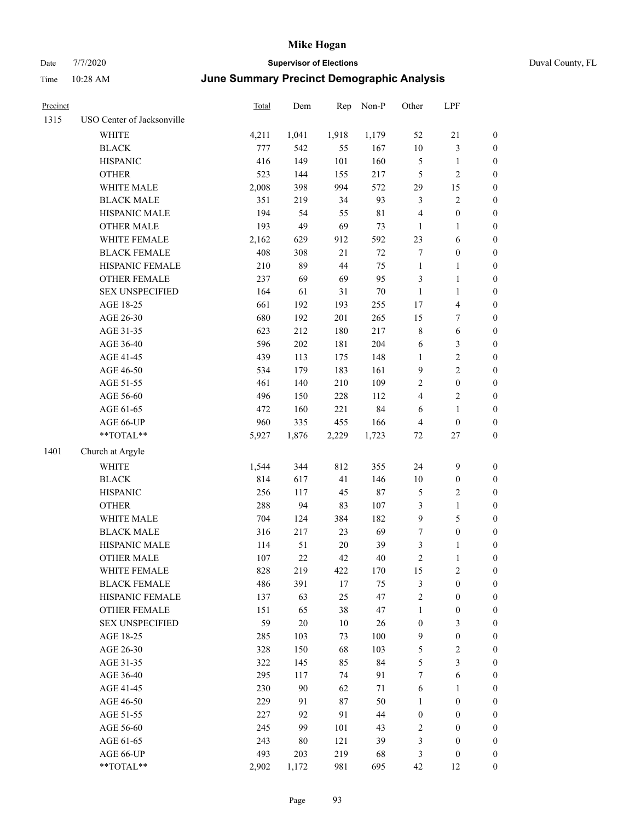| Precinct |                                                             | <b>Total</b> | Dem   | Rep    | Non-P  | Other                   | LPF              |                  |
|----------|-------------------------------------------------------------|--------------|-------|--------|--------|-------------------------|------------------|------------------|
| 1315     | USO Center of Jacksonville                                  |              |       |        |        |                         |                  |                  |
|          | WHITE                                                       | 4,211        | 1,041 | 1,918  | 1,179  | 52                      | $21\,$           | $\boldsymbol{0}$ |
|          | <b>BLACK</b>                                                | 777          | 542   | 55     | 167    | $10\,$                  | $\mathfrak{Z}$   | $\boldsymbol{0}$ |
|          | <b>HISPANIC</b>                                             | 416          | 149   | 101    | 160    | 5                       | $\mathbf{1}$     | 0                |
|          | <b>OTHER</b>                                                | 523          | 144   | 155    | 217    | 5                       | $\sqrt{2}$       | 0                |
|          | WHITE MALE                                                  | 2,008        | 398   | 994    | 572    | 29                      | 15               | $\boldsymbol{0}$ |
|          | <b>BLACK MALE</b>                                           | 351          | 219   | 34     | 93     | 3                       | $\sqrt{2}$       | $\boldsymbol{0}$ |
|          | HISPANIC MALE                                               | 194          | 54    | 55     | 81     | 4                       | $\boldsymbol{0}$ | $\boldsymbol{0}$ |
|          | <b>OTHER MALE</b>                                           | 193          | 49    | 69     | 73     | $\mathbf{1}$            | $\mathbf{1}$     | $\boldsymbol{0}$ |
|          | WHITE FEMALE                                                | 2,162        | 629   | 912    | 592    | 23                      | 6                | $\boldsymbol{0}$ |
|          | <b>BLACK FEMALE</b>                                         | 408          | 308   | 21     | $72\,$ | 7                       | $\boldsymbol{0}$ | $\boldsymbol{0}$ |
|          | HISPANIC FEMALE                                             | 210          | 89    | 44     | 75     | $\mathbf{1}$            | $\mathbf{1}$     | $\boldsymbol{0}$ |
|          | OTHER FEMALE                                                | 237          | 69    | 69     | 95     | 3                       | $\mathbf{1}$     | $\boldsymbol{0}$ |
|          | <b>SEX UNSPECIFIED</b>                                      | 164          | 61    | 31     | 70     | $\mathbf{1}$            | $\mathbf{1}$     | 0                |
|          | AGE 18-25                                                   | 661          | 192   | 193    | 255    | 17                      | $\overline{4}$   | 0                |
|          | AGE 26-30                                                   | 680          | 192   | 201    | 265    | 15                      | 7                | 0                |
|          | AGE 31-35                                                   | 623          | 212   | 180    | 217    | 8                       | 6                | $\boldsymbol{0}$ |
|          | AGE 36-40                                                   | 596          | 202   | 181    | 204    | 6                       | $\mathfrak{Z}$   | $\boldsymbol{0}$ |
|          | AGE 41-45                                                   | 439          | 113   | 175    | 148    | $\mathbf{1}$            | $\sqrt{2}$       | $\boldsymbol{0}$ |
|          | AGE 46-50                                                   | 534          | 179   | 183    | 161    | 9                       | $\sqrt{2}$       | $\boldsymbol{0}$ |
|          | AGE 51-55                                                   | 461          | 140   | 210    | 109    | 2                       | $\boldsymbol{0}$ | $\boldsymbol{0}$ |
|          | AGE 56-60                                                   | 496          | 150   | 228    | 112    | $\overline{\mathbf{4}}$ | $\sqrt{2}$       | $\boldsymbol{0}$ |
|          | AGE 61-65                                                   | 472          | 160   | 221    | 84     | 6                       | $\mathbf{1}$     | 0                |
|          | AGE 66-UP                                                   | 960          | 335   | 455    | 166    | 4                       | $\boldsymbol{0}$ | 0                |
|          | $\mathrm{*}\mathrm{*} \mathrm{TOTAL} \mathrm{*} \mathrm{*}$ | 5,927        | 1,876 | 2,229  | 1,723  | 72                      | 27               | $\boldsymbol{0}$ |
| 1401     | Church at Argyle                                            |              |       |        |        |                         |                  |                  |
|          | <b>WHITE</b>                                                | 1,544        | 344   | 812    | 355    | 24                      | $\mathbf{9}$     | 0                |
|          | <b>BLACK</b>                                                | 814          | 617   | 41     | 146    | 10                      | $\boldsymbol{0}$ | 0                |
|          | <b>HISPANIC</b>                                             | 256          | 117   | 45     | $87\,$ | 5                       | $\sqrt{2}$       | $\boldsymbol{0}$ |
|          | <b>OTHER</b>                                                | 288          | 94    | 83     | 107    | 3                       | $\mathbf{1}$     | $\boldsymbol{0}$ |
|          | WHITE MALE                                                  | 704          | 124   | 384    | 182    | 9                       | $\mathfrak s$    | $\boldsymbol{0}$ |
|          | <b>BLACK MALE</b>                                           | 316          | 217   | 23     | 69     | 7                       | $\boldsymbol{0}$ | $\boldsymbol{0}$ |
|          | HISPANIC MALE                                               | 114          | 51    | 20     | 39     | 3                       | $\mathbf{1}$     | $\boldsymbol{0}$ |
|          | <b>OTHER MALE</b>                                           | 107          | 22    | 42     | 40     | $\overline{c}$          | $\mathbf{1}$     | $\boldsymbol{0}$ |
|          | WHITE FEMALE                                                | 828          | 219   | 422    | 170    | 15                      | $\sqrt{2}$       | 0                |
|          | <b>BLACK FEMALE</b>                                         | 486          | 391   | $17\,$ | 75     | 3                       | $\boldsymbol{0}$ | 0                |
|          | HISPANIC FEMALE                                             | 137          | 63    | 25     | 47     | $\overline{c}$          | $\boldsymbol{0}$ | 0                |
|          | <b>OTHER FEMALE</b>                                         | 151          | 65    | 38     | 47     | $\mathbf{1}$            | $\boldsymbol{0}$ | 0                |
|          | <b>SEX UNSPECIFIED</b>                                      | 59           | 20    | $10\,$ | 26     | $\boldsymbol{0}$        | 3                | 0                |
|          | AGE 18-25                                                   | 285          | 103   | 73     | 100    | 9                       | $\boldsymbol{0}$ | $\overline{0}$   |
|          | AGE 26-30                                                   | 328          | 150   | 68     | 103    | 5                       | $\sqrt{2}$       | 0                |
|          | AGE 31-35                                                   | 322          | 145   | 85     | 84     | 5                       | 3                | 0                |
|          | AGE 36-40                                                   | 295          | 117   | 74     | 91     | 7                       | 6                | 0                |
|          | AGE 41-45                                                   | 230          | 90    | 62     | 71     | 6                       | $\mathbf{1}$     | 0                |
|          | AGE 46-50                                                   | 229          | 91    | 87     | 50     | 1                       | $\boldsymbol{0}$ | 0                |
|          | AGE 51-55                                                   | 227          | 92    | 91     | 44     | $\boldsymbol{0}$        | $\boldsymbol{0}$ | 0                |
|          | AGE 56-60                                                   | 245          | 99    | 101    | 43     | $\mathbf{2}$            | $\boldsymbol{0}$ | 0                |
|          | AGE 61-65                                                   | 243          | 80    | 121    | 39     | 3                       | $\boldsymbol{0}$ | $\overline{0}$   |
|          | AGE 66-UP                                                   | 493          | 203   | 219    | 68     | 3                       | $\boldsymbol{0}$ | 0                |
|          | **TOTAL**                                                   | 2,902        | 1,172 | 981    | 695    | 42                      | 12               | $\boldsymbol{0}$ |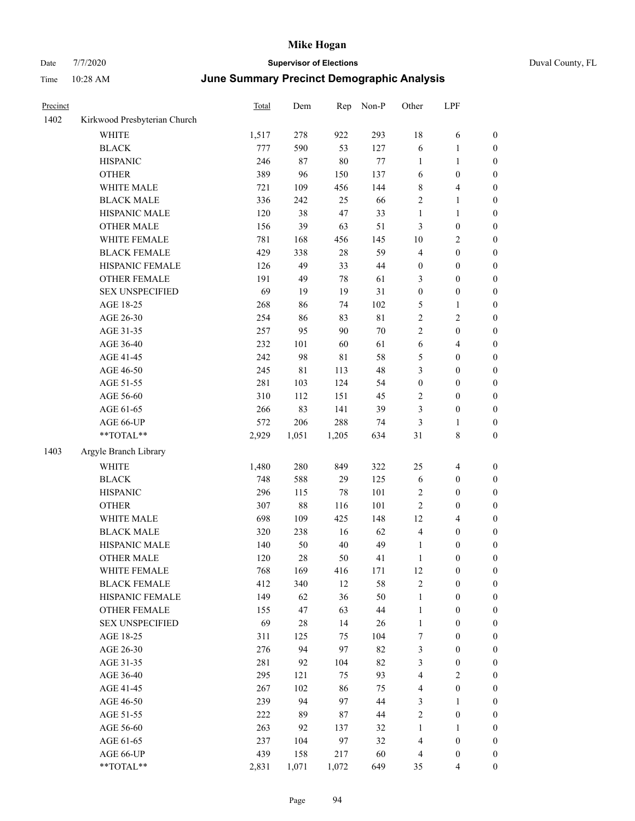| Precinct |                              | Total | Dem    | Rep   | Non-P       | Other            | LPF                     |                  |
|----------|------------------------------|-------|--------|-------|-------------|------------------|-------------------------|------------------|
| 1402     | Kirkwood Presbyterian Church |       |        |       |             |                  |                         |                  |
|          | <b>WHITE</b>                 | 1,517 | 278    | 922   | 293         | 18               | 6                       | 0                |
|          | <b>BLACK</b>                 | 777   | 590    | 53    | 127         | 6                | $\mathbf{1}$            | $\boldsymbol{0}$ |
|          | <b>HISPANIC</b>              | 246   | 87     | 80    | $77\,$      | 1                | 1                       | $\boldsymbol{0}$ |
|          | <b>OTHER</b>                 | 389   | 96     | 150   | 137         | 6                | $\boldsymbol{0}$        | $\boldsymbol{0}$ |
|          | WHITE MALE                   | 721   | 109    | 456   | 144         | 8                | $\overline{4}$          | $\boldsymbol{0}$ |
|          | <b>BLACK MALE</b>            | 336   | 242    | 25    | 66          | 2                | $\mathbf{1}$            | $\boldsymbol{0}$ |
|          | HISPANIC MALE                | 120   | 38     | 47    | 33          | $\mathbf{1}$     | $\mathbf{1}$            | $\boldsymbol{0}$ |
|          | <b>OTHER MALE</b>            | 156   | 39     | 63    | 51          | 3                | $\boldsymbol{0}$        | $\boldsymbol{0}$ |
|          | WHITE FEMALE                 | 781   | 168    | 456   | 145         | $10\,$           | $\sqrt{2}$              | $\boldsymbol{0}$ |
|          | <b>BLACK FEMALE</b>          | 429   | 338    | 28    | 59          | $\overline{4}$   | $\boldsymbol{0}$        | 0                |
|          | HISPANIC FEMALE              | 126   | 49     | 33    | 44          | $\boldsymbol{0}$ | $\boldsymbol{0}$        | $\boldsymbol{0}$ |
|          | OTHER FEMALE                 | 191   | 49     | 78    | 61          | 3                | $\boldsymbol{0}$        | $\boldsymbol{0}$ |
|          | <b>SEX UNSPECIFIED</b>       | 69    | 19     | 19    | 31          | $\boldsymbol{0}$ | $\boldsymbol{0}$        | $\boldsymbol{0}$ |
|          | AGE 18-25                    | 268   | 86     | 74    | 102         | 5                | $\mathbf{1}$            | $\boldsymbol{0}$ |
|          | AGE 26-30                    | 254   | 86     | 83    | $8\sqrt{1}$ | 2                | $\mathbf{2}$            | $\boldsymbol{0}$ |
|          | AGE 31-35                    | 257   | 95     | 90    | $70\,$      | $\overline{c}$   | $\boldsymbol{0}$        | $\boldsymbol{0}$ |
|          | AGE 36-40                    | 232   | 101    | 60    | 61          | $\sqrt{6}$       | $\overline{\mathbf{4}}$ | $\boldsymbol{0}$ |
|          | AGE 41-45                    | 242   | 98     | 81    | 58          | 5                | $\boldsymbol{0}$        | $\boldsymbol{0}$ |
|          | AGE 46-50                    | 245   | 81     | 113   | 48          | 3                | $\boldsymbol{0}$        | $\boldsymbol{0}$ |
|          | AGE 51-55                    | 281   | 103    | 124   | 54          | $\boldsymbol{0}$ | $\boldsymbol{0}$        | 0                |
|          | AGE 56-60                    | 310   | 112    | 151   | 45          | 2                | $\boldsymbol{0}$        | $\boldsymbol{0}$ |
|          | AGE 61-65                    | 266   | 83     | 141   | 39          | 3                | $\boldsymbol{0}$        | $\boldsymbol{0}$ |
|          | AGE 66-UP                    | 572   | 206    | 288   | 74          | 3                | 1                       | $\boldsymbol{0}$ |
|          | **TOTAL**                    | 2,929 | 1,051  | 1,205 | 634         | 31               | $8\,$                   | $\boldsymbol{0}$ |
| 1403     | Argyle Branch Library        |       |        |       |             |                  |                         |                  |
|          | <b>WHITE</b>                 | 1,480 | 280    | 849   | 322         | 25               | $\overline{\mathbf{4}}$ | $\boldsymbol{0}$ |
|          | <b>BLACK</b>                 | 748   | 588    | 29    | 125         | 6                | $\boldsymbol{0}$        | $\boldsymbol{0}$ |
|          | <b>HISPANIC</b>              | 296   | 115    | 78    | 101         | $\sqrt{2}$       | $\boldsymbol{0}$        | $\boldsymbol{0}$ |
|          | <b>OTHER</b>                 | 307   | $88\,$ | 116   | 101         | $\overline{c}$   | $\boldsymbol{0}$        | $\boldsymbol{0}$ |
|          | WHITE MALE                   | 698   | 109    | 425   | 148         | 12               | $\overline{\mathbf{4}}$ | $\boldsymbol{0}$ |
|          | <b>BLACK MALE</b>            | 320   | 238    | 16    | 62          | 4                | $\boldsymbol{0}$        | $\boldsymbol{0}$ |
|          | HISPANIC MALE                | 140   | 50     | 40    | 49          | $\mathbf{1}$     | $\boldsymbol{0}$        | 0                |
|          | <b>OTHER MALE</b>            | 120   | 28     | 50    | 41          | $\mathbf{1}$     | $\boldsymbol{0}$        | $\boldsymbol{0}$ |
|          | WHITE FEMALE                 | 768   | 169    | 416   | 171         | 12               | $\boldsymbol{0}$        | $\boldsymbol{0}$ |
|          | <b>BLACK FEMALE</b>          | 412   | 340    | 12    | 58          | 2                | $\boldsymbol{0}$        | $\boldsymbol{0}$ |
|          | HISPANIC FEMALE              | 149   | 62     | 36    | 50          | $\mathbf{1}$     | $\boldsymbol{0}$        | $\overline{0}$   |
|          | <b>OTHER FEMALE</b>          | 155   | 47     | 63    | $44\,$      | $\mathbf{1}$     | $\boldsymbol{0}$        | $\overline{0}$   |
|          | <b>SEX UNSPECIFIED</b>       | 69    | $28\,$ | 14    | 26          | $\mathbf{1}$     | $\boldsymbol{0}$        | 0                |
|          | AGE 18-25                    | 311   | 125    | 75    | 104         | 7                | $\boldsymbol{0}$        | $\theta$         |
|          | AGE 26-30                    | 276   | 94     | 97    | 82          | 3                | $\boldsymbol{0}$        | 0                |
|          | AGE 31-35                    | 281   | 92     | 104   | 82          | 3                | $\boldsymbol{0}$        | 0                |
|          | AGE 36-40                    | 295   | 121    | 75    | 93          | $\overline{4}$   | $\mathbf{2}$            | 0                |
|          | AGE 41-45                    | 267   | 102    | 86    | 75          | 4                | $\boldsymbol{0}$        | 0                |
|          | AGE 46-50                    | 239   | 94     | 97    | 44          | 3                | $\mathbf{1}$            | 0                |
|          | AGE 51-55                    | 222   | 89     | 87    | 44          | $\overline{c}$   | $\boldsymbol{0}$        | $\boldsymbol{0}$ |
|          | AGE 56-60                    | 263   | 92     | 137   | 32          | $\mathbf{1}$     | 1                       | $\boldsymbol{0}$ |
|          | AGE 61-65                    | 237   | 104    | 97    | 32          | 4                | $\boldsymbol{0}$        | 0                |
|          | AGE 66-UP                    | 439   | 158    | 217   | 60          | 4                | $\boldsymbol{0}$        | 0                |
|          | **TOTAL**                    | 2,831 | 1,071  | 1,072 | 649         | 35               | $\overline{4}$          | $\boldsymbol{0}$ |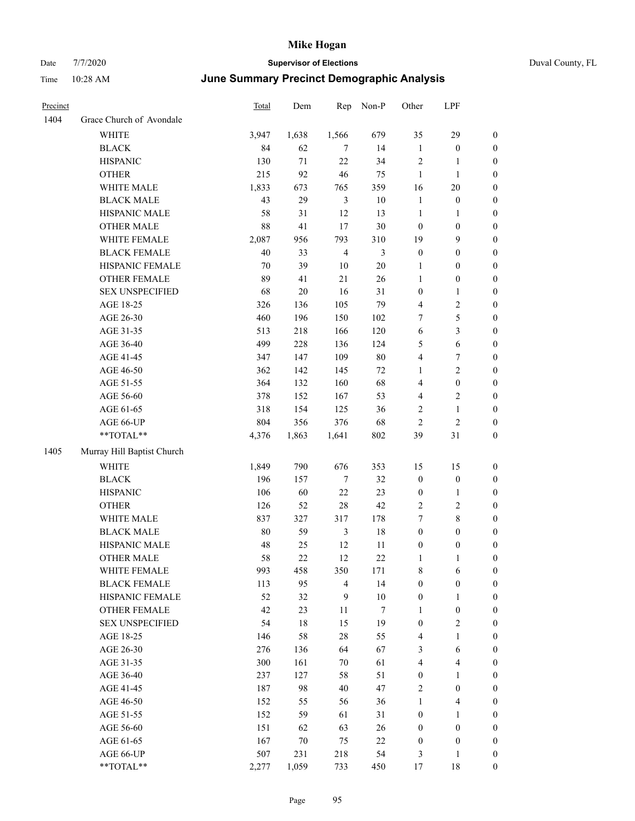|  | Duval County, FL |  |
|--|------------------|--|
|--|------------------|--|

| Precinct |                            | <b>Total</b> | Dem   | Rep            | Non-P           | Other            | LPF              |                  |
|----------|----------------------------|--------------|-------|----------------|-----------------|------------------|------------------|------------------|
| 1404     | Grace Church of Avondale   |              |       |                |                 |                  |                  |                  |
|          | WHITE                      | 3,947        | 1,638 | 1,566          | 679             | 35               | 29               | $\boldsymbol{0}$ |
|          | <b>BLACK</b>               | 84           | 62    | 7              | 14              | $\mathbf{1}$     | $\boldsymbol{0}$ | $\boldsymbol{0}$ |
|          | <b>HISPANIC</b>            | 130          | 71    | 22             | 34              | $\overline{2}$   | 1                | $\boldsymbol{0}$ |
|          | <b>OTHER</b>               | 215          | 92    | 46             | 75              | 1                | $\mathbf{1}$     | $\boldsymbol{0}$ |
|          | WHITE MALE                 | 1,833        | 673   | 765            | 359             | 16               | 20               | $\boldsymbol{0}$ |
|          | <b>BLACK MALE</b>          | 43           | 29    | $\mathfrak{Z}$ | $10\,$          | $\mathbf{1}$     | $\boldsymbol{0}$ | $\boldsymbol{0}$ |
|          | HISPANIC MALE              | 58           | 31    | 12             | 13              | $\mathbf{1}$     | 1                | $\boldsymbol{0}$ |
|          | <b>OTHER MALE</b>          | 88           | 41    | 17             | 30              | $\boldsymbol{0}$ | $\boldsymbol{0}$ | $\boldsymbol{0}$ |
|          | WHITE FEMALE               | 2,087        | 956   | 793            | 310             | 19               | 9                | $\boldsymbol{0}$ |
|          | <b>BLACK FEMALE</b>        | 40           | 33    | $\overline{4}$ | $\mathfrak{Z}$  | $\boldsymbol{0}$ | $\boldsymbol{0}$ | $\boldsymbol{0}$ |
|          | HISPANIC FEMALE            | 70           | 39    | $10\,$         | $20\,$          | $\mathbf{1}$     | $\boldsymbol{0}$ | $\boldsymbol{0}$ |
|          | <b>OTHER FEMALE</b>        | 89           | 41    | 21             | 26              | $\mathbf{1}$     | $\boldsymbol{0}$ | $\boldsymbol{0}$ |
|          | <b>SEX UNSPECIFIED</b>     | 68           | 20    | 16             | 31              | $\boldsymbol{0}$ | 1                | $\boldsymbol{0}$ |
|          | AGE 18-25                  | 326          | 136   | 105            | 79              | $\overline{4}$   | 2                | $\boldsymbol{0}$ |
|          | AGE 26-30                  | 460          | 196   | 150            | 102             | 7                | 5                | $\boldsymbol{0}$ |
|          | AGE 31-35                  | 513          | 218   | 166            | 120             | 6                | 3                | $\boldsymbol{0}$ |
|          | AGE 36-40                  | 499          | 228   | 136            | 124             | 5                | 6                | $\boldsymbol{0}$ |
|          | AGE 41-45                  | 347          | 147   | 109            | 80              | $\overline{4}$   | 7                | $\boldsymbol{0}$ |
|          | AGE 46-50                  | 362          | 142   | 145            | $72\,$          | 1                | 2                | $\boldsymbol{0}$ |
|          | AGE 51-55                  | 364          | 132   | 160            | 68              | $\overline{4}$   | $\boldsymbol{0}$ | $\boldsymbol{0}$ |
|          | AGE 56-60                  | 378          | 152   | 167            | 53              | $\overline{4}$   | $\overline{c}$   | $\boldsymbol{0}$ |
|          | AGE 61-65                  | 318          | 154   | 125            | 36              | $\sqrt{2}$       | 1                | $\boldsymbol{0}$ |
|          | AGE 66-UP                  | 804          | 356   | 376            | 68              | $\overline{2}$   | $\overline{c}$   | $\boldsymbol{0}$ |
|          | **TOTAL**                  | 4,376        | 1,863 | 1,641          | 802             | 39               | 31               | $\boldsymbol{0}$ |
| 1405     | Murray Hill Baptist Church |              |       |                |                 |                  |                  |                  |
|          | <b>WHITE</b>               | 1,849        | 790   | 676            | 353             | 15               | 15               | $\boldsymbol{0}$ |
|          | <b>BLACK</b>               | 196          | 157   | $\tau$         | 32              | $\boldsymbol{0}$ | $\boldsymbol{0}$ | $\boldsymbol{0}$ |
|          | <b>HISPANIC</b>            | 106          | 60    | 22             | 23              | $\boldsymbol{0}$ | 1                | $\boldsymbol{0}$ |
|          | <b>OTHER</b>               | 126          | 52    | 28             | 42              | $\sqrt{2}$       | 2                | $\boldsymbol{0}$ |
|          | WHITE MALE                 | 837          | 327   | 317            | 178             | $\tau$           | 8                | $\boldsymbol{0}$ |
|          | <b>BLACK MALE</b>          | 80           | 59    | 3              | 18              | $\boldsymbol{0}$ | $\boldsymbol{0}$ | $\boldsymbol{0}$ |
|          | HISPANIC MALE              | 48           | 25    | 12             | 11              | $\boldsymbol{0}$ | $\boldsymbol{0}$ | $\boldsymbol{0}$ |
|          | <b>OTHER MALE</b>          | 58           | 22    | 12             | 22              | 1                | 1                | $\boldsymbol{0}$ |
|          | WHITE FEMALE               | 993          | 458   | 350            | 171             | $\,$ 8 $\,$      | 6                | $\mathbf{0}$     |
|          | <b>BLACK FEMALE</b>        | 113          | 95    | $\overline{4}$ | 14              | $\boldsymbol{0}$ | $\boldsymbol{0}$ | $\boldsymbol{0}$ |
|          | HISPANIC FEMALE            | 52           | 32    | 9              | $10\,$          | $\boldsymbol{0}$ | 1                | $\boldsymbol{0}$ |
|          | OTHER FEMALE               | 42           | 23    | 11             | $7\phantom{.0}$ | $\mathbf{1}$     | $\boldsymbol{0}$ | $\boldsymbol{0}$ |
|          | <b>SEX UNSPECIFIED</b>     | 54           | 18    | 15             | 19              | $\boldsymbol{0}$ | $\mathbf{2}$     | $\boldsymbol{0}$ |
|          | AGE 18-25                  | 146          | 58    | $28\,$         | 55              | $\overline{4}$   | 1                | $\boldsymbol{0}$ |
|          | AGE 26-30                  | 276          | 136   | 64             | 67              | $\mathfrak{Z}$   | 6                | $\boldsymbol{0}$ |
|          | AGE 31-35                  | 300          | 161   | 70             | 61              | $\overline{4}$   | 4                | $\boldsymbol{0}$ |
|          | AGE 36-40                  | 237          | 127   | 58             | 51              | $\boldsymbol{0}$ | 1                | $\boldsymbol{0}$ |
|          | AGE 41-45                  | 187          | 98    | 40             | 47              | $\sqrt{2}$       | $\boldsymbol{0}$ | $\boldsymbol{0}$ |
|          | AGE 46-50                  | 152          | 55    | 56             | 36              | $\mathbf{1}$     | 4                | $\boldsymbol{0}$ |
|          | AGE 51-55                  | 152          | 59    | 61             | 31              | $\boldsymbol{0}$ | $\mathbf{1}$     | $\boldsymbol{0}$ |
|          | AGE 56-60                  | 151          | 62    | 63             | $26\,$          | $\boldsymbol{0}$ | $\boldsymbol{0}$ | $\boldsymbol{0}$ |
|          | AGE 61-65                  | 167          | 70    | 75             | $22\,$          | $\boldsymbol{0}$ | $\boldsymbol{0}$ | $\boldsymbol{0}$ |
|          | AGE 66-UP                  | 507          | 231   | 218            | 54              | 3                | 1                | $\boldsymbol{0}$ |
|          | **TOTAL**                  | 2,277        | 1,059 | 733            | 450             | 17               | $18\,$           | $\boldsymbol{0}$ |
|          |                            |              |       |                |                 |                  |                  |                  |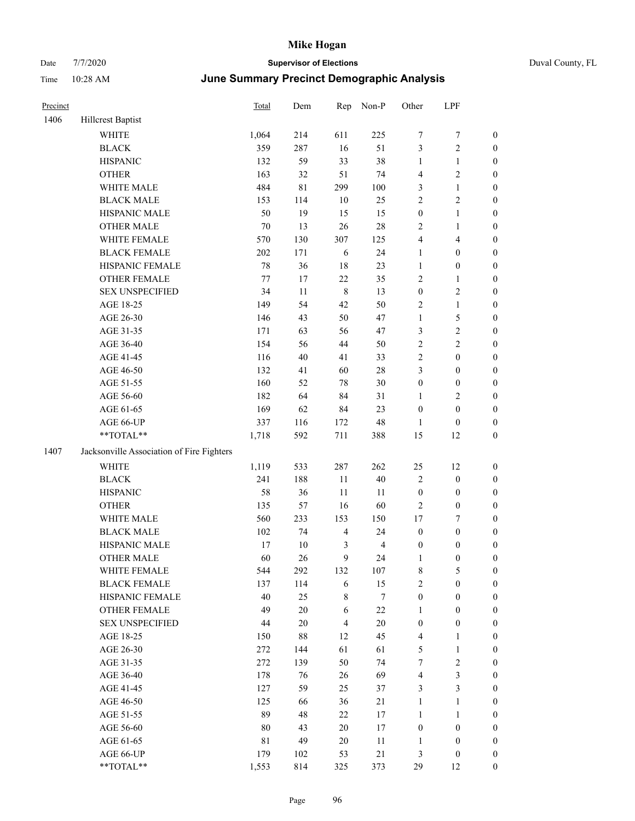| Precinct |                                           | Total       | Dem         | Rep            | Non-P          | Other            | LPF                     |                  |
|----------|-------------------------------------------|-------------|-------------|----------------|----------------|------------------|-------------------------|------------------|
| 1406     | Hillcrest Baptist                         |             |             |                |                |                  |                         |                  |
|          | <b>WHITE</b>                              | 1,064       | 214         | 611            | 225            | $\boldsymbol{7}$ | 7                       | $\boldsymbol{0}$ |
|          | <b>BLACK</b>                              | 359         | 287         | 16             | 51             | $\mathfrak{Z}$   | 2                       | $\boldsymbol{0}$ |
|          | <b>HISPANIC</b>                           | 132         | 59          | 33             | 38             | $\mathbf{1}$     | 1                       | $\boldsymbol{0}$ |
|          | <b>OTHER</b>                              | 163         | 32          | 51             | 74             | $\overline{4}$   | 2                       | $\boldsymbol{0}$ |
|          | WHITE MALE                                | 484         | $8\sqrt{1}$ | 299            | 100            | $\mathfrak{Z}$   | $\mathbf{1}$            | $\boldsymbol{0}$ |
|          | <b>BLACK MALE</b>                         | 153         | 114         | $10\,$         | 25             | $\sqrt{2}$       | $\overline{c}$          | $\boldsymbol{0}$ |
|          | HISPANIC MALE                             | 50          | 19          | 15             | 15             | $\boldsymbol{0}$ | $\mathbf{1}$            | $\boldsymbol{0}$ |
|          | <b>OTHER MALE</b>                         | 70          | 13          | 26             | 28             | $\overline{2}$   | $\mathbf{1}$            | $\boldsymbol{0}$ |
|          | WHITE FEMALE                              | 570         | 130         | 307            | 125            | $\overline{4}$   | 4                       | $\boldsymbol{0}$ |
|          | <b>BLACK FEMALE</b>                       | 202         | 171         | $\sqrt{6}$     | 24             | $\mathbf{1}$     | $\boldsymbol{0}$        | $\boldsymbol{0}$ |
|          | HISPANIC FEMALE                           | 78          | 36          | 18             | 23             | $\mathbf{1}$     | $\boldsymbol{0}$        | $\boldsymbol{0}$ |
|          | <b>OTHER FEMALE</b>                       | 77          | 17          | 22             | 35             | $\sqrt{2}$       | 1                       | $\boldsymbol{0}$ |
|          | <b>SEX UNSPECIFIED</b>                    | 34          | $11\,$      | $\,8\,$        | 13             | $\boldsymbol{0}$ | 2                       | $\boldsymbol{0}$ |
|          | AGE 18-25                                 | 149         | 54          | 42             | 50             | $\sqrt{2}$       | 1                       | $\boldsymbol{0}$ |
|          | AGE 26-30                                 | 146         | 43          | 50             | 47             | $\mathbf{1}$     | 5                       | $\boldsymbol{0}$ |
|          | AGE 31-35                                 | 171         | 63          | 56             | 47             | $\mathfrak{Z}$   | $\overline{\mathbf{c}}$ | $\boldsymbol{0}$ |
|          | AGE 36-40                                 | 154         | 56          | 44             | 50             | $\sqrt{2}$       | 2                       | $\boldsymbol{0}$ |
|          | AGE 41-45                                 | 116         | $40\,$      | 41             | 33             | $\sqrt{2}$       | $\boldsymbol{0}$        | $\boldsymbol{0}$ |
|          | AGE 46-50                                 | 132         | 41          | 60             | $28\,$         | 3                | $\boldsymbol{0}$        | $\boldsymbol{0}$ |
|          | AGE 51-55                                 | 160         | 52          | $78\,$         | 30             | $\boldsymbol{0}$ | $\boldsymbol{0}$        | $\boldsymbol{0}$ |
|          | AGE 56-60                                 | 182         | 64          | 84             | 31             | 1                | 2                       | $\boldsymbol{0}$ |
|          | AGE 61-65                                 | 169         | 62          | 84             | 23             | $\boldsymbol{0}$ | $\boldsymbol{0}$        | $\boldsymbol{0}$ |
|          | AGE 66-UP                                 | 337         | 116         | 172            | 48             | 1                | $\boldsymbol{0}$        | $\boldsymbol{0}$ |
|          | **TOTAL**                                 | 1,718       | 592         | 711            | 388            | 15               | 12                      | $\boldsymbol{0}$ |
| 1407     | Jacksonville Association of Fire Fighters |             |             |                |                |                  |                         |                  |
|          | <b>WHITE</b>                              | 1,119       | 533         | 287            | 262            | 25               | 12                      | $\boldsymbol{0}$ |
|          | <b>BLACK</b>                              | 241         | 188         | 11             | 40             | $\sqrt{2}$       | $\boldsymbol{0}$        | $\boldsymbol{0}$ |
|          | <b>HISPANIC</b>                           | 58          | 36          | 11             | 11             | $\boldsymbol{0}$ | $\boldsymbol{0}$        | $\boldsymbol{0}$ |
|          | <b>OTHER</b>                              | 135         | 57          | 16             | 60             | $\overline{2}$   | $\boldsymbol{0}$        | $\boldsymbol{0}$ |
|          | WHITE MALE                                | 560         | 233         | 153            | 150            | $17\,$           | 7                       | $\boldsymbol{0}$ |
|          | <b>BLACK MALE</b>                         | 102         | 74          | $\overline{4}$ | 24             | $\boldsymbol{0}$ | $\boldsymbol{0}$        | $\boldsymbol{0}$ |
|          | HISPANIC MALE                             | 17          | $10\,$      | 3              | $\overline{4}$ | $\boldsymbol{0}$ | $\boldsymbol{0}$        | $\boldsymbol{0}$ |
|          | <b>OTHER MALE</b>                         | 60          | 26          | 9              | 24             | $\mathbf{1}$     | $\boldsymbol{0}$        | $\boldsymbol{0}$ |
|          | WHITE FEMALE                              | 544         | 292         | 132            | 107            | $\,8\,$          | 5                       | $\boldsymbol{0}$ |
|          | <b>BLACK FEMALE</b>                       | 137         | 114         | $\sqrt{6}$     | 15             | $\overline{c}$   | $\boldsymbol{0}$        | $\boldsymbol{0}$ |
|          | HISPANIC FEMALE                           | 40          | 25          | 8              | $\tau$         | $\boldsymbol{0}$ | $\boldsymbol{0}$        | $\boldsymbol{0}$ |
|          | OTHER FEMALE                              | 49          | $20\,$      | 6              | $22\,$         | $\mathbf{1}$     | $\boldsymbol{0}$        | $\boldsymbol{0}$ |
|          | <b>SEX UNSPECIFIED</b>                    | 44          | $20\,$      | $\overline{4}$ | $20\,$         | $\boldsymbol{0}$ | $\boldsymbol{0}$        | $\boldsymbol{0}$ |
|          | AGE 18-25                                 | 150         | $88\,$      | 12             | 45             | $\overline{4}$   | 1                       | $\boldsymbol{0}$ |
|          | AGE 26-30                                 | 272         | 144         | 61             | 61             | 5                | $\mathbf{1}$            | $\boldsymbol{0}$ |
|          | AGE 31-35                                 | 272         | 139         | 50             | 74             | 7                | $\overline{c}$          | $\boldsymbol{0}$ |
|          | AGE 36-40                                 | 178         | 76          | 26             | 69             | $\overline{4}$   | 3                       | $\boldsymbol{0}$ |
|          | AGE 41-45                                 | 127         | 59          | 25             | 37             | $\mathfrak{Z}$   | 3                       | $\boldsymbol{0}$ |
|          | AGE 46-50                                 | 125         | 66          | 36             | $21\,$         | $\mathbf{1}$     | 1                       | $\boldsymbol{0}$ |
|          | AGE 51-55                                 | 89          | 48          | $22\,$         | 17             | $\mathbf{1}$     | 1                       | $\boldsymbol{0}$ |
|          | AGE 56-60                                 | 80          | 43          | $20\,$         | $17\,$         | $\boldsymbol{0}$ | $\boldsymbol{0}$        | $\boldsymbol{0}$ |
|          | AGE 61-65                                 | $8\sqrt{1}$ | 49          | $20\,$         | 11             | 1                | $\boldsymbol{0}$        | $\boldsymbol{0}$ |
|          | AGE 66-UP                                 | 179         | 102         | 53             | $21\,$         | $\mathfrak{Z}$   | $\boldsymbol{0}$        | $\boldsymbol{0}$ |
|          | **TOTAL**                                 | 1,553       | 814         | 325            | 373            | 29               | 12                      | $\boldsymbol{0}$ |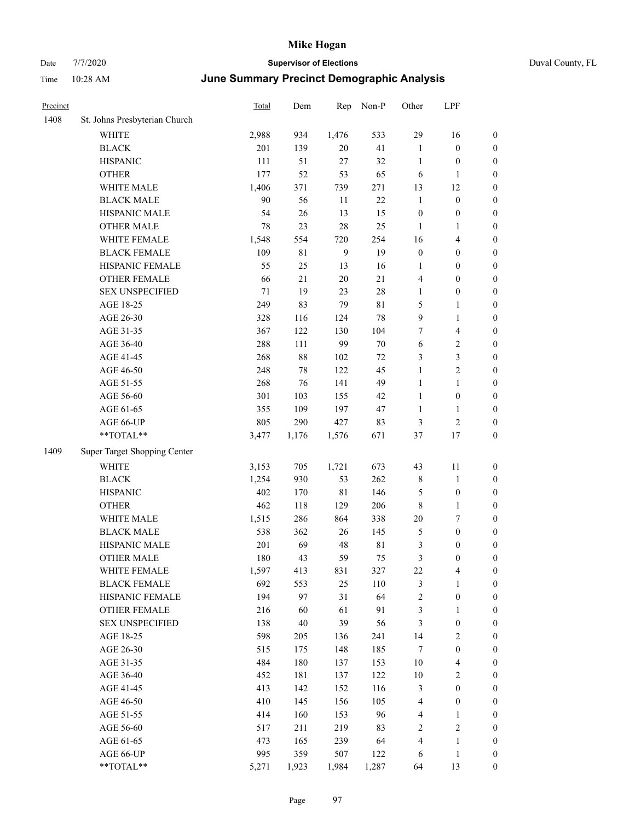### Date 7/7/2020 **Supervisor of Elections** Duval County, FL Time 10:28 AM **June Summary Precinct Demographic Analysis**

| Precinct |                               | <b>Total</b> | Dem   | Rep         | Non-P | Other            | LPF              |                  |
|----------|-------------------------------|--------------|-------|-------------|-------|------------------|------------------|------------------|
| 1408     | St. Johns Presbyterian Church |              |       |             |       |                  |                  |                  |
|          | <b>WHITE</b>                  | 2,988        | 934   | 1,476       | 533   | 29               | 16               | $\boldsymbol{0}$ |
|          | <b>BLACK</b>                  | 201          | 139   | $20\,$      | 41    | $\mathbf{1}$     | $\boldsymbol{0}$ | $\mathbf{0}$     |
|          | <b>HISPANIC</b>               | 111          | 51    | 27          | 32    | $\mathbf{1}$     | $\boldsymbol{0}$ | 0                |
|          | <b>OTHER</b>                  | 177          | 52    | 53          | 65    | 6                | $\mathbf{1}$     | $\boldsymbol{0}$ |
|          | WHITE MALE                    | 1,406        | 371   | 739         | 271   | 13               | 12               | $\boldsymbol{0}$ |
|          | <b>BLACK MALE</b>             | 90           | 56    | 11          | 22    | $\mathbf{1}$     | $\boldsymbol{0}$ | $\boldsymbol{0}$ |
|          | <b>HISPANIC MALE</b>          | 54           | 26    | 13          | 15    | $\boldsymbol{0}$ | $\boldsymbol{0}$ | $\boldsymbol{0}$ |
|          | <b>OTHER MALE</b>             | 78           | 23    | 28          | 25    | $\mathbf{1}$     | $\mathbf{1}$     | 0                |
|          | WHITE FEMALE                  | 1,548        | 554   | 720         | 254   | 16               | $\overline{4}$   | 0                |
|          | <b>BLACK FEMALE</b>           | 109          | 81    | 9           | 19    | $\boldsymbol{0}$ | $\boldsymbol{0}$ | $\boldsymbol{0}$ |
|          | HISPANIC FEMALE               | 55           | 25    | 13          | 16    | $\mathbf{1}$     | $\mathbf{0}$     | $\boldsymbol{0}$ |
|          | <b>OTHER FEMALE</b>           | 66           | 21    | 20          | 21    | 4                | $\boldsymbol{0}$ | $\boldsymbol{0}$ |
|          | <b>SEX UNSPECIFIED</b>        | 71           | 19    | 23          | 28    | $\mathbf{1}$     | $\boldsymbol{0}$ | $\boldsymbol{0}$ |
|          | AGE 18-25                     | 249          | 83    | 79          | 81    | 5                | 1                | 0                |
|          | AGE 26-30                     | 328          | 116   | 124         | 78    | 9                | $\mathbf{1}$     | 0                |
|          | AGE 31-35                     | 367          | 122   | 130         | 104   | 7                | $\overline{4}$   | $\overline{0}$   |
|          | AGE 36-40                     | 288          | 111   | 99          | 70    | 6                | 2                | $\overline{0}$   |
|          | AGE 41-45                     | 268          | 88    | 102         | 72    | 3                | 3                | 0                |
|          | AGE 46-50                     | 248          | 78    | 122         | 45    | $\mathbf{1}$     | $\overline{2}$   | 0                |
|          | AGE 51-55                     | 268          | 76    | 141         | 49    | $\mathbf{1}$     | $\mathbf{1}$     | $\boldsymbol{0}$ |
|          | AGE 56-60                     | 301          | 103   | 155         | 42    | $\mathbf{1}$     | $\boldsymbol{0}$ | 0                |
|          | AGE 61-65                     | 355          | 109   | 197         | 47    | $\mathbf{1}$     | $\mathbf{1}$     | $\overline{0}$   |
|          | AGE 66-UP                     | 805          | 290   | 427         | 83    | 3                | $\overline{c}$   | $\overline{0}$   |
|          | **TOTAL**                     | 3,477        | 1,176 | 1,576       | 671   | 37               | 17               | $\overline{0}$   |
| 1409     | Super Target Shopping Center  |              |       |             |       |                  |                  |                  |
|          | <b>WHITE</b>                  | 3,153        | 705   | 1,721       | 673   | 43               | 11               | $\boldsymbol{0}$ |
|          | <b>BLACK</b>                  | 1,254        | 930   | 53          | 262   | 8                | $\mathbf{1}$     | $\boldsymbol{0}$ |
|          | <b>HISPANIC</b>               | 402          | 170   | $8\sqrt{1}$ | 146   | 5                | $\boldsymbol{0}$ | 0                |
|          | <b>OTHER</b>                  | 462          | 118   | 129         | 206   | 8                | $\mathbf{1}$     | 0                |
|          | WHITE MALE                    | 1,515        | 286   | 864         | 338   | 20               | 7                | $\boldsymbol{0}$ |
|          | <b>BLACK MALE</b>             | 538          | 362   | 26          | 145   | 5                | $\boldsymbol{0}$ | $\boldsymbol{0}$ |
|          | HISPANIC MALE                 | 201          | 69    | 48          | 81    | 3                | $\boldsymbol{0}$ | $\boldsymbol{0}$ |
|          | <b>OTHER MALE</b>             | 180          | 43    | 59          | 75    | 3                | $\boldsymbol{0}$ | $\boldsymbol{0}$ |
|          | WHITE FEMALE                  | 1,597        | 413   | 831         | 327   | 22               | 4                | $\boldsymbol{0}$ |
|          | <b>BLACK FEMALE</b>           | 692          | 553   | 25          | 110   | 3                | $\mathbf{1}$     | $\boldsymbol{0}$ |
|          | HISPANIC FEMALE               | 194          | 97    | 31          | 64    | 2                | $\overline{0}$   | $\overline{0}$   |
|          | <b>OTHER FEMALE</b>           | 216          | 60    | 61          | 91    | 3                | 1                | $\overline{0}$   |

SEX UNSPECIFIED 138 40 39 56 3 0 0 AGE 18-25 598 205 136 241 14 2 0 AGE 26-30 515 175 148 185 7 0 0 AGE 31-35 484 180 137 153 10 4 0 AGE 36-40 452 181 137 122 10 2 0 AGE 41-45 413 142 152 116 3 0 0 AGE 46-50 410 145 156 105 4 0 0 AGE 51-55 414 160 153 96 4 1 0 AGE 56-60 517 211 219 83 2 2 0 AGE 61-65 473 165 239 64 4 1 0 AGE 66-UP 395 359 507 122 6 1 0 \*\*TOTAL\*\* 5,271 1,923 1,984 1,287 64 13 0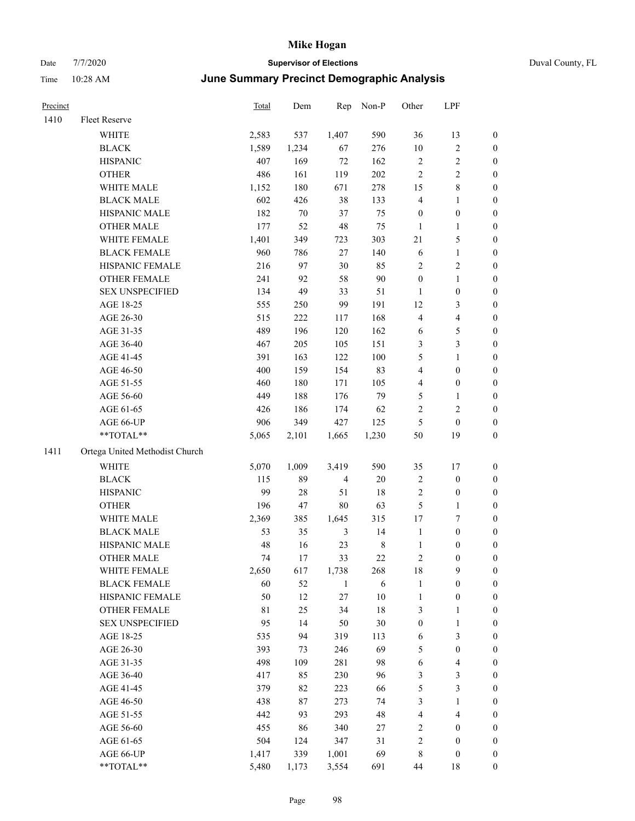# Date 7/7/2020 **Supervisor of Elections** Duval County, FL Time 10:28 AM **June Summary Precinct Demographic Analysis**

| Precinct |                                | Total | Dem    | Rep            | Non-P   | Other                   | LPF                     |                  |
|----------|--------------------------------|-------|--------|----------------|---------|-------------------------|-------------------------|------------------|
| 1410     | Fleet Reserve                  |       |        |                |         |                         |                         |                  |
|          | WHITE                          | 2,583 | 537    | 1,407          | 590     | 36                      | 13                      | 0                |
|          | <b>BLACK</b>                   | 1,589 | 1,234  | 67             | 276     | $10\,$                  | $\sqrt{2}$              | 0                |
|          | <b>HISPANIC</b>                | 407   | 169    | $72\,$         | 162     | $\sqrt{2}$              | $\sqrt{2}$              | 0                |
|          | <b>OTHER</b>                   | 486   | 161    | 119            | 202     | $\sqrt{2}$              | $\sqrt{2}$              | $\boldsymbol{0}$ |
|          | WHITE MALE                     | 1,152 | 180    | 671            | 278     | 15                      | $8\,$                   | $\boldsymbol{0}$ |
|          | <b>BLACK MALE</b>              | 602   | 426    | 38             | 133     | 4                       | 1                       | $\boldsymbol{0}$ |
|          | HISPANIC MALE                  | 182   | 70     | 37             | 75      | $\boldsymbol{0}$        | $\boldsymbol{0}$        | $\boldsymbol{0}$ |
|          | <b>OTHER MALE</b>              | 177   | 52     | 48             | 75      | $\mathbf{1}$            | $\mathbf{1}$            | $\boldsymbol{0}$ |
|          | WHITE FEMALE                   | 1,401 | 349    | 723            | 303     | 21                      | $\mathfrak s$           | 0                |
|          | <b>BLACK FEMALE</b>            | 960   | 786    | 27             | 140     | 6                       | $\mathbf{1}$            | 0                |
|          | HISPANIC FEMALE                | 216   | 97     | 30             | 85      | $\sqrt{2}$              | $\sqrt{2}$              | 0                |
|          | OTHER FEMALE                   | 241   | 92     | 58             | $90\,$  | $\boldsymbol{0}$        | $\mathbf{1}$            | 0                |
|          | <b>SEX UNSPECIFIED</b>         | 134   | 49     | 33             | 51      | $\mathbf{1}$            | $\boldsymbol{0}$        | $\boldsymbol{0}$ |
|          | AGE 18-25                      | 555   | 250    | 99             | 191     | 12                      | $\mathfrak{Z}$          | $\boldsymbol{0}$ |
|          | AGE 26-30                      | 515   | 222    | 117            | 168     | 4                       | $\overline{\mathbf{4}}$ | $\boldsymbol{0}$ |
|          | AGE 31-35                      | 489   | 196    | 120            | 162     | 6                       | $\mathfrak{S}$          | $\boldsymbol{0}$ |
|          | AGE 36-40                      | 467   | 205    | 105            | 151     | 3                       | 3                       | $\boldsymbol{0}$ |
|          | AGE 41-45                      | 391   | 163    | 122            | $100\,$ | 5                       | $\mathbf{1}$            | $\boldsymbol{0}$ |
|          | AGE 46-50                      | 400   | 159    | 154            | 83      | $\overline{4}$          | $\boldsymbol{0}$        | $\boldsymbol{0}$ |
|          | AGE 51-55                      | 460   | 180    | 171            | 105     | 4                       | $\boldsymbol{0}$        | 0                |
|          | AGE 56-60                      | 449   | 188    | 176            | 79      | 5                       | 1                       | 0                |
|          | AGE 61-65                      | 426   | 186    | 174            | 62      | 2                       | $\sqrt{2}$              | 0                |
|          | AGE 66-UP                      | 906   | 349    | 427            | 125     | $\mathfrak{S}$          | $\boldsymbol{0}$        | $\boldsymbol{0}$ |
|          | **TOTAL**                      | 5,065 | 2,101  | 1,665          | 1,230   | 50                      | 19                      | $\boldsymbol{0}$ |
| 1411     | Ortega United Methodist Church |       |        |                |         |                         |                         |                  |
|          | <b>WHITE</b>                   | 5,070 | 1,009  | 3,419          | 590     | 35                      | 17                      | $\boldsymbol{0}$ |
|          | <b>BLACK</b>                   | 115   | 89     | $\overline{4}$ | $20\,$  | $\sqrt{2}$              | $\boldsymbol{0}$        | $\boldsymbol{0}$ |
|          | <b>HISPANIC</b>                | 99    | $28\,$ | 51             | 18      | 2                       | $\boldsymbol{0}$        | $\boldsymbol{0}$ |
|          | <b>OTHER</b>                   | 196   | 47     | $80\,$         | 63      | 5                       | $\mathbf{1}$            | $\boldsymbol{0}$ |
|          | WHITE MALE                     | 2,369 | 385    | 1,645          | 315     | 17                      | $\boldsymbol{7}$        | $\boldsymbol{0}$ |
|          | <b>BLACK MALE</b>              | 53    | 35     | $\mathfrak{Z}$ | 14      | $\mathbf{1}$            | $\boldsymbol{0}$        | $\boldsymbol{0}$ |
|          | HISPANIC MALE                  | 48    | 16     | 23             | $\,8\,$ | $\mathbf{1}$            | $\boldsymbol{0}$        | 0                |
|          | <b>OTHER MALE</b>              | 74    | 17     | 33             | $22\,$  | 2                       | $\boldsymbol{0}$        | 0                |
|          | WHITE FEMALE                   | 2,650 | 617    | 1,738          | 268     | 18                      | 9                       | 0                |
|          | <b>BLACK FEMALE</b>            | 60    | 52     | $\mathbf{1}$   | 6       | $\mathbf{1}$            | $\boldsymbol{0}$        | $\boldsymbol{0}$ |
|          | HISPANIC FEMALE                | 50    | 12     | 27             | $10\,$  | $\mathbf{1}$            | $\boldsymbol{0}$        | $\overline{0}$   |
|          | OTHER FEMALE                   | 81    | 25     | 34             | 18      | 3                       | $\mathbf{1}$            | 0                |
|          | <b>SEX UNSPECIFIED</b>         | 95    | 14     | 50             | $30\,$  | $\boldsymbol{0}$        | $\mathbf{1}$            | 0                |
|          | AGE 18-25                      | 535   | 94     | 319            | 113     | 6                       | $\mathfrak{Z}$          | 0                |
|          | AGE 26-30                      | 393   | 73     | 246            | 69      | 5                       | $\boldsymbol{0}$        | 0                |
|          | AGE 31-35                      | 498   | 109    | 281            | 98      | 6                       | $\overline{\mathbf{4}}$ | 0                |
|          | AGE 36-40                      | 417   | 85     | 230            | 96      | 3                       | $\mathfrak{Z}$          | 0                |
|          | AGE 41-45                      | 379   | 82     | 223            | 66      | 5                       | $\mathfrak{Z}$          | 0                |
|          | AGE 46-50                      | 438   | 87     | 273            | 74      | 3                       | $\mathbf{1}$            | 0                |
|          | AGE 51-55                      | 442   | 93     | 293            | 48      | $\overline{\mathbf{4}}$ | $\overline{4}$          | 0                |
|          | AGE 56-60                      | 455   | 86     | 340            | 27      | 2                       | $\boldsymbol{0}$        | 0                |
|          | AGE 61-65                      | 504   | 124    | 347            | 31      | 2                       | $\boldsymbol{0}$        | $\boldsymbol{0}$ |
|          | AGE 66-UP                      | 1,417 | 339    | 1,001          | 69      | 8                       | $\boldsymbol{0}$        | $\boldsymbol{0}$ |

\*\*TOTAL\*\* 5,480 1,173 3,554 691 44 18 0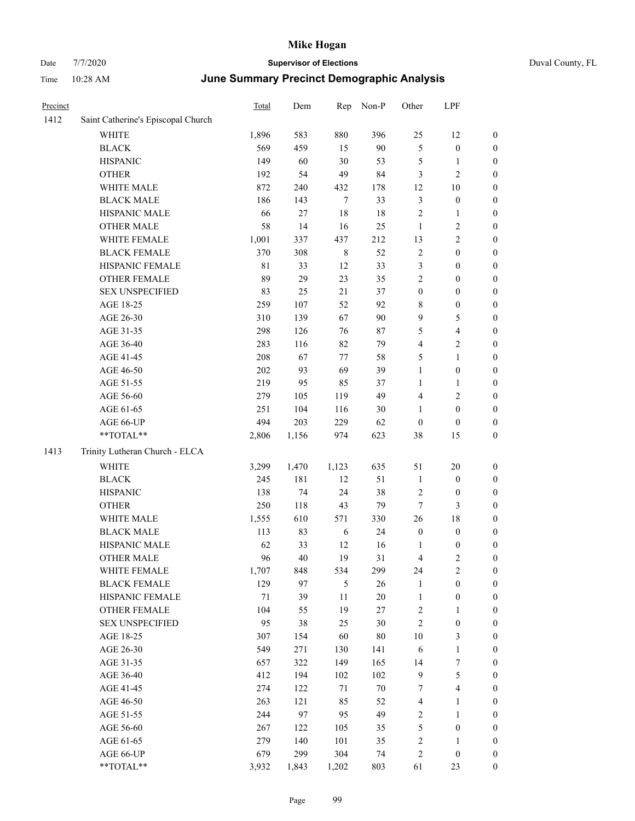| Precinct |                                    | Total       | Dem    | Rep         | Non-P  | Other            | LPF              |                  |
|----------|------------------------------------|-------------|--------|-------------|--------|------------------|------------------|------------------|
| 1412     | Saint Catherine's Episcopal Church |             |        |             |        |                  |                  |                  |
|          | <b>WHITE</b>                       | 1,896       | 583    | 880         | 396    | 25               | 12               | $\boldsymbol{0}$ |
|          | <b>BLACK</b>                       | 569         | 459    | 15          | 90     | $\mathfrak{S}$   | $\boldsymbol{0}$ | $\boldsymbol{0}$ |
|          | <b>HISPANIC</b>                    | 149         | 60     | $30\,$      | 53     | 5                | 1                | $\boldsymbol{0}$ |
|          | <b>OTHER</b>                       | 192         | 54     | 49          | 84     | 3                | 2                | $\boldsymbol{0}$ |
|          | WHITE MALE                         | 872         | 240    | 432         | 178    | 12               | 10               | $\boldsymbol{0}$ |
|          | <b>BLACK MALE</b>                  | 186         | 143    | $\tau$      | 33     | $\mathfrak{Z}$   | $\boldsymbol{0}$ | $\boldsymbol{0}$ |
|          | HISPANIC MALE                      | 66          | $27\,$ | 18          | 18     | $\sqrt{2}$       | 1                | $\boldsymbol{0}$ |
|          | <b>OTHER MALE</b>                  | 58          | 14     | 16          | 25     | $\mathbf{1}$     | 2                | $\boldsymbol{0}$ |
|          | WHITE FEMALE                       | 1,001       | 337    | 437         | 212    | 13               | 2                | $\boldsymbol{0}$ |
|          | <b>BLACK FEMALE</b>                | 370         | 308    | $\,$ 8 $\,$ | 52     | $\overline{2}$   | $\boldsymbol{0}$ | $\boldsymbol{0}$ |
|          | HISPANIC FEMALE                    | $8\sqrt{1}$ | 33     | 12          | 33     | $\mathfrak{Z}$   | $\boldsymbol{0}$ | $\boldsymbol{0}$ |
|          | <b>OTHER FEMALE</b>                | 89          | 29     | 23          | 35     | $\sqrt{2}$       | $\boldsymbol{0}$ | $\boldsymbol{0}$ |
|          | <b>SEX UNSPECIFIED</b>             | 83          | 25     | 21          | 37     | $\boldsymbol{0}$ | $\boldsymbol{0}$ | $\boldsymbol{0}$ |
|          | AGE 18-25                          | 259         | 107    | 52          | 92     | $\,$ 8 $\,$      | $\boldsymbol{0}$ | $\boldsymbol{0}$ |
|          | AGE 26-30                          | 310         | 139    | 67          | 90     | 9                | 5                | $\boldsymbol{0}$ |
|          | AGE 31-35                          | 298         | 126    | 76          | $87\,$ | 5                | 4                | $\boldsymbol{0}$ |
|          | AGE 36-40                          | 283         | 116    | 82          | 79     | $\overline{4}$   | 2                | $\boldsymbol{0}$ |
|          | AGE 41-45                          | 208         | 67     | 77          | 58     | 5                | 1                | $\boldsymbol{0}$ |
|          | AGE 46-50                          | 202         | 93     | 69          | 39     | $\mathbf{1}$     | $\boldsymbol{0}$ | $\boldsymbol{0}$ |
|          | AGE 51-55                          | 219         | 95     | 85          | 37     | $\mathbf{1}$     | 1                | $\boldsymbol{0}$ |
|          | AGE 56-60                          | 279         | 105    | 119         | 49     | $\overline{4}$   | $\overline{c}$   | $\boldsymbol{0}$ |
|          | AGE 61-65                          | 251         | 104    | 116         | 30     | 1                | $\boldsymbol{0}$ | $\boldsymbol{0}$ |
|          | AGE 66-UP                          | 494         | 203    | 229         | 62     | $\boldsymbol{0}$ | $\boldsymbol{0}$ | $\boldsymbol{0}$ |
|          | **TOTAL**                          | 2,806       | 1,156  | 974         | 623    | 38               | 15               | $\boldsymbol{0}$ |
| 1413     | Trinity Lutheran Church - ELCA     |             |        |             |        |                  |                  |                  |
|          | WHITE                              | 3,299       | 1,470  | 1,123       | 635    | 51               | 20               | $\boldsymbol{0}$ |
|          | <b>BLACK</b>                       | 245         | 181    | 12          | 51     | $\mathbf{1}$     | $\boldsymbol{0}$ | $\boldsymbol{0}$ |
|          | <b>HISPANIC</b>                    | 138         | 74     | 24          | 38     | $\overline{2}$   | $\boldsymbol{0}$ | $\boldsymbol{0}$ |
|          | <b>OTHER</b>                       | 250         | 118    | 43          | 79     | $\tau$           | 3                | $\boldsymbol{0}$ |
|          | WHITE MALE                         | 1,555       | 610    | 571         | 330    | 26               | 18               | $\boldsymbol{0}$ |
|          | <b>BLACK MALE</b>                  | 113         | 83     | 6           | 24     | $\boldsymbol{0}$ | $\boldsymbol{0}$ | $\boldsymbol{0}$ |
|          | HISPANIC MALE                      | 62          | 33     | 12          | 16     | 1                | $\boldsymbol{0}$ | $\boldsymbol{0}$ |
|          | <b>OTHER MALE</b>                  | 96          | 40     | 19          | 31     | $\overline{4}$   | $\overline{c}$   | $\boldsymbol{0}$ |
|          | WHITE FEMALE                       | 1,707       | 848    | 534         | 299    | 24               | $\sqrt{2}$       | $\boldsymbol{0}$ |
|          | <b>BLACK FEMALE</b>                | 129         | 97     | $\sqrt{5}$  | $26\,$ | $\mathbf{1}$     | $\boldsymbol{0}$ | $\boldsymbol{0}$ |
|          | HISPANIC FEMALE                    | $71\,$      | 39     | 11          | $20\,$ | $\mathbf{1}$     | $\boldsymbol{0}$ | $\boldsymbol{0}$ |
|          | OTHER FEMALE                       | 104         | 55     | 19          | $27\,$ | $\sqrt{2}$       | 1                | $\boldsymbol{0}$ |
|          | <b>SEX UNSPECIFIED</b>             | 95          | $38\,$ | 25          | 30     | $\sqrt{2}$       | $\boldsymbol{0}$ | $\boldsymbol{0}$ |
|          | AGE 18-25                          | 307         | 154    | 60          | $80\,$ | $10\,$           | 3                | $\boldsymbol{0}$ |
|          | AGE 26-30                          | 549         | 271    | 130         | 141    | 6                | $\mathbf{1}$     | $\boldsymbol{0}$ |
|          | AGE 31-35                          | 657         | 322    | 149         | 165    | 14               | $\boldsymbol{7}$ | $\boldsymbol{0}$ |
|          | AGE 36-40                          | 412         | 194    | 102         | 102    | $\mathbf{9}$     | 5                | $\boldsymbol{0}$ |
|          | AGE 41-45                          | 274         | 122    | $71\,$      | $70\,$ | 7                | 4                | $\boldsymbol{0}$ |
|          | AGE 46-50                          | 263         | 121    | 85          | 52     | $\overline{4}$   | 1                | $\boldsymbol{0}$ |
|          | AGE 51-55                          | 244         | 97     | 95          | 49     | $\sqrt{2}$       | 1                | $\boldsymbol{0}$ |
|          | AGE 56-60                          | 267         | 122    | 105         | 35     | $\sqrt{5}$       | $\boldsymbol{0}$ | $\boldsymbol{0}$ |
|          | AGE 61-65                          | 279         | 140    | 101         | 35     | $\sqrt{2}$       | 1                | $\boldsymbol{0}$ |
|          | AGE 66-UP                          | 679         | 299    | 304         | 74     | $\sqrt{2}$       | $\boldsymbol{0}$ | $\boldsymbol{0}$ |
|          | **TOTAL**                          | 3,932       | 1,843  | 1,202       | 803    | 61               | 23               | $\boldsymbol{0}$ |